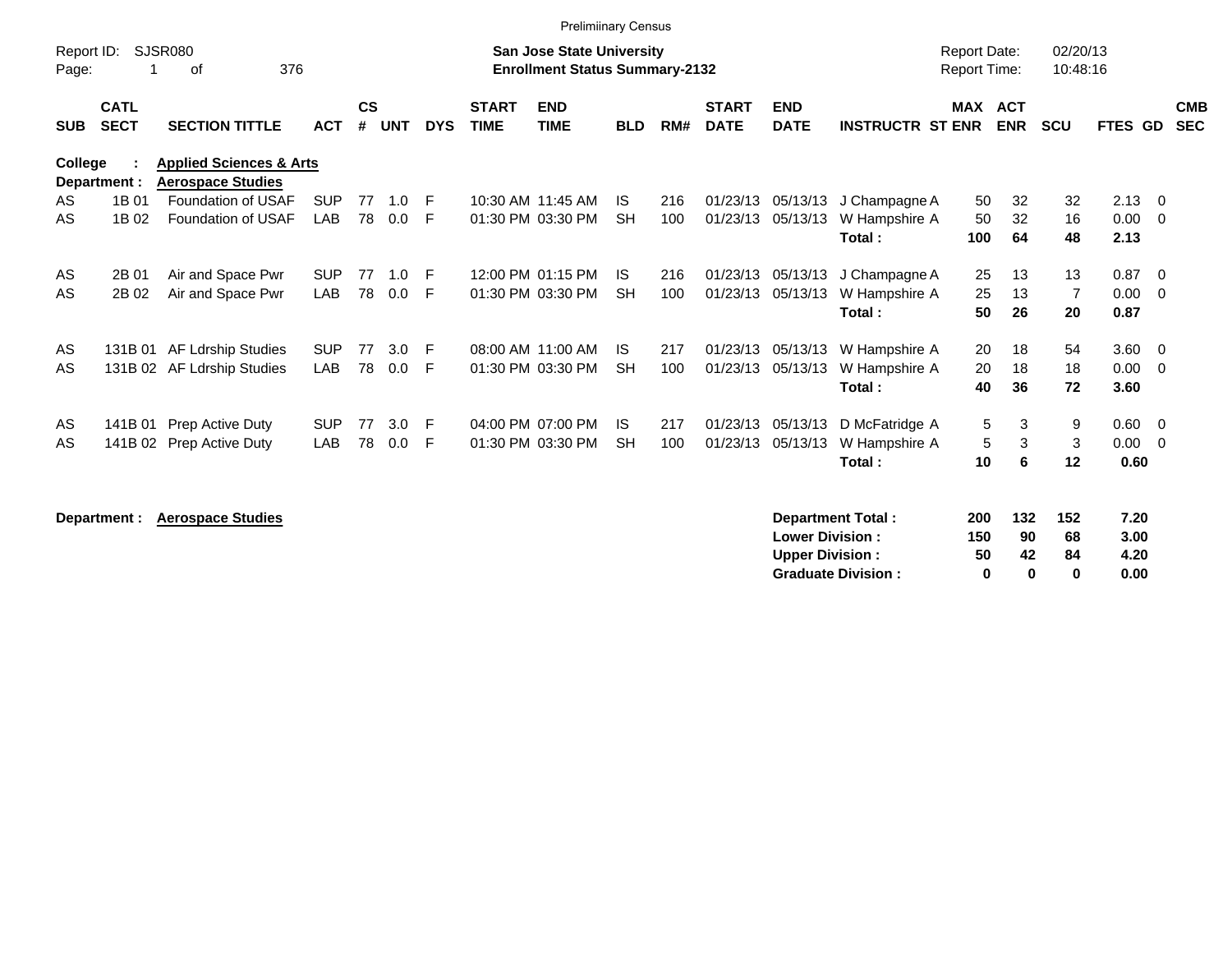|                     |                            |                                                                |            |                    |            |            |                             | <b>Prelimiinary Census</b>                                         |            |     |                             |                           |                         |                                     |                          |                      |                |                          |                          |
|---------------------|----------------------------|----------------------------------------------------------------|------------|--------------------|------------|------------|-----------------------------|--------------------------------------------------------------------|------------|-----|-----------------------------|---------------------------|-------------------------|-------------------------------------|--------------------------|----------------------|----------------|--------------------------|--------------------------|
| Report ID:<br>Page: |                            | SJSR080<br>376<br>οf                                           |            |                    |            |            |                             | San Jose State University<br><b>Enrollment Status Summary-2132</b> |            |     |                             |                           |                         | <b>Report Date:</b><br>Report Time: |                          | 02/20/13<br>10:48:16 |                |                          |                          |
| <b>SUB</b>          | <b>CATL</b><br><b>SECT</b> | <b>SECTION TITTLE</b>                                          | <b>ACT</b> | $\mathsf{cs}$<br># | <b>UNT</b> | <b>DYS</b> | <b>START</b><br><b>TIME</b> | <b>END</b><br><b>TIME</b>                                          | <b>BLD</b> | RM# | <b>START</b><br><b>DATE</b> | <b>END</b><br><b>DATE</b> | <b>INSTRUCTR ST ENR</b> | <b>MAX</b>                          | <b>ACT</b><br><b>ENR</b> | <b>SCU</b>           | FTES GD        |                          | <b>CMB</b><br><b>SEC</b> |
| College             | Department :               | <b>Applied Sciences &amp; Arts</b><br><b>Aerospace Studies</b> |            |                    |            |            |                             |                                                                    |            |     |                             |                           |                         |                                     |                          |                      |                |                          |                          |
| AS                  | 1B 01                      | Foundation of USAF                                             | <b>SUP</b> | 77                 | 1.0        | F          |                             | 10:30 AM 11:45 AM                                                  | IS.        | 216 | 01/23/13                    | 05/13/13                  | J Champagne A           | 50                                  | 32                       | 32                   | $2.13 \quad 0$ |                          |                          |
| AS                  | 1B 02                      | Foundation of USAF                                             | LAB        | 78                 | 0.0        | F          |                             | 01:30 PM 03:30 PM                                                  | <b>SH</b>  | 100 | 01/23/13                    | 05/13/13                  | W Hampshire A           | 50                                  | 32                       | 16                   | 0.00           | $\overline{\phantom{0}}$ |                          |
|                     |                            |                                                                |            |                    |            |            |                             |                                                                    |            |     |                             |                           | Total:                  | 100                                 | 64                       | 48                   | 2.13           |                          |                          |
| AS                  | 2B 01                      | Air and Space Pwr                                              | <b>SUP</b> | 77                 | 1.0        | F          |                             | 12:00 PM 01:15 PM                                                  | IS.        | 216 | 01/23/13                    | 05/13/13                  | J Champagne A           | 25                                  | 13                       | 13                   | 0.87           | $\overline{0}$           |                          |
| AS                  | 2B 02                      | Air and Space Pwr                                              | <b>LAB</b> | 78                 | 0.0        | E          |                             | 01:30 PM 03:30 PM                                                  | <b>SH</b>  | 100 | 01/23/13                    | 05/13/13                  | W Hampshire A           | 25                                  | 13                       | $\overline{7}$       | 0.00           | $\overline{0}$           |                          |
|                     |                            |                                                                |            |                    |            |            |                             |                                                                    |            |     |                             |                           | Total:                  | 50                                  | 26                       | 20                   | 0.87           |                          |                          |
| AS                  |                            | 131B 01 AF Ldrship Studies                                     | <b>SUP</b> | 77                 | 3.0        | E          |                             | 08:00 AM 11:00 AM                                                  | IS.        | 217 | 01/23/13                    | 05/13/13                  | W Hampshire A           | 20                                  | 18                       | 54                   | $3.60 \ 0$     |                          |                          |
| AS                  |                            | 131B 02 AF Ldrship Studies                                     | <b>LAB</b> | 78                 | 0.0        | E          |                             | 01:30 PM 03:30 PM                                                  | <b>SH</b>  | 100 | 01/23/13                    | 05/13/13                  | W Hampshire A           | 20                                  | 18                       | 18                   | 0.00           | $\overline{\phantom{0}}$ |                          |
|                     |                            |                                                                |            |                    |            |            |                             |                                                                    |            |     |                             |                           | Total:                  | 40                                  | 36                       | 72                   | 3.60           |                          |                          |
| AS                  |                            | 141B 01 Prep Active Duty                                       | <b>SUP</b> | 77                 | 3.0        | E          |                             | 04:00 PM 07:00 PM                                                  | IS.        | 217 | 01/23/13                    | 05/13/13                  | D McFatridge A          | 5                                   | 3                        | 9                    | $0.60 \t 0$    |                          |                          |
| AS                  |                            | 141B 02 Prep Active Duty                                       | LAB        | 78                 | 0.0        | F          |                             | 01:30 PM 03:30 PM                                                  | <b>SH</b>  | 100 | 01/23/13                    | 05/13/13                  | W Hampshire A           | 5                                   | 3                        | 3                    | 0.00           | $\overline{\mathbf{0}}$  |                          |
|                     |                            |                                                                |            |                    |            |            |                             |                                                                    |            |     |                             |                           | Total:                  | 10                                  | 6                        | 12                   | 0.60           |                          |                          |
|                     |                            | Benediction Association Charles                                |            |                    |            |            |                             |                                                                    |            |     |                             |                           | Designation of Textels  | $\sim$                              | $\overline{a}$           |                      | 7.00           |                          |                          |

|  | Department : Aerospace Studies |
|--|--------------------------------|
|--|--------------------------------|

| 200 | 132 | 152 | 7.20 |
|-----|-----|-----|------|
| 150 | 90  | 68  | 3.00 |
| 50  | 42  | 84  | 4.20 |
| o   | n   | o   | 0.00 |
|     |     |     |      |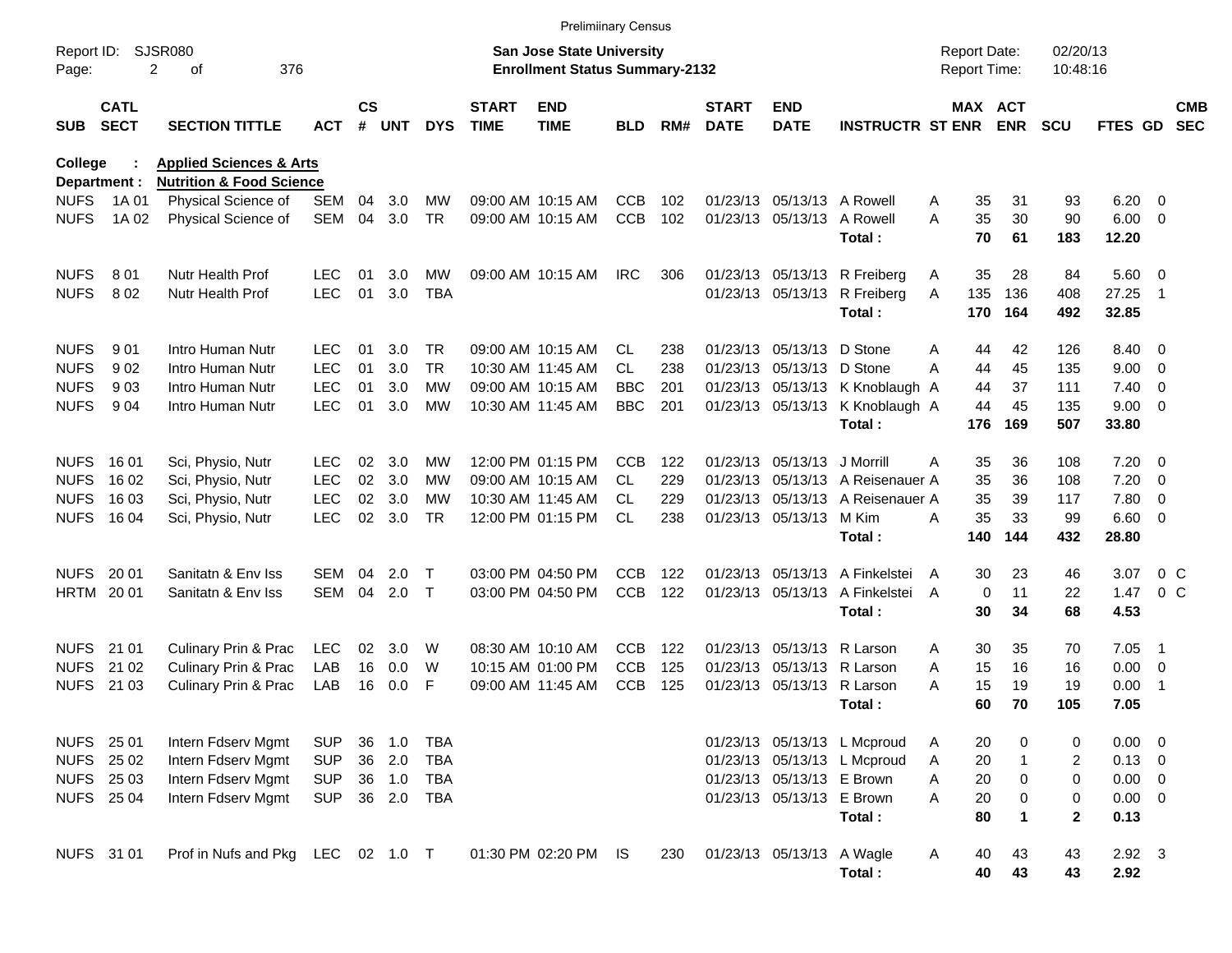|                        |                            |                                                                           |            |                    |            |              |                             | <b>Prelimiinary Census</b>                                         |            |     |                             |                            |                                 |                                     |                       |                      |                |                          |                          |
|------------------------|----------------------------|---------------------------------------------------------------------------|------------|--------------------|------------|--------------|-----------------------------|--------------------------------------------------------------------|------------|-----|-----------------------------|----------------------------|---------------------------------|-------------------------------------|-----------------------|----------------------|----------------|--------------------------|--------------------------|
| Report ID:<br>Page:    | 2                          | <b>SJSR080</b><br>376<br>οf                                               |            |                    |            |              |                             | San Jose State University<br><b>Enrollment Status Summary-2132</b> |            |     |                             |                            |                                 | <b>Report Date:</b><br>Report Time: |                       | 02/20/13<br>10:48:16 |                |                          |                          |
| <b>SUB</b>             | <b>CATL</b><br><b>SECT</b> | <b>SECTION TITTLE</b>                                                     | <b>ACT</b> | $\mathsf{cs}$<br># | <b>UNT</b> | <b>DYS</b>   | <b>START</b><br><b>TIME</b> | <b>END</b><br><b>TIME</b>                                          | <b>BLD</b> | RM# | <b>START</b><br><b>DATE</b> | <b>END</b><br><b>DATE</b>  | <b>INSTRUCTR ST ENR</b>         |                                     | MAX ACT<br><b>ENR</b> | <b>SCU</b>           | FTES GD        |                          | <b>CMB</b><br><b>SEC</b> |
| College<br>Department: |                            | <b>Applied Sciences &amp; Arts</b><br><b>Nutrition &amp; Food Science</b> |            |                    |            |              |                             |                                                                    |            |     |                             |                            |                                 |                                     |                       |                      |                |                          |                          |
| <b>NUFS</b>            | 1A 01                      | Physical Science of                                                       | <b>SEM</b> | 04                 | 3.0        | MW           |                             | 09:00 AM 10:15 AM                                                  | <b>CCB</b> | 102 |                             | 01/23/13 05/13/13 A Rowell |                                 | 35<br>A                             | 31                    | 93                   | 6.20           | $\overline{\mathbf{0}}$  |                          |
| <b>NUFS</b>            | 1A 02                      | Physical Science of                                                       | <b>SEM</b> | 04                 | 3.0        | <b>TR</b>    |                             | 09:00 AM 10:15 AM                                                  | <b>CCB</b> | 102 |                             | 01/23/13 05/13/13          | A Rowell                        | 35<br>A                             | 30                    | 90                   | 6.00           | $\overline{\phantom{0}}$ |                          |
|                        |                            |                                                                           |            |                    |            |              |                             |                                                                    |            |     |                             |                            | Total:                          | 70                                  | 61                    | 183                  | 12.20          |                          |                          |
| <b>NUFS</b>            | 801                        | Nutr Health Prof                                                          | <b>LEC</b> | 01                 | 3.0        | MW           |                             | 09:00 AM 10:15 AM                                                  | <b>IRC</b> | 306 |                             |                            | 01/23/13 05/13/13 R Freiberg    | 35<br>A                             | 28                    | 84                   | 5.60 0         |                          |                          |
| <b>NUFS</b>            | 8 0 2                      | Nutr Health Prof                                                          | <b>LEC</b> | 01                 | 3.0        | <b>TBA</b>   |                             |                                                                    |            |     |                             | 01/23/13 05/13/13          | R Freiberg<br>Total:            | 135<br>A<br>170                     | 136<br>164            | 408<br>492           | 27.25<br>32.85 | - 1                      |                          |
|                        |                            |                                                                           |            |                    |            |              |                             |                                                                    |            |     |                             |                            |                                 |                                     |                       |                      |                |                          |                          |
| <b>NUFS</b>            | 901                        | Intro Human Nutr                                                          | <b>LEC</b> | 01                 | 3.0        | <b>TR</b>    |                             | 09:00 AM 10:15 AM                                                  | CL.        | 238 |                             | 01/23/13 05/13/13          | D Stone                         | A<br>44                             | 42                    | 126                  | 8.40           | $\overline{\phantom{0}}$ |                          |
| <b>NUFS</b>            | 902                        | Intro Human Nutr                                                          | <b>LEC</b> | 01                 | 3.0        | <b>TR</b>    |                             | 10:30 AM 11:45 AM                                                  | CL.        | 238 |                             | 01/23/13 05/13/13          | D Stone                         | А<br>44                             | 45                    | 135                  | 9.00           | $\overline{\mathbf{0}}$  |                          |
| <b>NUFS</b>            | 903                        | Intro Human Nutr                                                          | <b>LEC</b> | 01                 | 3.0        | МW           |                             | 09:00 AM 10:15 AM                                                  | <b>BBC</b> | 201 |                             |                            | 01/23/13 05/13/13 K Knoblaugh A | 44                                  | 37                    | 111                  | 7.40           | - 0                      |                          |
| <b>NUFS</b>            | 904                        | Intro Human Nutr                                                          | <b>LEC</b> | 01                 | 3.0        | МW           |                             | 10:30 AM 11:45 AM                                                  | <b>BBC</b> | 201 |                             | 01/23/13 05/13/13          | K Knoblaugh A                   | 44                                  | 45                    | 135                  | 9.00           | $\overline{\phantom{0}}$ |                          |
|                        |                            |                                                                           |            |                    |            |              |                             |                                                                    |            |     |                             |                            | Total:                          | 176                                 | 169                   | 507                  | 33.80          |                          |                          |
| <b>NUFS</b>            | 16 01                      | Sci, Physio, Nutr                                                         | <b>LEC</b> | 02                 | 3.0        | <b>MW</b>    |                             | 12:00 PM 01:15 PM                                                  | <b>CCB</b> | 122 |                             | 01/23/13 05/13/13          | J Morrill                       | 35<br>A                             | 36                    | 108                  | 7.20           | $\overline{\phantom{0}}$ |                          |
| <b>NUFS</b>            | 16 02                      | Sci, Physio, Nutr                                                         | <b>LEC</b> | 02                 | 3.0        | МW           |                             | 09:00 AM 10:15 AM                                                  | CL.        | 229 |                             | 01/23/13 05/13/13          | A Reisenauer A                  | 35                                  | 36                    | 108                  | 7.20           | $\overline{\mathbf{0}}$  |                          |
| <b>NUFS</b>            | 16 03                      | Sci, Physio, Nutr                                                         | <b>LEC</b> | 02                 | 3.0        | МW           |                             | 10:30 AM 11:45 AM                                                  | CL         | 229 |                             | 01/23/13 05/13/13          | A Reisenauer A                  | 35                                  | 39                    | 117                  | 7.80           | - 0                      |                          |
| <b>NUFS</b>            | 16 04                      | Sci, Physio, Nutr                                                         | <b>LEC</b> | 02                 | 3.0        | <b>TR</b>    |                             | 12:00 PM 01:15 PM                                                  | <b>CL</b>  | 238 |                             | 01/23/13 05/13/13          | M Kim                           | 35<br>Α                             | 33                    | 99                   | $6.60$ 0       |                          |                          |
|                        |                            |                                                                           |            |                    |            |              |                             |                                                                    |            |     |                             |                            | Total:                          | 140                                 | 144                   | 432                  | 28.80          |                          |                          |
| <b>NUFS</b>            | 20 01                      | Sanitatn & Env Iss                                                        | SEM        | 04                 | 2.0        | $\mathsf T$  |                             | 03:00 PM 04:50 PM                                                  | <b>CCB</b> | 122 |                             | 01/23/13 05/13/13          | A Finkelstei                    | 30<br>A                             | 23                    | 46                   | 3.07           | 0 <sup>o</sup>           |                          |
| <b>HRTM 2001</b>       |                            | Sanitatn & Env Iss                                                        | SEM        | 04                 | 2.0        | $\mathsf{T}$ |                             | 03:00 PM 04:50 PM                                                  | <b>CCB</b> | 122 |                             | 01/23/13 05/13/13          | A Finkelstei                    | A                                   | $\mathbf 0$<br>11     | 22                   | 1.47           | $0\,C$                   |                          |
|                        |                            |                                                                           |            |                    |            |              |                             |                                                                    |            |     |                             |                            | Total:                          | 30                                  | 34                    | 68                   | 4.53           |                          |                          |
| <b>NUFS</b>            | 21 01                      | Culinary Prin & Prac                                                      | LEC        | 02 <sub>2</sub>    | 3.0        | W            |                             | 08:30 AM 10:10 AM                                                  | <b>CCB</b> | 122 |                             | 01/23/13 05/13/13          | R Larson                        | 30<br>A                             | 35                    | 70                   | 7.05           | - 1                      |                          |
| <b>NUFS</b>            | 21 02                      | <b>Culinary Prin &amp; Prac</b>                                           | LAB        | 16                 | 0.0        | W            |                             | 10:15 AM 01:00 PM                                                  | <b>CCB</b> | 125 |                             | 01/23/13 05/13/13 R Larson |                                 | 15<br>A                             | 16                    | 16                   | 0.00           | $\overline{\phantom{0}}$ |                          |
| <b>NUFS</b>            | 21 03                      | Culinary Prin & Prac                                                      | LAB        | 16                 | 0.0        | F            |                             | 09:00 AM 11:45 AM                                                  | <b>CCB</b> | 125 |                             | 01/23/13 05/13/13          | R Larson                        | 15<br>А                             | 19                    | 19                   | 0.00           | - 1                      |                          |
|                        |                            |                                                                           |            |                    |            |              |                             |                                                                    |            |     |                             |                            | Total:                          | 60                                  | 70                    | 105                  | 7.05           |                          |                          |
| NUFS 25 01             |                            | Intern Fdserv Mgmt                                                        | <b>SUP</b> |                    | 36 1.0     | <b>TBA</b>   |                             |                                                                    |            |     |                             |                            | 01/23/13 05/13/13 L Mcproud     | 20<br>A                             | 0                     | 0                    | $0.00 \t 0$    |                          |                          |
| NUFS 25 02             |                            | Intern Fdserv Mgmt                                                        | <b>SUP</b> |                    | 36 2.0     | TBA          |                             |                                                                    |            |     |                             |                            | 01/23/13 05/13/13 L Mcproud     | 20<br>A                             |                       | 2                    | $0.13 \ 0$     |                          |                          |
| NUFS 25 03             |                            | Intern Fdserv Mgmt                                                        | <b>SUP</b> |                    | 36 1.0     | TBA          |                             |                                                                    |            |     |                             | 01/23/13 05/13/13 E Brown  |                                 | Α<br>20                             | $\pmb{0}$             | 0                    | $0.00 \t 0$    |                          |                          |
| NUFS 25 04             |                            | Intern Fdserv Mgmt                                                        | <b>SUP</b> |                    | 36 2.0     | TBA          |                             |                                                                    |            |     |                             | 01/23/13 05/13/13 E Brown  |                                 | A<br>20                             | 0                     | 0                    | $0.00 \t 0$    |                          |                          |
|                        |                            |                                                                           |            |                    |            |              |                             |                                                                    |            |     |                             |                            | Total:                          | 80                                  | 1                     | $\mathbf{2}$         | 0.13           |                          |                          |
| NUFS 31 01             |                            | Prof in Nufs and Pkg LEC 02 1.0 T                                         |            |                    |            |              |                             | 01:30 PM 02:20 PM IS                                               |            | 230 |                             | 01/23/13 05/13/13 A Wagle  |                                 | 40<br>A                             | 43                    | 43                   | $2.92 \quad 3$ |                          |                          |
|                        |                            |                                                                           |            |                    |            |              |                             |                                                                    |            |     |                             |                            | Total:                          | 40                                  | 43                    | 43                   | 2.92           |                          |                          |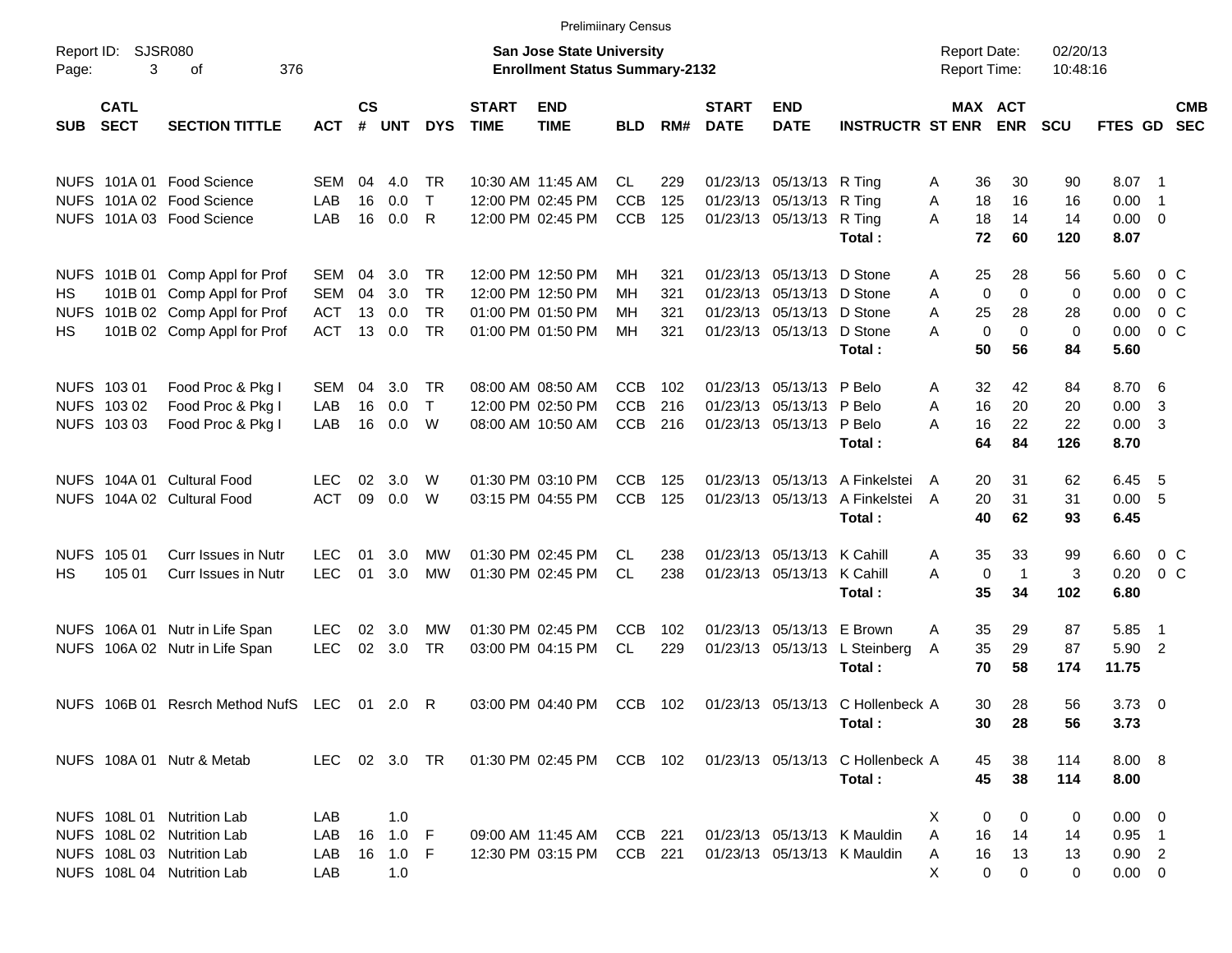|                          |                                           |                                                                                        |                                        |                |                   |                                     |                             | <b>Prelimiinary Census</b>                                                |                                 |                   |                             |                                                                                     |                                                                      |                                            |                                                                |                        |                                  |                                             |                          |
|--------------------------|-------------------------------------------|----------------------------------------------------------------------------------------|----------------------------------------|----------------|-------------------|-------------------------------------|-----------------------------|---------------------------------------------------------------------------|---------------------------------|-------------------|-----------------------------|-------------------------------------------------------------------------------------|----------------------------------------------------------------------|--------------------------------------------|----------------------------------------------------------------|------------------------|----------------------------------|---------------------------------------------|--------------------------|
| Page:                    | Report ID: SJSR080<br>3                   | 376<br>οf                                                                              |                                        |                |                   |                                     |                             | <b>San Jose State University</b><br><b>Enrollment Status Summary-2132</b> |                                 |                   |                             |                                                                                     |                                                                      | <b>Report Date:</b><br><b>Report Time:</b> |                                                                | 02/20/13<br>10:48:16   |                                  |                                             |                          |
| <b>SUB</b>               | <b>CATL</b><br><b>SECT</b>                | <b>SECTION TITTLE</b>                                                                  | <b>ACT</b>                             | <b>CS</b><br># | UNT               | <b>DYS</b>                          | <b>START</b><br><b>TIME</b> | <b>END</b><br><b>TIME</b>                                                 | <b>BLD</b>                      | RM#               | <b>START</b><br><b>DATE</b> | <b>END</b><br><b>DATE</b>                                                           | <b>INSTRUCTR ST ENR</b>                                              |                                            | <b>MAX ACT</b><br><b>ENR</b>                                   | <b>SCU</b>             | FTES GD                          |                                             | <b>CMB</b><br><b>SEC</b> |
|                          |                                           | NUFS 101A 01 Food Science<br>NUFS 101A 02 Food Science                                 | SEM                                    | 04             | 4.0               | TR                                  |                             | 10:30 AM 11:45 AM                                                         | CL.                             | 229               |                             | 01/23/13 05/13/13 R Ting                                                            |                                                                      | 36<br>A                                    | 30                                                             | 90                     | 8.07 1                           |                                             |                          |
|                          |                                           | NUFS 101A 03 Food Science                                                              | LAB<br>LAB                             | 16<br>16       | 0.0<br>0.0        | $\mathsf{T}$<br>R                   |                             | 12:00 PM 02:45 PM<br>12:00 PM 02:45 PM                                    | <b>CCB</b><br><b>CCB</b>        | 125<br>125        |                             | 01/23/13 05/13/13 R Ting<br>01/23/13 05/13/13 R Ting                                | Total:                                                               | Α<br>18<br>18<br>A<br>72                   | 16<br>14<br>60                                                 | 16<br>14<br>120        | 0.00<br>$0.00 \t 0$<br>8.07      | $\overline{\phantom{1}}$                    |                          |
|                          |                                           | NUFS 101B 01 Comp Appl for Prof                                                        | SEM                                    | 04             | 3.0               | TR                                  |                             | 12:00 PM 12:50 PM                                                         | MН                              | 321               |                             | 01/23/13 05/13/13 D Stone                                                           |                                                                      | 25<br>A                                    | 28                                                             | 56                     | 5.60 0 C                         |                                             |                          |
| HS<br><b>NUFS</b><br>HS. |                                           | 101B 01 Comp Appl for Prof<br>101B 02 Comp Appl for Prof<br>101B 02 Comp Appl for Prof | <b>SEM</b><br><b>ACT</b><br><b>ACT</b> | 04<br>13<br>13 | 3.0<br>0.0<br>0.0 | <b>TR</b><br><b>TR</b><br><b>TR</b> |                             | 12:00 PM 12:50 PM<br>01:00 PM 01:50 PM<br>01:00 PM 01:50 PM               | ΜН<br>ΜН<br>MН                  | 321<br>321<br>321 |                             | 01/23/13 05/13/13 D Stone<br>01/23/13 05/13/13 D Stone<br>01/23/13 05/13/13 D Stone |                                                                      | A<br>A<br>25<br>А                          | $\mathbf 0$<br>$\mathbf 0$<br>28<br>$\mathbf 0$<br>$\mathbf 0$ | 0<br>28<br>$\mathbf 0$ | 0.00<br>0.00<br>0.00             | 0 <sup>o</sup><br>$0\,$ C<br>0 <sup>o</sup> |                          |
|                          |                                           |                                                                                        |                                        |                |                   |                                     |                             |                                                                           |                                 |                   |                             |                                                                                     | Total:                                                               | 50                                         | 56                                                             | 84                     | 5.60                             |                                             |                          |
|                          | NUFS 103 01<br>NUFS 103 02<br>NUFS 103 03 | Food Proc & Pkg I<br>Food Proc & Pkg I<br>Food Proc & Pkg I                            | <b>SEM</b><br>LAB<br>LAB               | 04<br>16<br>16 | 3.0<br>0.0<br>0.0 | TR<br>$\mathsf{T}$<br>W             |                             | 08:00 AM 08:50 AM<br>12:00 PM 02:50 PM<br>08:00 AM 10:50 AM               | CCB<br><b>CCB</b><br><b>CCB</b> | 102<br>216<br>216 |                             | 01/23/13 05/13/13 P Belo<br>01/23/13 05/13/13 P Belo<br>01/23/13 05/13/13 P Belo    |                                                                      | 32<br>A<br>16<br>A<br>16<br>А              | 42<br>20<br>22                                                 | 84<br>20<br>22         | 8.70 6<br>0.00<br>$0.00 \quad 3$ | $\overline{\mathbf{3}}$                     |                          |
|                          |                                           |                                                                                        |                                        |                |                   |                                     |                             |                                                                           |                                 |                   |                             |                                                                                     | Total:                                                               | 64                                         | 84                                                             | 126                    | 8.70                             |                                             |                          |
|                          |                                           | NUFS 104A 01 Cultural Food<br>NUFS 104A 02 Cultural Food                               | <b>LEC</b><br><b>ACT</b>               | 02<br>09       | 3.0<br>0.0        | W<br>W                              |                             | 01:30 PM 03:10 PM<br>03:15 PM 04:55 PM                                    | CCB<br><b>CCB</b>               | 125<br>125        |                             |                                                                                     | 01/23/13 05/13/13 A Finkelstei<br>01/23/13 05/13/13 A Finkelstei     | 20<br>A<br>20<br>A                         | 31<br>31                                                       | 62<br>31               | 6.45<br>0.00 5                   | - 5                                         |                          |
| <b>NUFS</b>              | 105 01                                    | <b>Curr Issues in Nutr</b>                                                             | LEC.                                   | 01             | 3.0               | MW                                  |                             | 01:30 PM 02:45 PM                                                         | CL.                             | 238               |                             | 01/23/13 05/13/13 K Cahill                                                          | Total:                                                               | 40<br>35<br>A                              | 62<br>33                                                       | 93<br>99               | 6.45<br>6.60                     | $0\,$ C                                     |                          |
| HS                       | 105 01                                    | <b>Curr Issues in Nutr</b>                                                             | <b>LEC</b>                             | 01             | 3.0               | <b>MW</b>                           |                             | 01:30 PM 02:45 PM                                                         | CL.                             | 238               |                             | 01/23/13 05/13/13 K Cahill                                                          | Total:                                                               | A<br>35                                    | 0<br>$\overline{1}$<br>34                                      | 3<br>102               | 0.20<br>6.80                     | 0 <sup>o</sup>                              |                          |
|                          |                                           | NUFS 106A 01 Nutr in Life Span<br>NUFS 106A 02 Nutr in Life Span                       | <b>LEC</b><br><b>LEC</b>               | 02<br>02       | 3.0<br>3.0        | MW<br>TR                            |                             | 01:30 PM 02:45 PM<br>03:00 PM 04:15 PM                                    | <b>CCB</b><br>CL.               | 102<br>229        |                             | 01/23/13 05/13/13 E Brown                                                           | 01/23/13 05/13/13 L Steinberg<br>Total:                              | 35<br>A<br>35<br>A<br>70                   | 29<br>29<br>58                                                 | 87<br>87<br>174        | 5.85<br>5.90 2<br>11.75          | $\overline{\phantom{0}}$                    |                          |
|                          |                                           | NUFS 106B 01 Resrch Method NufS LEC                                                    |                                        |                | 01 2.0            | R                                   |                             | 03:00 PM 04:40 PM                                                         | CCB                             | 102               |                             |                                                                                     | 01/23/13 05/13/13 C Hollenbeck A<br>Total :                          | 30<br>30                                   | 28<br>28                                                       | 56<br>56               | $3.73 \quad 0$<br>3.73           |                                             |                          |
|                          |                                           | NUFS 108A 01 Nutr & Metab                                                              | LEC 02 3.0 TR                          |                |                   |                                     |                             |                                                                           |                                 |                   |                             |                                                                                     | 01:30 PM 02:45 PM CCB 102 01/23/13 05/13/13 C Hollenbeck A<br>Total: | 45<br>45                                   | 38<br>38                                                       | 114<br>114             | 8.00 8<br>8.00                   |                                             |                          |
|                          |                                           | NUFS 108L 01 Nutrition Lab<br>NUFS 108L 02 Nutrition Lab                               | LAB<br>LAB                             |                | 1.0<br>16 1.0 F   |                                     |                             | 09:00 AM 11:45 AM                                                         | CCB 221                         |                   |                             |                                                                                     | 01/23/13 05/13/13 K Mauldin                                          | X.<br>A<br>16                              | 0<br>0<br>14                                                   | 0<br>14                | $0.00 \t 0$<br>$0.95$ 1          |                                             |                          |
|                          |                                           | NUFS 108L 03 Nutrition Lab<br>NUFS 108L 04 Nutrition Lab                               | LAB<br>LAB                             |                | 16 1.0 F<br>1.0   |                                     |                             | 12:30 PM 03:15 PM                                                         | CCB 221                         |                   |                             |                                                                                     | 01/23/13 05/13/13 K Mauldin                                          | 16<br>A<br>Х                               | 13<br>0<br>0                                                   | 13<br>0                | $0.90$ 2<br>$0.00 \t 0$          |                                             |                          |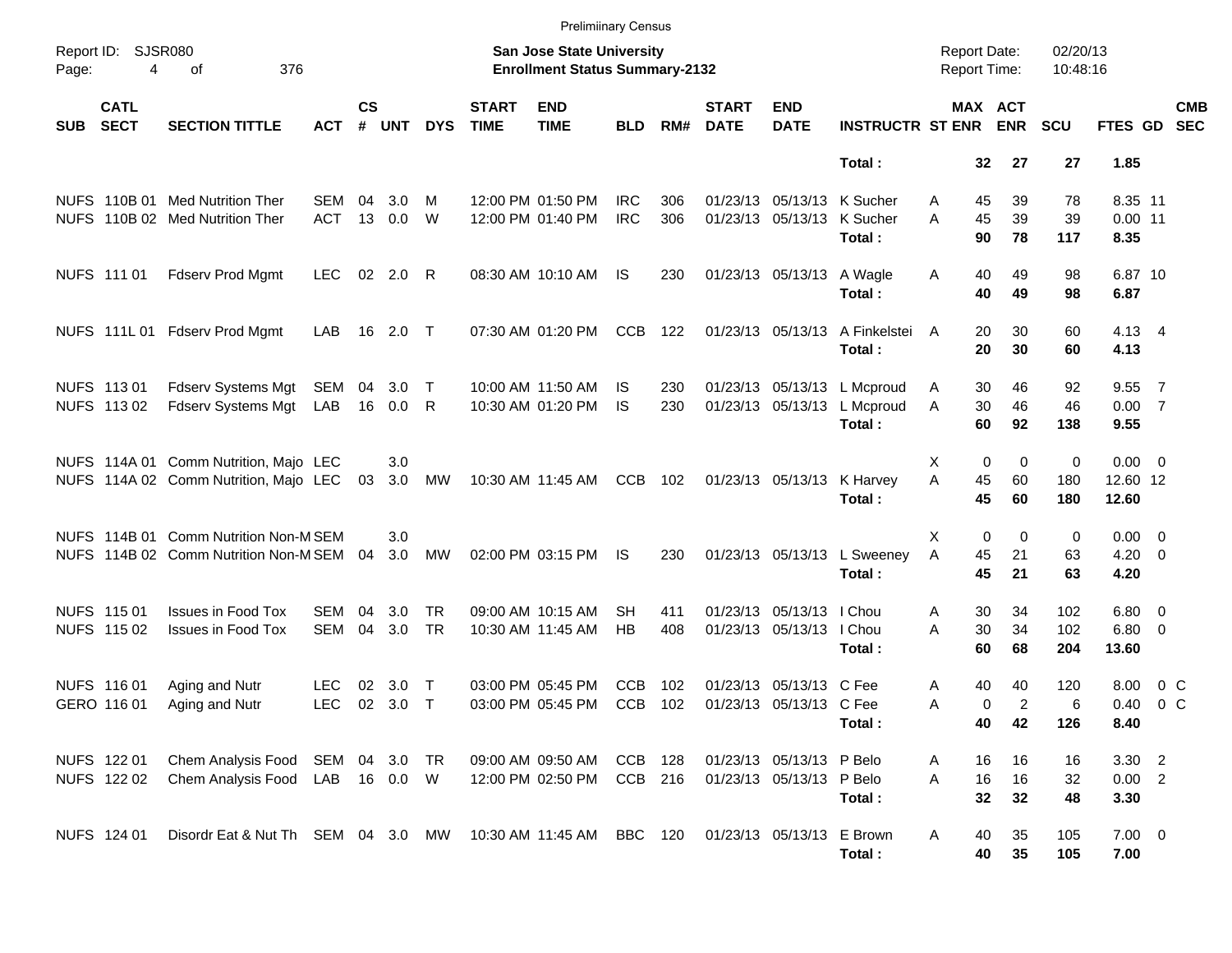|            |                            |                                                                                |                                  |                    |                   |                  |                             | <b>Prelimiinary Census</b>                                         |                          |            |                             |                                                      |                                                    |                                            |                                        |                      |                                   |                       |                          |
|------------|----------------------------|--------------------------------------------------------------------------------|----------------------------------|--------------------|-------------------|------------------|-----------------------------|--------------------------------------------------------------------|--------------------------|------------|-----------------------------|------------------------------------------------------|----------------------------------------------------|--------------------------------------------|----------------------------------------|----------------------|-----------------------------------|-----------------------|--------------------------|
| Page:      | Report ID: SJSR080<br>4    | 376<br>of                                                                      |                                  |                    |                   |                  |                             | San Jose State University<br><b>Enrollment Status Summary-2132</b> |                          |            |                             |                                                      |                                                    | <b>Report Date:</b><br><b>Report Time:</b> |                                        | 02/20/13<br>10:48:16 |                                   |                       |                          |
| <b>SUB</b> | <b>CATL</b><br><b>SECT</b> | <b>SECTION TITTLE</b>                                                          | <b>ACT</b>                       | $\mathsf{cs}$<br># | <b>UNT</b>        | <b>DYS</b>       | <b>START</b><br><b>TIME</b> | <b>END</b><br><b>TIME</b>                                          | <b>BLD</b>               | RM#        | <b>START</b><br><b>DATE</b> | <b>END</b><br><b>DATE</b>                            | <b>INSTRUCTR ST ENR</b>                            |                                            | MAX ACT<br><b>ENR</b>                  | <b>SCU</b>           | FTES GD                           |                       | <b>CMB</b><br><b>SEC</b> |
|            |                            |                                                                                |                                  |                    |                   |                  |                             |                                                                    |                          |            |                             |                                                      | Total:                                             | 32                                         | 27                                     | 27                   | 1.85                              |                       |                          |
|            |                            | NUFS 110B 01 Med Nutrition Ther<br>NUFS 110B 02 Med Nutrition Ther             | SEM<br><b>ACT</b>                | 04                 | 3.0<br>13 0.0     | м<br>W           |                             | 12:00 PM 01:50 PM<br>12:00 PM 01:40 PM                             | <b>IRC</b><br><b>IRC</b> | 306<br>306 |                             | 01/23/13 05/13/13<br>01/23/13 05/13/13               | K Sucher<br>K Sucher<br>Total:                     | 45<br>A<br>45<br>A<br>90                   | 39<br>39<br>78                         | 78<br>39<br>117      | 8.35 11<br>$0.00$ 11<br>8.35      |                       |                          |
|            | NUFS 111 01                | <b>Fdserv Prod Mgmt</b>                                                        | <b>LEC</b>                       |                    | 02 2.0 R          |                  |                             | 08:30 AM 10:10 AM                                                  | IS                       | 230        |                             | 01/23/13 05/13/13                                    | A Wagle<br>Total:                                  | 40<br>Α<br>40                              | 49<br>49                               | 98<br>98             | 6.87 10<br>6.87                   |                       |                          |
|            |                            | NUFS 111L 01 Fdserv Prod Mgmt                                                  | LAB                              |                    | 16 2.0 T          |                  |                             | 07:30 AM 01:20 PM                                                  | <b>CCB</b>               | 122        |                             | 01/23/13 05/13/13                                    | A Finkelstei<br>Total:                             | 20<br>A<br>20                              | 30<br>30                               | 60<br>60             | $4.13 \quad 4$<br>4.13            |                       |                          |
|            | NUFS 11301<br>NUFS 11302   | Fdserv Systems Mgt<br>Fdserv Systems Mgt                                       | SEM<br>LAB                       | 04                 | 3.0<br>16  0.0  R | $\top$           |                             | 10:00 AM 11:50 AM<br>10:30 AM 01:20 PM                             | IS<br><b>IS</b>          | 230<br>230 |                             | 01/23/13 05/13/13                                    | 01/23/13 05/13/13 L Mcproud<br>L Mcproud<br>Total: | 30<br>Α<br>30<br>A<br>60                   | 46<br>46<br>92                         | 92<br>46<br>138      | 9.55<br>0.007<br>9.55             | $\overline{7}$        |                          |
|            |                            | NUFS 114A 01 Comm Nutrition, Majo LEC<br>NUFS 114A 02 Comm Nutrition, Majo LEC |                                  | 03                 | 3.0<br>3.0        | МW               |                             | 10:30 AM 11:45 AM                                                  | <b>CCB</b>               | 102        |                             | 01/23/13 05/13/13                                    | K Harvey<br>Total:                                 | X<br>45<br>A<br>45                         | $\mathbf 0$<br>0<br>60<br>60           | 0<br>180<br>180      | $0.00 \t 0$<br>12.60 12<br>12.60  |                       |                          |
|            |                            | NUFS 114B 01 Comm Nutrition Non-M SEM<br>NUFS 114B 02 Comm Nutrition Non-M SEM |                                  | 04                 | 3.0<br>3.0        | MW               |                             | 02:00 PM 03:15 PM                                                  | IS                       | 230        |                             | 01/23/13 05/13/13                                    | L Sweeney<br>Total:                                | X<br>A<br>45<br>45                         | $\mathbf 0$<br>$\mathbf 0$<br>21<br>21 | 0<br>63<br>63        | $0.00 \t 0$<br>$4.20 \ 0$<br>4.20 |                       |                          |
|            | NUFS 115 01<br>NUFS 115 02 | <b>Issues in Food Tox</b><br><b>Issues in Food Tox</b>                         | <b>SEM</b><br><b>SEM</b>         | 04<br>04           | 3.0<br>3.0        | TR.<br><b>TR</b> |                             | 09:00 AM 10:15 AM<br>10:30 AM 11:45 AM                             | SН<br><b>HB</b>          | 411<br>408 |                             | 01/23/13 05/13/13 I Chou<br>01/23/13 05/13/13 I Chou | Total:                                             | 30<br>Α<br>A<br>30<br>60                   | 34<br>34<br>68                         | 102<br>102<br>204    | $6.80$ 0<br>$6.80$ 0<br>13.60     |                       |                          |
|            | NUFS 116 01<br>GERO 116 01 | Aging and Nutr<br>Aging and Nutr                                               | LEC<br><b>LEC</b>                | 02                 | 3.0<br>02 3.0     | $\top$<br>$\top$ |                             | 03:00 PM 05:45 PM<br>03:00 PM 05:45 PM                             | <b>CCB</b><br><b>CCB</b> | 102<br>102 |                             | 01/23/13 05/13/13 C Fee<br>01/23/13 05/13/13 C Fee   | Total:                                             | 40<br>Α<br>Α<br>40                         | 40<br>$\overline{c}$<br>0<br>42        | 120<br>6<br>126      | 8.00<br>0.40<br>8.40              | 0 C<br>0 <sup>o</sup> |                          |
|            | NUFS 122 01<br>NUFS 122 02 | Chem Analysis Food<br>Chem Analysis Food                                       | SEM 04 3.0 TR<br>LAB  16  0.0  W |                    |                   |                  |                             | 09:00 AM 09:50 AM<br>12:00 PM 02:50 PM                             | CCB 128<br>CCB 216       |            |                             | 01/23/13 05/13/13 P Belo<br>01/23/13 05/13/13 P Belo | Total:                                             | 16<br>Α<br>16<br>A<br>32                   | 16<br>16<br>32                         | 16<br>32<br>48       | 3.30 2<br>0.00 2<br>3.30          |                       |                          |
|            | NUFS 124 01                | Disordr Eat & Nut Th SEM 04 3.0 MW                                             |                                  |                    |                   |                  |                             | 10:30 AM 11:45 AM BBC 120                                          |                          |            |                             | 01/23/13 05/13/13 E Brown                            | Total:                                             | 40<br>A<br>40                              | 35<br>35                               | 105<br>105           | $7.00 \t 0$<br>7.00               |                       |                          |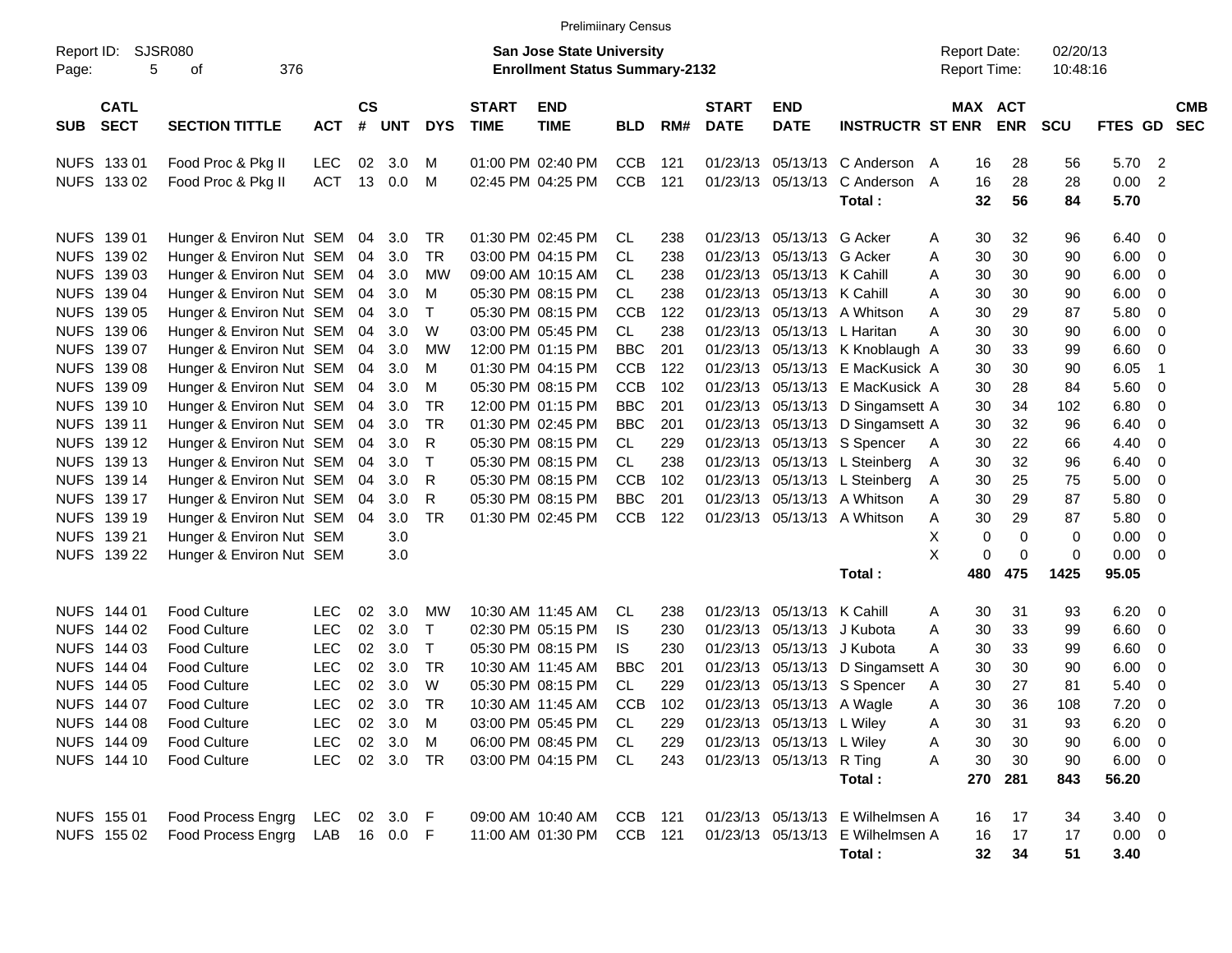|                     |                            |                          |              |                    |            |              |                             | <b>Prelimiinary Census</b>                                                |            |     |                             |                           |                                  |   |                                            |             |                      |                |                          |
|---------------------|----------------------------|--------------------------|--------------|--------------------|------------|--------------|-----------------------------|---------------------------------------------------------------------------|------------|-----|-----------------------------|---------------------------|----------------------------------|---|--------------------------------------------|-------------|----------------------|----------------|--------------------------|
| Report ID:<br>Page: | 5                          | SJSR080<br>376<br>οf     |              |                    |            |              |                             | <b>San Jose State University</b><br><b>Enrollment Status Summary-2132</b> |            |     |                             |                           |                                  |   | <b>Report Date:</b><br><b>Report Time:</b> |             | 02/20/13<br>10:48:16 |                |                          |
| <b>SUB</b>          | <b>CATL</b><br><b>SECT</b> | <b>SECTION TITTLE</b>    | <b>ACT</b>   | $\mathsf{cs}$<br># | <b>UNT</b> | <b>DYS</b>   | <b>START</b><br><b>TIME</b> | <b>END</b><br><b>TIME</b>                                                 | <b>BLD</b> | RM# | <b>START</b><br><b>DATE</b> | <b>END</b><br><b>DATE</b> | <b>INSTRUCTR ST ENR</b>          |   | MAX ACT                                    | <b>ENR</b>  | <b>SCU</b>           | <b>FTES GD</b> | <b>CMB</b><br><b>SEC</b> |
|                     | NUFS 133 01                | Food Proc & Pkg II       | <b>LEC</b>   | 02                 | 3.0        | м            |                             | 01:00 PM 02:40 PM                                                         | <b>CCB</b> | 121 | 01/23/13                    | 05/13/13                  | C Anderson                       | A | 16                                         | 28          | 56                   | 5.70           | - 2                      |
|                     | NUFS 133 02                | Food Proc & Pkg II       | ACT          | 13                 | 0.0        | M            |                             | 02:45 PM 04:25 PM                                                         | <b>CCB</b> | 121 | 01/23/13                    | 05/13/13                  | C Anderson                       | A | 16                                         | 28          | 28                   | 0.00           | -2                       |
|                     |                            |                          |              |                    |            |              |                             |                                                                           |            |     |                             |                           | Total:                           |   | 32                                         | 56          | 84                   | 5.70           |                          |
|                     | NUFS 139 01                | Hunger & Environ Nut SEM |              | 04                 | 3.0        | TR           |                             | 01:30 PM 02:45 PM                                                         | CL         | 238 | 01/23/13                    | 05/13/13                  | G Acker                          | A | 30                                         | 32          | 96                   | 6.40           | - 0                      |
|                     | NUFS 139 02                | Hunger & Environ Nut SEM |              | 04                 | 3.0        | TR           |                             | 03:00 PM 04:15 PM                                                         | CL         | 238 | 01/23/13                    | 05/13/13                  | G Acker                          | Α | 30                                         | 30          | 90                   | 6.00           | $\mathbf{0}$             |
|                     | NUFS 139 03                | Hunger & Environ Nut SEM |              | 04                 | 3.0        | MW           |                             | 09:00 AM 10:15 AM                                                         | CL         | 238 | 01/23/13                    | 05/13/13 K Cahill         |                                  | A | 30                                         | 30          | 90                   | 6.00           | $\overline{0}$           |
|                     | NUFS 139 04                | Hunger & Environ Nut SEM |              | 04                 | 3.0        | M            |                             | 05:30 PM 08:15 PM                                                         | CL         | 238 | 01/23/13                    | 05/13/13                  | K Cahill                         | A | 30                                         | 30          | 90                   | 6.00           | - 0                      |
|                     | NUFS 139 05                | Hunger & Environ Nut SEM |              | 04                 | 3.0        | Т            |                             | 05:30 PM 08:15 PM                                                         | <b>CCB</b> | 122 | 01/23/13                    | 05/13/13                  | A Whitson                        | A | 30                                         | 29          | 87                   | 5.80           | - 0                      |
| <b>NUFS</b>         | 139 06                     | Hunger & Environ Nut SEM |              | 04                 | 3.0        | W            |                             | 03:00 PM 05:45 PM                                                         | CL         | 238 | 01/23/13                    | 05/13/13                  | L Haritan                        | Α | 30                                         | 30          | 90                   | 6.00           | - 0                      |
|                     | NUFS 139 07                | Hunger & Environ Nut SEM |              | 04                 | 3.0        | MW           |                             | 12:00 PM 01:15 PM                                                         | <b>BBC</b> | 201 | 01/23/13                    |                           | 05/13/13 K Knoblaugh A           |   | 30                                         | 33          | 99                   | 6.60           | - 0                      |
|                     | NUFS 139 08                | Hunger & Environ Nut SEM |              | 04                 | 3.0        | M            |                             | 01:30 PM 04:15 PM                                                         | <b>CCB</b> | 122 | 01/23/13                    | 05/13/13                  | E MacKusick A                    |   | 30                                         | 30          | 90                   | 6.05           | $\overline{\phantom{0}}$ |
|                     | NUFS 139 09                | Hunger & Environ Nut SEM |              | 04                 | 3.0        | м            |                             | 05:30 PM 08:15 PM                                                         | <b>CCB</b> | 102 | 01/23/13                    | 05/13/13                  | E MacKusick A                    |   | 30                                         | 28          | 84                   | 5.60           | - 0                      |
| <b>NUFS</b>         | 139 10                     | Hunger & Environ Nut SEM |              | 04                 | 3.0        | TR           |                             | 12:00 PM 01:15 PM                                                         | <b>BBC</b> | 201 | 01/23/13                    |                           | 05/13/13 D Singamsett A          |   | 30                                         | 34          | 102                  | 6.80           | - 0                      |
|                     | NUFS 139 11                | Hunger & Environ Nut SEM |              | 04                 | 3.0        | TR.          |                             | 01:30 PM 02:45 PM                                                         | <b>BBC</b> | 201 | 01/23/13                    |                           | 05/13/13 D Singamsett A          |   | 30                                         | 32          | 96                   | 6.40           | 0                        |
|                     | NUFS 139 12                | Hunger & Environ Nut SEM |              | 04                 | 3.0        | R            |                             | 05:30 PM 08:15 PM                                                         | CL         | 229 | 01/23/13                    |                           | 05/13/13 S Spencer               | A | 30                                         | 22          | 66                   | 4.40           | 0                        |
| <b>NUFS</b>         | 139 13                     | Hunger & Environ Nut SEM |              | 04                 | 3.0        | Т            |                             | 05:30 PM 08:15 PM                                                         | CL         | 238 | 01/23/13                    |                           | 05/13/13 L Steinberg             | A | 30                                         | 32          | 96                   | 6.40           | - 0                      |
|                     | NUFS 139 14                | Hunger & Environ Nut SEM |              | 04                 | 3.0        | R            |                             | 05:30 PM 08:15 PM                                                         | <b>CCB</b> | 102 | 01/23/13                    |                           | 05/13/13 L Steinberg             | A | 30                                         | 25          | 75                   | 5.00           | - 0                      |
|                     | NUFS 139 17                | Hunger & Environ Nut SEM |              | 04                 | 3.0        | R            |                             | 05:30 PM 08:15 PM                                                         | <b>BBC</b> | 201 | 01/23/13                    | 05/13/13                  | A Whitson                        | A | 30                                         | 29          | 87                   | 5.80           | 0                        |
|                     | NUFS 139 19                | Hunger & Environ Nut SEM |              | 04                 | 3.0        | TR.          |                             | 01:30 PM 02:45 PM                                                         | <b>CCB</b> | 122 |                             |                           | 01/23/13 05/13/13 A Whitson      | Α | 30                                         | 29          | 87                   | 5.80           | 0                        |
| <b>NUFS</b>         | 139 21                     | Hunger & Environ Nut SEM |              |                    | 3.0        |              |                             |                                                                           |            |     |                             |                           |                                  | Х | 0                                          | $\mathbf 0$ | 0                    | 0.00           | $\overline{0}$           |
|                     | NUFS 139 22                | Hunger & Environ Nut SEM |              |                    | 3.0        |              |                             |                                                                           |            |     |                             |                           |                                  | X | 0                                          | 0           | 0                    | 0.00           | $\overline{0}$           |
|                     |                            |                          |              |                    |            |              |                             |                                                                           |            |     |                             |                           | Total:                           |   | 480                                        | 475         | 1425                 | 95.05          |                          |
|                     | NUFS 144 01                | <b>Food Culture</b>      | <b>LEC</b>   | 02                 | 3.0        | MW           |                             | 10:30 AM 11:45 AM                                                         | CL.        | 238 | 01/23/13                    | 05/13/13                  | K Cahill                         | A | 30                                         | 31          | 93                   | 6.20           | - 0                      |
|                     | NUFS 144 02                | <b>Food Culture</b>      | <b>LEC</b>   | 02                 | 3.0        | $\mathsf{T}$ |                             | 02:30 PM 05:15 PM                                                         | IS.        | 230 | 01/23/13                    | 05/13/13                  | J Kubota                         | A | 30                                         | 33          | 99                   | 6.60           | $\mathbf{0}$             |
|                     | NUFS 144 03                | <b>Food Culture</b>      | <b>LEC</b>   | 02                 | 3.0        | $\mathsf{T}$ |                             | 05:30 PM 08:15 PM                                                         | IS.        | 230 | 01/23/13                    | 05/13/13                  | J Kubota                         | A | 30                                         | 33          | 99                   | 6.60           | 0                        |
|                     | NUFS 144 04                | <b>Food Culture</b>      | <b>LEC</b>   | 02                 | 3.0        | TR           |                             | 10:30 AM 11:45 AM                                                         | <b>BBC</b> | 201 | 01/23/13                    | 05/13/13                  | D Singamsett A                   |   | 30                                         | 30          | 90                   | 6.00           | 0                        |
| <b>NUFS</b>         | 144 05                     | <b>Food Culture</b>      | <b>LEC</b>   | 02                 | 3.0        | W            |                             | 05:30 PM 08:15 PM                                                         | CL         | 229 | 01/23/13                    |                           | 05/13/13 S Spencer               | A | 30                                         | 27          | 81                   | 5.40           | $\overline{0}$           |
|                     | NUFS 144 07                | <b>Food Culture</b>      | <b>LEC</b>   |                    | 02 3.0     | TR           |                             | 10:30 AM 11:45 AM                                                         | <b>CCB</b> | 102 |                             | 01/23/13 05/13/13 A Wagle |                                  | Α | 30                                         | 36          | 108                  | 7.20           | 0                        |
|                     | NUFS 144 08                | Food Culture             | LEC          |                    | 02 3.0     | M            |                             | 03:00 PM 05:45 PM CL                                                      |            | 229 |                             | 01/23/13 05/13/13 L Wiley |                                  | Α | 30                                         | 31          | 93                   | 6.20           | $\overline{\mathbf{0}}$  |
|                     | NUFS 144 09                | Food Culture             | LEC          |                    | 02 3.0     | M            |                             | 06:00 PM 08:45 PM CL                                                      |            | 229 |                             | 01/23/13 05/13/13 L Wiley |                                  | A | 30                                         | 30          | 90                   | $6.00 \t 0$    |                          |
|                     | NUFS 144 10                | Food Culture             | <b>LEC</b>   |                    | 02 3.0 TR  |              |                             | 03:00 PM 04:15 PM CL                                                      |            | 243 |                             | 01/23/13 05/13/13 R Ting  |                                  | Α | 30                                         | 30          | 90                   | $6.00 \t 0$    |                          |
|                     |                            |                          |              |                    |            |              |                             |                                                                           |            |     |                             |                           | Total:                           |   | 270                                        | 281         | 843                  | 56.20          |                          |
|                     | NUFS 155 01                | Food Process Engrg       | LEC 02 3.0 F |                    |            |              |                             | 09:00 AM 10:40 AM CCB 121                                                 |            |     |                             |                           | 01/23/13 05/13/13 E Wilhelmsen A |   | 16                                         | 17          | 34                   | $3.40 \ 0$     |                          |
|                     | NUFS 155 02                | Food Process Engrg       | LAB 16 0.0 F |                    |            |              |                             | 11:00 AM 01:30 PM CCB 121                                                 |            |     |                             |                           | 01/23/13 05/13/13 E Wilhelmsen A |   | 16                                         | 17          | 17                   | $0.00 \t 0$    |                          |
|                     |                            |                          |              |                    |            |              |                             |                                                                           |            |     |                             |                           | Total:                           |   | 32                                         | 34          | 51                   | 3.40           |                          |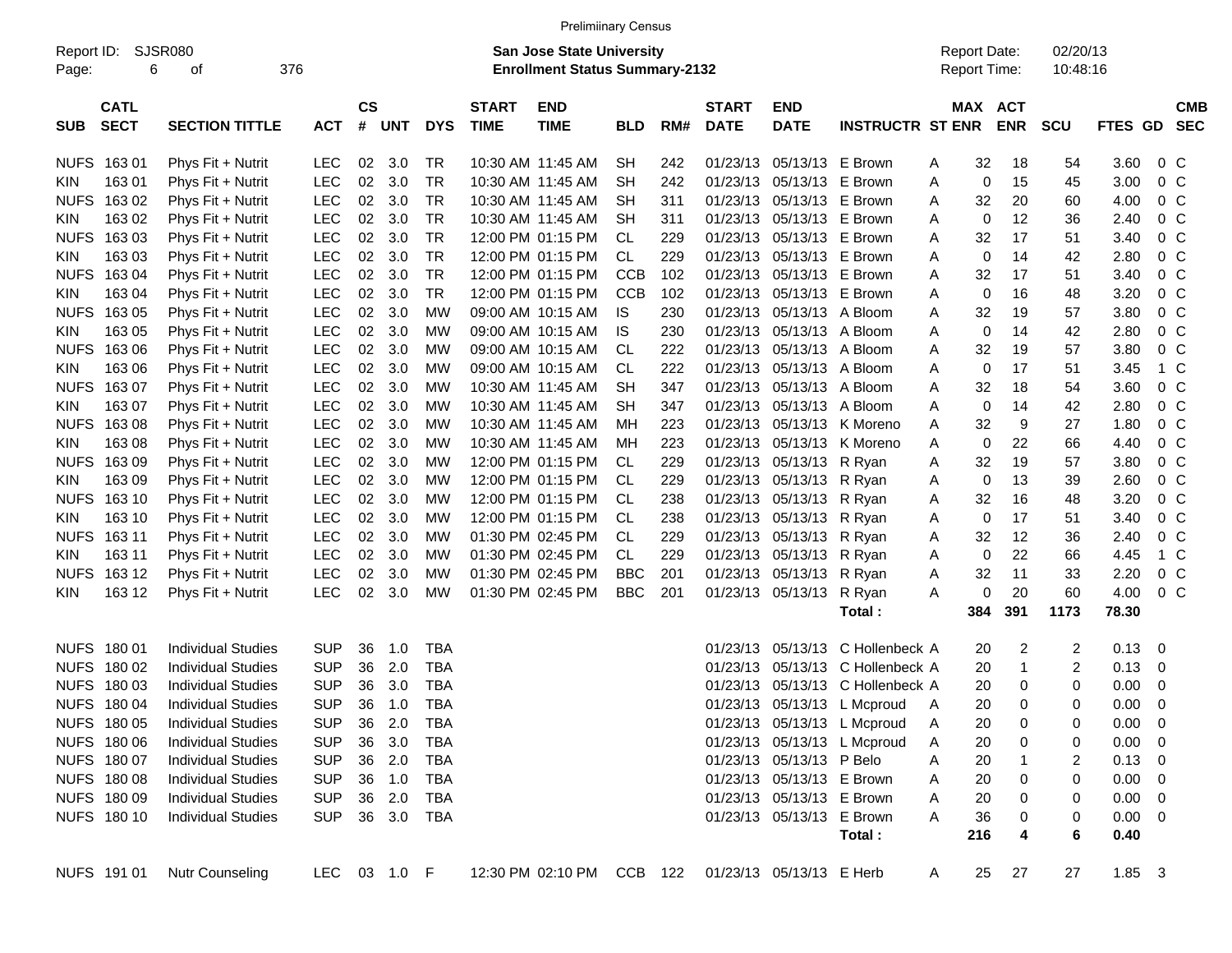|             |                |                           |              |               |            |            |              | <b>Prelimiinary Census</b>            |            |         |              |                           |                                  |                     |            |            |                |                          |            |
|-------------|----------------|---------------------------|--------------|---------------|------------|------------|--------------|---------------------------------------|------------|---------|--------------|---------------------------|----------------------------------|---------------------|------------|------------|----------------|--------------------------|------------|
| Report ID:  |                | <b>SJSR080</b>            |              |               |            |            |              | San Jose State University             |            |         |              |                           |                                  | <b>Report Date:</b> |            | 02/20/13   |                |                          |            |
| Page:       | 376<br>6<br>οf |                           |              |               |            |            |              | <b>Enrollment Status Summary-2132</b> |            |         |              |                           |                                  | <b>Report Time:</b> |            | 10:48:16   |                |                          |            |
|             | <b>CATL</b>    |                           |              | $\mathsf{cs}$ |            |            | <b>START</b> | <b>END</b>                            |            |         | <b>START</b> | <b>END</b>                |                                  | MAX ACT             |            |            |                |                          | <b>CMB</b> |
| <b>SUB</b>  | <b>SECT</b>    | <b>SECTION TITTLE</b>     | <b>ACT</b>   | #             | <b>UNT</b> | <b>DYS</b> | <b>TIME</b>  | <b>TIME</b>                           | <b>BLD</b> | RM#     | <b>DATE</b>  | <b>DATE</b>               | <b>INSTRUCTR ST ENR</b>          |                     | <b>ENR</b> | <b>SCU</b> | <b>FTES GD</b> |                          | <b>SEC</b> |
|             | NUFS 163 01    | Phys Fit + Nutrit         | <b>LEC</b>   | 02            | 3.0        | TR         |              | 10:30 AM 11:45 AM                     | <b>SH</b>  | 242     |              | 01/23/13 05/13/13 E Brown |                                  | 32<br>Α             | 18         | 54         | 3.60           | $0\,$ C                  |            |
| <b>KIN</b>  | 163 01         | Phys Fit + Nutrit         | <b>LEC</b>   | 02            | 3.0        | <b>TR</b>  |              | 10:30 AM 11:45 AM                     | SН         | 242     |              | 01/23/13 05/13/13 E Brown |                                  | 0<br>Α              | 15         | 45         | 3.00           | 0 <sup>o</sup>           |            |
| <b>NUFS</b> | 163 02         | Phys Fit + Nutrit         | <b>LEC</b>   | 02            | 3.0        | <b>TR</b>  |              | 10:30 AM 11:45 AM                     | SН         | 311     |              | 01/23/13 05/13/13 E Brown |                                  | 32<br>Α             | 20         | 60         | 4.00           | 0 <sup>o</sup>           |            |
| <b>KIN</b>  | 163 02         | Phys Fit + Nutrit         | <b>LEC</b>   | 02            | 3.0        | <b>TR</b>  |              | 10:30 AM 11:45 AM                     | <b>SH</b>  | 311     |              | 01/23/13 05/13/13 E Brown |                                  | $\mathbf 0$<br>Α    | 12         | 36         | 2.40           | $0\,$ C                  |            |
| <b>NUFS</b> | 163 03         | Phys Fit + Nutrit         | <b>LEC</b>   | 02            | 3.0        | <b>TR</b>  |              | 12:00 PM 01:15 PM                     | <b>CL</b>  | 229     |              | 01/23/13 05/13/13 E Brown |                                  | 32<br>Α             | 17         | 51         | 3.40           | 0 <sup>o</sup>           |            |
| <b>KIN</b>  | 163 03         | Phys Fit + Nutrit         | <b>LEC</b>   | 02            | 3.0        | <b>TR</b>  |              | 12:00 PM 01:15 PM                     | <b>CL</b>  | 229     |              | 01/23/13 05/13/13 E Brown |                                  | 0<br>Α              | 14         | 42         | 2.80           | 0 <sup>o</sup>           |            |
| <b>NUFS</b> | 163 04         | Phys Fit + Nutrit         | <b>LEC</b>   | 02            | 3.0        | <b>TR</b>  |              | 12:00 PM 01:15 PM                     | <b>CCB</b> | 102     |              | 01/23/13 05/13/13 E Brown |                                  | 32<br>Α             | 17         | 51         | 3.40           | 0 <sup>o</sup>           |            |
| <b>KIN</b>  | 163 04         | Phys Fit + Nutrit         | <b>LEC</b>   | 02            | 3.0        | <b>TR</b>  |              | 12:00 PM 01:15 PM                     | <b>CCB</b> | 102     |              | 01/23/13 05/13/13 E Brown |                                  | 0<br>Α              | 16         | 48         | 3.20           | 0 <sup>o</sup>           |            |
| <b>NUFS</b> | 163 05         | Phys Fit + Nutrit         | <b>LEC</b>   | 02            | 3.0        | <b>MW</b>  |              | 09:00 AM 10:15 AM                     | IS         | 230     |              | 01/23/13 05/13/13 A Bloom |                                  | 32<br>Α             | 19         | 57         | 3.80           | 0 <sup>o</sup>           |            |
| <b>KIN</b>  | 163 05         | Phys Fit + Nutrit         | <b>LEC</b>   | 02            | 3.0        | MW         |              | 09:00 AM 10:15 AM                     | IS         | 230     |              | 01/23/13 05/13/13 A Bloom |                                  | 0<br>Α              | 14         | 42         | 2.80           | 0 <sup>o</sup>           |            |
| <b>NUFS</b> | 163 06         | Phys Fit + Nutrit         | <b>LEC</b>   | 02            | 3.0        | MW         |              | 09:00 AM 10:15 AM                     | <b>CL</b>  | 222     |              | 01/23/13 05/13/13 A Bloom |                                  | 32<br>Α             | 19         | 57         | 3.80           | 0 <sup>o</sup>           |            |
| <b>KIN</b>  | 163 06         | Phys Fit + Nutrit         | <b>LEC</b>   | 02            | 3.0        | MW         |              | 09:00 AM 10:15 AM                     | <b>CL</b>  | 222     |              | 01/23/13 05/13/13 A Bloom |                                  | 0<br>Α              | 17         | 51         | 3.45           | 1 C                      |            |
| <b>NUFS</b> | 16307          | Phys Fit + Nutrit         | <b>LEC</b>   | 02            | 3.0        | MW         |              | 10:30 AM 11:45 AM                     | <b>SH</b>  | 347     |              | 01/23/13 05/13/13 A Bloom |                                  | 32<br>Α             | 18         | 54         | 3.60           | 0 <sup>o</sup>           |            |
| <b>KIN</b>  | 163 07         | Phys Fit + Nutrit         | <b>LEC</b>   | 02            | 3.0        | MW         |              | 10:30 AM 11:45 AM                     | SН         | 347     |              | 01/23/13 05/13/13 A Bloom |                                  | 0<br>Α              | 14         | 42         | 2.80           | 0 <sup>o</sup>           |            |
| <b>NUFS</b> | 163 08         | Phys Fit + Nutrit         | <b>LEC</b>   | 02            | 3.0        | MW         |              | 10:30 AM 11:45 AM                     | MH         | 223     |              |                           | 01/23/13 05/13/13 K Moreno       | 32<br>Α             | 9          | 27         | 1.80           | 0 <sup>o</sup>           |            |
| <b>KIN</b>  | 163 08         | Phys Fit + Nutrit         | <b>LEC</b>   | 02            | 3.0        | MW         |              | 10:30 AM 11:45 AM                     | MH         | 223     |              |                           | 01/23/13 05/13/13 K Moreno       | $\mathbf 0$<br>Α    | 22         | 66         | 4.40           | 0 <sup>o</sup>           |            |
| <b>NUFS</b> | 163 09         | Phys Fit + Nutrit         | <b>LEC</b>   | 02            | 3.0        | MW         |              | 12:00 PM 01:15 PM                     | CL.        | 229     |              | 01/23/13 05/13/13 R Ryan  |                                  | 32<br>Α             | 19         | 57         | 3.80           | 0 <sup>o</sup>           |            |
| <b>KIN</b>  | 163 09         | Phys Fit + Nutrit         | <b>LEC</b>   | 02            | 3.0        | MW         |              | 12:00 PM 01:15 PM                     | <b>CL</b>  | 229     |              | 01/23/13 05/13/13 R Ryan  |                                  | 0<br>A              | 13         | 39         | 2.60           | 0 <sup>o</sup>           |            |
| <b>NUFS</b> | 163 10         | Phys Fit + Nutrit         | <b>LEC</b>   | 02            | 3.0        | MW         |              | 12:00 PM 01:15 PM                     | <b>CL</b>  | 238     |              | 01/23/13 05/13/13 R Ryan  |                                  | 32<br>Α             | 16         | 48         | 3.20           | 0 <sup>o</sup>           |            |
| <b>KIN</b>  | 163 10         | Phys Fit + Nutrit         | <b>LEC</b>   | 02            | 3.0        | MW         |              | 12:00 PM 01:15 PM                     | <b>CL</b>  | 238     |              | 01/23/13 05/13/13 R Ryan  |                                  | 0<br>Α              | 17         | 51         | 3.40           | 0 <sup>o</sup>           |            |
| <b>NUFS</b> | 163 11         | Phys Fit + Nutrit         | <b>LEC</b>   | 02            | 3.0        | MW         |              | 01:30 PM 02:45 PM                     | <b>CL</b>  | 229     |              | 01/23/13 05/13/13 R Ryan  |                                  | 32<br>Α             | 12         | 36         | 2.40           | 0 <sup>o</sup>           |            |
| <b>KIN</b>  | 163 11         | Phys Fit + Nutrit         | <b>LEC</b>   | 02            | 3.0        | MW         |              | 01:30 PM 02:45 PM                     | CL         | 229     |              | 01/23/13 05/13/13 R Ryan  |                                  | 0<br>Α              | 22         | 66         | 4.45           | 1 C                      |            |
| <b>NUFS</b> | 163 12         | Phys Fit + Nutrit         | <b>LEC</b>   | 02            | 3.0        | MW         |              | 01:30 PM 02:45 PM                     | <b>BBC</b> | 201     |              | 01/23/13 05/13/13 R Ryan  |                                  | 32<br>Α             | 11         | 33         | 2.20           | $0\,C$                   |            |
| KIN.        | 163 12         | Phys Fit + Nutrit         | <b>LEC</b>   | 02            | 3.0        | MW         |              | 01:30 PM 02:45 PM                     | <b>BBC</b> | 201     |              | 01/23/13 05/13/13         | R Ryan                           | 0<br>Α              | 20         | 60         | 4.00           | 0 <sup>o</sup>           |            |
|             |                |                           |              |               |            |            |              |                                       |            |         |              |                           | Total:                           | 384                 | 391        | 1173       | 78.30          |                          |            |
|             | NUFS 180 01    | <b>Individual Studies</b> | <b>SUP</b>   | 36            | 1.0        | TBA        |              |                                       |            |         |              |                           | 01/23/13 05/13/13 C Hollenbeck A | 20                  | 2          | 2          | $0.13 \ 0$     |                          |            |
|             | NUFS 180 02    | <b>Individual Studies</b> | <b>SUP</b>   | 36            | 2.0        | <b>TBA</b> |              |                                       |            |         |              |                           | 01/23/13 05/13/13 C Hollenbeck A | 20                  | 1          | 2          | 0.13           | $\overline{\phantom{0}}$ |            |
|             | NUFS 180 03    | <b>Individual Studies</b> | <b>SUP</b>   | 36            | 3.0        | <b>TBA</b> |              |                                       |            |         | 01/23/13     |                           | 05/13/13 C Hollenbeck A          | 20                  | 0          | 0          | 0.00           | $\overline{\mathbf{0}}$  |            |
|             | NUFS 180 04    | <b>Individual Studies</b> | <b>SUP</b>   | 36            | 1.0        | <b>TBA</b> |              |                                       |            |         |              |                           | 01/23/13 05/13/13 L Mcproud      | 20<br>A             | $\Omega$   | 0          | 0.00           | $\overline{\mathbf{0}}$  |            |
|             | NUFS 180 05    | <b>Individual Studies</b> | <b>SUP</b>   | 36            | 2.0        | TBA        |              |                                       |            |         |              |                           | 01/23/13 05/13/13 L Mcproud      | 20<br>A             | 0          | 0          | $0.00 \t 0$    |                          |            |
|             | NUFS 180 06    | <b>Individual Studies</b> | <b>SUP</b>   | 36            | 3.0        | TBA        |              |                                       |            |         |              |                           | 01/23/13 05/13/13 L Mcproud      | 20<br>A             | 0          | 0          | $0.00 \t 0$    |                          |            |
|             | NUFS 180 07    | <b>Individual Studies</b> | <b>SUP</b>   |               | 36 2.0     | TBA        |              |                                       |            |         |              | 01/23/13 05/13/13 P Belo  |                                  | 20<br>Α             |            | 2          | $0.13 \ 0$     |                          |            |
|             | NUFS 180 08    | <b>Individual Studies</b> | <b>SUP</b>   |               | 36 1.0     | TBA        |              |                                       |            |         |              | 01/23/13 05/13/13 E Brown |                                  | 20<br>Α             | 0          | 0          | $0.00 \t 0$    |                          |            |
|             | NUFS 180 09    | <b>Individual Studies</b> | <b>SUP</b>   |               | 36 2.0     | TBA        |              |                                       |            |         |              | 01/23/13 05/13/13 E Brown |                                  | 20<br>Α             | 0          | 0          | $0.00 \t 0$    |                          |            |
|             | NUFS 180 10    | <b>Individual Studies</b> | <b>SUP</b>   |               |            | 36 3.0 TBA |              |                                       |            |         |              | 01/23/13 05/13/13 E Brown |                                  | 36<br>Α             | 0          | 0          | $0.00 \t 0$    |                          |            |
|             |                |                           |              |               |            |            |              |                                       |            |         |              |                           | Total:                           | 216                 | 4          | 6          | 0.40           |                          |            |
|             | NUFS 191 01    | Nutr Counseling           | LEC 03 1.0 F |               |            |            |              | 12:30 PM 02:10 PM                     |            | CCB 122 |              | 01/23/13 05/13/13 E Herb  |                                  | 25<br>A             | 27         | 27         | $1.85 \t3$     |                          |            |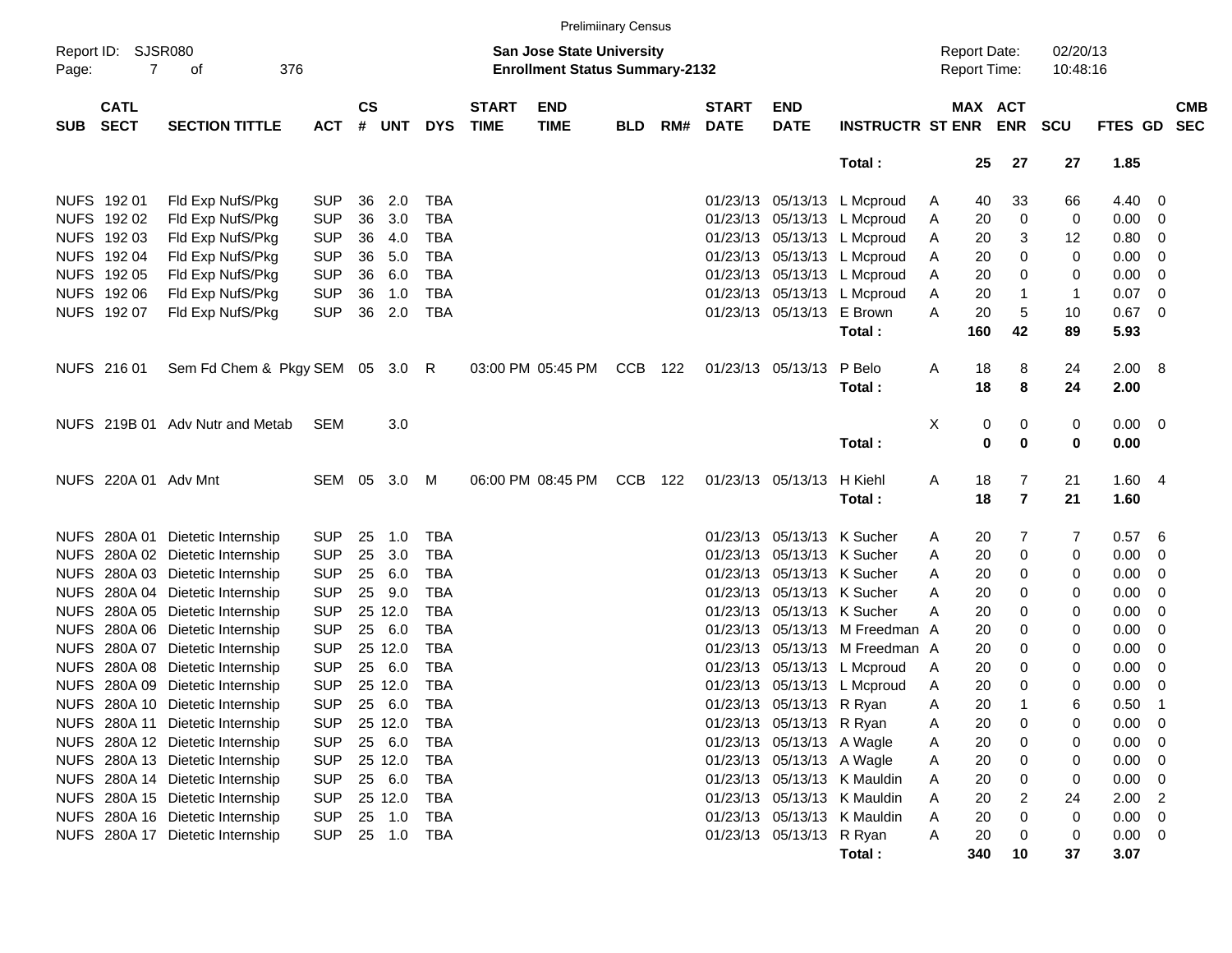|             |                                      |                                  |               |       |            |                             |                           | <b>Prelimiinary Census</b>                                                |     |                             |                           |                           |                             |         |                                            |                |                      |                |                          |  |
|-------------|--------------------------------------|----------------------------------|---------------|-------|------------|-----------------------------|---------------------------|---------------------------------------------------------------------------|-----|-----------------------------|---------------------------|---------------------------|-----------------------------|---------|--------------------------------------------|----------------|----------------------|----------------|--------------------------|--|
| Page:       | Report ID: SJSR080<br>$\overline{7}$ | 376<br>of                        |               |       |            |                             |                           | <b>San Jose State University</b><br><b>Enrollment Status Summary-2132</b> |     |                             |                           |                           |                             |         | <b>Report Date:</b><br><b>Report Time:</b> |                | 02/20/13<br>10:48:16 |                |                          |  |
| <b>SUB</b>  | <b>CATL</b><br><b>SECT</b>           | <b>ACT</b>                       | $\mathsf{cs}$ | # UNT | <b>DYS</b> | <b>START</b><br><b>TIME</b> | <b>END</b><br><b>TIME</b> | <b>BLD</b>                                                                | RM# | <b>START</b><br><b>DATE</b> | <b>END</b><br><b>DATE</b> | <b>INSTRUCTR ST ENR</b>   |                             | MAX ACT | <b>ENR</b>                                 | <b>SCU</b>     | FTES GD SEC          |                | <b>CMB</b>               |  |
|             |                                      |                                  |               |       |            |                             |                           |                                                                           |     |                             |                           |                           | Total:                      |         | 25                                         | 27             | 27                   | 1.85           |                          |  |
|             | NUFS 192 01                          | Fld Exp NufS/Pkg                 | <b>SUP</b>    | 36    | 2.0        | <b>TBA</b>                  |                           |                                                                           |     |                             |                           |                           | 01/23/13 05/13/13 L Mcproud | A       | 40                                         | 33             | 66                   | 4.40 0         |                          |  |
|             | NUFS 192 02                          | Fld Exp NufS/Pkg                 | <b>SUP</b>    | 36    | 3.0        | <b>TBA</b>                  |                           |                                                                           |     |                             | 01/23/13                  |                           | 05/13/13 L Mcproud          | A       | 20                                         | 0              | 0                    | 0.00           | $\overline{\mathbf{0}}$  |  |
|             | NUFS 192 03                          | Fld Exp NufS/Pkg                 | <b>SUP</b>    | 36    | 4.0        | <b>TBA</b>                  |                           |                                                                           |     |                             |                           |                           | 01/23/13 05/13/13 L Mcproud | A       | 20                                         | 3              | 12                   | 0.80           | - 0                      |  |
|             | NUFS 192 04                          | Fld Exp NufS/Pkg                 | <b>SUP</b>    | 36    | 5.0        | <b>TBA</b>                  |                           |                                                                           |     |                             |                           |                           | 01/23/13 05/13/13 L Mcproud | Α       | 20                                         | 0              | 0                    | 0.00           | - 0                      |  |
|             | NUFS 192 05                          | Fld Exp NufS/Pkg                 | <b>SUP</b>    | 36    | 6.0        | <b>TBA</b>                  |                           |                                                                           |     |                             |                           |                           | 01/23/13 05/13/13 L Mcproud | Α       | 20                                         | 0              | 0                    | 0.00           | - 0                      |  |
|             | NUFS 192 06                          | Fld Exp NufS/Pkg                 | <b>SUP</b>    | 36    | 1.0        | <b>TBA</b>                  |                           |                                                                           |     |                             |                           |                           | 01/23/13 05/13/13 L Mcproud | A       | 20                                         | $\mathbf{1}$   | $\mathbf{1}$         | 0.07           | - 0                      |  |
|             | NUFS 192 07                          | Fld Exp NufS/Pkg                 | <b>SUP</b>    | 36    | 2.0        | <b>TBA</b>                  |                           |                                                                           |     |                             |                           | 01/23/13 05/13/13 E Brown |                             | A       | 20                                         | 5              | 10                   | 0.67           | $\overline{\phantom{0}}$ |  |
|             |                                      |                                  |               |       |            |                             |                           |                                                                           |     |                             |                           |                           | Total:                      |         | 160                                        | 42             | 89                   | 5.93           |                          |  |
|             | NUFS 216 01                          | Sem Fd Chem & Pkgy SEM 05 3.0 R  |               |       |            |                             |                           | 03:00 PM 05:45 PM                                                         | CCB | 122                         | 01/23/13 05/13/13         |                           | P Belo<br>Total:            | Α       | 18<br>18                                   | 8<br>8         | 24<br>24             | 2.00 8<br>2.00 |                          |  |
|             |                                      | NUFS 219B 01 Adv Nutr and Metab  | <b>SEM</b>    |       | 3.0        |                             |                           |                                                                           |     |                             |                           |                           |                             | X       | 0                                          | 0              | 0                    | 0.00 0         |                          |  |
|             |                                      |                                  |               |       |            |                             |                           |                                                                           |     |                             |                           |                           | Total:                      |         | 0                                          | $\mathbf 0$    | 0                    | 0.00           |                          |  |
|             | NUFS 220A 01 Adv Mnt                 |                                  | SEM 05        |       | 3.0        | M                           |                           | 06:00 PM 08:45 PM                                                         | CCB | 122                         |                           | 01/23/13 05/13/13         | H Kiehl                     | A       | 18                                         | 7              | 21                   | 1.604          |                          |  |
|             |                                      |                                  |               |       |            |                             |                           |                                                                           |     |                             |                           |                           | Total:                      |         | 18                                         | $\overline{7}$ | 21                   | 1.60           |                          |  |
|             |                                      | NUFS 280A 01 Dietetic Internship | <b>SUP</b>    | 25    | 1.0        | <b>TBA</b>                  |                           |                                                                           |     |                             | 01/23/13                  | 05/13/13 K Sucher         |                             | A       | 20                                         | 7              | 7                    | 0.57           | - 6                      |  |
|             |                                      | NUFS 280A 02 Dietetic Internship | <b>SUP</b>    | 25    | 3.0        | <b>TBA</b>                  |                           |                                                                           |     |                             | 01/23/13                  |                           | 05/13/13 K Sucher           | Α       | 20                                         | 0              | 0                    | 0.00           | - 0                      |  |
| <b>NUFS</b> |                                      | 280A 03 Dietetic Internship      | <b>SUP</b>    | 25    | 6.0        | <b>TBA</b>                  |                           |                                                                           |     |                             | 01/23/13                  |                           | 05/13/13 K Sucher           | Α       | 20                                         | 0              | 0                    | 0.00           | - 0                      |  |
|             |                                      | NUFS 280A 04 Dietetic Internship | <b>SUP</b>    | 25    | 9.0        | <b>TBA</b>                  |                           |                                                                           |     |                             | 01/23/13                  |                           | 05/13/13 K Sucher           | A       | 20                                         | 0              | 0                    | 0.00           | - 0                      |  |
|             |                                      | NUFS 280A 05 Dietetic Internship | <b>SUP</b>    |       | 25 12.0    | <b>TBA</b>                  |                           |                                                                           |     |                             | 01/23/13                  |                           | 05/13/13 K Sucher           | A       | 20                                         | 0              | 0                    | 0.00           | - 0                      |  |
|             |                                      | NUFS 280A 06 Dietetic Internship | <b>SUP</b>    | 25    | - 6.0      | <b>TBA</b>                  |                           |                                                                           |     |                             | 01/23/13                  |                           | 05/13/13 M Freedman A       |         | 20                                         | 0              | 0                    | 0.00           | - 0                      |  |
| <b>NUFS</b> |                                      | 280A 07 Dietetic Internship      | <b>SUP</b>    |       | 25 12.0    | <b>TBA</b>                  |                           |                                                                           |     |                             | 01/23/13                  |                           | 05/13/13 M Freedman A       |         | 20                                         | 0              | 0                    | 0.00           | - 0                      |  |
| <b>NUFS</b> |                                      | 280A 08 Dietetic Internship      | <b>SUP</b>    | 25    | - 6.0      | <b>TBA</b>                  |                           |                                                                           |     |                             | 01/23/13                  |                           | 05/13/13 L Mcproud          | A       | 20                                         | 0              | 0                    | 0.00           | - 0                      |  |
| <b>NUFS</b> |                                      | 280A 09 Dietetic Internship      | <b>SUP</b>    |       | 25 12.0    | <b>TBA</b>                  |                           |                                                                           |     |                             | 01/23/13                  |                           | 05/13/13 L Mcproud          | Α       | 20                                         | 0              | 0                    | 0.00           | - 0                      |  |
|             |                                      | NUFS 280A 10 Dietetic Internship | <b>SUP</b>    | 25    | 6.0        | <b>TBA</b>                  |                           |                                                                           |     |                             |                           | 01/23/13 05/13/13 R Ryan  |                             | Α       | 20                                         | 1              | 6                    | 0.50           | - 1                      |  |
|             |                                      | NUFS 280A 11 Dietetic Internship | <b>SUP</b>    |       | 25 12.0    | TBA                         |                           |                                                                           |     |                             |                           | 01/23/13 05/13/13 R Ryan  |                             | Α       | 20                                         | 0              | 0                    | $0.00 \t 0$    |                          |  |
|             |                                      | NUFS 280A 12 Dietetic Internship | <b>SUP</b>    |       | 25 6.0     | TBA                         |                           |                                                                           |     |                             |                           | 01/23/13 05/13/13 A Wagle |                             | A       | 20                                         | 0              | 0                    | 0.00 0         |                          |  |
|             |                                      | NUFS 280A 13 Dietetic Internship | <b>SUP</b>    |       | 25 12.0    | TBA                         |                           |                                                                           |     |                             |                           | 01/23/13 05/13/13 A Wagle |                             | Α       | 20                                         | 0              | 0                    | $0.00 \t 0$    |                          |  |
|             |                                      | NUFS 280A 14 Dietetic Internship | <b>SUP</b>    |       | 25 6.0     | TBA                         |                           |                                                                           |     |                             |                           |                           | 01/23/13 05/13/13 K Mauldin | Α       | 20                                         | 0              | 0                    | $0.00 \t 0$    |                          |  |
|             |                                      | NUFS 280A 15 Dietetic Internship | <b>SUP</b>    |       | 25 12.0    | TBA                         |                           |                                                                           |     |                             |                           |                           | 01/23/13 05/13/13 K Mauldin | Α       | 20                                         | 2              | 24                   | $2.00$ 2       |                          |  |
|             |                                      | NUFS 280A 16 Dietetic Internship | <b>SUP</b>    |       | 25 1.0     | TBA                         |                           |                                                                           |     |                             |                           |                           | 01/23/13 05/13/13 K Mauldin | A       | 20                                         | 0              | 0                    | $0.00 \t 0$    |                          |  |
|             |                                      | NUFS 280A 17 Dietetic Internship | <b>SUP</b>    |       | 25 1.0 TBA |                             |                           |                                                                           |     |                             |                           | 01/23/13 05/13/13 R Ryan  |                             | Α       | 20                                         | 0              | 0                    | $0.00 \t 0$    |                          |  |
|             |                                      |                                  |               |       |            |                             |                           |                                                                           |     |                             |                           |                           | Total:                      |         | 340                                        | 10             | 37                   | 3.07           |                          |  |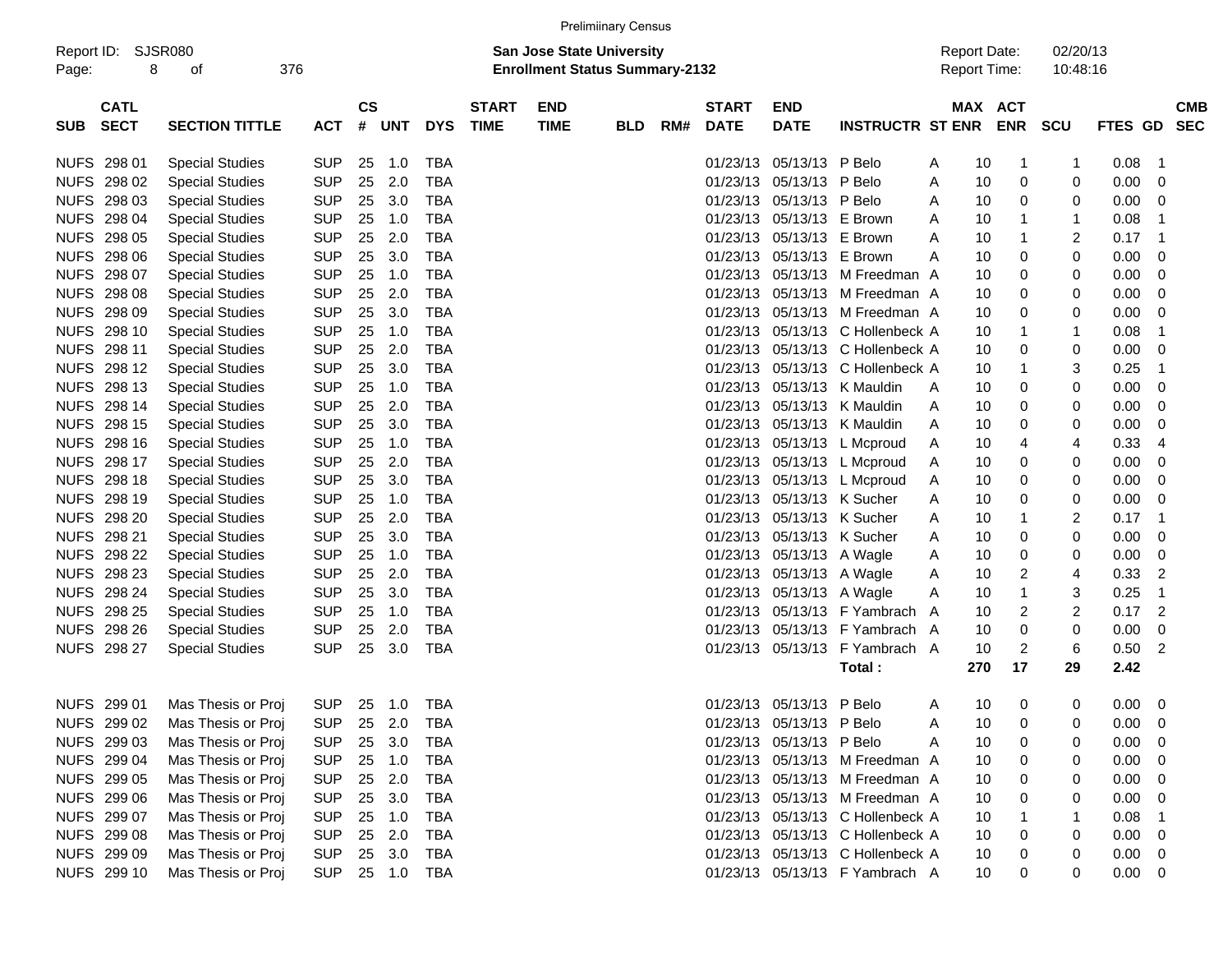| Report ID:<br>Page: | 8                          | <b>SJSR080</b><br>οf   | 376 |            |                    |                |            |                             | <b>San Jose State University</b><br><b>Enrollment Status Summary-2132</b> |            |     |                             |                           |                                  |   | <b>Report Date:</b><br>Report Time: |            | 02/20/13<br>10:48:16 |                |    |                          |
|---------------------|----------------------------|------------------------|-----|------------|--------------------|----------------|------------|-----------------------------|---------------------------------------------------------------------------|------------|-----|-----------------------------|---------------------------|----------------------------------|---|-------------------------------------|------------|----------------------|----------------|----|--------------------------|
| <b>SUB</b>          | <b>CATL</b><br><b>SECT</b> | <b>SECTION TITTLE</b>  |     | <b>ACT</b> | $\mathsf{cs}$<br># | <b>UNT</b>     | <b>DYS</b> | <b>START</b><br><b>TIME</b> | <b>END</b><br><b>TIME</b>                                                 | <b>BLD</b> | RM# | <b>START</b><br><b>DATE</b> | <b>END</b><br><b>DATE</b> | <b>INSTRUCTR ST ENR</b>          |   | MAX ACT                             | <b>ENR</b> | <b>SCU</b>           | <b>FTES GD</b> |    | <b>CMB</b><br><b>SEC</b> |
|                     | NUFS 298 01                | <b>Special Studies</b> |     | <b>SUP</b> | 25                 | 1.0            | TBA        |                             |                                                                           |            |     | 01/23/13                    | 05/13/13                  | P Belo                           | A | 10                                  | -1         | -1                   | 0.08           | -1 |                          |
|                     | NUFS 298 02                | <b>Special Studies</b> |     | <b>SUP</b> | 25                 | 2.0            | <b>TBA</b> |                             |                                                                           |            |     | 01/23/13                    | 05/13/13                  | P Belo                           | Α | 10                                  | 0          | 0                    | 0.00           | 0  |                          |
|                     | NUFS 298 03                | <b>Special Studies</b> |     | <b>SUP</b> | 25                 | 3.0            | TBA        |                             |                                                                           |            |     | 01/23/13                    | 05/13/13                  | P Belo                           | A | 10                                  | 0          | 0                    | 0.00           | 0  |                          |
|                     | NUFS 298 04                | <b>Special Studies</b> |     | <b>SUP</b> | 25                 | 1.0            | TBA        |                             |                                                                           |            |     | 01/23/13                    | 05/13/13                  | E Brown                          | A | 10                                  | -1         | -1                   | 0.08           | -1 |                          |
|                     | NUFS 298 05                | <b>Special Studies</b> |     | <b>SUP</b> | 25                 | 2.0            | <b>TBA</b> |                             |                                                                           |            |     | 01/23/13                    | 05/13/13                  | E Brown                          | A | 10                                  | -1         | 2                    | 0.17           | -1 |                          |
|                     | NUFS 298 06                | <b>Special Studies</b> |     | <b>SUP</b> | 25                 | 3.0            | <b>TBA</b> |                             |                                                                           |            |     | 01/23/13                    | 05/13/13                  | E Brown                          | A | 10                                  | 0          | 0                    | 0.00           | 0  |                          |
|                     | NUFS 298 07                | <b>Special Studies</b> |     | <b>SUP</b> | 25                 | 1.0            | TBA        |                             |                                                                           |            |     | 01/23/13                    |                           | 05/13/13 M Freedman A            |   | 10                                  | 0          | 0                    | 0.00           | 0  |                          |
|                     | NUFS 298 08                | <b>Special Studies</b> |     | <b>SUP</b> | 25                 | 2.0            | TBA        |                             |                                                                           |            |     | 01/23/13                    |                           | 05/13/13 M Freedman A            |   | 10                                  | 0          | 0                    | 0.00           | 0  |                          |
|                     | NUFS 298 09                | <b>Special Studies</b> |     | <b>SUP</b> | 25                 | 3.0            | TBA        |                             |                                                                           |            |     | 01/23/13                    |                           | 05/13/13 M Freedman A            |   | 10                                  | 0          | 0                    | 0.00           | 0  |                          |
|                     | NUFS 298 10                | <b>Special Studies</b> |     | <b>SUP</b> | 25                 | 1.0            | <b>TBA</b> |                             |                                                                           |            |     | 01/23/13                    |                           | 05/13/13 C Hollenbeck A          |   | 10                                  | -1         | -1                   | 0.08           | -1 |                          |
|                     | <b>NUFS 298 11</b>         | <b>Special Studies</b> |     | <b>SUP</b> | 25                 | 2.0            | TBA        |                             |                                                                           |            |     | 01/23/13                    |                           | 05/13/13 C Hollenbeck A          |   | 10                                  | 0          | 0                    | 0.00           | 0  |                          |
|                     | NUFS 298 12                | <b>Special Studies</b> |     | <b>SUP</b> | 25                 | 3.0            | TBA        |                             |                                                                           |            |     | 01/23/13                    |                           | 05/13/13 C Hollenbeck A          |   | 10                                  | -1         | 3                    | 0.25           | -1 |                          |
|                     | NUFS 298 13                | <b>Special Studies</b> |     | <b>SUP</b> | 25                 | 1.0            | TBA        |                             |                                                                           |            |     | 01/23/13                    |                           | 05/13/13 K Mauldin               | A | 10                                  | 0          | 0                    | 0.00           | 0  |                          |
|                     | NUFS 298 14                | <b>Special Studies</b> |     | <b>SUP</b> | 25                 | 2.0            | <b>TBA</b> |                             |                                                                           |            |     | 01/23/13                    |                           | 05/13/13 K Mauldin               | A | 10                                  | 0          | 0                    | 0.00           | 0  |                          |
|                     | NUFS 298 15                | <b>Special Studies</b> |     | <b>SUP</b> | 25                 | 3.0            | TBA        |                             |                                                                           |            |     | 01/23/13                    |                           | 05/13/13 K Mauldin               | A | 10                                  | 0          | 0                    | 0.00           | 0  |                          |
| <b>NUFS</b>         | 298 16                     | <b>Special Studies</b> |     | <b>SUP</b> | 25                 | 1.0            | TBA        |                             |                                                                           |            |     | 01/23/13                    |                           | 05/13/13 L Mcproud               | A | 10                                  | 4          | 4                    | 0.33           | 4  |                          |
|                     | NUFS 298 17                | <b>Special Studies</b> |     | <b>SUP</b> | 25                 | 2.0            | TBA        |                             |                                                                           |            |     | 01/23/13                    |                           | 05/13/13 L Mcproud               | A | 10                                  | 0          | 0                    | 0.00           | 0  |                          |
|                     | NUFS 298 18                | <b>Special Studies</b> |     | <b>SUP</b> | 25                 | 3.0            | <b>TBA</b> |                             |                                                                           |            |     | 01/23/13                    |                           | 05/13/13 L Mcproud               | A | 10                                  | 0          | 0                    | 0.00           | 0  |                          |
|                     | NUFS 298 19                | <b>Special Studies</b> |     | <b>SUP</b> | 25                 | 1.0            | TBA        |                             |                                                                           |            |     | 01/23/13                    | 05/13/13 K Sucher         |                                  | A | 10                                  | 0          | 0                    | 0.00           | 0  |                          |
|                     | <b>NUFS 298 20</b>         | <b>Special Studies</b> |     | <b>SUP</b> | 25                 | 2.0            | TBA        |                             |                                                                           |            |     | 01/23/13                    | 05/13/13 K Sucher         |                                  | A | 10                                  | -1         | 2                    | 0.17           | -1 |                          |
|                     | NUFS 298 21                | <b>Special Studies</b> |     | <b>SUP</b> | 25                 | 3.0            | TBA        |                             |                                                                           |            |     | 01/23/13                    | 05/13/13 K Sucher         |                                  | A | 10                                  | 0          | 0                    | 0.00           | 0  |                          |
|                     | <b>NUFS 298 22</b>         | <b>Special Studies</b> |     | <b>SUP</b> | 25                 | 1.0            | TBA        |                             |                                                                           |            |     | 01/23/13                    | 05/13/13 A Wagle          |                                  | A | 10                                  | 0          | 0                    | 0.00           | 0  |                          |
|                     | <b>NUFS 298 23</b>         | <b>Special Studies</b> |     | <b>SUP</b> | 25                 | 2.0            | TBA        |                             |                                                                           |            |     | 01/23/13                    | 05/13/13 A Wagle          |                                  | A | 10                                  | 2          | 4                    | 0.33           | 2  |                          |
|                     | NUFS 298 24                | <b>Special Studies</b> |     | <b>SUP</b> | 25                 | 3.0            | TBA        |                             |                                                                           |            |     | 01/23/13                    | 05/13/13 A Wagle          |                                  | A | 10                                  | -1         | 3                    | 0.25           | -1 |                          |
|                     | <b>NUFS 298 25</b>         | <b>Special Studies</b> |     | <b>SUP</b> | 25                 | 1.0            | TBA        |                             |                                                                           |            |     | 01/23/13                    |                           | 05/13/13 F Yambrach A            |   | 10                                  | 2          | 2                    | 0.17           | 2  |                          |
|                     | <b>NUFS 298 26</b>         | <b>Special Studies</b> |     | <b>SUP</b> | 25                 | 2.0            | TBA        |                             |                                                                           |            |     | 01/23/13                    |                           | 05/13/13 F Yambrach A            |   | 10                                  | 0          | 0                    | 0.00           | 0  |                          |
|                     | NUFS 298 27                | <b>Special Studies</b> |     | <b>SUP</b> | 25                 | 3.0            | TBA        |                             |                                                                           |            |     | 01/23/13                    | 05/13/13                  | F Yambrach A                     |   | 10                                  | 2          | 6                    | 0.50           | 2  |                          |
|                     |                            |                        |     |            |                    |                |            |                             |                                                                           |            |     |                             |                           | Total:                           |   | 270                                 | 17         | 29                   | 2.42           |    |                          |
|                     | NUFS 299 01                | Mas Thesis or Proj     |     | <b>SUP</b> | 25                 | 1.0            | TBA        |                             |                                                                           |            |     | 01/23/13                    | 05/13/13                  | P Belo                           | A | 10                                  | 0          | 0                    | 0.00           | 0  |                          |
|                     | NUFS 299 02                | Mas Thesis or Proj     |     | <b>SUP</b> | 25                 | 2.0            | TBA        |                             |                                                                           |            |     | 01/23/13                    | 05/13/13 P Belo           |                                  | A | 10                                  | 0          | 0                    | 0.00           | 0  |                          |
|                     | NUFS 299 03                | Mas Thesis or Proj     |     | <b>SUP</b> |                    | 25 3.0         | TBA        |                             |                                                                           |            |     |                             | 01/23/13 05/13/13 P Belo  |                                  | A | 10                                  | 0          |                      | 0.00           | 0  |                          |
|                     | NUFS 299 04                | Mas Thesis or Proj     |     | <b>SUP</b> | 25                 | 1.0            | TBA        |                             |                                                                           |            |     |                             |                           | 01/23/13 05/13/13 M Freedman A   |   | 10                                  | 0          |                      | 0.00           | 0  |                          |
|                     | NUFS 299 05                | Mas Thesis or Proj     |     | <b>SUP</b> |                    | 25 2.0         | TBA        |                             |                                                                           |            |     |                             |                           | 01/23/13 05/13/13 M Freedman A   |   | 10                                  | 0          | 0                    | 0.00           | 0  |                          |
|                     | NUFS 299 06                | Mas Thesis or Proj     |     | <b>SUP</b> |                    | 25 3.0         | TBA        |                             |                                                                           |            |     |                             |                           | 01/23/13 05/13/13 M Freedman A   |   | 10                                  | 0          |                      | 0.00           | 0  |                          |
|                     | NUFS 299 07                | Mas Thesis or Proj     |     | <b>SUP</b> |                    | 25 1.0         | TBA        |                             |                                                                           |            |     |                             |                           | 01/23/13 05/13/13 C Hollenbeck A |   | 10                                  |            |                      | 0.08           |    |                          |
|                     | NUFS 299 08                | Mas Thesis or Proj     |     | <b>SUP</b> |                    | 25 2.0         | TBA        |                             |                                                                           |            |     |                             |                           | 01/23/13 05/13/13 C Hollenbeck A |   | 10                                  | 0          | 0                    | 0.00           | 0  |                          |
|                     | NUFS 299 09                | Mas Thesis or Proj     |     | SUP        |                    | 25 3.0         | TBA        |                             |                                                                           |            |     |                             |                           | 01/23/13 05/13/13 C Hollenbeck A |   | 10                                  | 0          | 0                    | 0.00           | 0  |                          |
|                     | NUFS 299 10                | Mas Thesis or Proj     |     |            |                    | SUP 25 1.0 TBA |            |                             |                                                                           |            |     |                             |                           | 01/23/13 05/13/13 F Yambrach A   |   | 10                                  | 0          | 0                    | 0.00           | 0  |                          |

Prelimiinary Census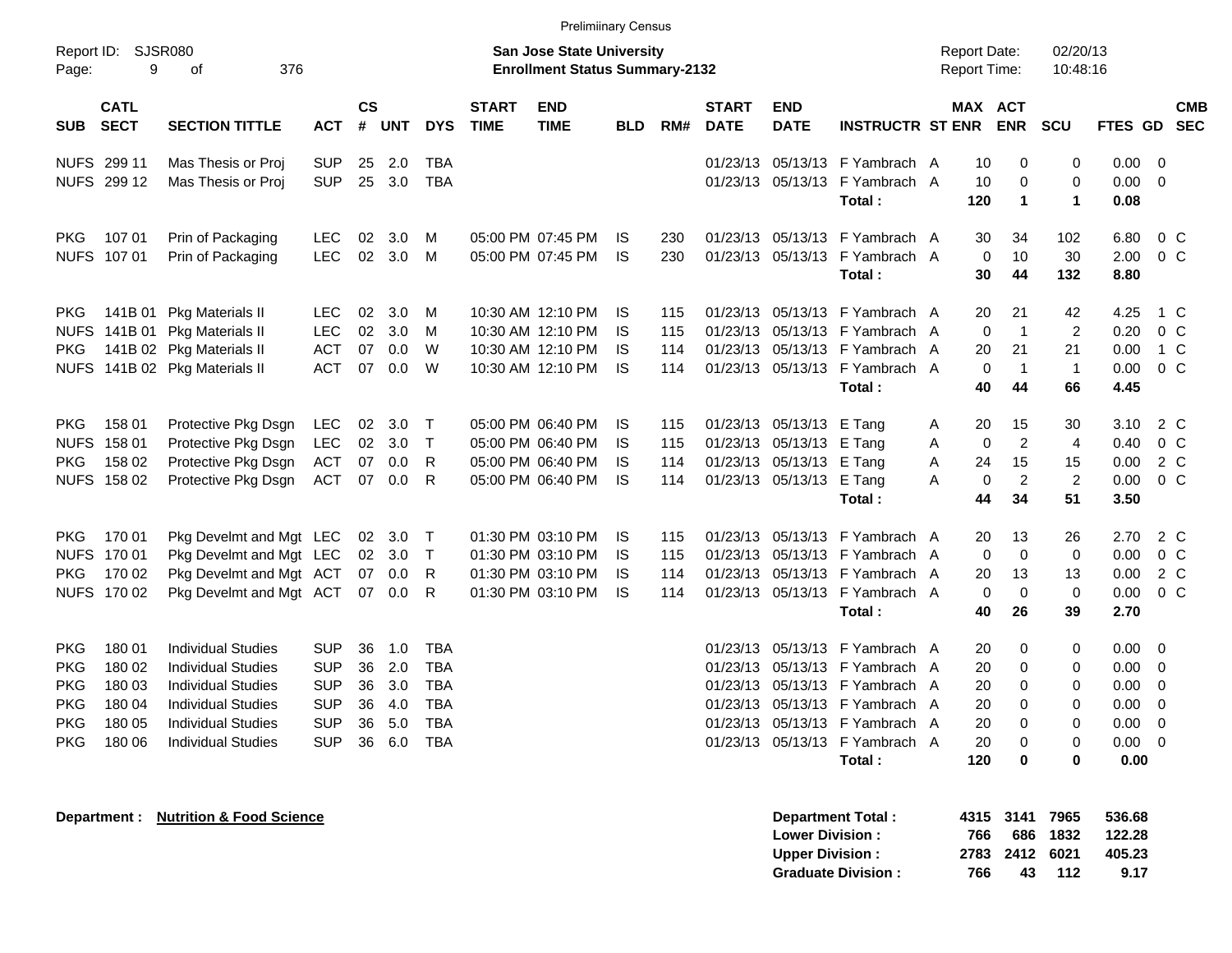|                                                                                  |                                                          |                                                                                                                                                                     |                                                                                  |                            |                                           |                                                                           |                             | <b>Prelimiinary Census</b>                                                       |                                     |                          |                                  |                                                                                  |                                                                                                                                                              |                  |                                         |                                                    |                                                  |                                                                       |                                                                                                 |                          |
|----------------------------------------------------------------------------------|----------------------------------------------------------|---------------------------------------------------------------------------------------------------------------------------------------------------------------------|----------------------------------------------------------------------------------|----------------------------|-------------------------------------------|---------------------------------------------------------------------------|-----------------------------|----------------------------------------------------------------------------------|-------------------------------------|--------------------------|----------------------------------|----------------------------------------------------------------------------------|--------------------------------------------------------------------------------------------------------------------------------------------------------------|------------------|-----------------------------------------|----------------------------------------------------|--------------------------------------------------|-----------------------------------------------------------------------|-------------------------------------------------------------------------------------------------|--------------------------|
| Report ID:<br>Page:                                                              | <b>SJSR080</b><br>9                                      | 376<br>οf                                                                                                                                                           |                                                                                  |                            |                                           |                                                                           |                             | <b>San Jose State University</b><br><b>Enrollment Status Summary-2132</b>        |                                     |                          |                                  |                                                                                  |                                                                                                                                                              |                  | <b>Report Date:</b><br>Report Time:     |                                                    | 02/20/13<br>10:48:16                             |                                                                       |                                                                                                 |                          |
| <b>SUB</b>                                                                       | <b>CATL</b><br><b>SECT</b>                               | <b>SECTION TITTLE</b>                                                                                                                                               | <b>ACT</b>                                                                       | $\mathsf{cs}$<br>#         | <b>UNT</b>                                | <b>DYS</b>                                                                | <b>START</b><br><b>TIME</b> | <b>END</b><br><b>TIME</b>                                                        | <b>BLD</b>                          | RM#                      | <b>START</b><br><b>DATE</b>      | <b>END</b><br><b>DATE</b>                                                        | <b>INSTRUCTR ST ENR</b>                                                                                                                                      |                  | MAX ACT                                 | <b>ENR</b>                                         | <b>SCU</b>                                       | <b>FTES GD</b>                                                        |                                                                                                 | <b>CMB</b><br><b>SEC</b> |
|                                                                                  | NUFS 299 11<br>NUFS 299 12                               | Mas Thesis or Proj<br>Mas Thesis or Proj                                                                                                                            | <b>SUP</b><br><b>SUP</b>                                                         | 25<br>25                   | 2.0<br>3.0                                | <b>TBA</b><br><b>TBA</b>                                                  |                             |                                                                                  |                                     |                          |                                  | 01/23/13 05/13/13                                                                | 01/23/13 05/13/13 F Yambrach A<br>F Yambrach A<br>Total:                                                                                                     |                  | 10<br>10<br>120                         | 0<br>0<br>$\mathbf 1$                              | 0<br>0<br>$\mathbf 1$                            | 0.00<br>0.00<br>0.08                                                  | $\overline{\phantom{0}}$<br>$\overline{\mathbf{0}}$                                             |                          |
| <b>PKG</b>                                                                       | 107 01<br>NUFS 107 01                                    | Prin of Packaging<br>Prin of Packaging                                                                                                                              | <b>LEC</b><br><b>LEC</b>                                                         | 02<br>02                   | 3.0<br>3.0                                | M<br>M                                                                    |                             | 05:00 PM 07:45 PM<br>05:00 PM 07:45 PM                                           | IS.<br><b>IS</b>                    | 230<br>230               |                                  | 01/23/13 05/13/13                                                                | 01/23/13 05/13/13 F Yambrach A<br>F Yambrach A<br>Total:                                                                                                     |                  | 30<br>0<br>30                           | 34<br>10<br>44                                     | 102<br>30<br>132                                 | 6.80<br>2.00<br>8.80                                                  | $0\,C$<br>0 <sup>C</sup>                                                                        |                          |
| <b>PKG</b><br><b>PKG</b>                                                         |                                                          | 141B 01 Pkg Materials II<br>NUFS 141B 01 Pkg Materials II<br>141B 02 Pkg Materials II<br>NUFS 141B 02 Pkg Materials II                                              | <b>LEC</b><br><b>LEC</b><br><b>ACT</b><br><b>ACT</b>                             | 02<br>02<br>07<br>07       | 3.0<br>3.0<br>0.0<br>0.0                  | M<br>M<br>W<br>W                                                          |                             | 10:30 AM 12:10 PM<br>10:30 AM 12:10 PM<br>10:30 AM 12:10 PM<br>10:30 AM 12:10 PM | IS.<br><b>IS</b><br>IS<br><b>IS</b> | 115<br>115<br>114<br>114 | 01/23/13                         | 01/23/13 05/13/13<br>05/13/13<br>01/23/13 05/13/13                               | F Yambrach A<br>F Yambrach A<br>F Yambrach A<br>01/23/13 05/13/13 F Yambrach A<br>Total:                                                                     |                  | 20<br>0<br>20<br>0<br>40                | 21<br>$\overline{1}$<br>21<br>$\overline{1}$<br>44 | 42<br>$\overline{2}$<br>21<br>$\mathbf{1}$<br>66 | 4.25<br>0.20<br>0.00<br>0.00<br>4.45                                  | 1 C<br>$0\,C$<br>1 C<br>0 <sup>C</sup>                                                          |                          |
| <b>PKG</b><br><b>NUFS</b><br><b>PKG</b>                                          | 158 01<br>158 01<br>158 02<br>NUFS 158 02                | Protective Pkg Dsgn<br>Protective Pkg Dsgn<br>Protective Pkg Dsgn<br>Protective Pkg Dsgn                                                                            | LEC<br><b>LEC</b><br><b>ACT</b><br><b>ACT</b>                                    | 02<br>02<br>07<br>07       | 3.0<br>3.0<br>0.0<br>0.0                  | $\top$<br>$\top$<br>R<br>R                                                |                             | 05:00 PM 06:40 PM<br>05:00 PM 06:40 PM<br>05:00 PM 06:40 PM<br>05:00 PM 06:40 PM | IS.<br>IS<br>IS<br><b>IS</b>        | 115<br>115<br>114<br>114 |                                  | 01/23/13 05/13/13<br>01/23/13 05/13/13<br>01/23/13 05/13/13<br>01/23/13 05/13/13 | E Tang<br>E Tang<br>E Tang<br>E Tang<br>Total:                                                                                                               | A<br>Α<br>Α<br>Α | 20<br>0<br>24<br>0<br>44                | 15<br>$\overline{2}$<br>15<br>$\overline{2}$<br>34 | 30<br>4<br>15<br>$\overline{2}$<br>51            | 3.10<br>0.40<br>0.00<br>0.00<br>3.50                                  | 2 C<br>0 <sup>C</sup><br>2 C<br>0 <sup>C</sup>                                                  |                          |
| <b>PKG</b><br><b>PKG</b>                                                         | 170 01<br>NUFS 170 01<br>170 02<br>NUFS 170 02           | Pkg Develmt and Mgt LEC<br>Pkg Develmt and Mgt LEC<br>Pkg Develmt and Mgt ACT<br>Pkg Develmt and Mgt ACT                                                            |                                                                                  | 02<br>02<br>07<br>07       | 3.0<br>3.0<br>0.0<br>0.0                  | Т<br>$\top$<br>R<br>R                                                     |                             | 01:30 PM 03:10 PM<br>01:30 PM 03:10 PM<br>01:30 PM 03:10 PM<br>01:30 PM 03:10 PM | IS.<br>IS<br>IS<br><b>IS</b>        | 115<br>115<br>114<br>114 | 01/23/13                         | 01/23/13 05/13/13<br>05/13/13<br>01/23/13 05/13/13                               | F Yambrach A<br>F Yambrach A<br>F Yambrach A<br>01/23/13 05/13/13 F Yambrach A<br>Total:                                                                     |                  | 20<br>0<br>20<br>0<br>40                | 13<br>$\mathbf 0$<br>13<br>0<br>26                 | 26<br>0<br>13<br>0<br>39                         | 2.70<br>0.00<br>0.00<br>0.00<br>2.70                                  | 2 C<br>0 <sup>C</sup><br>2 C<br>$0\,C$                                                          |                          |
| <b>PKG</b><br><b>PKG</b><br><b>PKG</b><br><b>PKG</b><br><b>PKG</b><br><b>PKG</b> | 180 01<br>180 02<br>180 03<br>180 04<br>180 05<br>180 06 | <b>Individual Studies</b><br><b>Individual Studies</b><br>Individual Studies<br><b>Individual Studies</b><br><b>Individual Studies</b><br><b>Individual Studies</b> | <b>SUP</b><br><b>SUP</b><br><b>SUP</b><br><b>SUP</b><br><b>SUP</b><br><b>SUP</b> | 36<br>36<br>36<br>36<br>36 | 1.0<br>2.0<br>3.0<br>4.0<br>5.0<br>36 6.0 | <b>TBA</b><br><b>TBA</b><br><b>TBA</b><br><b>TBA</b><br>TBA<br><b>TBA</b> |                             |                                                                                  |                                     |                          | 01/23/13<br>01/23/13<br>01/23/13 | 05/13/13<br>05/13/13<br>05/13/13                                                 | F Yambrach A<br>F Yambrach A<br>F Yambrach A<br>01/23/13 05/13/13 F Yambrach A<br>01/23/13 05/13/13 F Yambrach A<br>01/23/13 05/13/13 F Yambrach A<br>Total: |                  | 20<br>20<br>20<br>20<br>20<br>20<br>120 | 0<br>0<br>0<br>0<br>0<br>0<br>0                    | 0<br>0<br>0<br>0<br>0<br>0<br>0                  | 0.00<br>0.00<br>0.00<br>0.00<br>$0.00 \quad 0$<br>$0.00 \t 0$<br>0.00 | $\overline{\mathbf{0}}$<br>$\overline{\mathbf{0}}$<br>$\overline{\mathbf{0}}$<br>$\overline{0}$ |                          |
|                                                                                  | Department :                                             | <b>Nutrition &amp; Food Science</b>                                                                                                                                 |                                                                                  |                            |                                           |                                                                           |                             |                                                                                  |                                     |                          |                                  | <b>Lower Division:</b><br><b>Upper Division:</b>                                 | <b>Department Total:</b><br><b>Graduate Division:</b>                                                                                                        |                  | 766<br>2783<br>766                      | 4315 3141<br>686<br>2412<br>43                     | 7965<br>1832<br>6021<br>112                      | 536.68<br>122.28<br>405.23<br>9.17                                    |                                                                                                 |                          |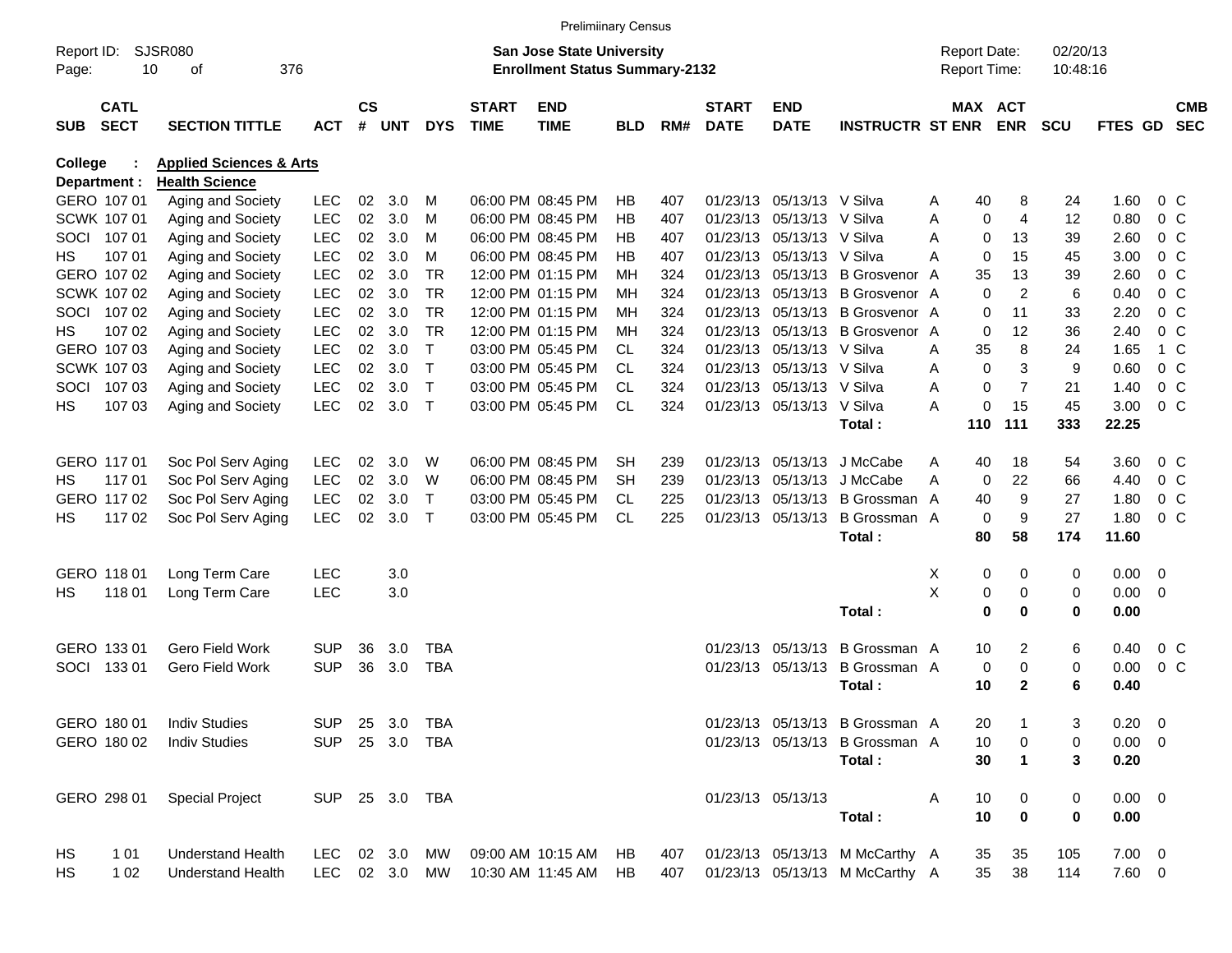|            |                            |                                    |                |                    |            |                |                             | <b>Prelimiinary Census</b>            |            |     |                             |                           |                                 |   |                     |                |            |                |                |                          |
|------------|----------------------------|------------------------------------|----------------|--------------------|------------|----------------|-----------------------------|---------------------------------------|------------|-----|-----------------------------|---------------------------|---------------------------------|---|---------------------|----------------|------------|----------------|----------------|--------------------------|
| Report ID: |                            | <b>SJSR080</b>                     |                |                    |            |                |                             | San Jose State University             |            |     |                             |                           |                                 |   | <b>Report Date:</b> |                | 02/20/13   |                |                |                          |
| Page:      | 10                         | 376<br>οf                          |                |                    |            |                |                             | <b>Enrollment Status Summary-2132</b> |            |     |                             |                           |                                 |   | Report Time:        |                | 10:48:16   |                |                |                          |
| <b>SUB</b> | <b>CATL</b><br><b>SECT</b> | <b>SECTION TITTLE</b>              | <b>ACT</b>     | $\mathsf{cs}$<br># | <b>UNT</b> | <b>DYS</b>     | <b>START</b><br><b>TIME</b> | <b>END</b><br><b>TIME</b>             | <b>BLD</b> | RM# | <b>START</b><br><b>DATE</b> | <b>END</b><br><b>DATE</b> | <b>INSTRUCTR ST ENR</b>         |   | MAX ACT             | ENR            | <b>SCU</b> | <b>FTES GD</b> |                | <b>CMB</b><br><b>SEC</b> |
| College    |                            | <b>Applied Sciences &amp; Arts</b> |                |                    |            |                |                             |                                       |            |     |                             |                           |                                 |   |                     |                |            |                |                |                          |
|            | Department :               | <b>Health Science</b>              |                |                    |            |                |                             |                                       |            |     |                             |                           |                                 |   |                     |                |            |                |                |                          |
|            | GERO 107 01                | Aging and Society                  | <b>LEC</b>     | 02                 | 3.0        | м              |                             | 06:00 PM 08:45 PM                     | HВ         | 407 |                             | 01/23/13 05/13/13 V Silva |                                 | Α | 40                  | 8              | 24         | 1.60           | 0 <sup>o</sup> |                          |
|            | SCWK 107 01                | Aging and Society                  | <b>LEC</b>     | 02                 | 3.0        | M              |                             | 06:00 PM 08:45 PM                     | HВ         | 407 |                             | 01/23/13 05/13/13 V Silva |                                 | A | 0                   | 4              | 12         | 0.80           | 0 <sup>o</sup> |                          |
| SOCI       | 107 01                     | Aging and Society                  | <b>LEC</b>     | 02                 | 3.0        | м              |                             | 06:00 PM 08:45 PM                     | HВ         | 407 |                             | 01/23/13 05/13/13 V Silva |                                 | Α | $\mathbf 0$         | 13             | 39         | 2.60           | 0 <sup>o</sup> |                          |
| HS.        | 107 01                     | Aging and Society                  | <b>LEC</b>     | 02                 | 3.0        | м              |                             | 06:00 PM 08:45 PM                     | HВ         | 407 |                             | 01/23/13 05/13/13 V Silva |                                 | А | $\mathbf 0$         | 15             | 45         | 3.00           | 0 <sup>o</sup> |                          |
|            | GERO 107 02                | Aging and Society                  | <b>LEC</b>     | 02                 | 3.0        | <b>TR</b>      |                             | 12:00 PM 01:15 PM                     | ΜН         | 324 |                             |                           | 01/23/13 05/13/13 B Grosvenor   | A | 35                  | 13             | 39         | 2.60           | $0\,C$         |                          |
|            | SCWK 107 02                | Aging and Society                  | <b>LEC</b>     | 02                 | 3.0        | <b>TR</b>      |                             | 12:00 PM 01:15 PM                     | ΜН         | 324 |                             |                           | 01/23/13 05/13/13 B Grosvenor A |   | $\Omega$            | $\overline{c}$ | 6          | 0.40           | 0 <sup>o</sup> |                          |
| SOCI       | 10702                      | Aging and Society                  | <b>LEC</b>     | 02                 | 3.0        | <b>TR</b>      |                             | 12:00 PM 01:15 PM                     | ΜН         | 324 |                             |                           | 01/23/13 05/13/13 B Grosvenor A |   | 0                   | 11             | 33         | 2.20           | $0\,C$         |                          |
| HS.        | 107 02                     | Aging and Society                  | <b>LEC</b>     | 02                 | 3.0        | <b>TR</b>      |                             | 12:00 PM 01:15 PM                     | ΜН         | 324 |                             |                           | 01/23/13 05/13/13 B Grosvenor A |   | $\mathbf 0$         | 12             | 36         | 2.40           | $0\,C$         |                          |
|            | GERO 107 03                | Aging and Society                  | <b>LEC</b>     | 02                 | 3.0        | Τ              |                             | 03:00 PM 05:45 PM                     | CL.        | 324 |                             | 01/23/13 05/13/13 V Silva |                                 | A | 35                  | 8              | 24         | 1.65           |                | 1 C                      |
|            | SCWK 107 03                | Aging and Society                  | <b>LEC</b>     | 02                 | 3.0        | $\top$         |                             | 03:00 PM 05:45 PM                     | <b>CL</b>  | 324 |                             | 01/23/13 05/13/13 V Silva |                                 | A | $\Omega$            | 3              | 9          | 0.60           | 0 <sup>o</sup> |                          |
| SOCI       | 107 03                     | Aging and Society                  | <b>LEC</b>     | 02                 | 3.0        | $\top$         |                             | 03:00 PM 05:45 PM                     | CL.        | 324 |                             | 01/23/13 05/13/13 V Silva |                                 | Α | 0                   | $\overline{7}$ | 21         | 1.40           | $0\,C$         |                          |
| HS         | 107 03                     | Aging and Society                  | <b>LEC</b>     | 02                 | 3.0        | $\mathsf{T}$   |                             | 03:00 PM 05:45 PM                     | <b>CL</b>  | 324 |                             | 01/23/13 05/13/13 V Silva |                                 | A | 0                   | 15             | 45         | 3.00           | 0 <sup>o</sup> |                          |
|            |                            |                                    |                |                    |            |                |                             |                                       |            |     |                             |                           | Total:                          |   | 110                 | 111            | 333        | 22.25          |                |                          |
|            | GERO 117 01                | Soc Pol Serv Aging                 | <b>LEC</b>     | 02                 | 3.0        | W              |                             | 06:00 PM 08:45 PM                     | SН         | 239 |                             | 01/23/13 05/13/13         | J McCabe                        | Α | 40                  | 18             | 54         | 3.60           | 0 <sup>o</sup> |                          |
| HS         | 11701                      | Soc Pol Serv Aging                 | <b>LEC</b>     | 02                 | 3.0        | W              |                             | 06:00 PM 08:45 PM                     | SН         | 239 |                             | 01/23/13 05/13/13         | J McCabe                        | Α | 0                   | 22             | 66         | 4.40           | 0 <sup>o</sup> |                          |
|            | GERO 117 02                | Soc Pol Serv Aging                 | <b>LEC</b>     | 02                 | 3.0        | Τ              |                             | 03:00 PM 05:45 PM                     | CL.        | 225 |                             | 01/23/13 05/13/13         | B Grossman A                    |   | 40                  | 9              | 27         | 1.80           | $0\,C$         |                          |
| HS.        | 11702                      | Soc Pol Serv Aging                 | <b>LEC</b>     | 02                 | 3.0        | $\top$         |                             | 03:00 PM 05:45 PM                     | <b>CL</b>  | 225 |                             | 01/23/13 05/13/13         | B Grossman A                    |   | $\mathbf 0$         | 9              | 27         | 1.80           | 0 <sup>o</sup> |                          |
|            |                            |                                    |                |                    |            |                |                             |                                       |            |     |                             |                           | Total:                          |   | 80                  | 58             | 174        | 11.60          |                |                          |
|            | GERO 118 01                | Long Term Care                     | <b>LEC</b>     |                    | 3.0        |                |                             |                                       |            |     |                             |                           |                                 | X | 0                   | 0              | 0          | $0.00 \t 0$    |                |                          |
| HS.        | 118 01                     | Long Term Care                     | LEC            |                    | 3.0        |                |                             |                                       |            |     |                             |                           |                                 | X | 0                   | 0              | 0          | $0.00 \t 0$    |                |                          |
|            |                            |                                    |                |                    |            |                |                             |                                       |            |     |                             |                           | Total:                          |   | $\bf{0}$            | 0              | 0          | 0.00           |                |                          |
|            | GERO 133 01                | Gero Field Work                    | <b>SUP</b>     | 36                 | 3.0        | <b>TBA</b>     |                             |                                       |            |     |                             | 01/23/13 05/13/13         | B Grossman A                    |   | 10                  | 2              | 6          | 0.40           | 0 <sup>o</sup> |                          |
| SOCI       | 13301                      | Gero Field Work                    | <b>SUP</b>     | 36                 | 3.0        | <b>TBA</b>     |                             |                                       |            |     |                             | 01/23/13 05/13/13         | B Grossman A                    |   | 0                   | 0              | 0          | 0.00           | 0 <sup>o</sup> |                          |
|            |                            |                                    |                |                    |            |                |                             |                                       |            |     |                             |                           | Total:                          |   | 10                  | $\mathbf{2}$   | 6          | 0.40           |                |                          |
|            | GERO 180 01                | <b>Indiv Studies</b>               |                |                    |            | SUP 25 3.0 TBA |                             |                                       |            |     |                             |                           | 01/23/13 05/13/13 B Grossman A  |   | 20                  |                | 3          | $0.20 \ 0$     |                |                          |
|            | GERO 180 02                | <b>Indiv Studies</b>               |                |                    |            | SUP 25 3.0 TBA |                             |                                       |            |     |                             |                           | 01/23/13 05/13/13 B Grossman A  |   | 10                  | 0              | 0          | $0.00 \t 0$    |                |                          |
|            |                            |                                    |                |                    |            |                |                             |                                       |            |     |                             |                           | Total:                          |   | 30                  | $\mathbf 1$    | 3          | 0.20           |                |                          |
|            |                            |                                    |                |                    |            |                |                             |                                       |            |     |                             |                           |                                 |   |                     |                |            |                |                |                          |
|            | GERO 298 01                | <b>Special Project</b>             | SUP 25 3.0 TBA |                    |            |                |                             |                                       |            |     |                             | 01/23/13 05/13/13         |                                 | A | 10                  | 0              | 0          | $0.00 \t 0$    |                |                          |
|            |                            |                                    |                |                    |            |                |                             |                                       |            |     |                             |                           | Total:                          |   | 10                  | $\mathbf 0$    | 0          | 0.00           |                |                          |
| HS         | 1 0 1                      | <b>Understand Health</b>           | LEC 02 3.0 MW  |                    |            |                |                             | 09:00 AM 10:15 AM                     | HB.        | 407 |                             |                           | 01/23/13 05/13/13 M McCarthy A  |   | 35                  | 35             | 105        | $7.00 \t 0$    |                |                          |
| HS         | 1 0 2                      | <b>Understand Health</b>           |                |                    |            | LEC 02 3.0 MW  |                             | 10:30 AM 11:45 AM                     | HB.        | 407 |                             |                           | 01/23/13 05/13/13 M McCarthy A  |   | 35                  | 38             | 114        | 7.60 0         |                |                          |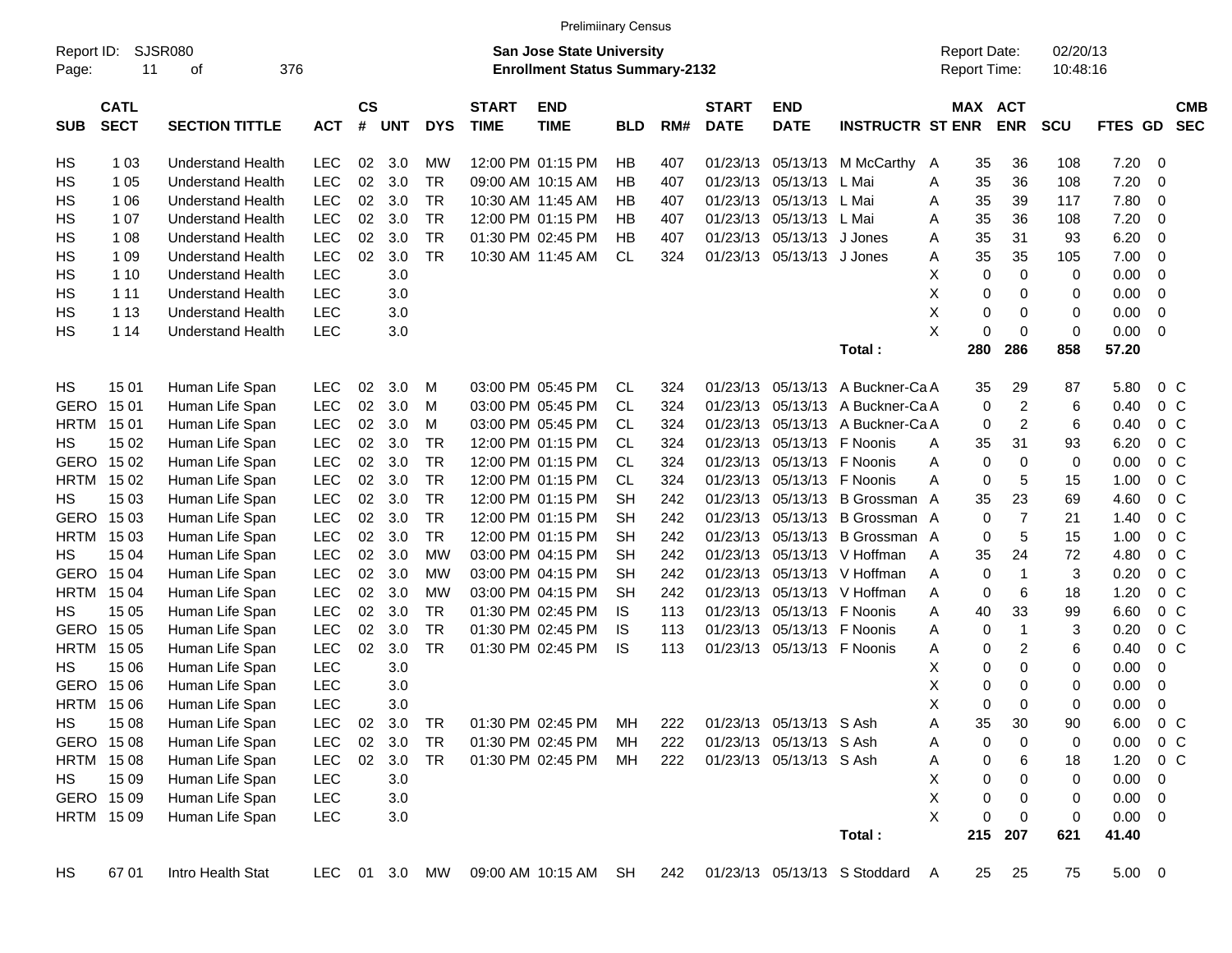|                     |                            |                          |               |                    |            |            |                             | <b>Prelimiinary Census</b>                                                |            |     |                             |                            |                                    |   |     |                                     |                      |             |                          |                          |
|---------------------|----------------------------|--------------------------|---------------|--------------------|------------|------------|-----------------------------|---------------------------------------------------------------------------|------------|-----|-----------------------------|----------------------------|------------------------------------|---|-----|-------------------------------------|----------------------|-------------|--------------------------|--------------------------|
| Report ID:<br>Page: | 11                         | SJSR080<br>376<br>οf     |               |                    |            |            |                             | <b>San Jose State University</b><br><b>Enrollment Status Summary-2132</b> |            |     |                             |                            |                                    |   |     | <b>Report Date:</b><br>Report Time: | 02/20/13<br>10:48:16 |             |                          |                          |
| <b>SUB</b>          | <b>CATL</b><br><b>SECT</b> | <b>SECTION TITTLE</b>    | <b>ACT</b>    | $\mathsf{cs}$<br># | <b>UNT</b> | <b>DYS</b> | <b>START</b><br><b>TIME</b> | <b>END</b><br><b>TIME</b>                                                 | <b>BLD</b> | RM# | <b>START</b><br><b>DATE</b> | <b>END</b><br><b>DATE</b>  | <b>INSTRUCTR ST ENR</b>            |   |     | MAX ACT<br><b>ENR</b>               | <b>SCU</b>           | FTES GD     |                          | <b>CMB</b><br><b>SEC</b> |
| HS                  | 1 0 3                      | <b>Understand Health</b> | <b>LEC</b>    | 02                 | 3.0        | MW         |                             | 12:00 PM 01:15 PM                                                         | НB         | 407 | 01/23/13                    | 05/13/13                   | M McCarthy                         | A | 35  | 36                                  | 108                  | 7.20        | 0                        |                          |
| HS.                 | 1 0 5                      | <b>Understand Health</b> | <b>LEC</b>    | 02                 | 3.0        | TR         |                             | 09:00 AM 10:15 AM                                                         | ΗB         | 407 | 01/23/13                    | 05/13/13                   | L Mai                              | Α | 35  | 36                                  | 108                  | 7.20        | 0                        |                          |
| HS                  | 1 0 6                      | <b>Understand Health</b> | <b>LEC</b>    | 02                 | 3.0        | <b>TR</b>  |                             | 10:30 AM 11:45 AM                                                         | НB         | 407 | 01/23/13                    | 05/13/13 L Mai             |                                    | A | 35  | 39                                  | 117                  | 7.80        | 0                        |                          |
| HS                  | 1 0 7                      | <b>Understand Health</b> | <b>LEC</b>    | 02                 | 3.0        | <b>TR</b>  |                             | 12:00 PM 01:15 PM                                                         | НB         | 407 | 01/23/13                    | 05/13/13 L Mai             |                                    | A | 35  | 36                                  | 108                  | 7.20        | 0                        |                          |
| HS                  | 1 0 8                      | <b>Understand Health</b> | <b>LEC</b>    | 02                 | 3.0        | <b>TR</b>  |                             | 01:30 PM 02:45 PM                                                         | HB         | 407 | 01/23/13                    | 05/13/13                   | J Jones                            | A | 35  | 31                                  | 93                   | 6.20        | 0                        |                          |
| HS                  | 1 0 9                      | <b>Understand Health</b> | <b>LEC</b>    | 02                 | 3.0        | <b>TR</b>  |                             | 10:30 AM 11:45 AM                                                         | CL         | 324 |                             | 01/23/13 05/13/13 J Jones  |                                    | Α | 35  | 35                                  | 105                  | 7.00        | 0                        |                          |
| HS                  | 1 10                       | <b>Understand Health</b> | <b>LEC</b>    |                    | 3.0        |            |                             |                                                                           |            |     |                             |                            |                                    | X | 0   | $\mathbf 0$                         | 0                    | 0.00        | 0                        |                          |
| HS                  | 1 1 1                      | <b>Understand Health</b> | <b>LEC</b>    |                    | 3.0        |            |                             |                                                                           |            |     |                             |                            |                                    | X | 0   | 0                                   | 0                    | 0.00        | 0                        |                          |
| НS                  | 1 1 3                      | <b>Understand Health</b> | <b>LEC</b>    |                    | 3.0        |            |                             |                                                                           |            |     |                             |                            |                                    | X | 0   | 0                                   | 0                    | 0.00        | 0                        |                          |
| HS.                 | 1 14                       | <b>Understand Health</b> | <b>LEC</b>    |                    | 3.0        |            |                             |                                                                           |            |     |                             |                            |                                    | X | 0   | $\mathbf 0$                         | 0                    | 0.00        | 0                        |                          |
|                     |                            |                          |               |                    |            |            |                             |                                                                           |            |     |                             |                            | Total:                             |   | 280 | 286                                 | 858                  | 57.20       |                          |                          |
| HS                  | 15 01                      | Human Life Span          | <b>LEC</b>    | 02                 | 3.0        | M          |                             | 03:00 PM 05:45 PM                                                         | CL         | 324 | 01/23/13                    | 05/13/13                   | A Buckner-Ca A                     |   | 35  | 29                                  | 87                   | 5.80        | 0 <sup>o</sup>           |                          |
| <b>GERO</b>         | 15 01                      | Human Life Span          | <b>LEC</b>    | 02                 | 3.0        | M          |                             | 03:00 PM 05:45 PM                                                         | CL.        | 324 | 01/23/13                    | 05/13/13                   | A Buckner-Ca A                     |   | 0   | $\overline{c}$                      | 6                    | 0.40        | 0 <sup>o</sup>           |                          |
| <b>HRTM</b>         | 15 01                      | Human Life Span          | <b>LEC</b>    | 02                 | 3.0        | M          |                             | 03:00 PM 05:45 PM                                                         | CL         | 324 | 01/23/13                    | 05/13/13                   | A Buckner-Ca A                     |   | 0   | 2                                   | 6                    | 0.40        | 0 <sup>o</sup>           |                          |
| HS                  | 15 02                      | Human Life Span          | <b>LEC</b>    | 02                 | 3.0        | <b>TR</b>  |                             | 12:00 PM 01:15 PM                                                         | <b>CL</b>  | 324 | 01/23/13                    |                            | 05/13/13 F Noonis                  | A | 35  | 31                                  | 93                   | 6.20        | 0 <sup>o</sup>           |                          |
| GERO                | 15 02                      | Human Life Span          | <b>LEC</b>    | 02                 | 3.0        | <b>TR</b>  |                             | 12:00 PM 01:15 PM                                                         | <b>CL</b>  | 324 | 01/23/13                    |                            | 05/13/13 F Noonis                  | A | 0   | 0                                   | 0                    | 0.00        | 0 <sup>o</sup>           |                          |
| <b>HRTM</b>         | 15 02                      | Human Life Span          | <b>LEC</b>    | 02                 | 3.0        | <b>TR</b>  |                             | 12:00 PM 01:15 PM                                                         | <b>CL</b>  | 324 | 01/23/13                    |                            | 05/13/13 F Noonis                  | A | 0   | 5                                   | 15                   | 1.00        | 0 <sup>o</sup>           |                          |
| HS.                 | 15 03                      | Human Life Span          | <b>LEC</b>    | 02                 | 3.0        | <b>TR</b>  |                             | 12:00 PM 01:15 PM                                                         | SH         | 242 | 01/23/13                    | 05/13/13                   | B Grossman A                       |   | 35  | 23                                  | 69                   | 4.60        | 0 <sup>o</sup>           |                          |
| GERO 1503           |                            | Human Life Span          | <b>LEC</b>    | 02                 | 3.0        | <b>TR</b>  |                             | 12:00 PM 01:15 PM                                                         | <b>SH</b>  | 242 | 01/23/13                    | 05/13/13                   | B Grossman A                       |   | 0   | $\overline{7}$                      | 21                   | 1.40        | 0 <sup>o</sup>           |                          |
| <b>HRTM</b>         | 15 03                      | Human Life Span          | <b>LEC</b>    | 02                 | 3.0        | <b>TR</b>  |                             | 12:00 PM 01:15 PM                                                         | <b>SH</b>  | 242 | 01/23/13                    | 05/13/13                   | B Grossman A                       |   | 0   | 5                                   | 15                   | 1.00        | 0 <sup>o</sup>           |                          |
| HS.                 | 15 04                      | Human Life Span          | <b>LEC</b>    | 02                 | 3.0        | <b>MW</b>  |                             | 03:00 PM 04:15 PM                                                         | SH         | 242 | 01/23/13                    |                            | 05/13/13 V Hoffman                 | A | 35  | 24                                  | 72                   | 4.80        | 0 <sup>o</sup>           |                          |
| GERO 1504           |                            | Human Life Span          | <b>LEC</b>    | 02                 | 3.0        | МW         |                             | 03:00 PM 04:15 PM                                                         | <b>SH</b>  | 242 | 01/23/13                    |                            | 05/13/13 V Hoffman                 | A | 0   | $\mathbf 1$                         | 3                    | 0.20        | 0 <sup>o</sup>           |                          |
| <b>HRTM</b>         | 15 04                      | Human Life Span          | <b>LEC</b>    | 02                 | 3.0        | МW         |                             | 03:00 PM 04:15 PM                                                         | <b>SH</b>  | 242 | 01/23/13                    |                            | 05/13/13 V Hoffman                 | A | 0   | 6                                   | 18                   | 1.20        | 0 <sup>o</sup>           |                          |
| HS.                 | 15 05                      | Human Life Span          | <b>LEC</b>    | 02                 | 3.0        | <b>TR</b>  |                             | 01:30 PM 02:45 PM                                                         | IS.        | 113 | 01/23/13                    |                            | 05/13/13 F Noonis                  | Α | 40  | 33                                  | 99                   | 6.60        | 0 <sup>o</sup>           |                          |
| GERO 15 05          |                            | Human Life Span          | <b>LEC</b>    | 02                 | 3.0        | <b>TR</b>  |                             | 01:30 PM 02:45 PM                                                         | IS.        | 113 | 01/23/13                    |                            | 05/13/13 F Noonis                  | A | 0   | $\mathbf{1}$                        | 3                    | 0.20        | 0 <sup>o</sup>           |                          |
| <b>HRTM</b>         | 15 05                      | Human Life Span          | <b>LEC</b>    | 02                 | 3.0        | <b>TR</b>  |                             | 01:30 PM 02:45 PM                                                         | IS         | 113 |                             | 01/23/13 05/13/13 F Noonis |                                    | A | 0   | 2                                   | 6                    | 0.40        | 0 <sup>o</sup>           |                          |
| HS                  | 15 06                      | Human Life Span          | <b>LEC</b>    |                    | 3.0        |            |                             |                                                                           |            |     |                             |                            |                                    | X | 0   | 0                                   | 0                    | 0.00        | 0                        |                          |
| GERO                | 15 06                      | Human Life Span          | <b>LEC</b>    |                    | 3.0        |            |                             |                                                                           |            |     |                             |                            |                                    | X | 0   | 0                                   | 0                    | 0.00        | 0                        |                          |
| <b>HRTM 1506</b>    |                            | Human Life Span          | <b>LEC</b>    |                    | 3.0        |            |                             |                                                                           |            |     |                             |                            |                                    | X | 0   | $\Omega$                            | 0                    | 0.00        | 0                        |                          |
| HS                  | 15 08                      | Human Life Span          | <b>LEC</b>    |                    | 02 3.0     | TR         |                             | 01:30 PM 02:45 PM                                                         | МH         | 222 |                             | 01/23/13 05/13/13 S Ash    |                                    | A | 35  | 30                                  | 90                   | 6.00        | $0\,$ C                  |                          |
| GERO 1508           |                            | Human Life Span          | <b>LEC</b>    |                    | 02 3.0     | TR         |                             | 01:30 PM 02:45 PM                                                         | MН         | 222 |                             | 01/23/13 05/13/13 S Ash    |                                    | A | 0   | $\boldsymbol{0}$                    | 0                    | 0.00        | 0 <sup>o</sup>           |                          |
| HRTM 1508           |                            | Human Life Span          | <b>LEC</b>    | 02                 | 3.0        | TR         |                             | 01:30 PM 02:45 PM                                                         | МH         | 222 |                             | 01/23/13 05/13/13 S Ash    |                                    | Α | 0   | 6                                   | 18                   | 1.20        | $0\,$ C                  |                          |
| HS                  | 15 09                      | Human Life Span          | <b>LEC</b>    |                    | 3.0        |            |                             |                                                                           |            |     |                             |                            |                                    | X | 0   | 0                                   | 0                    | 0.00        | 0                        |                          |
| GERO 1509           |                            | Human Life Span          | <b>LEC</b>    |                    | 3.0        |            |                             |                                                                           |            |     |                             |                            |                                    | Χ | 0   | 0                                   | 0                    | 0.00        | - 0                      |                          |
|                     | HRTM 1509                  | Human Life Span          | <b>LEC</b>    |                    | 3.0        |            |                             |                                                                           |            |     |                             |                            |                                    | X | 0   | 0                                   | 0                    | 0.00        | $\overline{\phantom{0}}$ |                          |
|                     |                            |                          |               |                    |            |            |                             |                                                                           |            |     |                             |                            | Total:                             |   |     | 215 207                             | 621                  | 41.40       |                          |                          |
| HS                  | 67 01                      | Intro Health Stat        | LEC 01 3.0 MW |                    |            |            |                             | 09:00 AM 10:15 AM SH                                                      |            |     |                             |                            | 242 01/23/13 05/13/13 S Stoddard A |   | 25  | 25                                  | 75                   | $5.00 \t 0$ |                          |                          |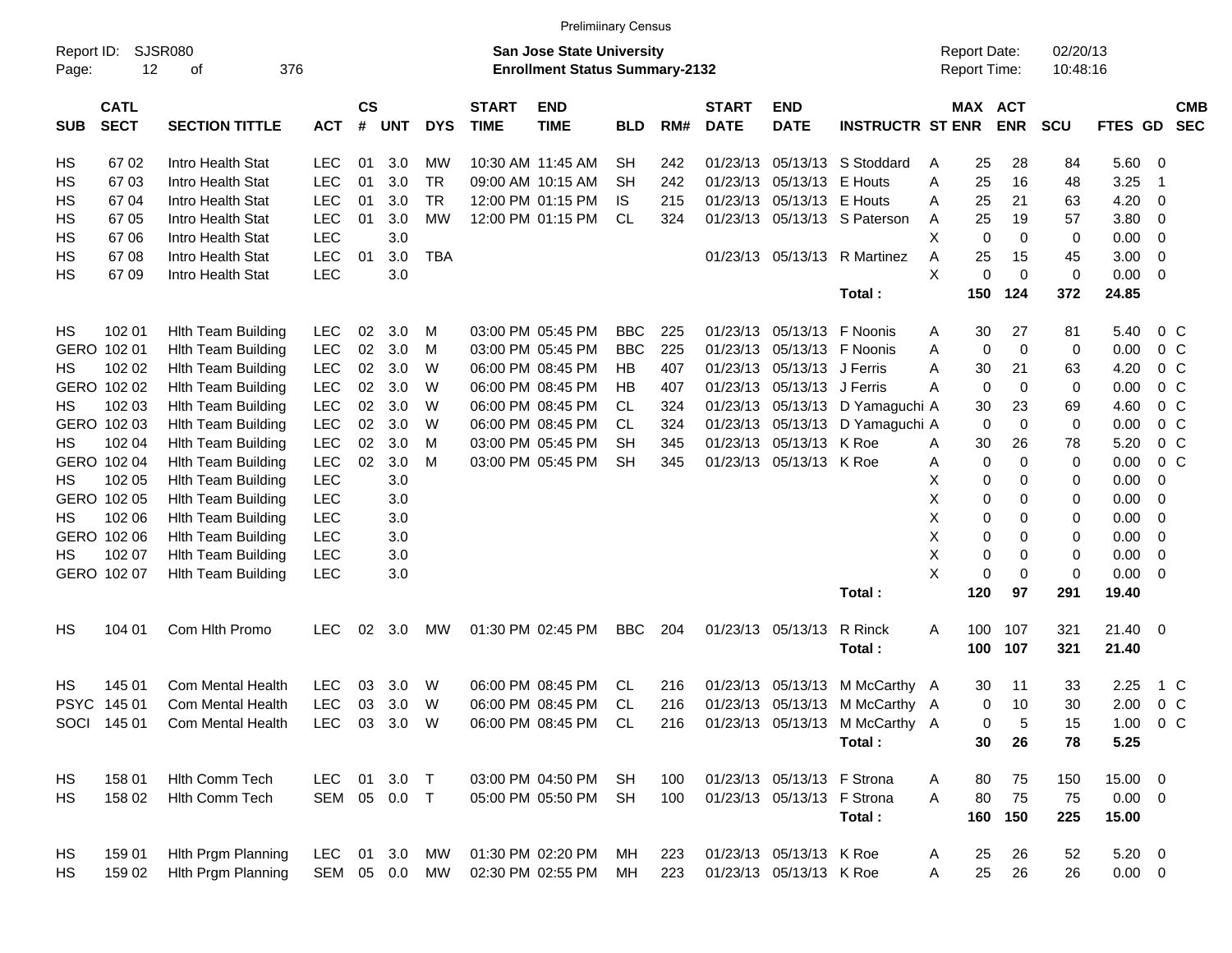|                     |                            |                           |            |                    |            |            |                             | <b>Prelimiinary Census</b>                                                |            |     |                             |                            |                                |                                     |             |                       |                      |                |                         |                          |
|---------------------|----------------------------|---------------------------|------------|--------------------|------------|------------|-----------------------------|---------------------------------------------------------------------------|------------|-----|-----------------------------|----------------------------|--------------------------------|-------------------------------------|-------------|-----------------------|----------------------|----------------|-------------------------|--------------------------|
| Report ID:<br>Page: | 12                         | SJSR080<br>376<br>οf      |            |                    |            |            |                             | <b>San Jose State University</b><br><b>Enrollment Status Summary-2132</b> |            |     |                             |                            |                                | <b>Report Date:</b><br>Report Time: |             |                       | 02/20/13<br>10:48:16 |                |                         |                          |
| <b>SUB</b>          | <b>CATL</b><br><b>SECT</b> | <b>SECTION TITTLE</b>     | <b>ACT</b> | $\mathsf{cs}$<br># | <b>UNT</b> | <b>DYS</b> | <b>START</b><br><b>TIME</b> | <b>END</b><br><b>TIME</b>                                                 | <b>BLD</b> | RM# | <b>START</b><br><b>DATE</b> | <b>END</b><br><b>DATE</b>  | <b>INSTRUCTR ST ENR</b>        |                                     |             | MAX ACT<br><b>ENR</b> | <b>SCU</b>           | FTES GD        |                         | <b>CMB</b><br><b>SEC</b> |
| HS                  | 67 02                      | Intro Health Stat         | <b>LEC</b> | 01                 | 3.0        | МW         |                             | 10:30 AM 11:45 AM                                                         | SН         | 242 | 01/23/13                    | 05/13/13                   | S Stoddard                     | Α                                   | 25          | 28                    | 84                   | 5.60           | $\overline{0}$          |                          |
| HS                  | 6703                       | Intro Health Stat         | <b>LEC</b> | 01                 | 3.0        | <b>TR</b>  |                             | 09:00 AM 10:15 AM                                                         | <b>SH</b>  | 242 | 01/23/13                    | 05/13/13                   | E Houts                        | A                                   | 25          | 16                    | 48                   | 3.25           | $\overline{\mathbf{1}}$ |                          |
| HS                  | 67 04                      | Intro Health Stat         | <b>LEC</b> | 01                 | 3.0        | <b>TR</b>  |                             | 12:00 PM 01:15 PM                                                         | IS         | 215 | 01/23/13                    | 05/13/13                   | E Houts                        | Α                                   | 25          | 21                    | 63                   | 4.20           | 0                       |                          |
| HS                  | 67 05                      | Intro Health Stat         | <b>LEC</b> | 01                 | 3.0        | <b>MW</b>  |                             | 12:00 PM 01:15 PM                                                         | CL         | 324 |                             | 01/23/13 05/13/13          | S Paterson                     | Α                                   | 25          | 19                    | 57                   | 3.80           | 0                       |                          |
| HS                  | 6706                       | Intro Health Stat         | <b>LEC</b> |                    | 3.0        |            |                             |                                                                           |            |     |                             |                            |                                | Χ                                   | $\mathbf 0$ | $\mathbf 0$           | 0                    | 0.00           | 0                       |                          |
| НS                  | 6708                       | Intro Health Stat         | <b>LEC</b> | 01                 | 3.0        | <b>TBA</b> |                             |                                                                           |            |     |                             | 01/23/13 05/13/13          | R Martinez                     | Α                                   | 25          | 15                    | 45                   | 3.00           | 0                       |                          |
| HS                  | 67 09                      | Intro Health Stat         | <b>LEC</b> |                    | 3.0        |            |                             |                                                                           |            |     |                             |                            |                                | X                                   | 0           | $\mathbf 0$           | $\mathbf 0$          | 0.00           | 0                       |                          |
|                     |                            |                           |            |                    |            |            |                             |                                                                           |            |     |                             |                            | Total:                         |                                     | 150         | 124                   | 372                  | 24.85          |                         |                          |
| <b>HS</b>           | 102 01                     | <b>Hlth Team Building</b> | <b>LEC</b> | 02                 | 3.0        | M          |                             | 03:00 PM 05:45 PM                                                         | <b>BBC</b> | 225 |                             | 01/23/13 05/13/13          | F Noonis                       | A                                   | 30          | 27                    | 81                   | 5.40           | $0\,$ C                 |                          |
|                     | GERO 102 01                | <b>Hlth Team Building</b> | <b>LEC</b> | 02                 | 3.0        | M          |                             | 03:00 PM 05:45 PM                                                         | <b>BBC</b> | 225 | 01/23/13                    | 05/13/13                   | F Noonis                       | Α                                   | 0           | 0                     | 0                    | 0.00           | 0 <sup>o</sup>          |                          |
| HS                  | 102 02                     | <b>Hlth Team Building</b> | <b>LEC</b> | 02                 | 3.0        | W          |                             | 06:00 PM 08:45 PM                                                         | <b>HB</b>  | 407 | 01/23/13                    | 05/13/13                   | J Ferris                       | Α                                   | 30          | 21                    | 63                   | 4.20           | 0 <sup>o</sup>          |                          |
|                     | GERO 102 02                | <b>Hlth Team Building</b> | <b>LEC</b> | 02                 | 3.0        | W          |                             | 06:00 PM 08:45 PM                                                         | HB         | 407 | 01/23/13                    | 05/13/13                   | J Ferris                       | Α                                   | 0           | 0                     | 0                    | 0.00           | 0 <sup>o</sup>          |                          |
| НS                  | 102 03                     | <b>Hlth Team Building</b> | <b>LEC</b> | 02                 | 3.0        | W          |                             | 06:00 PM 08:45 PM                                                         | CL         | 324 | 01/23/13                    | 05/13/13                   | D Yamaguchi A                  |                                     | 30          | 23                    | 69                   | 4.60           | 0 <sup>o</sup>          |                          |
|                     | GERO 102 03                | <b>Hlth Team Building</b> | <b>LEC</b> | 02                 | 3.0        | W          |                             | 06:00 PM 08:45 PM                                                         | CL         | 324 | 01/23/13                    | 05/13/13                   | D Yamaguchi A                  |                                     | 0           | $\mathbf 0$           | 0                    | 0.00           | 0 <sup>o</sup>          |                          |
| НS                  | 102 04                     | <b>Hlth Team Building</b> | <b>LEC</b> | 02                 | 3.0        | M          |                             | 03:00 PM 05:45 PM                                                         | <b>SH</b>  | 345 | 01/23/13                    | 05/13/13                   | K Roe                          | Α                                   | 30          | 26                    | 78                   | 5.20           | 0 <sup>o</sup>          |                          |
|                     | GERO 102 04                | <b>Hlth Team Building</b> | LEC        | 02                 | 3.0        | M          |                             | 03:00 PM 05:45 PM                                                         | <b>SH</b>  | 345 | 01/23/13                    | 05/13/13                   | K Roe                          | Α                                   | 0           | $\mathbf 0$           | 0                    | 0.00           | 0 <sup>o</sup>          |                          |
| НS                  | 102 05                     | <b>Hlth Team Building</b> | <b>LEC</b> |                    | 3.0        |            |                             |                                                                           |            |     |                             |                            |                                | х                                   | 0           | 0                     | 0                    | 0.00           | 0                       |                          |
|                     | GERO 102 05                | <b>Hlth Team Building</b> | <b>LEC</b> |                    | 3.0        |            |                             |                                                                           |            |     |                             |                            |                                | Χ                                   | 0           | 0                     | 0                    | 0.00           | 0                       |                          |
| НS                  | 102 06                     | <b>Hlth Team Building</b> | <b>LEC</b> |                    | 3.0        |            |                             |                                                                           |            |     |                             |                            |                                | Χ                                   | 0           | 0                     | 0                    | 0.00           | 0                       |                          |
|                     | GERO 102 06                | <b>Hlth Team Building</b> | LEC        |                    | 3.0        |            |                             |                                                                           |            |     |                             |                            |                                | Χ                                   | 0           | 0                     | 0                    | 0.00           | 0                       |                          |
| НS                  | 102 07                     | <b>Hlth Team Building</b> | LEC        |                    | 3.0        |            |                             |                                                                           |            |     |                             |                            |                                | X                                   | 0           | 0                     | 0                    | 0.00           | 0                       |                          |
|                     | GERO 102 07                | <b>Hith Team Building</b> | LEC        |                    | 3.0        |            |                             |                                                                           |            |     |                             |                            |                                | X                                   | 0           | $\mathbf 0$           | 0                    | 0.00           | 0                       |                          |
|                     |                            |                           |            |                    |            |            |                             |                                                                           |            |     |                             |                            | Total:                         |                                     | 120         | 97                    | 291                  | 19.40          |                         |                          |
| HS                  | 104 01                     | Com Hlth Promo            | <b>LEC</b> | 02                 | 3.0        | MW         |                             | 01:30 PM 02:45 PM                                                         | <b>BBC</b> | 204 |                             | 01/23/13 05/13/13          | R Rinck<br>Total:              | Α                                   | 100<br>100  | 107<br>107            | 321<br>321           | 21.40<br>21.40 | $\overline{\mathbf{0}}$ |                          |
| HS                  | 145 01                     | Com Mental Health         | <b>LEC</b> | 03                 | 3.0        | W          |                             | 06:00 PM 08:45 PM                                                         | CL         | 216 | 01/23/13                    | 05/13/13                   | M McCarthy A                   |                                     | 30          | 11                    | 33                   | 2.25           | 1 C                     |                          |
| <b>PSYC</b>         | 145 01                     | <b>Com Mental Health</b>  | <b>LEC</b> | 03                 | 3.0        | W          |                             | 06:00 PM 08:45 PM                                                         | CL         | 216 |                             | 01/23/13 05/13/13          | M McCarthy A                   |                                     | 0           | 10                    | 30                   | 2.00           | 0 <sup>o</sup>          |                          |
|                     | SOCI 145 01                | Com Mental Health         | <b>LEC</b> |                    | 03 3.0     | W          |                             | 06:00 PM 08:45 PM                                                         | CL         | 216 |                             |                            | 01/23/13 05/13/13 M McCarthy A |                                     | 0           | 5                     | 15                   | 1.00           | $0\,C$                  |                          |
|                     |                            |                           |            |                    |            |            |                             |                                                                           |            |     |                             |                            | Total:                         |                                     | 30          | 26                    | 78                   | 5.25           |                         |                          |
| HS                  | 158 01                     | Hlth Comm Tech            | <b>LEC</b> |                    | 01 3.0     | $\top$     |                             | 03:00 PM 04:50 PM                                                         | SH         | 100 |                             | 01/23/13 05/13/13 F Strona |                                | A                                   | 80          | 75                    | 150                  | 15.00 0        |                         |                          |
| HS                  | 158 02                     | Hith Comm Tech            | SEM 05 0.0 |                    |            | $\top$     |                             | 05:00 PM 05:50 PM                                                         | <b>SH</b>  | 100 |                             | 01/23/13 05/13/13 F Strona |                                | A                                   | 80          | 75                    | 75                   | $0.00 \t 0$    |                         |                          |
|                     |                            |                           |            |                    |            |            |                             |                                                                           |            |     |                             |                            | Total:                         |                                     | 160         | 150                   | 225                  | 15.00          |                         |                          |
| HS                  | 159 01                     | Hith Prgm Planning        | <b>LEC</b> |                    | 01 3.0     | MW         |                             | 01:30 PM 02:20 PM                                                         | МH         | 223 |                             | 01/23/13 05/13/13 K Roe    |                                | A                                   | 25          | 26                    | 52                   | $5.20 \ 0$     |                         |                          |
| <b>HS</b>           | 159 02                     | Hith Prgm Planning        | SEM 05 0.0 |                    |            | MW         |                             | 02:30 PM 02:55 PM                                                         | МH         | 223 |                             | 01/23/13 05/13/13 K Roe    |                                | A                                   | 25          | 26                    | 26                   | $0.00 \t 0$    |                         |                          |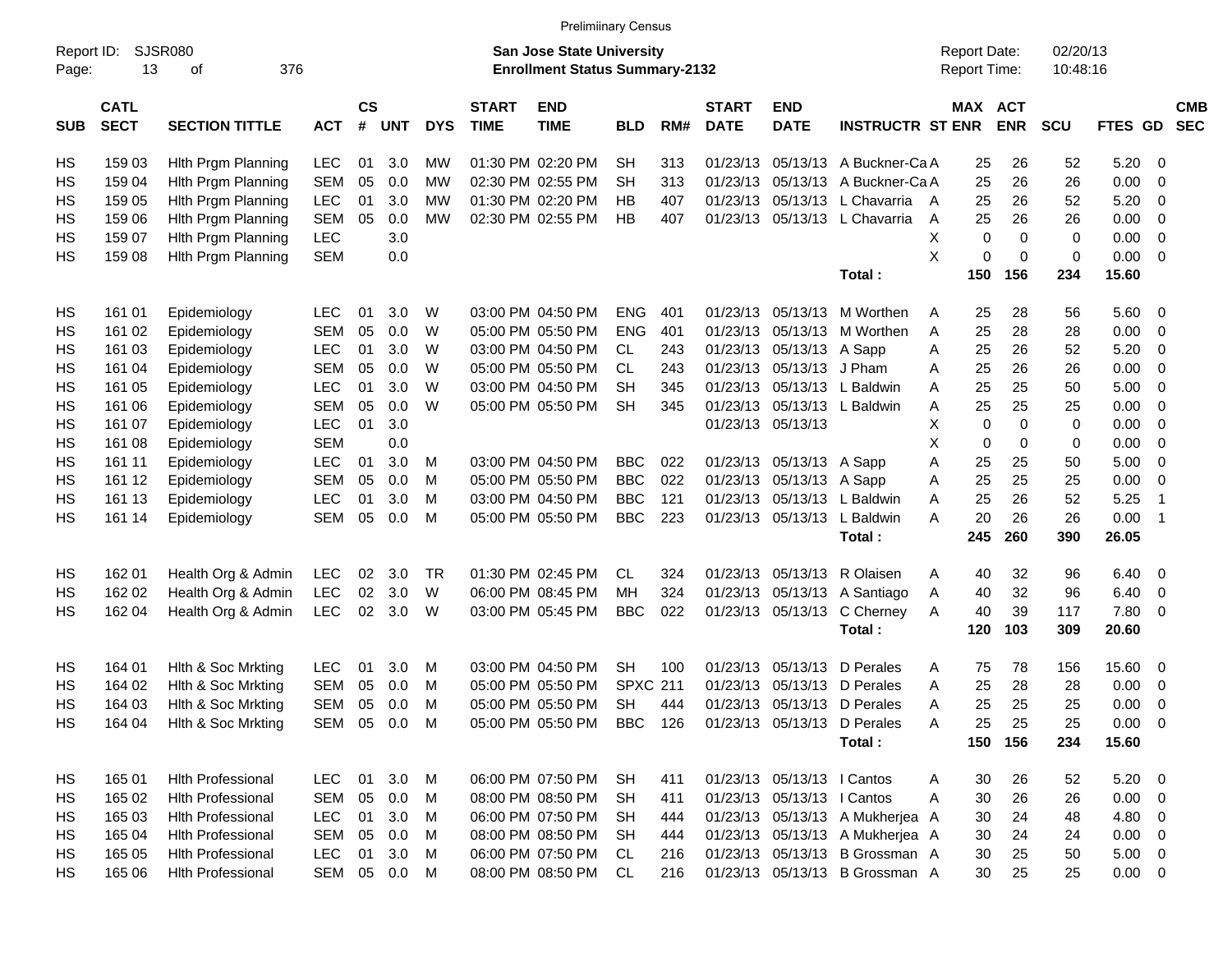|                     |                            |                             |            |                    |            |            |                             | <b>Prelimiinary Census</b>                                                |                 |     |                             |                            |                                 |   |                                            |             |                      |             |                          |                          |
|---------------------|----------------------------|-----------------------------|------------|--------------------|------------|------------|-----------------------------|---------------------------------------------------------------------------|-----------------|-----|-----------------------------|----------------------------|---------------------------------|---|--------------------------------------------|-------------|----------------------|-------------|--------------------------|--------------------------|
| Report ID:<br>Page: | 13                         | <b>SJSR080</b><br>376<br>оf |            |                    |            |            |                             | <b>San Jose State University</b><br><b>Enrollment Status Summary-2132</b> |                 |     |                             |                            |                                 |   | <b>Report Date:</b><br><b>Report Time:</b> |             | 02/20/13<br>10:48:16 |             |                          |                          |
| <b>SUB</b>          | <b>CATL</b><br><b>SECT</b> | <b>SECTION TITTLE</b>       | <b>ACT</b> | $\mathsf{cs}$<br># | <b>UNT</b> | <b>DYS</b> | <b>START</b><br><b>TIME</b> | <b>END</b><br><b>TIME</b>                                                 | <b>BLD</b>      | RM# | <b>START</b><br><b>DATE</b> | <b>END</b><br><b>DATE</b>  | <b>INSTRUCTR ST ENR</b>         |   | MAX ACT                                    | <b>ENR</b>  | <b>SCU</b>           | FTES GD     |                          | <b>CMB</b><br><b>SEC</b> |
| HS                  | 159 03                     | Hith Prgm Planning          | LEC        | 01                 | 3.0        | МW         |                             | 01:30 PM 02:20 PM                                                         | <b>SH</b>       | 313 | 01/23/13                    | 05/13/13                   | A Buckner-Ca A                  |   | 25                                         | 26          | 52                   | 5.20        | - 0                      |                          |
| HS                  | 159 04                     | Hith Prgm Planning          | <b>SEM</b> | 05                 | 0.0        | МW         |                             | 02:30 PM 02:55 PM                                                         | <b>SH</b>       | 313 | 01/23/13                    | 05/13/13                   | A Buckner-Ca A                  |   | 25                                         | 26          | 26                   | 0.00        | 0                        |                          |
| HS                  | 159 05                     | Hith Prgm Planning          | <b>LEC</b> | 01                 | 3.0        | МW         |                             | 01:30 PM 02:20 PM                                                         | HB              | 407 | 01/23/13                    | 05/13/13                   | L Chavarria                     | A | 25                                         | 26          | 52                   | 5.20        | 0                        |                          |
| HS                  | 159 06                     | Hith Prgm Planning          | <b>SEM</b> | 05                 | 0.0        | МW         |                             | 02:30 PM 02:55 PM                                                         | HB              | 407 | 01/23/13                    | 05/13/13                   | L Chavarria                     | Α | 25                                         | 26          | 26                   | 0.00        | 0                        |                          |
| HS                  | 159 07                     | Hith Prgm Planning          | <b>LEC</b> |                    | 3.0        |            |                             |                                                                           |                 |     |                             |                            |                                 | X | 0                                          | $\mathbf 0$ | 0                    | 0.00        | 0                        |                          |
| HS                  | 159 08                     | Hith Prgm Planning          | <b>SEM</b> |                    | 0.0        |            |                             |                                                                           |                 |     |                             |                            |                                 | X | 0                                          | 0           | 0                    | 0.00        | $\mathbf 0$              |                          |
|                     |                            |                             |            |                    |            |            |                             |                                                                           |                 |     |                             |                            | Total:                          |   | 150                                        | 156         | 234                  | 15.60       |                          |                          |
| HS                  | 161 01                     | Epidemiology                | <b>LEC</b> | 01                 | 3.0        | W          |                             | 03:00 PM 04:50 PM                                                         | <b>ENG</b>      | 401 | 01/23/13                    | 05/13/13                   | M Worthen                       | A | 25                                         | 28          | 56                   | 5.60        | - 0                      |                          |
| HS                  | 161 02                     | Epidemiology                | <b>SEM</b> | 05                 | 0.0        | W          |                             | 05:00 PM 05:50 PM                                                         | <b>ENG</b>      | 401 | 01/23/13                    | 05/13/13                   | M Worthen                       | Α | 25                                         | 28          | 28                   | 0.00        | 0                        |                          |
| HS                  | 161 03                     | Epidemiology                | <b>LEC</b> | 01                 | 3.0        | W          |                             | 03:00 PM 04:50 PM                                                         | CL              | 243 | 01/23/13                    | 05/13/13                   | A Sapp                          | Α | 25                                         | 26          | 52                   | 5.20        | 0                        |                          |
| HS                  | 161 04                     | Epidemiology                | <b>SEM</b> | 05                 | 0.0        | W          |                             | 05:00 PM 05:50 PM                                                         | CL.             | 243 | 01/23/13                    | 05/13/13                   | J Pham                          | Α | 25                                         | 26          | 26                   | 0.00        | 0                        |                          |
| HS                  | 161 05                     | Epidemiology                | LEC        | 01                 | 3.0        | W          |                             | 03:00 PM 04:50 PM                                                         | <b>SH</b>       | 345 | 01/23/13                    | 05/13/13                   | L Baldwin                       | Α | 25                                         | 25          | 50                   | 5.00        | 0                        |                          |
| HS                  | 161 06                     | Epidemiology                | <b>SEM</b> | 05                 | 0.0        | W          |                             | 05:00 PM 05:50 PM                                                         | <b>SH</b>       | 345 | 01/23/13                    | 05/13/13                   | L Baldwin                       | Α | 25                                         | 25          | 25                   | 0.00        | 0                        |                          |
| HS                  | 161 07                     | Epidemiology                | <b>LEC</b> | 01                 | 3.0        |            |                             |                                                                           |                 |     | 01/23/13                    | 05/13/13                   |                                 | Х | 0                                          | 0           | 0                    | 0.00        | 0                        |                          |
| HS                  | 161 08                     | Epidemiology                | <b>SEM</b> |                    | 0.0        |            |                             |                                                                           |                 |     |                             |                            |                                 | Х | 0                                          | 0           | 0                    | 0.00        | 0                        |                          |
| HS                  | 161 11                     | Epidemiology                | <b>LEC</b> | 01                 | 3.0        | M          |                             | 03:00 PM 04:50 PM                                                         | <b>BBC</b>      | 022 | 01/23/13                    | 05/13/13                   | A Sapp                          | Α | 25                                         | 25          | 50                   | 5.00        | 0                        |                          |
| HS                  | 161 12                     | Epidemiology                | <b>SEM</b> | 05                 | 0.0        | M          |                             | 05:00 PM 05:50 PM                                                         | <b>BBC</b>      | 022 | 01/23/13                    | 05/13/13                   | A Sapp                          | Α | 25                                         | 25          | 25                   | 0.00        | 0                        |                          |
| НS                  | 161 13                     | Epidemiology                | LEC        | 01                 | 3.0        | M          |                             | 03:00 PM 04:50 PM                                                         | <b>BBC</b>      | 121 | 01/23/13                    | 05/13/13                   | L Baldwin                       | Α | 25                                         | 26          | 52                   | 5.25        | $\overline{\mathbf{1}}$  |                          |
| HS                  | 161 14                     | Epidemiology                | <b>SEM</b> | 05                 | 0.0        | M          |                             | 05:00 PM 05:50 PM                                                         | <b>BBC</b>      | 223 | 01/23/13                    | 05/13/13                   | L Baldwin                       | А | 20                                         | 26          | 26                   | 0.00        | $\overline{\mathbf{1}}$  |                          |
|                     |                            |                             |            |                    |            |            |                             |                                                                           |                 |     |                             |                            | Total:                          |   | 245                                        | 260         | 390                  | 26.05       |                          |                          |
| HS                  | 162 01                     | Health Org & Admin          | LEC        | 02                 | 3.0        | <b>TR</b>  |                             | 01:30 PM 02:45 PM                                                         | CL              | 324 | 01/23/13                    | 05/13/13                   | R Olaisen                       | A | 40                                         | 32          | 96                   | 6.40        | - 0                      |                          |
| HS                  | 162 02                     | Health Org & Admin          | LEC        | 02                 | 3.0        | W          |                             | 06:00 PM 08:45 PM                                                         | MН              | 324 | 01/23/13                    | 05/13/13                   | A Santiago                      | Α | 40                                         | 32          | 96                   | 6.40        | 0                        |                          |
| HS                  | 162 04                     | Health Org & Admin          | <b>LEC</b> | 02                 | 3.0        | W          |                             | 03:00 PM 05:45 PM                                                         | <b>BBC</b>      | 022 | 01/23/13                    | 05/13/13                   | C Cherney                       | Α | 40                                         | 39          | 117                  | 7.80        | 0                        |                          |
|                     |                            |                             |            |                    |            |            |                             |                                                                           |                 |     |                             |                            | Total:                          |   | 120                                        | 103         | 309                  | 20.60       |                          |                          |
| HS                  | 164 01                     | Hith & Soc Mrkting          | <b>LEC</b> | 01                 | 3.0        | M          |                             | 03:00 PM 04:50 PM                                                         | <b>SH</b>       | 100 | 01/23/13                    | 05/13/13                   | D Perales                       | A | 75                                         | 78          | 156                  | 15.60       | 0                        |                          |
| HS                  | 164 02                     | Hith & Soc Mrkting          | <b>SEM</b> | 05                 | 0.0        | M          |                             | 05:00 PM 05:50 PM                                                         | <b>SPXC 211</b> |     | 01/23/13                    | 05/13/13                   | D Perales                       | A | 25                                         | 28          | 28                   | 0.00        | 0                        |                          |
| HS                  | 164 03                     | Hith & Soc Mrkting          | <b>SEM</b> | 05                 | 0.0        | M          |                             | 05:00 PM 05:50 PM                                                         | <b>SH</b>       | 444 | 01/23/13                    | 05/13/13                   | D Perales                       | Α | 25                                         | 25          | 25                   | 0.00        | 0                        |                          |
| HS                  | 164 04                     | Hith & Soc Mrkting          | SEM 05 0.0 |                    |            | M          |                             | 05:00 PM 05:50 PM                                                         | BBC 126         |     |                             |                            | 01/23/13 05/13/13 D Perales     | A | 25                                         | 25          | 25                   | $0.00 \t 0$ |                          |                          |
|                     |                            |                             |            |                    |            |            |                             |                                                                           |                 |     |                             |                            | Total:                          |   | 150                                        | 156         | 234                  | 15.60       |                          |                          |
| HS                  | 165 01                     | <b>Hlth Professional</b>    | <b>LEC</b> | 01                 | 3.0        | M          |                             | 06:00 PM 07:50 PM                                                         | SH              | 411 |                             | 01/23/13 05/13/13 l Cantos |                                 | A | 30                                         | 26          | 52                   | 5.20        | $\overline{\phantom{0}}$ |                          |
| HS                  | 165 02                     | <b>Hith Professional</b>    | <b>SEM</b> | 05                 | 0.0        | M          |                             | 08:00 PM 08:50 PM                                                         | <b>SH</b>       | 411 |                             | 01/23/13 05/13/13 I Cantos |                                 | Α | 30                                         | 26          | 26                   | $0.00 \t 0$ |                          |                          |
| HS                  | 165 03                     | <b>Hith Professional</b>    | <b>LEC</b> | 01                 | 3.0        | M          |                             | 06:00 PM 07:50 PM                                                         | <b>SH</b>       | 444 |                             |                            | 01/23/13 05/13/13 A Mukherjea A |   | 30                                         | 24          | 48                   | 4.80 0      |                          |                          |
| HS                  | 165 04                     | <b>Hlth Professional</b>    | <b>SEM</b> | 05                 | 0.0        | M          |                             | 08:00 PM 08:50 PM                                                         | <b>SH</b>       | 444 |                             |                            | 01/23/13 05/13/13 A Mukherjea A |   | 30                                         | 24          | 24                   | 0.00        | $\overline{0}$           |                          |
| HS                  | 165 05                     | <b>Hlth Professional</b>    | <b>LEC</b> | 01                 | 3.0        | M          |                             | 06:00 PM 07:50 PM                                                         | CL              | 216 |                             | 01/23/13 05/13/13          | B Grossman A                    |   | 30                                         | 25          | 50                   | $5.00 \t 0$ |                          |                          |
| HS                  | 165 06                     | <b>Hith Professional</b>    | SEM 05 0.0 |                    |            | M          |                             | 08:00 PM 08:50 PM                                                         | CL.             | 216 |                             |                            | 01/23/13 05/13/13 B Grossman A  |   | 30                                         | 25          | 25                   | $0.00 \t 0$ |                          |                          |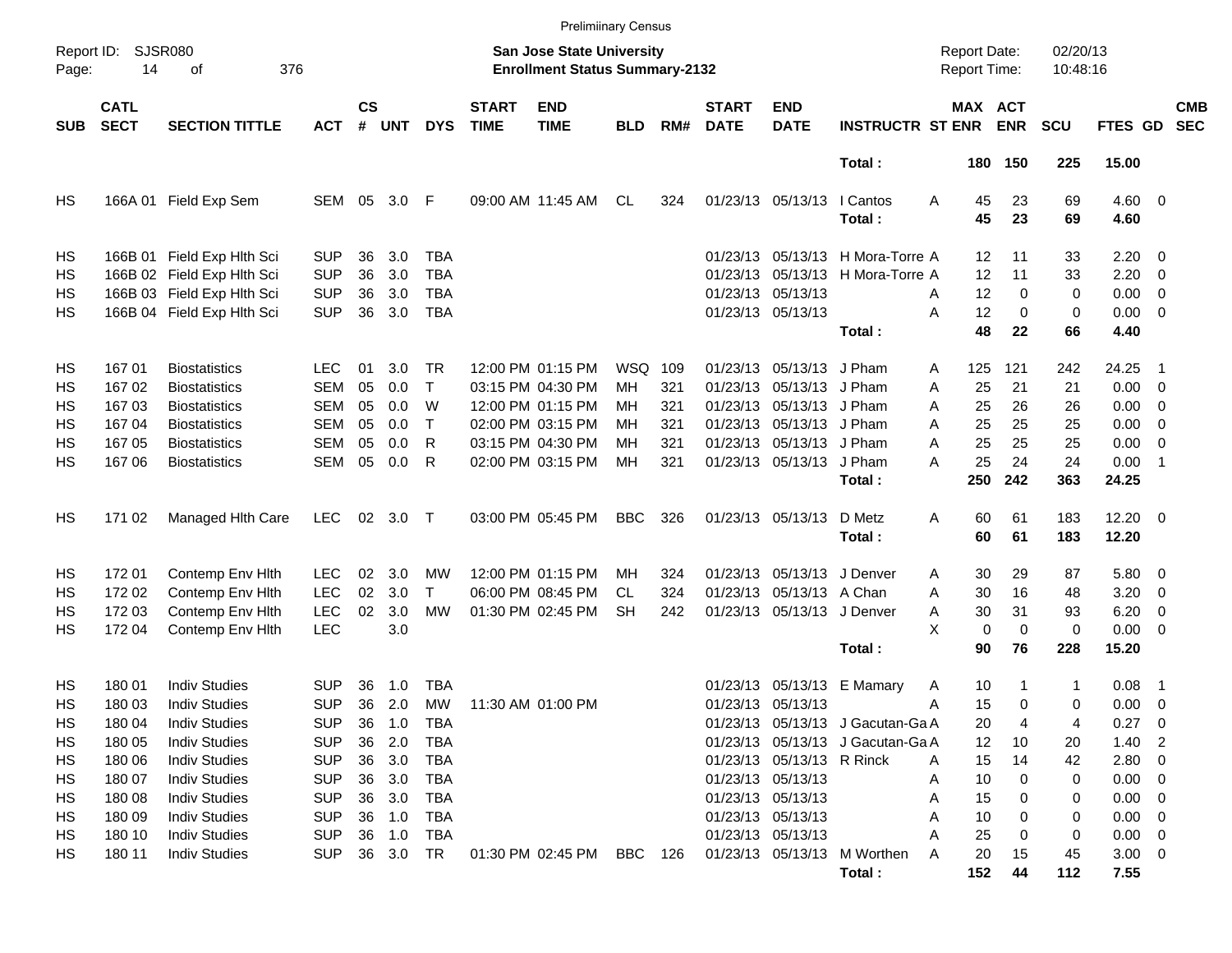|                     |                            |                             |            |                    |            |            |                             | <b>Prelimiinary Census</b>                                                |            |       |                             |                            |                                  |                                     |             |                      |                  |                            |                          |
|---------------------|----------------------------|-----------------------------|------------|--------------------|------------|------------|-----------------------------|---------------------------------------------------------------------------|------------|-------|-----------------------------|----------------------------|----------------------------------|-------------------------------------|-------------|----------------------|------------------|----------------------------|--------------------------|
| Report ID:<br>Page: | 14                         | <b>SJSR080</b><br>376<br>οf |            |                    |            |            |                             | <b>San Jose State University</b><br><b>Enrollment Status Summary-2132</b> |            |       |                             |                            |                                  | <b>Report Date:</b><br>Report Time: |             | 02/20/13<br>10:48:16 |                  |                            |                          |
| <b>SUB</b>          | <b>CATL</b><br><b>SECT</b> | <b>SECTION TITTLE</b>       | <b>ACT</b> | $\mathsf{cs}$<br># | <b>UNT</b> | <b>DYS</b> | <b>START</b><br><b>TIME</b> | <b>END</b><br><b>TIME</b>                                                 | <b>BLD</b> | RM#   | <b>START</b><br><b>DATE</b> | <b>END</b><br><b>DATE</b>  | <b>INSTRUCTR ST ENR</b>          | <b>MAX ACT</b>                      | <b>ENR</b>  | <b>SCU</b>           | FTES GD          |                            | <b>CMB</b><br><b>SEC</b> |
|                     |                            |                             |            |                    |            |            |                             |                                                                           |            |       |                             |                            | Total:                           |                                     | 180 150     | 225                  | 15.00            |                            |                          |
| HS                  |                            | 166A 01 Field Exp Sem       | SEM        | 05                 | 3.0        | F          |                             | 09:00 AM 11:45 AM                                                         | CL         | 324   |                             | 01/23/13 05/13/13          | I Cantos<br>Total:               | Α<br>45<br>45                       | 23<br>23    | 69<br>69             | $4.60$ 0<br>4.60 |                            |                          |
| HS                  |                            | 166B 01 Field Exp Hlth Sci  | <b>SUP</b> | 36                 | 3.0        | TBA        |                             |                                                                           |            |       |                             |                            | 01/23/13 05/13/13 H Mora-Torre A | 12                                  | 11          | 33                   | $2.20 \t 0$      |                            |                          |
| HS                  |                            | 166B 02 Field Exp Hlth Sci  | <b>SUP</b> | 36                 | 3.0        | <b>TBA</b> |                             |                                                                           |            |       |                             |                            | 01/23/13 05/13/13 H Mora-Torre A | 12                                  | 11          | 33                   | 2.20             | $\overline{\phantom{0}}$   |                          |
| HS                  |                            | 166B 03 Field Exp Hlth Sci  | <b>SUP</b> | 36                 | 3.0        | <b>TBA</b> |                             |                                                                           |            |       |                             | 01/23/13 05/13/13          |                                  | 12<br>A                             | 0           | 0                    | 0.00             | $\overline{\phantom{0}}$   |                          |
| HS                  |                            | 166B 04 Field Exp Hlth Sci  | <b>SUP</b> | 36                 | 3.0        | <b>TBA</b> |                             |                                                                           |            |       |                             | 01/23/13 05/13/13          |                                  | 12<br>A                             | $\mathbf 0$ | 0                    | $0.00 \t 0$      |                            |                          |
|                     |                            |                             |            |                    |            |            |                             |                                                                           |            |       |                             |                            | Total:                           | 48                                  | 22          | 66                   | 4.40             |                            |                          |
| HS                  | 167 01                     | <b>Biostatistics</b>        | LEC.       | 01                 | 3.0        | TR         |                             | 12:00 PM 01:15 PM                                                         | WSQ        | 109   |                             | 01/23/13 05/13/13 J Pham   |                                  | 125<br>A                            | 121         | 242                  | 24.25            | - 1                        |                          |
| HS                  | 167 02                     | <b>Biostatistics</b>        | <b>SEM</b> | 05                 | 0.0        | $\top$     |                             | 03:15 PM 04:30 PM                                                         | MН         | 321   |                             | 01/23/13 05/13/13 J Pham   |                                  | 25<br>Α                             | 21          | 21                   | $0.00 \t 0$      |                            |                          |
| HS                  | 16703                      | <b>Biostatistics</b>        | <b>SEM</b> | 05                 | 0.0        | W          |                             | 12:00 PM 01:15 PM                                                         | MН         | 321   |                             | 01/23/13 05/13/13 J Pham   |                                  | 25<br>A                             | 26          | 26                   | $0.00 \t 0$      |                            |                          |
| НS                  | 167 04                     | <b>Biostatistics</b>        | <b>SEM</b> | 05                 | 0.0        | $\top$     |                             | 02:00 PM 03:15 PM                                                         | MН         | 321   |                             | 01/23/13 05/13/13 J Pham   |                                  | 25<br>A                             | 25          | 25                   | $0.00 \t 0$      |                            |                          |
| НS                  | 167 05                     | <b>Biostatistics</b>        | <b>SEM</b> | 05                 | 0.0        | R          |                             | 03:15 PM 04:30 PM                                                         | MН         | 321   |                             | 01/23/13 05/13/13 J Pham   |                                  | A<br>25                             | 25          | 25                   | 0.00             | $\overline{\phantom{0}}$   |                          |
| НS                  | 167 06                     | <b>Biostatistics</b>        | <b>SEM</b> | 05                 | 0.0        | R          |                             | 02:00 PM 03:15 PM                                                         | МH         | 321   |                             | 01/23/13 05/13/13 J Pham   |                                  | 25<br>A                             | 24          | 24                   | 0.00             | $\overline{\phantom{1}}$   |                          |
|                     |                            |                             |            |                    |            |            |                             |                                                                           |            |       |                             |                            | Total:                           | 250                                 | 242         | 363                  | 24.25            |                            |                          |
| HS                  | 171 02                     | Managed Hith Care           | <b>LEC</b> |                    | 02 3.0 T   |            |                             | 03:00 PM 05:45 PM                                                         | <b>BBC</b> | 326   |                             | 01/23/13 05/13/13          | D Metz                           | 60<br>Α                             | 61          | 183                  | $12.20 \t 0$     |                            |                          |
|                     |                            |                             |            |                    |            |            |                             |                                                                           |            |       |                             |                            | Total:                           | 60                                  | 61          | 183                  | 12.20            |                            |                          |
| HS                  | 17201                      | Contemp Env Hith            | <b>LEC</b> | 02                 | 3.0        | MW         |                             | 12:00 PM 01:15 PM                                                         | MН         | 324   |                             | 01/23/13 05/13/13          | J Denver                         | 30<br>Α                             | 29          | 87                   | 5.80 0           |                            |                          |
| HS.                 | 172 02                     | Contemp Env Hith            | <b>LEC</b> | 02                 | 3.0        | т          |                             | 06:00 PM 08:45 PM                                                         | CL.        | 324   |                             | 01/23/13 05/13/13 A Chan   |                                  | 30<br>A                             | 16          | 48                   | 3.20             | $\overline{\phantom{0}}$   |                          |
| НS                  | 172 03                     | Contemp Env Hith            | <b>LEC</b> | 02                 | 3.0        | <b>MW</b>  |                             | 01:30 PM 02:45 PM                                                         | <b>SH</b>  | 242   |                             | 01/23/13 05/13/13 J Denver |                                  | 30<br>Α                             | 31          | 93                   | 6.20             | $\overline{\mathbf{0}}$    |                          |
| НS                  | 172 04                     | Contemp Env Hith            | <b>LEC</b> |                    | 3.0        |            |                             |                                                                           |            |       |                             |                            |                                  | X<br>$\mathbf 0$                    | $\mathbf 0$ | 0                    | $0.00 \t 0$      |                            |                          |
|                     |                            |                             |            |                    |            |            |                             |                                                                           |            |       |                             |                            | Total:                           | 90                                  | 76          | 228                  | 15.20            |                            |                          |
| HS                  | 180 01                     | <b>Indiv Studies</b>        | <b>SUP</b> | 36                 | 1.0        | <b>TBA</b> |                             |                                                                           |            |       |                             | 01/23/13 05/13/13          | E Mamary                         | 10<br>Α                             | 1           | 1                    | 0.08             | $\overline{\phantom{1}}$   |                          |
| НS                  | 180 03                     | <b>Indiv Studies</b>        | <b>SUP</b> | 36                 | 2.0        | МW         |                             | 11:30 AM 01:00 PM                                                         |            |       |                             | 01/23/13 05/13/13          |                                  | 15<br>Α                             | $\Omega$    | 0                    | $0.00 \t 0$      |                            |                          |
| HS                  | 180 04                     | <b>Indiv Studies</b>        | <b>SUP</b> | 36                 | 1.0        | TBA        |                             |                                                                           |            |       |                             |                            | 01/23/13 05/13/13 J Gacutan-Ga A | 20                                  | 4           | 4                    | 0.27             | $\overline{\mathbf{0}}$    |                          |
| HS                  | 180 05                     | <b>Indiv Studies</b>        | <b>SUP</b> |                    | 36 2.0     | TBA        |                             |                                                                           |            |       |                             |                            | 01/23/13 05/13/13 J Gacutan-Ga A | 12                                  | 10          | 20                   | 1.40             | $\overline{\phantom{0}}^2$ |                          |
| HS                  | 180 06                     | <b>Indiv Studies</b>        | <b>SUP</b> |                    | 36 3.0     | TBA        |                             |                                                                           |            |       |                             | 01/23/13 05/13/13 R Rinck  |                                  | 15<br>Α                             | 14          | 42                   | 2.80 0           |                            |                          |
| HS                  | 180 07                     | <b>Indiv Studies</b>        | <b>SUP</b> |                    | 36 3.0     | TBA        |                             |                                                                           |            |       |                             | 01/23/13 05/13/13          |                                  | 10<br>Α                             | 0           | 0                    | $0.00 \t 0$      |                            |                          |
| HS                  | 180 08                     | <b>Indiv Studies</b>        | <b>SUP</b> | 36                 | 3.0        | TBA        |                             |                                                                           |            |       |                             | 01/23/13 05/13/13          |                                  | 15<br>А                             | 0           | 0                    | $0.00 \t 0$      |                            |                          |
| HS                  | 180 09                     | <b>Indiv Studies</b>        | <b>SUP</b> |                    | 36 1.0     | TBA        |                             |                                                                           |            |       |                             | 01/23/13 05/13/13          |                                  | 10<br>А                             | 0           | 0                    | $0.00 \t 0$      |                            |                          |
| HS                  | 180 10                     | <b>Indiv Studies</b>        | <b>SUP</b> | 36                 | 1.0        | TBA        |                             |                                                                           |            |       |                             | 01/23/13 05/13/13          |                                  | А<br>25                             | 0           | 0                    | $0.00 \t 0$      |                            |                          |
| HS                  | 180 11                     | <b>Indiv Studies</b>        | <b>SUP</b> |                    | 36 3.0     | TR         |                             | 01:30 PM 02:45 PM                                                         | BBC        | - 126 |                             |                            | 01/23/13 05/13/13 M Worthen      | A<br>20                             | 15          | 45                   | $3.00 \ 0$       |                            |                          |
|                     |                            |                             |            |                    |            |            |                             |                                                                           |            |       |                             |                            | Total:                           | 152                                 | 44          | 112                  | 7.55             |                            |                          |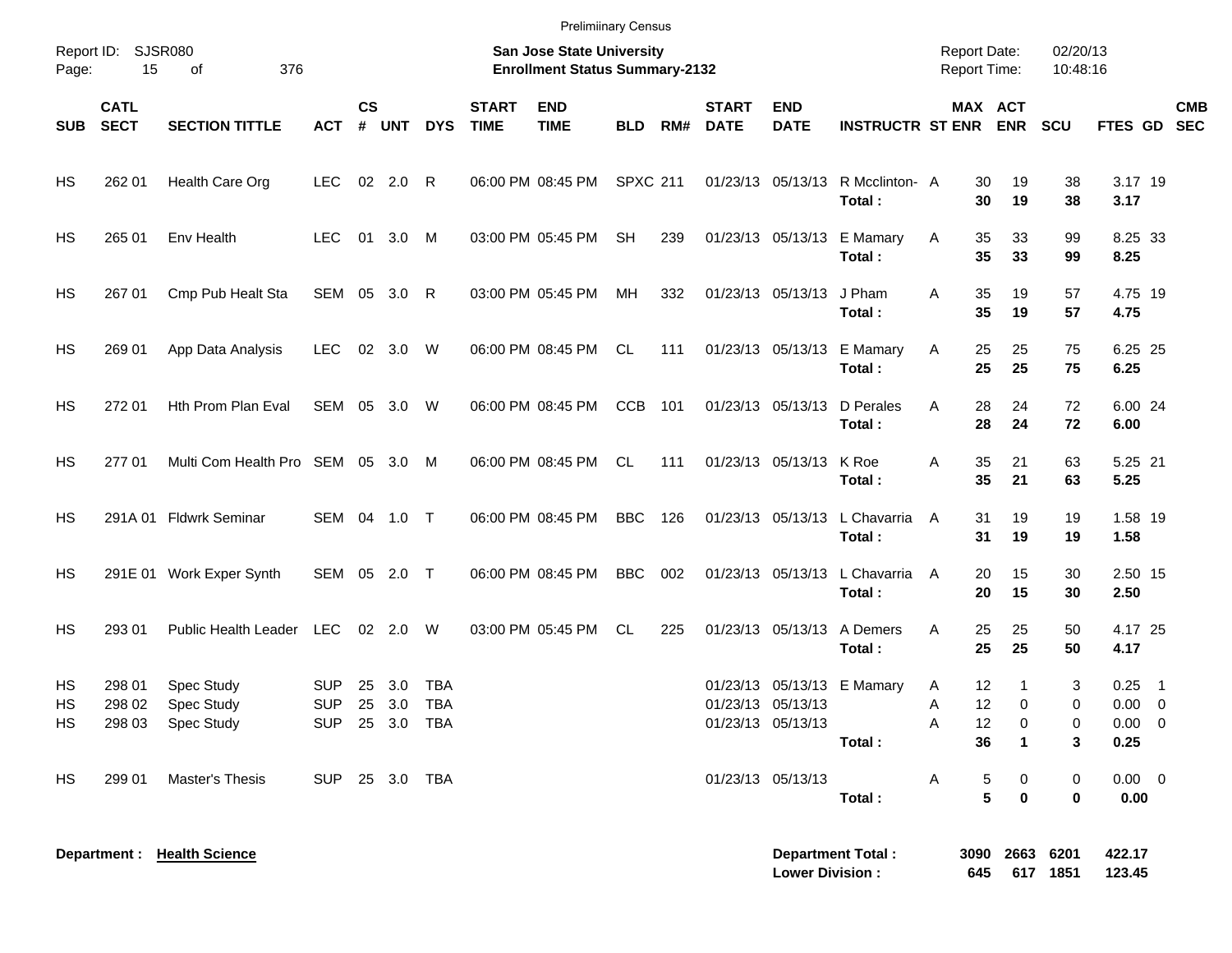|                |                            |                                               |                          |                |               |                                            |                             | <b>Prelimiinary Census</b>                                         |                 |     |                             |                                        |                                            |                                            |                                      |                      |                                            |                           |
|----------------|----------------------------|-----------------------------------------------|--------------------------|----------------|---------------|--------------------------------------------|-----------------------------|--------------------------------------------------------------------|-----------------|-----|-----------------------------|----------------------------------------|--------------------------------------------|--------------------------------------------|--------------------------------------|----------------------|--------------------------------------------|---------------------------|
| Page:          | Report ID: SJSR080<br>15   | 376<br>of                                     |                          |                |               |                                            |                             | San Jose State University<br><b>Enrollment Status Summary-2132</b> |                 |     |                             |                                        |                                            | <b>Report Date:</b><br><b>Report Time:</b> |                                      | 02/20/13<br>10:48:16 |                                            |                           |
| <b>SUB</b>     | <b>CATL</b><br><b>SECT</b> | <b>SECTION TITTLE</b>                         | <b>ACT</b>               | <b>CS</b><br># | <b>UNT</b>    | <b>DYS</b>                                 | <b>START</b><br><b>TIME</b> | <b>END</b><br><b>TIME</b>                                          | <b>BLD</b>      | RM# | <b>START</b><br><b>DATE</b> | <b>END</b><br><b>DATE</b>              | <b>INSTRUCTR ST ENR ENR</b>                |                                            | MAX ACT                              | <b>SCU</b>           |                                            | <b>CMB</b><br>FTES GD SEC |
| HS             | 262 01                     | Health Care Org                               | <b>LEC</b>               |                | 02 2.0 R      |                                            |                             | 06:00 PM 08:45 PM                                                  | <b>SPXC 211</b> |     |                             |                                        | 01/23/13 05/13/13 R Mcclinton- A<br>Total: | 30<br>30                                   | 19<br>19                             | 38<br>38             | 3.17 19<br>3.17                            |                           |
| HS             | 265 01                     | Env Health                                    | <b>LEC</b>               |                | 01 3.0        | M                                          |                             | 03:00 PM 05:45 PM                                                  | <b>SH</b>       | 239 |                             |                                        | 01/23/13 05/13/13 E Mamary<br>Total:       | 35<br>Α<br>35                              | 33<br>33                             | 99<br>99             | 8.25 33<br>8.25                            |                           |
| HS             | 267 01                     | Cmp Pub Healt Sta                             | SEM 05 3.0 R             |                |               |                                            |                             | 03:00 PM 05:45 PM                                                  | MH              | 332 |                             | 01/23/13 05/13/13                      | J Pham<br>Total:                           | 35<br>Α<br>35                              | 19<br>19                             | 57<br>57             | 4.75 19<br>4.75                            |                           |
| HS             | 269 01                     | App Data Analysis                             | <b>LEC</b>               |                | 02 3.0 W      |                                            |                             | 06:00 PM 08:45 PM                                                  | CL              | 111 |                             |                                        | 01/23/13 05/13/13 E Mamary<br>Total:       | 25<br>Α<br>25                              | 25<br>25                             | 75<br>75             | 6.25 25<br>6.25                            |                           |
| HS             | 272 01                     | Hth Prom Plan Eval                            | SEM 05 3.0 W             |                |               |                                            |                             | 06:00 PM 08:45 PM                                                  | <b>CCB</b>      | 101 |                             | 01/23/13 05/13/13                      | D Perales<br>Total:                        | 28<br>Α<br>28                              | 24<br>24                             | 72<br>72             | 6.00 24<br>6.00                            |                           |
| HS             | 277 01                     | Multi Com Health Pro SEM 05 3.0               |                          |                |               | M                                          |                             | 06:00 PM 08:45 PM                                                  | CL.             | 111 |                             | 01/23/13 05/13/13                      | K Roe<br>Total:                            | 35<br>Α<br>35                              | 21<br>21                             | 63<br>63             | 5.25 21<br>5.25                            |                           |
| HS             |                            | 291A 01 Fldwrk Seminar                        | SEM 04 1.0 T             |                |               |                                            |                             | 06:00 PM 08:45 PM                                                  | <b>BBC</b>      | 126 |                             |                                        | 01/23/13 05/13/13 L Chavarria<br>Total:    | 31<br>A<br>31                              | 19<br>19                             | 19<br>19             | 1.58 19<br>1.58                            |                           |
| HS             |                            | 291E 01 Work Exper Synth                      | SEM 05 2.0 T             |                |               |                                            |                             | 06:00 PM 08:45 PM                                                  | <b>BBC</b>      | 002 |                             |                                        | 01/23/13 05/13/13 L Chavarria<br>Total:    | 20<br>A<br>20                              | 15<br>15                             | 30<br>30             | 2.50 15<br>2.50                            |                           |
| HS             | 293 01                     | Public Health Leader                          | LEC                      |                | 02  2.0  W    |                                            |                             | 03:00 PM 05:45 PM                                                  | CL.             | 225 |                             |                                        | 01/23/13 05/13/13 A Demers<br>Total:       | 25<br>A<br>25                              | 25<br>25                             | 50<br>50             | 4.17 25<br>4.17                            |                           |
| HS<br>HS<br>HS | 298 01<br>298 02           | Spec Study<br>Spec Study<br>298 03 Spec Study | <b>SUP</b><br><b>SUP</b> | 25             | 3.0<br>25 3.0 | <b>TBA</b><br><b>TBA</b><br>SUP 25 3.0 TBA |                             |                                                                    |                 |     |                             | 01/23/13 05/13/13<br>01/23/13 05/13/13 | 01/23/13 05/13/13 E Mamary<br>Total:       | 12<br>A<br>12<br>Α<br>Α<br>12<br>36        | $\mathbf 1$<br>0<br>0<br>$\mathbf 1$ | 3<br>0<br>0<br>3     | 0.25<br>$0.00 \t 0$<br>$0.00 \t 0$<br>0.25 | $\overline{\phantom{1}}$  |
| HS             | 299 01                     | Master's Thesis                               | SUP 25 3.0 TBA           |                |               |                                            |                             |                                                                    |                 |     |                             | 01/23/13 05/13/13                      | Total:                                     | A                                          | $\frac{5}{5}$<br>0<br>$\mathbf 0$    | 0<br>0               | $0.00 \t 0$<br>0.00                        |                           |
|                |                            | Department : Health Science                   |                          |                |               |                                            |                             |                                                                    |                 |     |                             |                                        | <b>Department Total:</b>                   |                                            | 3090 2663 6201                       |                      | 422.17                                     |                           |

**Lower Division : 645 617 1851 123.45**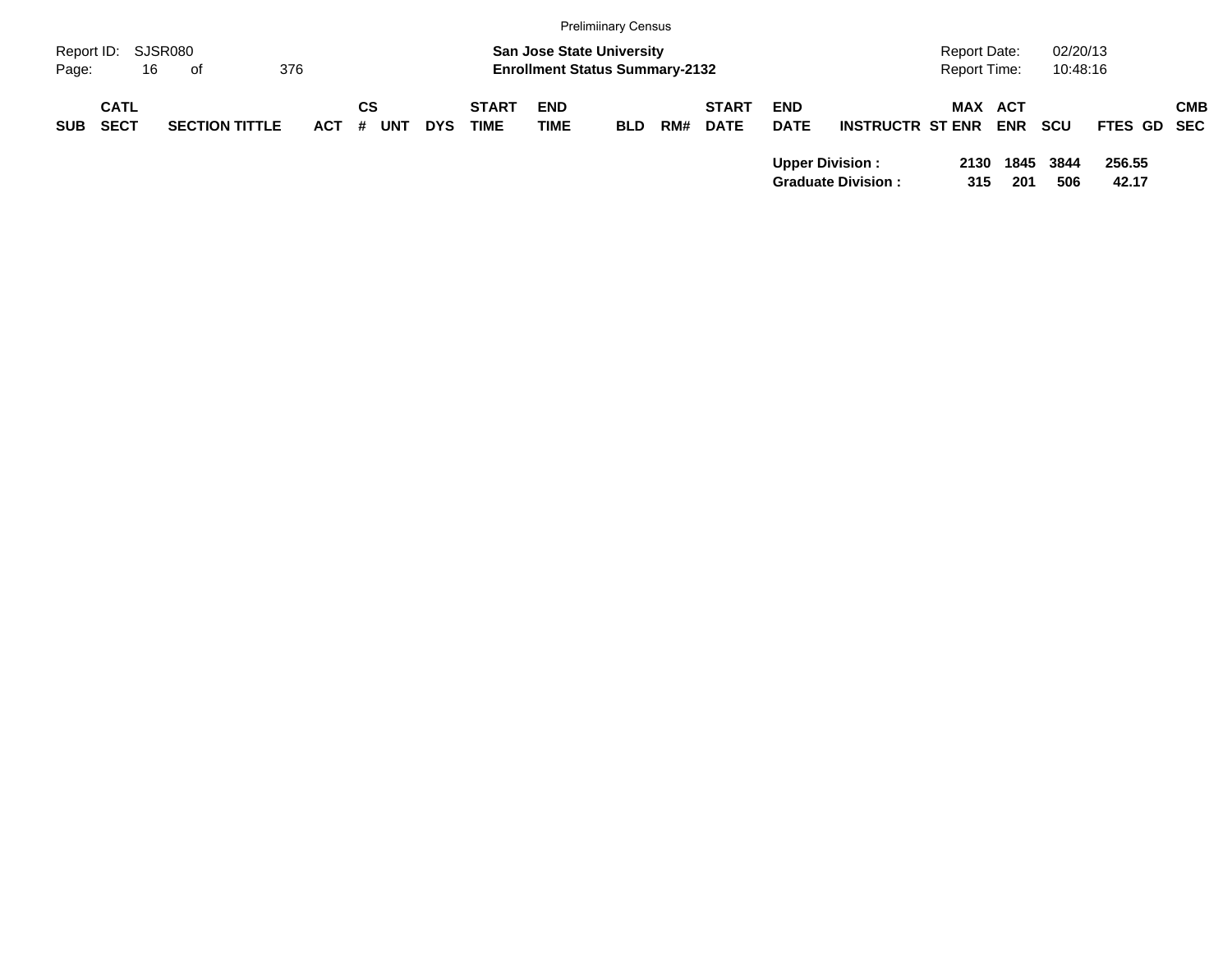|                     |                            |                       |         |                  |            |                             |                                                                           | <b>Prelimiinary Census</b> |     |                             |                           |                                                     |                                     |             |                      |                 |            |
|---------------------|----------------------------|-----------------------|---------|------------------|------------|-----------------------------|---------------------------------------------------------------------------|----------------------------|-----|-----------------------------|---------------------------|-----------------------------------------------------|-------------------------------------|-------------|----------------------|-----------------|------------|
| Report ID:<br>Page: | 16                         | SJSR080<br>of         | 376     |                  |            |                             | <b>San Jose State University</b><br><b>Enrollment Status Summary-2132</b> |                            |     |                             |                           |                                                     | Report Date:<br><b>Report Time:</b> |             | 02/20/13<br>10:48:16 |                 |            |
| <b>SUB</b>          | <b>CATL</b><br><b>SECT</b> | <b>SECTION TITTLE</b> | $ACT$ # | СS<br><b>UNT</b> | <b>DYS</b> | <b>START</b><br><b>TIME</b> | <b>END</b><br><b>TIME</b>                                                 | <b>BLD</b>                 | RM# | <b>START</b><br><b>DATE</b> | <b>END</b><br><b>DATE</b> | <b>INSTRUCTR ST ENR</b>                             | <b>MAX ACT</b>                      | <b>ENR</b>  | scu                  | FTES GD SEC     | <b>CMB</b> |
|                     |                            |                       |         |                  |            |                             |                                                                           |                            |     |                             |                           | <b>Upper Division:</b><br><b>Graduate Division:</b> | 2130<br>315                         | 1845<br>201 | 3844<br>506          | 256.55<br>42.17 |            |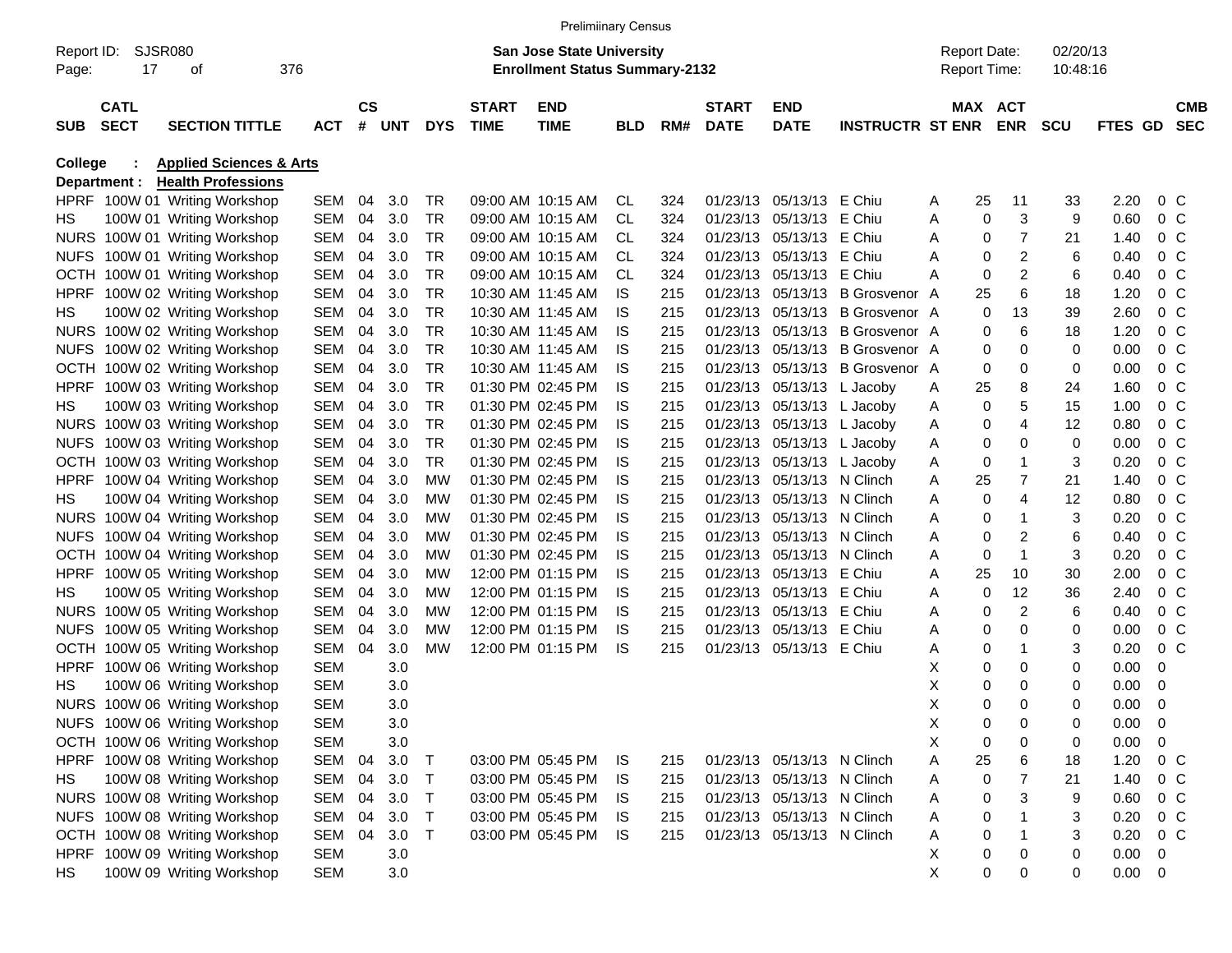|                     |                            |                                    |            |                        |       |              |                             | <b>Prelimiinary Census</b>                                                |            |     |                             |                            |                         |   |                                            |                |                      |                |                |                          |
|---------------------|----------------------------|------------------------------------|------------|------------------------|-------|--------------|-----------------------------|---------------------------------------------------------------------------|------------|-----|-----------------------------|----------------------------|-------------------------|---|--------------------------------------------|----------------|----------------------|----------------|----------------|--------------------------|
| Report ID:<br>Page: | 17                         | SJSR080<br>οf                      | 376        |                        |       |              |                             | <b>San Jose State University</b><br><b>Enrollment Status Summary-2132</b> |            |     |                             |                            |                         |   | <b>Report Date:</b><br><b>Report Time:</b> |                | 02/20/13<br>10:48:16 |                |                |                          |
| <b>SUB</b>          | <b>CATL</b><br><b>SECT</b> | <b>SECTION TITTLE</b>              | <b>ACT</b> | $\mathbf{c}\mathbf{s}$ | # UNT | <b>DYS</b>   | <b>START</b><br><b>TIME</b> | <b>END</b><br><b>TIME</b>                                                 | <b>BLD</b> | RM# | <b>START</b><br><b>DATE</b> | <b>END</b><br><b>DATE</b>  | <b>INSTRUCTR ST ENR</b> |   | MAX ACT                                    | <b>ENR</b>     | <b>SCU</b>           | <b>FTES GD</b> |                | <b>CMB</b><br><b>SEC</b> |
| <b>College</b>      |                            | <b>Applied Sciences &amp; Arts</b> |            |                        |       |              |                             |                                                                           |            |     |                             |                            |                         |   |                                            |                |                      |                |                |                          |
|                     | Department :               | <b>Health Professions</b>          |            |                        |       |              |                             |                                                                           |            |     |                             |                            |                         |   |                                            |                |                      |                |                |                          |
|                     |                            | HPRF 100W 01 Writing Workshop      | SEM 04     |                        | 3.0   | TR           |                             | 09:00 AM 10:15 AM                                                         | CL.        | 324 | 01/23/13                    | 05/13/13                   | E Chiu                  | A | 25                                         | 11             | 33                   | 2.20           | $0\,$ C        |                          |
| HS.                 |                            | 100W 01 Writing Workshop           | SEM        | 04                     | 3.0   | TR           |                             | 09:00 AM 10:15 AM                                                         | <b>CL</b>  | 324 | 01/23/13                    | 05/13/13 E Chiu            |                         | Α | 0                                          | 3              | 9                    | 0.60           | 0 <sup>o</sup> |                          |
|                     |                            | NURS 100W 01 Writing Workshop      | SEM        | 04                     | 3.0   | TR           |                             | 09:00 AM 10:15 AM                                                         | CL.        | 324 | 01/23/13                    | 05/13/13 E Chiu            |                         | Α | 0                                          | 7              | 21                   | 1.40           | $0\,$ C        |                          |
|                     |                            | NUFS 100W 01 Writing Workshop      | SEM        | 04                     | 3.0   | TR           |                             | 09:00 AM 10:15 AM                                                         | CL.        | 324 | 01/23/13                    | 05/13/13 E Chiu            |                         | Α | 0                                          | 2              | 6                    | 0.40           | $0\,$ C        |                          |
|                     |                            | OCTH 100W 01 Writing Workshop      | SEM        | 04                     | 3.0   | TR           |                             | 09:00 AM 10:15 AM                                                         | <b>CL</b>  | 324 | 01/23/13                    | 05/13/13 E Chiu            |                         | Α | 0                                          | 2              | 6                    | 0.40           | $0\,$ C        |                          |
| <b>HPRF</b>         |                            | 100W 02 Writing Workshop           | SEM        | 04                     | 3.0   | <b>TR</b>    |                             | 10:30 AM 11:45 AM                                                         | IS         | 215 | 01/23/13                    | 05/13/13                   | B Grosvenor A           |   | 25                                         | 6              | 18                   | 1.20           | $0\,$ C        |                          |
| HS.                 |                            | 100W 02 Writing Workshop           | SEM        | 04                     | 3.0   | TR           |                             | 10:30 AM 11:45 AM                                                         | IS         | 215 | 01/23/13                    | 05/13/13                   | B Grosvenor A           |   | 0                                          | 13             | 39                   | 2.60           | $0\,$ C        |                          |
|                     |                            | NURS 100W 02 Writing Workshop      | SEM        | 04                     | 3.0   | <b>TR</b>    |                             | 10:30 AM 11:45 AM                                                         | IS         | 215 | 01/23/13                    | 05/13/13                   | B Grosvenor A           |   | 0                                          | 6              | 18                   | 1.20           | $0\,$ C        |                          |
|                     |                            | NUFS 100W 02 Writing Workshop      | SEM        | 04                     | 3.0   | <b>TR</b>    |                             | 10:30 AM 11:45 AM                                                         | IS         | 215 | 01/23/13                    | 05/13/13                   | B Grosvenor A           |   | 0                                          | 0              | 0                    | 0.00           | $0\,$ C        |                          |
|                     |                            | OCTH 100W 02 Writing Workshop      | SEM        | 04                     | 3.0   | TR           |                             | 10:30 AM 11:45 AM                                                         | IS         | 215 | 01/23/13                    | 05/13/13                   | B Grosvenor A           |   | 0                                          | 0              | 0                    | 0.00           | $0\,$ C        |                          |
| <b>HPRF</b>         |                            | 100W 03 Writing Workshop           | SEM        | 04                     | 3.0   | <b>TR</b>    |                             | 01:30 PM 02:45 PM                                                         | IS         | 215 |                             | 01/23/13 05/13/13 L Jacoby |                         | A | 25                                         | 8              | 24                   | 1.60           | $0\,$ C        |                          |
| HS.                 |                            | 100W 03 Writing Workshop           | SEM        | 04                     | 3.0   | <b>TR</b>    |                             | 01:30 PM 02:45 PM                                                         | IS         | 215 |                             | 01/23/13 05/13/13 L Jacoby |                         | A | 0                                          | 5              | 15                   | 1.00           | $0\,$ C        |                          |
|                     |                            | NURS 100W 03 Writing Workshop      | SEM        | 04                     | 3.0   | TR           |                             | 01:30 PM 02:45 PM                                                         | IS         | 215 |                             | 01/23/13 05/13/13 L Jacoby |                         | A | 0                                          | 4              | 12                   | 0.80           | $0\,$ C        |                          |
|                     |                            | NUFS 100W 03 Writing Workshop      | SEM        | 04                     | 3.0   | TR           |                             | 01:30 PM 02:45 PM                                                         | IS         | 215 |                             | 01/23/13 05/13/13 L Jacoby |                         | A | 0                                          | 0              | 0                    | 0.00           | $0\,$ C        |                          |
|                     |                            | OCTH 100W 03 Writing Workshop      | SEM        | 04                     | 3.0   | <b>TR</b>    |                             | 01:30 PM 02:45 PM                                                         | IS         | 215 |                             | 01/23/13 05/13/13 L Jacoby |                         | A | 0                                          | $\mathbf 1$    | 3                    | 0.20           | $0\,$ C        |                          |
| <b>HPRF</b>         |                            | 100W 04 Writing Workshop           | SEM        | 04                     | 3.0   | MW           |                             | 01:30 PM 02:45 PM                                                         | IS         | 215 | 01/23/13                    | 05/13/13 N Clinch          |                         | Α | 25                                         | 7              | 21                   | 1.40           | $0\,$ C        |                          |
| HS.                 |                            | 100W 04 Writing Workshop           | SEM        | 04                     | 3.0   | MW           |                             | 01:30 PM 02:45 PM                                                         | IS         | 215 | 01/23/13                    | 05/13/13 N Clinch          |                         | Α | 0                                          | 4              | 12                   | 0.80           | $0\,$ C        |                          |
|                     |                            | NURS 100W 04 Writing Workshop      | SEM        | 04                     | 3.0   | MW           |                             | 01:30 PM 02:45 PM                                                         | IS         | 215 | 01/23/13                    | 05/13/13 N Clinch          |                         | Α | 0                                          | $\mathbf 1$    | 3                    | 0.20           | $0\,$ C        |                          |
|                     |                            | NUFS 100W 04 Writing Workshop      | SEM        | 04                     | 3.0   | MW           |                             | 01:30 PM 02:45 PM                                                         | IS         | 215 | 01/23/13                    | 05/13/13 N Clinch          |                         | Α | 0                                          | 2              | 6                    | 0.40           | $0\,$ C        |                          |
|                     |                            | OCTH 100W 04 Writing Workshop      | SEM        | 04                     | 3.0   | MW           |                             | 01:30 PM 02:45 PM                                                         | IS         | 215 | 01/23/13                    | 05/13/13 N Clinch          |                         | Α | 0                                          | $\overline{1}$ | 3                    | 0.20           | 0 <sup>o</sup> |                          |
| <b>HPRF</b>         |                            | 100W 05 Writing Workshop           | SEM        | 04                     | 3.0   | MW           |                             | 12:00 PM 01:15 PM                                                         | IS         | 215 | 01/23/13                    | 05/13/13 E Chiu            |                         | Α | 25                                         | 10             | 30                   | 2.00           | $0\,$ C        |                          |
| HS.                 |                            | 100W 05 Writing Workshop           | SEM        | 04                     | 3.0   | MW           |                             | 12:00 PM 01:15 PM                                                         | IS         | 215 | 01/23/13                    | 05/13/13                   | E Chiu                  | Α | 0                                          | 12             | 36                   | 2.40           | $0\,$ C        |                          |
|                     |                            | NURS 100W 05 Writing Workshop      | SEM        | 04                     | 3.0   | MW           |                             | 12:00 PM 01:15 PM                                                         | IS         | 215 | 01/23/13                    | 05/13/13 E Chiu            |                         | Α | 0                                          | $\overline{c}$ | 6                    | 0.40           | $0\,$ C        |                          |
| <b>NUFS</b>         |                            | 100W 05 Writing Workshop           | SEM        | 04                     | 3.0   | MW           |                             | 12:00 PM 01:15 PM                                                         | IS         | 215 | 01/23/13                    | 05/13/13 E Chiu            |                         | Α | 0                                          | 0              | 0                    | 0.00           | $0\,$ C        |                          |
| OCTH                |                            | 100W 05 Writing Workshop           | SEM        | 04                     | 3.0   | <b>MW</b>    |                             | 12:00 PM 01:15 PM                                                         | IS         | 215 |                             | 01/23/13 05/13/13 E Chiu   |                         | Α | 0                                          | $\mathbf 1$    | 3                    | 0.20           | 0 <sup>o</sup> |                          |
| <b>HPRF</b>         |                            | 100W 06 Writing Workshop           | SEM        |                        | 3.0   |              |                             |                                                                           |            |     |                             |                            |                         | х | 0                                          | 0              | 0                    | 0.00           | 0              |                          |
| HS.                 |                            | 100W 06 Writing Workshop           | SEM        |                        | 3.0   |              |                             |                                                                           |            |     |                             |                            |                         | х | 0                                          | 0              | 0                    | 0.00           | 0              |                          |
|                     |                            | NURS 100W 06 Writing Workshop      | SEM        |                        | 3.0   |              |                             |                                                                           |            |     |                             |                            |                         | X | 0                                          | 0              | 0                    | 0.00           | - 0            |                          |
|                     |                            | NUFS 100W 06 Writing Workshop      | <b>SEM</b> |                        | 3.0   |              |                             |                                                                           |            |     |                             |                            |                         | Χ | 0                                          | 0              | 0                    | 0.00           | $\mathbf 0$    |                          |
|                     |                            | OCTH 100W 06 Writing Workshop      | SEM        |                        | 3.0   |              |                             |                                                                           |            |     |                             |                            |                         | Χ | 0                                          | 0              | 0                    | 0.00           | 0              |                          |
|                     |                            | HPRF 100W 08 Writing Workshop      | SEM 04     |                        | 3.0   | $\top$       |                             | 03:00 PM 05:45 PM                                                         | IS.        | 215 |                             | 01/23/13 05/13/13 N Clinch |                         | Α | 25                                         | 6              | 18                   | 1.20           | 0 C            |                          |
| HS                  |                            | 100W 08 Writing Workshop           | SEM 04     |                        | 3.0   | $\top$       |                             | 03:00 PM 05:45 PM                                                         | IS         | 215 |                             | 01/23/13 05/13/13 N Clinch |                         | A | 0                                          | $\overline{7}$ | 21                   | 1.40           | $0\,$ C        |                          |
|                     |                            | NURS 100W 08 Writing Workshop      | SEM 04     |                        | 3.0   | $\top$       |                             | 03:00 PM 05:45 PM                                                         | IS.        | 215 |                             | 01/23/13 05/13/13 N Clinch |                         | A | 0                                          | 3              | 9                    | 0.60           | $0\,$ C        |                          |
|                     |                            | NUFS 100W 08 Writing Workshop      | SEM 04     |                        | 3.0   | $\top$       |                             | 03:00 PM 05:45 PM                                                         | IS.        | 215 |                             | 01/23/13 05/13/13 N Clinch |                         | A | 0                                          |                | 3                    | 0.20           | $0\,$ C        |                          |
|                     |                            | OCTH 100W 08 Writing Workshop      | SEM 04     |                        | 3.0   | $\mathsf{T}$ |                             | 03:00 PM 05:45 PM                                                         | IS.        | 215 |                             | 01/23/13 05/13/13 N Clinch |                         | Α | 0                                          | $\mathbf 1$    | 3                    | 0.20           | $0\,$ C        |                          |
|                     |                            | HPRF 100W 09 Writing Workshop      | SEM        |                        | 3.0   |              |                             |                                                                           |            |     |                             |                            |                         | х | 0                                          | 0              | 0                    | 0.00           | 0              |                          |
| HS                  |                            | 100W 09 Writing Workshop           | SEM        |                        | 3.0   |              |                             |                                                                           |            |     |                             |                            |                         | X | 0                                          | 0              | 0                    | $0.00 \t 0$    |                |                          |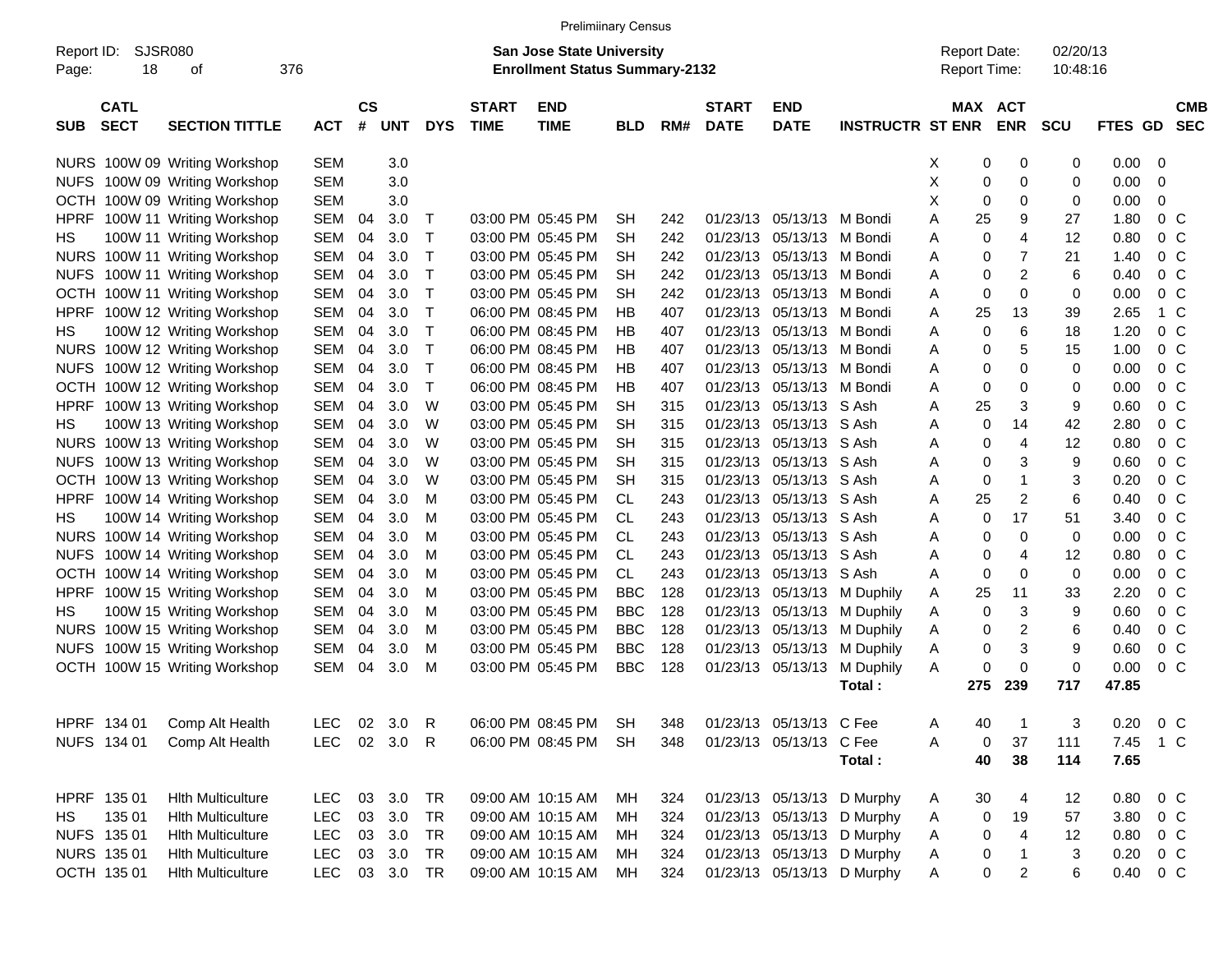|                                          |                               |            |                |            |              |                             | <b>Prelimiinary Census</b>                                                |            |     |                             |                           |                            |                                     |                              |                      |          |                |                          |
|------------------------------------------|-------------------------------|------------|----------------|------------|--------------|-----------------------------|---------------------------------------------------------------------------|------------|-----|-----------------------------|---------------------------|----------------------------|-------------------------------------|------------------------------|----------------------|----------|----------------|--------------------------|
| Report ID:<br>18<br>Page:                | <b>SJSR080</b><br>οf          | 376        |                |            |              |                             | <b>San Jose State University</b><br><b>Enrollment Status Summary-2132</b> |            |     |                             |                           |                            | <b>Report Date:</b><br>Report Time: |                              | 02/20/13<br>10:48:16 |          |                |                          |
| <b>CATL</b><br><b>SECT</b><br><b>SUB</b> | <b>SECTION TITTLE</b>         | <b>ACT</b> | <b>CS</b><br># | <b>UNT</b> | <b>DYS</b>   | <b>START</b><br><b>TIME</b> | <b>END</b><br><b>TIME</b>                                                 | <b>BLD</b> | RM# | <b>START</b><br><b>DATE</b> | <b>END</b><br><b>DATE</b> | <b>INSTRUCTR ST ENR</b>    |                                     | <b>MAX ACT</b><br><b>ENR</b> | <b>SCU</b>           | FTES GD  |                | <b>CMB</b><br><b>SEC</b> |
|                                          | NURS 100W 09 Writing Workshop | <b>SEM</b> |                | 3.0        |              |                             |                                                                           |            |     |                             |                           |                            | Х                                   | 0<br>0                       | 0                    | 0.00     | - 0            |                          |
|                                          | NUFS 100W 09 Writing Workshop | <b>SEM</b> |                | 3.0        |              |                             |                                                                           |            |     |                             |                           |                            | Χ                                   | 0<br>0                       | 0                    | 0.00     | 0              |                          |
|                                          | OCTH 100W 09 Writing Workshop | <b>SEM</b> |                | 3.0        |              |                             |                                                                           |            |     |                             |                           |                            | X                                   | 0<br>0                       | 0                    | 0.00     | 0              |                          |
| <b>HPRF</b>                              | 100W 11 Writing Workshop      | SEM        | 04             | 3.0        | $\top$       |                             | 03:00 PM 05:45 PM                                                         | <b>SH</b>  | 242 |                             | 01/23/13 05/13/13         | M Bondi                    | Α                                   | 25<br>9                      | 27                   | 1.80     | 0 <sup>o</sup> |                          |
| HS                                       | 100W 11 Writing Workshop      | SEM        | 04             | 3.0        | $\mathsf T$  |                             | 03:00 PM 05:45 PM                                                         | <b>SH</b>  | 242 | 01/23/13                    | 05/13/13                  | M Bondi                    | Α                                   | 0<br>4                       | 12                   | 0.80     | 0 <sup>o</sup> |                          |
|                                          | NURS 100W 11 Writing Workshop | SEM        | 04             | 3.0        | $\mathsf T$  |                             | 03:00 PM 05:45 PM                                                         | SН         | 242 | 01/23/13                    | 05/13/13                  | M Bondi                    | Α                                   | 7<br>0                       | 21                   | 1.40     | 0 <sup>o</sup> |                          |
|                                          | NUFS 100W 11 Writing Workshop | <b>SEM</b> | 04             | 3.0        | $\top$       |                             | 03:00 PM 05:45 PM                                                         | SН         | 242 | 01/23/13                    | 05/13/13                  | M Bondi                    | Α                                   | 0<br>2                       | 6                    | 0.40     | 0 <sup>o</sup> |                          |
|                                          | OCTH 100W 11 Writing Workshop | <b>SEM</b> | 04             | 3.0        | $\mathsf{T}$ |                             | 03:00 PM 05:45 PM                                                         | SН         | 242 | 01/23/13                    | 05/13/13                  | M Bondi                    | Α                                   | 0<br>0                       | 0                    | 0.00     | 0 <sup>o</sup> |                          |
| <b>HPRF</b>                              | 100W 12 Writing Workshop      | SEM        | 04             | 3.0        | $\mathsf T$  |                             | 06:00 PM 08:45 PM                                                         | <b>HB</b>  | 407 | 01/23/13                    | 05/13/13                  | M Bondi                    | Α                                   | 13<br>25                     | 39                   | 2.65     | 1 C            |                          |
| HS                                       | 100W 12 Writing Workshop      | <b>SEM</b> | 04             | 3.0        | $\mathsf{T}$ |                             | 06:00 PM 08:45 PM                                                         | <b>HB</b>  | 407 | 01/23/13                    | 05/13/13                  | M Bondi                    | Α                                   | 0<br>6                       | 18                   | 1.20     | 0 <sup>o</sup> |                          |
|                                          | NURS 100W 12 Writing Workshop | <b>SEM</b> | 04             | 3.0        | $\mathsf{T}$ |                             | 06:00 PM 08:45 PM                                                         | <b>HB</b>  | 407 | 01/23/13                    | 05/13/13                  | M Bondi                    | Α                                   | 0<br>5                       | 15                   | 1.00     | 0 <sup>o</sup> |                          |
|                                          | NUFS 100W 12 Writing Workshop | SEM        | 04             | 3.0        | $\mathsf{T}$ |                             | 06:00 PM 08:45 PM                                                         | <b>HB</b>  | 407 | 01/23/13                    | 05/13/13                  | M Bondi                    | Α                                   | 0<br>0                       | 0                    | 0.00     | 0 <sup>o</sup> |                          |
|                                          | OCTH 100W 12 Writing Workshop | <b>SEM</b> | 04             | 3.0        | $\mathsf{T}$ |                             | 06:00 PM 08:45 PM                                                         | <b>HB</b>  | 407 | 01/23/13                    | 05/13/13                  | M Bondi                    | Α                                   | 0<br>0                       | 0                    | 0.00     | 0 <sup>o</sup> |                          |
| <b>HPRF</b>                              | 100W 13 Writing Workshop      | <b>SEM</b> | 04             | 3.0        | W            |                             | 03:00 PM 05:45 PM                                                         | SН         | 315 | 01/23/13                    | 05/13/13 S Ash            |                            | Α                                   | 25<br>3                      | 9                    | 0.60     | 0 <sup>o</sup> |                          |
| HS                                       | 100W 13 Writing Workshop      | SEM        | 04             | 3.0        | W            |                             | 03:00 PM 05:45 PM                                                         | SН         | 315 | 01/23/13                    | 05/13/13                  | S Ash                      | Α                                   | 0<br>14                      | 42                   | 2.80     | 0 <sup>o</sup> |                          |
|                                          | NURS 100W 13 Writing Workshop | SEM        | 04             | 3.0        | W            |                             | 03:00 PM 05:45 PM                                                         | SН         | 315 | 01/23/13                    | 05/13/13                  | S Ash                      | Α                                   | 0<br>4                       | 12                   | 0.80     | 0 <sup>o</sup> |                          |
|                                          | NUFS 100W 13 Writing Workshop | <b>SEM</b> | 04             | 3.0        | W            |                             | 03:00 PM 05:45 PM                                                         | <b>SH</b>  | 315 | 01/23/13                    | 05/13/13                  | S Ash                      | Α                                   | 0<br>3                       | 9                    | 0.60     | 0 <sup>o</sup> |                          |
|                                          | OCTH 100W 13 Writing Workshop | SEM        | 04             | 3.0        | W            |                             | 03:00 PM 05:45 PM                                                         | SН         | 315 | 01/23/13                    | 05/13/13                  | S Ash                      | Α                                   | 0<br>$\mathbf 1$             | 3                    | 0.20     | 0 <sup>o</sup> |                          |
| <b>HPRF</b>                              | 100W 14 Writing Workshop      | SEM        | 04             | 3.0        | М            |                             | 03:00 PM 05:45 PM                                                         | CL.        | 243 | 01/23/13                    | 05/13/13                  | S Ash                      | Α                                   | 25<br>2                      | 6                    | 0.40     | 0 <sup>o</sup> |                          |
| HS                                       | 100W 14 Writing Workshop      | SEM        | 04             | 3.0        | М            |                             | 03:00 PM 05:45 PM                                                         | CL.        | 243 | 01/23/13                    | 05/13/13                  | S Ash                      | Α                                   | 17<br>0                      | 51                   | 3.40     | 0 <sup>o</sup> |                          |
|                                          | NURS 100W 14 Writing Workshop | SEM        | 04             | 3.0        | М            |                             | 03:00 PM 05:45 PM                                                         | СL         | 243 | 01/23/13                    | 05/13/13                  | S Ash                      | Α                                   | 0<br>0                       | 0                    | 0.00     | 0 <sup>o</sup> |                          |
|                                          | NUFS 100W 14 Writing Workshop | SEM        | 04             | 3.0        | М            |                             | 03:00 PM 05:45 PM                                                         | CL.        | 243 | 01/23/13                    | 05/13/13                  | S Ash                      | Α                                   | 0<br>4                       | 12                   | 0.80     | 0 <sup>o</sup> |                          |
|                                          | OCTH 100W 14 Writing Workshop | SEM        | 04             | 3.0        | М            |                             | 03:00 PM 05:45 PM                                                         | CL.        | 243 | 01/23/13                    | 05/13/13                  | S Ash                      | Α                                   | 0<br>0                       | $\mathbf 0$          | 0.00     | 0 <sup>o</sup> |                          |
| <b>HPRF</b>                              | 100W 15 Writing Workshop      | SEM        | 04             | 3.0        | М            |                             | 03:00 PM 05:45 PM                                                         | <b>BBC</b> | 128 | 01/23/13                    | 05/13/13                  | M Duphily                  | Α                                   | 25<br>11                     | 33                   | 2.20     | 0 <sup>o</sup> |                          |
| HS                                       | 100W 15 Writing Workshop      | SEM        | 04             | 3.0        | М            |                             | 03:00 PM 05:45 PM                                                         | <b>BBC</b> | 128 | 01/23/13                    | 05/13/13                  | M Duphily                  | Α                                   | 3<br>0                       | 9                    | 0.60     | 0 <sup>o</sup> |                          |
|                                          | NURS 100W 15 Writing Workshop | SEM        | 04             | 3.0        | М            |                             | 03:00 PM 05:45 PM                                                         | <b>BBC</b> | 128 | 01/23/13                    | 05/13/13                  | M Duphily                  | Α                                   | 2<br>0                       | 6                    | 0.40     | $0\,$ C        |                          |
|                                          | NUFS 100W 15 Writing Workshop | SEM        | 04             | 3.0        | М            |                             | 03:00 PM 05:45 PM                                                         | <b>BBC</b> | 128 | 01/23/13                    | 05/13/13                  | M Duphily                  | Α                                   | 0<br>3                       | 9                    | 0.60     | $0\,$ C        |                          |
|                                          | OCTH 100W 15 Writing Workshop | <b>SEM</b> | 04             | 3.0        | М            |                             | 03:00 PM 05:45 PM                                                         | <b>BBC</b> | 128 |                             | 01/23/13 05/13/13         | M Duphily                  | Α                                   | 0<br>0                       | 0                    | 0.00     | $0\,$ C        |                          |
|                                          |                               |            |                |            |              |                             |                                                                           |            |     |                             |                           | Total:                     | 275                                 | 239                          | 717                  | 47.85    |                |                          |
| HPRF 134 01                              | Comp Alt Health               | LEC        |                | 02 3.0     | R            |                             | 06:00 PM 08:45 PM                                                         | <b>SH</b>  | 348 |                             | 01/23/13 05/13/13 C Fee   |                            | Α                                   | 40<br>-1                     | 3                    | 0.20     | $0\,$ C        |                          |
| NUFS 134 01                              | Comp Alt Health               | <b>LEC</b> |                | 02 3.0 R   |              |                             | 06:00 PM 08:45 PM                                                         | <b>SH</b>  | 348 |                             | 01/23/13 05/13/13 C Fee   |                            | Α                                   | 37<br>0                      | 111                  | 7.45 1 C |                |                          |
|                                          |                               |            |                |            |              |                             |                                                                           |            |     |                             |                           | Total:                     |                                     | 40<br>38                     | 114                  | 7.65     |                |                          |
| HPRF 135 01                              | <b>Hith Multiculture</b>      | <b>LEC</b> | 03             | 3.0        | TR           |                             | 09:00 AM 10:15 AM                                                         | MН         | 324 |                             |                           | 01/23/13 05/13/13 D Murphy | A                                   | 30<br>4                      | 12                   | 0.80     | $0\,$ C        |                          |
| 135 01<br>HS                             | <b>Hith Multiculture</b>      | <b>LEC</b> | 03             | 3.0        | <b>TR</b>    |                             | 09:00 AM 10:15 AM                                                         | МH         | 324 |                             |                           | 01/23/13 05/13/13 D Murphy | Α                                   | 19<br>0                      | 57                   | 3.80     | $0\,$ C        |                          |
| NUFS 135 01                              | <b>Hith Multiculture</b>      | <b>LEC</b> | 03             | 3.0        | <b>TR</b>    |                             | 09:00 AM 10:15 AM                                                         | МH         | 324 |                             |                           | 01/23/13 05/13/13 D Murphy | Α                                   | 0<br>4                       | 12                   | 0.80     | $0\,$ C        |                          |
| NURS 135 01                              | <b>Hith Multiculture</b>      | LEC        | 03             | 3.0        | <b>TR</b>    |                             | 09:00 AM 10:15 AM                                                         | МH         | 324 |                             |                           | 01/23/13 05/13/13 D Murphy | Α                                   | 0                            | 3                    | 0.20     | $0\,C$         |                          |
| OCTH 135 01                              | <b>Hlth Multiculture</b>      | LEC        |                | 03 3.0 TR  |              |                             | 09:00 AM 10:15 AM                                                         | МH         | 324 |                             |                           | 01/23/13 05/13/13 D Murphy | A                                   | 0<br>2                       | 6                    | 0.40 0 C |                |                          |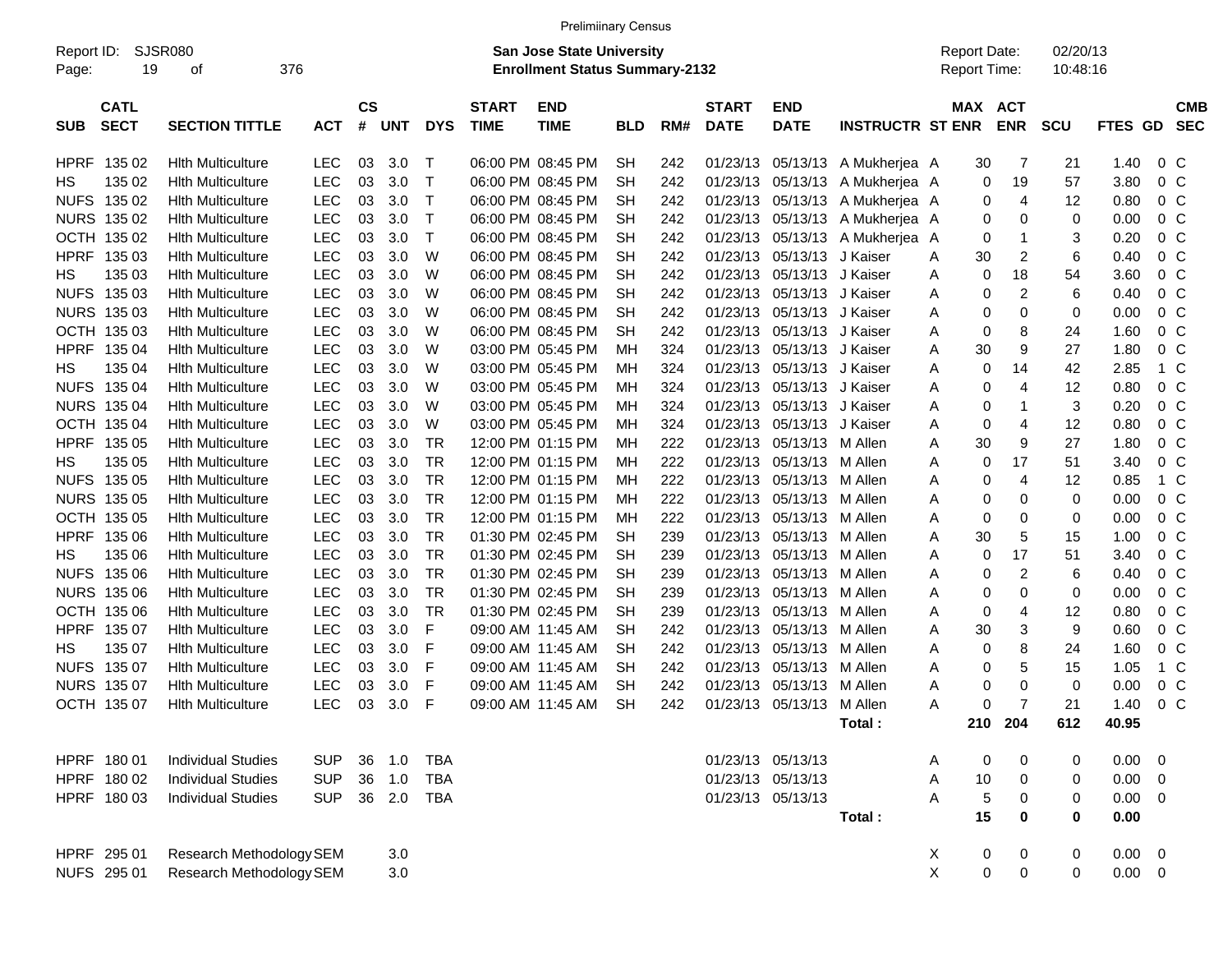|                     |                            |                             |            |                |            |              |                             | <b>Prelimiinary Census</b>                                         |            |     |                             |                            |                                 |                                            |                |                      |                 |                          |
|---------------------|----------------------------|-----------------------------|------------|----------------|------------|--------------|-----------------------------|--------------------------------------------------------------------|------------|-----|-----------------------------|----------------------------|---------------------------------|--------------------------------------------|----------------|----------------------|-----------------|--------------------------|
| Report ID:<br>Page: | 19                         | <b>SJSR080</b><br>376<br>οf |            |                |            |              |                             | San Jose State University<br><b>Enrollment Status Summary-2132</b> |            |     |                             |                            |                                 | <b>Report Date:</b><br><b>Report Time:</b> |                | 02/20/13<br>10:48:16 |                 |                          |
| <b>SUB</b>          | <b>CATL</b><br><b>SECT</b> | <b>SECTION TITTLE</b>       | <b>ACT</b> | <b>CS</b><br># | <b>UNT</b> | <b>DYS</b>   | <b>START</b><br><b>TIME</b> | <b>END</b><br><b>TIME</b>                                          | <b>BLD</b> | RM# | <b>START</b><br><b>DATE</b> | <b>END</b><br><b>DATE</b>  | <b>INSTRUCTR ST ENR</b>         | MAX ACT                                    | <b>ENR</b>     | <b>SCU</b>           | FTES GD         | <b>CMB</b><br><b>SEC</b> |
| HPRF                | 135 02                     | <b>Hith Multiculture</b>    | LEC        | 03             | 3.0        | $\top$       |                             | 06:00 PM 08:45 PM                                                  | <b>SH</b>  | 242 |                             |                            | 01/23/13 05/13/13 A Mukherjea A | 30                                         | 7              | 21                   | 1.40            | 0 <sup>o</sup>           |
| HS                  | 135 02                     | <b>Hith Multiculture</b>    | <b>LEC</b> | 03             | 3.0        | $\mathsf{T}$ |                             | 06:00 PM 08:45 PM                                                  | <b>SH</b>  | 242 |                             |                            | 01/23/13 05/13/13 A Mukherjea A | 0                                          | 19             | 57                   | 3.80            | 0 <sup>o</sup>           |
| <b>NUFS</b>         | 135 02                     | <b>Hith Multiculture</b>    | LEC        | 03             | 3.0        | $\top$       |                             | 06:00 PM 08:45 PM                                                  | SН         | 242 |                             | 01/23/13 05/13/13          | A Mukherjea A                   | 0                                          | 4              | 12                   | 0.80            | $0\,$ C                  |
|                     | NURS 135 02                | <b>Hith Multiculture</b>    | LEC        | 03             | 3.0        | $\top$       |                             | 06:00 PM 08:45 PM                                                  | <b>SH</b>  | 242 |                             |                            | 01/23/13 05/13/13 A Mukherjea A | 0                                          | 0              | 0                    | 0.00            | 0 <sup>o</sup>           |
|                     | OCTH 135 02                | <b>Hith Multiculture</b>    | <b>LEC</b> | 03             | 3.0        | $\top$       |                             | 06:00 PM 08:45 PM                                                  | <b>SH</b>  | 242 |                             |                            | 01/23/13 05/13/13 A Mukherjea   | 0<br>A                                     | 1              | 3                    | 0.20            | 0 <sup>o</sup>           |
| <b>HPRF</b>         | 135 03                     | <b>Hith Multiculture</b>    | <b>LEC</b> | 03             | 3.0        | W            |                             | 06:00 PM 08:45 PM                                                  | <b>SH</b>  | 242 |                             | 01/23/13 05/13/13 J Kaiser |                                 | 30<br>Α                                    | 2              | 6                    | 0.40            | 0 <sup>o</sup>           |
| HS.                 | 135 03                     | <b>Hith Multiculture</b>    | <b>LEC</b> | 03             | 3.0        | W            |                             | 06:00 PM 08:45 PM                                                  | <b>SH</b>  | 242 |                             | 01/23/13 05/13/13 J Kaiser |                                 | 0<br>Α                                     | 18             | 54                   | 3.60            | 0 <sup>o</sup>           |
| <b>NUFS</b>         | 135 03                     | <b>Hith Multiculture</b>    | <b>LEC</b> | 03             | 3.0        | W            |                             | 06:00 PM 08:45 PM                                                  | SН         | 242 |                             | 01/23/13 05/13/13 J Kaiser |                                 | 0<br>Α                                     | 2              | 6                    | 0.40            | 0 <sup>o</sup>           |
|                     | NURS 135 03                | <b>Hith Multiculture</b>    | <b>LEC</b> | 03             | 3.0        | W            |                             | 06:00 PM 08:45 PM                                                  | <b>SH</b>  | 242 |                             | 01/23/13 05/13/13 J Kaiser |                                 | 0<br>Α                                     | 0              | 0                    | 0.00            | 0 <sup>o</sup>           |
|                     | OCTH 135 03                | <b>Hith Multiculture</b>    | <b>LEC</b> | 03             | 3.0        | W            |                             | 06:00 PM 08:45 PM                                                  | <b>SH</b>  | 242 |                             | 01/23/13 05/13/13 J Kaiser |                                 | 0<br>Α                                     | 8              | 24                   | 1.60            | 0 <sup>o</sup>           |
| <b>HPRF</b>         | 135 04                     | <b>Hith Multiculture</b>    | <b>LEC</b> | 03             | 3.0        | W            |                             | 03:00 PM 05:45 PM                                                  | МH         | 324 |                             | 01/23/13 05/13/13 J Kaiser |                                 | 30<br>Α                                    | 9              | 27                   | 1.80            | 0 <sup>o</sup>           |
| HS.                 | 135 04                     | <b>Hith Multiculture</b>    | <b>LEC</b> | 03             | 3.0        | W            |                             | 03:00 PM 05:45 PM                                                  | МH         | 324 |                             | 01/23/13 05/13/13 J Kaiser |                                 | 0<br>Α                                     | 14             | 42                   | 2.85            | 1 C                      |
| <b>NUFS</b>         | 135 04                     | <b>Hith Multiculture</b>    | <b>LEC</b> | 03             | 3.0        | W            |                             | 03:00 PM 05:45 PM                                                  | МH         | 324 |                             | 01/23/13 05/13/13 J Kaiser |                                 | 0<br>Α                                     | 4              | 12                   | 0.80            | 0 <sup>o</sup>           |
|                     | <b>NURS 135 04</b>         | <b>Hith Multiculture</b>    | <b>LEC</b> | 03             | 3.0        | W            |                             | 03:00 PM 05:45 PM                                                  | МH         | 324 |                             | 01/23/13 05/13/13 J Kaiser |                                 | 0<br>Α                                     | 1              | 3                    | 0.20            | 0 <sup>o</sup>           |
|                     | OCTH 135 04                | <b>Hith Multiculture</b>    | <b>LEC</b> | 03             | 3.0        | W            |                             | 03:00 PM 05:45 PM                                                  | MН         | 324 |                             | 01/23/13 05/13/13 J Kaiser |                                 | 0<br>Α                                     | 4              | 12                   | 0.80            | 0 <sup>o</sup>           |
| <b>HPRF</b>         |                            | <b>Hith Multiculture</b>    | <b>LEC</b> | 03             | 3.0        | <b>TR</b>    |                             | 12:00 PM 01:15 PM                                                  | МH         | 222 |                             | 01/23/13 05/13/13 M Allen  |                                 | 30                                         | 9              | 27                   | 1.80            | 0 <sup>o</sup>           |
|                     | 135 05                     |                             |            |                |            |              |                             |                                                                    |            |     |                             |                            |                                 | Α                                          |                |                      |                 |                          |
| HS.                 | 135 05                     | <b>Hith Multiculture</b>    | <b>LEC</b> | 03             | 3.0        | <b>TR</b>    |                             | 12:00 PM 01:15 PM                                                  | MН         | 222 |                             | 01/23/13 05/13/13 M Allen  |                                 | 0<br>Α                                     | 17             | 51                   | 3.40            | 0 <sup>o</sup>           |
| <b>NUFS</b>         | 135 05                     | <b>Hith Multiculture</b>    | <b>LEC</b> | 03             | 3.0        | <b>TR</b>    |                             | 12:00 PM 01:15 PM                                                  | MН         | 222 |                             | 01/23/13 05/13/13 M Allen  |                                 | 0<br>Α                                     | 4              | 12                   | 0.85            | 1 C                      |
|                     | NURS 135 05                | <b>Hith Multiculture</b>    | <b>LEC</b> | 03             | 3.0        | <b>TR</b>    |                             | 12:00 PM 01:15 PM                                                  | MН         | 222 |                             | 01/23/13 05/13/13 M Allen  |                                 | 0<br>Α                                     | 0              | 0                    | 0.00            | 0 <sup>o</sup>           |
|                     | OCTH 135 05                | <b>Hith Multiculture</b>    | <b>LEC</b> | 03             | 3.0        | <b>TR</b>    |                             | 12:00 PM 01:15 PM                                                  | MН         | 222 |                             | 01/23/13 05/13/13 M Allen  |                                 | 0<br>Α                                     | 0              | 0                    | 0.00            | 0 <sup>o</sup>           |
| <b>HPRF</b>         | 135 06                     | <b>Hith Multiculture</b>    | <b>LEC</b> | 03             | 3.0        | <b>TR</b>    |                             | 01:30 PM 02:45 PM                                                  | <b>SH</b>  | 239 |                             | 01/23/13 05/13/13 M Allen  |                                 | 30<br>Α                                    | 5              | 15                   | 1.00            | 0 <sup>o</sup>           |
| HS.                 | 135 06                     | <b>Hith Multiculture</b>    | <b>LEC</b> | 03             | 3.0        | <b>TR</b>    |                             | 01:30 PM 02:45 PM                                                  | <b>SH</b>  | 239 |                             | 01/23/13 05/13/13 M Allen  |                                 | 0<br>Α                                     | 17             | 51                   | 3.40            | 0 <sup>o</sup>           |
| <b>NUFS</b>         | 135 06                     | <b>Hith Multiculture</b>    | <b>LEC</b> | 03             | 3.0        | <b>TR</b>    |                             | 01:30 PM 02:45 PM                                                  | <b>SH</b>  | 239 |                             | 01/23/13 05/13/13 M Allen  |                                 | 0<br>Α                                     | 2              | 6                    | 0.40            | 0 <sup>o</sup>           |
|                     | NURS 135 06                | <b>Hith Multiculture</b>    | LEC        | 03             | 3.0        | <b>TR</b>    |                             | 01:30 PM 02:45 PM                                                  | <b>SH</b>  | 239 |                             | 01/23/13 05/13/13 M Allen  |                                 | 0<br>Α                                     | 0              | 0                    | 0.00            | 0 <sup>o</sup>           |
|                     | OCTH 135 06                | <b>Hith Multiculture</b>    | LEC        | 03             | 3.0        | TR           |                             | 01:30 PM 02:45 PM                                                  | <b>SH</b>  | 239 |                             | 01/23/13 05/13/13 M Allen  |                                 | 0<br>Α                                     | 4              | 12                   | 0.80            | 0 <sup>o</sup>           |
| <b>HPRF</b>         | 135 07                     | <b>Hith Multiculture</b>    | <b>LEC</b> | 03             | 3.0        | F            |                             | 09:00 AM 11:45 AM                                                  | <b>SH</b>  | 242 |                             | 01/23/13 05/13/13 M Allen  |                                 | Α<br>30                                    | 3              | 9                    | 0.60            | 0 <sup>o</sup>           |
| HS.                 | 135 07                     | <b>Hith Multiculture</b>    | LEC        | 03             | 3.0        | F            |                             | 09:00 AM 11:45 AM                                                  | <b>SH</b>  | 242 |                             | 01/23/13 05/13/13 M Allen  |                                 | 0<br>Α                                     | 8              | 24                   | 1.60            | 0 <sup>o</sup>           |
|                     | NUFS 135 07                | <b>Hith Multiculture</b>    | LEC        | 03             | 3.0        | F            |                             | 09:00 AM 11:45 AM                                                  | <b>SH</b>  | 242 |                             | 01/23/13 05/13/13 M Allen  |                                 | 0<br>Α                                     | 5              | 15                   | 1.05            | 1 C                      |
|                     | NURS 135 07                | <b>Hith Multiculture</b>    | LEC        | 03             | 3.0        | F            |                             | 09:00 AM 11:45 AM                                                  | <b>SH</b>  | 242 |                             | 01/23/13 05/13/13          | M Allen                         | 0<br>Α                                     | 0              | 0                    | 0.00            | 0 <sup>o</sup>           |
|                     | OCTH 135 07                | <b>Hith Multiculture</b>    | LEC        | 03             | 3.0        | F            |                             | 09:00 AM 11:45 AM                                                  | <b>SH</b>  | 242 |                             | 01/23/13 05/13/13 M Allen  |                                 | 0<br>Α                                     | $\overline{7}$ | 21                   | 1.40            | $0\,C$                   |
|                     |                            |                             |            |                |            |              |                             |                                                                    |            |     |                             |                            | Total:                          |                                            | 210 204        | 612                  | 40.95           |                          |
|                     | HPRF 180 01                | <b>Individual Studies</b>   | <b>SUP</b> | 36             | 1.0        | <b>TBA</b>   |                             |                                                                    |            |     |                             | 01/23/13 05/13/13          |                                 | 0<br>Α                                     | 0              | 0                    | $0.00 \t 0$     |                          |
|                     | HPRF 180 02                | <b>Individual Studies</b>   | <b>SUP</b> | 36             | 1.0        | TBA          |                             |                                                                    |            |     |                             | 01/23/13 05/13/13          |                                 | $10$<br>Α                                  | 0              | 0                    | $0.00 \t 0$     |                          |
|                     | HPRF 180 03                | <b>Individual Studies</b>   | <b>SUP</b> |                | 36 2.0     | TBA          |                             |                                                                    |            |     |                             | 01/23/13 05/13/13          |                                 | Α<br>5                                     | 0              | 0                    | $0.00 \t 0$     |                          |
|                     |                            |                             |            |                |            |              |                             |                                                                    |            |     |                             |                            | Total:                          | 15                                         | 0              | 0                    | 0.00            |                          |
|                     | HPRF 295 01                | Research Methodology SEM    |            |                | 3.0        |              |                             |                                                                    |            |     |                             |                            |                                 | X<br>0                                     | 0              | 0                    | $0.00 \t 0$     |                          |
|                     | NUFS 295 01                | Research Methodology SEM    |            |                | 3.0        |              |                             |                                                                    |            |     |                             |                            |                                 | X<br>$\pmb{0}$                             | $\mathbf 0$    | 0                    | $0.00\quad$ $0$ |                          |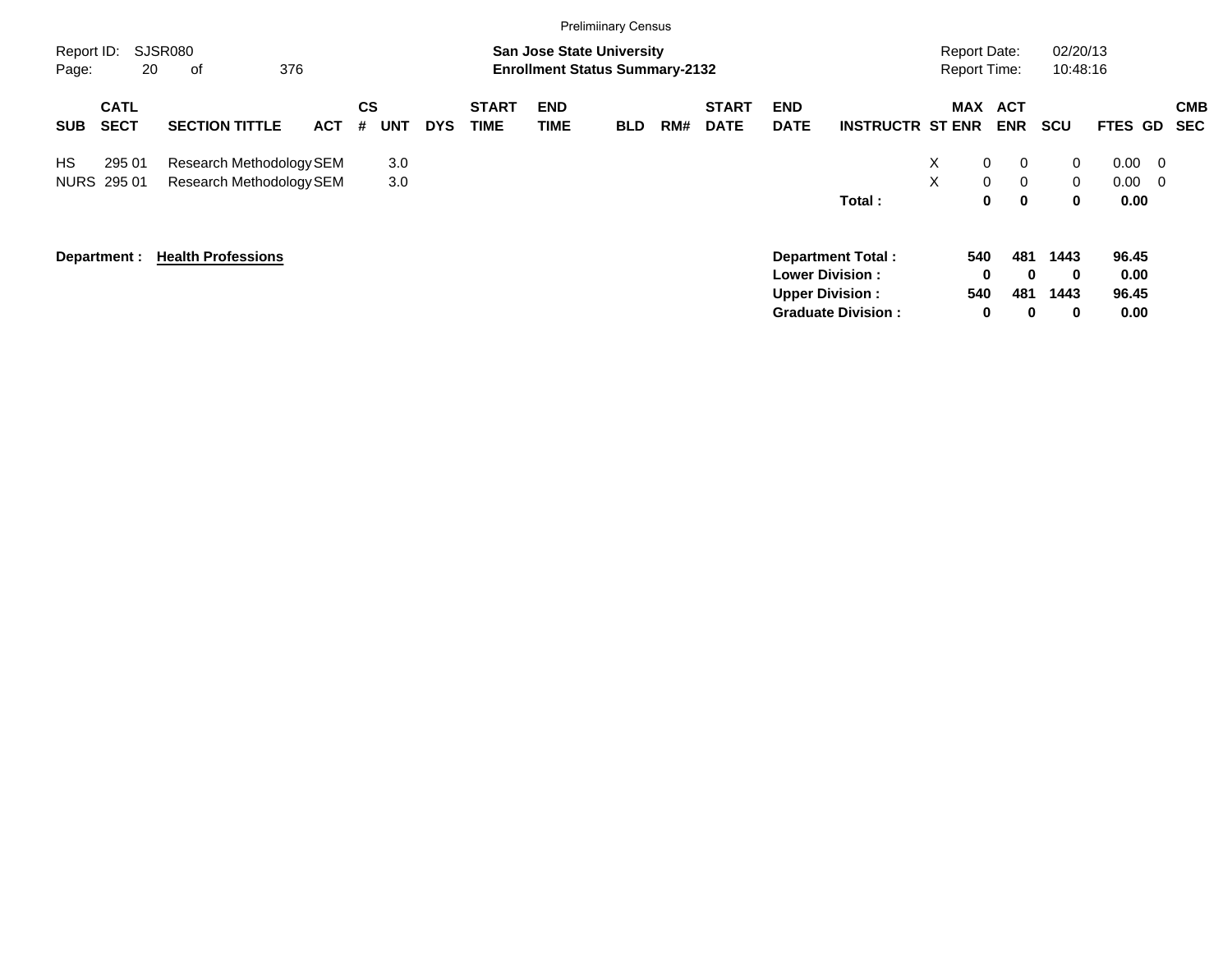|                     |                            |                                                      |            |                       |            |                             |                    | <b>Prelimiinary Census</b>                                                |     |                             |                           |                                                                                                           |                                            |                                                                                  |                                     |                                          |                          |
|---------------------|----------------------------|------------------------------------------------------|------------|-----------------------|------------|-----------------------------|--------------------|---------------------------------------------------------------------------|-----|-----------------------------|---------------------------|-----------------------------------------------------------------------------------------------------------|--------------------------------------------|----------------------------------------------------------------------------------|-------------------------------------|------------------------------------------|--------------------------|
| Report ID:<br>Page: | 20                         | SJSR080<br>376<br>οf                                 |            |                       |            |                             |                    | <b>San Jose State University</b><br><b>Enrollment Status Summary-2132</b> |     |                             |                           |                                                                                                           | <b>Report Date:</b><br><b>Report Time:</b> |                                                                                  | 02/20/13<br>10:48:16                |                                          |                          |
| <b>SUB</b>          | <b>CATL</b><br><b>SECT</b> | <b>SECTION TITTLE</b>                                | <b>ACT</b> | CS<br><b>UNT</b><br># | <b>DYS</b> | <b>START</b><br><b>TIME</b> | <b>END</b><br>TIME | <b>BLD</b>                                                                | RM# | <b>START</b><br><b>DATE</b> | <b>END</b><br><b>DATE</b> | <b>INSTRUCTR ST ENR</b>                                                                                   |                                            | MAX ACT<br><b>ENR</b>                                                            | <b>SCU</b>                          | FTES GD                                  | <b>CMB</b><br><b>SEC</b> |
| <b>HS</b>           | 295 01<br>NURS 295 01      | Research Methodology SEM<br>Research Methodology SEM |            | 3.0<br>3.0            |            |                             |                    |                                                                           |     |                             |                           | Total:                                                                                                    | X.<br>X                                    | $\mathbf 0$<br>$\mathbf{0}$<br>$\mathbf 0$<br>$\overline{0}$<br>0<br>$\mathbf 0$ | $\mathbf{0}$<br>$\overline{0}$<br>0 | $0.00 \quad 0$<br>$0.00 \quad 0$<br>0.00 |                          |
|                     | Department :               | <b>Health Professions</b>                            |            |                       |            |                             |                    |                                                                           |     |                             |                           | <b>Department Total:</b><br><b>Lower Division:</b><br><b>Upper Division:</b><br><b>Graduate Division:</b> | 540<br>540                                 | 481<br>0<br>$\mathbf{0}$<br>481<br>$\mathbf 0$<br>0                              | 1443<br>$\mathbf 0$<br>1443<br>0    | 96.45<br>0.00<br>96.45<br>0.00           |                          |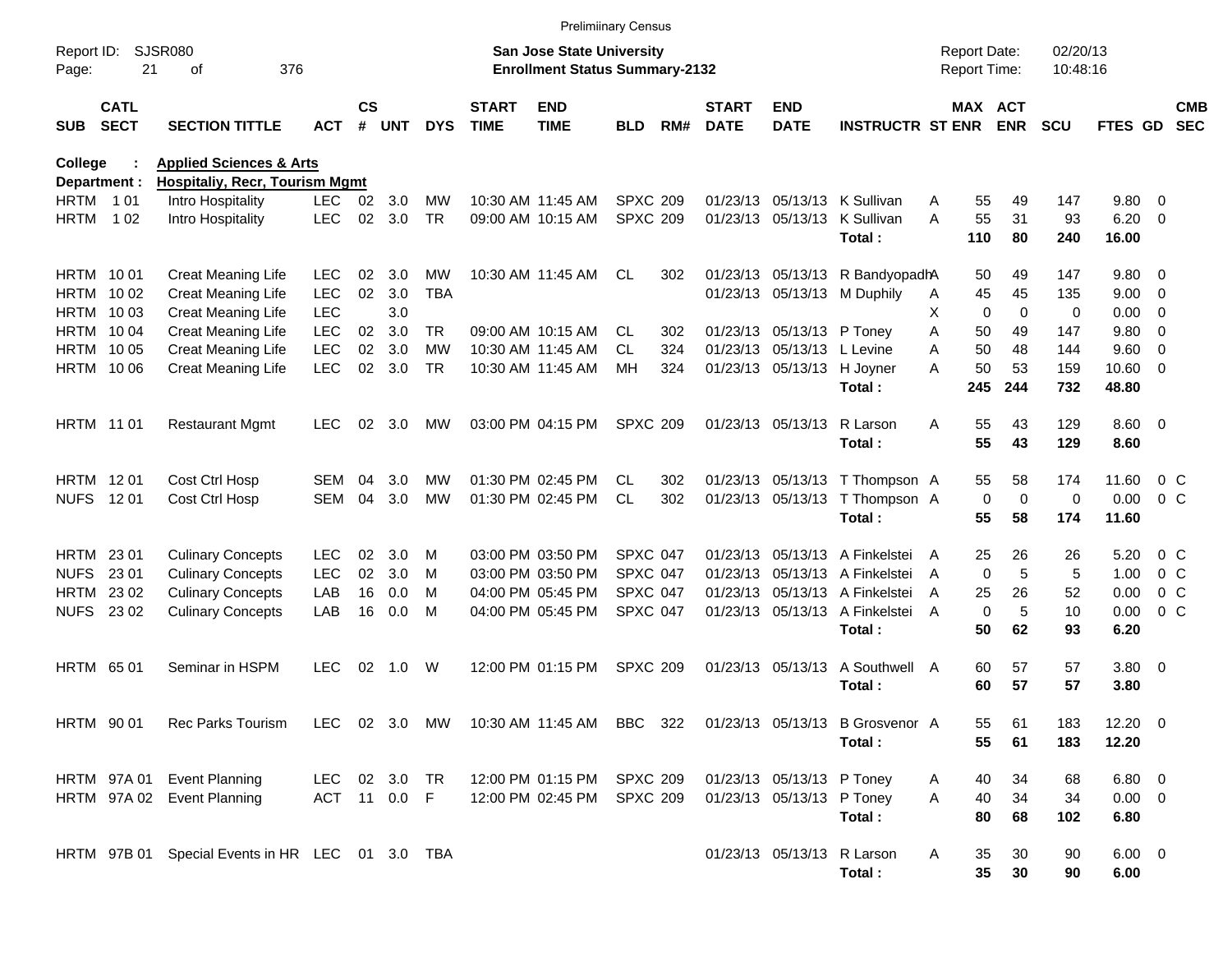|                     |                            |                                                 |               |                    |            |            |                             | <b>Prelimiinary Census</b>                                         |                 |     |                             |                            |                                                                                   |                                            |                        |                      |                        |                |                          |
|---------------------|----------------------------|-------------------------------------------------|---------------|--------------------|------------|------------|-----------------------------|--------------------------------------------------------------------|-----------------|-----|-----------------------------|----------------------------|-----------------------------------------------------------------------------------|--------------------------------------------|------------------------|----------------------|------------------------|----------------|--------------------------|
| Report ID:<br>Page: | 21                         | <b>SJSR080</b><br>376<br>оf                     |               |                    |            |            |                             | San Jose State University<br><b>Enrollment Status Summary-2132</b> |                 |     |                             |                            |                                                                                   | <b>Report Date:</b><br><b>Report Time:</b> |                        | 02/20/13<br>10:48:16 |                        |                |                          |
| <b>SUB</b>          | <b>CATL</b><br><b>SECT</b> | <b>SECTION TITTLE</b>                           | <b>ACT</b>    | $\mathsf{cs}$<br># | <b>UNT</b> | <b>DYS</b> | <b>START</b><br><b>TIME</b> | <b>END</b><br><b>TIME</b>                                          | BLD             | RM# | <b>START</b><br><b>DATE</b> | <b>END</b><br><b>DATE</b>  | <b>INSTRUCTR ST ENR</b>                                                           |                                            | MAX ACT<br><b>ENR</b>  | <b>SCU</b>           | FTES GD                |                | <b>CMB</b><br><b>SEC</b> |
| College             |                            | <b>Applied Sciences &amp; Arts</b>              |               |                    |            |            |                             |                                                                    |                 |     |                             |                            |                                                                                   |                                            |                        |                      |                        |                |                          |
|                     | Department :               | <b>Hospitaliy, Recr, Tourism Mgmt</b>           |               |                    |            |            |                             |                                                                    |                 |     |                             |                            |                                                                                   |                                            |                        |                      |                        |                |                          |
| <b>HRTM</b> 101     |                            | Intro Hospitality                               | <b>LEC</b>    | 02                 | 3.0        | MW         |                             | 10:30 AM 11:45 AM                                                  | <b>SPXC 209</b> |     |                             | 01/23/13 05/13/13          | K Sullivan                                                                        | 55<br>Α                                    | 49                     | 147                  | 9.80                   | $\overline{0}$ |                          |
| HRTM                | 1 0 2                      | Intro Hospitality                               | <b>LEC</b>    | 02                 | 3.0        | <b>TR</b>  |                             | 09:00 AM 10:15 AM                                                  | <b>SPXC 209</b> |     |                             | 01/23/13 05/13/13          | K Sullivan<br>Total:                                                              | 55<br>А<br>110                             | 31<br>80               | 93<br>240            | 6.20<br>16.00          | $\mathbf{0}$   |                          |
| <b>HRTM 1001</b>    |                            | <b>Creat Meaning Life</b>                       | <b>LEC</b>    | 02                 | 3.0        | MW         |                             | 10:30 AM 11:45 AM                                                  | CL.             | 302 |                             |                            | 01/23/13 05/13/13 R BandyopadhA                                                   | 50                                         | 49                     | 147                  | 9.80                   | $\overline{0}$ |                          |
|                     | HRTM 1002                  | Creat Meaning Life                              | <b>LEC</b>    | 02                 | 3.0        | <b>TBA</b> |                             |                                                                    |                 |     |                             |                            | 01/23/13 05/13/13 M Duphily                                                       | 45<br>A                                    | 45                     | 135                  | 9.00                   | 0              |                          |
|                     | HRTM 1003                  | Creat Meaning Life                              | <b>LEC</b>    |                    | 3.0        |            |                             |                                                                    |                 |     |                             |                            |                                                                                   | X.                                         | 0<br>$\mathbf 0$       | 0                    | 0.00                   | 0              |                          |
|                     | HRTM 1004                  | <b>Creat Meaning Life</b>                       | <b>LEC</b>    | 02                 | 3.0        | TR.        |                             | 09:00 AM 10:15 AM                                                  | CL.             | 302 |                             | 01/23/13 05/13/13 P Toney  |                                                                                   | 50<br>Α                                    | 49                     | 147                  | 9.80                   | 0              |                          |
|                     | HRTM 1005                  | Creat Meaning Life                              | <b>LEC</b>    | 02                 | 3.0        | МW         |                             | 10:30 AM 11:45 AM                                                  | CL              | 324 |                             | 01/23/13 05/13/13 L Levine |                                                                                   | 50<br>Α                                    | 48                     | 144                  | 9.60                   | 0              |                          |
|                     | HRTM 1006                  | Creat Meaning Life                              | <b>LEC</b>    | 02                 | 3.0        | <b>TR</b>  |                             | 10:30 AM 11:45 AM                                                  | МH              | 324 |                             | 01/23/13 05/13/13          | H Joyner<br>Total:                                                                | 50<br>А<br>245                             | 53<br>244              | 159<br>732           | 10.60<br>48.80         | $\overline{0}$ |                          |
|                     | <b>HRTM 1101</b>           | <b>Restaurant Mgmt</b>                          | <b>LEC</b>    | 02                 | 3.0        | MW         |                             | 03:00 PM 04:15 PM                                                  | <b>SPXC 209</b> |     |                             | 01/23/13 05/13/13          | R Larson<br>Total:                                                                | 55<br>A<br>55                              | 43<br>43               | 129<br>129           | $8.60 \quad 0$<br>8.60 |                |                          |
| HRTM 1201           |                            | Cost Ctrl Hosp                                  | <b>SEM</b>    | 04                 | 3.0        | MW         |                             | 01:30 PM 02:45 PM                                                  | CL.             | 302 |                             |                            | 01/23/13 05/13/13 T Thompson A                                                    | 55                                         | 58                     | 174                  | 11.60                  | $0\,C$         |                          |
|                     | NUFS 1201                  | Cost Ctrl Hosp                                  | <b>SEM</b>    | 04                 | 3.0        | <b>MW</b>  |                             | 01:30 PM 02:45 PM                                                  | <b>CL</b>       | 302 |                             |                            | 01/23/13 05/13/13 T Thompson A<br>Total:                                          | 55                                         | 0<br>$\mathbf 0$<br>58 | 0<br>174             | 0.00<br>11.60          | 0 <sup>o</sup> |                          |
| <b>HRTM 2301</b>    |                            | <b>Culinary Concepts</b>                        | <b>LEC</b>    | 02                 | 3.0        | м          |                             | 03:00 PM 03:50 PM                                                  | <b>SPXC 047</b> |     |                             | 01/23/13 05/13/13          | A Finkelstei                                                                      | 25<br>A                                    | 26                     | 26                   | 5.20                   | $0\,$ C        |                          |
| <b>NUFS</b>         | 23 01                      | <b>Culinary Concepts</b>                        | <b>LEC</b>    | 02                 | 3.0        | м          |                             | 03:00 PM 03:50 PM                                                  | <b>SPXC 047</b> |     |                             |                            | 01/23/13 05/13/13 A Finkelstei                                                    | A                                          | $\mathbf 0$<br>5       | 5                    | 1.00                   | 0 <sup>o</sup> |                          |
|                     | HRTM 23 02                 | <b>Culinary Concepts</b>                        | LAB           | 16                 | 0.0        | м          |                             | 04:00 PM 05:45 PM                                                  | <b>SPXC 047</b> |     |                             |                            | 01/23/13 05/13/13 A Finkelstei                                                    | 25<br>A                                    | 26                     | 52                   | 0.00                   | 0 <sup>o</sup> |                          |
|                     | NUFS 23 02                 | <b>Culinary Concepts</b>                        | LAB           | 16                 | 0.0        | M          |                             | 04:00 PM 05:45 PM                                                  | SPXC 047        |     |                             |                            | 01/23/13 05/13/13 A Finkelstei<br>Total:                                          | A<br>50                                    | 5<br>$\mathbf 0$<br>62 | 10<br>93             | 0.00<br>6.20           | 0 <sup>o</sup> |                          |
|                     | <b>HRTM 6501</b>           | Seminar in HSPM                                 | <b>LEC</b>    | 02                 | 1.0        | W          |                             | 12:00 PM 01:15 PM                                                  | <b>SPXC 209</b> |     |                             | 01/23/13 05/13/13          | A Southwell<br>Total:                                                             | 60<br>A<br>60                              | 57<br>57               | 57<br>57             | $3.80\ 0$<br>3.80      |                |                          |
|                     | <b>HRTM 9001</b>           | Rec Parks Tourism                               |               |                    |            |            |                             |                                                                    |                 |     |                             |                            | LEC 02 3.0 MW 10:30 AM 11:45 AM BBC 322 01/23/13 05/13/13 B Grosvenor A<br>Total: | 55<br>55                                   | 61<br>61               | 183<br>183           | $12.20 \t 0$<br>12.20  |                |                          |
|                     |                            |                                                 |               |                    |            |            |                             |                                                                    |                 |     |                             |                            |                                                                                   |                                            |                        |                      |                        |                |                          |
|                     |                            | HRTM 97A 01 Event Planning                      | LEC 02 3.0 TR |                    |            |            |                             | 12:00 PM 01:15 PM SPXC 209                                         |                 |     |                             | 01/23/13 05/13/13 P Toney  |                                                                                   | 40<br>A                                    | 34                     | 68                   | $6.80$ 0               |                |                          |
|                     |                            | HRTM 97A 02 Event Planning                      | ACT 11 0.0 F  |                    |            |            |                             | 12:00 PM 02:45 PM                                                  | <b>SPXC 209</b> |     |                             | 01/23/13 05/13/13 P Toney  | Total:                                                                            | A<br>40<br>80                              | 34<br>68               | 34<br>102            | $0.00 \t 0$<br>6.80    |                |                          |
|                     |                            | HRTM 97B 01 Special Events in HR LEC 01 3.0 TBA |               |                    |            |            |                             |                                                                    |                 |     |                             | 01/23/13 05/13/13 R Larson | Total:                                                                            | 35<br>A<br>35                              | 30<br>30               | 90<br>90             | $6.00 \t 0$<br>6.00    |                |                          |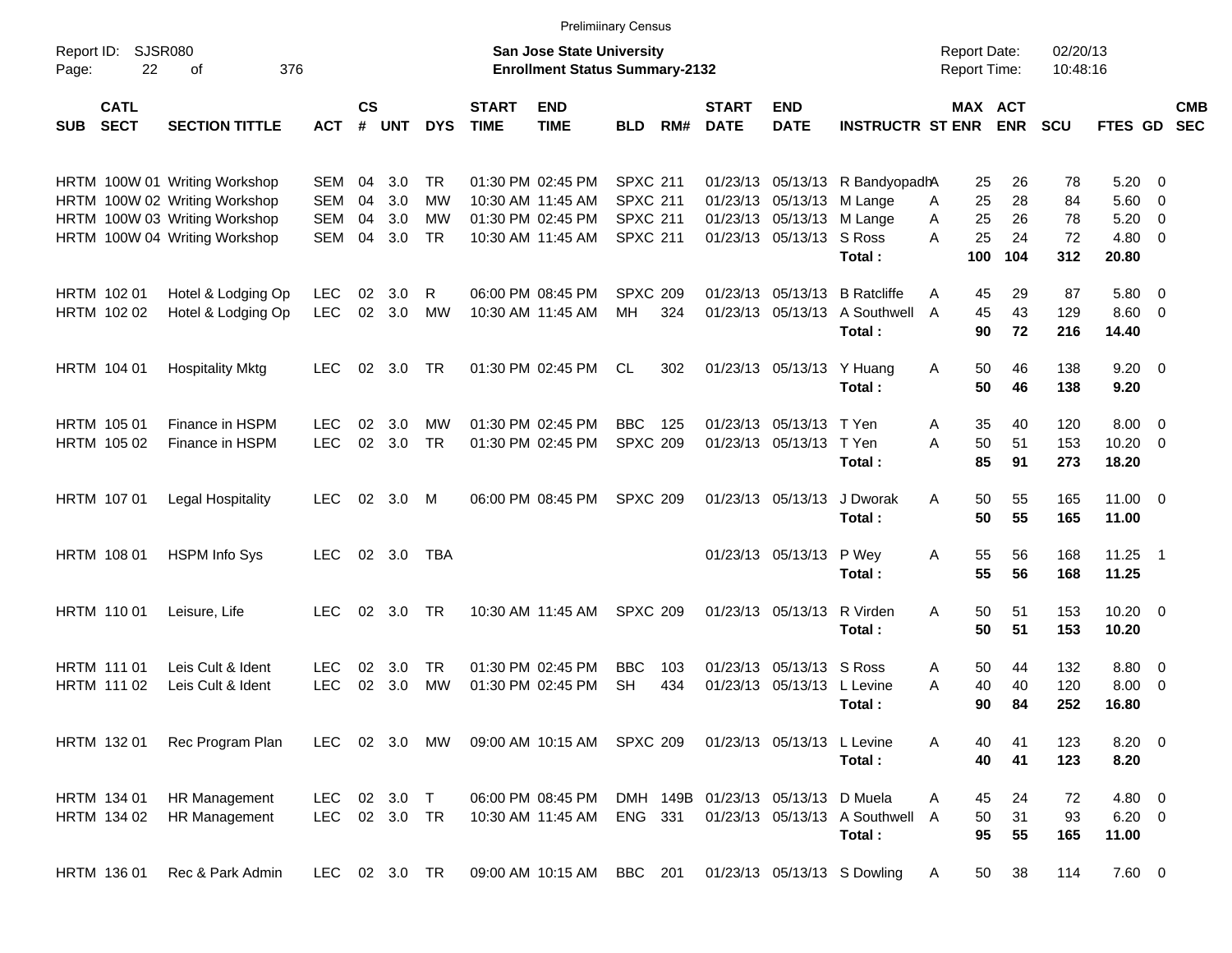|                                   |                            |                                                                                                                                  |                                        |                      |                          |                              |                             |                                                                                  | <b>Prelimiinary Census</b>                                               |            |                             |                                                                                    |                                                                          |                                            |                             |                             |                                                             |                          |
|-----------------------------------|----------------------------|----------------------------------------------------------------------------------------------------------------------------------|----------------------------------------|----------------------|--------------------------|------------------------------|-----------------------------|----------------------------------------------------------------------------------|--------------------------------------------------------------------------|------------|-----------------------------|------------------------------------------------------------------------------------|--------------------------------------------------------------------------|--------------------------------------------|-----------------------------|-----------------------------|-------------------------------------------------------------|--------------------------|
| Report ID:<br>Page:               | SJSR080<br>22              | 376<br>οf                                                                                                                        |                                        |                      |                          |                              |                             | <b>San Jose State University</b><br><b>Enrollment Status Summary-2132</b>        |                                                                          |            |                             |                                                                                    |                                                                          | <b>Report Date:</b><br><b>Report Time:</b> |                             | 02/20/13<br>10:48:16        |                                                             |                          |
| <b>SUB</b>                        | <b>CATL</b><br><b>SECT</b> | <b>SECTION TITTLE</b>                                                                                                            | <b>ACT</b>                             | <b>CS</b><br>#       | <b>UNT</b>               | <b>DYS</b>                   | <b>START</b><br><b>TIME</b> | <b>END</b><br><b>TIME</b>                                                        | <b>BLD</b>                                                               | RM#        | <b>START</b><br><b>DATE</b> | <b>END</b><br><b>DATE</b>                                                          | <b>INSTRUCTR ST ENR</b>                                                  | MAX ACT                                    | <b>ENR</b>                  | <b>SCU</b>                  | <b>FTES GD</b>                                              | <b>CMB</b><br><b>SEC</b> |
|                                   |                            | HRTM 100W 01 Writing Workshop<br>HRTM 100W 02 Writing Workshop<br>HRTM 100W 03 Writing Workshop<br>HRTM 100W 04 Writing Workshop | SEM<br><b>SEM</b><br><b>SEM</b><br>SEM | 04<br>04<br>04<br>04 | 3.0<br>3.0<br>3.0<br>3.0 | TR.<br>МW<br>MW<br><b>TR</b> |                             | 01:30 PM 02:45 PM<br>10:30 AM 11:45 AM<br>01:30 PM 02:45 PM<br>10:30 AM 11:45 AM | <b>SPXC 211</b><br><b>SPXC 211</b><br><b>SPXC 211</b><br><b>SPXC 211</b> |            |                             | 01/23/13 05/13/13 M Lange<br>01/23/13 05/13/13 M Lange<br>01/23/13 05/13/13 S Ross | 01/23/13 05/13/13 R BandyopadhA<br>Total:                                | 25<br>25<br>A<br>25<br>A<br>25<br>A<br>100 | 26<br>28<br>26<br>24<br>104 | 78<br>84<br>78<br>72<br>312 | $5.20 \ 0$<br>$5.60$ 0<br>$5.20 \t 0$<br>$4.80\ 0$<br>20.80 |                          |
| HRTM 102 01<br>HRTM 102 02        |                            | Hotel & Lodging Op<br>Hotel & Lodging Op                                                                                         | <b>LEC</b><br><b>LEC</b>               | 02<br>02             | 3.0<br>3.0               | R<br>MW                      |                             | 06:00 PM 08:45 PM<br>10:30 AM 11:45 AM                                           | <b>SPXC 209</b><br>MH                                                    | 324        |                             |                                                                                    | 01/23/13 05/13/13 B Ratcliffe<br>01/23/13 05/13/13 A Southwell<br>Total: | 45<br>A<br>45<br>A<br>90                   | 29<br>43<br>72              | 87<br>129<br>216            | 5.80 0<br>$8.60 \quad 0$<br>14.40                           |                          |
| HRTM 104 01                       |                            | <b>Hospitality Mktg</b>                                                                                                          | <b>LEC</b>                             |                      | 02 3.0                   | TR                           |                             | 01:30 PM 02:45 PM                                                                | CL                                                                       | 302        |                             | 01/23/13 05/13/13 Y Huang                                                          | Total:                                                                   | 50<br>Α<br>50                              | 46<br>46                    | 138<br>138                  | $9.20 \ 0$<br>9.20                                          |                          |
| <b>HRTM 105 01</b><br>HRTM 105 02 |                            | Finance in HSPM<br>Finance in HSPM                                                                                               | <b>LEC</b><br><b>LEC</b>               | 02<br>02             | 3.0<br>3.0               | МW<br><b>TR</b>              |                             | 01:30 PM 02:45 PM<br>01:30 PM 02:45 PM                                           | <b>BBC</b><br><b>SPXC 209</b>                                            | 125        |                             | 01/23/13 05/13/13 T Yen<br>01/23/13 05/13/13 T Yen                                 | Total:                                                                   | 35<br>A<br>50<br>A<br>85                   | 40<br>51<br>91              | 120<br>153<br>273           | $8.00 \t 0$<br>$10.20 \t 0$<br>18.20                        |                          |
| HRTM 107 01                       |                            | Legal Hospitality                                                                                                                | LEC                                    |                      | 02 3.0 M                 |                              |                             | 06:00 PM 08:45 PM                                                                | <b>SPXC 209</b>                                                          |            |                             | 01/23/13 05/13/13                                                                  | J Dworak<br>Total:                                                       | 50<br>A<br>50                              | 55<br>55                    | 165<br>165                  | $11.00 \t 0$<br>11.00                                       |                          |
| HRTM 108 01                       |                            | <b>HSPM Info Sys</b>                                                                                                             | <b>LEC</b>                             |                      | 02 3.0                   | TBA                          |                             |                                                                                  |                                                                          |            |                             | 01/23/13 05/13/13 P Wey                                                            | Total:                                                                   | 55<br>Α<br>55                              | 56<br>56                    | 168<br>168                  | $11.25$ 1<br>11.25                                          |                          |
| HRTM 110 01                       |                            | Leisure, Life                                                                                                                    | <b>LEC</b>                             |                      | 02 3.0                   | <b>TR</b>                    |                             | 10:30 AM 11:45 AM                                                                | <b>SPXC 209</b>                                                          |            |                             | 01/23/13 05/13/13 R Virden                                                         | Total:                                                                   | 50<br>A<br>50                              | 51<br>51                    | 153<br>153                  | $10.20 \t 0$<br>10.20                                       |                          |
| <b>HRTM 11101</b><br>HRTM 111 02  |                            | Leis Cult & Ident<br>Leis Cult & Ident                                                                                           | <b>LEC</b><br><b>LEC</b>               | 02<br>02             | 3.0<br>3.0               | <b>TR</b><br>MW              |                             | 01:30 PM 02:45 PM<br>01:30 PM 02:45 PM                                           | <b>BBC</b><br><b>SH</b>                                                  | 103<br>434 |                             | 01/23/13 05/13/13 S Ross<br>01/23/13 05/13/13 L Levine                             | Total :                                                                  | 50<br>A<br>40<br>Α<br>90                   | 44<br>40<br>84              | 132<br>120<br>252           | $8.80\ 0$<br>$8.00 \t 0$<br>16.80                           |                          |
| HRTM 132 01                       |                            | Rec Program Plan                                                                                                                 |                                        |                      |                          |                              |                             | LEC 02 3.0 MW 09:00 AM 10:15 AM SPXC 209                                         |                                                                          |            |                             | 01/23/13 05/13/13 L Levine                                                         | Total:                                                                   | 40<br>A<br>40                              | 41<br>41                    | 123<br>123                  | 8.20 0<br>8.20                                              |                          |
| HRTM 134 01<br>HRTM 134 02        |                            | HR Management<br>HR Management                                                                                                   | LEC<br>LEC                             |                      | 02 3.0 T<br>02 3.0 TR    |                              |                             | 06:00 PM 08:45 PM<br>10:30 AM 11:45 AM                                           | ENG 331                                                                  |            |                             | DMH 149B 01/23/13 05/13/13 D Muela                                                 | 01/23/13 05/13/13 A Southwell<br>Total:                                  | 45<br>A<br>50<br>A<br>95                   | 24<br>31<br>55              | 72<br>93<br>165             | 4.80 0<br>$6.20 \quad 0$<br>11.00                           |                          |
| HRTM 136 01                       |                            | Rec & Park Admin                                                                                                                 | LEC 02 3.0 TR                          |                      |                          |                              |                             | 09:00 AM 10:15 AM BBC 201                                                        |                                                                          |            |                             |                                                                                    | 01/23/13 05/13/13 S Dowling                                              | 50<br>A                                    | 38                          | 114                         | 7.60 0                                                      |                          |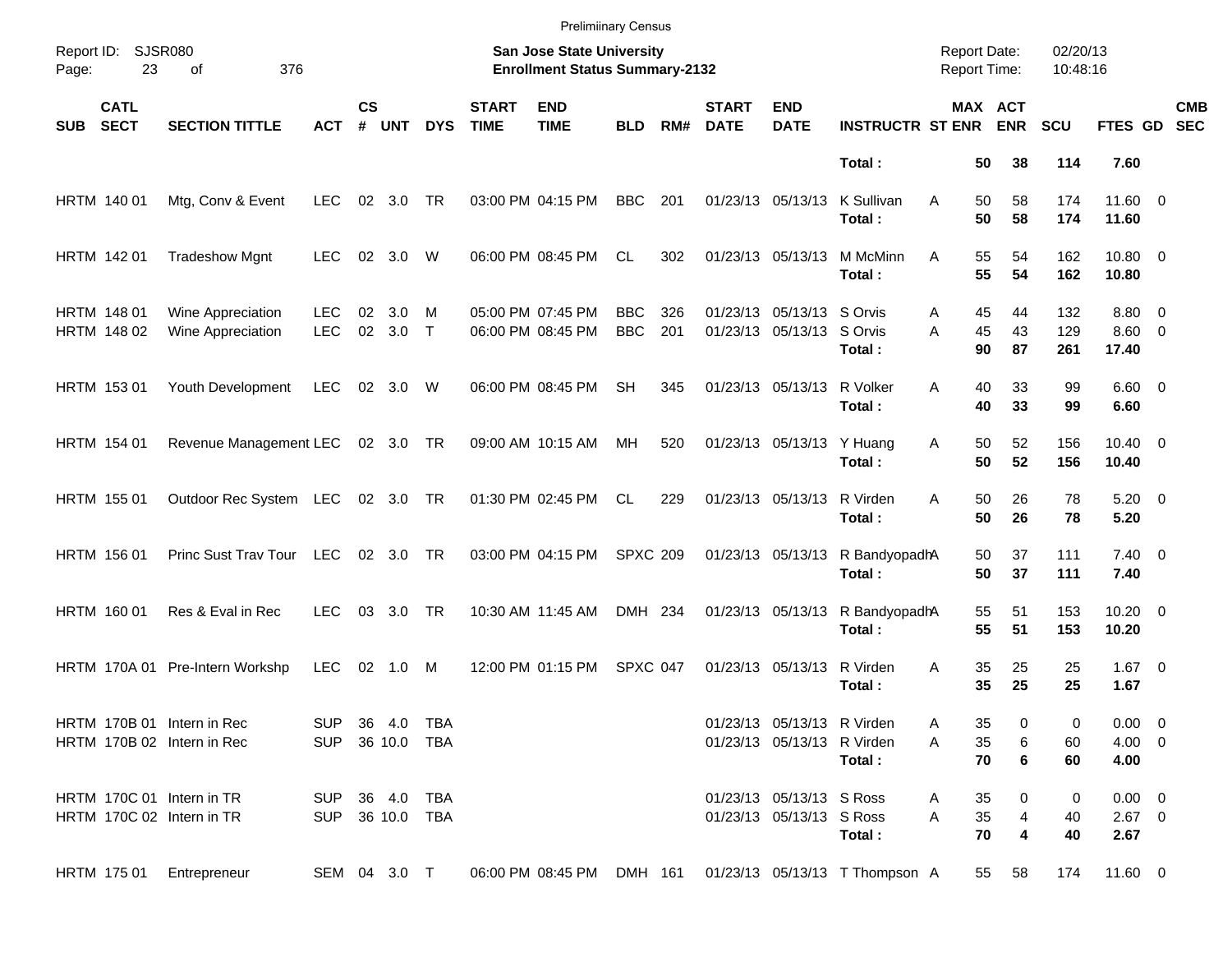|            |                            |                                                          |                                   |                    |            |             |                             | <b>Prelimiinary Census</b>                                         |                          |            |                             |                                                          |                                |                                            |                |                      |                                   |                          |
|------------|----------------------------|----------------------------------------------------------|-----------------------------------|--------------------|------------|-------------|-----------------------------|--------------------------------------------------------------------|--------------------------|------------|-----------------------------|----------------------------------------------------------|--------------------------------|--------------------------------------------|----------------|----------------------|-----------------------------------|--------------------------|
| Page:      | Report ID: SJSR080<br>23   | 376<br>of                                                |                                   |                    |            |             |                             | San Jose State University<br><b>Enrollment Status Summary-2132</b> |                          |            |                             |                                                          |                                | <b>Report Date:</b><br><b>Report Time:</b> |                | 02/20/13<br>10:48:16 |                                   |                          |
| <b>SUB</b> | <b>CATL</b><br><b>SECT</b> | <b>SECTION TITTLE</b>                                    | <b>ACT</b>                        | $\mathsf{cs}$<br># | <b>UNT</b> | <b>DYS</b>  | <b>START</b><br><b>TIME</b> | <b>END</b><br><b>TIME</b>                                          | <b>BLD</b>               | RM#        | <b>START</b><br><b>DATE</b> | <b>END</b><br><b>DATE</b>                                | <b>INSTRUCTR ST ENR</b>        | MAX ACT                                    | <b>ENR</b>     | <b>SCU</b>           | <b>FTES GD</b>                    | <b>CMB</b><br><b>SEC</b> |
|            |                            |                                                          |                                   |                    |            |             |                             |                                                                    |                          |            |                             |                                                          | Total:                         | 50                                         | 38             | 114                  | 7.60                              |                          |
|            | HRTM 140 01                | Mtg, Conv & Event                                        | <b>LEC</b>                        |                    | 02 3.0     | TR          |                             | 03:00 PM 04:15 PM                                                  | <b>BBC</b>               | 201        |                             | 01/23/13 05/13/13                                        | K Sullivan<br>Total:           | 50<br>A<br>50                              | 58<br>58       | 174<br>174           | 11.60 0<br>11.60                  |                          |
|            | HRTM 142 01                | <b>Tradeshow Mgnt</b>                                    | <b>LEC</b>                        | 02                 | 3.0        | W           |                             | 06:00 PM 08:45 PM                                                  | CL                       | 302        |                             | 01/23/13 05/13/13                                        | M McMinn<br>Total:             | 55<br>A<br>55                              | 54<br>54       | 162<br>162           | 10.80 0<br>10.80                  |                          |
|            | HRTM 148 01<br>HRTM 148 02 | Wine Appreciation<br>Wine Appreciation                   | <b>LEC</b><br><b>LEC</b>          | 02<br>02           | 3.0<br>3.0 | м<br>$\top$ |                             | 05:00 PM 07:45 PM<br>06:00 PM 08:45 PM                             | <b>BBC</b><br><b>BBC</b> | 326<br>201 |                             | 01/23/13 05/13/13 S Orvis<br>01/23/13 05/13/13 S Orvis   | Total:                         | 45<br>A<br>45<br>A<br>90                   | 44<br>43<br>87 | 132<br>129<br>261    | 8.80 0<br>$8.60 \quad 0$<br>17.40 |                          |
|            | HRTM 153 01                | Youth Development                                        | <b>LEC</b>                        |                    | 02 3.0     | W           |                             | 06:00 PM 08:45 PM                                                  | <b>SH</b>                | 345        |                             | 01/23/13 05/13/13                                        | R Volker<br>Total:             | 40<br>A<br>40                              | 33<br>33       | 99<br>99             | $6.60$ 0<br>6.60                  |                          |
|            | <b>HRTM 154 01</b>         | Revenue Management LEC 02 3.0 TR                         |                                   |                    |            |             |                             | 09:00 AM 10:15 AM                                                  | МH                       | 520        |                             | 01/23/13 05/13/13                                        | Y Huang<br>Total:              | 50<br>Α<br>50                              | 52<br>52       | 156<br>156           | $10.40 \quad 0$<br>10.40          |                          |
|            | HRTM 155 01                | Outdoor Rec System LEC 02 3.0 TR                         |                                   |                    |            |             |                             | 01:30 PM 02:45 PM                                                  | CL                       | 229        |                             | 01/23/13 05/13/13                                        | R Virden<br>Total:             | 50<br>A<br>50                              | 26<br>26       | 78<br>78             | $5.20 \ 0$<br>5.20                |                          |
|            | HRTM 156 01                | Princ Sust Trav Tour                                     | <b>LEC</b>                        |                    | 02 3.0 TR  |             |                             | 03:00 PM 04:15 PM                                                  | <b>SPXC 209</b>          |            |                             | 01/23/13 05/13/13                                        | R BandyopadhA<br>Total:        | 50<br>50                                   | 37<br>37       | 111<br>111           | $7.40 \quad 0$<br>7.40            |                          |
|            | HRTM 160 01                | Res & Eval in Rec                                        | <b>LEC</b>                        |                    | 03 3.0     | TR          |                             | 10:30 AM 11:45 AM                                                  | DMH 234                  |            |                             | 01/23/13 05/13/13                                        | R BandyopadhA<br>Total:        | 55<br>55                                   | 51<br>51       | 153<br>153           | $10.20 \t 0$<br>10.20             |                          |
|            |                            | HRTM 170A 01 Pre-Intern Workshp                          | <b>LEC</b>                        |                    | 02 1.0 M   |             |                             | 12:00 PM 01:15 PM                                                  | SPXC 047                 |            |                             | 01/23/13 05/13/13                                        | R Virden<br>Total:             | 35<br>A<br>35                              | 25<br>25       | 25<br>25             | $1.67$ 0<br>1.67                  |                          |
|            |                            | HRTM 170B 01 Intern in Rec<br>HRTM 170B 02 Intern in Rec | SUP 36 4.0 TBA<br>SUP 36 10.0 TBA |                    |            |             |                             |                                                                    |                          |            |                             | 01/23/13 05/13/13 R Virden<br>01/23/13 05/13/13 R Virden | Total:                         | 35<br>Α<br>35<br>Α<br>70                   | 0<br>6<br>6    | 0<br>60<br>60        | $0.00 \t 0$<br>$4.00 \ 0$<br>4.00 |                          |
|            |                            | HRTM 170C 01 Intern in TR<br>HRTM 170C 02 Intern in TR   | SUP 36 4.0 TBA<br>SUP 36 10.0 TBA |                    |            |             |                             |                                                                    |                          |            |                             | 01/23/13 05/13/13 S Ross<br>01/23/13 05/13/13 S Ross     | Total:                         | 35<br>A<br>35<br>A<br>70                   | 0<br>4<br>4    | 0<br>40<br>40        | $0.00 \t 0$<br>$2.67$ 0<br>2.67   |                          |
|            | HRTM 175 01                | Entrepreneur                                             | SEM 04 3.0 T                      |                    |            |             |                             | 06:00 PM 08:45 PM                                                  | DMH 161                  |            |                             |                                                          | 01/23/13 05/13/13 T Thompson A | 55                                         | 58             | 174                  | 11.60 0                           |                          |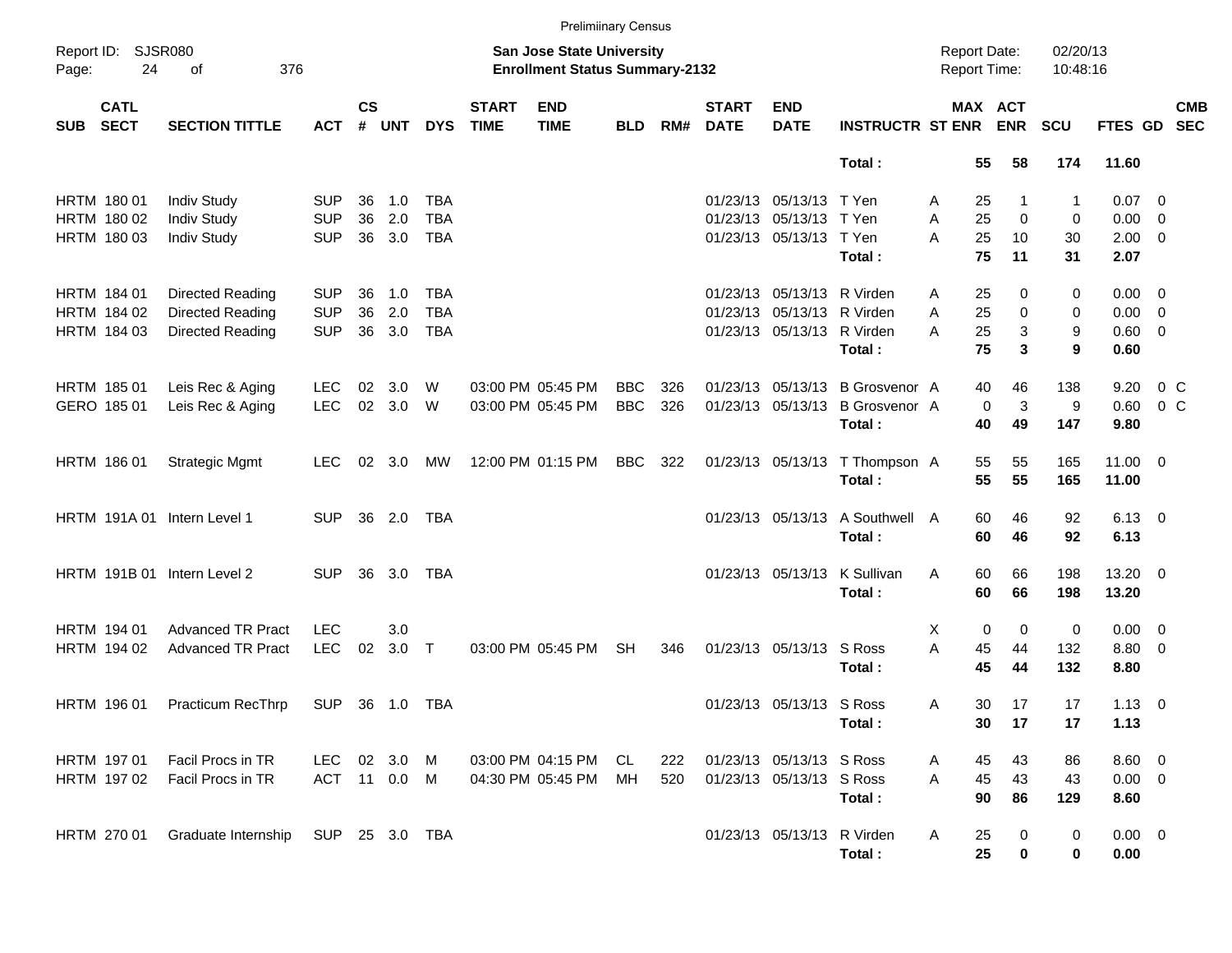|            |                            |                             |                |                    |            |            |                             | <b>Prelimiinary Census</b>                                         |            |     |                             |                            |                                 |                                            |                       |                      |                |         |            |
|------------|----------------------------|-----------------------------|----------------|--------------------|------------|------------|-----------------------------|--------------------------------------------------------------------|------------|-----|-----------------------------|----------------------------|---------------------------------|--------------------------------------------|-----------------------|----------------------|----------------|---------|------------|
| Page:      | Report ID: SJSR080<br>24   | 376<br>of                   |                |                    |            |            |                             | San Jose State University<br><b>Enrollment Status Summary-2132</b> |            |     |                             |                            |                                 | <b>Report Date:</b><br><b>Report Time:</b> |                       | 02/20/13<br>10:48:16 |                |         |            |
| <b>SUB</b> | <b>CATL</b><br><b>SECT</b> | <b>SECTION TITTLE</b>       | <b>ACT</b>     | $\mathsf{cs}$<br># | UNT        | <b>DYS</b> | <b>START</b><br><b>TIME</b> | <b>END</b><br><b>TIME</b>                                          | <b>BLD</b> | RM# | <b>START</b><br><b>DATE</b> | <b>END</b><br><b>DATE</b>  | <b>INSTRUCTR ST ENR</b>         |                                            | MAX ACT<br><b>ENR</b> | <b>SCU</b>           | FTES GD SEC    |         | <b>CMB</b> |
|            |                            |                             |                |                    |            |            |                             |                                                                    |            |     |                             |                            | Total:                          | 55                                         | 58                    | 174                  | 11.60          |         |            |
|            | HRTM 180 01                | <b>Indiv Study</b>          | <b>SUP</b>     | 36                 | 1.0        | TBA        |                             |                                                                    |            |     |                             | 01/23/13 05/13/13 T Yen    |                                 | 25<br>A                                    | 1                     | 1                    | $0.07 \quad 0$ |         |            |
|            | HRTM 180 02                | <b>Indiv Study</b>          | <b>SUP</b>     | 36                 | 2.0        | <b>TBA</b> |                             |                                                                    |            |     |                             | 01/23/13 05/13/13 T Yen    |                                 | 25<br>Α                                    | $\mathbf 0$           | 0                    | $0.00 \t 0$    |         |            |
|            | HRTM 180 03                | <b>Indiv Study</b>          | <b>SUP</b>     | 36                 | 3.0        | <b>TBA</b> |                             |                                                                    |            |     |                             | 01/23/13 05/13/13 T Yen    |                                 | A<br>25                                    | 10                    | 30                   | $2.00 \t 0$    |         |            |
|            |                            |                             |                |                    |            |            |                             |                                                                    |            |     |                             |                            | Total:                          | 75                                         | 11                    | 31                   | 2.07           |         |            |
|            | HRTM 184 01                | Directed Reading            | <b>SUP</b>     | 36                 | 1.0        | TBA        |                             |                                                                    |            |     |                             | 01/23/13 05/13/13 R Virden |                                 | 25<br>A                                    | 0                     | 0                    | $0.00 \t 0$    |         |            |
|            | HRTM 184 02                | Directed Reading            | <b>SUP</b>     | 36                 | 2.0        | <b>TBA</b> |                             |                                                                    |            |     |                             | 01/23/13 05/13/13 R Virden |                                 | A<br>25                                    | 0                     | 0                    | $0.00 \t 0$    |         |            |
|            | HRTM 184 03                | Directed Reading            | <b>SUP</b>     | 36                 | 3.0        | <b>TBA</b> |                             |                                                                    |            |     |                             | 01/23/13 05/13/13 R Virden |                                 | 25<br>A                                    | $\mathbf{3}$          | 9                    | $0.60 \quad 0$ |         |            |
|            |                            |                             |                |                    |            |            |                             |                                                                    |            |     |                             |                            | Total:                          | 75                                         | 3                     | 9                    | 0.60           |         |            |
|            | HRTM 185 01                | Leis Rec & Aging            | <b>LEC</b>     | 02                 | 3.0        | W          |                             | 03:00 PM 05:45 PM                                                  | <b>BBC</b> | 326 |                             |                            | 01/23/13 05/13/13 B Grosvenor A | 40                                         | 46                    | 138                  | 9.20           | $0\,$ C |            |
|            | GERO 185 01                | Leis Rec & Aging            | <b>LEC</b>     |                    | 02 3.0 W   |            |                             | 03:00 PM 05:45 PM                                                  | <b>BBC</b> | 326 |                             |                            | 01/23/13 05/13/13 B Grosvenor A |                                            | 3<br>0                | 9                    | 0.60           | $0\,$ C |            |
|            |                            |                             |                |                    |            |            |                             |                                                                    |            |     |                             |                            | Total:                          | 40                                         | 49                    | 147                  | 9.80           |         |            |
|            | HRTM 186 01                | <b>Strategic Mgmt</b>       | <b>LEC</b>     |                    | 02 3.0     | МW         |                             | 12:00 PM 01:15 PM                                                  | <b>BBC</b> | 322 |                             |                            | 01/23/13 05/13/13 T Thompson A  | 55                                         | 55                    | 165                  | $11.00 \t 0$   |         |            |
|            |                            |                             |                |                    |            |            |                             |                                                                    |            |     |                             |                            | Total:                          | 55                                         | 55                    | 165                  | 11.00          |         |            |
|            |                            | HRTM 191A 01 Intern Level 1 | <b>SUP</b>     |                    | 36 2.0     | <b>TBA</b> |                             |                                                                    |            |     |                             |                            | 01/23/13 05/13/13 A Southwell A | 60                                         | 46                    | 92                   | $6.13 \quad 0$ |         |            |
|            |                            |                             |                |                    |            |            |                             |                                                                    |            |     |                             |                            | Total:                          | 60                                         | 46                    | 92                   | 6.13           |         |            |
|            |                            | HRTM 191B 01 Intern Level 2 | <b>SUP</b>     |                    | 36 3.0     | <b>TBA</b> |                             |                                                                    |            |     |                             | 01/23/13 05/13/13          | K Sullivan                      | 60<br>A                                    | 66                    | 198                  | $13.20 \t 0$   |         |            |
|            |                            |                             |                |                    |            |            |                             |                                                                    |            |     |                             |                            | Total:                          | 60                                         | 66                    | 198                  | 13.20          |         |            |
|            | HRTM 194 01                | <b>Advanced TR Pract</b>    | <b>LEC</b>     |                    | 3.0        |            |                             |                                                                    |            |     |                             |                            |                                 | Х                                          | 0<br>0                | 0                    | $0.00 \t 0$    |         |            |
|            | HRTM 194 02                | <b>Advanced TR Pract</b>    | <b>LEC</b>     | 02                 | $3.0$ T    |            |                             | 03:00 PM 05:45 PM                                                  | <b>SH</b>  | 346 |                             | 01/23/13 05/13/13 S Ross   |                                 | A<br>45                                    | 44                    | 132                  | 8.80 0         |         |            |
|            |                            |                             |                |                    |            |            |                             |                                                                    |            |     |                             |                            | Total:                          | 45                                         | 44                    | 132                  | 8.80           |         |            |
|            | HRTM 196 01                | <b>Practicum RecThrp</b>    | SUP            |                    | 36 1.0 TBA |            |                             |                                                                    |            |     |                             | 01/23/13 05/13/13 S Ross   |                                 | 30<br>A                                    | 17                    | 17                   | $1.13 \ 0$     |         |            |
|            |                            |                             |                |                    |            |            |                             |                                                                    |            |     |                             |                            | Total:                          |                                            | 30<br>17              | 17                   | 1.13           |         |            |
|            | HRTM 197 01                | Facil Procs in TR           | LEC            |                    | 02 3.0 M   |            |                             | 03:00 PM 04:15 PM                                                  | CL.        | 222 |                             | 01/23/13 05/13/13 S Ross   |                                 | 45<br>A                                    | 43                    | 86                   | $8.60$ 0       |         |            |
|            | HRTM 197 02                | Facil Procs in TR           | ACT 11 0.0 M   |                    |            |            |                             | 04:30 PM 05:45 PM                                                  | МH         | 520 |                             | 01/23/13 05/13/13 S Ross   |                                 | 45<br>A                                    | 43                    | 43                   | $0.00 \t 0$    |         |            |
|            |                            |                             |                |                    |            |            |                             |                                                                    |            |     |                             |                            | Total:                          | 90                                         | 86                    | 129                  | 8.60           |         |            |
|            | HRTM 270 01                | Graduate Internship         | SUP 25 3.0 TBA |                    |            |            |                             |                                                                    |            |     |                             | 01/23/13 05/13/13 R Virden |                                 | 25<br>A                                    | 0                     | 0                    | $0.00 \t 0$    |         |            |
|            |                            |                             |                |                    |            |            |                             |                                                                    |            |     |                             |                            | Total:                          | 25                                         | 0                     | 0                    | 0.00           |         |            |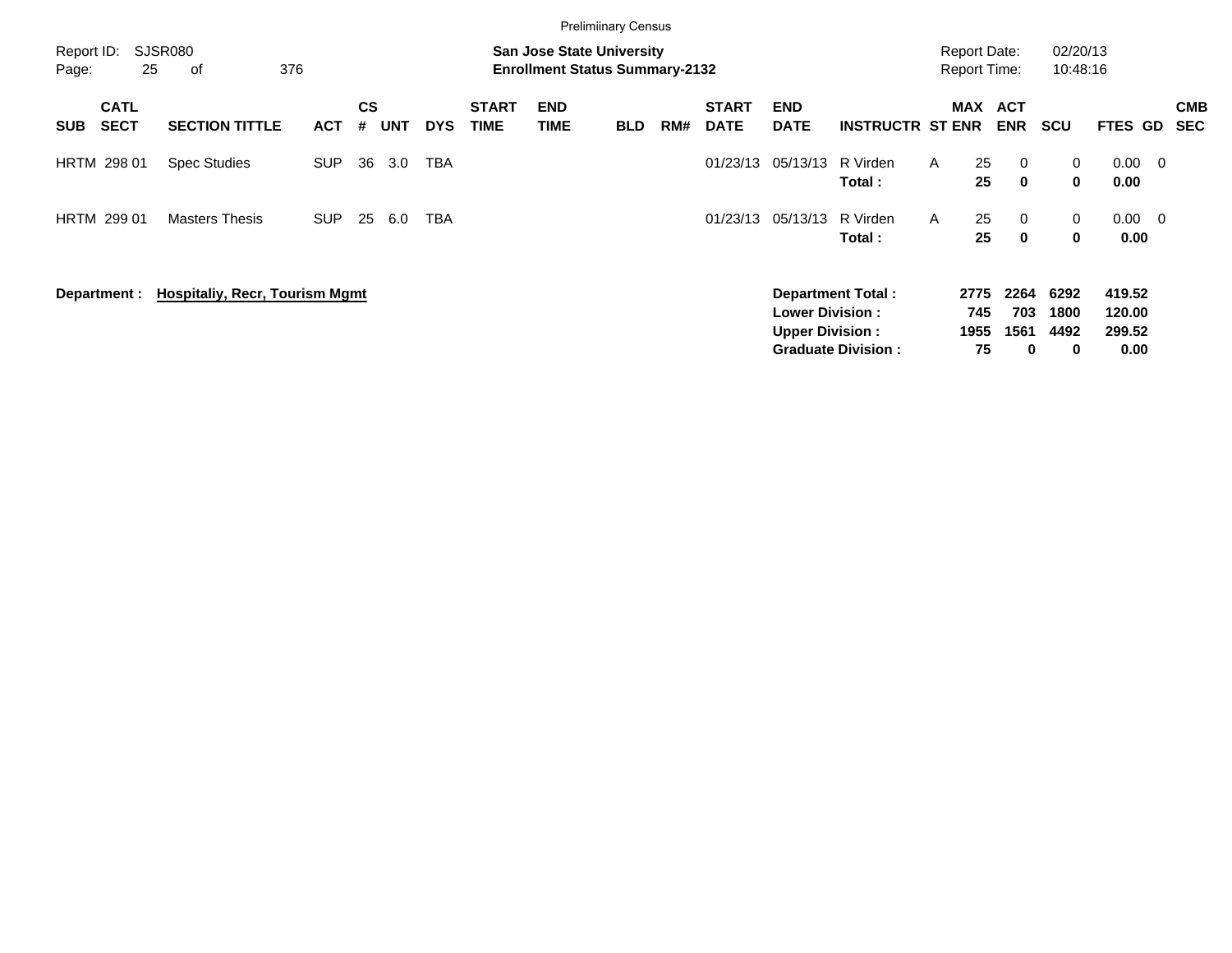|                     |                            |                                             |            |                |            |            |                             | <b>Prelimiinary Census</b>                                                |            |     |                             |                                                  |                                                       |   |                           |                                 |                           |                                    |                          |                          |
|---------------------|----------------------------|---------------------------------------------|------------|----------------|------------|------------|-----------------------------|---------------------------------------------------------------------------|------------|-----|-----------------------------|--------------------------------------------------|-------------------------------------------------------|---|---------------------------|---------------------------------|---------------------------|------------------------------------|--------------------------|--------------------------|
| Report ID:<br>Page: | 25                         | SJSR080<br>376<br>оf                        |            |                |            |            |                             | <b>San Jose State University</b><br><b>Enrollment Status Summary-2132</b> |            |     |                             |                                                  |                                                       |   | <b>Report Date:</b>       | <b>Report Time:</b>             | 02/20/13<br>10:48:16      |                                    |                          |                          |
| <b>SUB</b>          | <b>CATL</b><br><b>SECT</b> | <b>SECTION TITTLE</b>                       | <b>ACT</b> | <b>CS</b><br># | <b>UNT</b> | <b>DYS</b> | <b>START</b><br><b>TIME</b> | <b>END</b><br><b>TIME</b>                                                 | <b>BLD</b> | RM# | <b>START</b><br><b>DATE</b> | <b>END</b><br><b>DATE</b>                        | <b>INSTRUCTR ST ENR</b>                               |   | <b>MAX</b>                | <b>ACT</b><br><b>ENR</b>        | <b>SCU</b>                | FTES GD                            |                          | <b>CMB</b><br><b>SEC</b> |
|                     | <b>HRTM 298 01</b>         | <b>Spec Studies</b>                         | <b>SUP</b> | 36             | 3.0        | TBA        |                             |                                                                           |            |     | 01/23/13                    | 05/13/13                                         | R Virden<br>Total:                                    | A | 25<br>25                  | $\overline{0}$<br>$\mathbf 0$   | 0<br>0                    | 0.00<br>0.00                       | $\overline{\phantom{0}}$ |                          |
|                     | <b>HRTM 299 01</b>         | <b>Masters Thesis</b>                       | <b>SUP</b> | 25             | 6.0        | TBA        |                             |                                                                           |            |     | 01/23/13                    | 05/13/13                                         | R Virden<br>Total:                                    | A | 25<br>25                  | $\overline{0}$<br>$\mathbf{0}$  | 0<br>0                    | 0.00<br>0.00                       | $\overline{\phantom{0}}$ |                          |
|                     |                            | Department : Hospitaliy, Recr, Tourism Mgmt |            |                |            |            |                             |                                                                           |            |     |                             | <b>Lower Division:</b><br><b>Upper Division:</b> | <b>Department Total:</b><br><b>Graduate Division:</b> |   | 2775<br>745<br>1955<br>75 | 2264<br>703<br>1561<br>$\bf{0}$ | 6292<br>1800<br>4492<br>0 | 419.52<br>120.00<br>299.52<br>0.00 |                          |                          |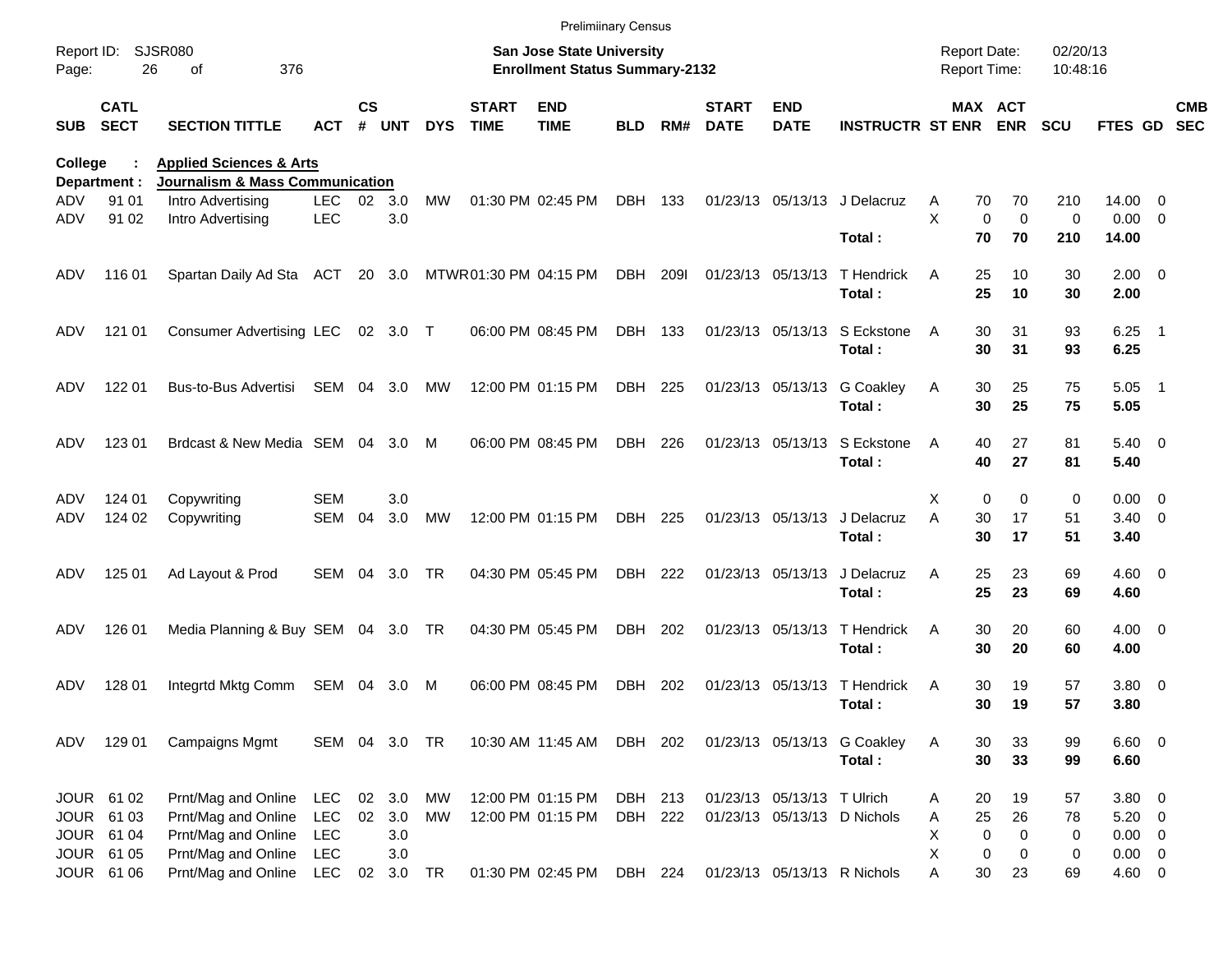|                                |                            |                                                                                  |                    |           |               |            |                             | <b>Prelimiinary Census</b>                                                |                    |      |                             |                            |                                       |                                            |                            |                      |                            |                          |
|--------------------------------|----------------------------|----------------------------------------------------------------------------------|--------------------|-----------|---------------|------------|-----------------------------|---------------------------------------------------------------------------|--------------------|------|-----------------------------|----------------------------|---------------------------------------|--------------------------------------------|----------------------------|----------------------|----------------------------|--------------------------|
| Report ID:<br>Page:            | 26                         | SJSR080<br>376<br>οf                                                             |                    |           |               |            |                             | <b>San Jose State University</b><br><b>Enrollment Status Summary-2132</b> |                    |      |                             |                            |                                       | <b>Report Date:</b><br><b>Report Time:</b> |                            | 02/20/13<br>10:48:16 |                            |                          |
| <b>SUB</b>                     | <b>CATL</b><br><b>SECT</b> | <b>SECTION TITTLE</b>                                                            | <b>ACT</b>         | <b>CS</b> | # UNT         | <b>DYS</b> | <b>START</b><br><b>TIME</b> | <b>END</b><br><b>TIME</b>                                                 | <b>BLD</b>         | RM#  | <b>START</b><br><b>DATE</b> | <b>END</b><br><b>DATE</b>  | <b>INSTRUCTR ST ENR ENR</b>           |                                            | MAX ACT                    | <b>SCU</b>           | FTES GD                    | <b>CMB</b><br><b>SEC</b> |
| <b>College</b><br>Department : |                            | <b>Applied Sciences &amp; Arts</b><br><b>Journalism &amp; Mass Communication</b> |                    |           |               |            |                             |                                                                           |                    |      |                             |                            |                                       |                                            |                            |                      |                            |                          |
| ADV<br>ADV                     | 91 01<br>91 02             | Intro Advertising<br>Intro Advertising                                           | LEC.<br><b>LEC</b> | 02        | 3.0<br>3.0    | MW         |                             | 01:30 PM 02:45 PM                                                         | DBH 133            |      |                             |                            | 01/23/13 05/13/13 J Delacruz          | A<br>70<br>X<br>0                          | 70<br>$\mathbf 0$<br>70    | 210<br>0             | 14.00<br>$0.00 \t 0$       | - 0                      |
| ADV                            | 11601                      | Spartan Daily Ad Sta ACT 20 3.0                                                  |                    |           |               |            |                             | MTWR01:30 PM 04:15 PM                                                     | DBH                | 209I |                             | 01/23/13 05/13/13          | Total:<br>T Hendrick                  | 70<br>25<br>A                              | 10                         | 210<br>30            | 14.00<br>$2.00 \t 0$       |                          |
| ADV                            | 121 01                     | Consumer Advertising LEC 02 3.0 T                                                |                    |           |               |            |                             | 06:00 PM 08:45 PM                                                         | DBH 133            |      |                             | 01/23/13 05/13/13          | Total:<br>S Eckstone                  | 25<br>30<br>A                              | 10<br>31                   | 30<br>93             | 2.00<br>$6.25$ 1           |                          |
| ADV                            | 122 01                     | Bus-to-Bus Advertisi                                                             | SEM                |           | 04 3.0        | МW         |                             | 12:00 PM 01:15 PM                                                         | DBH 225            |      |                             | 01/23/13 05/13/13          | Total:<br><b>G</b> Coakley            | 30<br>30<br>A                              | 31<br>25                   | 93<br>75             | 6.25<br>5.05               | - 1                      |
| ADV                            | 123 01                     | Brdcast & New Media SEM 04                                                       |                    |           | 3.0           | M          |                             | 06:00 PM 08:45 PM                                                         | DBH 226            |      |                             | 01/23/13 05/13/13          | Total:<br>S Eckstone                  | 30<br>40<br>A                              | 25<br>27                   | 75<br>81             | 5.05<br>$5.40 \ 0$         |                          |
| ADV                            | 124 01                     | Copywriting                                                                      | <b>SEM</b>         |           | 3.0           |            |                             |                                                                           |                    |      |                             |                            | Total:                                | 40<br>X<br>0                               | 27<br>$\Omega$             | 81<br>0              | 5.40<br>$0.00 \quad 0$     |                          |
| ADV                            | 124 02                     | Copywriting                                                                      | <b>SEM</b>         | 04        | 3.0           | MW         |                             | 12:00 PM 01:15 PM                                                         | DBH                | 225  |                             | 01/23/13 05/13/13          | J Delacruz<br>Total:                  | 30<br>Α<br>30                              | 17<br>17                   | 51<br>51             | $3.40 \quad 0$<br>3.40     |                          |
| ADV                            | 125 01                     | Ad Layout & Prod                                                                 | <b>SEM</b>         | 04        | 3.0           | TR         |                             | 04:30 PM 05:45 PM                                                         | DBH 222            |      |                             | 01/23/13 05/13/13          | J Delacruz<br>Total:                  | 25<br>A<br>25                              | 23<br>23                   | 69<br>69             | $4.60 \ 0$<br>4.60         |                          |
| ADV                            | 126 01                     | Media Planning & Buy SEM 04 3.0 TR                                               |                    |           |               |            |                             | 04:30 PM 05:45 PM                                                         | DBH 202            |      |                             | 01/23/13 05/13/13          | T Hendrick<br>Total:                  | 30<br>A<br>30                              | 20<br>20                   | 60<br>60             | $4.00 \ 0$<br>4.00         |                          |
| ADV                            | 128 01                     | Integrtd Mktg Comm                                                               | SEM 04             |           | 3.0           | M          |                             | 06:00 PM 08:45 PM                                                         | DBH                | 202  |                             | 01/23/13 05/13/13          | T Hendrick<br>Total:                  | 30<br>A<br>30                              | 19<br>19                   | 57<br>57             | $3.80\ 0$<br>3.80          |                          |
| ADV                            | 129 01                     | <b>Campaigns Mgmt</b>                                                            | SEM 04 3.0 TR      |           |               |            |                             | 10:30 AM 11:45 AM DBH 202                                                 |                    |      |                             |                            | 01/23/13 05/13/13 G Coakley<br>Total: | 30<br>A<br>30                              | 33<br>33                   | 99<br>99             | $6.60$ 0<br>6.60           |                          |
|                                | JOUR 61 02<br>JOUR 61 03   | Prnt/Mag and Online<br>Prnt/Mag and Online                                       | LEC<br><b>LEC</b>  | 02        | 02 3.0<br>3.0 | МW<br>MW   |                             | 12:00 PM 01:15 PM                                                         | DBH 213<br>DBH 222 |      |                             | 01/23/13 05/13/13 T Ulrich | 01/23/13 05/13/13 D Nichols           | 20<br>A<br>25                              | 19<br>26                   | 57<br>78             | 3.80 0<br>$5.20 \ 0$       |                          |
|                                | JOUR 61 04<br>JOUR 61 05   | Prnt/Mag and Online<br>Prnt/Mag and Online                                       | <b>LEC</b><br>LEC  |           | 3.0<br>3.0    |            |                             | 12:00 PM 01:15 PM                                                         |                    |      |                             |                            |                                       | A<br>X<br>0<br>Χ<br>0                      | $\mathbf 0$<br>$\mathbf 0$ | 0<br>0               | $0.00 \t 0$<br>$0.00 \t 0$ |                          |
|                                | JOUR 61 06                 | Prnt/Mag and Online                                                              | LEC                |           | 02 3.0 TR     |            |                             | 01:30 PM 02:45 PM                                                         | DBH 224            |      |                             |                            | 01/23/13 05/13/13 R Nichols           | 30<br>A                                    | 23                         | 69                   | 4.60 0                     |                          |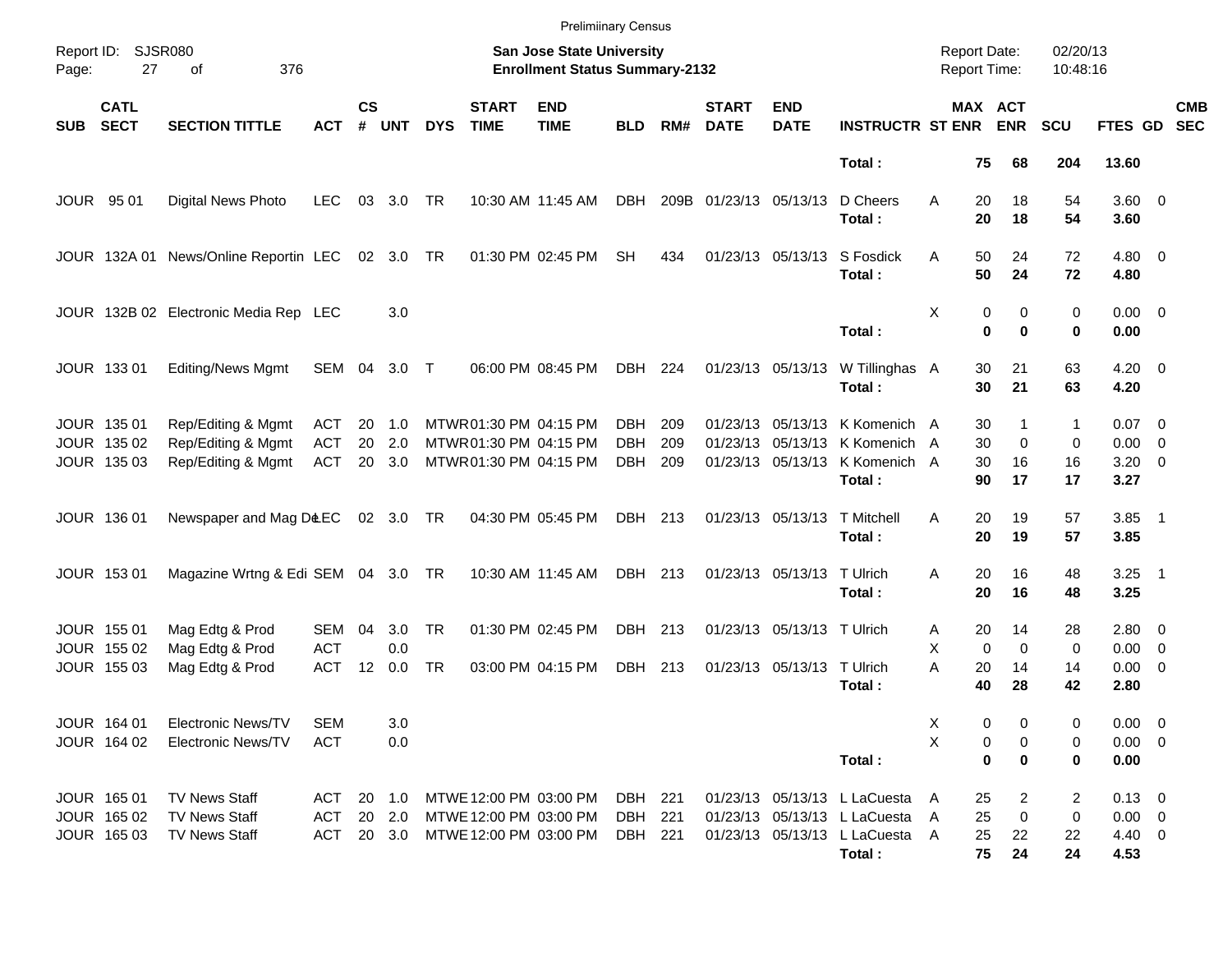|            |                            |                                       |            |                    |            |            |                             | <b>Prelimiinary Census</b>                                         |            |     |                             |                            |                                          |   |                                            |                       |                      |                     |                          |
|------------|----------------------------|---------------------------------------|------------|--------------------|------------|------------|-----------------------------|--------------------------------------------------------------------|------------|-----|-----------------------------|----------------------------|------------------------------------------|---|--------------------------------------------|-----------------------|----------------------|---------------------|--------------------------|
| Page:      | Report ID: SJSR080<br>27   | 376<br>of                             |            |                    |            |            |                             | San Jose State University<br><b>Enrollment Status Summary-2132</b> |            |     |                             |                            |                                          |   | <b>Report Date:</b><br><b>Report Time:</b> |                       | 02/20/13<br>10:48:16 |                     |                          |
| <b>SUB</b> | <b>CATL</b><br><b>SECT</b> | <b>SECTION TITTLE</b>                 | ACT        | $\mathsf{cs}$<br># | <b>UNT</b> | <b>DYS</b> | <b>START</b><br><b>TIME</b> | <b>END</b><br><b>TIME</b>                                          | <b>BLD</b> | RM# | <b>START</b><br><b>DATE</b> | <b>END</b><br><b>DATE</b>  | <b>INSTRUCTR ST ENR</b>                  |   |                                            | MAX ACT<br><b>ENR</b> | <b>SCU</b>           | FTES GD             | <b>CMB</b><br><b>SEC</b> |
|            |                            |                                       |            |                    |            |            |                             |                                                                    |            |     |                             |                            | Total:                                   |   | 75                                         | 68                    | 204                  | 13.60               |                          |
|            | JOUR 95 01                 | Digital News Photo                    | <b>LEC</b> | 03                 | 3.0        | TR         |                             | 10:30 AM 11:45 AM                                                  | DBH        |     | 209B 01/23/13 05/13/13      |                            | D Cheers<br>Total:                       | A | 20<br>20                                   | 18<br>18              | 54<br>54             | $3.60 \ 0$<br>3.60  |                          |
|            |                            | JOUR 132A 01 News/Online Reportin LEC |            |                    | 02 3.0 TR  |            |                             | 01:30 PM 02:45 PM                                                  | <b>SH</b>  | 434 |                             | 01/23/13 05/13/13          | S Fosdick<br>Total:                      | A | 50<br>50                                   | 24<br>24              | 72<br>72             | $4.80$ 0<br>4.80    |                          |
|            |                            | JOUR 132B 02 Electronic Media Rep LEC |            |                    | 3.0        |            |                             |                                                                    |            |     |                             |                            | Total:                                   | Χ | 0<br>$\bf{0}$                              | 0<br>$\bf{0}$         | 0<br>0               | $0.00 \t 0$<br>0.00 |                          |
|            | JOUR 133 01                | <b>Editing/News Mgmt</b>              | SEM 04     |                    | 3.0 T      |            |                             | 06:00 PM 08:45 PM                                                  | DBH 224    |     |                             | 01/23/13 05/13/13          | W Tillinghas A<br>Total:                 |   | 30<br>30                                   | 21<br>21              | 63<br>63             | $4.20 \ 0$<br>4.20  |                          |
|            | JOUR 135 01                | Rep/Editing & Mgmt                    | ACT        | 20                 | 1.0        |            | MTWR01:30 PM 04:15 PM       |                                                                    | DBH        | 209 |                             |                            | 01/23/13 05/13/13 K Komenich A           |   | 30                                         | 1                     | 1                    | $0.07$ 0            |                          |
|            | JOUR 135 02                | Rep/Editing & Mgmt                    | <b>ACT</b> | 20                 | 2.0        |            | MTWR 01:30 PM 04:15 PM      |                                                                    | <b>DBH</b> | 209 |                             |                            | 01/23/13 05/13/13 K Komenich A           |   | 30                                         | $\mathbf 0$           | 0                    | $0.00 \t 0$         |                          |
|            | JOUR 135 03                | Rep/Editing & Mgmt                    | ACT        |                    | 20 3.0     |            | MTWR01:30 PM 04:15 PM       |                                                                    | DBH        | 209 |                             |                            | 01/23/13 05/13/13 K Komenich A<br>Total: |   | 30<br>90                                   | 16<br>17              | 16<br>17             | $3.20 \ 0$<br>3.27  |                          |
|            | JOUR 136 01                | Newspaper and Mag D&EC                |            |                    | 02 3.0 TR  |            |                             | 04:30 PM 05:45 PM                                                  | DBH 213    |     |                             | 01/23/13 05/13/13          | <b>T</b> Mitchell<br>Total:              | A | 20<br>20                                   | 19<br>19              | 57<br>57             | $3.85$ 1<br>3.85    |                          |
|            | JOUR 153 01                | Magazine Wrtng & Edi SEM 04 3.0 TR    |            |                    |            |            |                             | 10:30 AM 11:45 AM                                                  | DBH 213    |     |                             | 01/23/13 05/13/13 T Ulrich | Total:                                   | A | 20<br>20                                   | 16<br>16              | 48<br>48             | $3.25$ 1<br>3.25    |                          |
|            | JOUR 155 01                | Mag Edtg & Prod                       | SEM        | 04                 | 3.0        | <b>TR</b>  |                             | 01:30 PM 02:45 PM                                                  | DBH 213    |     |                             | 01/23/13 05/13/13 T Ulrich |                                          | Α | 20                                         | 14                    | 28                   | $2.80 \t 0$         |                          |
|            | JOUR 155 02                | Mag Edtg & Prod                       | <b>ACT</b> |                    | 0.0        |            |                             |                                                                    |            |     |                             |                            |                                          | Χ | $\mathbf 0$                                | $\mathbf 0$           | 0                    | $0.00 \t 0$         |                          |
|            | JOUR 155 03                | Mag Edtg & Prod                       | <b>ACT</b> | 12                 | 0.0        | <b>TR</b>  |                             | 03:00 PM 04:15 PM                                                  | DBH 213    |     |                             | 01/23/13 05/13/13 T Ulrich |                                          | A | 20                                         | 14                    | 14                   | $0.00 \t 0$         |                          |
|            |                            |                                       |            |                    |            |            |                             |                                                                    |            |     |                             |                            | Total:                                   |   | 40                                         | 28                    | 42                   | 2.80                |                          |
|            | JOUR 164 01                | Electronic News/TV                    | SEM        |                    | 3.0        |            |                             |                                                                    |            |     |                             |                            |                                          | х | 0                                          | 0                     | 0                    | $0.00 \t 0$         |                          |
|            | JOUR 164 02                | <b>Electronic News/TV</b>             | <b>ACT</b> |                    | 0.0        |            |                             |                                                                    |            |     |                             |                            |                                          | Χ | 0                                          | 0                     | 0                    | $0.00 \t 0$         |                          |
|            |                            |                                       |            |                    |            |            |                             |                                                                    |            |     |                             |                            | Total:                                   |   | $\mathbf 0$                                | 0                     | 0                    | 0.00                |                          |
|            | JOUR 165 01                | <b>TV News Staff</b>                  | ACT        |                    | 20 1.0     |            | MTWE 12:00 PM 03:00 PM      |                                                                    | DBH 221    |     |                             |                            | 01/23/13 05/13/13 L LaCuesta             | A | 25                                         | 2                     | 2                    | $0.13 \ 0$          |                          |
|            | JOUR 165 02                | <b>TV News Staff</b>                  | ACT        |                    | 20 2.0     |            | MTWE 12:00 PM 03:00 PM      |                                                                    | DBH 221    |     |                             |                            | 01/23/13 05/13/13 L LaCuesta             | A | 25                                         | 0                     | 0                    | $0.00 \t 0$         |                          |
|            | JOUR 165 03                | <b>TV News Staff</b>                  | ACT        |                    | 20 3.0     |            | MTWE 12:00 PM 03:00 PM      |                                                                    | DBH 221    |     |                             |                            | 01/23/13 05/13/13 L LaCuesta             | A | 25                                         | 22                    | 22                   | $4.40 \quad 0$      |                          |
|            |                            |                                       |            |                    |            |            |                             |                                                                    |            |     |                             |                            | Total:                                   |   | 75                                         | 24                    | 24                   | 4.53                |                          |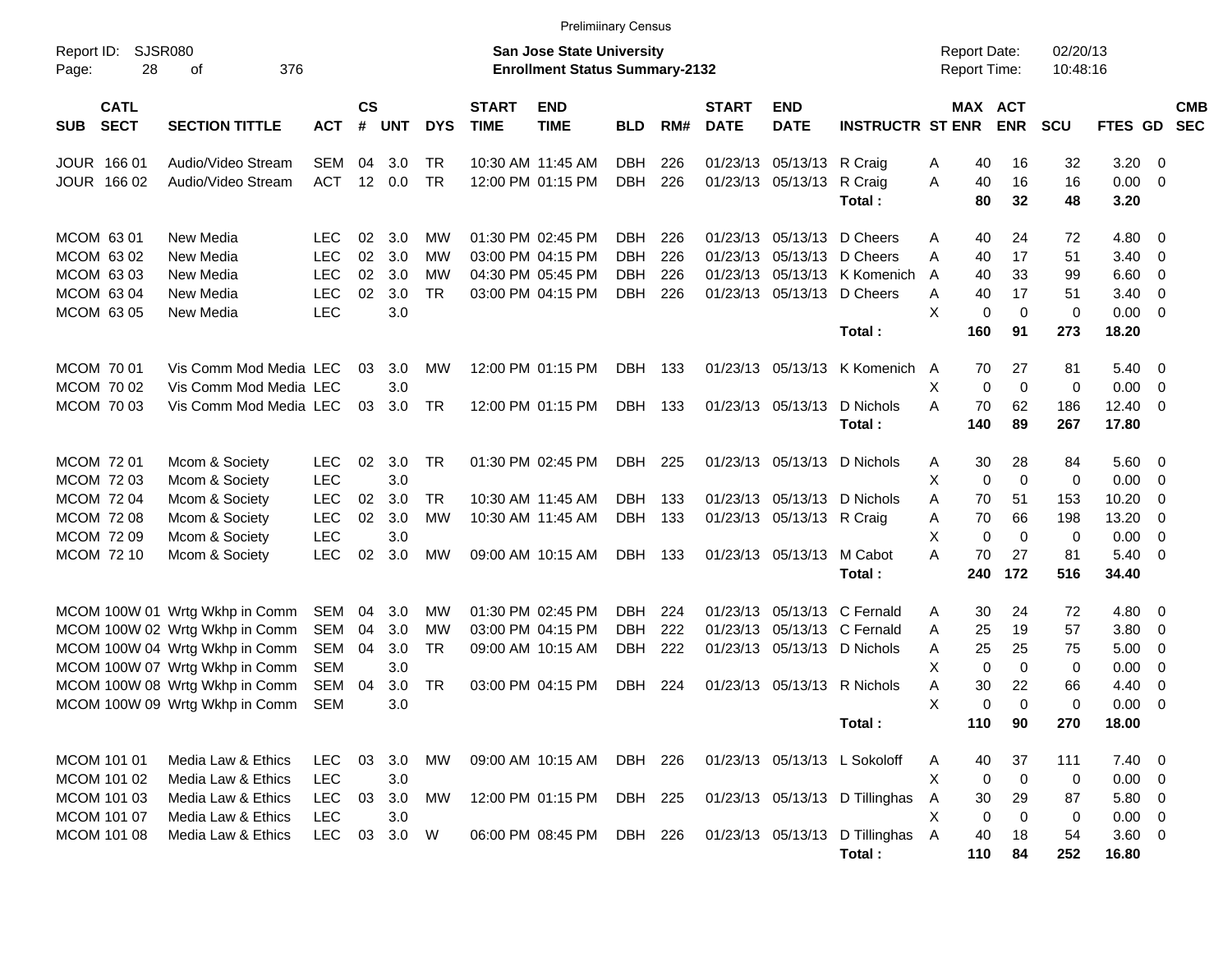|                                          |                                |            |                    |        |            |                             | <b>Prelimiinary Census</b>                                                |            |     |                             |                           |                                |   |                     |                       |                      |                     |                          |            |
|------------------------------------------|--------------------------------|------------|--------------------|--------|------------|-----------------------------|---------------------------------------------------------------------------|------------|-----|-----------------------------|---------------------------|--------------------------------|---|---------------------|-----------------------|----------------------|---------------------|--------------------------|------------|
| Report ID:<br>28<br>Page:                | SJSR080<br>376<br>оf           |            |                    |        |            |                             | <b>San Jose State University</b><br><b>Enrollment Status Summary-2132</b> |            |     |                             |                           |                                |   | <b>Report Date:</b> | <b>Report Time:</b>   | 02/20/13<br>10:48:16 |                     |                          |            |
| <b>CATL</b><br><b>SECT</b><br><b>SUB</b> | <b>SECTION TITTLE</b>          | <b>ACT</b> | $\mathsf{cs}$<br># | UNT    | <b>DYS</b> | <b>START</b><br><b>TIME</b> | <b>END</b><br><b>TIME</b>                                                 | <b>BLD</b> | RM# | <b>START</b><br><b>DATE</b> | <b>END</b><br><b>DATE</b> | <b>INSTRUCTR ST ENR</b>        |   |                     | MAX ACT<br><b>ENR</b> | <b>SCU</b>           | FTES GD SEC         |                          | <b>CMB</b> |
| JOUR 166 01                              | Audio/Video Stream             | <b>SEM</b> | 04                 | 3.0    | TR         |                             | 10:30 AM 11:45 AM                                                         | <b>DBH</b> | 226 |                             | 01/23/13 05/13/13 R Craig |                                | Α | 40                  | 16                    | 32                   | $3.20 \ 0$          |                          |            |
| JOUR 166 02                              | Audio/Video Stream             | <b>ACT</b> | 12                 | 0.0    | <b>TR</b>  |                             | 12:00 PM 01:15 PM                                                         | <b>DBH</b> | 226 |                             | 01/23/13 05/13/13         | R Craig<br>Total:              | A | 40<br>80            | 16<br>32              | 16<br>48             | $0.00 \t 0$<br>3.20 |                          |            |
| MCOM 6301                                | New Media                      | LEC        | 02                 | 3.0    | МW         |                             | 01:30 PM 02:45 PM                                                         | DBH.       | 226 |                             |                           | 01/23/13 05/13/13 D Cheers     | Α | 40                  | 24                    | 72                   | 4.80 0              |                          |            |
| MCOM 63 02                               | New Media                      | <b>LEC</b> | 02                 | 3.0    | МW         |                             | 03:00 PM 04:15 PM                                                         | <b>DBH</b> | 226 | 01/23/13                    |                           | 05/13/13 D Cheers              | A | 40                  | 17                    | 51                   | 3.40                | $\overline{\mathbf{0}}$  |            |
| MCOM 63 03                               | New Media                      | <b>LEC</b> | 02                 | 3.0    | МW         |                             | 04:30 PM 05:45 PM                                                         | <b>DBH</b> | 226 | 01/23/13                    |                           | 05/13/13 K Komenich            | A | 40                  | 33                    | 99                   | 6.60                | $\overline{\phantom{0}}$ |            |
| MCOM 63 04                               | New Media                      | <b>LEC</b> | 02                 | 3.0    | <b>TR</b>  |                             | 03:00 PM 04:15 PM                                                         | <b>DBH</b> | 226 |                             |                           | 01/23/13 05/13/13 D Cheers     | Α | 40                  | 17                    | 51                   | 3.40                | $\overline{\phantom{0}}$ |            |
| MCOM 63 05                               | New Media                      | LEC        |                    | 3.0    |            |                             |                                                                           |            |     |                             |                           |                                | X | 0                   | $\mathbf 0$           | 0                    | $0.00 \t 0$         |                          |            |
|                                          |                                |            |                    |        |            |                             |                                                                           |            |     |                             |                           | Total:                         |   | 160                 | 91                    | 273                  | 18.20               |                          |            |
| MCOM 70 01                               | Vis Comm Mod Media LEC         |            | 03                 | 3.0    | МW         |                             | 12:00 PM 01:15 PM                                                         | DBH        | 133 |                             |                           | 01/23/13 05/13/13 K Komenich   | A | 70                  | 27                    | 81                   | $5.40 \ 0$          |                          |            |
| MCOM 70 02                               | Vis Comm Mod Media LEC         |            |                    | 3.0    |            |                             |                                                                           |            |     |                             |                           |                                | х | 0                   | $\mathbf 0$           | 0                    | 0.00                | $\overline{\mathbf{0}}$  |            |
| <b>MCOM 7003</b>                         | Vis Comm Mod Media LEC         |            | 03                 | 3.0    | <b>TR</b>  |                             | 12:00 PM 01:15 PM                                                         | DBH 133    |     |                             |                           | 01/23/13 05/13/13 D Nichols    | A | 70                  | 62                    | 186                  | 12.40 0             |                          |            |
|                                          |                                |            |                    |        |            |                             |                                                                           |            |     |                             |                           | Total:                         |   | 140                 | 89                    | 267                  | 17.80               |                          |            |
| MCOM 72 01                               | Mcom & Society                 | LEC        | 02                 | 3.0    | TR         |                             | 01:30 PM 02:45 PM                                                         | DBH        | 225 |                             |                           | 01/23/13 05/13/13 D Nichols    | A | 30                  | 28                    | 84                   | 5.60 0              |                          |            |
| <b>MCOM 7203</b>                         | Mcom & Society                 | <b>LEC</b> |                    | 3.0    |            |                             |                                                                           |            |     |                             |                           |                                | Χ | $\mathbf 0$         | 0                     | 0                    | 0.00                | $\overline{\phantom{0}}$ |            |
| <b>MCOM 7204</b>                         | Mcom & Society                 | LEC        | 02                 | 3.0    | <b>TR</b>  |                             | 10:30 AM 11:45 AM                                                         | <b>DBH</b> | 133 |                             |                           | 01/23/13 05/13/13 D Nichols    | Α | 70                  | 51                    | 153                  | 10.20               | 0                        |            |
| MCOM 72 08                               | Mcom & Society                 | <b>LEC</b> | 02                 | 3.0    | MW         |                             | 10:30 AM 11:45 AM                                                         | DBH        | 133 |                             | 01/23/13 05/13/13 R Craig |                                | Α | 70                  | 66                    | 198                  | 13.20               | $\overline{\mathbf{0}}$  |            |
| <b>MCOM 7209</b>                         | Mcom & Society                 | <b>LEC</b> |                    | 3.0    |            |                             |                                                                           |            |     |                             |                           |                                | Χ | $\mathbf 0$         | $\mathbf 0$           | 0                    | 0.00                | $\overline{\phantom{0}}$ |            |
| MCOM 72 10                               | Mcom & Society                 | LEC        | 02                 | 3.0    | МW         |                             | 09:00 AM 10:15 AM                                                         | DBH 133    |     |                             | 01/23/13 05/13/13 M Cabot |                                | A | 70                  | 27                    | 81                   | 5.40                | $\overline{\phantom{0}}$ |            |
|                                          |                                |            |                    |        |            |                             |                                                                           |            |     |                             |                           | Total:                         |   | 240                 | 172                   | 516                  | 34.40               |                          |            |
|                                          | MCOM 100W 01 Wrtg Wkhp in Comm | SEM        | 04                 | 3.0    | МW         |                             | 01:30 PM 02:45 PM                                                         | DBH.       | 224 | 01/23/13                    |                           | 05/13/13 C Fernald             | A | 30                  | 24                    | 72                   | 4.80 0              |                          |            |
|                                          | MCOM 100W 02 Wrtg Wkhp in Comm | <b>SEM</b> | 04                 | 3.0    | МW         |                             | 03:00 PM 04:15 PM                                                         | <b>DBH</b> | 222 | 01/23/13                    |                           | 05/13/13 C Fernald             | A | 25                  | 19                    | 57                   | 3.80                | $\overline{\phantom{0}}$ |            |
|                                          | MCOM 100W 04 Wrtg Wkhp in Comm | <b>SEM</b> | 04                 | 3.0    | <b>TR</b>  |                             | 09:00 AM 10:15 AM                                                         | <b>DBH</b> | 222 |                             |                           | 01/23/13 05/13/13 D Nichols    | Α | 25                  | 25                    | 75                   | 5.00                | $\overline{\mathbf{0}}$  |            |
|                                          | MCOM 100W 07 Wrtg Wkhp in Comm | <b>SEM</b> |                    | 3.0    |            |                             |                                                                           |            |     |                             |                           |                                | Χ | $\mathbf 0$         | 0                     | 0                    | 0.00                | $\overline{\mathbf{0}}$  |            |
|                                          | MCOM 100W 08 Wrtg Wkhp in Comm | <b>SEM</b> | 04                 | 3.0    | <b>TR</b>  |                             | 03:00 PM 04:15 PM                                                         | DBH        | 224 |                             |                           | 01/23/13 05/13/13 R Nichols    | Α | 30                  | 22                    | 66                   | 4.40                | $\overline{\mathbf{0}}$  |            |
|                                          | MCOM 100W 09 Wrtg Wkhp in Comm | <b>SEM</b> |                    | 3.0    |            |                             |                                                                           |            |     |                             |                           |                                | Χ | 0                   | $\Omega$              | 0                    | 0.00                | $\overline{\phantom{0}}$ |            |
|                                          |                                |            |                    |        |            |                             |                                                                           |            |     |                             |                           | Total:                         |   | 110                 | 90                    | 270                  | 18.00               |                          |            |
| MCOM 101 01                              | Media Law & Ethics             | LEC        | 03                 | 3.0    | МW         |                             | 09:00 AM 10:15 AM                                                         | DBH 226    |     |                             |                           | 01/23/13 05/13/13 L Sokoloff   | A | 40                  | 37                    | 111                  | $7.40 \ 0$          |                          |            |
| MCOM 101 02                              | Media Law & Ethics             | LEC        |                    | 3.0    |            |                             |                                                                           |            |     |                             |                           |                                | X | 0                   | $\mathbf 0$           | 0                    | $0.00 \t 0$         |                          |            |
| MCOM 101 03                              | Media Law & Ethics             | LEC        |                    | 03 3.0 | <b>MW</b>  |                             | 12:00 PM 01:15 PM                                                         | DBH 225    |     |                             |                           | 01/23/13 05/13/13 D Tillinghas | Α | 30                  | 29                    | 87                   | 5.80 0              |                          |            |
| MCOM 101 07                              | Media Law & Ethics             | <b>LEC</b> |                    | 3.0    |            |                             |                                                                           |            |     |                             |                           |                                | Χ | $\mathbf 0$         | 0                     | 0                    | $0.00 \t 0$         |                          |            |
| MCOM 101 08                              | Media Law & Ethics             | LEC        | 03                 | 3.0    | W          |                             | 06:00 PM 08:45 PM                                                         | DBH 226    |     |                             |                           | 01/23/13 05/13/13 D Tillinghas | A | 40                  | 18                    | 54                   | 3.60 0              |                          |            |
|                                          |                                |            |                    |        |            |                             |                                                                           |            |     |                             |                           | Total:                         |   | 110                 | 84                    | 252                  | 16.80               |                          |            |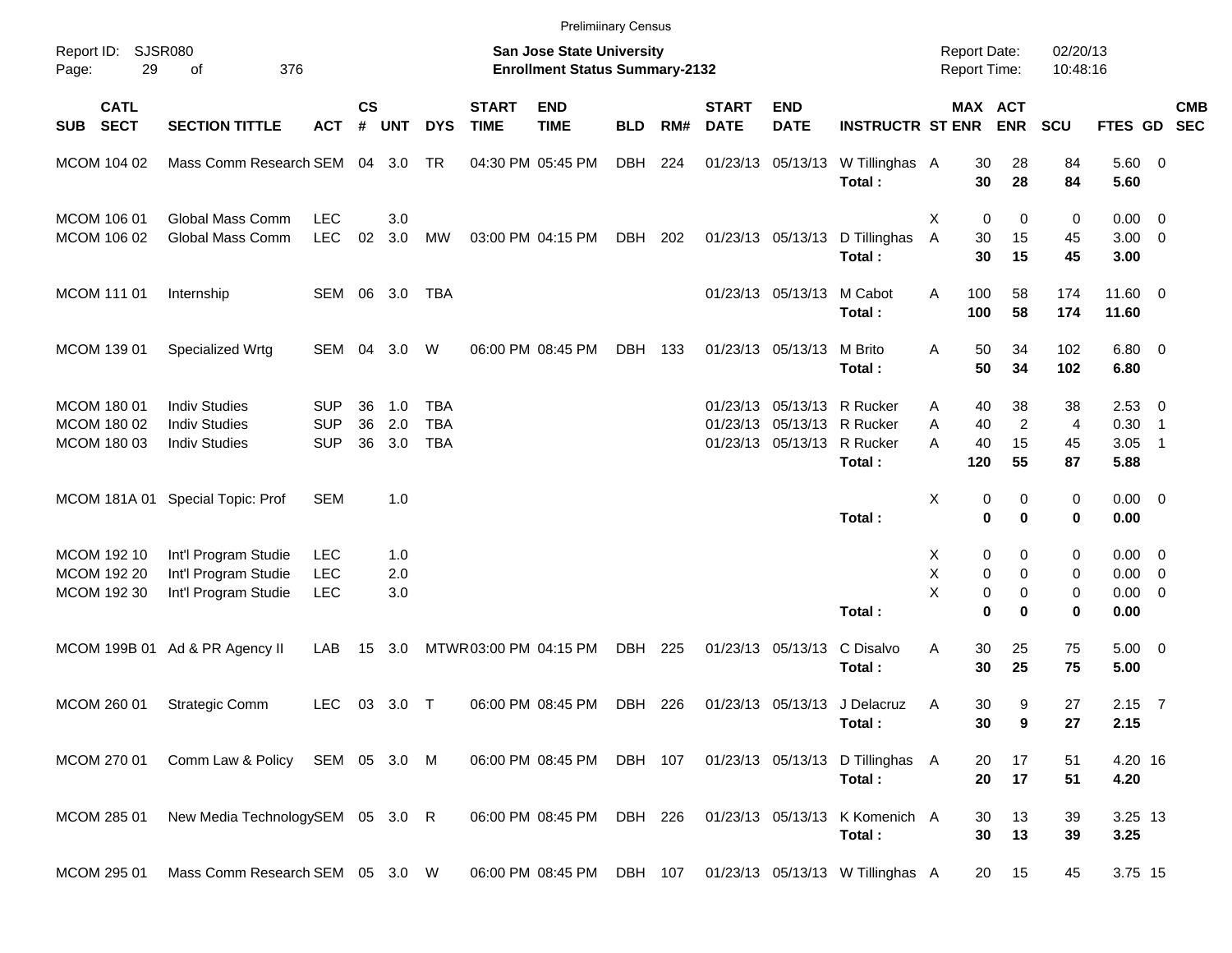|                                           |                                                                      |                                        |                    |                   |                                        |                             | <b>Prelimiinary Census</b>                                         |            |     |                             |                                                                                        |                                            |                                            |                                                    |                      |                                                   |                          |            |
|-------------------------------------------|----------------------------------------------------------------------|----------------------------------------|--------------------|-------------------|----------------------------------------|-----------------------------|--------------------------------------------------------------------|------------|-----|-----------------------------|----------------------------------------------------------------------------------------|--------------------------------------------|--------------------------------------------|----------------------------------------------------|----------------------|---------------------------------------------------|--------------------------|------------|
| Report ID: SJSR080<br>29<br>Page:         | 376<br>of                                                            |                                        |                    |                   |                                        |                             | San Jose State University<br><b>Enrollment Status Summary-2132</b> |            |     |                             |                                                                                        |                                            | <b>Report Date:</b><br><b>Report Time:</b> |                                                    | 02/20/13<br>10:48:16 |                                                   |                          |            |
| <b>CATL</b><br><b>SECT</b><br>SUB         | <b>SECTION TITTLE</b>                                                | <b>ACT</b>                             | $\mathsf{cs}$<br># | <b>UNT</b>        | <b>DYS</b>                             | <b>START</b><br><b>TIME</b> | <b>END</b><br><b>TIME</b>                                          | <b>BLD</b> | RM# | <b>START</b><br><b>DATE</b> | <b>END</b><br><b>DATE</b>                                                              | <b>INSTRUCTR ST ENR</b>                    |                                            | MAX ACT<br><b>ENR</b>                              | <b>SCU</b>           | FTES GD SEC                                       |                          | <b>CMB</b> |
| MCOM 104 02                               | Mass Comm Research SEM 04 3.0                                        |                                        |                    |                   | TR                                     |                             | 04:30 PM 05:45 PM                                                  | DBH        | 224 |                             | 01/23/13 05/13/13                                                                      | W Tillinghas A<br>Total:                   |                                            | 30<br>28<br>30<br>28                               | 84<br>84             | 5.60 0<br>5.60                                    |                          |            |
| MCOM 106 01<br>MCOM 106 02                | Global Mass Comm<br>Global Mass Comm                                 | <b>LEC</b><br><b>LEC</b>               | 02                 | 3.0<br>3.0        | MW                                     |                             | 03:00 PM 04:15 PM                                                  | DBH        | 202 |                             | 01/23/13 05/13/13                                                                      | D Tillinghas<br>Total:                     | Х<br>A<br>30<br>30                         | $\mathbf 0$<br>0<br>15<br>15                       | 0<br>45<br>45        | $0.00 \t 0$<br>$3.00 \ 0$<br>3.00                 |                          |            |
| MCOM 111 01                               | Internship                                                           | SEM 06 3.0                             |                    |                   | <b>TBA</b>                             |                             |                                                                    |            |     |                             | 01/23/13 05/13/13                                                                      | M Cabot<br>Total:                          | 100<br>A<br>100                            | 58<br>58                                           | 174<br>174           | 11.60 0<br>11.60                                  |                          |            |
| MCOM 139 01                               | Specialized Wrtg                                                     | SEM 04                                 |                    | 3.0               | W                                      |                             | 06:00 PM 08:45 PM                                                  | DBH        | 133 |                             | 01/23/13 05/13/13                                                                      | M Brito<br>Total:                          | A                                          | 50<br>34<br>50<br>34                               | 102<br>102           | $6.80$ 0<br>6.80                                  |                          |            |
| MCOM 180 01<br>MCOM 180 02<br>MCOM 180 03 | <b>Indiv Studies</b><br><b>Indiv Studies</b><br><b>Indiv Studies</b> | <b>SUP</b><br><b>SUP</b><br><b>SUP</b> | 36<br>36<br>36     | 1.0<br>2.0<br>3.0 | <b>TBA</b><br><b>TBA</b><br><b>TBA</b> |                             |                                                                    |            |     |                             | 01/23/13 05/13/13 R Rucker<br>01/23/13 05/13/13 R Rucker<br>01/23/13 05/13/13 R Rucker | Total:                                     | A<br>40<br>Α<br>A<br>40<br>120             | 38<br>40<br>$\overline{c}$<br>15<br>55             | 38<br>4<br>45<br>87  | $2.53$ 0<br>$0.30$ 1<br>3.05<br>5.88              | $\overline{\phantom{1}}$ |            |
| MCOM 181A 01                              | Special Topic: Prof                                                  | <b>SEM</b>                             |                    | 1.0               |                                        |                             |                                                                    |            |     |                             |                                                                                        | Total:                                     | х                                          | 0<br>0<br>$\bf{0}$<br>0                            | 0<br>0               | $0.00 \t 0$<br>0.00                               |                          |            |
| MCOM 192 10<br>MCOM 192 20<br>MCOM 192 30 | Int'l Program Studie<br>Int'l Program Studie<br>Int'l Program Studie | <b>LEC</b><br><b>LEC</b><br><b>LEC</b> |                    | 1.0<br>2.0<br>3.0 |                                        |                             |                                                                    |            |     |                             |                                                                                        | Total:                                     | X<br>Χ<br>X                                | 0<br>0<br>0<br>0<br>0<br>0<br>$\bf{0}$<br>$\bf{0}$ | 0<br>0<br>0<br>0     | $0.00 \t 0$<br>$0.00 \t 0$<br>$0.00 \t 0$<br>0.00 |                          |            |
|                                           | MCOM 199B 01 Ad & PR Agency II                                       | LAB                                    | 15                 | 3.0               |                                        | MTWR03:00 PM 04:15 PM       |                                                                    | DBH        | 225 |                             | 01/23/13 05/13/13                                                                      | C Disalvo<br>Total:                        | 30<br>Α<br>30                              | 25<br>25                                           | 75<br>75             | $5.00 \t 0$<br>5.00                               |                          |            |
| MCOM 260 01                               | Strategic Comm                                                       | <b>LEC</b>                             |                    | 03 3.0 T          |                                        |                             | 06:00 PM 08:45 PM                                                  | DBH        | 226 |                             |                                                                                        | 01/23/13 05/13/13 J Delacruz<br>Total:     | Α                                          | 30<br>9<br>30<br>9                                 | 27<br>27             | $2.15$ 7<br>2.15                                  |                          |            |
| MCOM 270 01                               | Comm Law & Policy SEM 05 3.0 M                                       |                                        |                    |                   |                                        |                             | 06:00 PM 08:45 PM                                                  | DBH 107    |     |                             |                                                                                        | 01/23/13 05/13/13 D Tillinghas A<br>Total: |                                            | 17<br>20<br>17<br>20                               | 51<br>51             | 4.20 16<br>4.20                                   |                          |            |
| MCOM 285 01                               | New Media TechnologySEM 05 3.0 R                                     |                                        |                    |                   |                                        |                             | 06:00 PM 08:45 PM                                                  | DBH 226    |     |                             | 01/23/13 05/13/13                                                                      | K Komenich A<br>Total:                     |                                            | 13<br>30<br>30<br>13                               | 39<br>39             | 3.25 13<br>3.25                                   |                          |            |
| MCOM 295 01                               | Mass Comm Research SEM 05 3.0 W                                      |                                        |                    |                   |                                        |                             | 06:00 PM 08:45 PM DBH 107                                          |            |     |                             |                                                                                        | 01/23/13 05/13/13 W Tillinghas A           |                                            | 15<br>20                                           | 45                   | 3.75 15                                           |                          |            |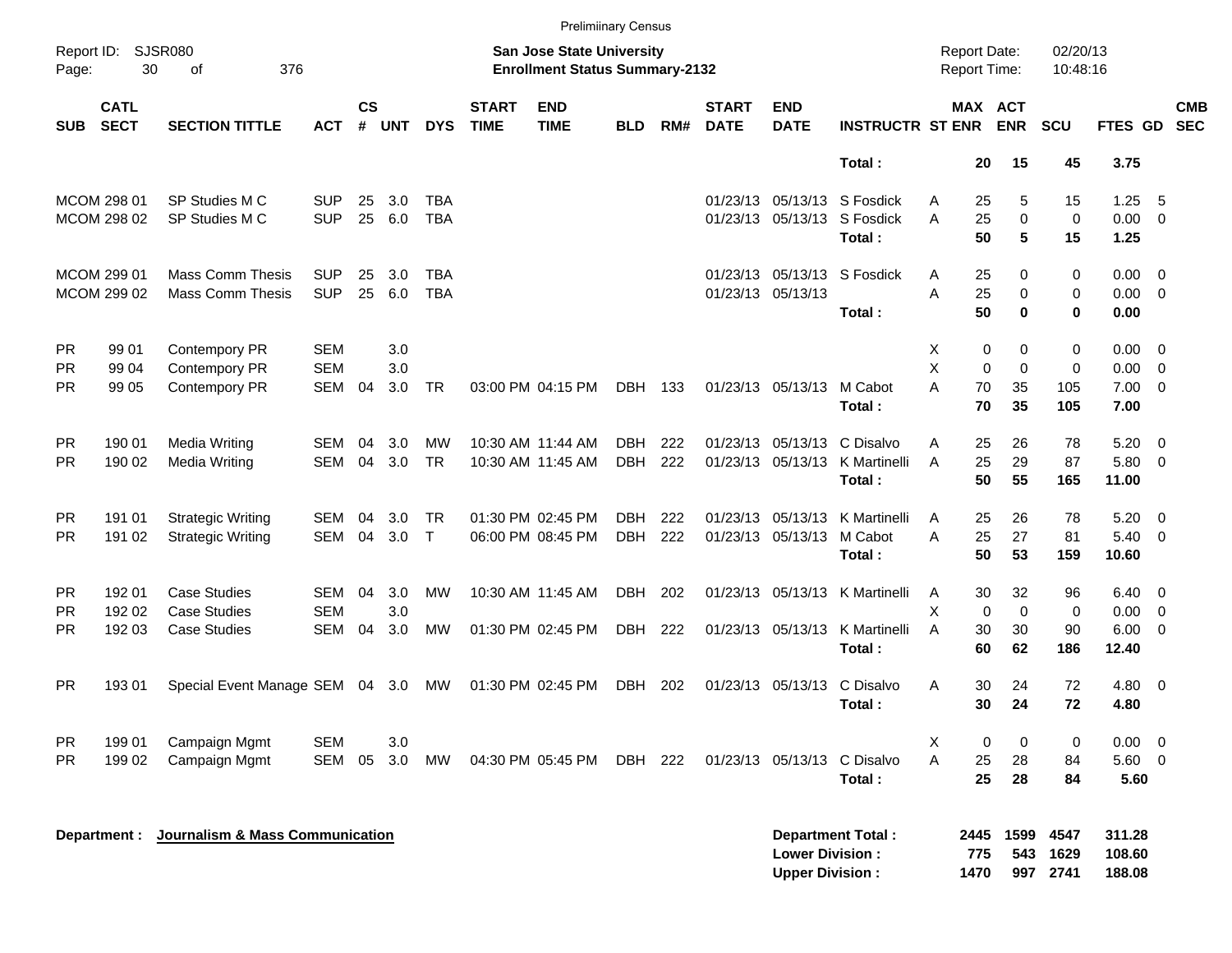|            | <b>Prelimiinary Census</b><br>SJSR080<br><b>Report Date:</b><br>02/20/13<br>Report ID:<br><b>San Jose State University</b> |                                 |            |                    |            |              |                             |                                       |            |     |                             |                                                  |                             |   |                     |                       |                          |                            |                          |
|------------|----------------------------------------------------------------------------------------------------------------------------|---------------------------------|------------|--------------------|------------|--------------|-----------------------------|---------------------------------------|------------|-----|-----------------------------|--------------------------------------------------|-----------------------------|---|---------------------|-----------------------|--------------------------|----------------------------|--------------------------|
| Page:      | 30                                                                                                                         | 376<br>of                       |            |                    |            |              |                             | <b>Enrollment Status Summary-2132</b> |            |     |                             |                                                  |                             |   | Report Time:        |                       | 10:48:16                 |                            |                          |
| <b>SUB</b> | <b>CATL</b><br><b>SECT</b>                                                                                                 | <b>SECTION TITTLE</b>           | <b>ACT</b> | $\mathsf{cs}$<br># | <b>UNT</b> | <b>DYS</b>   | <b>START</b><br><b>TIME</b> | <b>END</b><br><b>TIME</b>             | <b>BLD</b> | RM# | <b>START</b><br><b>DATE</b> | <b>END</b><br><b>DATE</b>                        | <b>INSTRUCTR ST ENR</b>     |   |                     | MAX ACT<br><b>ENR</b> | <b>SCU</b>               | <b>FTES GD</b>             | <b>CMB</b><br><b>SEC</b> |
|            |                                                                                                                            |                                 |            |                    |            |              |                             |                                       |            |     |                             |                                                  | Total:                      |   | 20                  | 15                    | 45                       | 3.75                       |                          |
|            | MCOM 298 01                                                                                                                | SP Studies M C                  | <b>SUP</b> | 25                 | 3.0        | <b>TBA</b>   |                             |                                       |            |     |                             |                                                  | 01/23/13 05/13/13 S Fosdick | Α | 25                  | 5                     | 15                       | 1.25                       | -5                       |
|            | MCOM 298 02                                                                                                                | SP Studies M C                  | <b>SUP</b> | 25                 | 6.0        | <b>TBA</b>   |                             |                                       |            |     |                             |                                                  | 01/23/13 05/13/13 S Fosdick | A | 25                  | $\mathbf 0$           | $\mathbf 0$              | 0.00                       | - 0                      |
|            |                                                                                                                            |                                 |            |                    |            |              |                             |                                       |            |     |                             |                                                  | Total:                      |   | 50                  | 5                     | 15                       | 1.25                       |                          |
|            | MCOM 299 01                                                                                                                | <b>Mass Comm Thesis</b>         | <b>SUP</b> | 25                 | 3.0        | <b>TBA</b>   |                             |                                       |            |     |                             |                                                  | 01/23/13 05/13/13 S Fosdick | Α | 25                  | 0                     | 0                        | 0.00                       | - 0                      |
|            | MCOM 299 02                                                                                                                | <b>Mass Comm Thesis</b>         | <b>SUP</b> | 25                 | 6.0        | <b>TBA</b>   |                             |                                       |            |     | 01/23/13 05/13/13           |                                                  |                             | A | 25                  | $\mathbf 0$           | 0                        | 0.00                       | - 0                      |
|            |                                                                                                                            |                                 |            |                    |            |              |                             |                                       |            |     |                             |                                                  | Total:                      |   | 50                  | $\bf{0}$              | $\bf{0}$                 | 0.00                       |                          |
| <b>PR</b>  | 99 01                                                                                                                      | Contempory PR                   | <b>SEM</b> |                    | 3.0        |              |                             |                                       |            |     |                             |                                                  |                             | Х | 0                   | 0                     | 0                        | 0.00                       | - 0                      |
| <b>PR</b>  | 99 04                                                                                                                      | Contempory PR                   | <b>SEM</b> |                    | 3.0        |              |                             |                                       |            |     |                             |                                                  |                             | X | $\mathbf 0$         | $\mathbf 0$           | 0                        | 0.00                       | - 0                      |
| PR.        | 99 05                                                                                                                      | Contempory PR                   | SEM        | 04                 | 3.0        | <b>TR</b>    |                             | 03:00 PM 04:15 PM                     | DBH 133    |     |                             | 01/23/13 05/13/13                                | M Cabot                     | A | 70                  | 35                    | 105                      | 7.00                       | $\overline{0}$           |
|            |                                                                                                                            |                                 |            |                    |            |              |                             |                                       |            |     |                             |                                                  | Total:                      |   | 70                  | 35                    | 105                      | 7.00                       |                          |
| <b>PR</b>  | 190 01                                                                                                                     | Media Writing                   | <b>SEM</b> | 04                 | 3.0        | <b>MW</b>    |                             | 10:30 AM 11:44 AM                     | DBH        | 222 |                             | 01/23/13 05/13/13                                | C Disalvo                   | A | 25                  | 26                    | 78                       | 5.20                       | - 0                      |
| PR.        | 190 02                                                                                                                     | Media Writing                   | <b>SEM</b> | 04                 | 3.0        | <b>TR</b>    |                             | 10:30 AM 11:45 AM                     | DBH        | 222 |                             | 01/23/13 05/13/13                                | K Martinelli                | A | 25                  | 29                    | 87                       | 5.80                       | - 0                      |
|            |                                                                                                                            |                                 |            |                    |            |              |                             |                                       |            |     |                             |                                                  | Total:                      |   | 50                  | 55                    | 165                      | 11.00                      |                          |
| <b>PR</b>  | 191 01                                                                                                                     | <b>Strategic Writing</b>        | <b>SEM</b> | 04                 | 3.0        | TR.          |                             | 01:30 PM 02:45 PM                     | DBH        | 222 |                             | 01/23/13 05/13/13                                | K Martinelli                | A | 25                  | 26                    | 78                       | 5.20                       | - 0                      |
| PR.        | 191 02                                                                                                                     | <b>Strategic Writing</b>        | <b>SEM</b> | 04                 | 3.0        | $\mathsf{T}$ |                             | 06:00 PM 08:45 PM                     | DBH        | 222 |                             | 01/23/13 05/13/13                                | M Cabot                     | A | 25                  | 27                    | 81                       | 5.40                       | - 0                      |
|            |                                                                                                                            |                                 |            |                    |            |              |                             |                                       |            |     |                             |                                                  | Total:                      |   | 50                  | 53                    | 159                      | 10.60                      |                          |
| <b>PR</b>  | 192 01                                                                                                                     | <b>Case Studies</b>             | SEM        | 04                 | 3.0        | МW           |                             | 10:30 AM 11:45 AM                     | DBH        | 202 |                             | 01/23/13 05/13/13                                | K Martinelli                | A | 30                  | 32                    | 96                       | 6.40                       | - 0                      |
| <b>PR</b>  | 192 02                                                                                                                     | <b>Case Studies</b>             | <b>SEM</b> |                    | 3.0        |              |                             |                                       |            |     |                             |                                                  |                             | X | $\mathbf 0$         | $\Omega$              | 0                        | 0.00                       | - 0                      |
| <b>PR</b>  | 192 03                                                                                                                     | <b>Case Studies</b>             | <b>SEM</b> | 04                 | 3.0        | <b>MW</b>    |                             | 01:30 PM 02:45 PM                     | DBH        | 222 |                             | 01/23/13 05/13/13                                | K Martinelli                | A | 30                  | 30                    | 90                       | 6.00                       | - 0                      |
|            |                                                                                                                            |                                 |            |                    |            |              |                             |                                       |            |     |                             |                                                  | Total:                      |   | 60                  | 62                    | 186                      | 12.40                      |                          |
| <b>PR</b>  | 193 01                                                                                                                     | Special Event Manage SEM 04 3.0 |            |                    |            | МW           |                             | 01:30 PM 02:45 PM                     | DBH        | 202 |                             | 01/23/13 05/13/13                                | C Disalvo                   | A | 30                  | 24                    | 72                       | 4.80                       | - 0                      |
|            |                                                                                                                            |                                 |            |                    |            |              |                             |                                       |            |     |                             |                                                  | Total:                      |   | 30                  | 24                    | 72                       | 4.80                       |                          |
| PR.        | 199 01                                                                                                                     | Campaign Mgmt                   | <b>SEM</b> |                    | 3.0        |              |                             |                                       |            |     |                             |                                                  |                             | Χ | 0                   | 0                     | 0                        | 0.00                       | - 0                      |
| <b>PR</b>  | 199 02                                                                                                                     | Campaign Mgmt                   | SEM        | 05                 | 3.0        | MW           |                             | 04:30 PM 05:45 PM                     | DBH 222    |     |                             | 01/23/13 05/13/13                                | C Disalvo                   | A | 25                  | 28                    | 84                       | 5.60                       | - 0                      |
|            |                                                                                                                            |                                 |            |                    |            |              |                             |                                       |            |     |                             |                                                  | Total:                      |   | 25                  | 28                    | 84                       | 5.60                       |                          |
|            | Department :                                                                                                               | Journalism & Mass Communication |            |                    |            |              |                             |                                       |            |     |                             | <b>Lower Division:</b><br><b>Upper Division:</b> | <b>Department Total:</b>    |   | 2445<br>775<br>1470 | 1599<br>543           | 4547<br>1629<br>997 2741 | 311.28<br>108.60<br>188.08 |                          |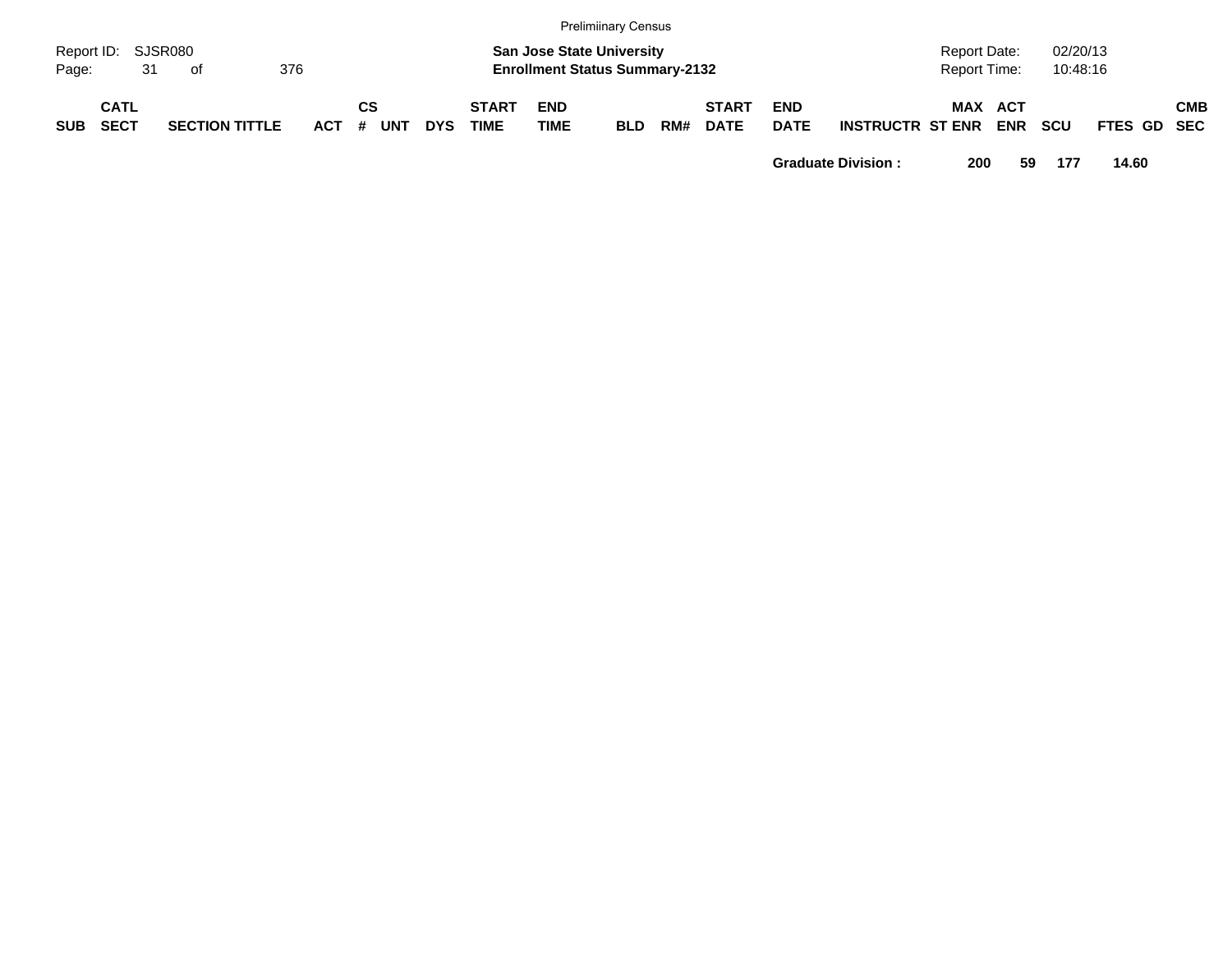|                             |                            |    |    |                       |            |         |            |            |                             |                    | <b>Prelimiinary Census</b>                                                |     |                             |                           |                         |                                     |            |                      |             |            |
|-----------------------------|----------------------------|----|----|-----------------------|------------|---------|------------|------------|-----------------------------|--------------------|---------------------------------------------------------------------------|-----|-----------------------------|---------------------------|-------------------------|-------------------------------------|------------|----------------------|-------------|------------|
| Report ID: SJSR080<br>Page: |                            | 31 | of |                       | 376        |         |            |            |                             |                    | <b>San Jose State University</b><br><b>Enrollment Status Summary-2132</b> |     |                             |                           |                         | <b>Report Date:</b><br>Report Time: |            | 02/20/13<br>10:48:16 |             |            |
| <b>SUB</b>                  | <b>CATL</b><br><b>SECT</b> |    |    | <b>SECTION TITTLE</b> | <b>ACT</b> | CS<br># | <b>UNT</b> | <b>DYS</b> | <b>START</b><br><b>TIME</b> | <b>END</b><br>TIME | <b>BLD</b>                                                                | RM# | <b>START</b><br><b>DATE</b> | <b>END</b><br><b>DATE</b> | <b>INSTRUCTR ST ENR</b> | MAX ACT                             | <b>ENR</b> | <b>SCU</b>           | FTES GD SEC | <b>CMB</b> |

**Graduate Division : 200 59 177 14.60**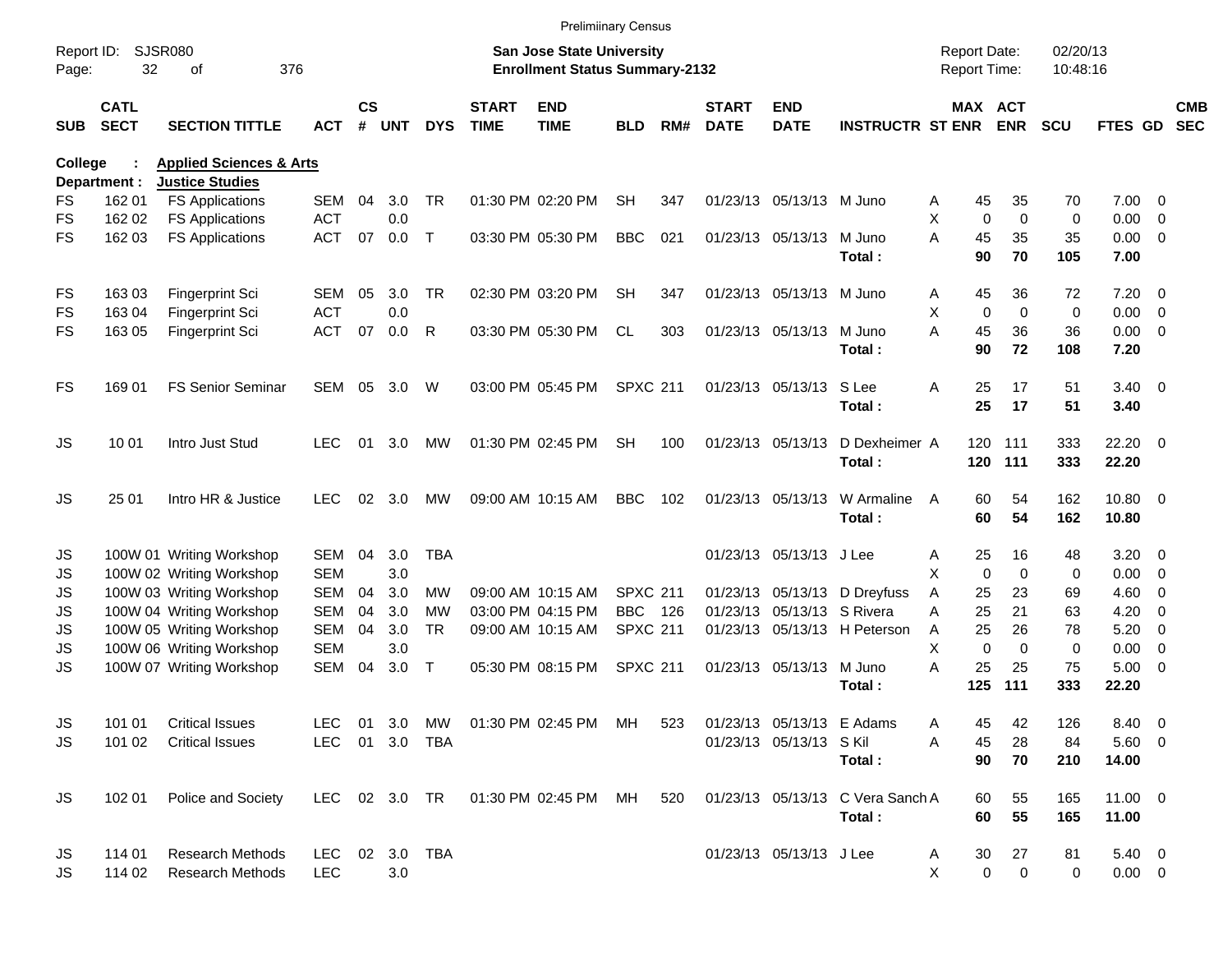|                     |                            |                                    |                |                |     |               |                             | <b>Prelimiinary Census</b>                                         |                 |     |                             |                            |                                  |                                     |                         |                      |                       |                          |                          |
|---------------------|----------------------------|------------------------------------|----------------|----------------|-----|---------------|-----------------------------|--------------------------------------------------------------------|-----------------|-----|-----------------------------|----------------------------|----------------------------------|-------------------------------------|-------------------------|----------------------|-----------------------|--------------------------|--------------------------|
| Report ID:<br>Page: | 32                         | SJSR080<br>376<br>οf               |                |                |     |               |                             | San Jose State University<br><b>Enrollment Status Summary-2132</b> |                 |     |                             |                            |                                  | <b>Report Date:</b><br>Report Time: |                         | 02/20/13<br>10:48:16 |                       |                          |                          |
| <b>SUB</b>          | <b>CATL</b><br><b>SECT</b> | <b>SECTION TITTLE</b>              | <b>ACT</b>     | <b>CS</b><br># | UNT | <b>DYS</b>    | <b>START</b><br><b>TIME</b> | <b>END</b><br><b>TIME</b>                                          | <b>BLD</b>      | RM# | <b>START</b><br><b>DATE</b> | <b>END</b><br><b>DATE</b>  | <b>INSTRUCTR ST ENR</b>          |                                     | MAX ACT<br><b>ENR</b>   | <b>SCU</b>           | FTES GD               |                          | <b>CMB</b><br><b>SEC</b> |
| <b>College</b>      |                            | <b>Applied Sciences &amp; Arts</b> |                |                |     |               |                             |                                                                    |                 |     |                             |                            |                                  |                                     |                         |                      |                       |                          |                          |
|                     | Department :               | <b>Justice Studies</b>             |                |                |     |               |                             |                                                                    |                 |     |                             |                            |                                  |                                     |                         |                      |                       |                          |                          |
| FS                  | 162 01                     | <b>FS Applications</b>             | SEM            | 04             | 3.0 | <b>TR</b>     |                             | 01:30 PM 02:20 PM                                                  | <b>SH</b>       | 347 |                             | 01/23/13 05/13/13 M Juno   |                                  | A                                   | 45<br>35                | 70                   | $7.00 \t 0$           |                          |                          |
| FS                  | 162 02                     | <b>FS Applications</b>             | <b>ACT</b>     |                | 0.0 |               |                             |                                                                    |                 |     |                             |                            |                                  | X                                   | $\Omega$<br>$\mathbf 0$ | $\mathbf 0$          | 0.00                  | $\overline{\phantom{0}}$ |                          |
| FS                  | 162 03                     | <b>FS Applications</b>             | <b>ACT</b>     | 07             | 0.0 | $\mathsf{T}$  |                             | 03:30 PM 05:30 PM                                                  | <b>BBC</b>      | 021 |                             | 01/23/13 05/13/13          | M Juno<br>Total:                 | A                                   | 45<br>35<br>90<br>70    | 35<br>105            | $0.00 \t 0$<br>7.00   |                          |                          |
| FS                  | 16303                      | Fingerprint Sci                    | SEM            | 05             | 3.0 | <b>TR</b>     |                             | 02:30 PM 03:20 PM                                                  | <b>SH</b>       | 347 |                             | 01/23/13 05/13/13 M Juno   |                                  | A                                   | 45<br>36                | 72                   | $7.20 \t 0$           |                          |                          |
| FS                  | 163 04                     | Fingerprint Sci                    | <b>ACT</b>     |                | 0.0 |               |                             |                                                                    |                 |     |                             |                            |                                  | X                                   | $\Omega$<br>$\mathbf 0$ | $\mathbf 0$          | $0.00 \t 0$           |                          |                          |
| FS                  | 163 05                     | Fingerprint Sci                    | <b>ACT</b>     | 07             | 0.0 | R             |                             | 03:30 PM 05:30 PM                                                  | <b>CL</b>       | 303 |                             | 01/23/13 05/13/13          | M Juno<br>Total:                 | A                                   | 36<br>45<br>90<br>72    | 36<br>108            | $0.00 \t 0$<br>7.20   |                          |                          |
| <b>FS</b>           | 169 01                     | <b>FS Senior Seminar</b>           | <b>SEM</b>     | 05             | 3.0 | W             |                             | 03:00 PM 05:45 PM                                                  | <b>SPXC 211</b> |     |                             | 01/23/13 05/13/13          | S Lee<br>Total:                  | A                                   | 25<br>17<br>25<br>17    | 51<br>51             | $3.40 \ 0$<br>3.40    |                          |                          |
|                     |                            |                                    |                |                |     |               |                             |                                                                    |                 |     |                             |                            |                                  |                                     |                         |                      |                       |                          |                          |
| JS.                 | 10 01                      | Intro Just Stud                    | <b>LEC</b>     | 01             | 3.0 | МW            |                             | 01:30 PM 02:45 PM                                                  | <b>SH</b>       | 100 |                             | 01/23/13 05/13/13          | D Dexheimer A<br>Total:          | 120                                 | 120 111<br>111          | 333<br>333           | $22.20 \t 0$<br>22.20 |                          |                          |
| JS.                 | 25 01                      | Intro HR & Justice                 | <b>LEC</b>     | 02             | 3.0 | MW            |                             | 09:00 AM 10:15 AM                                                  | <b>BBC</b>      | 102 |                             | 01/23/13 05/13/13          | W Armaline<br>Total:             | A                                   | 60<br>54<br>60<br>54    | 162<br>162           | 10.80 0<br>10.80      |                          |                          |
| JS                  |                            | 100W 01 Writing Workshop           | SEM            | 04             | 3.0 | <b>TBA</b>    |                             |                                                                    |                 |     |                             | 01/23/13 05/13/13 J Lee    |                                  | A                                   | 25<br>16                | 48                   | $3.20 \ 0$            |                          |                          |
| JS.                 |                            | 100W 02 Writing Workshop           | <b>SEM</b>     |                | 3.0 |               |                             |                                                                    |                 |     |                             |                            |                                  | X                                   | $\Omega$<br>$\mathbf 0$ | 0                    | $0.00 \t 0$           |                          |                          |
| JS.                 |                            | 100W 03 Writing Workshop           | <b>SEM</b>     | 04             | 3.0 | <b>MW</b>     |                             | 09:00 AM 10:15 AM                                                  | <b>SPXC 211</b> |     |                             |                            | 01/23/13 05/13/13 D Dreyfuss     | A                                   | 23<br>25                | 69                   | 4.60                  | - 0                      |                          |
| JS.                 |                            | 100W 04 Writing Workshop           | <b>SEM</b>     | 04             | 3.0 | MW            |                             | 03:00 PM 04:15 PM                                                  | <b>BBC</b>      | 126 |                             | 01/23/13 05/13/13 S Rivera |                                  | A                                   | 25<br>21                | 63                   | 4.20                  | $\overline{0}$           |                          |
| <b>JS</b>           |                            | 100W 05 Writing Workshop           | <b>SEM</b>     | 04             | 3.0 | <b>TR</b>     |                             | 09:00 AM 10:15 AM                                                  | <b>SPXC 211</b> |     |                             |                            | 01/23/13 05/13/13 H Peterson     | A                                   | 25<br>26                | 78                   | 5.20                  | - 0                      |                          |
| JS.                 |                            | 100W 06 Writing Workshop           | <b>SEM</b>     |                | 3.0 |               |                             |                                                                    |                 |     |                             |                            |                                  | X                                   | $\Omega$<br>$\Omega$    | 0                    | 0.00                  | $\overline{\mathbf{0}}$  |                          |
| JS.                 |                            | 100W 07 Writing Workshop           | <b>SEM</b>     | 04             | 3.0 | $\mathsf{T}$  |                             | 05:30 PM 08:15 PM                                                  | <b>SPXC 211</b> |     |                             | 01/23/13 05/13/13 M Juno   | Total:                           | A<br>125                            | 25<br>25<br>111         | 75<br>333            | $5.00 \t 0$<br>22.20  |                          |                          |
| JS                  | 101 01                     | <b>Critical Issues</b>             |                |                |     | LEC 01 3.0 MW |                             | 01:30 PM 02:45 PM MH 523                                           |                 |     |                             | 01/23/13 05/13/13 E Adams  |                                  | Α                                   | 42<br>45                | 126                  | 8.40 0                |                          |                          |
| JS                  | 101 02                     | <b>Critical Issues</b>             | LEC 01 3.0 TBA |                |     |               |                             |                                                                    |                 |     |                             | 01/23/13 05/13/13 S Kil    |                                  | A                                   | 45<br>28                | 84                   | $5.60$ 0              |                          |                          |
|                     |                            |                                    |                |                |     |               |                             |                                                                    |                 |     |                             |                            | Total:                           |                                     | 90<br>70                | 210                  | 14.00                 |                          |                          |
| <b>JS</b>           | 102 01                     | Police and Society                 |                |                |     | LEC 02 3.0 TR |                             | 01:30 PM 02:45 PM MH                                               |                 | 520 |                             |                            | 01/23/13 05/13/13 C Vera Sanch A |                                     | 60<br>55                | 165                  | 11.00 0               |                          |                          |
|                     |                            |                                    |                |                |     |               |                             |                                                                    |                 |     |                             |                            | Total:                           |                                     | 60<br>55                | 165                  | 11.00                 |                          |                          |
| JS                  | 114 01                     | Research Methods                   | LEC            |                |     | 02 3.0 TBA    |                             |                                                                    |                 |     |                             | 01/23/13 05/13/13 J Lee    |                                  | A                                   | 30<br>27                | 81                   | $5.40\ 0$             |                          |                          |
| JS                  | 114 02                     | <b>Research Methods</b>            | <b>LEC</b>     |                | 3.0 |               |                             |                                                                    |                 |     |                             |                            |                                  | X                                   | $\mathbf 0$<br>0        | 0                    | $0.00 \t 0$           |                          |                          |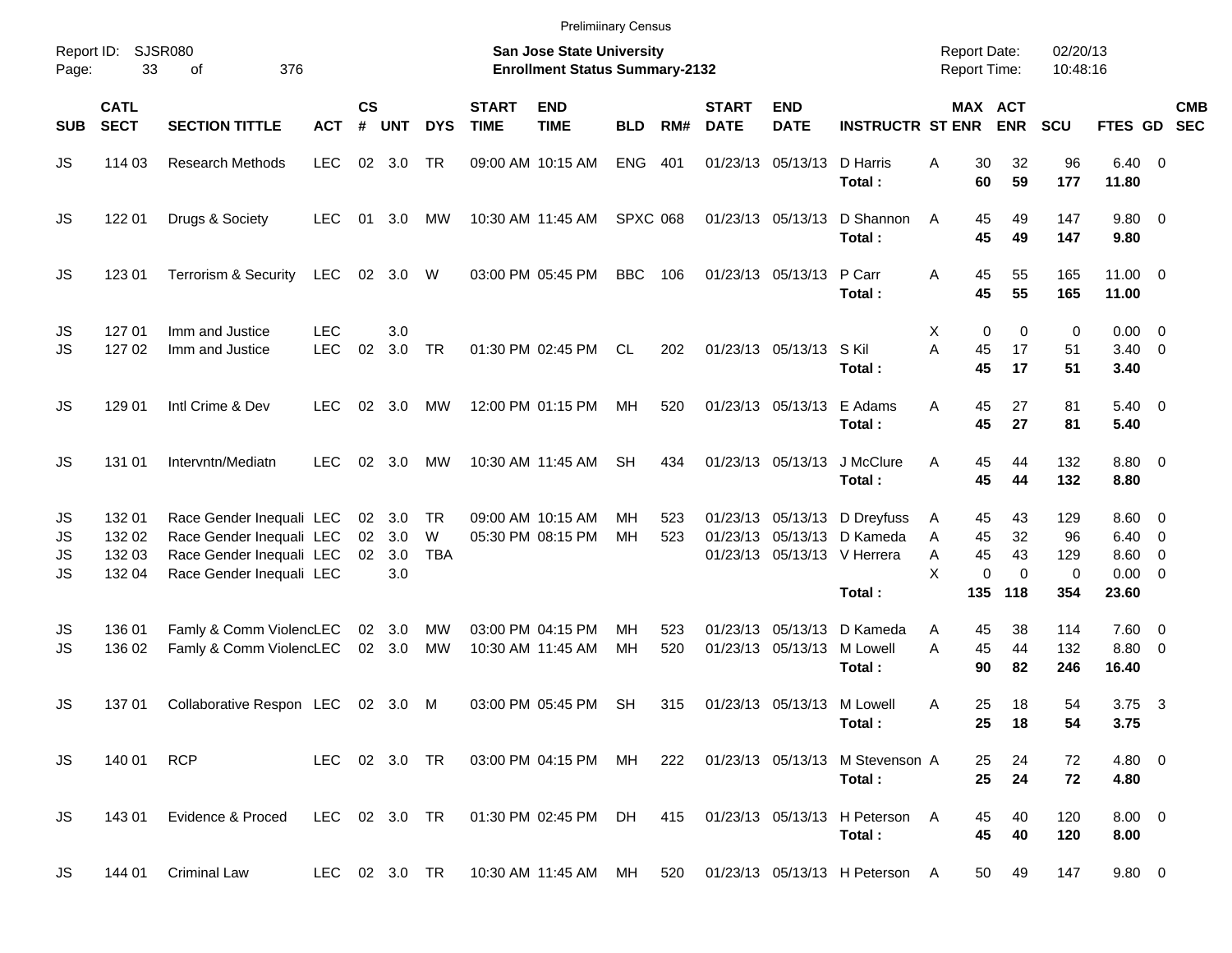| Report ID:<br>Page:  | 33                                   | SJSR080<br>376<br>οf                                                                                         |                          |                    |                                        |                       |                             | <b>San Jose State University</b><br><b>Enrollment Status Summary-2132</b> |                 |            |                             |                            |                                                                                            | <b>Report Date:</b><br><b>Report Time:</b>     |                            | 02/20/13<br>10:48:16                   |                                                 |                                                                                 |                          |
|----------------------|--------------------------------------|--------------------------------------------------------------------------------------------------------------|--------------------------|--------------------|----------------------------------------|-----------------------|-----------------------------|---------------------------------------------------------------------------|-----------------|------------|-----------------------------|----------------------------|--------------------------------------------------------------------------------------------|------------------------------------------------|----------------------------|----------------------------------------|-------------------------------------------------|---------------------------------------------------------------------------------|--------------------------|
| <b>SUB</b>           | <b>CATL</b><br><b>SECT</b>           | <b>SECTION TITTLE</b>                                                                                        | <b>ACT</b>               | $\mathsf{cs}$<br># | <b>UNT</b>                             | <b>DYS</b>            | <b>START</b><br><b>TIME</b> | <b>END</b><br><b>TIME</b>                                                 | <b>BLD</b>      | RM#        | <b>START</b><br><b>DATE</b> | <b>END</b><br><b>DATE</b>  | <b>INSTRUCTR ST ENR</b>                                                                    | MAX ACT                                        | <b>ENR</b>                 | <b>SCU</b>                             | <b>FTES GD</b>                                  |                                                                                 | <b>CMB</b><br><b>SEC</b> |
| JS                   | 114 03                               | <b>Research Methods</b>                                                                                      | <b>LEC</b>               |                    | 02 3.0                                 | TR                    |                             | 09:00 AM 10:15 AM                                                         | <b>ENG</b>      | 401        |                             | 01/23/13 05/13/13 D Harris | Total:                                                                                     | Α<br>30<br>60                                  | 32<br>59                   | 96<br>177                              | $6.40 \quad 0$<br>11.80                         |                                                                                 |                          |
| JS                   | 122 01                               | Drugs & Society                                                                                              | <b>LEC</b>               | 01                 | 3.0                                    | МW                    |                             | 10:30 AM 11:45 AM                                                         | <b>SPXC 068</b> |            |                             | 01/23/13 05/13/13          | D Shannon<br>Total:                                                                        | A<br>45<br>45                                  | 49<br>49                   | 147<br>147                             | 9.80 0<br>9.80                                  |                                                                                 |                          |
| JS                   | 123 01                               | <b>Terrorism &amp; Security</b>                                                                              | LEC                      | 02                 | 3.0                                    | W                     |                             | 03:00 PM 05:45 PM                                                         | <b>BBC</b>      | 106        |                             | 01/23/13 05/13/13          | P Carr<br>Total:                                                                           | Α<br>45<br>45                                  | 55<br>55                   | 165<br>165                             | $11.00 \t 0$<br>11.00                           |                                                                                 |                          |
| JS<br>JS             | 127 01<br>127 02                     | Imm and Justice<br>Imm and Justice                                                                           | <b>LEC</b><br><b>LEC</b> | 02                 | 3.0<br>3.0                             | <b>TR</b>             |                             | 01:30 PM 02:45 PM                                                         | CL.             | 202        |                             | 01/23/13 05/13/13 S Kil    | Total:                                                                                     | Χ<br>0<br>A<br>45<br>45                        | 0<br>17<br>17              | 0<br>51<br>51                          | $0.00 \quad 0$<br>$3.40 \ 0$<br>3.40            |                                                                                 |                          |
| JS                   | 129 01                               | Intl Crime & Dev                                                                                             | <b>LEC</b>               | 02                 | 3.0                                    | МW                    |                             | 12:00 PM 01:15 PM                                                         | MН              | 520        |                             | 01/23/13 05/13/13          | E Adams<br>Total:                                                                          | Α<br>45<br>45                                  | 27<br>27                   | 81<br>81                               | $5.40 \ 0$<br>5.40                              |                                                                                 |                          |
| JS                   | 131 01                               | Intervntn/Mediatn                                                                                            | <b>LEC</b>               | 02                 | 3.0                                    | МW                    |                             | 10:30 AM 11:45 AM                                                         | <b>SH</b>       | 434        |                             | 01/23/13 05/13/13          | J McClure<br>Total:                                                                        | Α<br>45<br>45                                  | 44<br>44                   | 132<br>132                             | 8.80 0<br>8.80                                  |                                                                                 |                          |
| JS<br>JS<br>JS<br>JS | 132 01<br>132 02<br>132 03<br>132 04 | Race Gender Inequali LEC<br>Race Gender Inequali LEC<br>Race Gender Inequali LEC<br>Race Gender Inequali LEC |                          | 02                 | $02 \quad 3.0$<br>02 3.0<br>3.0<br>3.0 | TR<br>W<br><b>TBA</b> |                             | 09:00 AM 10:15 AM<br>05:30 PM 08:15 PM                                    | MН<br>MН        | 523<br>523 | 01/23/13                    |                            | 01/23/13 05/13/13 D Dreyfuss<br>05/13/13 D Kameda<br>01/23/13 05/13/13 V Herrera<br>Total: | A<br>45<br>A<br>45<br>45<br>A<br>X<br>0<br>135 | 43<br>32<br>43<br>0<br>118 | 129<br>96<br>129<br>$\mathbf 0$<br>354 | $8.60 \quad 0$<br>6.40<br>8.60<br>0.00<br>23.60 | $\overline{\phantom{0}}$<br>$\overline{\mathbf{0}}$<br>$\overline{\phantom{0}}$ |                          |
| JS<br>JS             | 136 01<br>136 02                     | Famly & Comm ViolencLEC<br>Famly & Comm ViolencLEC                                                           |                          |                    | 02 3.0<br>02 3.0                       | МW<br><b>MW</b>       |                             | 03:00 PM 04:15 PM<br>10:30 AM 11:45 AM                                    | MН<br>MН        | 523<br>520 | 01/23/13                    | 01/23/13 05/13/13 M Lowell | 05/13/13 D Kameda<br>Total:                                                                | 45<br>A<br>A<br>45<br>90                       | 38<br>44<br>82             | 114<br>132<br>246                      | $7.60 \t 0$<br>8.80<br>16.40                    | $\overline{\phantom{0}}$                                                        |                          |
| JS                   | 13701                                | Collaborative Respon LEC                                                                                     |                          | 02                 | 3.0                                    | M                     |                             | 03:00 PM 05:45 PM                                                         | SН              | 315        |                             | 01/23/13 05/13/13 M Lowell | Total:                                                                                     | A<br>25<br>25                                  | 18<br>18                   | 54<br>54                               | 3.75<br>3.75                                    | $\overline{\mathbf{3}}$                                                         |                          |
| JS                   | 140 01                               | <b>RCP</b>                                                                                                   | LEC 02 3.0 TR            |                    |                                        |                       |                             | 03:00 PM 04:15 PM MH                                                      |                 |            |                             |                            | 222 01/23/13 05/13/13 M Stevenson A<br>Total:                                              | 25<br>25                                       | 24<br>24                   | 72<br>72                               | $4.80\ 0$<br>4.80                               |                                                                                 |                          |
| JS                   | 143 01                               | Evidence & Proced                                                                                            | LEC 02 3.0 TR            |                    |                                        |                       |                             | 01:30 PM 02:45 PM DH                                                      |                 | 415        |                             |                            | 01/23/13 05/13/13 H Peterson A<br>Total:                                                   | 45<br>45                                       | 40<br>40                   | 120<br>120                             | $8.00 \t 0$<br>8.00                             |                                                                                 |                          |
| JS                   | 144 01                               | <b>Criminal Law</b>                                                                                          |                          |                    |                                        |                       |                             |                                                                           |                 |            |                             |                            | LEC 02 3.0 TR 10:30 AM 11:45 AM MH 520 01/23/13 05/13/13 H Peterson A                      | 50                                             | 49                         | 147                                    | $9.80\ 0$                                       |                                                                                 |                          |

Prelimiinary Census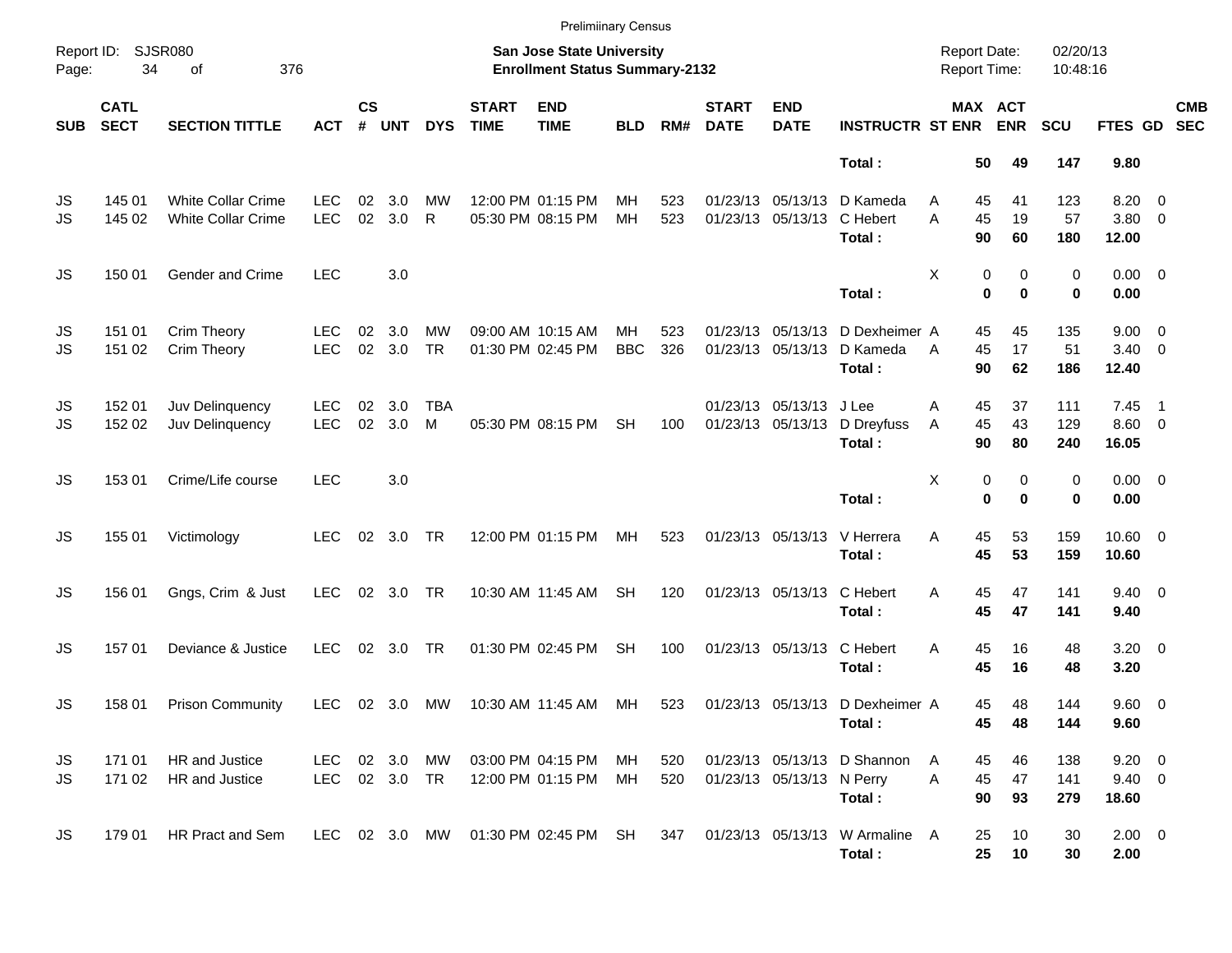|            |                            |                                                        |                          |                    |            |                 |                             | <b>Prelimiinary Census</b>                                         |                  |            |                             |                                        |                                           |                                            |                       |                      |                                       |                          |                          |
|------------|----------------------------|--------------------------------------------------------|--------------------------|--------------------|------------|-----------------|-----------------------------|--------------------------------------------------------------------|------------------|------------|-----------------------------|----------------------------------------|-------------------------------------------|--------------------------------------------|-----------------------|----------------------|---------------------------------------|--------------------------|--------------------------|
| Page:      | Report ID: SJSR080<br>34   | 376<br>of                                              |                          |                    |            |                 |                             | San Jose State University<br><b>Enrollment Status Summary-2132</b> |                  |            |                             |                                        |                                           | <b>Report Date:</b><br><b>Report Time:</b> |                       | 02/20/13<br>10:48:16 |                                       |                          |                          |
| <b>SUB</b> | <b>CATL</b><br><b>SECT</b> | <b>SECTION TITTLE</b>                                  | <b>ACT</b>               | $\mathsf{cs}$<br># | <b>UNT</b> | <b>DYS</b>      | <b>START</b><br><b>TIME</b> | <b>END</b><br><b>TIME</b>                                          | <b>BLD</b>       | RM#        | <b>START</b><br><b>DATE</b> | <b>END</b><br><b>DATE</b>              | <b>INSTRUCTR ST ENR</b>                   |                                            | MAX ACT<br><b>ENR</b> | <b>SCU</b>           | FTES GD                               |                          | <b>CMB</b><br><b>SEC</b> |
|            |                            |                                                        |                          |                    |            |                 |                             |                                                                    |                  |            |                             |                                        | Total:                                    | 50                                         | 49                    | 147                  | 9.80                                  |                          |                          |
| JS<br>JS   | 145 01<br>145 02           | <b>White Collar Crime</b><br><b>White Collar Crime</b> | LEC<br><b>LEC</b>        | 02<br>02           | 3.0<br>3.0 | <b>MW</b><br>R  |                             | 12:00 PM 01:15 PM<br>05:30 PM 08:15 PM                             | MН<br>MH         | 523<br>523 |                             | 01/23/13 05/13/13<br>01/23/13 05/13/13 | D Kameda<br>C Hebert<br>Total:            | 45<br>A<br>45<br>A<br>90                   | 41<br>19<br>60        | 123<br>57<br>180     | 8.20<br>$3.80\ 0$<br>12.00            | $\overline{\phantom{0}}$ |                          |
| JS         | 150 01                     | Gender and Crime                                       | <b>LEC</b>               |                    | 3.0        |                 |                             |                                                                    |                  |            |                             |                                        | Total:                                    | Χ<br>0                                     | 0<br>0<br>$\bf{0}$    | 0<br>0               | $0.00 \t 0$<br>0.00                   |                          |                          |
| JS<br>JS   | 151 01<br>151 02           | Crim Theory<br>Crim Theory                             | <b>LEC</b><br><b>LEC</b> | 02<br>02           | 3.0<br>3.0 | МW<br><b>TR</b> |                             | 09:00 AM 10:15 AM<br>01:30 PM 02:45 PM                             | MН<br><b>BBC</b> | 523<br>326 |                             | 01/23/13 05/13/13<br>01/23/13 05/13/13 | D Dexheimer A<br>D Kameda<br>Total:       | 45<br>45<br>A<br>90                        | 45<br>17<br>62        | 135<br>51<br>186     | $9.00 \t 0$<br>$3.40 \ 0$<br>12.40    |                          |                          |
| JS<br>JS   | 152 01<br>152 02           | Juv Delinquency<br>Juv Delinquency                     | <b>LEC</b><br><b>LEC</b> | 02<br>02           | 3.0<br>3.0 | <b>TBA</b><br>M |                             | 05:30 PM 08:15 PM                                                  | <b>SH</b>        | 100        |                             | 01/23/13 05/13/13<br>01/23/13 05/13/13 | J Lee<br>D Dreyfuss<br>Total:             | 45<br>Α<br>45<br>A<br>90                   | 37<br>43<br>80        | 111<br>129<br>240    | 7.45<br>$8.60$ 0<br>16.05             | $\overline{\phantom{1}}$ |                          |
| JS         | 153 01                     | Crime/Life course                                      | <b>LEC</b>               |                    | 3.0        |                 |                             |                                                                    |                  |            |                             |                                        | Total:                                    | Χ<br>$\bf{0}$                              | 0<br>0<br>$\bf{0}$    | 0<br>0               | $0.00 \t 0$<br>0.00                   |                          |                          |
| JS         | 155 01                     | Victimology                                            | <b>LEC</b>               |                    | 02 3.0     | TR              |                             | 12:00 PM 01:15 PM                                                  | MH               | 523        |                             | 01/23/13 05/13/13                      | V Herrera<br>Total:                       | 45<br>Α<br>45                              | 53<br>53              | 159<br>159           | $10.60 \t 0$<br>10.60                 |                          |                          |
| JS         | 156 01                     | Gngs, Crim & Just                                      | <b>LEC</b>               |                    | 02 3.0 TR  |                 |                             | 10:30 AM 11:45 AM                                                  | <b>SH</b>        | 120        |                             | 01/23/13 05/13/13                      | C Hebert<br>Total:                        | 45<br>Α<br>45                              | 47<br>47              | 141<br>141           | $9.40 \quad 0$<br>9.40                |                          |                          |
| JS         | 157 01                     | Deviance & Justice                                     | <b>LEC</b>               | 02                 | 3.0        | <b>TR</b>       |                             | 01:30 PM 02:45 PM                                                  | <b>SH</b>        | 100        |                             | 01/23/13 05/13/13                      | C Hebert<br>Total:                        | Α<br>45<br>45                              | 16<br>16              | 48<br>48             | $3.20 \ 0$<br>3.20                    |                          |                          |
| JS         | 158 01                     | <b>Prison Community</b>                                | <b>LEC</b>               |                    | 02 3.0     | MW              |                             | 10:30 AM 11:45 AM                                                  | МH               | 523        |                             |                                        | 01/23/13 05/13/13 D Dexheimer A<br>Total: | 45<br>45                                   | 48<br>48              | 144<br>144           | 9.60 0<br>9.60                        |                          |                          |
| JS<br>JS   | 171 01<br>171 02           | HR and Justice<br>HR and Justice                       | LEC<br>LEC 02 3.0 TR     |                    | 02 3.0 MW  |                 |                             | 03:00 PM 04:15 PM<br>12:00 PM 01:15 PM                             | MН<br>МH         | 520<br>520 |                             | 01/23/13 05/13/13 N Perry              | 01/23/13 05/13/13 D Shannon<br>Total:     | 45<br>A<br>45<br>A<br>90                   | 46<br>47<br>93        | 138<br>141<br>279    | $9.20 \ 0$<br>$9.40 \quad 0$<br>18.60 |                          |                          |
| JS         | 179 01                     | HR Pract and Sem                                       |                          |                    |            |                 |                             | LEC 02 3.0 MW 01:30 PM 02:45 PM SH                                 |                  | 347        |                             |                                        | 01/23/13 05/13/13 W Armaline A<br>Total:  | 25<br>25                                   | 10<br>10              | 30<br>30             | $2.00 \t 0$<br>2.00                   |                          |                          |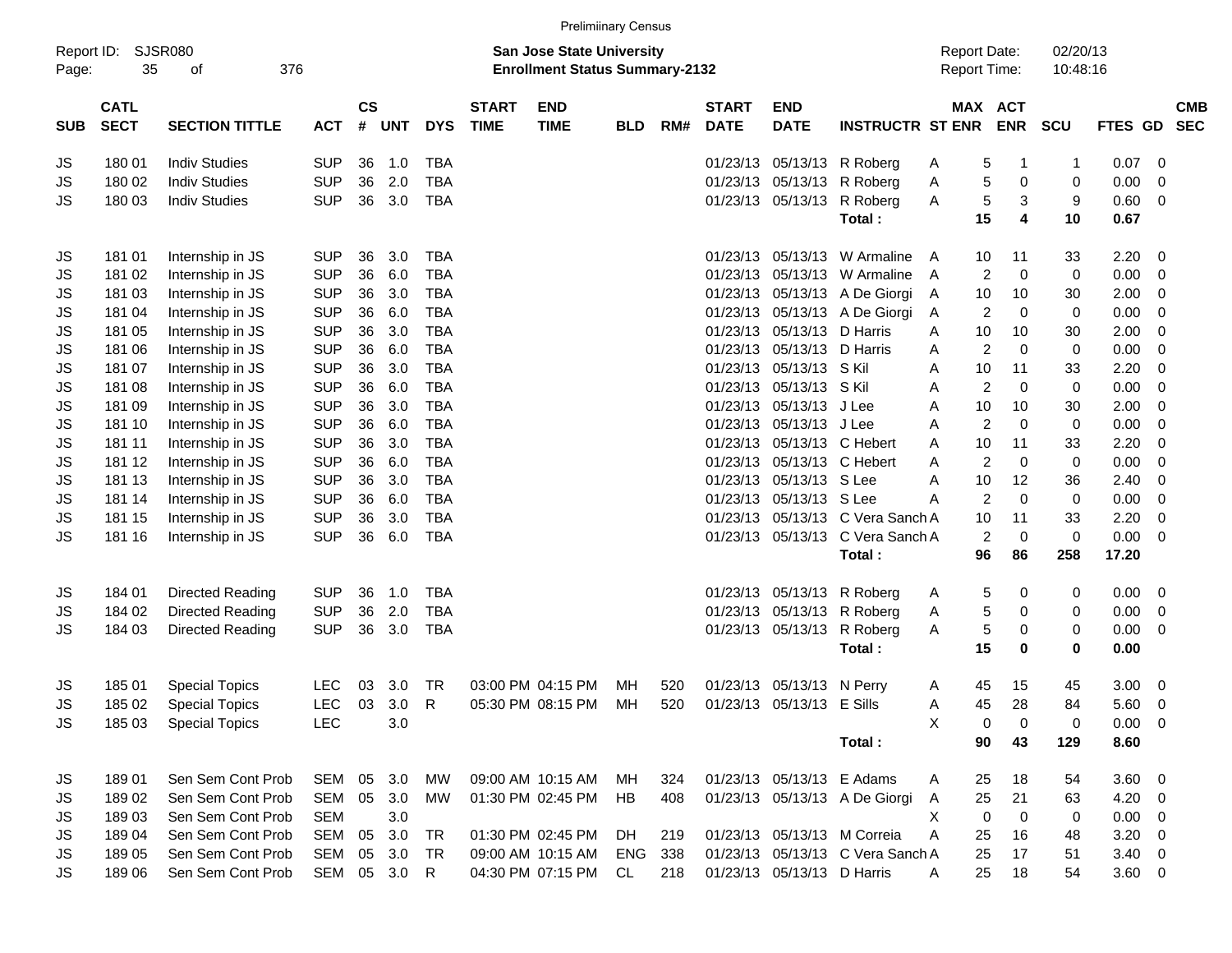| <b>Prelimiinary Census</b> |                            |                         |            |                                                                           |            |            |                             |                           |            |     |                             |                            |                                            |   |    |                       |              |             |                         |                          |
|----------------------------|----------------------------|-------------------------|------------|---------------------------------------------------------------------------|------------|------------|-----------------------------|---------------------------|------------|-----|-----------------------------|----------------------------|--------------------------------------------|---|----|-----------------------|--------------|-------------|-------------------------|--------------------------|
| Report ID:<br>Page:        | 35                         | SJSR080<br>376<br>οf    |            | <b>San Jose State University</b><br><b>Enrollment Status Summary-2132</b> |            |            |                             |                           |            |     |                             |                            | <b>Report Date:</b><br><b>Report Time:</b> |   |    | 02/20/13<br>10:48:16  |              |             |                         |                          |
| <b>SUB</b>                 | <b>CATL</b><br><b>SECT</b> | <b>SECTION TITTLE</b>   | <b>ACT</b> | $\mathsf{cs}$<br>#                                                        | <b>UNT</b> | <b>DYS</b> | <b>START</b><br><b>TIME</b> | <b>END</b><br><b>TIME</b> | <b>BLD</b> | RM# | <b>START</b><br><b>DATE</b> | <b>END</b><br><b>DATE</b>  | <b>INSTRUCTR ST ENR</b>                    |   |    | MAX ACT<br><b>ENR</b> | <b>SCU</b>   | FTES GD     |                         | <b>CMB</b><br><b>SEC</b> |
| JS                         | 180 01                     | <b>Indiv Studies</b>    | <b>SUP</b> | 36                                                                        | 1.0        | <b>TBA</b> |                             |                           |            |     | 01/23/13                    | 05/13/13                   | R Roberg                                   | Α | 5  | -1                    | $\mathbf{1}$ | 0.07        | - 0                     |                          |
| JS                         | 180 02                     | <b>Indiv Studies</b>    | <b>SUP</b> | 36                                                                        | 2.0        | <b>TBA</b> |                             |                           |            |     | 01/23/13                    | 05/13/13                   | R Roberg                                   | Α | 5  | 0                     | 0            | 0.00        | 0                       |                          |
| JS                         | 180 03                     | <b>Indiv Studies</b>    | <b>SUP</b> | 36                                                                        | 3.0        | <b>TBA</b> |                             |                           |            |     | 01/23/13                    | 05/13/13                   | R Roberg                                   | Α | 5  | 3                     | 9            | 0.60        | 0                       |                          |
|                            |                            |                         |            |                                                                           |            |            |                             |                           |            |     |                             |                            | Total:                                     |   | 15 | 4                     | 10           | 0.67        |                         |                          |
| JS                         | 181 01                     | Internship in JS        | <b>SUP</b> | 36                                                                        | 3.0        | <b>TBA</b> |                             |                           |            |     | 01/23/13                    | 05/13/13                   | W Armaline                                 | A | 10 | 11                    | 33           | 2.20        | - 0                     |                          |
| JS                         | 181 02                     | Internship in JS        | <b>SUP</b> | 36                                                                        | 6.0        | <b>TBA</b> |                             |                           |            |     | 01/23/13                    | 05/13/13                   | W Armaline                                 | A | 2  | $\mathbf 0$           | 0            | 0.00        | 0                       |                          |
| JS                         | 181 03                     | Internship in JS        | <b>SUP</b> | 36                                                                        | 3.0        | <b>TBA</b> |                             |                           |            |     | 01/23/13                    | 05/13/13                   | A De Giorgi                                | A | 10 | 10                    | 30           | 2.00        | 0                       |                          |
| JS                         | 181 04                     | Internship in JS        | <b>SUP</b> | 36                                                                        | 6.0        | <b>TBA</b> |                             |                           |            |     | 01/23/13                    | 05/13/13                   | A De Giorgi                                | A | 2  | 0                     | 0            | 0.00        | 0                       |                          |
| JS                         | 181 05                     | Internship in JS        | <b>SUP</b> | 36                                                                        | 3.0        | <b>TBA</b> |                             |                           |            |     | 01/23/13                    | 05/13/13                   | D Harris                                   | A | 10 | 10                    | 30           | 2.00        | 0                       |                          |
| JS                         | 181 06                     | Internship in JS        | <b>SUP</b> | 36                                                                        | 6.0        | <b>TBA</b> |                             |                           |            |     | 01/23/13                    | 05/13/13                   | D Harris                                   | A | 2  | 0                     | 0            | 0.00        | $\mathbf 0$             |                          |
| JS                         | 181 07                     | Internship in JS        | <b>SUP</b> | 36                                                                        | 3.0        | <b>TBA</b> |                             |                           |            |     | 01/23/13                    | 05/13/13                   | S Kil                                      | A | 10 | 11                    | 33           | 2.20        | 0                       |                          |
| JS                         | 181 08                     | Internship in JS        | <b>SUP</b> | 36                                                                        | 6.0        | <b>TBA</b> |                             |                           |            |     | 01/23/13                    | 05/13/13                   | S Kil                                      | A | 2  | 0                     | 0            | 0.00        | 0                       |                          |
| JS                         | 181 09                     | Internship in JS        | <b>SUP</b> | 36                                                                        | 3.0        | <b>TBA</b> |                             |                           |            |     | 01/23/13                    | 05/13/13                   | J Lee                                      | A | 10 | 10                    | 30           | 2.00        | 0                       |                          |
| JS                         | 181 10                     | Internship in JS        | <b>SUP</b> | 36                                                                        | 6.0        | <b>TBA</b> |                             |                           |            |     | 01/23/13                    | 05/13/13                   | J Lee                                      | A | 2  | $\mathbf 0$           | 0            | 0.00        | $\mathbf 0$             |                          |
| JS                         | 181 11                     | Internship in JS        | <b>SUP</b> | 36                                                                        | 3.0        | <b>TBA</b> |                             |                           |            |     | 01/23/13                    | 05/13/13                   | C Hebert                                   | A | 10 | 11                    | 33           | 2.20        | 0                       |                          |
| JS                         | 181 12                     | Internship in JS        | <b>SUP</b> | 36                                                                        | 6.0        | <b>TBA</b> |                             |                           |            |     | 01/23/13                    | 05/13/13                   | C Hebert                                   | A | 2  | $\mathbf 0$           | 0            | 0.00        | 0                       |                          |
| JS                         | 181 13                     | Internship in JS        | <b>SUP</b> | 36                                                                        | 3.0        | <b>TBA</b> |                             |                           |            |     | 01/23/13                    | 05/13/13                   | S Lee                                      | A | 10 | 12                    | 36           | 2.40        | 0                       |                          |
| JS                         | 181 14                     | Internship in JS        | <b>SUP</b> | 36                                                                        | 6.0        | <b>TBA</b> |                             |                           |            |     | 01/23/13                    | 05/13/13 S Lee             |                                            | Α | 2  | $\mathbf 0$           | 0            | 0.00        | $\mathbf 0$             |                          |
| JS                         | 181 15                     | Internship in JS        | <b>SUP</b> | 36                                                                        | 3.0        | <b>TBA</b> |                             |                           |            |     | 01/23/13                    |                            | 05/13/13 C Vera Sanch A                    |   | 10 | 11                    | 33           | 2.20        | $\mathbf 0$             |                          |
| <b>JS</b>                  | 181 16                     | Internship in JS        | <b>SUP</b> | 36                                                                        | 6.0        | <b>TBA</b> |                             |                           |            |     | 01/23/13                    | 05/13/13                   | C Vera Sanch A                             |   | 2  | 0                     | $\mathbf 0$  | 0.00        | $\overline{0}$          |                          |
|                            |                            |                         |            |                                                                           |            |            |                             |                           |            |     |                             |                            | Total:                                     |   | 96 | 86                    | 258          | 17.20       |                         |                          |
| JS                         | 184 01                     | <b>Directed Reading</b> | <b>SUP</b> | 36                                                                        | 1.0        | <b>TBA</b> |                             |                           |            |     | 01/23/13                    | 05/13/13                   | R Roberg                                   | A | 5  | 0                     | 0            | 0.00        | - 0                     |                          |
| JS                         | 184 02                     | <b>Directed Reading</b> | <b>SUP</b> | 36                                                                        | 2.0        | <b>TBA</b> |                             |                           |            |     | 01/23/13                    | 05/13/13                   | R Roberg                                   | Α | 5  | 0                     | 0            | 0.00        | 0                       |                          |
| JS                         | 184 03                     | Directed Reading        | <b>SUP</b> | 36                                                                        | 3.0        | <b>TBA</b> |                             |                           |            |     | 01/23/13                    | 05/13/13                   | R Roberg                                   | Α | 5  | 0                     | 0            | 0.00        | $\overline{\mathbf{0}}$ |                          |
|                            |                            |                         |            |                                                                           |            |            |                             |                           |            |     |                             |                            | Total:                                     |   | 15 | $\mathbf 0$           | 0            | 0.00        |                         |                          |
| JS                         | 18501                      | <b>Special Topics</b>   | LEC        | 03                                                                        | 3.0        | TR         |                             | 03:00 PM 04:15 PM         | MН         | 520 | 01/23/13                    | 05/13/13                   | N Perry                                    | A | 45 | 15                    | 45           | 3.00        | 0                       |                          |
| JS                         | 185 02                     | <b>Special Topics</b>   | <b>LEC</b> | 03                                                                        | 3.0        | R          |                             | 05:30 PM 08:15 PM         | MН         | 520 | 01/23/13                    | 05/13/13                   | E Sills                                    | Α | 45 | 28                    | 84           | 5.60        | 0                       |                          |
| JS                         | 185 03                     | <b>Special Topics</b>   | <b>LEC</b> |                                                                           | 3.0        |            |                             |                           |            |     |                             |                            |                                            | X | 0  | 0                     | 0            | $0.00 \t 0$ |                         |                          |
|                            |                            |                         |            |                                                                           |            |            |                             |                           |            |     |                             |                            | Total:                                     |   | 90 | 43                    | 129          | 8.60        |                         |                          |
| JS                         | 18901                      | Sen Sem Cont Prob       | SEM 05     |                                                                           | 3.0        | MW         |                             | 09:00 AM 10:15 AM         | MН         | 324 |                             | 01/23/13 05/13/13 E Adams  |                                            | A | 25 | 18                    | 54           | $3.60 \ 0$  |                         |                          |
| JS                         | 18902                      | Sen Sem Cont Prob       | SEM        |                                                                           | 05 3.0     | MW         |                             | 01:30 PM 02:45 PM         | HB         | 408 |                             |                            | 01/23/13 05/13/13 A De Giorgi              | A | 25 | 21                    | 63           | $4.20 \ 0$  |                         |                          |
| JS                         | 18903                      | Sen Sem Cont Prob       | <b>SEM</b> |                                                                           | 3.0        |            |                             |                           |            |     |                             |                            |                                            | X | 0  | 0                     | 0            | $0.00 \t 0$ |                         |                          |
| JS                         | 18904                      | Sen Sem Cont Prob       | <b>SEM</b> | 05                                                                        | 3.0        | TR         |                             | 01:30 PM 02:45 PM         | DH         | 219 |                             |                            | 01/23/13 05/13/13 M Correia                | Α | 25 | 16                    | 48           | $3.20 \ 0$  |                         |                          |
| JS                         | 18905                      | Sen Sem Cont Prob       | SEM        | 05                                                                        | 3.0        | <b>TR</b>  |                             | 09:00 AM 10:15 AM         | <b>ENG</b> | 338 |                             |                            | 01/23/13 05/13/13 C Vera Sanch A           |   | 25 | 17                    | 51           | $3.40 \ 0$  |                         |                          |
| JS                         | 18906                      | Sen Sem Cont Prob       | SEM 05 3.0 |                                                                           |            | R          |                             | 04:30 PM 07:15 PM         | CL         | 218 |                             | 01/23/13 05/13/13 D Harris |                                            | A | 25 | 18                    | 54           | $3.60\ 0$   |                         |                          |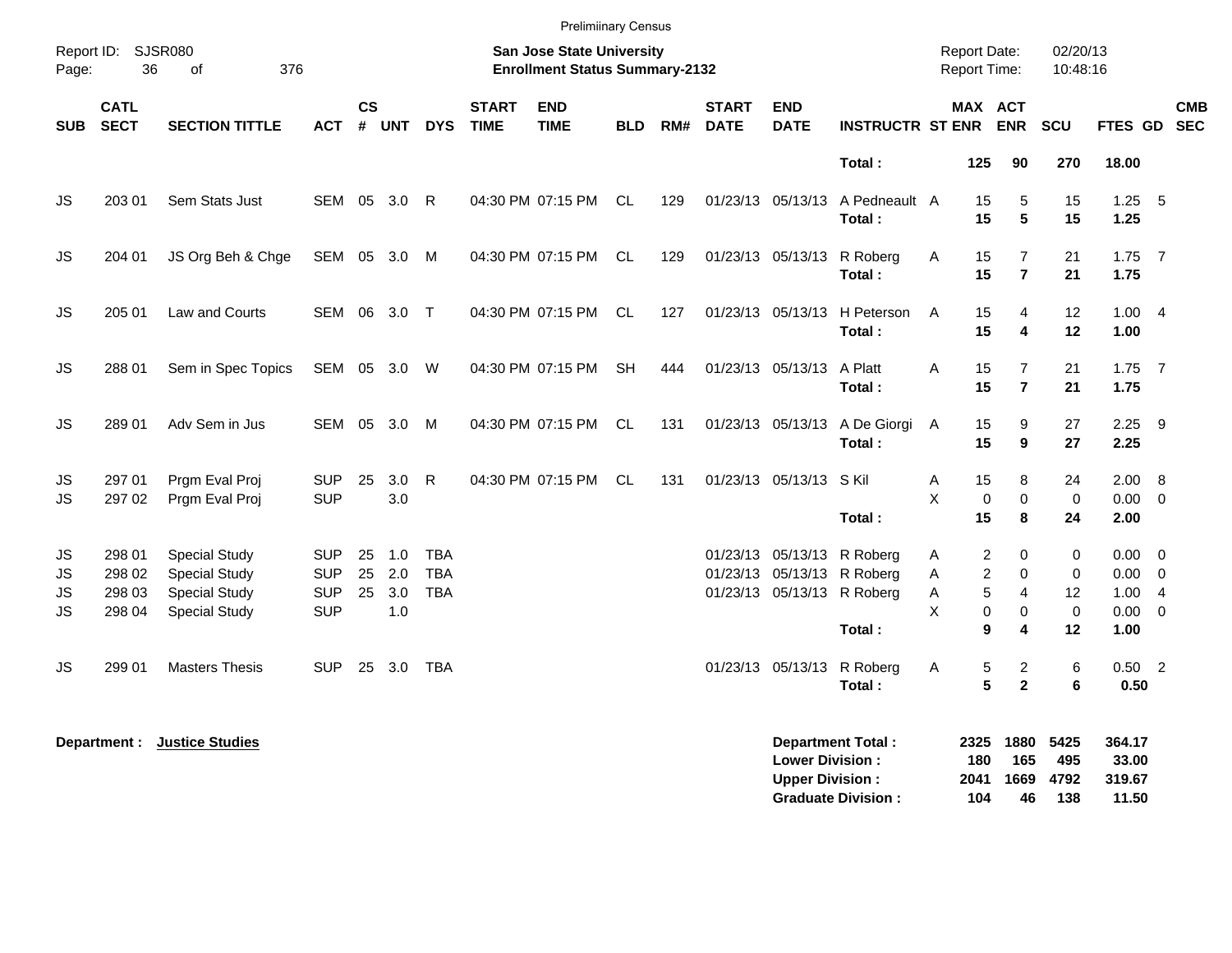| Report ID:<br>Page:                       | 36                                   | <b>SJSR080</b><br>376<br>0f                                                                  |                                                      | <b>Prelimiinary Census</b><br><b>San Jose State University</b><br><b>Enrollment Status Summary-2132</b> |                          |                                        |                             |                           |            |     |                             |                           |                                                                                                  | <b>Report Date:</b><br><b>Report Time:</b>       |                                                                                    | 02/20/13<br>10:48:16            |                                                    |                                  |
|-------------------------------------------|--------------------------------------|----------------------------------------------------------------------------------------------|------------------------------------------------------|---------------------------------------------------------------------------------------------------------|--------------------------|----------------------------------------|-----------------------------|---------------------------|------------|-----|-----------------------------|---------------------------|--------------------------------------------------------------------------------------------------|--------------------------------------------------|------------------------------------------------------------------------------------|---------------------------------|----------------------------------------------------|----------------------------------|
| <b>SUB</b>                                | <b>CATL</b><br><b>SECT</b>           | <b>SECTION TITTLE</b>                                                                        | <b>ACT</b>                                           | <b>CS</b><br>#                                                                                          | <b>UNT</b>               | <b>DYS</b>                             | <b>START</b><br><b>TIME</b> | <b>END</b><br><b>TIME</b> | <b>BLD</b> | RM# | <b>START</b><br><b>DATE</b> | <b>END</b><br><b>DATE</b> | <b>INSTRUCTR ST ENR</b>                                                                          |                                                  | MAX ACT<br><b>ENR</b>                                                              | SCU                             | <b>FTES GD</b>                                     | <b>CMB</b><br><b>SEC</b>         |
|                                           |                                      |                                                                                              |                                                      |                                                                                                         |                          |                                        |                             |                           |            |     |                             |                           | Total:                                                                                           | 125                                              | 90                                                                                 | 270                             | 18.00                                              |                                  |
| JS                                        | 203 01                               | Sem Stats Just                                                                               | SEM                                                  | 05                                                                                                      | 3.0                      | -R                                     |                             | 04:30 PM 07:15 PM         | CL.        | 129 |                             | 01/23/13 05/13/13         | A Pedneault A<br>Total:                                                                          | 15<br>15                                         | 5<br>5                                                                             | 15<br>15                        | 1.25<br>1.25                                       | - 5                              |
| JS                                        | 204 01                               | JS Org Beh & Chge                                                                            | <b>SEM</b>                                           | 05                                                                                                      | 3.0                      | M                                      |                             | 04:30 PM 07:15 PM         | <b>CL</b>  | 129 |                             | 01/23/13 05/13/13         | R Roberg<br>Total:                                                                               | 15<br>Α<br>15                                    | $\overline{7}$<br>$\overline{7}$                                                   | 21<br>21                        | $1.75$ 7<br>1.75                                   |                                  |
| <b>JS</b>                                 | 205 01                               | Law and Courts                                                                               | <b>SEM</b>                                           |                                                                                                         | 06 3.0                   | $\top$                                 |                             | 04:30 PM 07:15 PM         | CL         | 127 |                             | 01/23/13 05/13/13         | H Peterson<br>Total:                                                                             | 15<br>A<br>15                                    | $\overline{4}$<br>$\overline{\mathbf{4}}$                                          | 12<br>12                        | 1.004<br>1.00                                      |                                  |
| <b>JS</b>                                 | 288 01                               | Sem in Spec Topics                                                                           | SEM                                                  | 05                                                                                                      | 3.0                      | W                                      |                             | 04:30 PM 07:15 PM         | <b>SH</b>  | 444 |                             | 01/23/13 05/13/13         | A Platt<br>Total:                                                                                | A<br>15<br>15                                    | $\overline{7}$<br>$\overline{7}$                                                   | 21<br>21                        | $1.75$ 7<br>1.75                                   |                                  |
| <b>JS</b>                                 | 289 01                               | Adv Sem in Jus                                                                               | <b>SEM</b>                                           | 05                                                                                                      | 3.0                      | M                                      |                             | 04:30 PM 07:15 PM         | CL.        | 131 |                             | 01/23/13 05/13/13         | A De Giorgi<br>Total:                                                                            | 15<br>A<br>15                                    | 9<br>9                                                                             | 27<br>27                        | 2.25<br>2.25                                       | - 9                              |
| JS<br><b>JS</b>                           | 297 01<br>297 02                     | Prgm Eval Proj<br>Prgm Eval Proj                                                             | <b>SUP</b><br><b>SUP</b>                             | 25                                                                                                      | 3.0<br>3.0               | R                                      |                             | 04:30 PM 07:15 PM         | CL.        | 131 |                             | 01/23/13 05/13/13         | S Kil<br>Total:                                                                                  | 15<br>Α<br>X<br>0<br>15                          | 8<br>$\mathbf 0$<br>8                                                              | 24<br>$\mathbf 0$<br>24         | 2.00 8<br>$0.00 \t 0$<br>2.00                      |                                  |
| JS<br><b>JS</b><br><b>JS</b><br><b>JS</b> | 298 01<br>298 02<br>298 03<br>298 04 | <b>Special Study</b><br><b>Special Study</b><br><b>Special Study</b><br><b>Special Study</b> | <b>SUP</b><br><b>SUP</b><br><b>SUP</b><br><b>SUP</b> | 25<br>25<br>25                                                                                          | 1.0<br>2.0<br>3.0<br>1.0 | <b>TBA</b><br><b>TBA</b><br><b>TBA</b> |                             |                           |            |     |                             |                           | 01/23/13 05/13/13 R Roberg<br>01/23/13 05/13/13 R Roberg<br>01/23/13 05/13/13 R Roberg<br>Total: | $\overline{\mathbf{c}}$<br>Α<br>A<br>A<br>Χ<br>9 | 0<br>$\overline{c}$<br>$\mathbf 0$<br>5<br>$\overline{4}$<br>0<br>$\mathbf 0$<br>4 | 0<br>0<br>12<br>$\pmb{0}$<br>12 | $0.00 \t 0$<br>0.00<br>1.00<br>$0.00 \t 0$<br>1.00 | $\overline{0}$<br>$\overline{4}$ |
| <b>JS</b>                                 | 299 01                               | <b>Masters Thesis</b>                                                                        | <b>SUP</b>                                           |                                                                                                         | 25 3.0                   | TBA                                    |                             |                           |            |     |                             | 01/23/13 05/13/13         | R Roberg<br>Total:                                                                               | А<br>5<br>5                                      | $\overline{c}$<br>$\overline{2}$                                                   | $\,6$<br>6                      | $0.50$ 2<br>0.50                                   |                                  |
|                                           | Department :                         | <b>Justice Studies</b>                                                                       |                                                      |                                                                                                         |                          |                                        |                             |                           |            |     |                             | <b>Lower Division:</b>    | <b>Department Total:</b>                                                                         | 2325<br>180                                      | 1880<br>165                                                                        | 5425<br>495                     | 364.17<br>33.00                                    |                                  |

**Upper Division : 2041 1669 4792 319.67 Graduate Division : 104 46 138 11.50**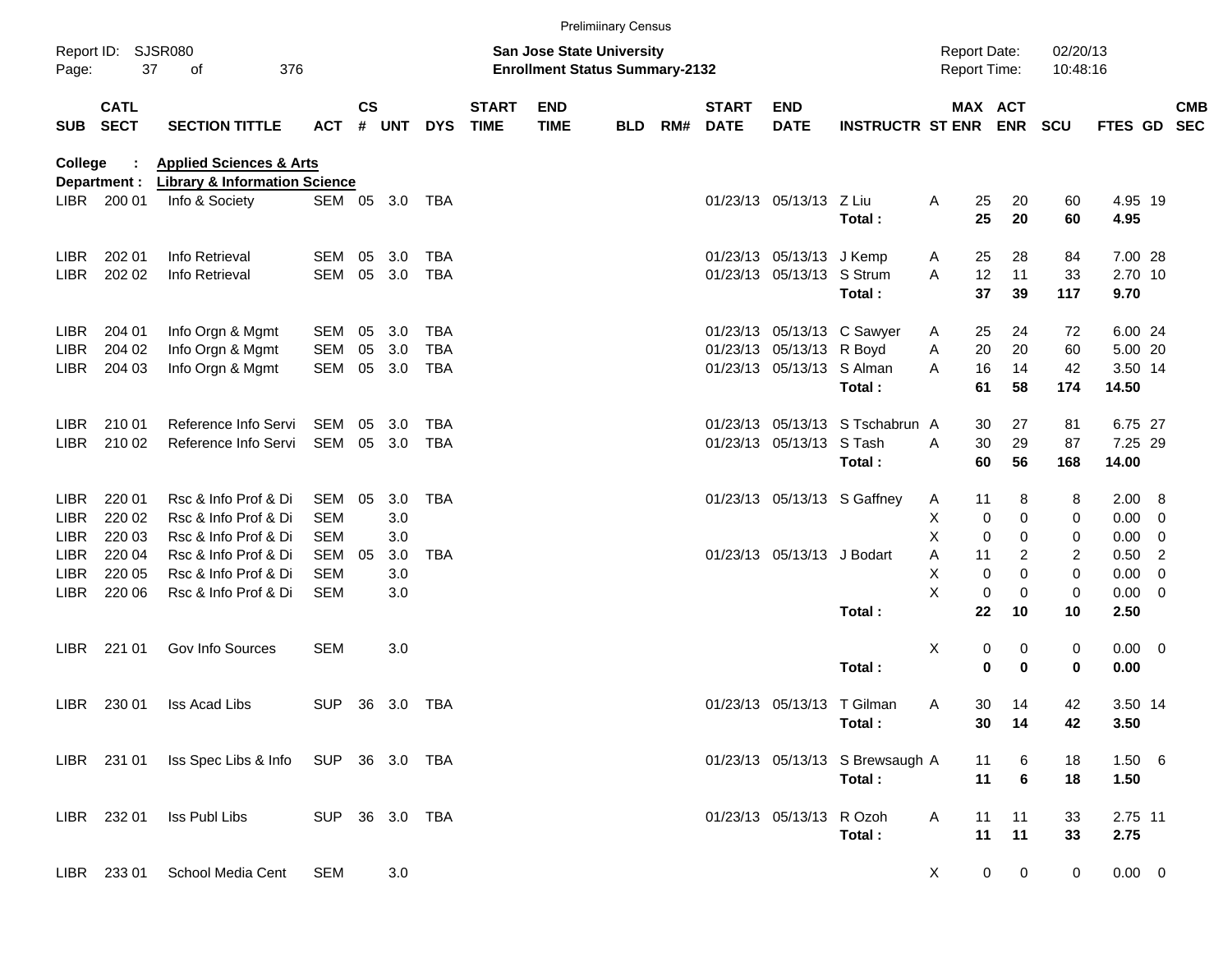|             |                            |                                                 |                |                    |            |            |                             |                                                                           | <b>Prelimiinary Census</b> |     |                             |                            |                                 |                     |                |                       |                      |                 |                         |            |
|-------------|----------------------------|-------------------------------------------------|----------------|--------------------|------------|------------|-----------------------------|---------------------------------------------------------------------------|----------------------------|-----|-----------------------------|----------------------------|---------------------------------|---------------------|----------------|-----------------------|----------------------|-----------------|-------------------------|------------|
| Page:       | Report ID: SJSR080<br>37   | 376<br>of                                       |                |                    |            |            |                             | <b>San Jose State University</b><br><b>Enrollment Status Summary-2132</b> |                            |     |                             |                            |                                 | <b>Report Date:</b> |                | Report Time:          | 02/20/13<br>10:48:16 |                 |                         |            |
| SUB         | <b>CATL</b><br><b>SECT</b> | <b>SECTION TITTLE</b>                           | <b>ACT</b>     | $\mathsf{cs}$<br># | <b>UNT</b> | <b>DYS</b> | <b>START</b><br><b>TIME</b> | <b>END</b><br><b>TIME</b>                                                 | <b>BLD</b>                 | RM# | <b>START</b><br><b>DATE</b> | <b>END</b><br><b>DATE</b>  | <b>INSTRUCTR ST ENR</b>         |                     |                | MAX ACT<br><b>ENR</b> | <b>SCU</b>           | FTES GD SEC     |                         | <b>CMB</b> |
| College     |                            | <b>Applied Sciences &amp; Arts</b>              |                |                    |            |            |                             |                                                                           |                            |     |                             |                            |                                 |                     |                |                       |                      |                 |                         |            |
|             | Department :               | <b>Library &amp; Information Science</b>        |                |                    |            |            |                             |                                                                           |                            |     |                             |                            |                                 |                     |                |                       |                      |                 |                         |            |
|             | LIBR 200 01                | Info & Society                                  | SEM 05 3.0 TBA |                    |            |            |                             |                                                                           |                            |     |                             | 01/23/13 05/13/13 Z Liu    | Total:                          | A                   | 25<br>25       | 20<br>20              | 60<br>60             | 4.95 19<br>4.95 |                         |            |
| <b>LIBR</b> | 202 01                     | Info Retrieval                                  | <b>SEM</b>     | 05                 | 3.0        | <b>TBA</b> |                             |                                                                           |                            |     |                             | 01/23/13 05/13/13 J Kemp   |                                 | A                   | 25             | 28                    | 84                   | 7.00 28         |                         |            |
| <b>LIBR</b> | 202 02                     | Info Retrieval                                  | <b>SEM</b>     |                    | 05 3.0     | TBA        |                             |                                                                           |                            |     |                             | 01/23/13 05/13/13 S Strum  |                                 | A                   | 12             | 11                    | 33                   | 2.70 10         |                         |            |
|             |                            |                                                 |                |                    |            |            |                             |                                                                           |                            |     |                             |                            | Total:                          |                     | 37             | 39                    | 117                  | 9.70            |                         |            |
| <b>LIBR</b> | 204 01                     | Info Orgn & Mgmt                                | SEM            | 05                 | 3.0        | <b>TBA</b> |                             |                                                                           |                            |     |                             |                            | 01/23/13 05/13/13 C Sawyer      | A                   | 25             | 24                    | 72                   | 6.00 24         |                         |            |
| <b>LIBR</b> | 204 02                     | Info Orgn & Mgmt                                | SEM            | 05                 | 3.0        | <b>TBA</b> |                             |                                                                           |                            |     |                             | 01/23/13 05/13/13 R Boyd   |                                 | Α                   | 20             | 20                    | 60                   | 5.00 20         |                         |            |
| LIBR.       | 204 03                     | Info Orgn & Mgmt                                | SEM            |                    | 05 3.0     | TBA        |                             |                                                                           |                            |     |                             | 01/23/13 05/13/13 S Alman  |                                 | A                   | 16             | 14                    | 42                   | 3.50 14         |                         |            |
|             |                            |                                                 |                |                    |            |            |                             |                                                                           |                            |     |                             |                            | Total:                          |                     | 61             | 58                    | 174                  | 14.50           |                         |            |
| <b>LIBR</b> | 210 01                     | Reference Info Servi                            | SEM            | 05                 | 3.0        | <b>TBA</b> |                             |                                                                           |                            |     |                             |                            | 01/23/13 05/13/13 S Tschabrun A |                     | 30             | 27                    | 81                   | 6.75 27         |                         |            |
| LIBR.       | 210 02                     | Reference Info Servi                            | SEM            |                    | 05 3.0     | TBA        |                             |                                                                           |                            |     |                             | 01/23/13 05/13/13 S Tash   |                                 | A                   | 30             | 29                    | 87                   | 7.25 29         |                         |            |
|             |                            |                                                 |                |                    |            |            |                             |                                                                           |                            |     |                             |                            | Total:                          |                     | 60             | 56                    | 168                  | 14.00           |                         |            |
| <b>LIBR</b> | 220 01                     | Rsc & Info Prof & Di                            | SEM            | 05                 | 3.0        | <b>TBA</b> |                             |                                                                           |                            |     |                             |                            | 01/23/13 05/13/13 S Gaffney     | A                   | 11             | 8                     | 8                    | 2.00            | $_{\rm 8}$              |            |
| <b>LIBR</b> | 220 02                     | Rsc & Info Prof & Di                            | <b>SEM</b>     |                    | 3.0        |            |                             |                                                                           |                            |     |                             |                            |                                 | Х                   | 0              | 0                     | 0                    | 0.00            | - 0                     |            |
| <b>LIBR</b> | 220 03                     | Rsc & Info Prof & Di                            | <b>SEM</b>     |                    | 3.0        |            |                             |                                                                           |                            |     |                             |                            |                                 | X                   | 0              | 0                     | 0                    | 0.00            | $\overline{0}$          |            |
| <b>LIBR</b> | 220 04                     | Rsc & Info Prof & Di                            | <b>SEM</b>     | 05                 | 3.0        | <b>TBA</b> |                             |                                                                           |                            |     |                             | 01/23/13 05/13/13 J Bodart |                                 | Α                   | 11             | 2                     | 2                    | 0.50            | $\overline{2}$          |            |
| <b>LIBR</b> | 220 05                     | Rsc & Info Prof & Di                            | SEM            |                    | 3.0        |            |                             |                                                                           |                            |     |                             |                            |                                 | X                   | 0              | 0                     | 0                    | 0.00            | $\overline{0}$          |            |
| <b>LIBR</b> | 220 06                     | Rsc & Info Prof & Di                            | <b>SEM</b>     |                    | 3.0        |            |                             |                                                                           |                            |     |                             |                            |                                 | X                   | 0              | 0                     | 0                    | 0.00            | $\overline{\mathbf{0}}$ |            |
|             |                            |                                                 |                |                    |            |            |                             |                                                                           |                            |     |                             |                            | Total:                          |                     | 22             | 10                    | 10                   | 2.50            |                         |            |
| LIBR.       | 221 01                     | Gov Info Sources                                | <b>SEM</b>     |                    | 3.0        |            |                             |                                                                           |                            |     |                             |                            |                                 | Х                   | 0              | 0                     | 0                    | $0.00 \t 0$     |                         |            |
|             |                            |                                                 |                |                    |            |            |                             |                                                                           |                            |     |                             |                            | Total:                          |                     | 0              | $\mathbf 0$           | 0                    | 0.00            |                         |            |
| LIBR.       | 230 01                     | Iss Acad Libs                                   | <b>SUP</b>     |                    | 36 3.0     | TBA        |                             |                                                                           |                            |     |                             | 01/23/13 05/13/13 T Gilman |                                 | Α                   | 30             | 14                    | 42                   | 3.50 14         |                         |            |
|             |                            |                                                 |                |                    |            |            |                             |                                                                           |                            |     |                             |                            | Total:                          |                     |                | 30 14                 | 42                   | 3.50            |                         |            |
|             |                            | LIBR 231 01 Iss Spec Libs & Info SUP 36 3.0 TBA |                |                    |            |            |                             |                                                                           |                            |     |                             |                            | 01/23/13 05/13/13 S Brewsaugh A |                     | 11             | 6                     | 18                   | 1.506           |                         |            |
|             |                            |                                                 |                |                    |            |            |                             |                                                                           |                            |     |                             |                            | Total:                          |                     | 11             | $6\phantom{1}6$       | 18                   | 1.50            |                         |            |
|             | LIBR 232 01                | Iss Publ Libs                                   | SUP 36 3.0 TBA |                    |            |            |                             |                                                                           |                            |     |                             | 01/23/13 05/13/13 R Ozoh   |                                 | A                   | 11             | 11                    | 33                   | 2.75 11         |                         |            |
|             |                            |                                                 |                |                    |            |            |                             |                                                                           |                            |     |                             |                            | Total:                          |                     | 11             | 11                    | 33                   | 2.75            |                         |            |
|             | LIBR 233 01                | School Media Cent                               | <b>SEM</b>     |                    | 3.0        |            |                             |                                                                           |                            |     |                             |                            |                                 | X                   | $\overline{0}$ | $\overline{0}$        | 0                    | $0.00 \t 0$     |                         |            |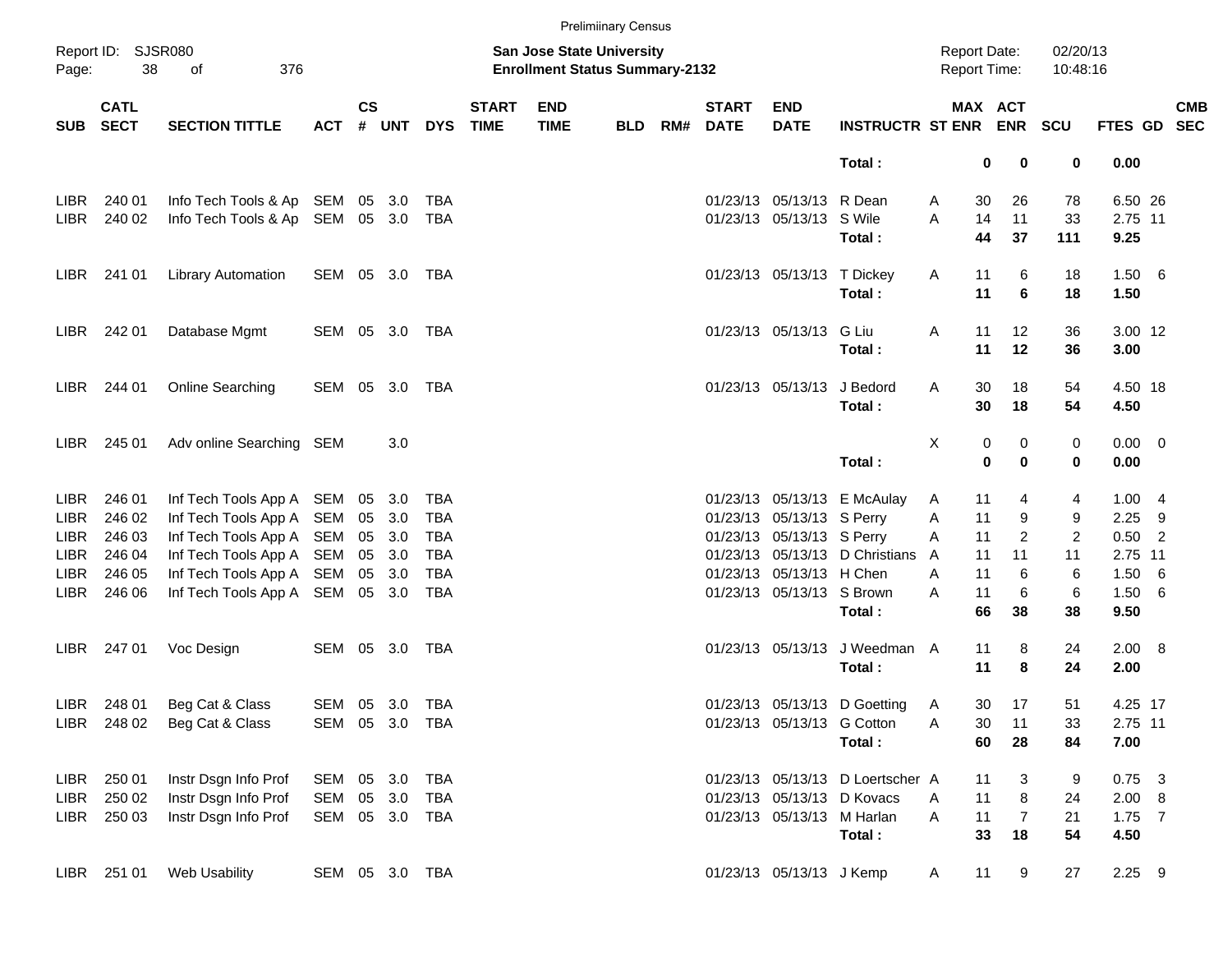|             |                            |                                     |                |                    |        |                |                             |                                                                           | <b>Prelimiinary Census</b> |     |                             |                            |                                  |                     |                            |                      |                |            |
|-------------|----------------------------|-------------------------------------|----------------|--------------------|--------|----------------|-----------------------------|---------------------------------------------------------------------------|----------------------------|-----|-----------------------------|----------------------------|----------------------------------|---------------------|----------------------------|----------------------|----------------|------------|
| Page:       | Report ID: SJSR080<br>38   | 376<br>of                           |                |                    |        |                |                             | <b>San Jose State University</b><br><b>Enrollment Status Summary-2132</b> |                            |     |                             |                            |                                  | <b>Report Date:</b> | <b>Report Time:</b>        | 02/20/13<br>10:48:16 |                |            |
| SUB         | <b>CATL</b><br><b>SECT</b> | <b>SECTION TITTLE</b>               | <b>ACT</b>     | $\mathsf{cs}$<br># | UNT    | <b>DYS</b>     | <b>START</b><br><b>TIME</b> | <b>END</b><br><b>TIME</b>                                                 | <b>BLD</b>                 | RM# | <b>START</b><br><b>DATE</b> | <b>END</b><br><b>DATE</b>  | INSTRUCTR ST ENR ENR SCU         |                     | MAX ACT                    |                      | FTES GD SEC    | <b>CMB</b> |
|             |                            |                                     |                |                    |        |                |                             |                                                                           |                            |     |                             |                            | Total:                           |                     | 0<br>0                     | 0                    | 0.00           |            |
| LIBR.       | 240 01                     | Info Tech Tools & Ap SEM            |                |                    | 05 3.0 | TBA            |                             |                                                                           |                            |     |                             | 01/23/13 05/13/13 R Dean   |                                  | A                   | 30<br>26                   | 78                   | 6.50 26        |            |
| LIBR        | 240 02                     | Info Tech Tools & Ap SEM 05 3.0 TBA |                |                    |        |                |                             |                                                                           |                            |     |                             | 01/23/13 05/13/13 S Wile   |                                  | A                   | 14<br>11                   | 33                   | 2.75 11        |            |
|             |                            |                                     |                |                    |        |                |                             |                                                                           |                            |     |                             |                            | Total:                           |                     | 44<br>37                   | 111                  | 9.25           |            |
|             | LIBR 241 01                | <b>Library Automation</b>           | SEM 05 3.0 TBA |                    |        |                |                             |                                                                           |                            |     |                             | 01/23/13 05/13/13 T Dickey |                                  | Α                   | 6<br>11                    | 18                   | 1.50 6         |            |
|             |                            |                                     |                |                    |        |                |                             |                                                                           |                            |     |                             |                            | Total:                           |                     | 6<br>11                    | 18                   | 1.50           |            |
|             | LIBR 242 01                | Database Mgmt                       | SEM 05 3.0 TBA |                    |        |                |                             |                                                                           |                            |     |                             | 01/23/13 05/13/13 G Liu    |                                  | Α                   | 11<br>12                   | 36                   | 3.00 12        |            |
|             |                            |                                     |                |                    |        |                |                             |                                                                           |                            |     |                             |                            | Total:                           |                     | 11<br>12                   | 36                   | 3.00           |            |
| LIBR        | 244 01                     | Online Searching                    | SEM 05 3.0 TBA |                    |        |                |                             |                                                                           |                            |     |                             | 01/23/13 05/13/13 J Bedord |                                  | Α                   | 30<br>18                   | 54                   | 4.50 18        |            |
|             |                            |                                     |                |                    |        |                |                             |                                                                           |                            |     |                             |                            | Total:                           |                     | 30<br>18                   | 54                   | 4.50           |            |
| LIBR        | 245 01                     | Adv online Searching SEM            |                |                    | 3.0    |                |                             |                                                                           |                            |     |                             |                            |                                  | х                   | 0<br>0                     | 0                    | $0.00 \t 0$    |            |
|             |                            |                                     |                |                    |        |                |                             |                                                                           |                            |     |                             |                            | Total:                           |                     | $\mathbf 0$<br>$\mathbf 0$ | 0                    | 0.00           |            |
| <b>LIBR</b> | 246 01                     | Inf Tech Tools App A SEM            |                |                    | 05 3.0 | TBA            |                             |                                                                           |                            |     |                             |                            | 01/23/13 05/13/13 E McAulay      | A                   | 11<br>4                    | 4                    | 1.004          |            |
| <b>LIBR</b> | 246 02                     | Inf Tech Tools App A SEM            |                | 05                 | 3.0    | <b>TBA</b>     |                             |                                                                           |                            |     |                             | 01/23/13 05/13/13 S Perry  |                                  | Α                   | 11<br>9                    | 9                    | $2.25$ 9       |            |
| <b>LIBR</b> | 246 03                     | Inf Tech Tools App A SEM            |                |                    | 05 3.0 | TBA            |                             |                                                                           |                            |     |                             | 01/23/13 05/13/13 S Perry  |                                  | Α                   | $\overline{c}$<br>11       | $\overline{2}$       | $0.50$ 2       |            |
| <b>LIBR</b> | 246 04                     | Inf Tech Tools App A SEM            |                |                    | 05 3.0 | TBA            |                             |                                                                           |                            |     |                             |                            | 01/23/13 05/13/13 D Christians   | A                   | 11<br>11                   | 11                   | 2.75 11        |            |
| <b>LIBR</b> | 246 05                     | Inf Tech Tools App A SEM            |                |                    | 05 3.0 | <b>TBA</b>     |                             |                                                                           |                            |     |                             | 01/23/13 05/13/13 H Chen   |                                  | A                   | 11<br>6                    | 6                    | 1.50 6         |            |
| LIBR        | 246 06                     | Inf Tech Tools App A SEM            |                |                    | 05 3.0 | TBA            |                             |                                                                           |                            |     |                             | 01/23/13 05/13/13 S Brown  | Total:                           | A                   | 11<br>6<br>66<br>38        | 6<br>38              | 1.50 6<br>9.50 |            |
|             |                            |                                     |                |                    |        |                |                             |                                                                           |                            |     |                             |                            |                                  |                     |                            |                      |                |            |
| LIBR        | 247 01                     | Voc Design                          | SEM 05 3.0 TBA |                    |        |                |                             |                                                                           |                            |     |                             | 01/23/13 05/13/13          | J Weedman A                      |                     | 8<br>11                    | 24                   | 2.00 8         |            |
|             |                            |                                     |                |                    |        |                |                             |                                                                           |                            |     |                             |                            | Total:                           |                     | 8<br>11                    | 24                   | 2.00           |            |
| LIBR        | 248 01                     | Beg Cat & Class                     | SEM 05 3.0 TBA |                    |        |                |                             |                                                                           |                            |     |                             |                            | 01/23/13 05/13/13 D Goetting     | A                   | 17<br>30                   | 51                   | 4.25 17        |            |
|             |                            | LIBR 248 02 Beg Cat & Class         | SEM 05 3.0 TBA |                    |        |                |                             |                                                                           |                            |     |                             | 01/23/13 05/13/13 G Cotton |                                  | Α                   | 30<br>11                   | 33                   | 2.75 11        |            |
|             |                            |                                     |                |                    |        |                |                             |                                                                           |                            |     |                             |                            | Total:                           |                     | 60<br>28                   | 84                   | 7.00           |            |
|             | LIBR 250 01                | Instr Dsgn Info Prof                | SEM 05 3.0 TBA |                    |        |                |                             |                                                                           |                            |     |                             |                            | 01/23/13 05/13/13 D Loertscher A |                     | 11<br>3                    | 9                    | $0.75$ 3       |            |
| LIBR        | 250 02                     | Instr Dsgn Info Prof                | SEM            |                    | 05 3.0 | TBA            |                             |                                                                           |                            |     |                             |                            | 01/23/13 05/13/13 D Kovacs       | A                   | 8<br>11                    | 24                   | 2.00 8         |            |
| LIBR        | 250 03                     | Instr Dsgn Info Prof                |                |                    |        | SEM 05 3.0 TBA |                             |                                                                           |                            |     |                             | 01/23/13 05/13/13 M Harlan |                                  | A                   | $\overline{7}$<br>11       | 21                   | $1.75$ 7       |            |
|             |                            |                                     |                |                    |        |                |                             |                                                                           |                            |     |                             |                            | Total:                           |                     | 33<br>18                   | 54                   | 4.50           |            |
|             | LIBR 251 01                | Web Usability                       |                |                    |        | SEM 05 3.0 TBA |                             |                                                                           |                            |     |                             | 01/23/13 05/13/13 J Kemp   |                                  | A                   | 11<br>9                    | 27                   | $2.25$ 9       |            |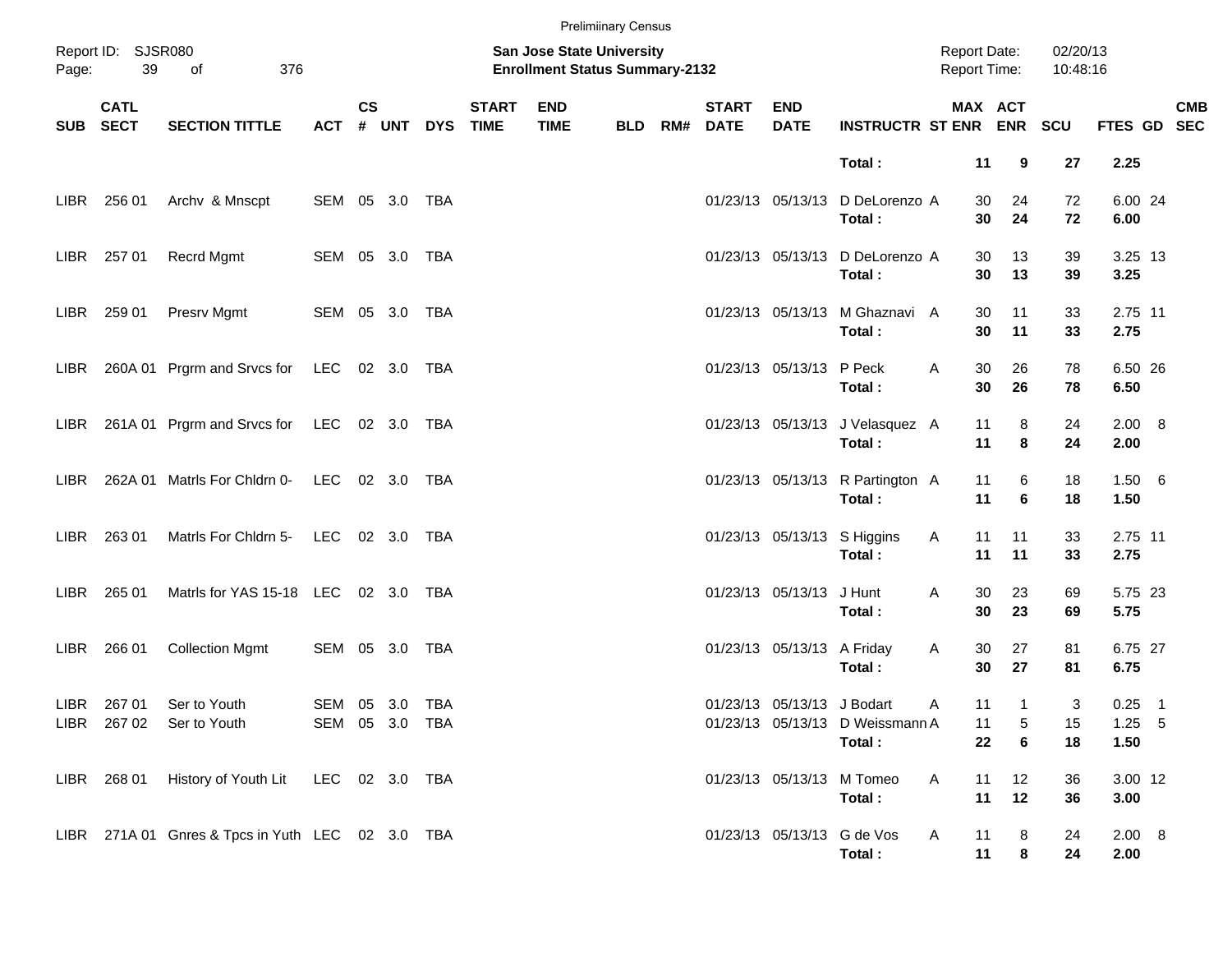|       |                                       |                                                  |                                  |                    |            |            |                             |                                                                    | <b>Prelimiinary Census</b> |     |                             |                            |                                            |                                            |                              |                      |                              |                           |
|-------|---------------------------------------|--------------------------------------------------|----------------------------------|--------------------|------------|------------|-----------------------------|--------------------------------------------------------------------|----------------------------|-----|-----------------------------|----------------------------|--------------------------------------------|--------------------------------------------|------------------------------|----------------------|------------------------------|---------------------------|
| Page: | Report ID: SJSR080<br>39<br>376<br>of |                                                  |                                  |                    |            |            |                             | San Jose State University<br><b>Enrollment Status Summary-2132</b> |                            |     |                             |                            |                                            | <b>Report Date:</b><br><b>Report Time:</b> |                              | 02/20/13<br>10:48:16 |                              |                           |
|       | <b>CATL</b><br>SUB SECT               | <b>SECTION TITTLE</b>                            | <b>ACT</b>                       | $\mathsf{cs}$<br># | <b>UNT</b> | <b>DYS</b> | <b>START</b><br><b>TIME</b> | <b>END</b><br><b>TIME</b>                                          | <b>BLD</b>                 | RM# | <b>START</b><br><b>DATE</b> | <b>END</b><br><b>DATE</b>  | <b>INSTRUCTR ST ENR ENR SCU</b>            |                                            | MAX ACT                      |                      |                              | <b>CMB</b><br>FTES GD SEC |
|       |                                       |                                                  |                                  |                    |            |            |                             |                                                                    |                            |     |                             |                            | Total:                                     | 11                                         | 9                            | 27                   | 2.25                         |                           |
|       | LIBR 256 01                           | Archv & Mnscpt                                   | SEM 05 3.0 TBA                   |                    |            |            |                             |                                                                    |                            |     |                             |                            | 01/23/13 05/13/13 D DeLorenzo A<br>Total:  | 30<br>30                                   | 24<br>24                     | 72<br>72             | 6.00 24<br>6.00              |                           |
|       | LIBR 257 01                           | Recrd Mgmt                                       | SEM 05 3.0 TBA                   |                    |            |            |                             |                                                                    |                            |     |                             |                            | 01/23/13 05/13/13 D DeLorenzo A<br>Total:  | 30<br>30                                   | 13<br>13                     | 39<br>39             | 3.25 13<br>3.25              |                           |
|       | LIBR 259 01                           | Presrv Mgmt                                      | SEM 05 3.0 TBA                   |                    |            |            |                             |                                                                    |                            |     |                             |                            | 01/23/13 05/13/13 M Ghaznavi A<br>Total:   | 30<br>30                                   | 11<br>11                     | 33<br>33             | 2.75 11<br>2.75              |                           |
| LIBR  |                                       | 260A 01 Prgrm and Srvcs for LEC 02 3.0 TBA       |                                  |                    |            |            |                             |                                                                    |                            |     |                             | 01/23/13 05/13/13 P Peck   | Total:                                     | 30<br>Α<br>30                              | 26<br>26                     | 78<br>78             | 6.50 26<br>6.50              |                           |
| LIBR  |                                       | 261A 01 Prgrm and Srvcs for LEC 02 3.0 TBA       |                                  |                    |            |            |                             |                                                                    |                            |     |                             |                            | 01/23/13 05/13/13 J Velasquez A<br>Total:  | 11<br>11                                   | 8<br>8                       | 24<br>24             | 2.00 8<br>2.00               |                           |
| LIBR. |                                       | 262A 01 Matrls For Chidrn 0-                     | LEC 02 3.0 TBA                   |                    |            |            |                             |                                                                    |                            |     |                             |                            | 01/23/13 05/13/13 R Partington A<br>Total: | 11<br>11                                   | 6<br>6                       | 18<br>18             | 1.50 6<br>1.50               |                           |
|       | LIBR 263 01                           | Matris For Chidrn 5-                             | LEC 02 3.0 TBA                   |                    |            |            |                             |                                                                    |                            |     |                             |                            | 01/23/13 05/13/13 S Higgins<br>Total:      | 11<br>Α<br>11                              | 11<br>11                     | 33<br>33             | 2.75 11<br>2.75              |                           |
| LIBR  | 265 01                                | Matris for YAS 15-18 LEC 02 3.0 TBA              |                                  |                    |            |            |                             |                                                                    |                            |     |                             | 01/23/13 05/13/13          | J Hunt<br>Total:                           | 30<br>Α<br>30                              | 23<br>23                     | 69<br>69             | 5.75 23<br>5.75              |                           |
| LIBR  | 266 01                                | <b>Collection Mgmt</b>                           | SEM 05 3.0 TBA                   |                    |            |            |                             |                                                                    |                            |     |                             | 01/23/13 05/13/13 A Friday | Total:                                     | Α<br>30<br>30                              | 27<br>27                     | 81<br>81             | 6.75 27<br>6.75              |                           |
|       | LIBR 267 01                           | Ser to Youth<br>LIBR 267 02 Ser to Youth         | SEM 05 3.0 TBA<br>SEM 05 3.0 TBA |                    |            |            |                             |                                                                    |                            |     |                             | 01/23/13 05/13/13 J Bodart | 01/23/13 05/13/13 D Weissmann A<br>Total:  | 11<br>Α<br>11                              | $\mathbf{1}$<br>5<br>22<br>6 | 3<br>15<br>18        | $0.25$ 1<br>$1.25$ 5<br>1.50 |                           |
|       |                                       | LIBR 268 01 History of Youth Lit LEC 02 3.0 TBA  |                                  |                    |            |            |                             |                                                                    |                            |     |                             |                            | 01/23/13 05/13/13 M Tomeo<br>Total:        | Α<br>11<br>11                              | 12<br>12                     | 36<br>36             | 3.00 12<br>3.00              |                           |
|       |                                       | LIBR 271A 01 Gnres & Tpcs in Yuth LEC 02 3.0 TBA |                                  |                    |            |            |                             |                                                                    |                            |     |                             |                            | 01/23/13 05/13/13 G de Vos<br>Total:       | 11<br>A<br>11                              | 8<br>8                       | 24<br>24             | 2.00 8<br>2.00               |                           |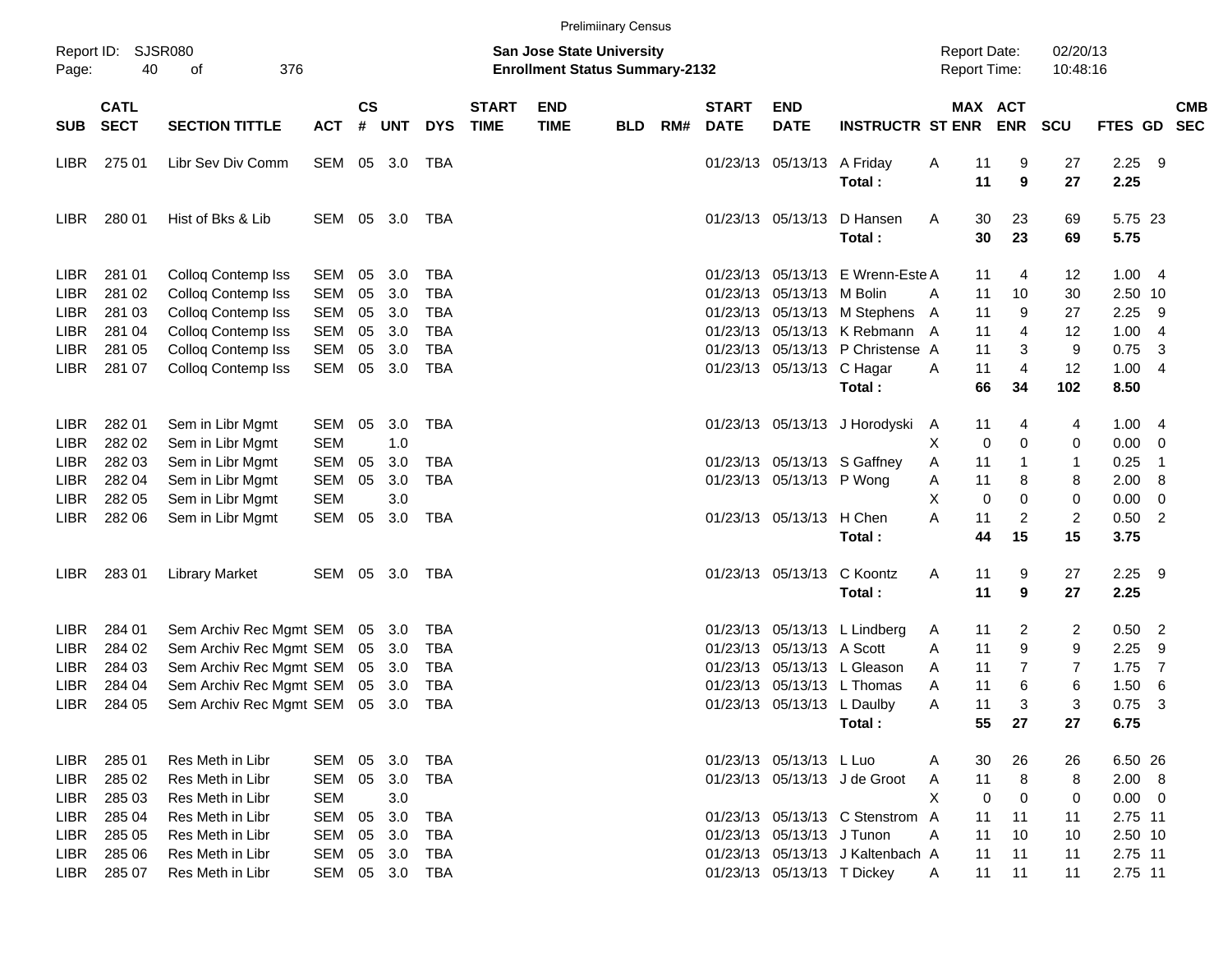|             |                            |                                |                |                    |            |            |                             |                                                                           | <b>Prelimiinary Census</b> |     |                             |                            |                                  |                                            |                       |                      |                 |                |                          |
|-------------|----------------------------|--------------------------------|----------------|--------------------|------------|------------|-----------------------------|---------------------------------------------------------------------------|----------------------------|-----|-----------------------------|----------------------------|----------------------------------|--------------------------------------------|-----------------------|----------------------|-----------------|----------------|--------------------------|
| Page:       | Report ID: SJSR080<br>40   | 376<br>of                      |                |                    |            |            |                             | <b>San Jose State University</b><br><b>Enrollment Status Summary-2132</b> |                            |     |                             |                            |                                  | <b>Report Date:</b><br><b>Report Time:</b> |                       | 02/20/13<br>10:48:16 |                 |                |                          |
| <b>SUB</b>  | <b>CATL</b><br><b>SECT</b> | <b>SECTION TITTLE</b>          | <b>ACT</b>     | $\mathsf{cs}$<br># | <b>UNT</b> | <b>DYS</b> | <b>START</b><br><b>TIME</b> | <b>END</b><br><b>TIME</b>                                                 | <b>BLD</b>                 | RM# | <b>START</b><br><b>DATE</b> | <b>END</b><br><b>DATE</b>  | <b>INSTRUCTR ST ENR</b>          |                                            | MAX ACT<br><b>ENR</b> | <b>SCU</b>           | <b>FTES GD</b>  |                | <b>CMB</b><br><b>SEC</b> |
| LIBR        | 275 01                     | Libr Sev Div Comm              | SEM 05 3.0     |                    |            | TBA        |                             |                                                                           |                            |     |                             | 01/23/13 05/13/13 A Friday |                                  | A<br>11                                    | 9                     | 27                   | 2.25            | -9             |                          |
|             |                            |                                |                |                    |            |            |                             |                                                                           |                            |     |                             |                            | Total:                           | 11                                         | 9                     | 27                   | 2.25            |                |                          |
| LIBR.       | 280 01                     | Hist of Bks & Lib              | SEM 05 3.0     |                    |            | TBA        |                             |                                                                           |                            |     |                             | 01/23/13 05/13/13          | D Hansen<br>Total:               | A                                          | 30<br>23<br>23<br>30  | 69<br>69             | 5.75 23<br>5.75 |                |                          |
|             |                            |                                |                |                    |            |            |                             |                                                                           |                            |     |                             |                            |                                  |                                            |                       |                      |                 |                |                          |
| <b>LIBR</b> | 281 01                     | Colloq Contemp Iss             | SEM            | 05                 | 3.0        | <b>TBA</b> |                             |                                                                           |                            |     | 01/23/13                    |                            | 05/13/13 E Wrenn-Este A          | 11                                         | 4                     | 12                   | 1.004           |                |                          |
| <b>LIBR</b> | 281 02                     | Colloq Contemp Iss             | <b>SEM</b>     | 05                 | 3.0        | <b>TBA</b> |                             |                                                                           |                            |     | 01/23/13                    | 05/13/13                   | M Bolin                          | 11<br>A                                    | 10                    | 30                   | 2.50 10         |                |                          |
| <b>LIBR</b> | 281 03                     | Colloq Contemp Iss             | SEM            | 05                 | 3.0        | <b>TBA</b> |                             |                                                                           |                            |     |                             | 01/23/13 05/13/13          | M Stephens                       | 11<br>A                                    | 9                     | 27                   | 2.25            | -9             |                          |
| <b>LIBR</b> | 281 04                     | Colloq Contemp Iss             | <b>SEM</b>     | 05                 | 3.0        | <b>TBA</b> |                             |                                                                           |                            |     | 01/23/13                    |                            | 05/13/13 K Rebmann A             | 11                                         | 4                     | 12                   | 1.00            | -4             |                          |
| <b>LIBR</b> | 281 05                     | Colloq Contemp Iss             | <b>SEM</b>     | 05                 | 3.0        | <b>TBA</b> |                             |                                                                           |                            |     | 01/23/13                    |                            | 05/13/13 P Christense A          | 11                                         | 3                     | 9                    | 0.75            | 3              |                          |
| <b>LIBR</b> | 281 07                     | Colloq Contemp Iss             | SEM            | 05                 | 3.0        | TBA        |                             |                                                                           |                            |     |                             | 01/23/13 05/13/13 C Hagar  |                                  | 11<br>A                                    | 4                     | 12                   | 1.00            | -4             |                          |
|             |                            |                                |                |                    |            |            |                             |                                                                           |                            |     |                             |                            | Total:                           |                                            | 66<br>34              | 102                  | 8.50            |                |                          |
| <b>LIBR</b> | 282 01                     | Sem in Libr Mgmt               | SEM            | 05                 | 3.0        | TBA        |                             |                                                                           |                            |     |                             |                            | 01/23/13 05/13/13 J Horodyski    | 11<br>A                                    | 4                     | 4                    | 1.00            | $\overline{4}$ |                          |
| <b>LIBR</b> | 282 02                     | Sem in Libr Mgmt               | <b>SEM</b>     |                    | 1.0        |            |                             |                                                                           |                            |     |                             |                            |                                  | Х                                          | 0<br>0                | 0                    | 0.00            | 0              |                          |
| <b>LIBR</b> | 282 03                     | Sem in Libr Mgmt               | <b>SEM</b>     | 05                 | 3.0        | <b>TBA</b> |                             |                                                                           |                            |     |                             |                            | 01/23/13 05/13/13 S Gaffney      | 11<br>A                                    | 1                     | $\mathbf{1}$         | 0.25            | -1             |                          |
| <b>LIBR</b> | 282 04                     | Sem in Libr Mgmt               | SEM            | 05                 | 3.0        | TBA        |                             |                                                                           |                            |     |                             | 01/23/13 05/13/13 P Wong   |                                  | 11<br>Α                                    | 8                     | 8                    | 2.00            | 8              |                          |
| <b>LIBR</b> | 282 05                     | Sem in Libr Mgmt               | <b>SEM</b>     |                    | 3.0        |            |                             |                                                                           |                            |     |                             |                            |                                  | X                                          | 0<br>0                | 0                    | 0.00            | 0              |                          |
| LIBR        | 282 06                     | Sem in Libr Mgmt               | SEM            | 05                 | 3.0        | TBA        |                             |                                                                           |                            |     |                             | 01/23/13 05/13/13 H Chen   |                                  | 11<br>A                                    | 2                     | $\overline{c}$       | 0.50            | $\overline{2}$ |                          |
|             |                            |                                |                |                    |            |            |                             |                                                                           |                            |     |                             |                            | Total:                           | 44                                         | 15                    | 15                   | 3.75            |                |                          |
| LIBR.       | 28301                      | <b>Library Market</b>          | SEM 05 3.0     |                    |            | TBA        |                             |                                                                           |                            |     |                             | 01/23/13 05/13/13          | C Koontz                         | A<br>11                                    | 9                     | 27                   | $2.25$ 9        |                |                          |
|             |                            |                                |                |                    |            |            |                             |                                                                           |                            |     |                             |                            | Total:                           | 11                                         | 9                     | 27                   | 2.25            |                |                          |
| <b>LIBR</b> | 284 01                     | Sem Archiv Rec Mgmt SEM        |                | 05                 | 3.0        | TBA        |                             |                                                                           |                            |     | 01/23/13                    |                            | 05/13/13 L Lindberg              | 11<br>A                                    | 2                     | 2                    | 0.50            | $\overline{c}$ |                          |
| <b>LIBR</b> | 284 02                     | Sem Archiv Rec Mgmt SEM        |                | 05                 | 3.0        | TBA        |                             |                                                                           |                            |     | 01/23/13                    | 05/13/13 A Scott           |                                  | 11<br>A                                    | 9                     | 9                    | 2.25            | 9              |                          |
| <b>LIBR</b> | 284 03                     | Sem Archiv Rec Mgmt SEM        |                | 05                 | 3.0        | <b>TBA</b> |                             |                                                                           |                            |     | 01/23/13                    |                            | 05/13/13 L Gleason               | 11<br>A                                    | 7                     | 7                    | 1.75            | 7              |                          |
| <b>LIBR</b> | 284 04                     | Sem Archiv Rec Mgmt SEM        |                | 05                 | 3.0        | <b>TBA</b> |                             |                                                                           |                            |     | 01/23/13                    |                            | 05/13/13 L Thomas                | 11<br>A                                    | 6                     | 6                    | 1.50            | 6              |                          |
| LIBR        | 284 05                     | Sem Archiv Rec Mgmt SEM 05 3.0 |                |                    |            | TBA        |                             |                                                                           |                            |     |                             | 01/23/13 05/13/13 L Daulby |                                  | 11<br>A                                    | 3                     | 3                    | 0.75            | -3             |                          |
|             |                            |                                |                |                    |            |            |                             |                                                                           |                            |     |                             |                            | Total:                           |                                            | 55<br>27              | 27                   | 6.75            |                |                          |
| LIBR        | 285 01                     | Res Meth in Libr               | SEM            | 05                 | 3.0        | TBA        |                             |                                                                           |                            |     |                             | 01/23/13 05/13/13 L Luo    |                                  | A                                          | 26<br>30              | 26                   | 6.50 26         |                |                          |
| <b>LIBR</b> | 285 02                     | Res Meth in Libr               | SEM            | 05                 | 3.0        | <b>TBA</b> |                             |                                                                           |                            |     |                             |                            | 01/23/13 05/13/13 J de Groot     | 11<br>A                                    | 8                     | 8                    | 2.00 8          |                |                          |
| LIBR        | 285 03                     | Res Meth in Libr               | <b>SEM</b>     |                    | 3.0        |            |                             |                                                                           |                            |     |                             |                            |                                  | Χ                                          | 0<br>0                | 0                    | $0.00 \t 0$     |                |                          |
| LIBR        | 285 04                     | Res Meth in Libr               | SEM            | 05                 | 3.0        | <b>TBA</b> |                             |                                                                           |                            |     |                             |                            | 01/23/13 05/13/13 C Stenstrom A  | 11                                         | 11                    | 11                   | 2.75 11         |                |                          |
| LIBR        | 285 05                     | Res Meth in Libr               | SEM            | 05                 | 3.0        | TBA        |                             |                                                                           |                            |     |                             | 01/23/13 05/13/13 J Tunon  |                                  | 11<br>Α                                    | 10                    | 10                   | 2.50 10         |                |                          |
| LIBR        | 285 06                     | Res Meth in Libr               | SEM            | 05                 | 3.0        | TBA        |                             |                                                                           |                            |     |                             |                            | 01/23/13 05/13/13 J Kaltenbach A | 11                                         | 11                    | 11                   | 2.75 11         |                |                          |
| LIBR        | 285 07                     | Res Meth in Libr               | SEM 05 3.0 TBA |                    |            |            |                             |                                                                           |                            |     |                             | 01/23/13 05/13/13 T Dickey |                                  | 11<br>A                                    | 11                    | 11                   | 2.75 11         |                |                          |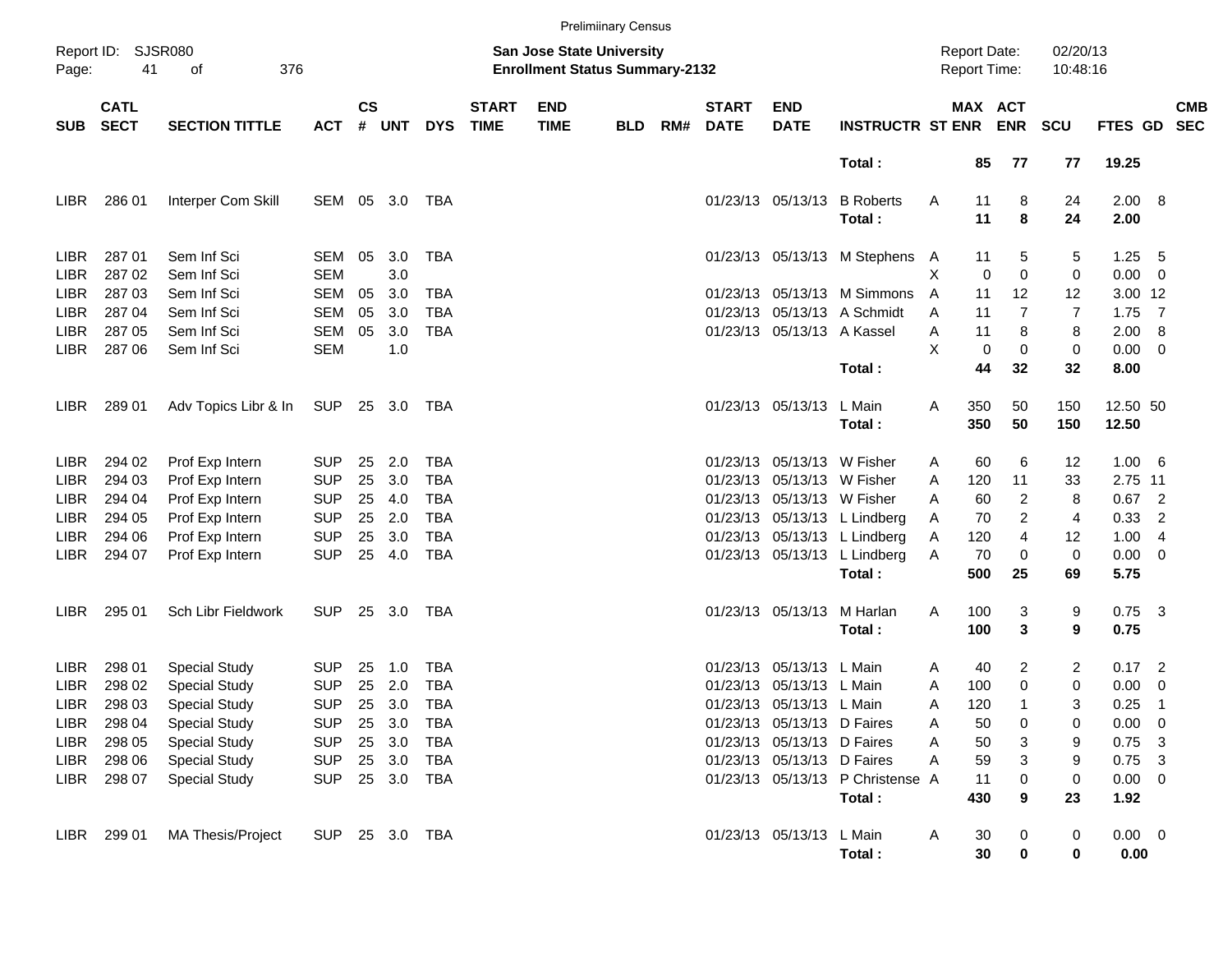|                            |                                                      |                                    |                          |                    |            |                          |                             |                                                                           | <b>Prelimiinary Census</b> |     |                             |                                                          |                                                            |        |                                            |                     |                      |                     |                                 |            |
|----------------------------|------------------------------------------------------|------------------------------------|--------------------------|--------------------|------------|--------------------------|-----------------------------|---------------------------------------------------------------------------|----------------------------|-----|-----------------------------|----------------------------------------------------------|------------------------------------------------------------|--------|--------------------------------------------|---------------------|----------------------|---------------------|---------------------------------|------------|
| Page:                      | Report ID: SJSR080<br>41<br>376<br>of<br><b>CATL</b> |                                    |                          |                    |            |                          |                             | <b>San Jose State University</b><br><b>Enrollment Status Summary-2132</b> |                            |     |                             |                                                          |                                                            |        | <b>Report Date:</b><br><b>Report Time:</b> |                     | 02/20/13<br>10:48:16 |                     |                                 |            |
| <b>SUB</b>                 | <b>SECT</b>                                          | <b>SECTION TITTLE</b>              | <b>ACT</b>               | $\mathsf{cs}$<br># | <b>UNT</b> | <b>DYS</b>               | <b>START</b><br><b>TIME</b> | <b>END</b><br><b>TIME</b>                                                 | <b>BLD</b>                 | RM# | <b>START</b><br><b>DATE</b> | <b>END</b><br><b>DATE</b>                                | <b>INSTRUCTR ST ENR</b>                                    |        | MAX ACT                                    | <b>ENR</b>          | <b>SCU</b>           | FTES GD SEC         |                                 | <b>CMB</b> |
|                            |                                                      |                                    |                          |                    |            |                          |                             |                                                                           |                            |     |                             |                                                          | Total:                                                     |        | 85                                         | 77                  | 77                   | 19.25               |                                 |            |
| LIBR                       | 286 01                                               | Interper Com Skill                 | SEM 05 3.0               |                    |            | TBA                      |                             |                                                                           |                            |     | 01/23/13 05/13/13           |                                                          | <b>B</b> Roberts<br>Total:                                 | A      | 11<br>11                                   | 8<br>8              | 24<br>24             | 2.00 8<br>2.00      |                                 |            |
| <b>LIBR</b><br><b>LIBR</b> | 287 01<br>287 02                                     | Sem Inf Sci<br>Sem Inf Sci         | SEM<br><b>SEM</b>        | 05                 | 3.0<br>3.0 | <b>TBA</b>               |                             |                                                                           |                            |     |                             |                                                          | 01/23/13 05/13/13 M Stephens A                             | X      | 11<br>0                                    | 5<br>0              | 5<br>$\pmb{0}$       | 1.25<br>0.00        | - 5<br>$\overline{\phantom{0}}$ |            |
| <b>LIBR</b><br><b>LIBR</b> | 287 03<br>287 04                                     | Sem Inf Sci<br>Sem Inf Sci         | <b>SEM</b><br><b>SEM</b> | 05<br>05           | 3.0<br>3.0 | <b>TBA</b><br><b>TBA</b> |                             |                                                                           |                            |     |                             |                                                          | 01/23/13 05/13/13 M Simmons<br>01/23/13 05/13/13 A Schmidt | A<br>A | 11<br>11                                   | 12<br>7             | 12<br>$\overline{7}$ | 3.00 12<br>$1.75$ 7 |                                 |            |
| <b>LIBR</b><br>LIBR        | 287 05<br>287 06                                     | Sem Inf Sci<br>Sem Inf Sci         | <b>SEM</b><br><b>SEM</b> | 05                 | 3.0<br>1.0 | <b>TBA</b>               |                             |                                                                           |                            |     |                             | 01/23/13 05/13/13 A Kassel                               |                                                            | Α<br>X | 11<br>0                                    | 8<br>0              | 8<br>$\pmb{0}$       | 2.00<br>$0.00 \t 0$ | $_{\rm 8}$                      |            |
|                            |                                                      |                                    |                          |                    |            |                          |                             |                                                                           |                            |     |                             |                                                          | Total:                                                     |        | 44                                         | 32                  | 32                   | 8.00                |                                 |            |
| <b>LIBR</b>                | 289 01                                               | Adv Topics Libr & In               | SUP                      |                    | 25 3.0     | TBA                      |                             |                                                                           |                            |     |                             | 01/23/13 05/13/13                                        | L Main<br>Total:                                           | A      | 350<br>350                                 | 50<br>50            | 150<br>150           | 12.50 50<br>12.50   |                                 |            |
| <b>LIBR</b>                | 294 02                                               | Prof Exp Intern                    | <b>SUP</b>               | 25                 | 2.0        | <b>TBA</b>               |                             |                                                                           |                            |     |                             | 01/23/13 05/13/13 W Fisher                               |                                                            | A      | 60                                         | 6                   | 12                   | 1.00 6              |                                 |            |
| <b>LIBR</b><br><b>LIBR</b> | 294 03<br>294 04                                     | Prof Exp Intern                    | <b>SUP</b><br><b>SUP</b> | 25<br>25           | 3.0<br>4.0 | <b>TBA</b><br><b>TBA</b> |                             |                                                                           |                            |     |                             | 01/23/13 05/13/13 W Fisher<br>01/23/13 05/13/13 W Fisher |                                                            | A<br>A | 120<br>60                                  | 11                  | 33<br>8              | 2.75 11<br>$0.67$ 2 |                                 |            |
| <b>LIBR</b>                | 294 05                                               | Prof Exp Intern<br>Prof Exp Intern | <b>SUP</b>               | 25                 | 2.0        | <b>TBA</b>               |                             |                                                                           |                            |     |                             |                                                          | 01/23/13 05/13/13 L Lindberg                               | A      | 70                                         | $\overline{2}$<br>2 | $\overline{4}$       | 0.33                | $\overline{2}$                  |            |
| <b>LIBR</b>                | 294 06                                               | Prof Exp Intern                    | <b>SUP</b>               | 25                 | 3.0        | <b>TBA</b>               |                             |                                                                           |                            |     |                             |                                                          | 01/23/13 05/13/13 L Lindberg                               | Α      | 120                                        | 4                   | 12                   | 1.00                | $\overline{4}$                  |            |
| LIBR                       | 294 07                                               | Prof Exp Intern                    | <b>SUP</b>               |                    | 25 4.0     | <b>TBA</b>               |                             |                                                                           |                            |     |                             |                                                          | 01/23/13 05/13/13 L Lindberg<br>Total:                     | Α      | 70<br>500                                  | 0<br>25             | $\mathbf 0$<br>69    | $0.00 \t 0$<br>5.75 |                                 |            |
| <b>LIBR</b>                | 295 01                                               | Sch Libr Fieldwork                 | <b>SUP</b>               |                    | 25 3.0     | TBA                      |                             |                                                                           |                            |     |                             | 01/23/13 05/13/13                                        | M Harlan                                                   | Α      | 100                                        | 3                   | 9                    | $0.75$ 3            |                                 |            |
|                            |                                                      |                                    |                          |                    |            |                          |                             |                                                                           |                            |     |                             |                                                          | Total:                                                     |        | 100                                        | 3                   | 9                    | 0.75                |                                 |            |
| <b>LIBR</b>                | 298 01                                               | <b>Special Study</b>               | <b>SUP</b>               | 25                 | 1.0        | <b>TBA</b>               |                             |                                                                           |                            |     | 01/23/13                    | 05/13/13 L Main                                          |                                                            | A      | 40                                         | 2                   | 2                    | $0.17$ 2            |                                 |            |
| LIBR.                      | 298 02                                               | <b>Special Study</b>               | <b>SUP</b>               | 25                 | 2.0        | <b>TBA</b>               |                             |                                                                           |                            |     | 01/23/13                    | 05/13/13 L Main                                          |                                                            | A      | 100                                        | 0                   | 0                    | 0.00                | $\overline{\mathbf{0}}$         |            |
| LIBR                       | 298 03                                               | <b>Special Study</b>               | <b>SUP</b>               |                    | 25 3.0     | TBA                      |                             |                                                                           |                            |     |                             | 01/23/13 05/13/13 L Main                                 |                                                            | A      | 120                                        | 1                   | 3                    | 0.25                | $\overline{1}$                  |            |
| LIBR                       | 298 04                                               | <b>Special Study</b>               | <b>SUP</b>               |                    | 25 3.0     | TBA                      |                             |                                                                           |                            |     |                             | 01/23/13 05/13/13 D Faires                               |                                                            | A      | 50                                         | 0                   | 0                    | $0.00 \t 0$         |                                 |            |
| LIBR                       | 298 05                                               | <b>Special Study</b>               | <b>SUP</b>               |                    | 25 3.0     | TBA                      |                             |                                                                           |                            |     |                             | 01/23/13 05/13/13 D Faires                               |                                                            | A      | 50                                         | 3                   | 9                    | $0.75$ 3            |                                 |            |
| LIBR                       | 298 06                                               | <b>Special Study</b>               | <b>SUP</b>               |                    | 25 3.0     | TBA                      |                             |                                                                           |                            |     |                             | 01/23/13 05/13/13 D Faires                               |                                                            | Α      | 59                                         | 3                   | 9                    | $0.75$ 3            |                                 |            |
| LIBR                       | 298 07                                               | <b>Special Study</b>               | <b>SUP</b>               |                    | 25 3.0     | TBA                      |                             |                                                                           |                            |     |                             |                                                          | 01/23/13 05/13/13 P Christense A<br>Total:                 |        | 11<br>430                                  | 0<br>9              | $\pmb{0}$<br>23      | $0.00 \t 0$<br>1.92 |                                 |            |
|                            | LIBR 299 01                                          | MA Thesis/Project                  | SUP 25 3.0 TBA           |                    |            |                          |                             |                                                                           |                            |     |                             | 01/23/13 05/13/13 L Main                                 | Total:                                                     | A      | 30<br>$30\,$                               | 0<br>0              | 0<br>0               | $0.00 \t 0$<br>0.00 |                                 |            |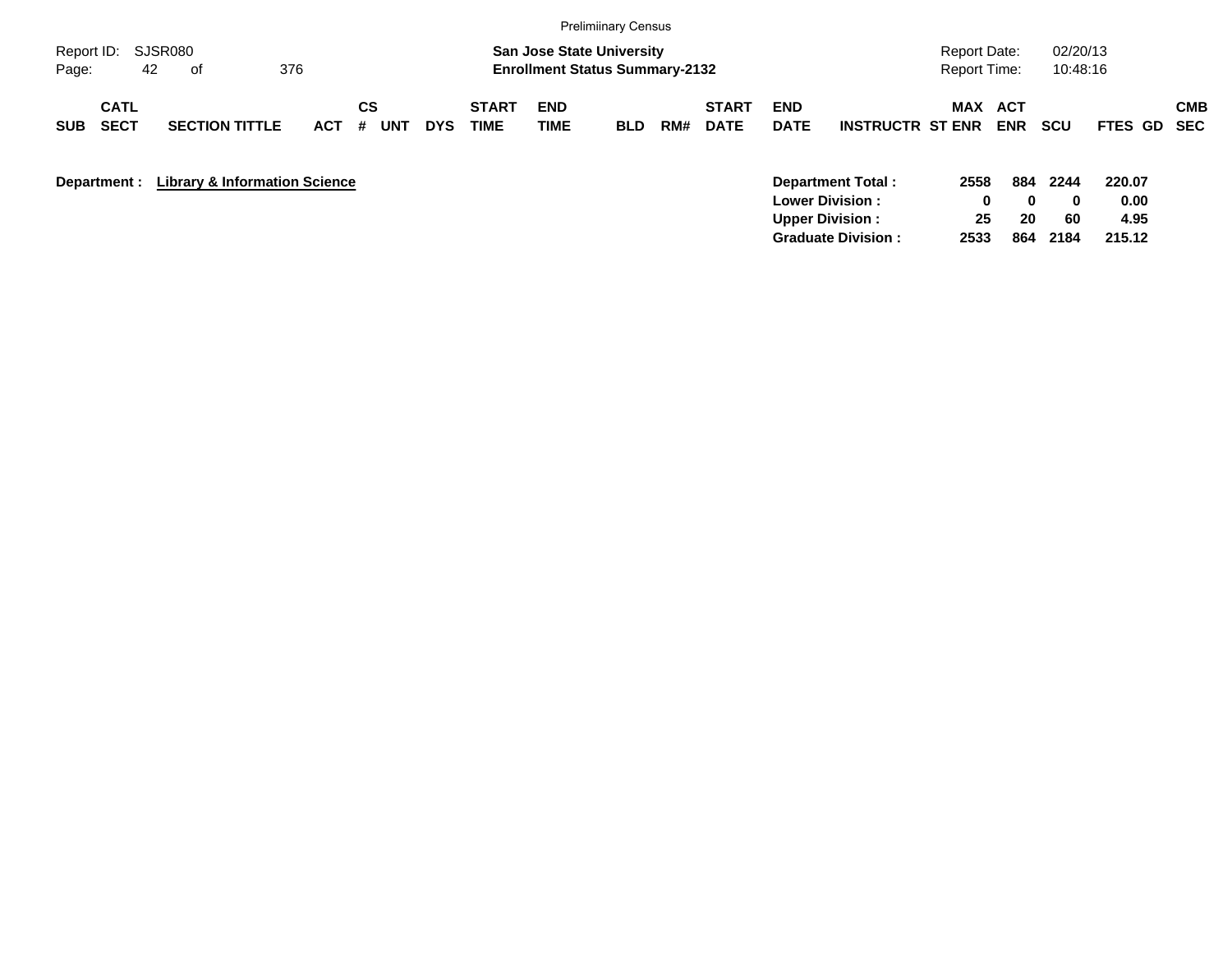|                                          |                                          |            |                              |            |                      |                                                                           | <b>Prelimiinary Census</b> |     |                             |                           |                                                                          |                                            |                                  |                         |                                  |                   |
|------------------------------------------|------------------------------------------|------------|------------------------------|------------|----------------------|---------------------------------------------------------------------------|----------------------------|-----|-----------------------------|---------------------------|--------------------------------------------------------------------------|--------------------------------------------|----------------------------------|-------------------------|----------------------------------|-------------------|
| Report ID:<br>42<br>Page:                | SJSR080<br>376<br>0f                     |            |                              |            |                      | <b>San Jose State University</b><br><b>Enrollment Status Summary-2132</b> |                            |     |                             |                           |                                                                          | <b>Report Date:</b><br><b>Report Time:</b> |                                  | 02/20/13<br>10:48:16    |                                  |                   |
| <b>CATL</b><br><b>SECT</b><br><b>SUB</b> | <b>SECTION TITTLE</b>                    | <b>ACT</b> | <b>CS</b><br>#<br><b>UNT</b> | <b>DYS</b> | <b>START</b><br>TIME | <b>END</b><br><b>TIME</b>                                                 | <b>BLD</b>                 | RM# | <b>START</b><br><b>DATE</b> | <b>END</b><br><b>DATE</b> | <b>INSTRUCTR ST ENR</b>                                                  | MAX                                        | ACT<br><b>ENR</b>                | <b>SCU</b>              | FTES GD                          | <b>CMB</b><br>SEC |
| Department :                             | <b>Library &amp; Information Science</b> |            |                              |            |                      |                                                                           |                            |     |                             | <b>Upper Division:</b>    | Department Total:<br><b>Lower Division:</b><br><b>Graduate Division:</b> | 2558<br>$\mathbf 0$<br>25<br>2533          | 884<br>$\mathbf{0}$<br>20<br>864 | 2244<br>0<br>60<br>2184 | 220.07<br>0.00<br>4.95<br>215.12 |                   |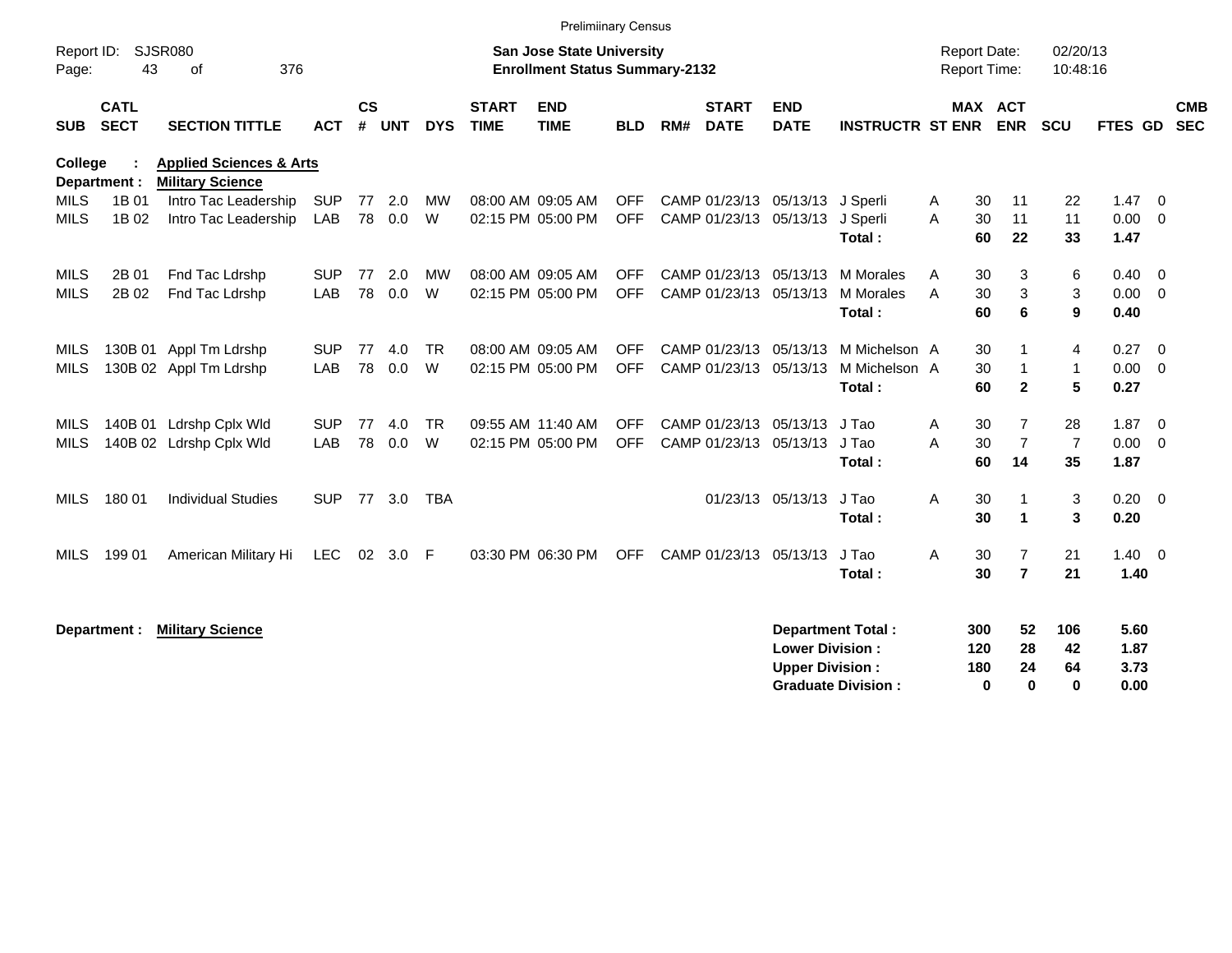|                            |                            |                                                               |                   |                             |            |                |                             | <b>Prelimiinary Census</b>                                                |                          |     |                                                  |                                                  |                                                       |                                            |                                               |                             |                              |                                  |  |
|----------------------------|----------------------------|---------------------------------------------------------------|-------------------|-----------------------------|------------|----------------|-----------------------------|---------------------------------------------------------------------------|--------------------------|-----|--------------------------------------------------|--------------------------------------------------|-------------------------------------------------------|--------------------------------------------|-----------------------------------------------|-----------------------------|------------------------------|----------------------------------|--|
| Report ID:<br>Page:        | 43                         | SJSR080<br>376<br>of                                          |                   |                             |            |                |                             | <b>San Jose State University</b><br><b>Enrollment Status Summary-2132</b> |                          |     |                                                  |                                                  |                                                       | <b>Report Date:</b><br><b>Report Time:</b> |                                               | 02/20/13<br>10:48:16        |                              |                                  |  |
| <b>SUB</b>                 | <b>CATL</b><br><b>SECT</b> | <b>SECTION TITTLE</b>                                         | <b>ACT</b>        | $\mathsf{cs}$<br>$\pmb{\#}$ | <b>UNT</b> | <b>DYS</b>     | <b>START</b><br><b>TIME</b> | <b>END</b><br><b>TIME</b>                                                 | <b>BLD</b>               | RM# | <b>START</b><br><b>DATE</b>                      | <b>END</b><br><b>DATE</b>                        | <b>INSTRUCTR ST ENR</b>                               |                                            | MAX ACT<br><b>ENR</b>                         | <b>SCU</b>                  | <b>FTES GD</b>               | <b>CMB</b><br><b>SEC</b>         |  |
| <b>College</b>             | Department :               | <b>Applied Sciences &amp; Arts</b><br><b>Military Science</b> |                   |                             |            |                |                             |                                                                           |                          |     |                                                  |                                                  |                                                       |                                            |                                               |                             |                              |                                  |  |
| <b>MILS</b><br><b>MILS</b> | 1B 01<br>1B 02             | Intro Tac Leadership<br>Intro Tac Leadership                  | <b>SUP</b><br>LAB | 77<br>78                    | 2.0<br>0.0 | <b>MW</b><br>W |                             | 08:00 AM 09:05 AM<br>02:15 PM 05:00 PM                                    | <b>OFF</b><br><b>OFF</b> |     | CAMP 01/23/13 05/13/13                           | CAMP 01/23/13 05/13/13 J Sperli                  | J Sperli<br>Total:                                    | A<br>A                                     | 11<br>30<br>30<br>11<br>60<br>22              | 22<br>11<br>33              | 1.47<br>0.00<br>1.47         | $\overline{0}$<br>$\overline{0}$ |  |
| <b>MILS</b><br><b>MILS</b> | 2B 01<br>2B 02             | Fnd Tac Ldrshp<br>Fnd Tac Ldrshp                              | <b>SUP</b><br>LAB | 77<br>78                    | 2.0<br>0.0 | <b>MW</b><br>W |                             | 08:00 AM 09:05 AM<br>02:15 PM 05:00 PM                                    | <b>OFF</b><br><b>OFF</b> |     | CAMP 01/23/13 05/13/13<br>CAMP 01/23/13 05/13/13 |                                                  | M Morales<br><b>M</b> Morales<br>Total:               | A<br>A                                     | 30<br>3<br>3<br>30<br>6<br>60                 | 6<br>3<br>9                 | 0.40<br>0.00<br>0.40         | $\overline{0}$<br>$\overline{0}$ |  |
| <b>MILS</b><br><b>MILS</b> |                            | 130B 01 Appl Tm Ldrshp<br>130B 02 Appl Tm Ldrshp              | <b>SUP</b><br>LAB | 77<br>78                    | 4.0<br>0.0 | <b>TR</b><br>W |                             | 08:00 AM 09:05 AM<br>02:15 PM 05:00 PM                                    | <b>OFF</b><br><b>OFF</b> |     | CAMP 01/23/13 05/13/13<br>CAMP 01/23/13 05/13/13 |                                                  | M Michelson A<br>M Michelson A<br>Total:              |                                            | 30<br>30<br>$\mathbf 1$<br>60<br>$\mathbf{2}$ | 4<br>$\mathbf{1}$<br>5      | 0.27<br>0.00<br>0.27         | $\overline{0}$<br>0              |  |
| <b>MILS</b><br><b>MILS</b> | 140B 01                    | Ldrshp Cplx Wld<br>140B 02 Ldrshp Cplx Wld                    | <b>SUP</b><br>LAB | 77<br>78                    | 4.0<br>0.0 | <b>TR</b><br>W |                             | 09:55 AM 11:40 AM<br>02:15 PM 05:00 PM                                    | <b>OFF</b><br><b>OFF</b> |     | CAMP 01/23/13<br>CAMP 01/23/13 05/13/13          | 05/13/13                                         | J Tao<br>J Tao<br>Total:                              | Α<br>А<br>60                               | 30<br>7<br>$\overline{7}$<br>30<br>14         | 28<br>$\overline{7}$<br>35  | 1.87<br>0.00<br>1.87         | $\overline{0}$<br>0              |  |
| <b>MILS</b>                | 180 01                     | <b>Individual Studies</b>                                     | <b>SUP</b>        | 77                          | 3.0        | <b>TBA</b>     |                             |                                                                           |                          |     |                                                  | 01/23/13 05/13/13                                | J Tao<br>Total:                                       | A                                          | 30<br>-1<br>30<br>$\blacktriangleleft$        | 3<br>3                      | 0.20<br>0.20                 | $\overline{0}$                   |  |
| MILS                       | 199 01                     | American Military Hi                                          | LEC.              |                             | 02 3.0     | -F             |                             | 03:30 PM 06:30 PM                                                         | <b>OFF</b>               |     | CAMP 01/23/13                                    | 05/13/13                                         | J Tao<br>Total:                                       | A                                          | 30<br>7<br>$\overline{7}$<br>30               | 21<br>21                    | 1.40<br>1.40                 | $\overline{0}$                   |  |
|                            | Department :               | <b>Military Science</b>                                       |                   |                             |            |                |                             |                                                                           |                          |     |                                                  | <b>Lower Division:</b><br><b>Upper Division:</b> | <b>Department Total:</b><br><b>Graduate Division:</b> | 300<br>120<br>180                          | 52<br>28<br>24<br>$\bf{0}$<br>$\mathbf 0$     | 106<br>42<br>64<br>$\bf{0}$ | 5.60<br>1.87<br>3.73<br>0.00 |                                  |  |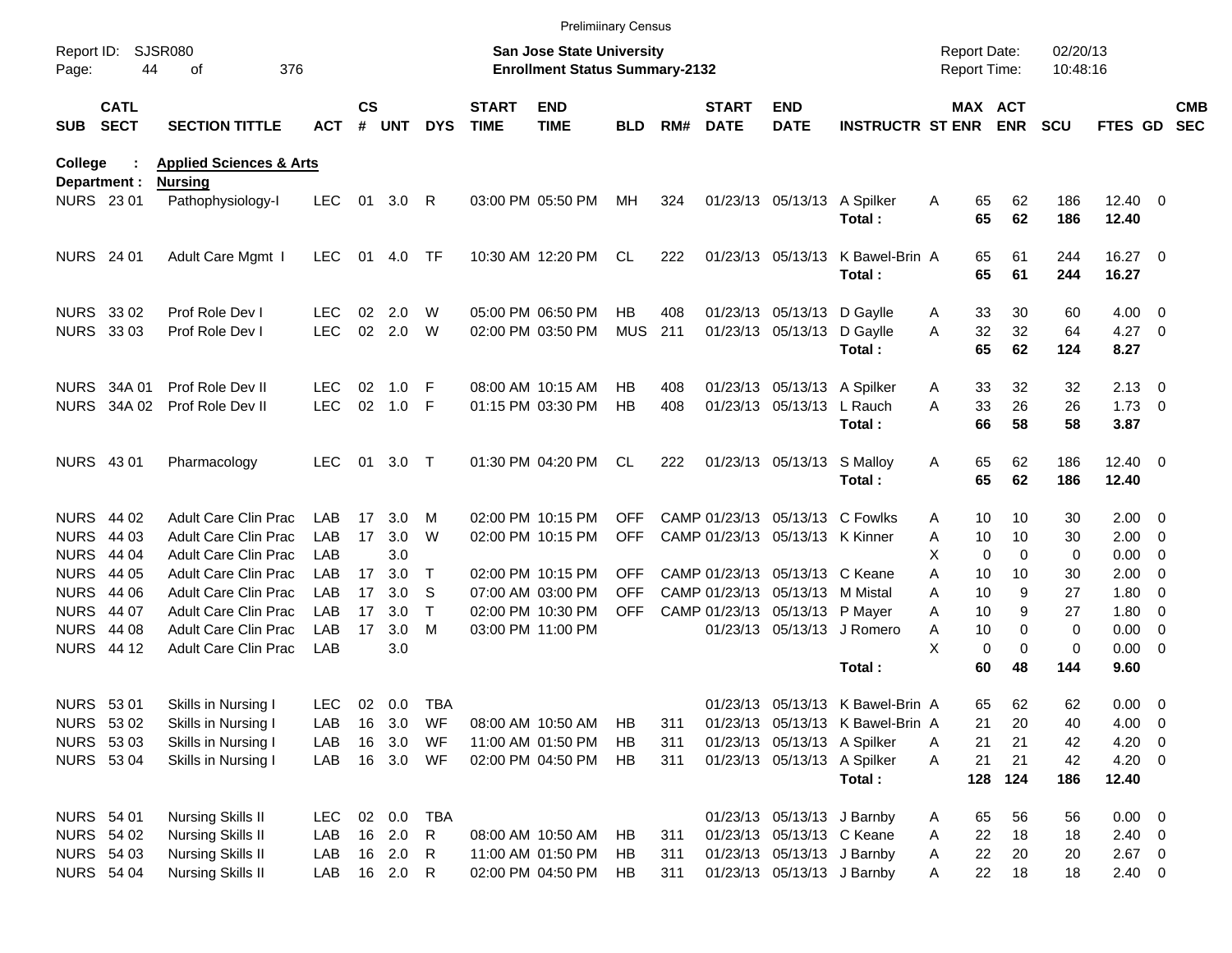|                     |                            |                                                      |            |               |                  |              |                             | <b>Prelimiinary Census</b>                                                |            |            |                             |                                                         |                                  |                                            |                  |                      |                        |                          |                          |
|---------------------|----------------------------|------------------------------------------------------|------------|---------------|------------------|--------------|-----------------------------|---------------------------------------------------------------------------|------------|------------|-----------------------------|---------------------------------------------------------|----------------------------------|--------------------------------------------|------------------|----------------------|------------------------|--------------------------|--------------------------|
| Report ID:<br>Page: | 44                         | <b>SJSR080</b><br>376<br>οf                          |            |               |                  |              |                             | <b>San Jose State University</b><br><b>Enrollment Status Summary-2132</b> |            |            |                             |                                                         |                                  | <b>Report Date:</b><br><b>Report Time:</b> |                  | 02/20/13<br>10:48:16 |                        |                          |                          |
| <b>SUB</b>          | <b>CATL</b><br><b>SECT</b> | <b>SECTION TITTLE</b>                                | <b>ACT</b> | $\mathsf{cs}$ | # UNT            | <b>DYS</b>   | <b>START</b><br><b>TIME</b> | <b>END</b><br><b>TIME</b>                                                 | <b>BLD</b> | RM#        | <b>START</b><br><b>DATE</b> | <b>END</b><br><b>DATE</b>                               | <b>INSTRUCTR ST ENR ENR</b>      |                                            | MAX ACT          | <b>SCU</b>           | FTES GD                |                          | <b>CMB</b><br><b>SEC</b> |
| <b>College</b>      |                            | <b>Applied Sciences &amp; Arts</b>                   |            |               |                  |              |                             |                                                                           |            |            |                             |                                                         |                                  |                                            |                  |                      |                        |                          |                          |
| <b>NURS 2301</b>    | Department :               | <b>Nursing</b><br>Pathophysiology-I                  | LEC.       | 01            | 3.0              | -R           |                             | 03:00 PM 05:50 PM                                                         | МH         | 324        |                             | 01/23/13 05/13/13                                       | A Spilker<br>Total:              | 65<br>A<br>65                              | 62<br>62         | 186<br>186           | $12.40 \t 0$<br>12.40  |                          |                          |
| <b>NURS</b> 24 01   |                            | Adult Care Mgmt I                                    | LEC.       | 01            | 4.0              | TF           |                             | 10:30 AM 12:20 PM                                                         | CL         | 222        |                             | 01/23/13 05/13/13                                       | K Bawel-Brin A<br>Total:         | 65<br>65                                   | 61<br>61         | 244<br>244           | 16.27 0<br>16.27       |                          |                          |
| NURS 33 02          |                            | Prof Role Dev I                                      | LEC        | 02            | 2.0              | W            |                             | 05:00 PM 06:50 PM                                                         | НB         | 408        |                             | 01/23/13 05/13/13                                       | D Gaylle                         | 33<br>A                                    | 30               | 60                   | $4.00 \ 0$             |                          |                          |
| <b>NURS 3303</b>    |                            | Prof Role Dev I                                      | <b>LEC</b> | 02            | 2.0              | W            |                             | 02:00 PM 03:50 PM                                                         | <b>MUS</b> | 211        |                             | 01/23/13 05/13/13                                       | D Gaylle<br>Total:               | 32<br>A<br>65                              | 32<br>62         | 64<br>124            | $4.27$ 0<br>8.27       |                          |                          |
|                     | NURS 34A 01                | Prof Role Dev II                                     | LEC.       | 02            | 1.0              | F            |                             | 08:00 AM 10:15 AM                                                         | НB         | 408        |                             | 01/23/13 05/13/13 A Spilker                             |                                  | 33<br>A                                    | 32               | 32                   | $2.13 \quad 0$         |                          |                          |
|                     | NURS 34A 02                | Prof Role Dev II                                     | <b>LEC</b> | 02            | 1.0              | F            |                             | 01:15 PM 03:30 PM                                                         | HB         | 408        |                             | 01/23/13 05/13/13                                       | L Rauch<br>Total:                | 33<br>Α<br>66                              | 26<br>58         | 26<br>58             | $1.73 \t 0$<br>3.87    |                          |                          |
|                     |                            |                                                      |            |               |                  |              |                             |                                                                           |            |            |                             |                                                         |                                  |                                            |                  |                      |                        |                          |                          |
| NURS 43 01          |                            | Pharmacology                                         | LEC.       | 01            | 3.0              | $\top$       |                             | 01:30 PM 04:20 PM                                                         | CL         | 222        |                             | 01/23/13 05/13/13 S Malloy                              | Total:                           | 65<br>A<br>65                              | 62<br>62         | 186<br>186           | $12.40 \t 0$<br>12.40  |                          |                          |
|                     | NURS 44 02                 | <b>Adult Care Clin Prac</b>                          | LAB.       | 17            | 3.0              | м            |                             | 02:00 PM 10:15 PM                                                         | <b>OFF</b> |            |                             | CAMP 01/23/13 05/13/13 C Fowlks                         |                                  | A                                          | 10<br>10         | 30                   | $2.00 \t 0$            |                          |                          |
| <b>NURS</b>         | 44 03                      | Adult Care Clin Prac                                 | <b>LAB</b> | 17            | 3.0              | W            |                             | 02:00 PM 10:15 PM                                                         | <b>OFF</b> |            |                             | CAMP 01/23/13 05/13/13 K Kinner                         |                                  | Α<br>10                                    | 10               | 30                   | $2.00 \t 0$            |                          |                          |
| <b>NURS</b>         | 44 04                      | <b>Adult Care Clin Prac</b>                          | LAB        |               | 3.0              |              |                             |                                                                           |            |            |                             |                                                         |                                  | X                                          | 0<br>0           | 0                    | $0.00 \t 0$            |                          |                          |
| <b>NURS</b>         | 44 05                      | <b>Adult Care Clin Prac</b>                          | LAB        | 17            | 3.0              | Т            |                             | 02:00 PM 10:15 PM                                                         | <b>OFF</b> |            |                             | CAMP 01/23/13 05/13/13 C Keane                          |                                  | 10<br>A                                    | 10               | 30                   | 2.00                   | $\overline{\phantom{0}}$ |                          |
| <b>NURS</b>         | 44 06                      | Adult Care Clin Prac                                 | LAB        | 17            | 3.0              | S            |                             | 07:00 AM 03:00 PM                                                         | <b>OFF</b> |            |                             | CAMP 01/23/13 05/13/13                                  | M Mistal                         | A<br>10                                    | 9                | 27                   | 1.80                   | $\overline{\phantom{0}}$ |                          |
| <b>NURS</b>         | 44 07                      | <b>Adult Care Clin Prac</b>                          | <b>LAB</b> | 17            | 3.0              | т            |                             | 02:00 PM 10:30 PM                                                         | <b>OFF</b> |            |                             | CAMP 01/23/13 05/13/13 P Mayer                          |                                  | Α<br>10                                    |                  | 9<br>27              | 1.80                   | $\overline{\phantom{0}}$ |                          |
|                     | <b>NURS 44 08</b>          | <b>Adult Care Clin Prac</b>                          | <b>LAB</b> | 17            | 3.0              | M            |                             | 03:00 PM 11:00 PM                                                         |            |            |                             |                                                         | 01/23/13 05/13/13 J Romero       | A<br>10                                    |                  | $\mathbf 0$<br>0     | 0.00                   | $\overline{\phantom{0}}$ |                          |
|                     | <b>NURS 44 12</b>          | Adult Care Clin Prac                                 | LAB        |               | 3.0              |              |                             |                                                                           |            |            |                             |                                                         |                                  | X                                          | 0<br>$\mathbf 0$ | 0                    | $0.00 \t 0$            |                          |                          |
|                     |                            |                                                      |            |               |                  |              |                             |                                                                           |            |            |                             |                                                         | Total:                           | 60                                         | 48               | 144                  | 9.60                   |                          |                          |
| NURS 53 01          |                            | Skills in Nursing I                                  | LEC.       |               | 02 0.0           | TBA          |                             |                                                                           |            |            |                             |                                                         | 01/23/13 05/13/13 K Bawel-Brin A |                                            | 62<br>65         | 62                   | $0.00 \t 0$            |                          |                          |
| NURS 53 02          |                            | Skills in Nursing I                                  | LAB        |               | 16 3.0           | WF           |                             | 08:00 AM 10:50 AM                                                         | HB         | 311        |                             |                                                         | 01/23/13 05/13/13 K Bawel-Brin A | 21                                         | 20               | 40                   | 4.00 0                 |                          |                          |
| NURS 53 03          |                            | Skills in Nursing I                                  | LAB        | 16            | 3.0              | WF           |                             | 11:00 AM 01:50 PM                                                         | HB         | 311        |                             | 01/23/13 05/13/13 A Spilker                             |                                  | 21<br>Α                                    | 21               | 42                   | $4.20 \ 0$             |                          |                          |
|                     | <b>NURS 5304</b>           | Skills in Nursing I                                  | LAB        |               | 16 3.0 WF        |              |                             | 02:00 PM 04:50 PM                                                         | HB         | 311        |                             | 01/23/13 05/13/13 A Spilker                             | Total:                           | 21<br>Α                                    | 21<br>128 124    | 42<br>186            | $4.20 \ 0$<br>12.40    |                          |                          |
|                     |                            |                                                      |            |               |                  |              |                             |                                                                           |            |            |                             |                                                         |                                  |                                            |                  |                      |                        |                          |                          |
| <b>NURS 54 01</b>   |                            | <b>Nursing Skills II</b>                             | LEC.       |               | 02 0.0           | TBA          |                             |                                                                           |            |            |                             | 01/23/13 05/13/13 J Barnby                              |                                  | 65<br>A                                    | 56               | 56                   | $0.00 \t 0$            |                          |                          |
| <b>NURS 54 02</b>   | <b>NURS 54 03</b>          | <b>Nursing Skills II</b><br><b>Nursing Skills II</b> | LAB        |               | 16 2.0<br>16 2.0 | $\mathsf{R}$ |                             | 08:00 AM 10:50 AM<br>11:00 AM 01:50 PM                                    | HB<br>HB   | 311        |                             | 01/23/13 05/13/13 C Keane<br>01/23/13 05/13/13 J Barnby |                                  | 22<br>Α                                    | 18<br>22<br>20   | 18                   | $2.40 \ 0$<br>$2.67$ 0 |                          |                          |
| <b>NURS 54 04</b>   |                            | Nursing Skills II                                    | LAB<br>LAB |               | 16 2.0 R         | R            |                             | 02:00 PM 04:50 PM                                                         | HB         | 311<br>311 |                             | 01/23/13 05/13/13 J Barnby                              |                                  | A<br>22<br>A                               | 18               | 20<br>18             | $2.40 \ 0$             |                          |                          |
|                     |                            |                                                      |            |               |                  |              |                             |                                                                           |            |            |                             |                                                         |                                  |                                            |                  |                      |                        |                          |                          |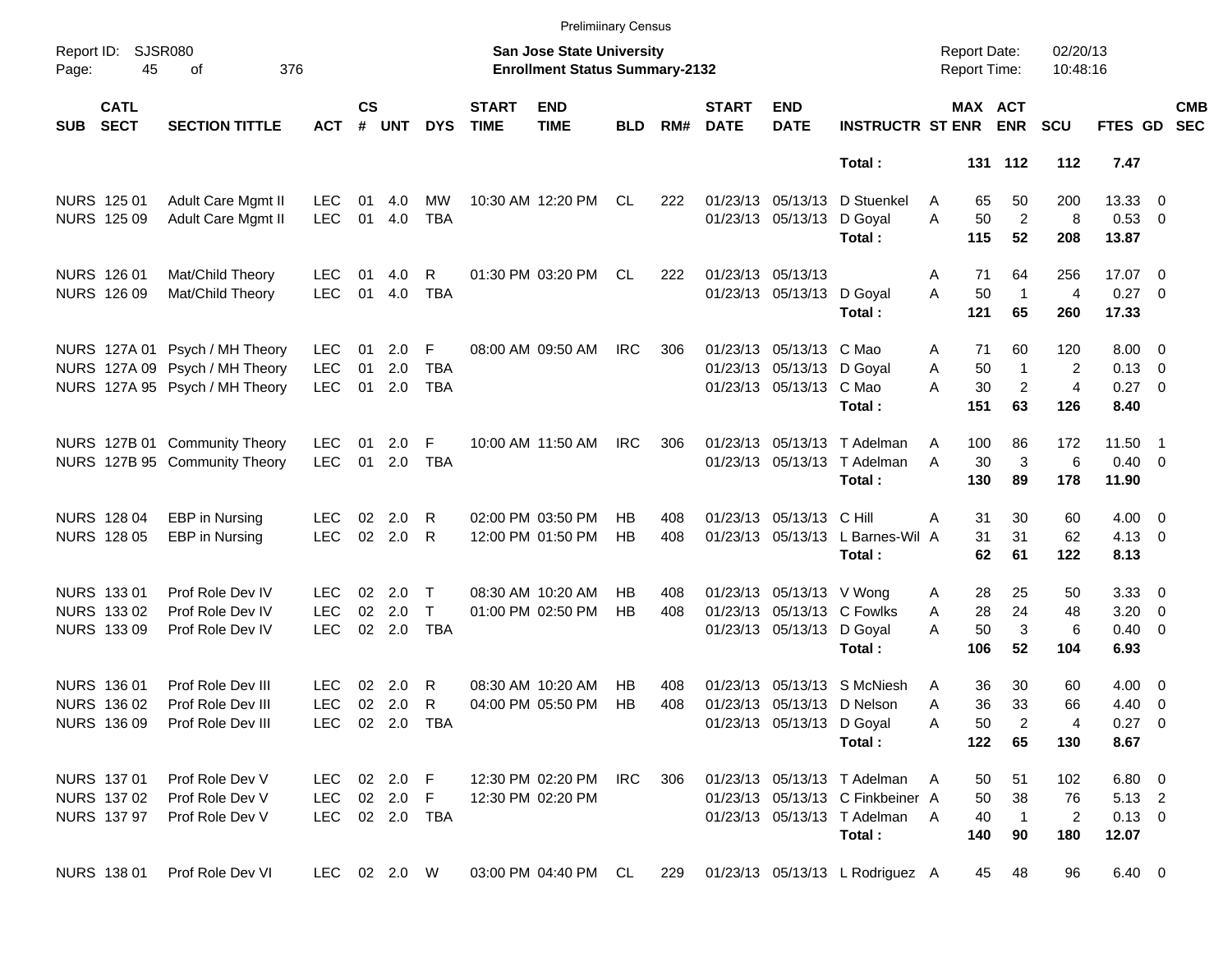|                     |                            |                                |                |                    |            |                |                             | <b>Prelimiinary Census</b>                                                |            |     |                             |                            |                                     |                                     |     |                |                      |                |                          |                          |
|---------------------|----------------------------|--------------------------------|----------------|--------------------|------------|----------------|-----------------------------|---------------------------------------------------------------------------|------------|-----|-----------------------------|----------------------------|-------------------------------------|-------------------------------------|-----|----------------|----------------------|----------------|--------------------------|--------------------------|
| Report ID:<br>Page: | 45                         | <b>SJSR080</b><br>376<br>οf    |                |                    |            |                |                             | <b>San Jose State University</b><br><b>Enrollment Status Summary-2132</b> |            |     |                             |                            |                                     | <b>Report Date:</b><br>Report Time: |     |                | 02/20/13<br>10:48:16 |                |                          |                          |
| <b>SUB</b>          | <b>CATL</b><br><b>SECT</b> | <b>SECTION TITTLE</b>          | <b>ACT</b>     | $\mathsf{cs}$<br># | <b>UNT</b> | <b>DYS</b>     | <b>START</b><br><b>TIME</b> | <b>END</b><br><b>TIME</b>                                                 | <b>BLD</b> | RM# | <b>START</b><br><b>DATE</b> | <b>END</b><br><b>DATE</b>  | <b>INSTRUCTR ST ENR ENR</b>         |                                     |     | MAX ACT        | <b>SCU</b>           | FTES GD        |                          | <b>CMB</b><br><b>SEC</b> |
|                     |                            |                                |                |                    |            |                |                             |                                                                           |            |     |                             |                            | Total:                              |                                     |     | 131 112        | 112                  | 7.47           |                          |                          |
|                     | NURS 125 01                | Adult Care Mgmt II             | <b>LEC</b>     | 01                 | 4.0        | MW             |                             | 10:30 AM 12:20 PM                                                         | CL         | 222 |                             | 01/23/13 05/13/13          | D Stuenkel                          | A                                   | 65  | 50             | 200                  | 13.33 0        |                          |                          |
|                     | <b>NURS 125 09</b>         | Adult Care Mgmt II             | <b>LEC</b>     | 01                 | 4.0        | <b>TBA</b>     |                             |                                                                           |            |     |                             | 01/23/13 05/13/13          | D Goyal                             | A                                   | 50  | $\overline{2}$ | 8                    | 0.53 0         |                          |                          |
|                     |                            |                                |                |                    |            |                |                             |                                                                           |            |     |                             |                            | Total:                              |                                     | 115 | 52             | 208                  | 13.87          |                          |                          |
|                     | NURS 126 01                | Mat/Child Theory               | <b>LEC</b>     | 01                 | 4.0        | R              |                             | 01:30 PM 03:20 PM                                                         | CL         | 222 |                             | 01/23/13 05/13/13          |                                     | A                                   | 71  | 64             | 256                  | 17.07 0        |                          |                          |
|                     | NURS 126 09                | Mat/Child Theory               | <b>LEC</b>     | 01                 | 4.0        | <b>TBA</b>     |                             |                                                                           |            |     |                             | 01/23/13 05/13/13 D Goyal  |                                     | A                                   | 50  | $\overline{1}$ | $\overline{4}$       | 0.27 0         |                          |                          |
|                     |                            |                                |                |                    |            |                |                             |                                                                           |            |     |                             |                            | Total:                              |                                     | 121 | 65             | 260                  | 17.33          |                          |                          |
|                     |                            | NURS 127A 01 Psych / MH Theory | <b>LEC</b>     | 01                 | 2.0        | F              |                             | 08:00 AM 09:50 AM                                                         | <b>IRC</b> | 306 |                             | 01/23/13 05/13/13 C Mao    |                                     | A                                   | 71  | 60             | 120                  | $8.00 \t 0$    |                          |                          |
|                     |                            | NURS 127A 09 Psych / MH Theory | <b>LEC</b>     | 01                 | 2.0        | <b>TBA</b>     |                             |                                                                           |            |     |                             | 01/23/13 05/13/13 D Goyal  |                                     | Α                                   | 50  | $\mathbf{1}$   | $\overline{2}$       | $0.13 \quad 0$ |                          |                          |
|                     |                            | NURS 127A 95 Psych / MH Theory | <b>LEC</b>     | 01                 | 2.0        | <b>TBA</b>     |                             |                                                                           |            |     |                             | 01/23/13 05/13/13 C Mao    |                                     | A                                   | 30  | $\overline{c}$ | 4                    | $0.27 \t 0$    |                          |                          |
|                     |                            |                                |                |                    |            |                |                             |                                                                           |            |     |                             |                            | Total:                              |                                     | 151 | 63             | 126                  | 8.40           |                          |                          |
|                     |                            | NURS 127B 01 Community Theory  | LEC.           | 01                 | 2.0        | F              |                             | 10:00 AM 11:50 AM                                                         | <b>IRC</b> | 306 |                             |                            | 01/23/13 05/13/13 T Adelman         | A                                   | 100 | 86             | 172                  | 11.50 1        |                          |                          |
|                     |                            | NURS 127B 95 Community Theory  | <b>LEC</b>     | 01                 | 2.0        | <b>TBA</b>     |                             |                                                                           |            |     |                             |                            | 01/23/13 05/13/13 T Adelman         | A                                   | 30  | 3              | 6                    | $0.40 \quad 0$ |                          |                          |
|                     |                            |                                |                |                    |            |                |                             |                                                                           |            |     |                             |                            | Total:                              |                                     | 130 | 89             | 178                  | 11.90          |                          |                          |
|                     | NURS 128 04                | <b>EBP</b> in Nursing          | <b>LEC</b>     | 02                 | 2.0        | R              |                             | 02:00 PM 03:50 PM                                                         | HВ         | 408 |                             | 01/23/13 05/13/13 C Hill   |                                     | A                                   | 31  | 30             | 60                   | $4.00 \ 0$     |                          |                          |
|                     | <b>NURS 128 05</b>         | EBP in Nursing                 | <b>LEC</b>     |                    | 02 2.0     | R              |                             | 12:00 PM 01:50 PM                                                         | <b>HB</b>  | 408 |                             |                            | 01/23/13 05/13/13 L Barnes-Wil A    |                                     | 31  | 31             | 62                   | $4.13 \quad 0$ |                          |                          |
|                     |                            |                                |                |                    |            |                |                             |                                                                           |            |     |                             |                            | Total:                              |                                     | 62  | 61             | 122                  | 8.13           |                          |                          |
|                     | <b>NURS 13301</b>          | Prof Role Dev IV               | LEC.           | 02                 | 2.0        | $\mathsf{T}$   |                             | 08:30 AM 10:20 AM                                                         | НB         | 408 |                             | 01/23/13 05/13/13 V Wong   |                                     | A                                   | 28  | 25             | 50                   | 3.3300         |                          |                          |
|                     | NURS 133 02                | Prof Role Dev IV               | <b>LEC</b>     | 02                 | 2.0        | T              |                             | 01:00 PM 02:50 PM                                                         | HB         | 408 |                             | 01/23/13 05/13/13 C Fowlks |                                     | A                                   | 28  | 24             | 48                   | $3.20 \ 0$     |                          |                          |
|                     | NURS 133 09                | Prof Role Dev IV               | <b>LEC</b>     |                    | 02 2.0     | <b>TBA</b>     |                             |                                                                           |            |     |                             | 01/23/13 05/13/13 D Goyal  |                                     | A                                   | 50  | 3              | 6                    | $0.40 \quad 0$ |                          |                          |
|                     |                            |                                |                |                    |            |                |                             |                                                                           |            |     |                             |                            | Total:                              |                                     | 106 | 52             | 104                  | 6.93           |                          |                          |
|                     | NURS 136 01                | Prof Role Dev III              | LEC            | 02                 | 2.0        | R              |                             | 08:30 AM 10:20 AM                                                         | HВ         | 408 |                             |                            | 01/23/13 05/13/13 S McNiesh         | A                                   | 36  | 30             | 60                   | $4.00 \ 0$     |                          |                          |
|                     | NURS 136 02                | Prof Role Dev III              | <b>LEC</b>     |                    | $02$ 2.0   | R              |                             | 04:00 PM 05:50 PM                                                         | HB         | 408 |                             | 01/23/13 05/13/13 D Nelson |                                     | Α                                   | 36  | 33             | 66                   | 4.40           | $\overline{\phantom{0}}$ |                          |
|                     | NURS 136 09                | Prof Role Dev III              |                |                    |            | LEC 02 2.0 TBA |                             |                                                                           |            |     |                             | 01/23/13 05/13/13 D Goyal  |                                     | Α                                   | 50  | 2              | 4                    | $0.27 \t 0$    |                          |                          |
|                     |                            |                                |                |                    |            |                |                             |                                                                           |            |     |                             |                            | Total:                              |                                     | 122 | 65             | 130                  | 8.67           |                          |                          |
|                     | NURS 137 01                | Prof Role Dev V                | LEC 02 2.0 F   |                    |            |                |                             | 12:30 PM 02:20 PM IRC 306                                                 |            |     |                             |                            | 01/23/13 05/13/13 T Adelman         | A                                   | 50  | 51             | 102                  | $6.80$ 0       |                          |                          |
|                     | NURS 137 02                | Prof Role Dev V                | LEC 02 2.0 F   |                    |            |                |                             | 12:30 PM 02:20 PM                                                         |            |     |                             |                            | 01/23/13 05/13/13 C Finkbeiner A    |                                     | 50  | 38             | 76                   | 5.13 2         |                          |                          |
|                     | NURS 137 97                | Prof Role Dev V                | LEC 02 2.0 TBA |                    |            |                |                             |                                                                           |            |     |                             |                            | 01/23/13 05/13/13 T Adelman         | A                                   | 40  | $\overline{1}$ | $\overline{c}$       | $0.13 \ 0$     |                          |                          |
|                     |                            |                                |                |                    |            |                |                             |                                                                           |            |     |                             |                            | Total:                              |                                     | 140 | 90             | 180                  | 12.07          |                          |                          |
|                     | NURS 138 01                | Prof Role Dev VI               | LEC 02 2.0 W   |                    |            |                |                             | 03:00 PM 04:40 PM CL                                                      |            |     |                             |                            | 229 01/23/13 05/13/13 L Rodriguez A |                                     | 45  | 48             | 96                   | $6.40\quad 0$  |                          |                          |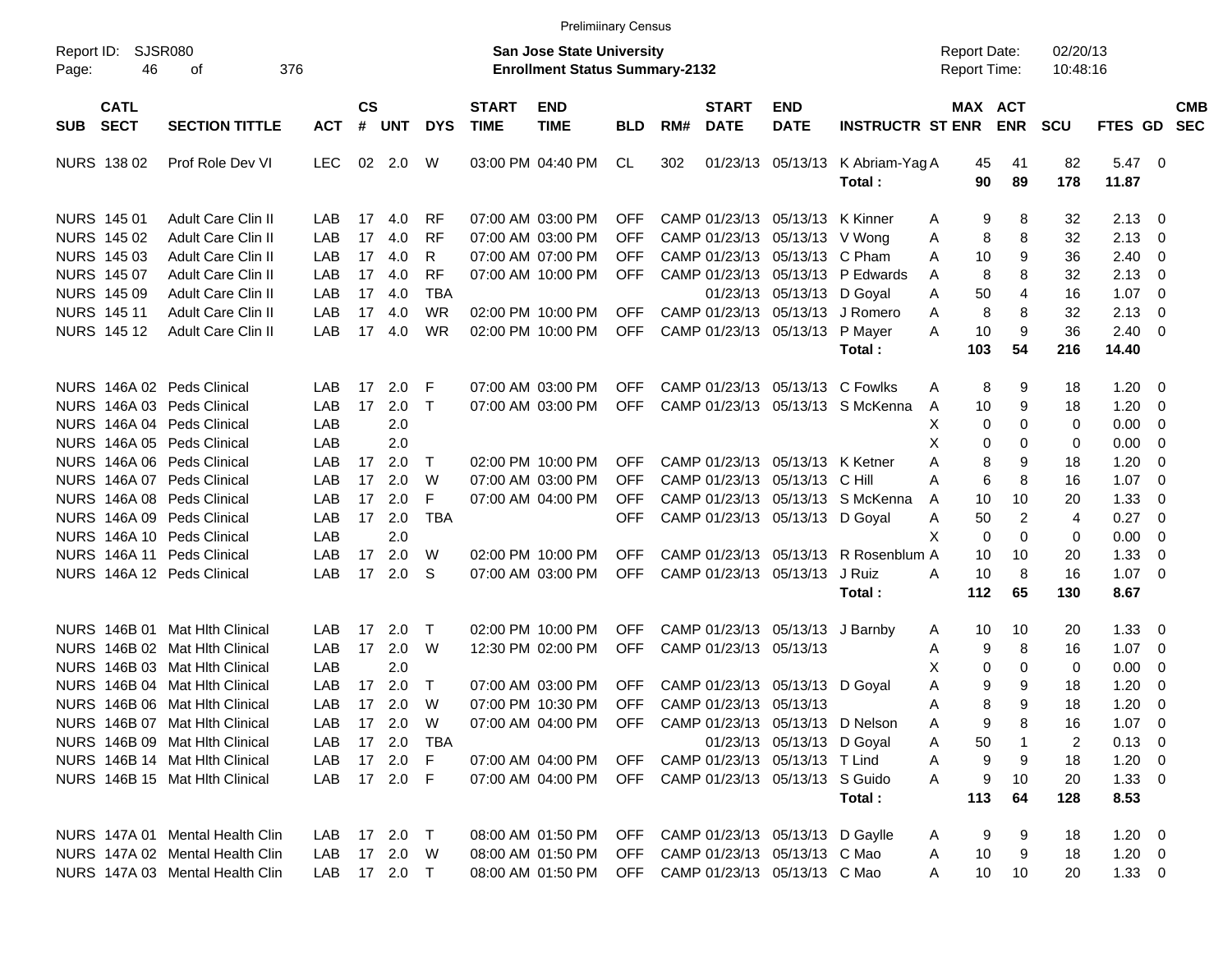|                                          |                                 |              |                    |            |              |                             | <b>Prelimiinary Census</b>                                                |            |     |                             |                                    |                                      |                                            |                 |                       |                      |                    |                         |                          |
|------------------------------------------|---------------------------------|--------------|--------------------|------------|--------------|-----------------------------|---------------------------------------------------------------------------|------------|-----|-----------------------------|------------------------------------|--------------------------------------|--------------------------------------------|-----------------|-----------------------|----------------------|--------------------|-------------------------|--------------------------|
| Report ID:<br>46<br>Page:                | <b>SJSR080</b><br>376<br>оf     |              |                    |            |              |                             | <b>San Jose State University</b><br><b>Enrollment Status Summary-2132</b> |            |     |                             |                                    |                                      | <b>Report Date:</b><br><b>Report Time:</b> |                 |                       | 02/20/13<br>10:48:16 |                    |                         |                          |
| <b>CATL</b><br><b>SECT</b><br><b>SUB</b> | <b>SECTION TITTLE</b>           | <b>ACT</b>   | $\mathsf{cs}$<br># | <b>UNT</b> | <b>DYS</b>   | <b>START</b><br><b>TIME</b> | <b>END</b><br><b>TIME</b>                                                 | <b>BLD</b> | RM# | <b>START</b><br><b>DATE</b> | <b>END</b><br><b>DATE</b>          | <b>INSTRUCTR ST ENR</b>              |                                            |                 | MAX ACT<br><b>ENR</b> | SCU                  | FTES GD            |                         | <b>CMB</b><br><b>SEC</b> |
| NURS 138 02                              | Prof Role Dev VI                | <b>LEC</b>   | 02                 | 2.0        | W            |                             | 03:00 PM 04:40 PM                                                         | CL         | 302 |                             | 01/23/13 05/13/13                  | K Abriam-Yag A<br>Total:             |                                            | 45<br>90        | 41<br>89              | 82<br>178            | $5.47\ 0$<br>11.87 |                         |                          |
| NURS 145 01                              | <b>Adult Care Clin II</b>       | LAB          | 17                 | 4.0        | <b>RF</b>    |                             | 07:00 AM 03:00 PM                                                         | <b>OFF</b> |     |                             | CAMP 01/23/13 05/13/13 K Kinner    |                                      | Α                                          | 9               | 8                     | 32                   | 2.13               | $\overline{\mathbf{0}}$ |                          |
| NURS 145 02                              | <b>Adult Care Clin II</b>       | LAB          | 17                 | 4.0        | <b>RF</b>    |                             | 07:00 AM 03:00 PM                                                         | <b>OFF</b> |     |                             | CAMP 01/23/13 05/13/13 V Wong      |                                      | Α                                          | 8               | 8                     | 32                   | 2.13               | 0                       |                          |
| NURS 145 03                              | Adult Care Clin II              | LAB          | 17                 | 4.0        | R            |                             | 07:00 AM 07:00 PM                                                         | <b>OFF</b> |     |                             | CAMP 01/23/13 05/13/13 C Pham      |                                      | A                                          | 10              | 9                     | 36                   | 2.40               | 0                       |                          |
| NURS 145 07                              | Adult Care Clin II              | LAB          | 17                 | 4.0        | <b>RF</b>    |                             | 07:00 AM 10:00 PM                                                         | <b>OFF</b> |     |                             |                                    | CAMP 01/23/13 05/13/13 P Edwards     | A                                          | 8               | 8                     | 32                   | 2.13               | 0                       |                          |
| NURS 145 09                              | Adult Care Clin II              | LAB          | 17                 | 4.0        | <b>TBA</b>   |                             |                                                                           |            |     |                             | 01/23/13 05/13/13                  | D Goyal                              | A                                          | 50              | 4                     | 16                   | 1.07               | 0                       |                          |
| <b>NURS 14511</b>                        | Adult Care Clin II              | LAB          | 17                 | 4.0        | <b>WR</b>    |                             | 02:00 PM 10:00 PM                                                         | <b>OFF</b> |     |                             | CAMP 01/23/13 05/13/13             | J Romero                             | A                                          | 8               | 8                     | 32                   | 2.13               | $\mathbf 0$             |                          |
| <b>NURS 14512</b>                        | Adult Care Clin II              | LAB          | 17                 | 4.0        | <b>WR</b>    |                             | 02:00 PM 10:00 PM                                                         | <b>OFF</b> |     |                             | CAMP 01/23/13 05/13/13             | P Mayer                              | A                                          | 10              | 9                     | 36                   | 2.40               | $\overline{\mathbf{0}}$ |                          |
|                                          |                                 |              |                    |            |              |                             |                                                                           |            |     |                             |                                    | Total :                              |                                            | 103             | 54                    | 216                  | 14.40              |                         |                          |
| NURS 146A 02 Peds Clinical               |                                 | LAB          | 17                 | 2.0        | F            |                             | 07:00 AM 03:00 PM                                                         | <b>OFF</b> |     |                             |                                    | CAMP 01/23/13 05/13/13 C Fowlks      | A                                          | 8               | 9                     | 18                   | 1.20               | $\overline{\mathbf{0}}$ |                          |
| NURS 146A 03 Peds Clinical               |                                 | LAB          | 17                 | 2.0        | $\top$       |                             | 07:00 AM 03:00 PM                                                         | <b>OFF</b> |     |                             |                                    | CAMP 01/23/13 05/13/13 S McKenna     | A                                          | 10              | 9                     | 18                   | 1.20               | 0                       |                          |
| NURS 146A 04 Peds Clinical               |                                 | LAB          |                    | 2.0        |              |                             |                                                                           |            |     |                             |                                    |                                      | х                                          | 0               | $\Omega$              | 0                    | 0.00               | 0                       |                          |
|                                          |                                 | LAB          |                    | 2.0        |              |                             |                                                                           |            |     |                             |                                    |                                      | Χ                                          |                 | 0                     |                      |                    |                         |                          |
| NURS 146A 05 Peds Clinical               |                                 |              |                    |            |              |                             | 02:00 PM 10:00 PM                                                         |            |     |                             | CAMP 01/23/13 05/13/13 K Ketner    |                                      |                                            | 0               |                       | 0                    | 0.00               | 0                       |                          |
| NURS 146A 06 Peds Clinical               |                                 | LAB          | 17                 | 2.0        | $\top$       |                             |                                                                           | <b>OFF</b> |     |                             |                                    |                                      | Α                                          | 8               | 9                     | 18                   | 1.20               | 0                       |                          |
| NURS 146A 07 Peds Clinical               |                                 | LAB          | 17                 | 2.0        | W            |                             | 07:00 AM 03:00 PM                                                         | <b>OFF</b> |     |                             | CAMP 01/23/13 05/13/13             | C Hill                               | A                                          | 6               | 8                     | 16                   | 1.07               | 0                       |                          |
| NURS 146A 08 Peds Clinical               |                                 | LAB          | 17                 | 2.0        | F            |                             | 07:00 AM 04:00 PM                                                         | <b>OFF</b> |     |                             |                                    | CAMP 01/23/13 05/13/13 S McKenna     | A                                          | 10              | 10                    | 20                   | 1.33               | 0                       |                          |
| NURS 146A 09 Peds Clinical               |                                 | <b>LAB</b>   | 17                 | 2.0        | <b>TBA</b>   |                             |                                                                           | <b>OFF</b> |     |                             | CAMP 01/23/13 05/13/13 D Goyal     |                                      | Α                                          | 50              | $\overline{c}$        | $\overline{4}$       | 0.27               | 0                       |                          |
| NURS 146A 10 Peds Clinical               |                                 | LAB          |                    | 2.0        |              |                             |                                                                           |            |     |                             |                                    |                                      | X                                          | $\mathbf 0$     | $\Omega$              | 0                    | 0.00               | $\overline{0}$          |                          |
| NURS 146A 11 Peds Clinical               |                                 | LAB          | 17                 | 2.0        | W            |                             | 02:00 PM 10:00 PM                                                         | <b>OFF</b> |     |                             |                                    | CAMP 01/23/13 05/13/13 R Rosenblum A |                                            | 10              | 10                    | 20                   | 1.33               | 0                       |                          |
| NURS 146A 12 Peds Clinical               |                                 | LAB          | 17                 | 2.0        | S            |                             | 07:00 AM 03:00 PM                                                         | <b>OFF</b> |     |                             | CAMP 01/23/13 05/13/13             | J Ruiz                               | A                                          | 10              | 8                     | 16                   | 1.07               | $\overline{0}$          |                          |
|                                          |                                 |              |                    |            |              |                             |                                                                           |            |     |                             |                                    | Total:                               |                                            | 112             | 65                    | 130                  | 8.67               |                         |                          |
|                                          | NURS 146B 01 Mat Hith Clinical  | LAB          | 17                 | 2.0        | $\top$       |                             | 02:00 PM 10:00 PM                                                         | <b>OFF</b> |     |                             | CAMP 01/23/13 05/13/13 J Barnby    |                                      | Α                                          | 10              | 10                    | 20                   | 1.33               | $\overline{\mathbf{0}}$ |                          |
|                                          | NURS 146B 02 Mat Hith Clinical  | LAB          | 17                 | 2.0        | W            |                             | 12:30 PM 02:00 PM                                                         | <b>OFF</b> |     | CAMP 01/23/13 05/13/13      |                                    |                                      | Α                                          | 9               | 8                     | 16                   | 1.07               | $\overline{\mathbf{0}}$ |                          |
|                                          | NURS 146B 03 Mat Hith Clinical  | LAB          |                    | 2.0        |              |                             |                                                                           |            |     |                             |                                    |                                      | х                                          | 0               | 0                     | 0                    | 0.00               | 0                       |                          |
|                                          | NURS 146B 04 Mat Hith Clinical  | LAB          | 17                 | 2.0        | $\top$       |                             | 07:00 AM 03:00 PM                                                         | <b>OFF</b> |     |                             | CAMP 01/23/13 05/13/13 D Goyal     |                                      | Α                                          | 9               | 9                     | 18                   | 1.20               | 0                       |                          |
|                                          | NURS 146B 06 Mat Hith Clinical  | LAB          | 17                 | 2.0        | W            |                             | 07:00 PM 10:30 PM                                                         | <b>OFF</b> |     | CAMP 01/23/13 05/13/13      |                                    |                                      | Α                                          | 8               | 9                     | 18                   | 1.20               | $\mathbf 0$             |                          |
|                                          | NURS 146B 07 Mat Hith Clinical  | LAB          |                    | 17 2.0     | W            |                             | 07:00 AM 04:00 PM                                                         |            |     |                             |                                    | OFF CAMP 01/23/13 05/13/13 D Nelson  | Α                                          | 9               | 8                     | 16                   | $1.07 \t 0$        |                         |                          |
|                                          | NURS 146B 09 Mat Hlth Clinical  | LAB.         |                    |            | 17  2.0  TBA |                             |                                                                           |            |     |                             | 01/23/13 05/13/13 D Goyal          |                                      | Α                                          | 50              |                       | 2                    | $0.13 \quad 0$     |                         |                          |
|                                          | NURS 146B 14 Mat Hith Clinical  | LAB          |                    | 17 2.0 F   |              |                             | 07:00 AM 04:00 PM                                                         | OFF        |     |                             | CAMP 01/23/13 05/13/13 T Lind      |                                      | Α                                          | 9               | 9                     | 18                   | $1.20 \t 0$        |                         |                          |
|                                          | NURS 146B 15 Mat Hith Clinical  | LAB          |                    | 17 2.0 F   |              |                             | 07:00 AM 04:00 PM                                                         |            |     |                             | OFF CAMP 01/23/13 05/13/13 S Guido |                                      | A                                          | 9               | 10                    | 20                   | $1.33 \ 0$         |                         |                          |
|                                          |                                 |              |                    |            |              |                             |                                                                           |            |     |                             |                                    | Total:                               |                                            | 113             | 64                    | 128                  | 8.53               |                         |                          |
|                                          | NURS 147A 01 Mental Health Clin |              |                    |            |              |                             |                                                                           |            |     |                             |                                    |                                      |                                            |                 |                       |                      |                    |                         |                          |
|                                          |                                 | LAB.         |                    | 17 2.0 T   |              |                             | 08:00 AM 01:50 PM                                                         | OFF        |     |                             | CAMP 01/23/13 05/13/13 D Gaylle    |                                      | Α                                          | 9               | 9                     | 18                   | $1.20 \t 0$        |                         |                          |
|                                          | NURS 147A 02 Mental Health Clin | LAB          |                    | 17  2.0  W |              |                             | 08:00 AM 01:50 PM                                                         | OFF        |     |                             | CAMP 01/23/13 05/13/13 C Mao       |                                      | A                                          | 10              | 9                     | 18                   | $1.20 \t 0$        |                         |                          |
|                                          | NURS 147A 03 Mental Health Clin | LAB 17 2.0 T |                    |            |              |                             | 08:00 AM 01:50 PM                                                         |            |     |                             | OFF CAMP 01/23/13 05/13/13 C Mao   |                                      | Α                                          | 10 <sup>°</sup> | 10                    | 20                   | $1.33 \ 0$         |                         |                          |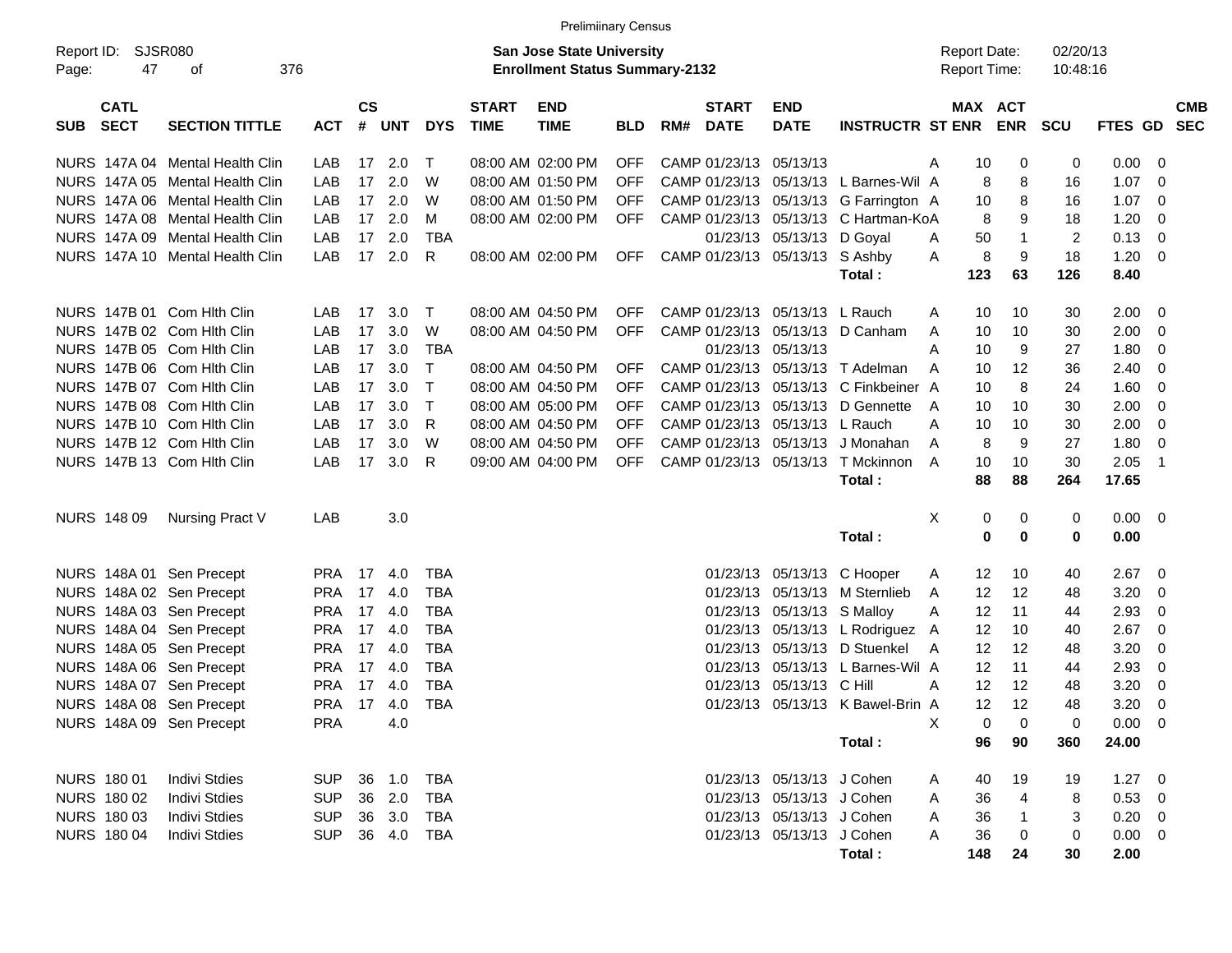|            |                    |                                                                    |               |               |               |            |              | <b>Prelimiinary Census</b>             |                          |     |                                |                            |                                                        |   |                     |                   |          |                |        |            |
|------------|--------------------|--------------------------------------------------------------------|---------------|---------------|---------------|------------|--------------|----------------------------------------|--------------------------|-----|--------------------------------|----------------------------|--------------------------------------------------------|---|---------------------|-------------------|----------|----------------|--------|------------|
|            | Report ID: SJSR080 |                                                                    |               |               |               |            |              | <b>San Jose State University</b>       |                          |     |                                |                            |                                                        |   | <b>Report Date:</b> |                   | 02/20/13 |                |        |            |
| Page:      | 47                 | 376<br>оf                                                          |               |               |               |            |              | <b>Enrollment Status Summary-2132</b>  |                          |     |                                |                            |                                                        |   | <b>Report Time:</b> |                   | 10:48:16 |                |        |            |
|            |                    |                                                                    |               |               |               |            |              |                                        |                          |     |                                |                            |                                                        |   |                     |                   |          |                |        |            |
|            | <b>CATL</b>        |                                                                    |               | $\mathsf{cs}$ |               |            | <b>START</b> | <b>END</b>                             |                          |     | <b>START</b>                   | <b>END</b>                 |                                                        |   | MAX ACT             |                   |          |                |        | <b>CMB</b> |
| <b>SUB</b> | <b>SECT</b>        | <b>SECTION TITTLE</b>                                              | <b>ACT</b>    | #             | <b>UNT</b>    | <b>DYS</b> | <b>TIME</b>  | <b>TIME</b>                            | <b>BLD</b>               | RM# | <b>DATE</b>                    | <b>DATE</b>                | <b>INSTRUCTR ST ENR</b>                                |   |                     | <b>ENR</b>        | SCU      | <b>FTES GD</b> |        | <b>SEC</b> |
|            |                    |                                                                    |               |               |               | Т          |              |                                        |                          |     |                                | 05/13/13                   |                                                        |   |                     |                   |          |                |        |            |
|            |                    | NURS 147A 04 Mental Health Clin<br>NURS 147A 05 Mental Health Clin | LAB<br>LAB    | 17            | 17 2.0<br>2.0 | W          |              | 08:00 AM 02:00 PM<br>08:00 AM 01:50 PM | <b>OFF</b><br><b>OFF</b> |     | CAMP 01/23/13<br>CAMP 01/23/13 |                            | 05/13/13 L Barnes-Wil A                                | Α | 10<br>8             | 0                 | 0<br>16  | 0.00<br>1.07   | 0<br>0 |            |
|            |                    | NURS 147A 06 Mental Health Clin                                    | LAB           | 17            | 2.0           | W          |              | 08:00 AM 01:50 PM                      | <b>OFF</b>               |     |                                | CAMP 01/23/13 05/13/13     |                                                        |   | 10                  | 8                 | 16       | 1.07           | 0      |            |
|            |                    | NURS 147A 08 Mental Health Clin                                    | LAB           | 17            | 2.0           | M          |              | 08:00 AM 02:00 PM                      | <b>OFF</b>               |     |                                |                            | G Farrington A<br>CAMP 01/23/13 05/13/13 C Hartman-KoA |   | 8                   | 8<br>9            | 18       | 1.20           |        |            |
|            |                    | NURS 147A 09 Mental Health Clin                                    | LAB           | 17            | 2.0           | <b>TBA</b> |              |                                        |                          |     |                                | 01/23/13 05/13/13          | D Goval                                                |   | 50                  |                   | 2        | 0.13           | 0      |            |
|            |                    | NURS 147A 10 Mental Health Clin                                    | LAB           |               | 17 2.0        | R          |              | 08:00 AM 02:00 PM                      | OFF                      |     |                                | CAMP 01/23/13 05/13/13     |                                                        | Α |                     | $\mathbf{1}$<br>9 | 18       | 1.20           | 0<br>0 |            |
|            |                    |                                                                    |               |               |               |            |              |                                        |                          |     |                                |                            | S Ashby                                                | Α | 8                   |                   |          |                |        |            |
|            |                    |                                                                    |               |               |               |            |              |                                        |                          |     |                                |                            | Total:                                                 |   | 123                 | 63                | 126      | 8.40           |        |            |
|            |                    | NURS 147B 01 Com Hith Clin                                         | LAB           | 17            | 3.0           | $\top$     |              | 08:00 AM 04:50 PM                      | <b>OFF</b>               |     | CAMP 01/23/13                  | 05/13/13 L Rauch           |                                                        | A | 10                  | 10                | 30       | 2.00           | 0      |            |
|            |                    | NURS 147B 02 Com Hith Clin                                         | LAB           | 17            | 3.0           | W          |              | 08:00 AM 04:50 PM                      | <b>OFF</b>               |     | CAMP 01/23/13                  | 05/13/13                   | D Canham                                               | A | 10                  | 10                | 30       | 2.00           | 0      |            |
|            |                    | NURS 147B 05 Com Hith Clin                                         | LAB           | 17            | 3.0           | <b>TBA</b> |              |                                        |                          |     | 01/23/13 05/13/13              |                            |                                                        | Α | 10                  | 9                 | 27       | 1.80           | 0      |            |
|            |                    | NURS 147B 06 Com Hith Clin                                         | LAB           | 17            | 3.0           | т          |              | 08:00 AM 04:50 PM                      | <b>OFF</b>               |     |                                |                            | CAMP 01/23/13 05/13/13 T Adelman                       | A | 10                  | 12                | 36       | 2.40           | 0      |            |
|            |                    | NURS 147B 07 Com Hith Clin                                         | LAB           | 17            | 3.0           | т          |              | 08:00 AM 04:50 PM                      | <b>OFF</b>               |     |                                |                            | CAMP 01/23/13 05/13/13 C Finkbeiner A                  |   | 10                  | 8                 | 24       | 1.60           | 0      |            |
|            |                    | NURS 147B 08 Com Hlth Clin                                         | LAB           | 17            | 3.0           | т          |              | 08:00 AM 05:00 PM                      | <b>OFF</b>               |     | CAMP 01/23/13                  | 05/13/13                   | D Gennette                                             | A | 10                  | 10                | 30       | 2.00           | 0      |            |
|            |                    | NURS 147B 10 Com Hith Clin                                         | LAB           | 17            | 3.0           | R          |              | 08:00 AM 04:50 PM                      | <b>OFF</b>               |     | CAMP 01/23/13                  | 05/13/13 L Rauch           |                                                        | Α | 10                  | 10                | 30       | 2.00           | 0      |            |
|            |                    | NURS 147B 12 Com Hith Clin                                         | LAB           | 17            | 3.0           | W          |              | 08:00 AM 04:50 PM                      | <b>OFF</b>               |     | CAMP 01/23/13                  | 05/13/13                   | J Monahan                                              | A | 8                   | 9                 | 27       | 1.80           | 0      |            |
|            |                    | NURS 147B 13 Com Hlth Clin                                         | LAB           | 17            | 3.0           | R          |              | 09:00 AM 04:00 PM                      | <b>OFF</b>               |     |                                | CAMP 01/23/13 05/13/13     | T Mckinnon                                             | A | 10                  | 10                | 30       | 2.05           | -1     |            |
|            |                    |                                                                    |               |               |               |            |              |                                        |                          |     |                                |                            | Total:                                                 |   | 88                  | 88                | 264      | 17.65          |        |            |
|            |                    |                                                                    |               |               |               |            |              |                                        |                          |     |                                |                            |                                                        |   |                     |                   |          |                |        |            |
|            | NURS 148 09        | Nursing Pract V                                                    | LAB           |               | 3.0           |            |              |                                        |                          |     |                                |                            |                                                        | X | 0                   | 0                 | 0        | $0.00 \t 0$    |        |            |
|            |                    |                                                                    |               |               |               |            |              |                                        |                          |     |                                |                            | Total:                                                 |   | 0                   | 0                 | 0        | 0.00           |        |            |
|            |                    | NURS 148A 01 Sen Precept                                           | <b>PRA</b> 17 |               | -4.0          | TBA        |              |                                        |                          |     |                                | 01/23/13 05/13/13 C Hooper |                                                        | A | 12                  | 10                | 40       | 2.67           | 0      |            |
|            |                    | NURS 148A 02 Sen Precept                                           | <b>PRA</b>    | 17            | 4.0           | <b>TBA</b> |              |                                        |                          |     | 01/23/13                       |                            | 05/13/13 M Sternlieb                                   | A | 12                  | 12                | 48       | 3.20           | 0      |            |
|            |                    | NURS 148A 03 Sen Precept                                           | <b>PRA</b>    | 17            | -4.0          | TBA        |              |                                        |                          |     | 01/23/13                       | 05/13/13 S Malloy          |                                                        | Α | 12                  | 11                | 44       | 2.93           | 0      |            |
|            |                    | NURS 148A 04 Sen Precept                                           | <b>PRA</b>    | 17            | -4.0          | <b>TBA</b> |              |                                        |                          |     | 01/23/13                       |                            | 05/13/13 L Rodriguez A                                 |   | 12                  | 10                | 40       | 2.67           | 0      |            |
|            |                    | NURS 148A 05 Sen Precept                                           | <b>PRA</b>    | 17            | - 4.0         | <b>TBA</b> |              |                                        |                          |     | 01/23/13                       |                            | 05/13/13 D Stuenkel                                    | A | 12                  | 12                | 48       | 3.20           | 0      |            |
|            |                    | NURS 148A 06 Sen Precept                                           | <b>PRA</b>    | 17            | -4.0          | <b>TBA</b> |              |                                        |                          |     | 01/23/13                       |                            | 05/13/13 L Barnes-Wil A                                |   | 12                  | 11                | 44       | 2.93           | 0      |            |
|            |                    | NURS 148A 07 Sen Precept                                           | <b>PRA</b>    | 17            | -4.0          | <b>TBA</b> |              |                                        |                          |     | 01/23/13                       | 05/13/13 C Hill            |                                                        | A | 12                  | 12                | 48       | 3.20           | 0      |            |
|            |                    | NURS 148A 08 Sen Precept                                           | <b>PRA</b>    |               | 17 4.0        | <b>TBA</b> |              |                                        |                          |     |                                |                            | 01/23/13 05/13/13 K Bawel-Brin A                       |   | 12                  | 12                | 48       | 3.20           | 0      |            |
|            |                    | NURS 148A 09 Sen Precept                                           | <b>PRA</b>    |               | 4.0           |            |              |                                        |                          |     |                                |                            |                                                        | X | 0                   | 0                 | 0        | $0.00 \t 0$    |        |            |
|            |                    |                                                                    |               |               |               |            |              |                                        |                          |     |                                |                            | Total:                                                 |   | 96                  | 90                | 360      | 24.00          |        |            |
|            |                    |                                                                    |               |               |               |            |              |                                        |                          |     |                                |                            |                                                        |   |                     |                   |          |                |        |            |
|            | NURS 180 01        | <b>Indivi Stdies</b>                                               | <b>SUP</b>    |               | 36 1.0        | TBA        |              |                                        |                          |     |                                | 01/23/13 05/13/13 J Cohen  |                                                        | A | 40                  | 19                | 19       | $1.27 \t 0$    |        |            |
|            | <b>NURS 180 02</b> | <b>Indivi Stdies</b>                                               | <b>SUP</b>    |               | 36 2.0        | TBA        |              |                                        |                          |     |                                | 01/23/13 05/13/13 J Cohen  |                                                        | A | 36                  | 4                 | 8        | 0.53 0         |        |            |
|            | <b>NURS 18003</b>  | <b>Indivi Stdies</b>                                               | <b>SUP</b>    |               | 36 3.0        | TBA        |              |                                        |                          |     |                                | 01/23/13 05/13/13 J Cohen  |                                                        | A | 36                  | $\mathbf{1}$      | 3        | $0.20 \ 0$     |        |            |
|            | <b>NURS 180 04</b> | <b>Indivi Stdies</b>                                               | <b>SUP</b>    |               | 36 4.0        | TBA        |              |                                        |                          |     |                                | 01/23/13 05/13/13 J Cohen  |                                                        | A | 36                  | 0                 | 0        | $0.00 \t 0$    |        |            |
|            |                    |                                                                    |               |               |               |            |              |                                        |                          |     |                                |                            | Total:                                                 |   | 148                 | 24                | 30       | 2.00           |        |            |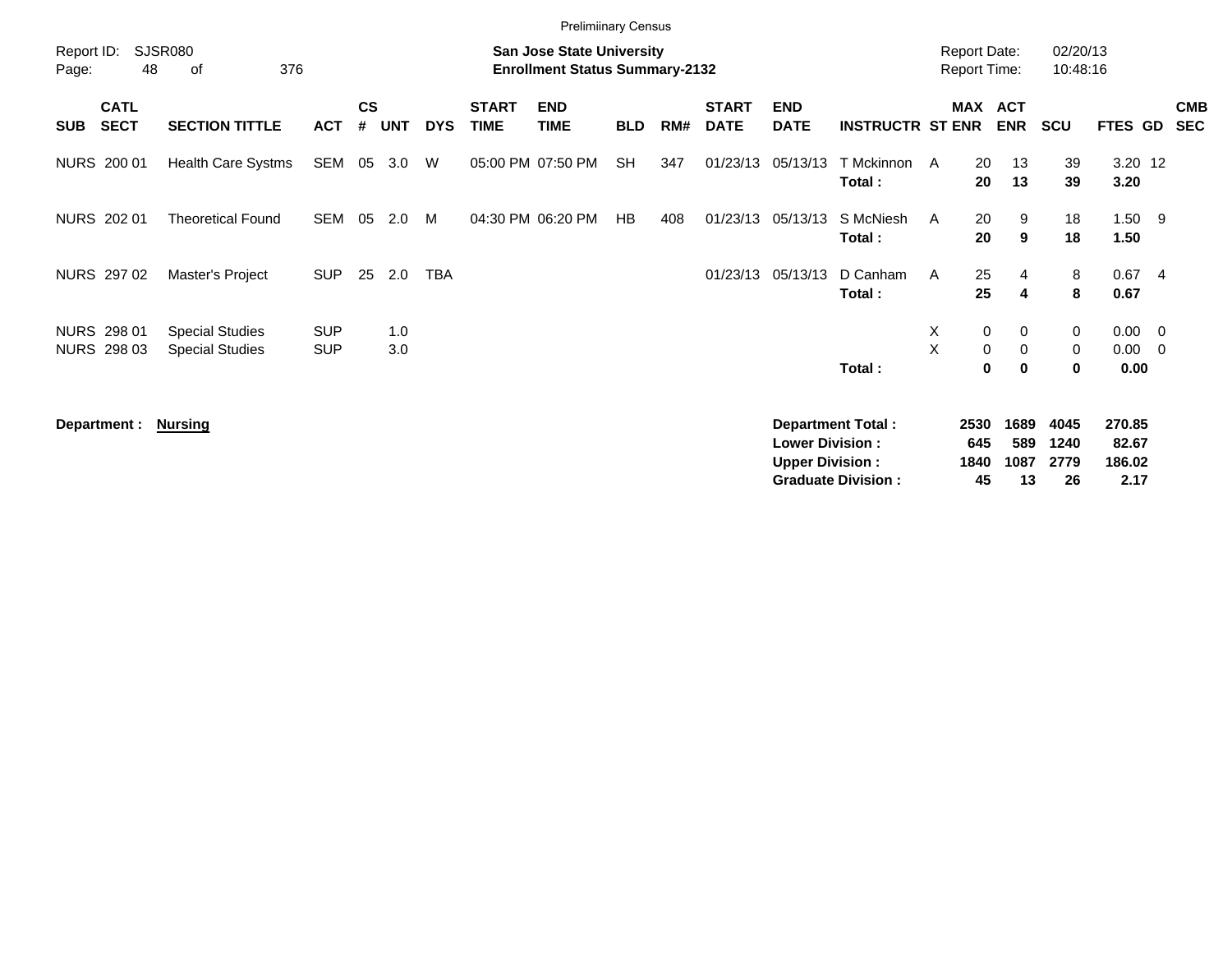|                     |                                   |                                                  |                          |                    |            |            |                             | <b>Prelimiinary Census</b>                                                |            |     |                             |                                                  |                                                       |                                            |                                                                  |                            |                                   |                |                          |
|---------------------|-----------------------------------|--------------------------------------------------|--------------------------|--------------------|------------|------------|-----------------------------|---------------------------------------------------------------------------|------------|-----|-----------------------------|--------------------------------------------------|-------------------------------------------------------|--------------------------------------------|------------------------------------------------------------------|----------------------------|-----------------------------------|----------------|--------------------------|
| Report ID:<br>Page: | 48                                | SJSR080<br>376<br>οf                             |                          |                    |            |            |                             | <b>San Jose State University</b><br><b>Enrollment Status Summary-2132</b> |            |     |                             |                                                  |                                                       | <b>Report Date:</b><br><b>Report Time:</b> |                                                                  | 02/20/13<br>10:48:16       |                                   |                |                          |
| <b>SUB</b>          | <b>CATL</b><br><b>SECT</b>        | <b>SECTION TITTLE</b>                            | <b>ACT</b>               | $\mathsf{cs}$<br># | <b>UNT</b> | <b>DYS</b> | <b>START</b><br><b>TIME</b> | <b>END</b><br><b>TIME</b>                                                 | <b>BLD</b> | RM# | <b>START</b><br><b>DATE</b> | <b>END</b><br><b>DATE</b>                        | <b>INSTRUCTR ST ENR</b>                               |                                            | MAX ACT<br><b>ENR</b>                                            | <b>SCU</b>                 | <b>FTES GD</b>                    |                | <b>CMB</b><br><b>SEC</b> |
|                     | NURS 200 01                       | Health Care Systms                               | SEM                      | 05                 | 3.0        | W          |                             | 05:00 PM 07:50 PM                                                         | <b>SH</b>  | 347 | 01/23/13                    | 05/13/13                                         | T Mckinnon<br>Total:                                  | A                                          | 20<br>13<br>13<br>20                                             | 39<br>39                   | 3.20 12<br>3.20                   |                |                          |
|                     | NURS 202 01                       | <b>Theoretical Found</b>                         | SEM                      | 05                 | 2.0        | M          |                             | 04:30 PM 06:20 PM                                                         | HB         | 408 | 01/23/13                    | 05/13/13                                         | S McNiesh<br>Total:                                   | $\mathsf{A}$                               | 20<br>9<br>20<br>9                                               | 18<br>18                   | $1.50$ 9<br>1.50                  |                |                          |
|                     | NURS 297 02                       | Master's Project                                 | <b>SUP</b>               | 25                 | 2.0        | <b>TBA</b> |                             |                                                                           |            |     | 01/23/13                    | 05/13/13                                         | D Canham<br>Total:                                    | A                                          | 25<br>4<br>25<br>4                                               | 8<br>8                     | 0.67<br>0.67                      | $\overline{4}$ |                          |
|                     | <b>NURS 298 01</b><br>NURS 298 03 | <b>Special Studies</b><br><b>Special Studies</b> | <b>SUP</b><br><b>SUP</b> |                    | 1.0<br>3.0 |            |                             |                                                                           |            |     |                             |                                                  | Total:                                                | X.<br>X                                    | 0<br>0<br>$\boldsymbol{0}$<br>$\overline{0}$<br>0<br>$\mathbf 0$ | 0<br>0<br>0                | $0.00 \t 0$<br>0.00<br>0.00       | - 0            |                          |
|                     | Department :                      | <b>Nursing</b>                                   |                          |                    |            |            |                             |                                                                           |            |     |                             | <b>Lower Division:</b><br><b>Upper Division:</b> | <b>Department Total:</b><br><b>Graduate Division:</b> | 2530<br>645<br>1840                        | 1689<br>589<br>1087<br>45<br>13                                  | 4045<br>1240<br>2779<br>26 | 270.85<br>82.67<br>186.02<br>2.17 |                |                          |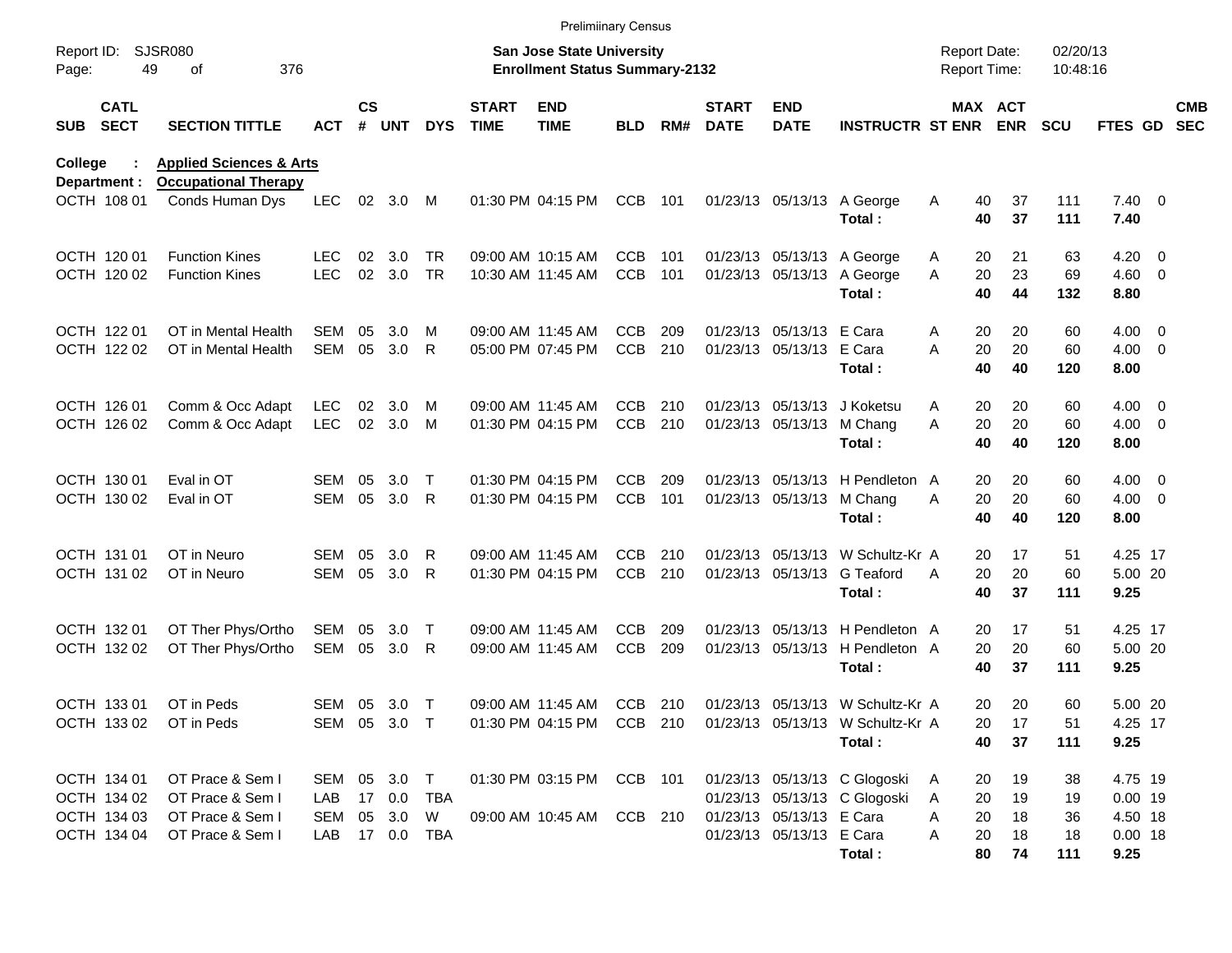|                     |                            |                                                                   |              |                    |                        |            |                             | <b>Prelimiinary Census</b>                                         |            |     |                             |                                                      |                                                            |                                     |                      |                      |                        |                          |
|---------------------|----------------------------|-------------------------------------------------------------------|--------------|--------------------|------------------------|------------|-----------------------------|--------------------------------------------------------------------|------------|-----|-----------------------------|------------------------------------------------------|------------------------------------------------------------|-------------------------------------|----------------------|----------------------|------------------------|--------------------------|
| Report ID:<br>Page: | 49                         | <b>SJSR080</b><br>376<br>οf                                       |              |                    |                        |            |                             | San Jose State University<br><b>Enrollment Status Summary-2132</b> |            |     |                             |                                                      |                                                            | <b>Report Date:</b><br>Report Time: |                      | 02/20/13<br>10:48:16 |                        |                          |
| <b>SUB</b>          | <b>CATL</b><br><b>SECT</b> | <b>SECTION TITTLE</b>                                             | <b>ACT</b>   | $\mathsf{cs}$<br># | <b>UNT</b>             | <b>DYS</b> | <b>START</b><br><b>TIME</b> | <b>END</b><br><b>TIME</b>                                          | <b>BLD</b> | RM# | <b>START</b><br><b>DATE</b> | <b>END</b><br><b>DATE</b>                            | <b>INSTRUCTR ST ENR ENR</b>                                |                                     | MAX ACT              | <b>SCU</b>           | <b>FTES GD</b>         | <b>CMB</b><br><b>SEC</b> |
| College             | Department :               | <b>Applied Sciences &amp; Arts</b><br><b>Occupational Therapy</b> |              |                    |                        |            |                             |                                                                    |            |     |                             |                                                      |                                                            |                                     |                      |                      |                        |                          |
|                     | OCTH 108 01                | Conds Human Dys                                                   | <b>LEC</b>   |                    | 02 3.0 M               |            |                             | 01:30 PM 04:15 PM                                                  | <b>CCB</b> | 101 |                             |                                                      | 01/23/13 05/13/13 A George<br>Total:                       | A                                   | 40<br>37<br>40<br>37 | 111<br>111           | $7.40 \quad 0$<br>7.40 |                          |
|                     | OCTH 120 01                | <b>Function Kines</b>                                             | LEC.         | 02                 | 3.0                    | TR.        |                             | 09:00 AM 10:15 AM                                                  | <b>CCB</b> | 101 |                             |                                                      | 01/23/13 05/13/13 A George                                 | A                                   | 21<br>20             | 63                   | $4.20 \ 0$             |                          |
|                     | OCTH 120 02                | <b>Function Kines</b>                                             | <b>LEC</b>   | 02                 | 3.0                    | <b>TR</b>  |                             | 10:30 AM 11:45 AM                                                  | <b>CCB</b> | 101 |                             |                                                      | 01/23/13 05/13/13 A George<br>Total:                       | A                                   | 23<br>20<br>40<br>44 | 69<br>132            | $4.60$ 0<br>8.80       |                          |
|                     | OCTH 122 01                | OT in Mental Health                                               | <b>SEM</b>   | 05                 | 3.0                    | M          |                             | 09:00 AM 11:45 AM                                                  | <b>CCB</b> | 209 |                             | 01/23/13 05/13/13 E Cara                             |                                                            | A                                   | 20<br>20             | 60                   | $4.00 \ 0$             |                          |
|                     | OCTH 122 02                | OT in Mental Health                                               | <b>SEM</b>   | 05                 | 3.0                    | R          |                             | 05:00 PM 07:45 PM                                                  | <b>CCB</b> | 210 |                             | 01/23/13 05/13/13 E Cara                             | Total:                                                     | A                                   | 20<br>20<br>40<br>40 | 60<br>120            | $4.00 \ 0$<br>8.00     |                          |
|                     | OCTH 126 01                | Comm & Occ Adapt                                                  | <b>LEC</b>   | 02                 | 3.0                    | M          |                             | 09:00 AM 11:45 AM                                                  | CCB        | 210 |                             |                                                      | 01/23/13 05/13/13 J Koketsu                                | A                                   | 20<br>20             | 60                   | $4.00 \ 0$             |                          |
|                     | OCTH 126 02                | Comm & Occ Adapt                                                  | <b>LEC</b>   |                    | 02 3.0                 | M          |                             | 01:30 PM 04:15 PM                                                  | <b>CCB</b> | 210 |                             | 01/23/13 05/13/13                                    | M Chang<br>Total:                                          | A                                   | 20<br>20<br>40<br>40 | 60<br>120            | $4.00 \ 0$<br>8.00     |                          |
|                     | OCTH 130 01                | Eval in OT                                                        | SEM          | 05                 | 3.0                    | $\top$     |                             | 01:30 PM 04:15 PM                                                  | <b>CCB</b> | 209 |                             |                                                      | 01/23/13 05/13/13 H Pendleton A                            |                                     | 20<br>20             | 60                   | $4.00 \ 0$             |                          |
|                     | OCTH 130 02                | Eval in OT                                                        | <b>SEM</b>   | 05                 | 3.0                    | R          |                             | 01:30 PM 04:15 PM                                                  | <b>CCB</b> | 101 |                             | 01/23/13 05/13/13                                    | M Chang<br>Total:                                          | A                                   | 20<br>20<br>40<br>40 | 60<br>120            | $4.00 \ 0$<br>8.00     |                          |
|                     | OCTH 131 01                | OT in Neuro                                                       | SEM          | 05                 | 3.0                    | R          |                             | 09:00 AM 11:45 AM                                                  | <b>CCB</b> | 210 |                             |                                                      | 01/23/13 05/13/13 W Schultz-Kr A                           |                                     | 17<br>20             | 51                   | 4.25 17                |                          |
|                     | OCTH 131 02                | OT in Neuro                                                       | <b>SEM</b>   | 05                 | 3.0                    | R          |                             | 01:30 PM 04:15 PM                                                  | <b>CCB</b> | 210 |                             | 01/23/13 05/13/13                                    | G Teaford<br>Total:                                        | A                                   | 20<br>20<br>40<br>37 | 60<br>111            | 5.00 20<br>9.25        |                          |
|                     | OCTH 132 01                | OT Ther Phys/Ortho                                                | SEM          | 05                 | 3.0                    | $\top$     |                             | 09:00 AM 11:45 AM                                                  | <b>CCB</b> | 209 |                             |                                                      | 01/23/13 05/13/13 H Pendleton A                            |                                     | 20<br>17             | 51                   | 4.25 17                |                          |
|                     | OCTH 132 02                | OT Ther Phys/Ortho                                                | SEM          | 05                 | 3.0                    | R          |                             | 09:00 AM 11:45 AM                                                  | <b>CCB</b> | 209 |                             |                                                      | 01/23/13 05/13/13 H Pendleton A<br>Total:                  |                                     | 20<br>20<br>40<br>37 | 60<br>111            | 5.00 20<br>9.25        |                          |
|                     | OCTH 133 01                | OT in Peds                                                        | SEM 05       |                    | 3.0                    | $\top$     |                             | 09:00 AM 11:45 AM                                                  | CCB 210    |     |                             |                                                      | 01/23/13 05/13/13 W Schultz-Kr A                           |                                     | 20<br>20             | 60                   | 5.00 20                |                          |
|                     |                            | OCTH 133 02 OT in Peds                                            |              |                    | SEM 05 3.0 T           |            |                             |                                                                    |            |     |                             |                                                      | 01:30 PM 04:15 PM CCB 210 01/23/13 05/13/13 W Schultz-Kr A |                                     | 20<br>17             | 51                   | 4.25 17                |                          |
|                     |                            |                                                                   |              |                    |                        |            |                             |                                                                    |            |     |                             |                                                      | Total:                                                     |                                     | 37<br>40             | 111                  | 9.25                   |                          |
|                     | OCTH 134 01                | OT Prace & Sem I                                                  | SEM 05 3.0 T |                    |                        |            |                             | 01:30 PM 03:15 PM CCB 101                                          |            |     |                             |                                                      | 01/23/13 05/13/13 C Glogoski                               | A                                   | 19<br>20             | 38                   | 4.75 19                |                          |
|                     | OCTH 134 02                | OT Prace & Sem I                                                  | LAB          |                    | 17 0.0                 | TBA        |                             |                                                                    |            |     |                             |                                                      | 01/23/13 05/13/13 C Glogoski                               | 20<br>A                             | 19                   | 19                   | $0.00$ 19              |                          |
|                     | OCTH 134 03<br>OCTH 134 04 | OT Prace & Sem I<br>OT Prace & Sem I                              | SEM<br>LAB   |                    | 05 3.0<br>17  0.0  TBA | W          |                             | 09:00 AM 10:45 AM                                                  | CCB 210    |     |                             | 01/23/13 05/13/13 E Cara<br>01/23/13 05/13/13 E Cara |                                                            | 20<br>A<br>Α                        | 18<br>18             | 36<br>18             | 4.50 18<br>$0.00$ 18   |                          |
|                     |                            |                                                                   |              |                    |                        |            |                             |                                                                    |            |     |                             |                                                      | Total:                                                     | 20                                  | 74<br>80             | 111                  | 9.25                   |                          |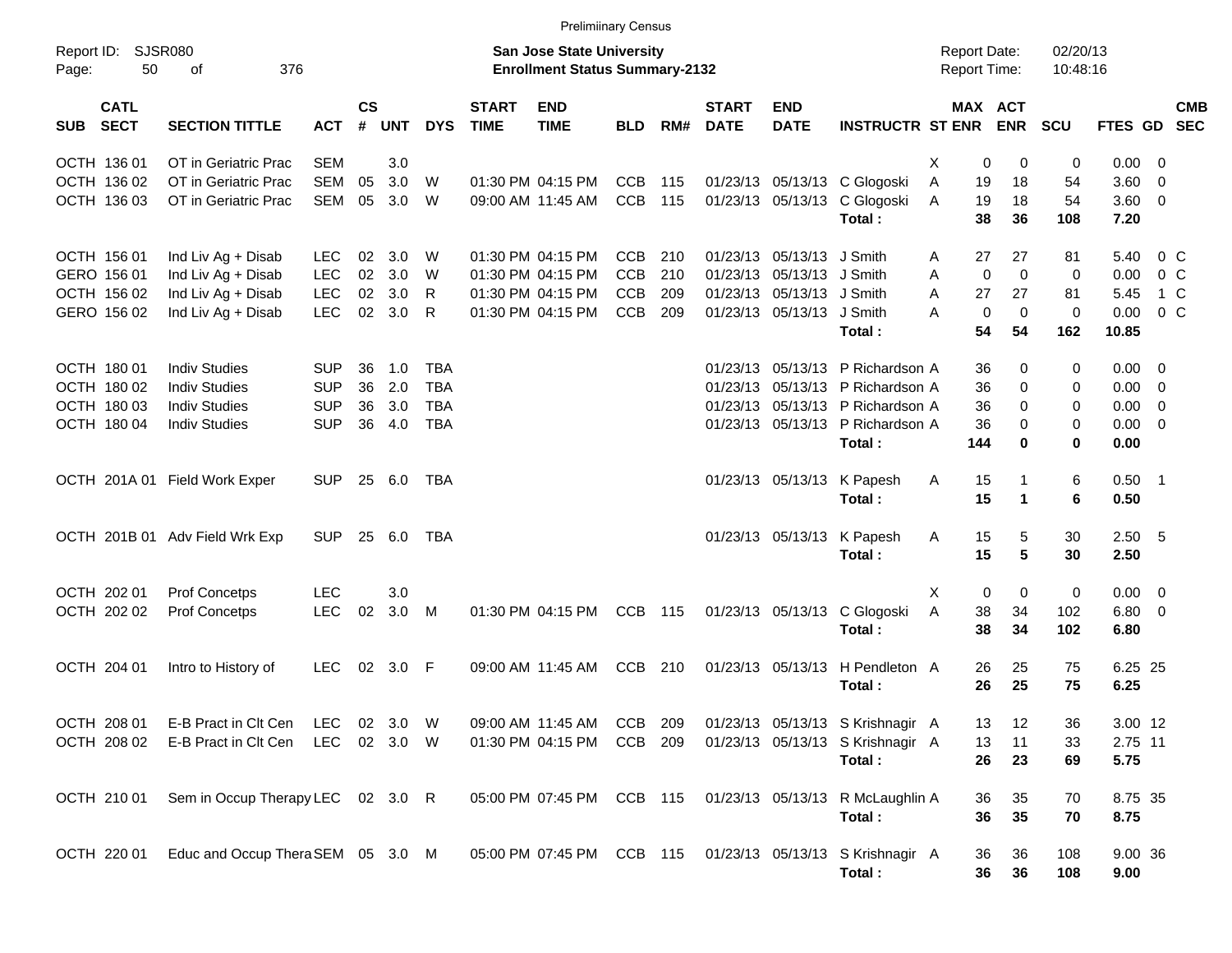OCTH 136 01 OT in Geriatric Prac SEM 3.0 3.0 And 12 OCTH 136 01 OCTH 136 01 OCTO 0 0.00 0 0.00 OCTH 136 01 OCT OCTH 136 02 OT in Geriatric Prac SEM 05 3.0 W 01:30 PM 04:15 PM CCB 115 01/23/13 05/13/13 C Glogoski A 19 18 54 3.60 0 OCTH 136 03 OT in Geriatric Prac SEM 05 3.0 W 09:00 AM 11:45 AM CCB 115 01/23/13 05/13/13 C Glogoski A 19 18 54 3.60 0 **Total : 38 36 108 7.20** OCTH 156 01 Ind Liv Ag + Disab LEC 02 3.0 W 01:30 PM 04:15 PM CCB 210 01/23/13 05/13/13 J Smith A 27 27 81 5.40 0 C GERO 156 01 Ind Liv Ag + Disab LEC 02 3.0 W 01:30 PM 04:15 PM CCB 210 01/23/13 05/13/13 J Smith A 0 0 0 0.00 0 C OCTH 156 02 Ind Liv Ag + Disab LEC 02 3.0 R 01:30 PM 04:15 PM CCB 209 01/23/13 05/13/13 J Smith A 27 27 81 5.45 1 C GERO 156 02 Ind Liv Ag + Disab LEC 02 3.0 R 01:30 PM 04:15 PM CCB 209 01/23/13 05/13/13 J Smith A 0 0 0 0.00 0 C **Total : 54 54 162 10.85** OCTH 180 01 Indiv Studies SUP 36 1.0 TBA 01/23/13 05/13/13 P Richardson A 36 0 0 0.00 0 OCTH 180.02 Indiv Studies SUP 36 2.0 TBA 01/23/13 05/13/13 P Richardson A 36 0 0 0.00 0 OCTH 180 03 Indiv Studies SUP 36 3.0 TBA 01/23/13 05/13/13 P Richardson A 36 0 0 0.00 0 OCTH 180 04 Indiv Studies SUP 36 4.0 TBA 01/23/13 05/13/13 P Richardson A 36 0 0 0.00 0 **Total : 144 0 0 0.00** OCTH 201A 01 Field Work Exper SUP 25 6.0 TBA 01/23/13 05/13/13 K Papesh A 15 1 6 0.50 1 **Total : 15 1 6 0.50** OCTH 201B 01 Adv Field Wrk Exp SUP 25 6.0 TBA 01/23/13 05/13/13 K Papesh A 15 5 30 2.50 5 **Total : 15 5 30 2.50** OCTH 202 01 Prof Concetps LEC  $3.0$   $\times$  0  $0$  0.00 0  $\times$ OCTH 202 02 Prof Concetps LEC 02 3.0 M 01:30 PM 04:15 PM CCB 115 01/23/13 05/13/13 C Glogoski A 38 34 102 6.80 0 **Total : 38 34 102 6.80** OCTH 204 01 Intro to History of LEC 02 3.0 F 09:00 AM 11:45 AM CCB 210 01/23/13 05/13/13 H Pendleton A 26 25 75 6.25 25 **Total : 26 25 75 6.25** OCTH 208 01 E-B Pract in Clt Cen LEC 02 3.0 W 09:00 AM 11:45 AM CCB 209 01/23/13 05/13/13 S Krishnagir A 13 12 36 3.00 12 OCTH 208 02 E-B Pract in Clt Cen LEC 02 3.0 W 01:30 PM 04:15 PM CCB 209 01/23/13 05/13/13 S Krishnagir A 13 11 33 2.75 11 **Total : 26 23 69 5.75** OCTH 210 01 Sem in Occup Therapy LEC 02 3.0 R 05:00 PM 07:45 PM CCB 115 01/23/13 05/13/13 R McLaughlin A 36 35 70 8.75 35 **Total : 36 35 70 8.75** OCTH 220 01 Educ and Occup TheraSEM 05 3.0 M 05:00 PM 07:45 PM CCB 115 01/23/13 05/13/13 S Krishnagir A 36 36 108 9.00 36 **Total : 36 36 108 9.00** Report ID: SJSR080 **San Jose State University San Jose State University San Jose State University Report Date:** 02/20/13 Page: 50 of 376 **Enrollment Status Summary-2132** Report Time: 10:48:16 **CATL CS START END START END MAX ACT CMB SUB SECT SECTION TITTLE ACT # UNT DYS TIME TIME BLD RM# DATE DATE INSTRUCTR ST ENR ENR SCU FTES GD SEC** Prelimiinary Census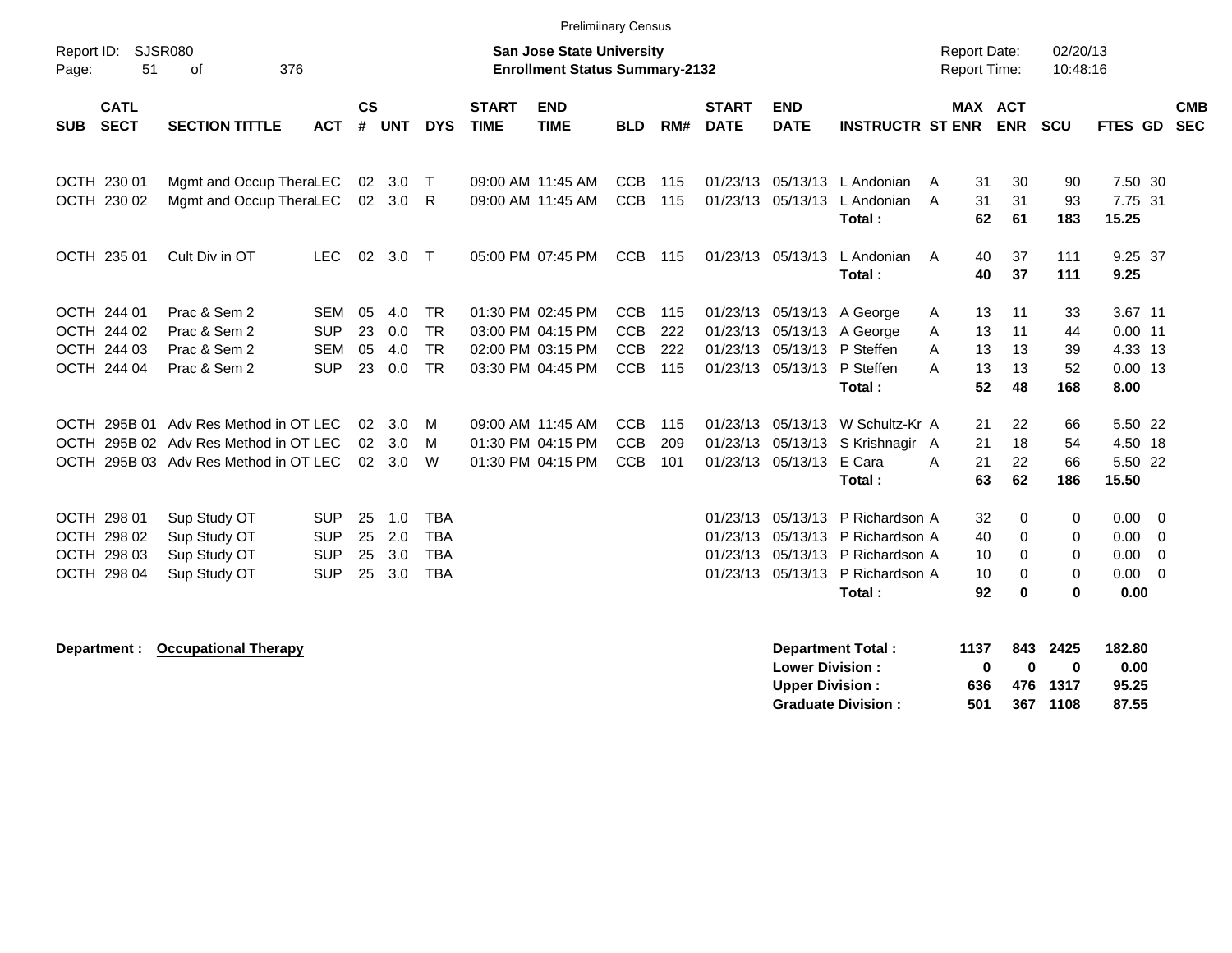| Report ID:                                               | <b>Prelimiinary Census</b><br>SJSR080<br><b>San Jose State University</b><br>376<br><b>Enrollment Status Summary-2132</b><br>οf |                                                      |                      |                          |                                                      |                             |                                                                                  |                                                      |                          |                                  |                                                    |                                                                                                                    |                                                |                                            | 02/20/13                    |                                                                  |                          |
|----------------------------------------------------------|---------------------------------------------------------------------------------------------------------------------------------|------------------------------------------------------|----------------------|--------------------------|------------------------------------------------------|-----------------------------|----------------------------------------------------------------------------------|------------------------------------------------------|--------------------------|----------------------------------|----------------------------------------------------|--------------------------------------------------------------------------------------------------------------------|------------------------------------------------|--------------------------------------------|-----------------------------|------------------------------------------------------------------|--------------------------|
| 51<br>Page:                                              |                                                                                                                                 |                                                      |                      |                          |                                                      |                             |                                                                                  |                                                      |                          |                                  |                                                    |                                                                                                                    | <b>Report Time:</b>                            |                                            | 10:48:16                    |                                                                  |                          |
| <b>CATL</b><br><b>SECT</b><br><b>SUB</b>                 | <b>SECTION TITTLE</b>                                                                                                           | <b>ACT</b>                                           | <b>CS</b><br>#       | <b>UNT</b>               | <b>DYS</b>                                           | <b>START</b><br><b>TIME</b> | <b>END</b><br><b>TIME</b>                                                        | <b>BLD</b>                                           | RM#                      | <b>START</b><br><b>DATE</b>      | <b>END</b><br><b>DATE</b>                          | <b>INSTRUCTR ST ENR</b>                                                                                            | MAX ACT                                        | <b>ENR</b>                                 | <b>SCU</b>                  | <b>FTES GD</b>                                                   | <b>CMB</b><br><b>SEC</b> |
| OCTH 230 01<br>OCTH 230 02                               | Mgmt and Occup TheraLEC<br>Mgmt and Occup TheraLEC                                                                              |                                                      | 02<br>02             | 3.0<br>3.0               | $\top$<br>R                                          |                             | 09:00 AM 11:45 AM<br>09:00 AM 11:45 AM                                           | <b>CCB</b><br>CCB                                    | 115<br>115               |                                  | 01/23/13 05/13/13<br>01/23/13 05/13/13             | L Andonian<br>L Andonian<br>Total:                                                                                 | 31<br>A<br>31<br>A<br>62                       | 30<br>31<br>61                             | 90<br>93<br>183             | 7.50 30<br>7.75 31<br>15.25                                      |                          |
| OCTH 235 01                                              | Cult Div in OT                                                                                                                  | <b>LEC</b>                                           | 02                   | 3.0                      | $\top$                                               |                             | 05:00 PM 07:45 PM                                                                | <b>CCB</b>                                           | 115                      |                                  | 01/23/13 05/13/13                                  | L Andonian<br>Total:                                                                                               | 40<br>A<br>40                                  | 37<br>37                                   | 111<br>111                  | 9.25 37<br>9.25                                                  |                          |
| OCTH 244 01<br>OCTH 244 02<br>OCTH 244 03<br>OCTH 244 04 | Prac & Sem 2<br>Prac & Sem 2<br>Prac & Sem 2<br>Prac & Sem 2                                                                    | <b>SEM</b><br><b>SUP</b><br><b>SEM</b><br><b>SUP</b> | 05<br>23<br>05<br>23 | 4.0<br>0.0<br>4.0<br>0.0 | <b>TR</b><br><b>TR</b><br><b>TR</b><br><b>TR</b>     |                             | 01:30 PM 02:45 PM<br>03:00 PM 04:15 PM<br>02:00 PM 03:15 PM<br>03:30 PM 04:45 PM | <b>CCB</b><br><b>CCB</b><br><b>CCB</b><br><b>CCB</b> | 115<br>222<br>222<br>115 | 01/23/13<br>01/23/13             | 05/13/13<br>01/23/13 05/13/13 P Steffen            | 01/23/13 05/13/13 A George<br>A George<br>05/13/13 P Steffen<br>Total:                                             | 13<br>A<br>13<br>A<br>13<br>A<br>13<br>А<br>52 | 11<br>11<br>13<br>13<br>48                 | 33<br>44<br>39<br>52<br>168 | 3.67 11<br>$0.00$ 11<br>4.33 13<br>$0.00$ 13<br>8.00             |                          |
|                                                          | OCTH 295B 01 Adv Res Method in OT LEC<br>OCTH 295B 02 Adv Res Method in OT LEC<br>OCTH 295B 03 Adv Res Method in OT LEC         |                                                      | 02<br>02<br>02       | 3.0<br>3.0<br>3.0        | M<br>M<br>W                                          |                             | 09:00 AM 11:45 AM<br>01:30 PM 04:15 PM<br>01:30 PM 04:15 PM                      | <b>CCB</b><br><b>CCB</b><br><b>CCB</b>               | 115<br>209<br>101        | 01/23/13                         | 01/23/13 05/13/13<br>05/13/13<br>01/23/13 05/13/13 | W Schultz-Kr A<br>S Krishnagir A<br>E Cara<br>Total:                                                               | 21<br>21<br>21<br>A<br>63                      | 22<br>18<br>22<br>62                       | 66<br>54<br>66<br>186       | 5.50 22<br>4.50 18<br>5.50 22<br>15.50                           |                          |
| OCTH 298 01<br>OCTH 298 02<br>OCTH 298 03<br>OCTH 298 04 | Sup Study OT<br>Sup Study OT<br>Sup Study OT<br>Sup Study OT                                                                    | <b>SUP</b><br><b>SUP</b><br><b>SUP</b><br><b>SUP</b> | 25<br>25<br>25<br>25 | 1.0<br>2.0<br>3.0<br>3.0 | <b>TBA</b><br><b>TBA</b><br><b>TBA</b><br><b>TBA</b> |                             |                                                                                  |                                                      |                          | 01/23/13<br>01/23/13<br>01/23/13 | 05/13/13                                           | 05/13/13 P Richardson A<br>P Richardson A<br>05/13/13 P Richardson A<br>01/23/13 05/13/13 P Richardson A<br>Total: | 32<br>40<br>10<br>10<br>92                     | $\Omega$<br>$\Omega$<br>0<br>0<br>$\bf{0}$ | 0<br>0<br>0<br>0<br>0       | $0.00 \t 0$<br>$0.00 \t 0$<br>$0.00 \t 0$<br>$0.00 \t 0$<br>0.00 |                          |

**Department : Occupational Therapy Department Total : 1137 843 2425 182.80 Lower Division : Upper Division : 636 476 1317 95.25 Graduate Division : 501 367 1108 87.55**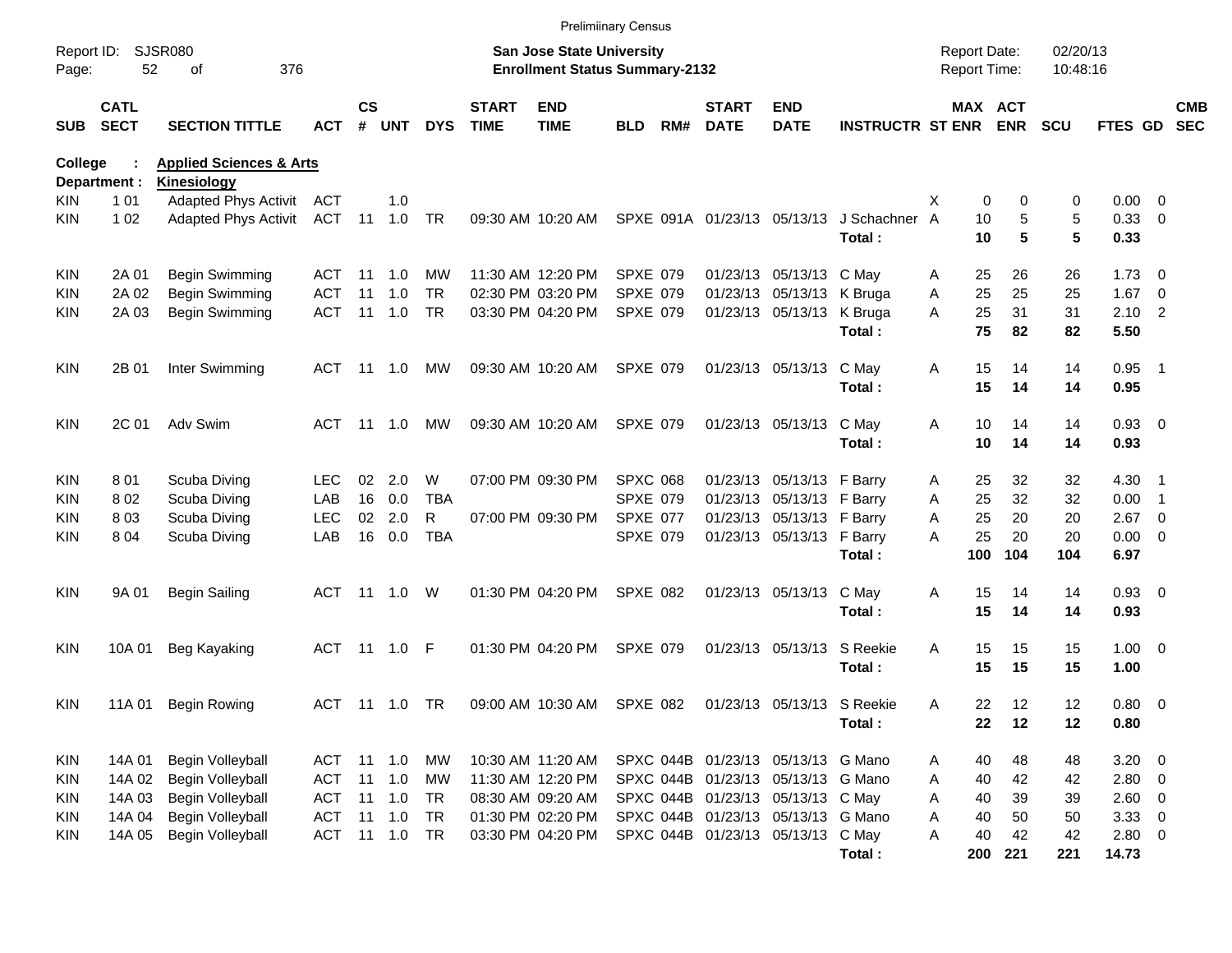|                     |                            |                                                   |            |                    |                |            |                             | <b>Prelimiinary Census</b>                                                |                 |     |                             |                                    |                         |                                     |                              |                      |                 |                          |                          |
|---------------------|----------------------------|---------------------------------------------------|------------|--------------------|----------------|------------|-----------------------------|---------------------------------------------------------------------------|-----------------|-----|-----------------------------|------------------------------------|-------------------------|-------------------------------------|------------------------------|----------------------|-----------------|--------------------------|--------------------------|
| Report ID:<br>Page: | 52                         | <b>SJSR080</b><br>376<br>оf                       |            |                    |                |            |                             | <b>San Jose State University</b><br><b>Enrollment Status Summary-2132</b> |                 |     |                             |                                    |                         | <b>Report Date:</b><br>Report Time: |                              | 02/20/13<br>10:48:16 |                 |                          |                          |
| SUB                 | <b>CATL</b><br><b>SECT</b> | <b>SECTION TITTLE</b>                             | <b>ACT</b> | $\mathsf{cs}$<br># | <b>UNT</b>     | <b>DYS</b> | <b>START</b><br><b>TIME</b> | <b>END</b><br><b>TIME</b>                                                 | <b>BLD</b>      | RM# | <b>START</b><br><b>DATE</b> | <b>END</b><br><b>DATE</b>          | <b>INSTRUCTR ST ENR</b> |                                     | <b>MAX ACT</b><br><b>ENR</b> | <b>SCU</b>           | <b>FTES GD</b>  |                          | <b>CMB</b><br><b>SEC</b> |
| <b>College</b>      |                            | <b>Applied Sciences &amp; Arts</b>                |            |                    |                |            |                             |                                                                           |                 |     |                             |                                    |                         |                                     |                              |                      |                 |                          |                          |
| KIN                 | Department :<br>1 0 1      | <b>Kinesiology</b><br><b>Adapted Phys Activit</b> | ACT        |                    | 1.0            |            |                             |                                                                           |                 |     |                             |                                    |                         | X                                   | $\mathbf 0$<br>0             | 0                    | $0.00 \t 0$     |                          |                          |
| KIN                 | 1 0 2                      | <b>Adapted Phys Activit</b>                       | ACT 11     |                    | 1.0            | TR         |                             | 09:30 AM 10:20 AM                                                         |                 |     |                             | SPXE 091A 01/23/13 05/13/13        | J Schachner A           | 10                                  | 5                            | 5                    | 0.33 0          |                          |                          |
|                     |                            |                                                   |            |                    |                |            |                             |                                                                           |                 |     |                             |                                    | Total:                  | 10                                  | 5                            | 5                    | 0.33            |                          |                          |
| KIN                 | 2A 01                      | Begin Swimming                                    | ACT        |                    | $11 \quad 1.0$ | МW         |                             | 11:30 AM 12:20 PM                                                         | <b>SPXE 079</b> |     |                             | 01/23/13 05/13/13 C May            |                         | 25<br>Α                             | 26                           | 26                   | $1.73 \t 0$     |                          |                          |
| KIN                 | 2A 02                      | Begin Swimming                                    | ACT        | 11                 | 1.0            | <b>TR</b>  |                             | 02:30 PM 03:20 PM                                                         | <b>SPXE 079</b> |     |                             | 01/23/13 05/13/13 K Bruga          |                         | 25<br>Α                             | 25                           | 25                   | 1.67            | $\overline{\phantom{0}}$ |                          |
| KIN                 | 2A 03                      | Begin Swimming                                    | <b>ACT</b> |                    | 11 1.0         | <b>TR</b>  |                             | 03:30 PM 04:20 PM                                                         | <b>SPXE 079</b> |     |                             | 01/23/13 05/13/13 K Bruga          |                         | 25<br>Α                             | 31                           | 31                   | $2.10$ 2        |                          |                          |
|                     |                            |                                                   |            |                    |                |            |                             |                                                                           |                 |     |                             |                                    | Total:                  | 75                                  | 82                           | 82                   | 5.50            |                          |                          |
| KIN                 | 2B 01                      | Inter Swimming                                    | <b>ACT</b> |                    | 11 1.0         | МW         |                             | 09:30 AM 10:20 AM                                                         | <b>SPXE 079</b> |     |                             | 01/23/13 05/13/13                  | C May                   | 15<br>Α                             | 14                           | 14                   | $0.95$ 1        |                          |                          |
|                     |                            |                                                   |            |                    |                |            |                             |                                                                           |                 |     |                             |                                    | Total:                  | 15                                  | 14                           | 14                   | 0.95            |                          |                          |
| <b>KIN</b>          | 2C 01                      | Adv Swim                                          | ACT        |                    | 11 1.0         | МW         |                             | 09:30 AM 10:20 AM                                                         | <b>SPXE 079</b> |     |                             | 01/23/13 05/13/13                  | C May                   | Α<br>10                             | 14                           | 14                   | 0.93 0          |                          |                          |
|                     |                            |                                                   |            |                    |                |            |                             |                                                                           |                 |     |                             |                                    | Total:                  | 10                                  | 14                           | 14                   | 0.93            |                          |                          |
| KIN                 | 801                        | Scuba Diving                                      | LEC.       | 02                 | 2.0            | W          |                             | 07:00 PM 09:30 PM                                                         | <b>SPXC 068</b> |     |                             | 01/23/13 05/13/13 F Barry          |                         | 25<br>Α                             | 32                           | 32                   | 4.30 1          |                          |                          |
| KIN                 | 802                        | Scuba Diving                                      | LAB        | 16                 | 0.0            | <b>TBA</b> |                             |                                                                           | <b>SPXE 079</b> |     |                             | 01/23/13 05/13/13 F Barry          |                         | 25<br>Α                             | 32                           | 32                   | 0.00            | $\overline{\phantom{0}}$ |                          |
| KIN                 | 803                        | Scuba Diving                                      | <b>LEC</b> | 02                 | 2.0            | R          |                             | 07:00 PM 09:30 PM                                                         | <b>SPXE 077</b> |     |                             | 01/23/13 05/13/13 F Barry          |                         | 25<br>Α                             | 20                           | 20                   | $2.67$ 0        |                          |                          |
| KIN                 | 804                        | Scuba Diving                                      | LAB        | 16                 | 0.0            | <b>TBA</b> |                             |                                                                           | <b>SPXE 079</b> |     |                             | 01/23/13 05/13/13 F Barry          |                         | 25<br>А                             | 20                           | 20                   | $0.00 \t 0$     |                          |                          |
|                     |                            |                                                   |            |                    |                |            |                             |                                                                           |                 |     |                             |                                    | Total:                  | 100                                 | 104                          | 104                  | 6.97            |                          |                          |
| KIN                 | 9A 01                      | <b>Begin Sailing</b>                              | <b>ACT</b> |                    | 11  1.0        | W          |                             | 01:30 PM 04:20 PM                                                         | <b>SPXE 082</b> |     |                             | 01/23/13 05/13/13                  | C May                   | 15<br>Α                             | 14                           | 14                   | 0.93 0          |                          |                          |
|                     |                            |                                                   |            |                    |                |            |                             |                                                                           |                 |     |                             |                                    | Total:                  | 15                                  | 14                           | 14                   | 0.93            |                          |                          |
| KIN                 | 10A 01                     | Beg Kayaking                                      | <b>ACT</b> |                    | 11  1.0        | F          |                             | 01:30 PM 04:20 PM                                                         | <b>SPXE 079</b> |     |                             | 01/23/13 05/13/13                  | S Reekie                | Α<br>15                             | 15                           | 15                   | $1.00 \t 0$     |                          |                          |
|                     |                            |                                                   |            |                    |                |            |                             |                                                                           |                 |     |                             |                                    | Total:                  | 15                                  | 15                           | 15                   | 1.00            |                          |                          |
| KIN                 | 11A 01                     | <b>Begin Rowing</b>                               | <b>ACT</b> |                    | 11 1.0         | - TR       |                             | 09:00 AM 10:30 AM                                                         | <b>SPXE 082</b> |     |                             | 01/23/13 05/13/13 S Reekie         |                         | Α<br>22                             | 12                           | 12                   | $0.80 \ 0$      |                          |                          |
|                     |                            |                                                   |            |                    |                |            |                             |                                                                           |                 |     |                             |                                    | Total:                  | 22                                  | 12                           | 12                   | 0.80            |                          |                          |
| <b>KIN</b>          | 14A 01                     | Begin Volleyball                                  | ACT 11 1.0 |                    |                | MW         |                             | 10:30 AM 11:20 AM                                                         |                 |     |                             | SPXC 044B 01/23/13 05/13/13 G Mano |                         | 40<br>A                             | 48                           | 48                   | $3.20 \ 0$      |                          |                          |
| <b>KIN</b>          | 14A 02                     | Begin Volleyball                                  | ACT        |                    | $11 \t 1.0$    | MW         |                             | 11:30 AM 12:20 PM                                                         |                 |     |                             | SPXC 044B 01/23/13 05/13/13 G Mano |                         | 40<br>Α                             | 42                           | 42                   | 2.80 0          |                          |                          |
| <b>KIN</b>          | 14A 03                     | Begin Volleyball                                  | <b>ACT</b> |                    | $11 \quad 1.0$ | TR         |                             | 08:30 AM 09:20 AM                                                         |                 |     |                             | SPXC 044B 01/23/13 05/13/13 C May  |                         | 40<br>A                             | 39                           | 39                   | 2.60 0          |                          |                          |
| <b>KIN</b>          | 14A 04                     | Begin Volleyball                                  | <b>ACT</b> |                    | $11 \quad 1.0$ | <b>TR</b>  |                             | 01:30 PM 02:20 PM                                                         |                 |     |                             | SPXC 044B 01/23/13 05/13/13 G Mano |                         | 40<br>A                             | 50                           | 50                   | 3.3300          |                          |                          |
| KIN.                | 14A 05                     | Begin Volleyball                                  |            |                    | ACT 11 1.0 TR  |            |                             | 03:30 PM 04:20 PM                                                         |                 |     |                             | SPXC 044B 01/23/13 05/13/13 C May  | Total:                  | 40<br>A<br>200                      | 42<br>221                    | 42<br>221            | 2.80 0<br>14.73 |                          |                          |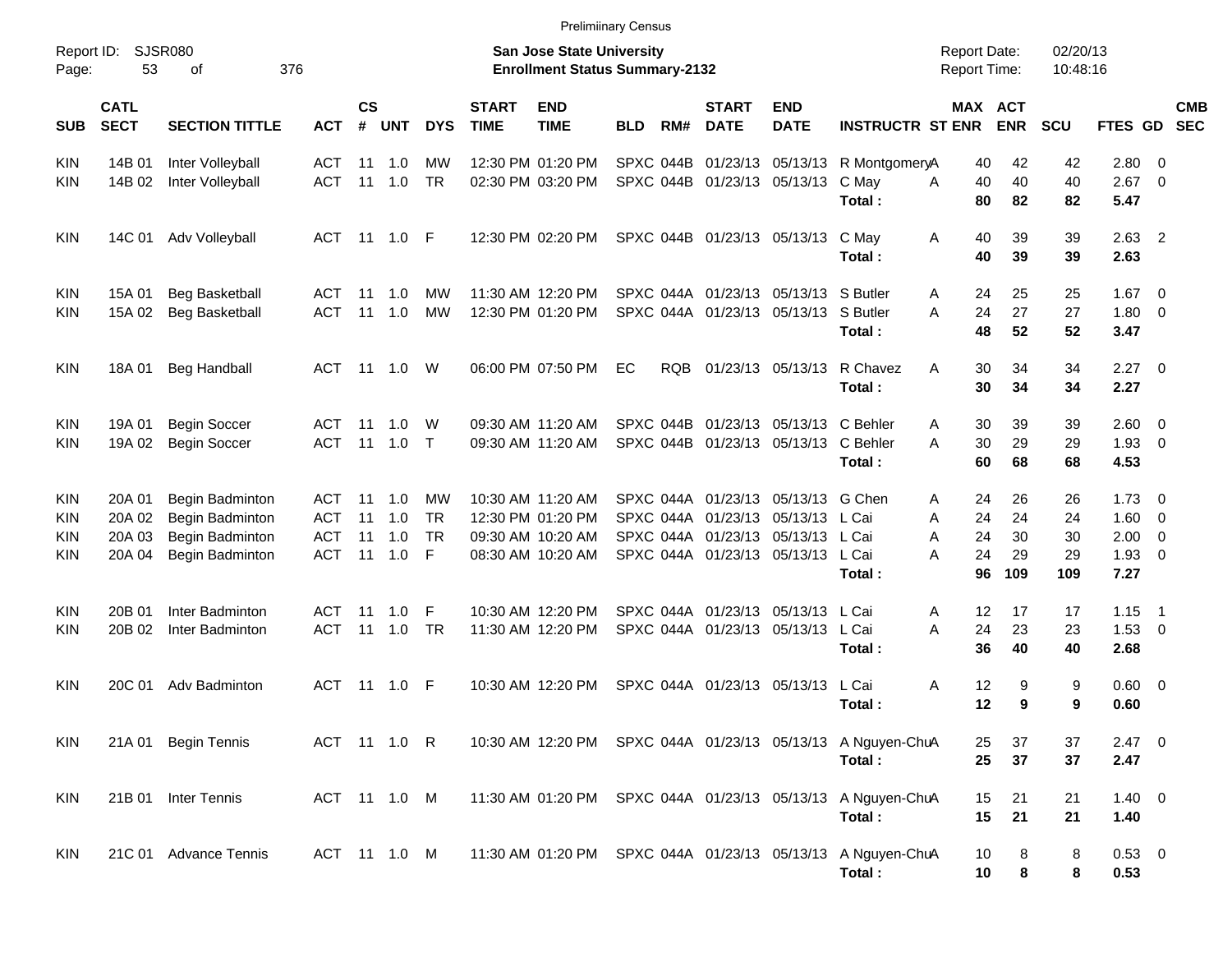| <b>Prelimiinary Census</b> |
|----------------------------|
|                            |

| Report ID:<br>Page:             | 53                                   | <b>SJSR080</b><br>οf                                                     | 376                                           |                       |                          |                                   |                             | <b>San Jose State University</b><br><b>Enrollment Status Summary-2132</b>        |            |            |                                                                                                                |                             |                                                                       | <b>Report Date:</b><br><b>Report Time:</b> |                             | 02/20/13<br>10:48:16        |                                      |                                                                        |                          |
|---------------------------------|--------------------------------------|--------------------------------------------------------------------------|-----------------------------------------------|-----------------------|--------------------------|-----------------------------------|-----------------------------|----------------------------------------------------------------------------------|------------|------------|----------------------------------------------------------------------------------------------------------------|-----------------------------|-----------------------------------------------------------------------|--------------------------------------------|-----------------------------|-----------------------------|--------------------------------------|------------------------------------------------------------------------|--------------------------|
| <b>SUB</b>                      | <b>CATL</b><br><b>SECT</b>           | <b>SECTION TITTLE</b>                                                    | <b>ACT</b>                                    | $\mathsf{cs}$<br>$\#$ | <b>UNT</b>               | <b>DYS</b>                        | <b>START</b><br><b>TIME</b> | <b>END</b><br><b>TIME</b>                                                        | <b>BLD</b> | RM#        | <b>START</b><br><b>DATE</b>                                                                                    | <b>END</b><br><b>DATE</b>   | <b>INSTRUCTR ST ENR</b>                                               | MAX ACT                                    | <b>ENR</b>                  | SCU                         | FTES GD                              |                                                                        | <b>CMB</b><br><b>SEC</b> |
| <b>KIN</b><br><b>KIN</b>        | 14B 01<br>14B 02                     | Inter Volleyball<br>Inter Volleyball                                     | ACT<br><b>ACT</b>                             | 11<br>11              | 1.0<br>1.0               | MW<br><b>TR</b>                   |                             | 12:30 PM 01:20 PM<br>02:30 PM 03:20 PM                                           |            |            | SPXC 044B 01/23/13 05/13/13<br>SPXC 044B 01/23/13 05/13/13                                                     |                             | R MontgomeryA<br>C May<br>Total:                                      | 40<br>40<br>A<br>80                        | 42<br>40<br>82              | 42<br>40<br>82              | 2.80<br>2.67<br>5.47                 | - 0<br>$\overline{0}$                                                  |                          |
| <b>KIN</b>                      | 14C 01                               | Adv Volleyball                                                           | ACT                                           |                       | 11  1.0                  | - F                               |                             | 12:30 PM 02:20 PM                                                                |            |            | SPXC 044B 01/23/13 05/13/13                                                                                    |                             | C May<br>Total:                                                       | Α<br>40<br>40                              | 39<br>39                    | 39<br>39                    | $2.63$ 2<br>2.63                     |                                                                        |                          |
| <b>KIN</b><br>KIN               | 15A 01<br>15A 02                     | <b>Beg Basketball</b><br><b>Beg Basketball</b>                           | ACT<br><b>ACT</b>                             | -11<br>11             | 1.0<br>1.0               | MW<br><b>MW</b>                   |                             | 11:30 AM 12:20 PM<br>12:30 PM 01:20 PM                                           |            |            | SPXC 044A 01/23/13 05/13/13                                                                                    | SPXC 044A 01/23/13 05/13/13 | S Butler<br>S Butler<br>A<br>Total:                                   | 24<br>A<br>24<br>48                        | 25<br>27<br>52              | 25<br>27<br>52              | 1.67<br>1.80<br>3.47                 | - 0<br>$\mathbf 0$                                                     |                          |
| <b>KIN</b>                      | 18A 01                               | <b>Beg Handball</b>                                                      | ACT                                           | - 11                  | 1.0                      | W                                 |                             | 06:00 PM 07:50 PM                                                                | EC         | <b>RQB</b> | 01/23/13 05/13/13                                                                                              |                             | R Chavez<br>Α<br>Total:                                               | 30<br>30                                   | 34<br>34                    | 34<br>34                    | 2.27<br>2.27                         | $\overline{\phantom{0}}$                                               |                          |
| <b>KIN</b><br>KIN               | 19A 01<br>19A 02                     | <b>Begin Soccer</b><br><b>Begin Soccer</b>                               | ACT<br><b>ACT</b>                             | -11<br>11             | 1.0<br>1.0               | W<br>$\top$                       |                             | 09:30 AM 11:20 AM<br>09:30 AM 11:20 AM                                           |            |            | SPXC 044B 01/23/13 05/13/13                                                                                    | SPXC 044B 01/23/13 05/13/13 | C Behler<br>Α<br>C Behler<br>A<br>Total:                              | 30<br>30<br>60                             | 39<br>29<br>68              | 39<br>29<br>68              | 2.60<br>1.93<br>4.53                 | $\overline{\mathbf{0}}$<br>$\overline{0}$                              |                          |
| <b>KIN</b><br>KIN<br>KIN<br>KIN | 20A 01<br>20A 02<br>20A 03<br>20A 04 | Begin Badminton<br>Begin Badminton<br>Begin Badminton<br>Begin Badminton | ACT<br><b>ACT</b><br><b>ACT</b><br><b>ACT</b> | 11<br>11<br>11<br>11  | 1.0<br>1.0<br>1.0<br>1.0 | MW<br><b>TR</b><br><b>TR</b><br>F |                             | 10:30 AM 11:20 AM<br>12:30 PM 01:20 PM<br>09:30 AM 10:20 AM<br>08:30 AM 10:20 AM |            | SPXC 044A  | SPXC 044A 01/23/13 05/13/13<br>01/23/13 05/13/13<br>SPXC 044A 01/23/13 05/13/13<br>SPXC 044A 01/23/13 05/13/13 |                             | G Chen<br>Α<br>L Cai<br>A<br>L Cai<br>Α<br>L Cai<br>Α<br>Total:       | 24<br>24<br>24<br>24<br>96                 | 26<br>24<br>30<br>29<br>109 | 26<br>24<br>30<br>29<br>109 | 1.73<br>1.60<br>2.00<br>1.93<br>7.27 | $\overline{\mathbf{0}}$<br>0<br>$\mathbf 0$<br>$\overline{\mathbf{0}}$ |                          |
| <b>KIN</b><br>KIN               | 20B 01<br>20B 02                     | Inter Badminton<br>Inter Badminton                                       | ACT<br><b>ACT</b>                             | -11<br>11             | 1.0<br>1.0               | F<br><b>TR</b>                    |                             | 10:30 AM 12:20 PM<br>11:30 AM 12:20 PM                                           |            | SPXC 044A  | SPXC 044A 01/23/13 05/13/13<br>01/23/13 05/13/13                                                               |                             | L Cai<br>Α<br>L Cai<br>A<br>Total:                                    | 12<br>24<br>36                             | 17<br>23<br>40              | 17<br>23<br>40              | 1.15<br>$1.53 \t 0$<br>2.68          | - 1                                                                    |                          |
| <b>KIN</b>                      | 20C 01                               | Adv Badminton                                                            | ACT                                           | -11                   | 1.0                      | -F                                |                             | 10:30 AM 12:20 PM                                                                |            |            | SPXC 044A 01/23/13 05/13/13                                                                                    |                             | L Cai<br>Total:                                                       | Α<br>12<br>12                              | 9<br>9                      | 9<br>9                      | $0.60 \quad 0$<br>0.60               |                                                                        |                          |
| <b>KIN</b>                      |                                      | 21A 01 Begin Tennis                                                      |                                               |                       | ACT 11 1.0 R             |                                   |                             |                                                                                  |            |            |                                                                                                                |                             | 10:30 AM 12:20 PM SPXC 044A 01/23/13 05/13/13 A Nguyen-ChuA<br>Total: | 25<br>25                                   | 37<br>37                    | 37<br>37                    | $2.47 \t 0$<br>2.47                  |                                                                        |                          |
| KIN                             |                                      | 21B 01 Inter Tennis                                                      | ACT 11 1.0 M                                  |                       |                          |                                   |                             |                                                                                  |            |            |                                                                                                                |                             | 11:30 AM 01:20 PM SPXC 044A 01/23/13 05/13/13 A Nguyen-ChuA<br>Total: | 15<br>15                                   | 21<br>21                    | 21<br>21                    | $1.40 \ 0$<br>1.40                   |                                                                        |                          |
| KIN                             |                                      | 21C 01 Advance Tennis                                                    | ACT 11 1.0 M                                  |                       |                          |                                   |                             |                                                                                  |            |            |                                                                                                                |                             | 11:30 AM 01:20 PM SPXC 044A 01/23/13 05/13/13 A Nguyen-ChuA<br>Total: | 10<br>10                                   | 8<br>8                      | 8<br>8                      | $0.53$ 0<br>0.53                     |                                                                        |                          |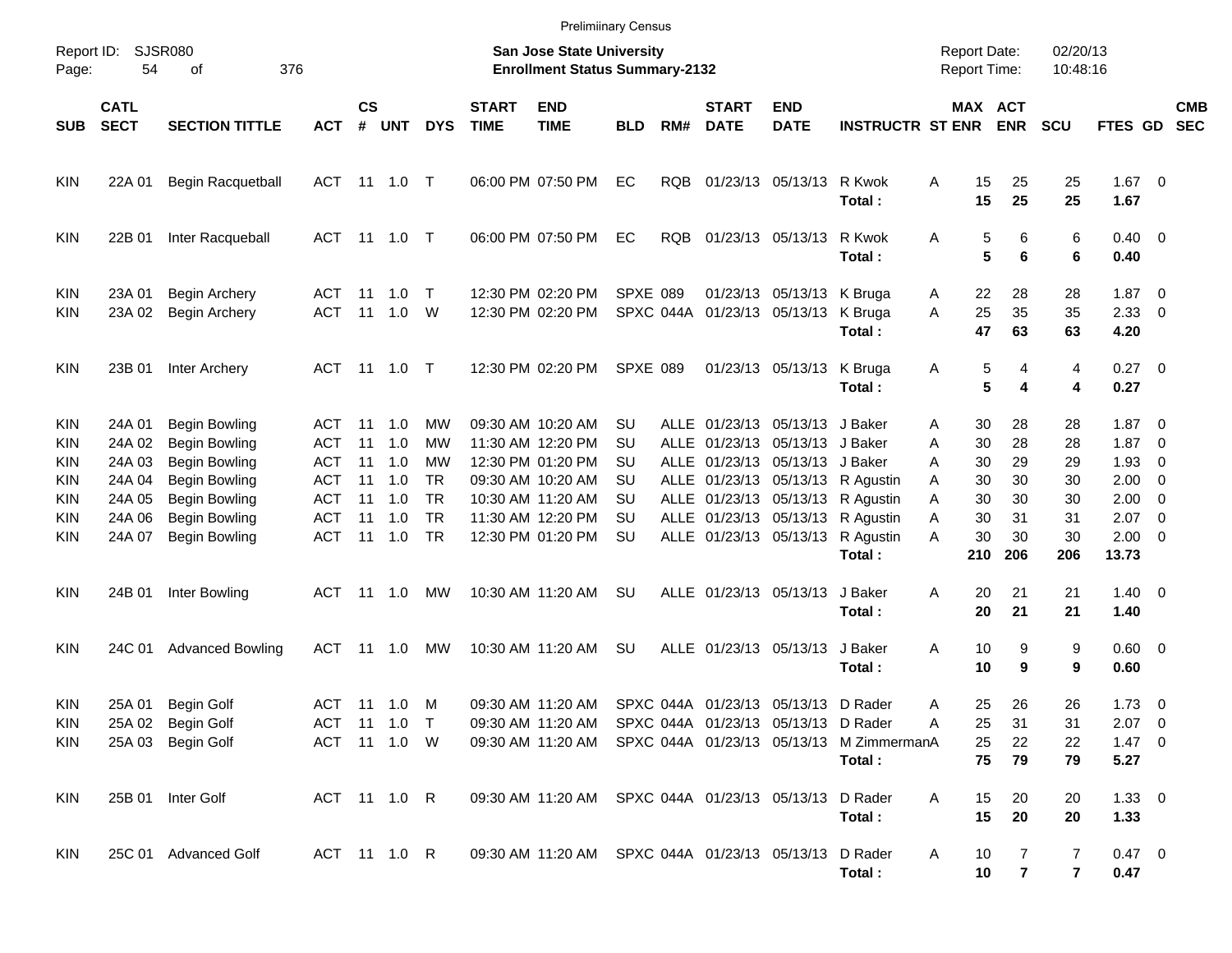|                                               |                                      |                                                                                              |                                            |                    |                                 |                              |                             |                                                                                                 | <b>Prelimiinary Census</b> |            |                             |                                                                                                    |                                                                      |                                            |                       |                       |                                                 |                          |                          |
|-----------------------------------------------|--------------------------------------|----------------------------------------------------------------------------------------------|--------------------------------------------|--------------------|---------------------------------|------------------------------|-----------------------------|-------------------------------------------------------------------------------------------------|----------------------------|------------|-----------------------------|----------------------------------------------------------------------------------------------------|----------------------------------------------------------------------|--------------------------------------------|-----------------------|-----------------------|-------------------------------------------------|--------------------------|--------------------------|
| Page:                                         | Report ID: SJSR080<br>54             | 376<br>оf                                                                                    |                                            |                    |                                 |                              |                             | San Jose State University<br><b>Enrollment Status Summary-2132</b>                              |                            |            |                             |                                                                                                    |                                                                      | <b>Report Date:</b><br><b>Report Time:</b> |                       | 02/20/13<br>10:48:16  |                                                 |                          |                          |
| SUB                                           | <b>CATL</b><br><b>SECT</b>           | <b>SECTION TITTLE</b>                                                                        | <b>ACT</b>                                 | $\mathsf{cs}$<br># | <b>UNT</b>                      | <b>DYS</b>                   | <b>START</b><br><b>TIME</b> | <b>END</b><br><b>TIME</b>                                                                       | <b>BLD</b>                 | RM#        | <b>START</b><br><b>DATE</b> | <b>END</b><br><b>DATE</b>                                                                          | <b>INSTRUCTR ST ENR</b>                                              |                                            | MAX ACT<br><b>ENR</b> | <b>SCU</b>            | <b>FTES GD</b>                                  |                          | <b>CMB</b><br><b>SEC</b> |
| <b>KIN</b>                                    | 22A 01                               | Begin Racquetball                                                                            | ACT 11 1.0 T                               |                    |                                 |                              |                             | 06:00 PM 07:50 PM                                                                               | EC                         | <b>RQB</b> |                             | 01/23/13 05/13/13                                                                                  | R Kwok<br>Total:                                                     | 15<br>A<br>15                              | 25<br>25              | 25<br>25              | $1.67$ 0<br>1.67                                |                          |                          |
| <b>KIN</b>                                    | 22B 01                               | Inter Racqueball                                                                             | ACT 11 1.0 T                               |                    |                                 |                              |                             | 06:00 PM 07:50 PM                                                                               | EC                         | <b>RQB</b> |                             | 01/23/13 05/13/13                                                                                  | R Kwok<br>Total:                                                     | Α                                          | 5<br>6<br>5<br>6      | 6<br>6                | $0.40 \quad 0$<br>0.40                          |                          |                          |
| <b>KIN</b><br><b>KIN</b>                      | 23A 01<br>23A 02                     | <b>Begin Archery</b><br><b>Begin Archery</b>                                                 | ACT 11<br><b>ACT</b>                       |                    | 1.0<br>11  1.0                  | $\top$<br>W                  |                             | 12:30 PM 02:20 PM<br>12:30 PM 02:20 PM                                                          | <b>SPXE 089</b>            |            |                             | 01/23/13 05/13/13 K Bruga<br>SPXC 044A 01/23/13 05/13/13                                           | K Bruga<br>Total:                                                    | 22<br>A<br>25<br>A<br>47                   | 28<br>35<br>63        | 28<br>35<br>63        | $1.87 \t 0$<br>2.3300<br>4.20                   |                          |                          |
| <b>KIN</b>                                    | 23B 01                               | Inter Archery                                                                                | ACT 11 1.0 T                               |                    |                                 |                              |                             | 12:30 PM 02:20 PM                                                                               | SPXE 089                   |            |                             | 01/23/13 05/13/13                                                                                  | K Bruga<br>Total:                                                    | A                                          | 5<br>4<br>5<br>4      | 4<br>4                | $0.27$ 0<br>0.27                                |                          |                          |
| <b>KIN</b><br><b>KIN</b><br><b>KIN</b>        | 24A 01<br>24A 02<br>24A 03<br>24A 04 | <b>Begin Bowling</b><br><b>Begin Bowling</b><br><b>Begin Bowling</b>                         | ACT<br>ACT<br>ACT<br>ACT                   | 11<br>11<br>11     | 11 1.0<br>1.0<br>1.0<br>1.0     | MW<br>МW<br>МW<br><b>TR</b>  |                             | 09:30 AM 10:20 AM<br>11:30 AM 12:20 PM<br>12:30 PM 01:20 PM<br>09:30 AM 10:20 AM                | SU<br>SU<br>SU<br>SU       |            |                             | ALLE 01/23/13 05/13/13 J Baker<br>ALLE 01/23/13 05/13/13 J Baker<br>ALLE 01/23/13 05/13/13 J Baker | ALLE 01/23/13 05/13/13 R Agustin                                     | 30<br>Α<br>30<br>Α<br>30<br>A<br>30        | 28<br>28<br>29<br>30  | 28<br>28<br>29<br>30  | $1.87 \ 0$<br>$1.87 \ 0$<br>1.93<br>$2.00 \t 0$ | $\overline{\phantom{0}}$ |                          |
| <b>KIN</b><br><b>KIN</b><br><b>KIN</b><br>KIN | 24A 05<br>24A 06<br>24A 07           | <b>Begin Bowling</b><br><b>Begin Bowling</b><br><b>Begin Bowling</b><br><b>Begin Bowling</b> | <b>ACT</b><br><b>ACT</b><br><b>ACT</b>     | 11                 | $11 \quad 1.0$<br>1.0<br>11 1.0 | <b>TR</b><br><b>TR</b><br>TR |                             | 10:30 AM 11:20 AM<br>11:30 AM 12:20 PM<br>12:30 PM 01:20 PM                                     | SU<br>SU<br>SU             |            |                             | ALLE 01/23/13 05/13/13<br>ALLE 01/23/13 05/13/13                                                   | ALLE 01/23/13 05/13/13 R Agustin<br>R Agustin<br>R Agustin<br>Total: | A<br>30<br>Α<br>30<br>Α<br>30<br>А<br>210  | 30<br>31<br>30<br>206 | 30<br>31<br>30<br>206 | $2.00 \t 0$<br>$2.07$ 0<br>$2.00 \t 0$<br>13.73 |                          |                          |
| <b>KIN</b>                                    | 24B 01                               | Inter Bowling                                                                                | ACT 11 1.0                                 |                    |                                 | МW                           |                             | 10:30 AM 11:20 AM                                                                               | SU                         |            | ALLE 01/23/13 05/13/13      |                                                                                                    | J Baker<br>Total:                                                    | 20<br>Α<br>20                              | 21<br>21              | 21<br>21              | $1.40 \ 0$<br>1.40                              |                          |                          |
| <b>KIN</b>                                    | 24C 01                               | <b>Advanced Bowling</b>                                                                      | ACT                                        |                    | 11 1.0                          | МW                           |                             | 10:30 AM 11:20 AM                                                                               | SU                         |            | ALLE 01/23/13 05/13/13      |                                                                                                    | J Baker<br>Total:                                                    | Α<br>10<br>10                              | 9<br>9                | 9<br>9                | $0.60 \quad 0$<br>0.60                          |                          |                          |
| <b>KIN</b><br>KIN<br>KIN.                     | 25A 01                               | <b>Begin Golf</b><br>25A 02 Begin Golf<br>25A 03 Begin Golf                                  | ACT 11 1.0<br>ACT 11 1.0 T<br>ACT 11 1.0 W |                    |                                 | M                            |                             | 09:30 AM 11:20 AM<br>09:30 AM 11:20 AM SPXC 044A 01/23/13 05/13/13 D Rader<br>09:30 AM 11:20 AM |                            |            |                             | SPXC 044A 01/23/13 05/13/13 D Rader                                                                | SPXC 044A 01/23/13 05/13/13 M ZimmermanA<br>Total:                   | 25<br>A<br>25<br>25<br>75                  | 26<br>31<br>22<br>79  | 26<br>31<br>22<br>79  | $1.73 \t 0$<br>$2.07$ 0<br>$1.47 \ 0$<br>5.27   |                          |                          |
| KIN                                           |                                      | 25B 01 Inter Golf                                                                            | ACT 11 1.0 R                               |                    |                                 |                              |                             | 09:30 AM 11:20 AM SPXC 044A 01/23/13 05/13/13                                                   |                            |            |                             |                                                                                                    | D Rader<br>Total:                                                    | 15<br>A<br>15                              | 20<br>20              | 20<br>20              | $1.33 \ 0$<br>1.33                              |                          |                          |
| <b>KIN</b>                                    |                                      | 25C 01 Advanced Golf                                                                         | ACT 11 1.0 R                               |                    |                                 |                              |                             | 09:30 AM 11:20 AM SPXC 044A 01/23/13 05/13/13 D Rader                                           |                            |            |                             |                                                                                                    | Total:                                                               | 10<br>A<br>10                              | 7<br>$\overline{7}$   | 7<br>$\mathbf{7}$     | 0.47 0<br>0.47                                  |                          |                          |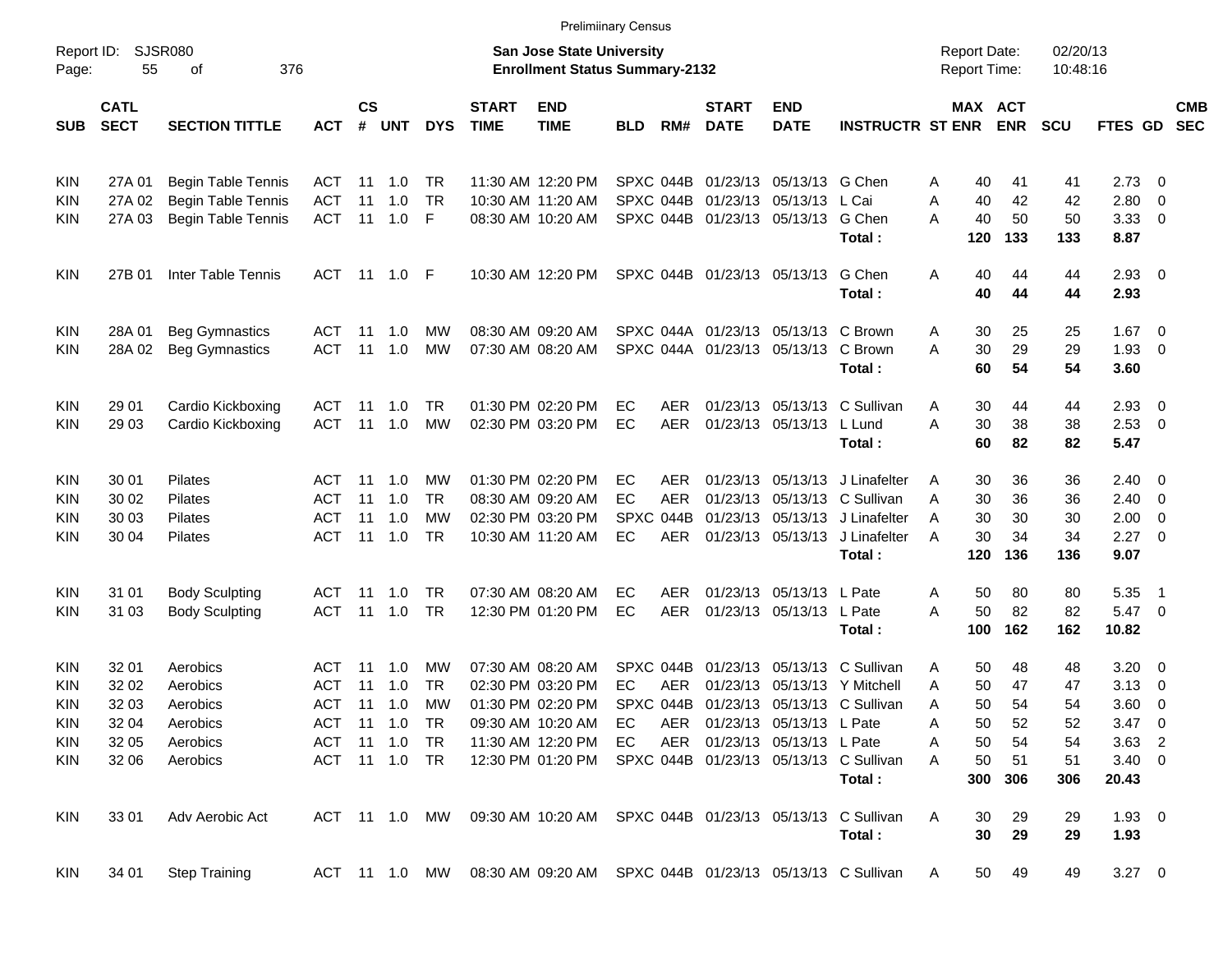| <b>Prelimiinary Census</b> |  |
|----------------------------|--|
|                            |  |

| Report ID:<br>Page: | 55                         | <b>SJSR080</b><br>376<br>οf |               |                    |               |               |                             | <b>San Jose State University</b><br><b>Enrollment Status Summary-2132</b> |            |            |                             |                              |                                                                        | <b>Report Date:</b><br><b>Report Time:</b> |                       | 02/20/13<br>10:48:16 |                     |                          |                          |
|---------------------|----------------------------|-----------------------------|---------------|--------------------|---------------|---------------|-----------------------------|---------------------------------------------------------------------------|------------|------------|-----------------------------|------------------------------|------------------------------------------------------------------------|--------------------------------------------|-----------------------|----------------------|---------------------|--------------------------|--------------------------|
| <b>SUB</b>          | <b>CATL</b><br><b>SECT</b> | <b>SECTION TITTLE</b>       | <b>ACT</b>    | $\mathsf{cs}$<br># | <b>UNT</b>    | <b>DYS</b>    | <b>START</b><br><b>TIME</b> | <b>END</b><br><b>TIME</b>                                                 | <b>BLD</b> | RM#        | <b>START</b><br><b>DATE</b> | <b>END</b><br><b>DATE</b>    | <b>INSTRUCTR ST ENR</b>                                                |                                            | MAX ACT<br><b>ENR</b> | <b>SCU</b>           | FTES GD             |                          | <b>CMB</b><br><b>SEC</b> |
| KIN                 | 27A 01                     | <b>Begin Table Tennis</b>   | <b>ACT</b>    | -11                | 1.0           | TR            |                             | 11:30 AM 12:20 PM                                                         |            |            |                             | SPXC 044B 01/23/13 05/13/13  | G Chen                                                                 | A                                          | 41<br>40              | 41                   | 2.73                | $\overline{\phantom{0}}$ |                          |
| KIN                 | 27A 02                     | <b>Begin Table Tennis</b>   | <b>ACT</b>    | 11                 | 1.0           | <b>TR</b>     |                             | 10:30 AM 11:20 AM                                                         |            | SPXC 044B  |                             | 01/23/13 05/13/13            | L Cai                                                                  | Α<br>40                                    | 42                    | 42                   | 2.80                | 0                        |                          |
| KIN                 | 27A 03                     | <b>Begin Table Tennis</b>   | <b>ACT</b>    | 11                 | 1.0           | F             |                             | 08:30 AM 10:20 AM                                                         |            |            |                             | SPXC 044B 01/23/13 05/13/13  | G Chen<br>Total:                                                       | A<br>40<br>120                             | 50<br>133             | 50<br>133            | 3.33<br>8.87        | $\overline{\mathbf{0}}$  |                          |
| <b>KIN</b>          | 27B 01                     | Inter Table Tennis          | <b>ACT</b>    | 11                 | 1.0           | -F            |                             | 10:30 AM 12:20 PM                                                         |            |            | SPXC 044B 01/23/13 05/13/13 |                              | G Chen<br>Total:                                                       | Α<br>40<br>40                              | 44<br>44              | 44<br>44             | $2.93$ 0<br>2.93    |                          |                          |
| KIN                 | 28A 01                     | <b>Beg Gymnastics</b>       | <b>ACT</b>    | -11                | 1.0           | МW            |                             | 08:30 AM 09:20 AM                                                         |            |            |                             | SPXC 044A 01/23/13 05/13/13  | C Brown                                                                | 30<br>A                                    | 25                    | 25                   | 1.67                | $\overline{\phantom{0}}$ |                          |
| KIN                 | 28A 02                     | <b>Beg Gymnastics</b>       | <b>ACT</b>    | 11                 | 1.0           | <b>MW</b>     |                             | 07:30 AM 08:20 AM                                                         |            |            |                             | SPXC 044A 01/23/13 05/13/13  | C Brown                                                                | 30<br>Α                                    | 29                    | 29                   | 1.93                | $\overline{\mathbf{0}}$  |                          |
|                     |                            |                             |               |                    |               |               |                             |                                                                           |            |            |                             |                              | Total:                                                                 | 60                                         | 54                    | 54                   | 3.60                |                          |                          |
| KIN                 | 29 01                      | Cardio Kickboxing           | <b>ACT</b>    | -11                | 1.0           | TR            |                             | 01:30 PM 02:20 PM                                                         | EC         | <b>AER</b> |                             | 01/23/13 05/13/13            | C Sullivan                                                             | 30<br>A                                    | 44                    | 44                   | 2.93                | $\overline{\phantom{0}}$ |                          |
| KIN                 | 29 03                      | Cardio Kickboxing           | <b>ACT</b>    | 11                 | 1.0           | <b>MW</b>     |                             | 02:30 PM 03:20 PM                                                         | EC         | <b>AER</b> |                             | 01/23/13 05/13/13            | L Lund                                                                 | 30<br>Α                                    | 38                    | 38                   | 2.53                | $\overline{\mathbf{0}}$  |                          |
|                     |                            |                             |               |                    |               |               |                             |                                                                           |            |            |                             |                              | Total:                                                                 | 60                                         | 82                    | 82                   | 5.47                |                          |                          |
| KIN                 | 30 01                      | Pilates                     | ACT           | -11                | 1.0           | МW            |                             | 01:30 PM 02:20 PM                                                         | EC         | <b>AER</b> |                             | 01/23/13 05/13/13            | J Linafelter                                                           | 30<br>A                                    | 36                    | 36                   | $2.40 \ 0$          |                          |                          |
| KIN                 | 30 02                      | Pilates                     | <b>ACT</b>    | 11                 | 1.0           | <b>TR</b>     |                             | 08:30 AM 09:20 AM                                                         | EC         | <b>AER</b> |                             | 01/23/13 05/13/13            | C Sullivan                                                             | Α<br>30                                    | 36                    | 36                   | 2.40                | $\overline{\phantom{0}}$ |                          |
| KIN                 | 30 03                      | Pilates                     | <b>ACT</b>    | 11                 | 1.0           | <b>MW</b>     |                             | 02:30 PM 03:20 PM                                                         |            | SPXC 044B  |                             | 01/23/13 05/13/13            | J Linafelter                                                           | 30<br>A                                    | 30                    | 30                   | 2.00                | $\overline{\mathbf{0}}$  |                          |
| KIN                 | 30 04                      | Pilates                     | <b>ACT</b>    | 11                 | 1.0           | <b>TR</b>     |                             | 10:30 AM 11:20 AM                                                         | EC         | AER        |                             | 01/23/13 05/13/13            | J Linafelter<br>Total:                                                 | 30<br>A<br>120                             | 34<br>136             | 34<br>136            | 2.27<br>9.07        | $\overline{\mathbf{0}}$  |                          |
| KIN                 | 31 01                      | <b>Body Sculpting</b>       | <b>ACT</b>    | -11                | 1.0           | TR.           |                             | 07:30 AM 08:20 AM                                                         | EC         | <b>AER</b> |                             | 01/23/13 05/13/13            | L Pate                                                                 | 50<br>A                                    | 80                    | 80                   | 5.35                | $\overline{1}$           |                          |
| KIN                 | 31 03                      | <b>Body Sculpting</b>       | <b>ACT</b>    | 11                 | 1.0           | <b>TR</b>     |                             | 12:30 PM 01:20 PM                                                         | EC         | <b>AER</b> |                             | 01/23/13 05/13/13            | L Pate                                                                 | 50<br>A                                    | 82                    | 82                   | 5.47                | $\overline{\mathbf{0}}$  |                          |
|                     |                            |                             |               |                    |               |               |                             |                                                                           |            |            |                             |                              | Total:                                                                 | 100                                        | 162                   | 162                  | 10.82               |                          |                          |
| KIN                 | 32 01                      | Aerobics                    | <b>ACT</b>    | -11                | 1.0           | МW            |                             | 07:30 AM 08:20 AM                                                         |            | SPXC 044B  |                             | 01/23/13 05/13/13            | C Sullivan                                                             | A                                          | 48<br>50              | 48                   | 3.20                | $\overline{\phantom{0}}$ |                          |
| KIN                 | 32 02                      | Aerobics                    | <b>ACT</b>    | 11                 | 1.0           | TR            |                             | 02:30 PM 03:20 PM                                                         | EC.        | <b>AER</b> | 01/23/13                    | 05/13/13                     | Y Mitchell                                                             | Α<br>50                                    | 47                    | 47                   | 3.13                | $\overline{\mathbf{0}}$  |                          |
| KIN                 | 32 03                      | Aerobics                    | ACT           | 11                 | 1.0           | МW            |                             | 01:30 PM 02:20 PM                                                         |            | SPXC 044B  | 01/23/13                    | 05/13/13                     | C Sullivan                                                             | 50<br>Α                                    | 54                    | 54                   | 3.60                | $\mathbf 0$              |                          |
| <b>KIN</b>          | 32 04                      | Aerobics                    | <b>ACT</b>    | 11                 | 1.0           | <b>TR</b>     |                             | 09:30 AM 10:20 AM                                                         | EC         | <b>AER</b> |                             | 01/23/13 05/13/13 L Pate     |                                                                        | Α<br>50                                    | 52                    | 52                   | 3.47                | $\overline{\mathbf{0}}$  |                          |
| <b>KIN</b>          | 32 05                      | Aerobics                    |               |                    | ACT 11 1.0 TR |               |                             | 11:30 AM 12:20 PM                                                         | EC.        |            |                             | AER 01/23/13 05/13/13 L Pate |                                                                        | 50<br>Α                                    | 54                    | 54                   | $3.63$ 2            |                          |                          |
| <b>KIN</b>          | 32 06                      | Aerobics                    | ACT 11 1.0 TR |                    |               |               |                             | 12:30 PM 01:20 PM SPXC 044B 01/23/13 05/13/13 C Sullivan                  |            |            |                             |                              |                                                                        | 50<br>A                                    | 51                    | 51                   | $3.40 \ 0$          |                          |                          |
|                     |                            |                             |               |                    |               |               |                             |                                                                           |            |            |                             |                              | Total:                                                                 | 300                                        | 306                   | 306                  | 20.43               |                          |                          |
| KIN                 | 33 01                      | Adv Aerobic Act             |               |                    |               | ACT 11 1.0 MW |                             | 09:30 AM 10:20 AM SPXC 044B 01/23/13 05/13/13 C Sullivan                  |            |            |                             |                              | Total:                                                                 | A                                          | 30<br>29<br>30<br>29  | 29<br>29             | $1.93 \t 0$<br>1.93 |                          |                          |
| KIN                 | 34 01                      | <b>Step Training</b>        |               |                    |               |               |                             |                                                                           |            |            |                             |                              | ACT 11 1.0 MW 08:30 AM 09:20 AM SPXC 044B 01/23/13 05/13/13 C Sullivan | - A                                        | 50<br>49              | 49                   | $3.27 \ 0$          |                          |                          |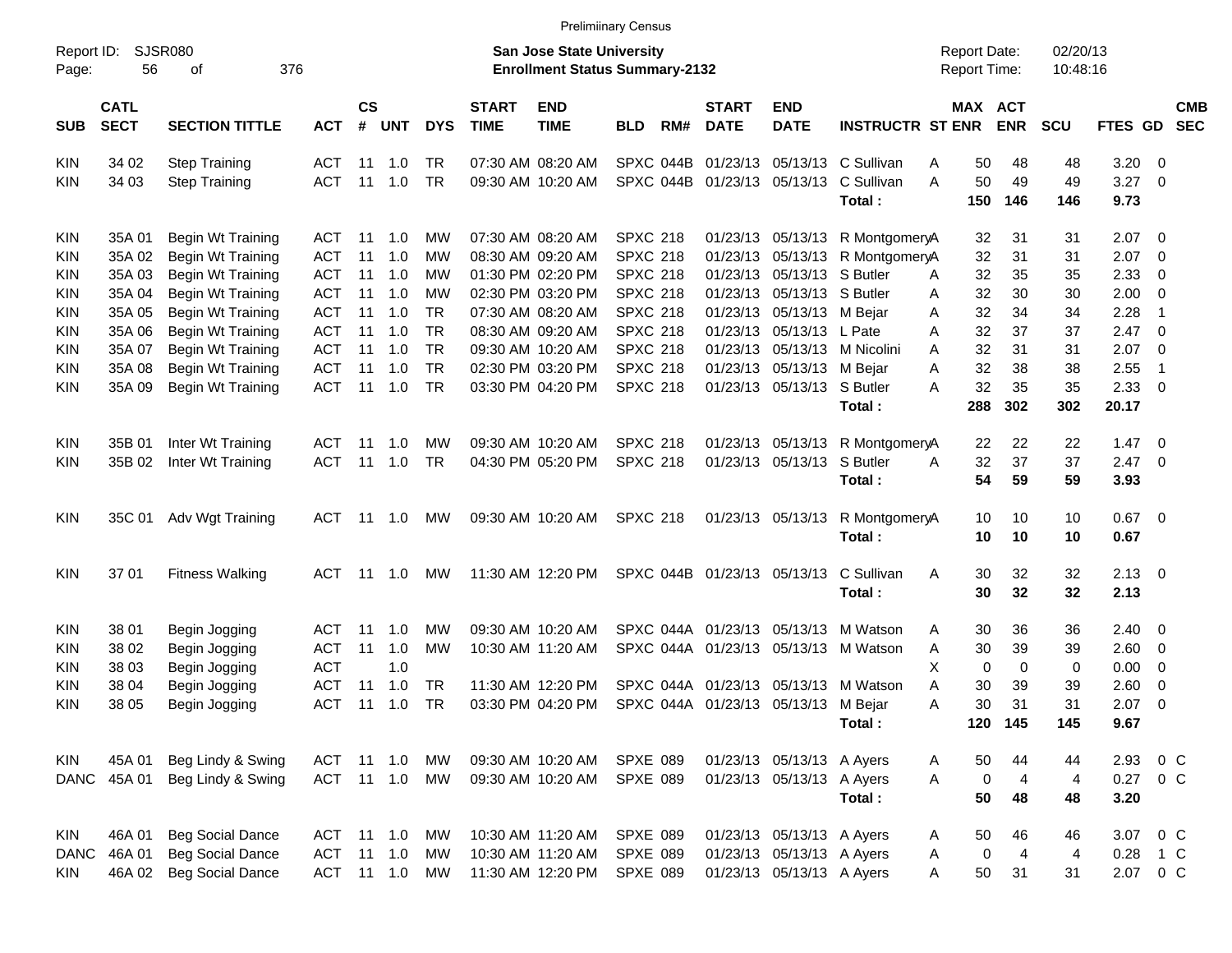|                     |                            |                             |            |                    |                |            |                             |                                                                           | <b>Prelimiinary Census</b> |           |                             |                                     |                                        |                                            |                |                      |                |                          |                          |
|---------------------|----------------------------|-----------------------------|------------|--------------------|----------------|------------|-----------------------------|---------------------------------------------------------------------------|----------------------------|-----------|-----------------------------|-------------------------------------|----------------------------------------|--------------------------------------------|----------------|----------------------|----------------|--------------------------|--------------------------|
| Report ID:<br>Page: | 56                         | <b>SJSR080</b><br>οf<br>376 |            |                    |                |            |                             | <b>San Jose State University</b><br><b>Enrollment Status Summary-2132</b> |                            |           |                             |                                     |                                        | <b>Report Date:</b><br><b>Report Time:</b> |                | 02/20/13<br>10:48:16 |                |                          |                          |
| <b>SUB</b>          | <b>CATL</b><br><b>SECT</b> | <b>SECTION TITTLE</b>       | <b>ACT</b> | $\mathsf{cs}$<br># | <b>UNT</b>     | <b>DYS</b> | <b>START</b><br><b>TIME</b> | <b>END</b><br><b>TIME</b>                                                 | <b>BLD</b>                 | RM#       | <b>START</b><br><b>DATE</b> | <b>END</b><br><b>DATE</b>           | <b>INSTRUCTR ST ENR</b>                | MAX ACT                                    | <b>ENR</b>     | <b>SCU</b>           | FTES GD        |                          | <b>CMB</b><br><b>SEC</b> |
| KIN                 | 34 02                      | <b>Step Training</b>        | <b>ACT</b> | 11                 | 1.0            | TR         |                             | 07:30 AM 08:20 AM                                                         |                            | SPXC 044B | 01/23/13                    |                                     | 05/13/13 C Sullivan                    | 50<br>Α                                    | 48             | 48                   | 3.20           | - 0                      |                          |
| KIN                 | 34 03                      | <b>Step Training</b>        | <b>ACT</b> | 11                 | 1.0            | <b>TR</b>  |                             | 09:30 AM 10:20 AM                                                         |                            |           |                             |                                     | SPXC 044B 01/23/13 05/13/13 C Sullivan | A<br>50                                    | 49             | 49                   | 3.27           | $\overline{\phantom{0}}$ |                          |
|                     |                            |                             |            |                    |                |            |                             |                                                                           |                            |           |                             |                                     | Total:                                 | 150                                        | 146            | 146                  | 9.73           |                          |                          |
| KIN                 | 35A 01                     | Begin Wt Training           | ACT.       | 11                 | 1.0            | МW         |                             | 07:30 AM 08:20 AM                                                         | <b>SPXC 218</b>            |           |                             |                                     | 01/23/13 05/13/13 R MontgomeryA        | 32                                         | 31             | 31                   | $2.07$ 0       |                          |                          |
| KIN                 | 35A 02                     | Begin Wt Training           | <b>ACT</b> | 11                 | 1.0            | МW         |                             | 08:30 AM 09:20 AM                                                         | <b>SPXC 218</b>            |           |                             |                                     | 01/23/13 05/13/13 R MontgomeryA        | 32                                         | 31             | 31                   | 2.07           | $\overline{\phantom{0}}$ |                          |
| KIN                 | 35A 03                     | Begin Wt Training           | <b>ACT</b> | 11                 | 1.0            | МW         |                             | 01:30 PM 02:20 PM                                                         | <b>SPXC 218</b>            |           |                             | 01/23/13 05/13/13 S Butler          |                                        | 32<br>A                                    | 35             | 35                   | 2.33           | $\overline{\mathbf{0}}$  |                          |
| KIN                 | 35A 04                     | Begin Wt Training           | <b>ACT</b> | 11                 | 1.0            | МW         |                             | 02:30 PM 03:20 PM                                                         | <b>SPXC 218</b>            |           |                             | 01/23/13 05/13/13 S Butler          |                                        | 32<br>Α                                    | 30             | 30                   | $2.00 \t 0$    |                          |                          |
| KIN                 | 35A 05                     | Begin Wt Training           | <b>ACT</b> | 11                 | 1.0            | <b>TR</b>  |                             | 07:30 AM 08:20 AM                                                         | <b>SPXC 218</b>            |           |                             | 01/23/13 05/13/13 M Bejar           |                                        | 32<br>Α                                    | 34             | 34                   | 2.28           | -1                       |                          |
| KIN                 | 35A 06                     | Begin Wt Training           | <b>ACT</b> | 11                 | 1.0            | <b>TR</b>  |                             | 08:30 AM 09:20 AM                                                         | <b>SPXC 218</b>            |           |                             | 01/23/13 05/13/13 L Pate            |                                        | 32<br>A                                    | 37             | 37                   | 2.47           | $\overline{\mathbf{0}}$  |                          |
| KIN                 | 35A 07                     | Begin Wt Training           | <b>ACT</b> | 11                 | 1.0            | TR         |                             | 09:30 AM 10:20 AM                                                         | <b>SPXC 218</b>            |           |                             |                                     | 01/23/13 05/13/13 M Nicolini           | 32<br>A                                    | 31             | 31                   | 2.07           | $\overline{\mathbf{0}}$  |                          |
| <b>KIN</b>          | 35A 08                     | Begin Wt Training           | <b>ACT</b> | 11                 | 1.0            | <b>TR</b>  |                             | 02:30 PM 03:20 PM                                                         | <b>SPXC 218</b>            |           |                             | 01/23/13 05/13/13 M Bejar           |                                        | 32<br>Α                                    | 38             | 38                   | 2.55           | $\overline{\mathbf{1}}$  |                          |
| KIN                 | 35A 09                     | Begin Wt Training           | <b>ACT</b> | 11                 | 1.0            | <b>TR</b>  |                             | 03:30 PM 04:20 PM                                                         | <b>SPXC 218</b>            |           |                             | 01/23/13 05/13/13 S Butler          |                                        | 32<br>Α                                    | 35             | 35                   | 2.33           | $\overline{\phantom{0}}$ |                          |
|                     |                            |                             |            |                    |                |            |                             |                                                                           |                            |           |                             |                                     | Total:                                 | 288                                        | 302            | 302                  | 20.17          |                          |                          |
| KIN                 | 35B 01                     | Inter Wt Training           | ACT        | 11                 | 1.0            | МW         |                             | 09:30 AM 10:20 AM                                                         | <b>SPXC 218</b>            |           |                             |                                     | 01/23/13 05/13/13 R MontgomeryA        | 22                                         | 22             | 22                   | $1.47 \quad 0$ |                          |                          |
| KIN                 | 35B 02                     | Inter Wt Training           | <b>ACT</b> | 11                 | 1.0            | TR         |                             | 04:30 PM 05:20 PM                                                         | <b>SPXC 218</b>            |           |                             | 01/23/13 05/13/13 S Butler          |                                        | 32<br>Α                                    | 37             | 37                   | $2.47 \t 0$    |                          |                          |
|                     |                            |                             |            |                    |                |            |                             |                                                                           |                            |           |                             |                                     | Total:                                 | 54                                         | 59             | 59                   | 3.93           |                          |                          |
| KIN                 | 35C 01                     | Adv Wgt Training            | ACT        | 11                 | 1.0            | MW         |                             | 09:30 AM 10:20 AM                                                         | <b>SPXC 218</b>            |           |                             | 01/23/13 05/13/13                   | R MontgomeryA                          | 10                                         | 10             | 10                   | $0.67$ 0       |                          |                          |
|                     |                            |                             |            |                    |                |            |                             |                                                                           |                            |           |                             |                                     | Total:                                 | 10                                         | 10             | 10                   | 0.67           |                          |                          |
| <b>KIN</b>          | 37 01                      | <b>Fitness Walking</b>      | ACT.       |                    | $11 \quad 1.0$ | MW         |                             | 11:30 AM 12:20 PM                                                         |                            |           | SPXC 044B 01/23/13 05/13/13 |                                     | C Sullivan                             | 30<br>Α                                    | 32             | 32                   | $2.13 \quad 0$ |                          |                          |
|                     |                            |                             |            |                    |                |            |                             |                                                                           |                            |           |                             |                                     | Total:                                 | 30                                         | 32             | 32                   | 2.13           |                          |                          |
| KIN                 | 38 01                      | Begin Jogging               | ACT        | 11                 | 1.0            | МW         |                             | 09:30 AM 10:20 AM                                                         |                            |           |                             |                                     | SPXC 044A 01/23/13 05/13/13 M Watson   | 30<br>Α                                    | 36             | 36                   | $2.40 \quad 0$ |                          |                          |
| KIN                 | 38 02                      | Begin Jogging               | <b>ACT</b> | 11                 | 1.0            | МW         |                             | 10:30 AM 11:20 AM                                                         |                            |           |                             |                                     | SPXC 044A 01/23/13 05/13/13 M Watson   | 30<br>Α                                    | 39             | 39                   | 2.60 0         |                          |                          |
| KIN                 | 38 03                      | Begin Jogging               | <b>ACT</b> |                    | 1.0            |            |                             |                                                                           |                            |           |                             |                                     |                                        | Χ<br>0                                     | 0              | 0                    | 0.00           | $\overline{\phantom{0}}$ |                          |
| KIN                 | 38 04                      | Begin Jogging               | <b>ACT</b> | 11                 | 1.0            | TR         |                             | 11:30 AM 12:20 PM                                                         |                            |           |                             |                                     | SPXC 044A 01/23/13 05/13/13 M Watson   | Α<br>30                                    | 39             | 39                   | 2.60           | $\overline{\phantom{0}}$ |                          |
| KIN                 | 38 05                      | Begin Jogging               | ACT        | 11                 | 1.0            | <b>TR</b>  |                             | 03:30 PM 04:20 PM                                                         |                            |           |                             | SPXC 044A 01/23/13 05/13/13 M Bejar |                                        | 30<br>Α                                    | 31             | 31                   | 2.07           | $\overline{\phantom{0}}$ |                          |
|                     |                            |                             |            |                    |                |            |                             |                                                                           |                            |           |                             |                                     | Total:                                 |                                            | 120 145        | 145                  | 9.67           |                          |                          |
| KIN                 | 45A 01                     | Beg Lindy & Swing           | ACT 11 1.0 |                    |                | МW         |                             | 09:30 AM 10:20 AM                                                         | <b>SPXE 089</b>            |           |                             | 01/23/13 05/13/13 A Ayers           |                                        | 50<br>A                                    | 44             | 44                   | 2.93 0 C       |                          |                          |
| DANC                | 45A 01                     | Beg Lindy & Swing           | ACT 11 1.0 |                    |                | МW         |                             | 09:30 AM 10:20 AM                                                         | <b>SPXE 089</b>            |           |                             | 01/23/13 05/13/13 A Ayers           |                                        | $\pmb{0}$<br>A                             | $\overline{4}$ | $\overline{4}$       | 0.27 0 C       |                          |                          |
|                     |                            |                             |            |                    |                |            |                             |                                                                           |                            |           |                             |                                     | Total:                                 | 50                                         | 48             | 48                   | 3.20           |                          |                          |
|                     |                            |                             |            |                    |                |            |                             |                                                                           |                            |           |                             |                                     |                                        |                                            |                |                      |                |                          |                          |
| KIN                 | 46A 01                     | <b>Beg Social Dance</b>     | ACT 11 1.0 |                    |                | МW         |                             | 10:30 AM 11:20 AM                                                         | SPXE 089                   |           |                             | 01/23/13 05/13/13 A Ayers           |                                        | 50<br>A                                    | 46             | 46                   | 3.07 0 C       |                          |                          |
| <b>DANC</b>         | 46A 01                     | <b>Beg Social Dance</b>     | ACT        |                    | $11 \quad 1.0$ | МW         |                             | 10:30 AM 11:20 AM                                                         | <b>SPXE 089</b>            |           |                             | 01/23/13 05/13/13 A Ayers           |                                        | 0<br>A                                     | $\overline{4}$ | 4                    | 0.28           | $\overline{1}$ C         |                          |
| KIN                 | 46A 02                     | <b>Beg Social Dance</b>     | ACT 11 1.0 |                    |                | МW         |                             | 11:30 AM 12:20 PM                                                         | <b>SPXE 089</b>            |           |                             | 01/23/13 05/13/13 A Ayers           |                                        | 50<br>Α                                    | 31             | 31                   | 2.07 0 C       |                          |                          |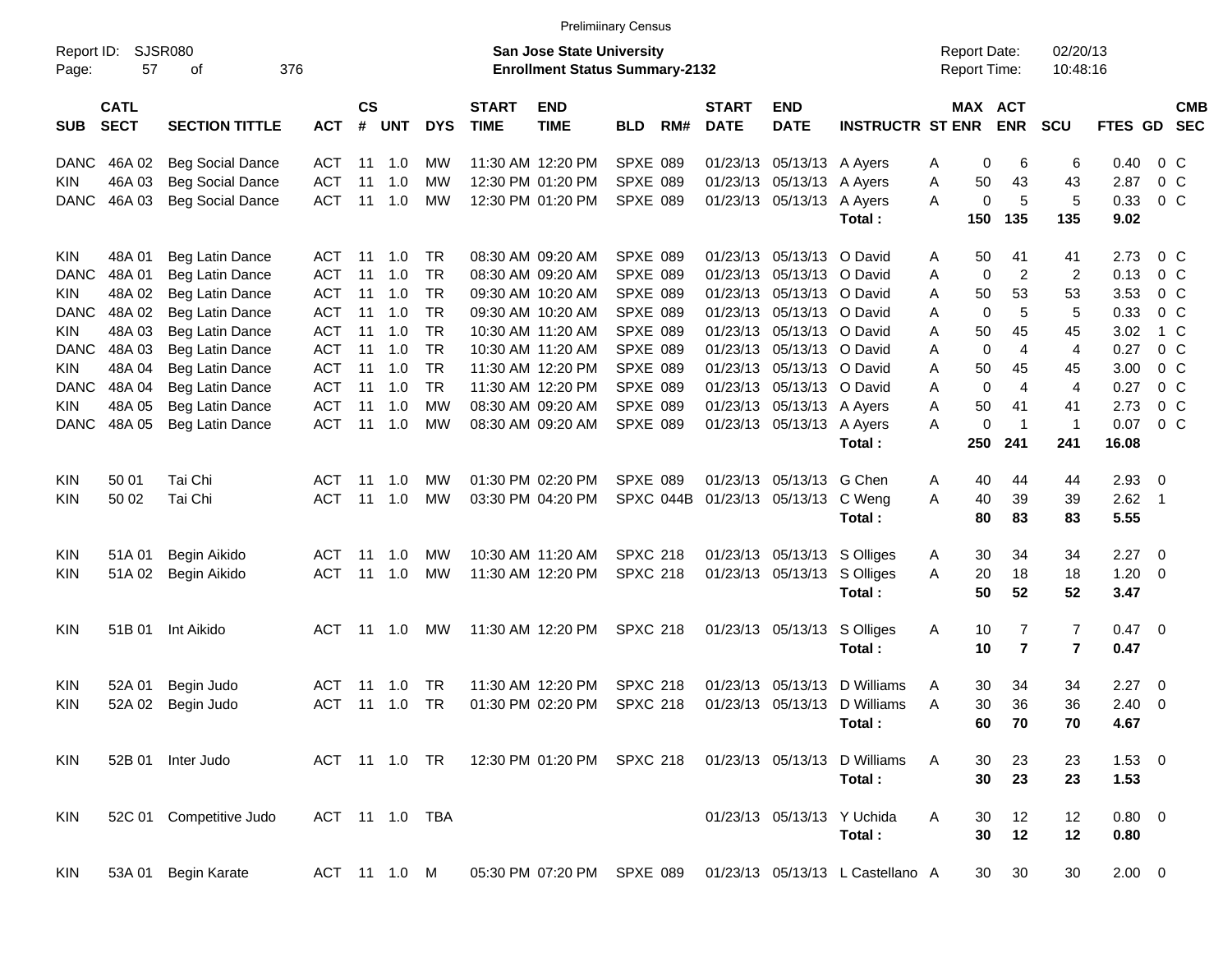|                     |                            |                             |                    |            |                |                             |                           |                                                                           | <b>Prelimiinary Census</b> |                             |                           |                           |                                  |                                     |                |                      |                |                          |  |
|---------------------|----------------------------|-----------------------------|--------------------|------------|----------------|-----------------------------|---------------------------|---------------------------------------------------------------------------|----------------------------|-----------------------------|---------------------------|---------------------------|----------------------------------|-------------------------------------|----------------|----------------------|----------------|--------------------------|--|
| Report ID:<br>Page: | 57                         | <b>SJSR080</b><br>376<br>οf |                    |            |                |                             |                           | <b>San Jose State University</b><br><b>Enrollment Status Summary-2132</b> |                            |                             |                           |                           |                                  | <b>Report Date:</b><br>Report Time: |                | 02/20/13<br>10:48:16 |                |                          |  |
| <b>SUB</b>          | <b>CATL</b><br><b>SECT</b> | <b>ACT</b>                  | $\mathsf{cs}$<br># | <b>UNT</b> | <b>DYS</b>     | <b>START</b><br><b>TIME</b> | <b>END</b><br><b>TIME</b> | <b>BLD</b>                                                                | RM#                        | <b>START</b><br><b>DATE</b> | <b>END</b><br><b>DATE</b> | <b>INSTRUCTR ST ENR</b>   |                                  | MAX ACT<br><b>ENR</b>               | <b>SCU</b>     | FTES GD SEC          |                | <b>CMB</b>               |  |
| <b>DANC</b>         | 46A 02                     | <b>Beg Social Dance</b>     | ACT                |            | $11 \quad 1.0$ | МW                          |                           | 11:30 AM 12:20 PM                                                         | <b>SPXE 089</b>            |                             | 01/23/13                  | 05/13/13 A Ayers          |                                  | 0<br>Α                              | 6              | 6                    | 0.40           | 0 C                      |  |
| <b>KIN</b>          | 46A 03                     | <b>Beg Social Dance</b>     | <b>ACT</b>         | 11         | 1.0            | МW                          |                           | 12:30 PM 01:20 PM                                                         | <b>SPXE 089</b>            |                             | 01/23/13                  | 05/13/13 A Ayers          |                                  | 50<br>Α                             | 43             | 43                   | 2.87           | $0\,C$                   |  |
| <b>DANC</b>         | 46A 03                     | <b>Beg Social Dance</b>     | <b>ACT</b>         | 11         | 1.0            | <b>MW</b>                   |                           | 12:30 PM 01:20 PM                                                         | SPXE 089                   |                             |                           | 01/23/13 05/13/13 A Ayers |                                  | $\mathbf 0$<br>A                    | 5              | 5                    | 0.33           | $0\,C$                   |  |
|                     |                            |                             |                    |            |                |                             |                           |                                                                           |                            |                             |                           |                           | Total:                           | 150                                 | 135            | 135                  | 9.02           |                          |  |
| <b>KIN</b>          | 48A 01                     | Beg Latin Dance             | ACT                | 11         | 1.0            | TR                          |                           | 08:30 AM 09:20 AM                                                         | <b>SPXE 089</b>            |                             | 01/23/13                  | 05/13/13 O David          |                                  | 50<br>Α                             | 41             | 41                   | 2.73           | $0\,$ C                  |  |
| <b>DANC</b>         | 48A 01                     | Beg Latin Dance             | ACT                | 11         | 1.0            | <b>TR</b>                   |                           | 08:30 AM 09:20 AM                                                         | <b>SPXE 089</b>            |                             | 01/23/13                  | 05/13/13 O David          |                                  | $\mathbf 0$<br>A                    | $\overline{2}$ | 2                    | 0.13           | $0\,$ C                  |  |
| KIN                 | 48A 02                     | Beg Latin Dance             | ACT                |            | $11 \quad 1.0$ | <b>TR</b>                   |                           | 09:30 AM 10:20 AM                                                         | <b>SPXE 089</b>            |                             | 01/23/13                  | 05/13/13 O David          |                                  | 50<br>A                             | 53             | 53                   | 3.53           | $0\,$ C                  |  |
| <b>DANC</b>         | 48A 02                     | Beg Latin Dance             | ACT                |            | $11 \quad 1.0$ | <b>TR</b>                   |                           | 09:30 AM 10:20 AM                                                         | <b>SPXE 089</b>            |                             | 01/23/13                  | 05/13/13 O David          |                                  | $\mathbf 0$<br>Α                    | 5              | 5                    | 0.33           | 0 <sup>o</sup>           |  |
| <b>KIN</b>          | 48A 03                     | Beg Latin Dance             | <b>ACT</b>         |            | $11 \quad 1.0$ | <b>TR</b>                   |                           | 10:30 AM 11:20 AM                                                         | <b>SPXE 089</b>            |                             | 01/23/13                  | 05/13/13 O David          |                                  | 50<br>A                             | 45             | 45                   | 3.02           | 1 C                      |  |
| <b>DANC</b>         | 48A 03                     | Beg Latin Dance             | <b>ACT</b>         |            | $11 \quad 1.0$ | <b>TR</b>                   |                           | 10:30 AM 11:20 AM                                                         | <b>SPXE 089</b>            |                             | 01/23/13                  | 05/13/13 O David          |                                  | $\mathbf 0$<br>A                    | 4              | 4                    | 0.27           | $0\,$ C                  |  |
| <b>KIN</b>          | 48A 04                     | Beg Latin Dance             | ACT                | 11         | 1.0            | <b>TR</b>                   |                           | 11:30 AM 12:20 PM                                                         | <b>SPXE 089</b>            |                             | 01/23/13                  | 05/13/13 O David          |                                  | 50<br>A                             | 45             | 45                   | 3.00           | $0\,$ C                  |  |
| <b>DANC</b>         | 48A 04                     | Beg Latin Dance             | ACT                | 11         | 1.0            | <b>TR</b>                   |                           | 11:30 AM 12:20 PM                                                         | <b>SPXE 089</b>            |                             | 01/23/13                  | 05/13/13 O David          |                                  | $\mathbf 0$<br>A                    | $\overline{4}$ | 4                    | 0.27           | $0\,$ C                  |  |
| KIN                 | 48A 05                     | Beg Latin Dance             | <b>ACT</b>         | 11         | 1.0            | МW                          |                           | 08:30 AM 09:20 AM                                                         | <b>SPXE 089</b>            |                             | 01/23/13                  | 05/13/13 A Ayers          |                                  | 50<br>A                             | 41             | 41                   | 2.73           | $0\,$ C                  |  |
| <b>DANC</b>         | 48A 05                     | Beg Latin Dance             | <b>ACT</b>         | 11         | 1.0            | <b>MW</b>                   |                           | 08:30 AM 09:20 AM                                                         | <b>SPXE 089</b>            |                             |                           | 01/23/13 05/13/13 A Ayers |                                  | 0<br>A                              | $\overline{1}$ | $\mathbf{1}$         | 0.07           | $0\,$ C                  |  |
|                     |                            |                             |                    |            |                |                             |                           |                                                                           |                            |                             |                           |                           | Total:                           | 250                                 | 241            | 241                  | 16.08          |                          |  |
| <b>KIN</b>          | 50 01                      | Tai Chi                     | ACT                | 11         | 1.0            | МW                          |                           | 01:30 PM 02:20 PM                                                         | <b>SPXE 089</b>            |                             | 01/23/13                  | 05/13/13 G Chen           |                                  | 40<br>Α                             | 44             | 44                   | 2.93           | $\overline{\phantom{0}}$ |  |
| <b>KIN</b>          | 50 02                      | Tai Chi                     | ACT                | 11         | 1.0            | <b>MW</b>                   |                           | 03:30 PM 04:20 PM                                                         |                            | SPXC 044B                   |                           | 01/23/13 05/13/13 C Weng  |                                  | 40<br>A                             | 39             | 39                   | $2.62$ 1       |                          |  |
|                     |                            |                             |                    |            |                |                             |                           |                                                                           |                            |                             |                           |                           | Total:                           | 80                                  | 83             | 83                   | 5.55           |                          |  |
| <b>KIN</b>          | 51A 01                     | Begin Aikido                | ACT                | 11         | 1.0            | МW                          |                           | 10:30 AM 11:20 AM                                                         | <b>SPXC 218</b>            |                             | 01/23/13                  |                           | 05/13/13 S Olliges               | 30<br>A                             | 34             | 34                   | 2.27           | $\overline{\phantom{0}}$ |  |
| <b>KIN</b>          | 51A 02                     | Begin Aikido                | <b>ACT</b>         | 11         | 1.0            | <b>MW</b>                   |                           | 11:30 AM 12:20 PM                                                         | <b>SPXC 218</b>            |                             |                           |                           | 01/23/13 05/13/13 S Olliges      | 20<br>A                             | 18             | 18                   | 1.20           | $\overline{\phantom{0}}$ |  |
|                     |                            |                             |                    |            |                |                             |                           |                                                                           |                            |                             |                           |                           | Total:                           | 50                                  | 52             | 52                   | 3.47           |                          |  |
| <b>KIN</b>          | 51B 01                     | Int Aikido                  | ACT                |            | 11 1.0         | MW                          |                           | 11:30 AM 12:20 PM                                                         | <b>SPXC 218</b>            |                             |                           |                           | 01/23/13 05/13/13 S Olliges      | 10<br>Α                             | 7              | 7                    | $0.47 \quad 0$ |                          |  |
|                     |                            |                             |                    |            |                |                             |                           |                                                                           |                            |                             |                           |                           | Total:                           | 10                                  | $\overline{7}$ | 7                    | 0.47           |                          |  |
| KIN                 | 52A 01                     | Begin Judo                  | ACT                | 11         | 1.0            | TR.                         |                           | 11:30 AM 12:20 PM                                                         | <b>SPXC 218</b>            |                             | 01/23/13                  | 05/13/13                  | D Williams                       | 30<br>Α                             | 34             | 34                   | 2.27           | $\overline{\phantom{0}}$ |  |
| <b>KIN</b>          | 52A 02                     | Begin Judo                  | ACT                |            | $11 \quad 1.0$ | TR                          |                           | 01:30 PM 02:20 PM                                                         | <b>SPXC 218</b>            |                             |                           |                           | 01/23/13 05/13/13 D Williams     | 30<br>Α                             | 36             | 36                   | 2.40           | $\overline{\phantom{0}}$ |  |
|                     |                            |                             |                    |            |                |                             |                           |                                                                           |                            |                             |                           |                           | Total:                           | 60                                  | 70             | 70                   | 4.67           |                          |  |
| KIN                 |                            | 52B 01 Inter Judo           |                    |            | ACT 11 1.0 TR  |                             |                           | 12:30 PM 01:20 PM SPXC 218                                                |                            |                             |                           |                           | 01/23/13 05/13/13 D Williams     | A<br>30                             | 23             | 23                   | $1.53 \t 0$    |                          |  |
|                     |                            |                             |                    |            |                |                             |                           |                                                                           |                            |                             |                           |                           | Total:                           | 30                                  | 23             | 23                   | 1.53           |                          |  |
| KIN                 |                            | 52C 01 Competitive Judo     |                    |            |                | ACT 11 1.0 TBA              |                           |                                                                           |                            |                             |                           |                           | 01/23/13 05/13/13 Y Uchida       | Α<br>30                             | 12             | 12                   | $0.80 \ 0$     |                          |  |
|                     |                            |                             |                    |            |                |                             |                           |                                                                           |                            |                             |                           |                           | Total:                           | 30                                  | 12             | 12                   | 0.80           |                          |  |
| KIN                 |                            | 53A 01 Begin Karate         |                    |            | ACT 11 1.0 M   |                             |                           | 05:30 PM 07:20 PM SPXE 089                                                |                            |                             |                           |                           | 01/23/13 05/13/13 L Castellano A | 30                                  | 30             | 30                   | $2.00 \t 0$    |                          |  |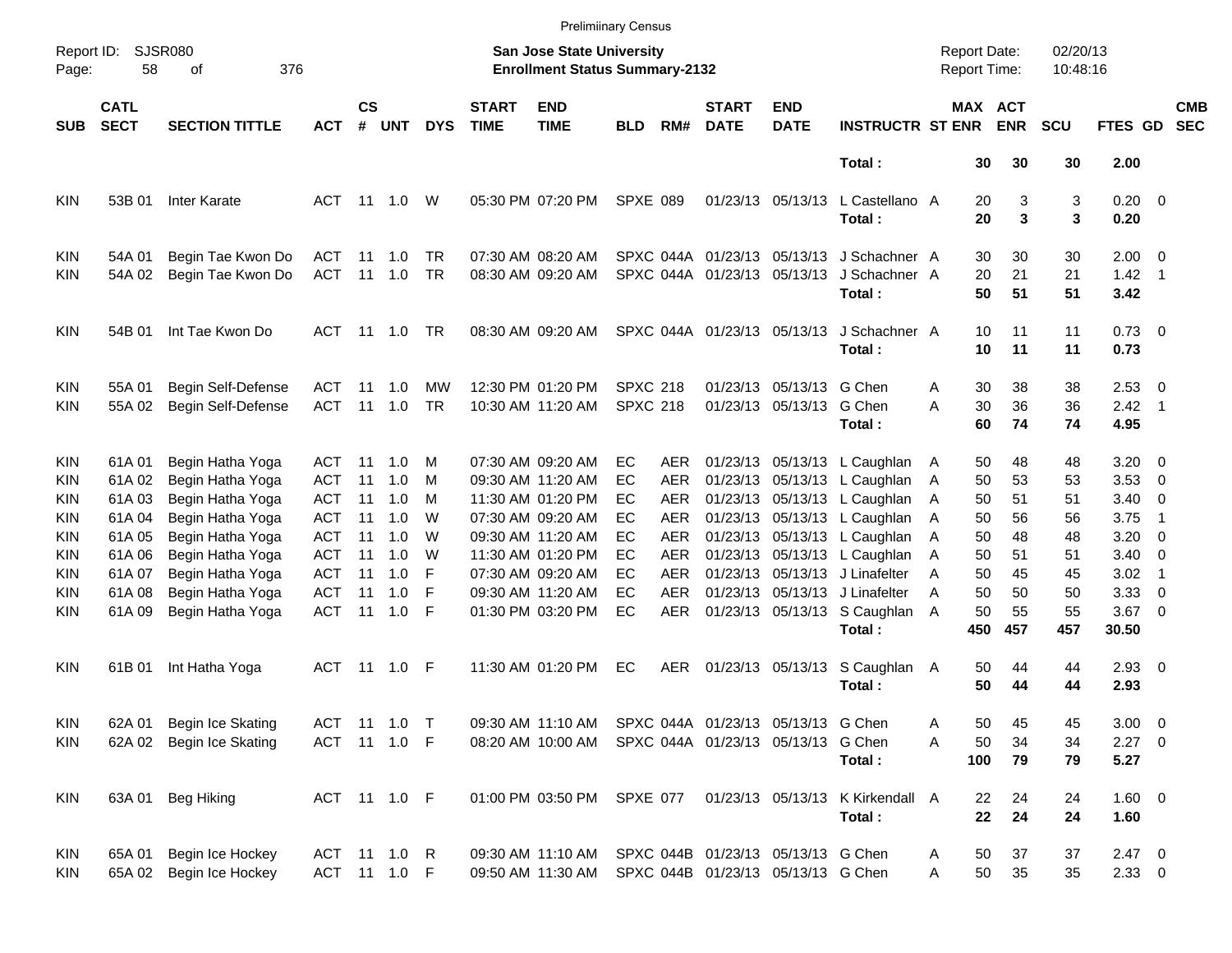|                     |                            |                             |              |                    |            |            |                             |                                                                           | <b>Prelimiinary Census</b> |            |                             |                                    |                                            |                                            |                       |                      |                        |                          |                          |
|---------------------|----------------------------|-----------------------------|--------------|--------------------|------------|------------|-----------------------------|---------------------------------------------------------------------------|----------------------------|------------|-----------------------------|------------------------------------|--------------------------------------------|--------------------------------------------|-----------------------|----------------------|------------------------|--------------------------|--------------------------|
| Report ID:<br>Page: | 58                         | <b>SJSR080</b><br>376<br>οf |              |                    |            |            |                             | <b>San Jose State University</b><br><b>Enrollment Status Summary-2132</b> |                            |            |                             |                                    |                                            | <b>Report Date:</b><br><b>Report Time:</b> |                       | 02/20/13<br>10:48:16 |                        |                          |                          |
| <b>SUB</b>          | <b>CATL</b><br><b>SECT</b> | <b>SECTION TITTLE</b>       | ACT          | $\mathsf{cs}$<br># | <b>UNT</b> | <b>DYS</b> | <b>START</b><br><b>TIME</b> | <b>END</b><br><b>TIME</b>                                                 | <b>BLD</b>                 | RM#        | <b>START</b><br><b>DATE</b> | <b>END</b><br><b>DATE</b>          | <b>INSTRUCTR ST ENR</b>                    |                                            | MAX ACT<br><b>ENR</b> | <b>SCU</b>           | FTES GD                |                          | <b>CMB</b><br><b>SEC</b> |
|                     |                            |                             |              |                    |            |            |                             |                                                                           |                            |            |                             |                                    | Total:                                     | 30                                         | 30                    | 30                   | 2.00                   |                          |                          |
| <b>KIN</b>          | 53B 01                     | <b>Inter Karate</b>         | ACT          |                    | 11  1.0    | W          |                             | 05:30 PM 07:20 PM                                                         | <b>SPXE 089</b>            |            |                             | 01/23/13 05/13/13                  | L Castellano A<br>Total:                   | 20<br>20                                   | 3<br>3                | 3<br>3               | $0.20 \ 0$<br>0.20     |                          |                          |
| <b>KIN</b>          | 54A 01                     | Begin Tae Kwon Do           | ACT          | 11                 | 1.0        | TR.        |                             | 07:30 AM 08:20 AM                                                         |                            |            | SPXC 044A 01/23/13 05/13/13 |                                    | J Schachner A                              | 30                                         | 30                    | 30                   | $2.00 \t 0$            |                          |                          |
| <b>KIN</b>          | 54A 02                     | Begin Tae Kwon Do           | <b>ACT</b>   | 11                 | 1.0        | <b>TR</b>  |                             | 08:30 AM 09:20 AM                                                         |                            |            | SPXC 044A 01/23/13 05/13/13 |                                    | J Schachner A<br>Total:                    | 20<br>50                                   | 21<br>51              | 21<br>51             | 1.42<br>3.42           | $\overline{\phantom{1}}$ |                          |
| <b>KIN</b>          | 54B 01                     | Int Tae Kwon Do             | ACT          |                    | 11  1.0    | <b>TR</b>  |                             | 08:30 AM 09:20 AM                                                         |                            |            | SPXC 044A 01/23/13 05/13/13 |                                    | J Schachner A<br>Total:                    | 10                                         | 10<br>11<br>11        | 11<br>11             | $0.73 \quad 0$<br>0.73 |                          |                          |
| <b>KIN</b>          | 55A 01                     | Begin Self-Defense          | ACT          | 11                 | 1.0        | MW         |                             | 12:30 PM 01:20 PM                                                         | <b>SPXC 218</b>            |            |                             | 01/23/13 05/13/13 G Chen           |                                            | 30<br>Α                                    | 38                    | 38                   | $2.53$ 0               |                          |                          |
| <b>KIN</b>          | 55A 02                     | Begin Self-Defense          | <b>ACT</b>   | 11                 | 1.0        | <b>TR</b>  |                             | 10:30 AM 11:20 AM                                                         | <b>SPXC 218</b>            |            |                             | 01/23/13 05/13/13 G Chen           | Total:                                     | A<br>30<br>60                              | 36<br>74              | 36<br>74             | 2.42<br>4.95           | $\blacksquare$ 1         |                          |
| <b>KIN</b>          | 61A 01                     | Begin Hatha Yoga            | ACT          | 11                 | 1.0        | M          |                             | 07:30 AM 09:20 AM                                                         | EC                         | <b>AER</b> |                             |                                    | 01/23/13 05/13/13 L Caughlan               | 50<br>A                                    | 48                    | 48                   | $3.20 \ 0$             |                          |                          |
| KIN                 | 61A 02                     | Begin Hatha Yoga            | ACT          | 11                 | 1.0        | м          |                             | 09:30 AM 11:20 AM                                                         | EС                         | <b>AER</b> |                             |                                    | 01/23/13 05/13/13 L Caughlan               | 50<br>A                                    | 53                    | 53                   | 3.53                   | $\overline{\mathbf{0}}$  |                          |
| KIN                 | 61A 03                     | Begin Hatha Yoga            | ACT          | 11                 | 1.0        | M          |                             | 11:30 AM 01:20 PM                                                         | EС                         | <b>AER</b> |                             |                                    | 01/23/13 05/13/13 L Caughlan               | 50<br>Α                                    | 51                    | 51                   | 3.40                   | $\overline{\mathbf{0}}$  |                          |
| KIN                 | 61A 04                     | Begin Hatha Yoga            | <b>ACT</b>   | 11                 | 1.0        | W          |                             | 07:30 AM 09:20 AM                                                         | EС                         | <b>AER</b> |                             |                                    | 01/23/13 05/13/13 L Caughlan               | 50<br>Α                                    | 56                    | 56                   | 3.75                   | $\overline{1}$           |                          |
| KIN                 | 61A 05                     | Begin Hatha Yoga            | <b>ACT</b>   | 11                 | 1.0        | W          |                             | 09:30 AM 11:20 AM                                                         | EС                         | <b>AER</b> |                             |                                    | 01/23/13 05/13/13 L Caughlan               | 50<br>Α                                    | 48                    | 48                   | 3.20                   | 0                        |                          |
| KIN                 | 61A 06                     | Begin Hatha Yoga            | ACT          | 11                 | 1.0        | W          |                             | 11:30 AM 01:20 PM                                                         | EС                         | <b>AER</b> |                             |                                    | 01/23/13 05/13/13 L Caughlan               | 50<br>Α                                    | 51                    | 51                   | 3.40                   | $\overline{\mathbf{0}}$  |                          |
| KIN                 | 61A 07                     | Begin Hatha Yoga            | <b>ACT</b>   | 11                 | 1.0        | F          |                             | 07:30 AM 09:20 AM                                                         | EС                         | AER.       |                             |                                    | 01/23/13 05/13/13 J Linafelter             | 50<br>Α                                    | 45                    | 45                   | 3.02                   | - 1                      |                          |
| KIN                 | 61A 08                     | Begin Hatha Yoga            | <b>ACT</b>   | 11                 | 1.0        | F          |                             | 09:30 AM 11:20 AM                                                         | EС                         | AER        |                             |                                    | 01/23/13 05/13/13 J Linafelter             | 50<br>Α                                    | 50                    | 50                   | 3.33                   | 0                        |                          |
| <b>KIN</b>          | 61A 09                     | Begin Hatha Yoga            | <b>ACT</b>   | 11                 | 1.0        | -F         |                             | 01:30 PM 03:20 PM                                                         | EC                         | <b>AER</b> |                             |                                    | 01/23/13 05/13/13 S Caughlan<br>Total:     | 50<br>A<br>450                             | 55<br>457             | 55<br>457            | $3.67$ 0<br>30.50      |                          |                          |
| <b>KIN</b>          | 61B 01                     | Int Hatha Yoga              | ACT 11 1.0 F |                    |            |            |                             | 11:30 AM 01:20 PM                                                         | EC                         | AER        |                             |                                    | 01/23/13 05/13/13 S Caughlan A<br>Total:   | 50<br>50                                   | 44<br>44              | 44<br>44             | $2.93$ 0<br>2.93       |                          |                          |
| <b>KIN</b>          |                            | 62A 01 Begin Ice Skating    | ACT 11 1.0 T |                    |            |            |                             | 09:30 AM 11:10 AM SPXC 044A 01/23/13 05/13/13 G Chen                      |                            |            |                             |                                    |                                            | 50<br>Α                                    | 45                    | 45                   | $3.00 \ 0$             |                          |                          |
| <b>KIN</b>          |                            | 62A 02 Begin Ice Skating    | ACT 11 1.0 F |                    |            |            |                             | 08:20 AM 10:00 AM                                                         |                            |            |                             | SPXC 044A 01/23/13 05/13/13 G Chen |                                            | 50<br>Α                                    | 34                    | 34                   | $2.27$ 0               |                          |                          |
|                     |                            |                             |              |                    |            |            |                             |                                                                           |                            |            |                             |                                    | Total:                                     | 100                                        | 79                    | 79                   | 5.27                   |                          |                          |
| KIN                 |                            | 63A 01 Beg Hiking           | ACT 11 1.0 F |                    |            |            |                             | 01:00 PM 03:50 PM SPXE 077                                                |                            |            |                             |                                    | 01/23/13 05/13/13 K Kirkendall A<br>Total: |                                            | 24<br>22<br>22<br>24  | 24<br>24             | $1.60 \t 0$<br>1.60    |                          |                          |
| KIN                 | 65A 01                     | Begin Ice Hockey            | ACT 11 1.0 R |                    |            |            |                             | 09:30 AM 11:10 AM                                                         |                            |            |                             | SPXC 044B 01/23/13 05/13/13 G Chen |                                            | 50<br>Α                                    | 37                    | 37                   | $2.47 \quad 0$         |                          |                          |
| KIN                 | 65A 02                     | Begin Ice Hockey            | ACT 11 1.0 F |                    |            |            |                             | 09:50 AM 11:30 AM                                                         |                            |            |                             | SPXC 044B 01/23/13 05/13/13 G Chen |                                            | Α                                          | 50<br>35              | 35                   | $2.33 \t 0$            |                          |                          |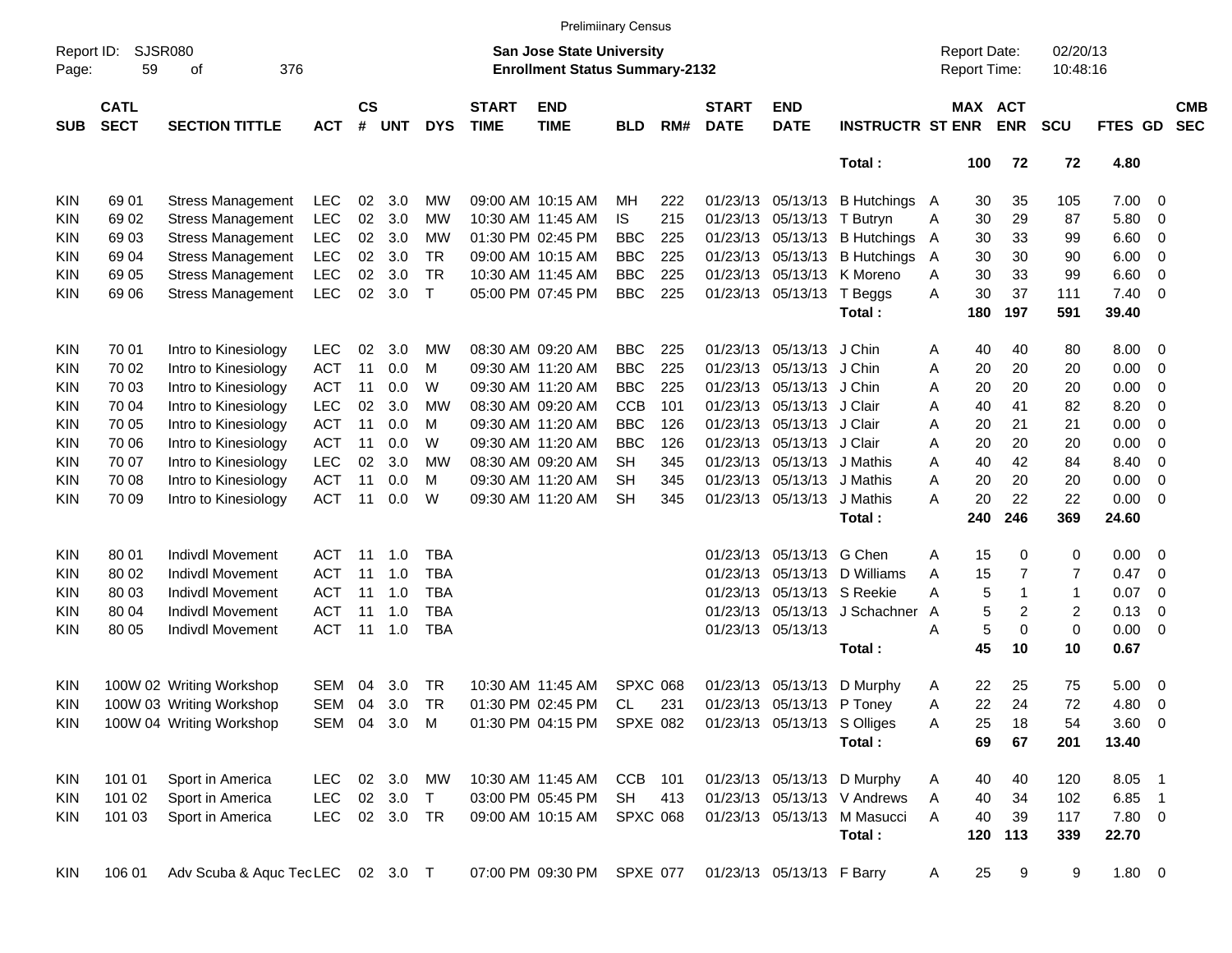|                     |                            |                                  |            |                    |            |              |                             | <b>Prelimiinary Census</b>                                                |                 |     |                             |                             |                             |   |                                     |                |                      |         |                          |                          |
|---------------------|----------------------------|----------------------------------|------------|--------------------|------------|--------------|-----------------------------|---------------------------------------------------------------------------|-----------------|-----|-----------------------------|-----------------------------|-----------------------------|---|-------------------------------------|----------------|----------------------|---------|--------------------------|--------------------------|
| Report ID:<br>Page: | SJSR080<br>59              | 376<br>οf                        |            |                    |            |              |                             | <b>San Jose State University</b><br><b>Enrollment Status Summary-2132</b> |                 |     |                             |                             |                             |   | <b>Report Date:</b><br>Report Time: |                | 02/20/13<br>10:48:16 |         |                          |                          |
| <b>SUB</b>          | <b>CATL</b><br><b>SECT</b> | <b>SECTION TITTLE</b>            | <b>ACT</b> | $\mathsf{cs}$<br># | <b>UNT</b> | <b>DYS</b>   | <b>START</b><br><b>TIME</b> | <b>END</b><br><b>TIME</b>                                                 | <b>BLD</b>      | RM# | <b>START</b><br><b>DATE</b> | <b>END</b><br><b>DATE</b>   | <b>INSTRUCTR ST ENR</b>     |   | <b>MAX ACT</b>                      | <b>ENR</b>     | <b>SCU</b>           | FTES GD |                          | <b>CMB</b><br><b>SEC</b> |
|                     |                            |                                  |            |                    |            |              |                             |                                                                           |                 |     |                             |                             | Total:                      |   | 100                                 | 72             | 72                   | 4.80    |                          |                          |
| KIN                 | 69 01                      | <b>Stress Management</b>         | <b>LEC</b> | 02                 | 3.0        | MW           |                             | 09:00 AM 10:15 AM                                                         | MН              | 222 |                             | 01/23/13 05/13/13           | B Hutchings A               |   | 30                                  | 35             | 105                  | 7.00    | $\overline{\phantom{0}}$ |                          |
| KIN                 | 69 02                      | <b>Stress Management</b>         | <b>LEC</b> | 02                 | 3.0        | МW           |                             | 10:30 AM 11:45 AM                                                         | IS              | 215 |                             | 01/23/13 05/13/13           | T Butryn                    | Α | 30                                  | 29             | 87                   | 5.80    | - 0                      |                          |
| KIN                 | 6903                       | <b>Stress Management</b>         | <b>LEC</b> | 02                 | 3.0        | МW           |                             | 01:30 PM 02:45 PM                                                         | <b>BBC</b>      | 225 |                             | 01/23/13 05/13/13           | <b>B</b> Hutchings          | A | 30                                  | 33             | 99                   | 6.60    | - 0                      |                          |
| KIN                 | 69 04                      | <b>Stress Management</b>         | <b>LEC</b> | 02                 | 3.0        | <b>TR</b>    |                             | 09:00 AM 10:15 AM                                                         | <b>BBC</b>      | 225 |                             | 01/23/13 05/13/13           | <b>B</b> Hutchings          | A | 30                                  | 30             | 90                   | 6.00    | - 0                      |                          |
| KIN                 | 69 05                      | <b>Stress Management</b>         | <b>LEC</b> | 02                 | 3.0        | <b>TR</b>    |                             | 10:30 AM 11:45 AM                                                         | <b>BBC</b>      | 225 |                             | 01/23/13 05/13/13           | K Moreno                    | Α | 30                                  | 33             | 99                   | 6.60    | $\overline{0}$           |                          |
| KIN                 | 69 06                      | <b>Stress Management</b>         | <b>LEC</b> | 02                 | 3.0        | $\mathsf{T}$ |                             | 05:00 PM 07:45 PM                                                         | <b>BBC</b>      | 225 |                             | 01/23/13 05/13/13           | T Beggs                     | Α | 30                                  | 37             | 111                  | 7.40    | $\overline{0}$           |                          |
|                     |                            |                                  |            |                    |            |              |                             |                                                                           |                 |     |                             |                             | Total:                      |   | 180                                 | 197            | 591                  | 39.40   |                          |                          |
| KIN                 | 70 01                      | Intro to Kinesiology             | <b>LEC</b> | 02                 | 3.0        | MW           |                             | 08:30 AM 09:20 AM                                                         | <b>BBC</b>      | 225 |                             | 01/23/13 05/13/13           | J Chin                      | Α | 40                                  | 40             | 80                   | 8.00    | $\overline{\phantom{0}}$ |                          |
| KIN                 | 70 02                      | Intro to Kinesiology             | <b>ACT</b> | 11                 | 0.0        | M            |                             | 09:30 AM 11:20 AM                                                         | <b>BBC</b>      | 225 | 01/23/13                    | 05/13/13                    | J Chin                      | Α | 20                                  | 20             | 20                   | 0.00    | - 0                      |                          |
| KIN                 | 70 03                      | Intro to Kinesiology             | <b>ACT</b> | 11                 | 0.0        | W            |                             | 09:30 AM 11:20 AM                                                         | <b>BBC</b>      | 225 |                             | 01/23/13 05/13/13           | J Chin                      | A | 20                                  | 20             | 20                   | 0.00    | - 0                      |                          |
| KIN                 | 70 04                      | Intro to Kinesiology             | <b>LEC</b> | 02                 | 3.0        | МW           |                             | 08:30 AM 09:20 AM                                                         | <b>CCB</b>      | 101 |                             | 01/23/13 05/13/13           | J Clair                     | Α | 40                                  | 41             | 82                   | 8.20    | - 0                      |                          |
| KIN                 | 70 05                      | Intro to Kinesiology             | <b>ACT</b> | 11                 | 0.0        | M            |                             | 09:30 AM 11:20 AM                                                         | <b>BBC</b>      | 126 |                             | 01/23/13 05/13/13           | J Clair                     | Α | 20                                  | 21             | 21                   | 0.00    | - 0                      |                          |
| KIN                 | 70 06                      | Intro to Kinesiology             | <b>ACT</b> | 11                 | 0.0        | W            |                             | 09:30 AM 11:20 AM                                                         | <b>BBC</b>      | 126 |                             | 01/23/13 05/13/13           | J Clair                     | Α | 20                                  | 20             | 20                   | 0.00    | $\overline{0}$           |                          |
| KIN                 | 70 07                      | Intro to Kinesiology             | <b>LEC</b> | 02                 | 3.0        | МW           |                             | 08:30 AM 09:20 AM                                                         | <b>SH</b>       | 345 |                             | 01/23/13 05/13/13           | J Mathis                    | Α | 40                                  | 42             | 84                   | 8.40    | $\overline{0}$           |                          |
| KIN                 | 70 08                      | Intro to Kinesiology             | <b>ACT</b> | 11                 | 0.0        | M            |                             | 09:30 AM 11:20 AM                                                         | <b>SH</b>       | 345 |                             | 01/23/13 05/13/13           | J Mathis                    | Α | 20                                  | 20             | 20                   | 0.00    | $\overline{0}$           |                          |
| KIN                 | 70 09                      | Intro to Kinesiology             | <b>ACT</b> | 11                 | 0.0        | W            |                             | 09:30 AM 11:20 AM                                                         | <b>SH</b>       | 345 |                             | 01/23/13 05/13/13           | J Mathis                    | Α | 20                                  | 22             | 22                   | 0.00    | $\overline{0}$           |                          |
|                     |                            |                                  |            |                    |            |              |                             |                                                                           |                 |     |                             |                             | Total:                      |   | 240                                 | 246            | 369                  | 24.60   |                          |                          |
| KIN                 | 80 01                      | <b>Indivdl Movement</b>          | <b>ACT</b> | 11                 | 1.0        | <b>TBA</b>   |                             |                                                                           |                 |     |                             | 01/23/13 05/13/13           | G Chen                      | Α | 15                                  | 0              | 0                    | 0.00    | - 0                      |                          |
| KIN                 | 80 02                      | Indivdl Movement                 | <b>ACT</b> | 11                 | 1.0        | <b>TBA</b>   |                             |                                                                           |                 |     |                             | 01/23/13 05/13/13           | D Williams                  | Α | 15                                  | $\overline{7}$ | 7                    | 0.47    | $\overline{0}$           |                          |
| KIN                 | 80 03                      | Indivdl Movement                 | <b>ACT</b> | 11                 | 1.0        | <b>TBA</b>   |                             |                                                                           |                 |     |                             | 01/23/13 05/13/13           | S Reekie                    | Α | 5                                   | 1              | 1                    | 0.07    | $\overline{0}$           |                          |
| KIN                 | 80 04                      | Indivdl Movement                 | <b>ACT</b> | 11                 | 1.0        | <b>TBA</b>   |                             |                                                                           |                 |     |                             | 01/23/13 05/13/13           | J Schachner                 | A | 5                                   | 2              | 2                    | 0.13    | $\overline{0}$           |                          |
| KIN                 | 80 05                      | <b>Indivdl Movement</b>          | <b>ACT</b> | 11                 | 1.0        | <b>TBA</b>   |                             |                                                                           |                 |     |                             | 01/23/13 05/13/13           |                             | Α | 5                                   | 0              | $\pmb{0}$            | 0.00    | $\overline{0}$           |                          |
|                     |                            |                                  |            |                    |            |              |                             |                                                                           |                 |     |                             |                             | Total:                      |   | 45                                  | 10             | 10                   | 0.67    |                          |                          |
| KIN                 |                            | 100W 02 Writing Workshop         | <b>SEM</b> | 04                 | 3.0        | TR           |                             | 10:30 AM 11:45 AM                                                         | <b>SPXC 068</b> |     |                             | 01/23/13 05/13/13           | D Murphy                    | A | 22                                  | 25             | 75                   | 5.00    | $\overline{\phantom{0}}$ |                          |
| KIN                 |                            | 100W 03 Writing Workshop         | <b>SEM</b> | 04                 | 3.0        | <b>TR</b>    |                             | 01:30 PM 02:45 PM                                                         | CL              | 231 |                             | 01/23/13 05/13/13           | P Toney                     | Α | 22                                  | 24             | 72                   | 4.80    | - 0                      |                          |
| <b>KIN</b>          |                            | 100W 04 Writing Workshop         |            |                    | SEM 04 3.0 | M            |                             | 01:30 PM 04:15 PM SPXE 082                                                |                 |     |                             | 01/23/13 05/13/13 S Olliges |                             | Α | 25                                  | 18             | 54                   | 3.60 0  |                          |                          |
|                     |                            |                                  |            |                    |            |              |                             |                                                                           |                 |     |                             |                             | Total:                      |   | 69                                  | 67             | 201                  | 13.40   |                          |                          |
| KIN                 | 101 01                     | Sport in America                 | <b>LEC</b> |                    | 02 3.0     | MW           |                             | 10:30 AM 11:45 AM                                                         | CCB 101         |     |                             |                             | 01/23/13 05/13/13 D Murphy  | A | 40                                  | 40             | 120                  | 8.05 1  |                          |                          |
| <b>KIN</b>          | 101 02                     | Sport in America                 | <b>LEC</b> |                    | 02 3.0     | $\top$       |                             | 03:00 PM 05:45 PM                                                         | <b>SH</b>       | 413 |                             |                             | 01/23/13 05/13/13 V Andrews | A | 40                                  | 34             | 102                  | 6.85 1  |                          |                          |
| KIN.                | 101 03                     | Sport in America                 | <b>LEC</b> |                    | 02 3.0     | TR           |                             | 09:00 AM 10:15 AM                                                         | <b>SPXC 068</b> |     |                             |                             | 01/23/13 05/13/13 M Masucci | Α | 40                                  | 39             | 117                  | 7.80 0  |                          |                          |
|                     |                            |                                  |            |                    |            |              |                             |                                                                           |                 |     |                             |                             | Total:                      |   | 120                                 | 113            | 339                  | 22.70   |                          |                          |
| <b>KIN</b>          | 106 01                     | Adv Scuba & Aquc TecLEC 02 3.0 T |            |                    |            |              |                             | 07:00 PM 09:30 PM                                                         | <b>SPXE 077</b> |     |                             | 01/23/13 05/13/13 F Barry   |                             | A | 25                                  | 9              | 9                    | 1.80 0  |                          |                          |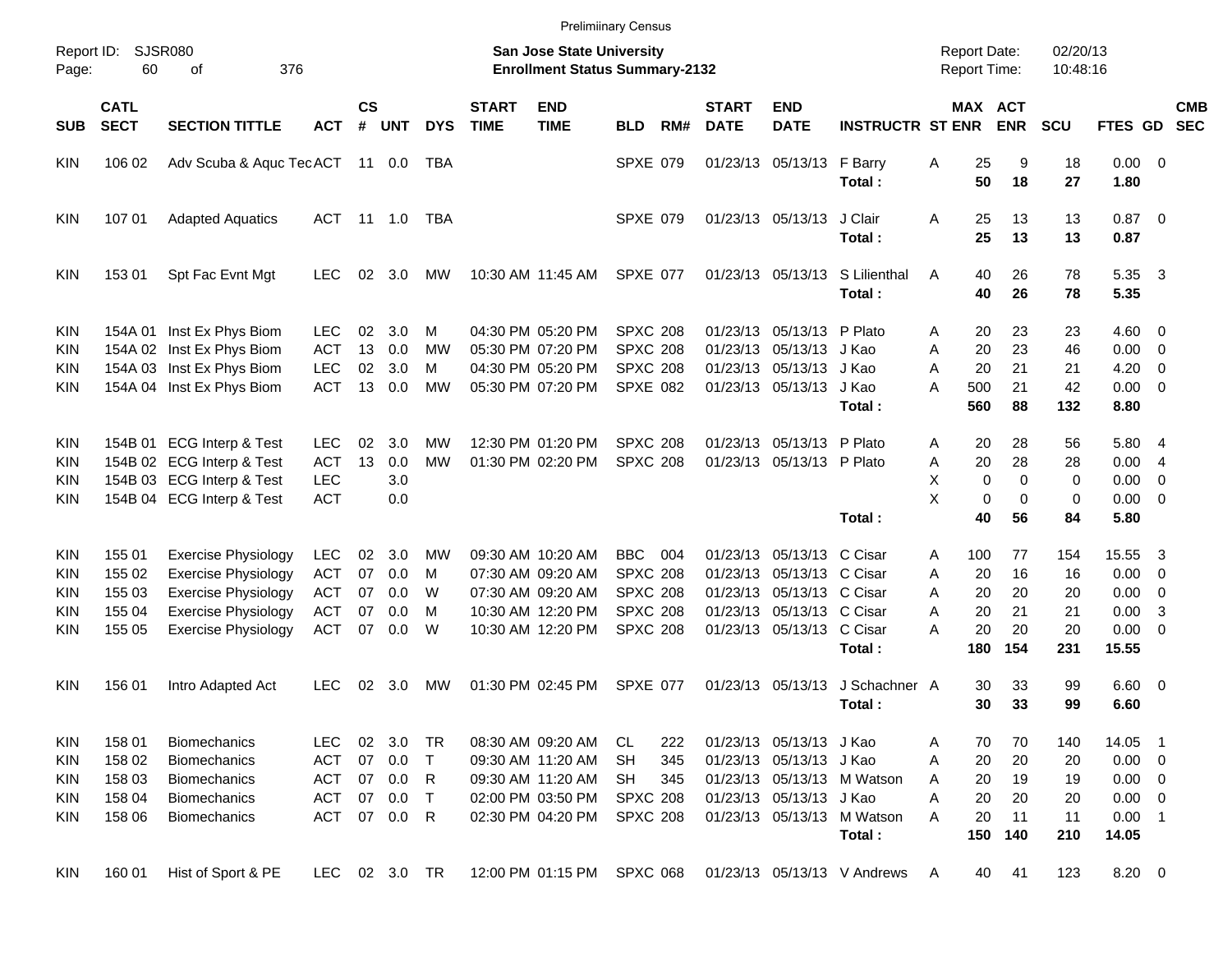|                     |                            |                                |            |                    |            |            |                             |                                                                    | <b>Prelimiinary Census</b> |     |                             |                           |                                      |                                            |                              |                      |                      |                          |                          |
|---------------------|----------------------------|--------------------------------|------------|--------------------|------------|------------|-----------------------------|--------------------------------------------------------------------|----------------------------|-----|-----------------------------|---------------------------|--------------------------------------|--------------------------------------------|------------------------------|----------------------|----------------------|--------------------------|--------------------------|
| Report ID:<br>Page: | 60                         | <b>SJSR080</b><br>376<br>оf    |            |                    |            |            |                             | San Jose State University<br><b>Enrollment Status Summary-2132</b> |                            |     |                             |                           |                                      | <b>Report Date:</b><br><b>Report Time:</b> |                              | 02/20/13<br>10:48:16 |                      |                          |                          |
| <b>SUB</b>          | <b>CATL</b><br><b>SECT</b> | <b>SECTION TITTLE</b>          | <b>ACT</b> | $\mathsf{cs}$<br># | <b>UNT</b> | <b>DYS</b> | <b>START</b><br><b>TIME</b> | <b>END</b><br><b>TIME</b>                                          | <b>BLD</b>                 | RM# | <b>START</b><br><b>DATE</b> | <b>END</b><br><b>DATE</b> | <b>INSTRUCTR ST ENR</b>              |                                            | <b>MAX ACT</b><br><b>ENR</b> | <b>SCU</b>           | <b>FTES GD</b>       |                          | <b>CMB</b><br><b>SEC</b> |
| <b>KIN</b>          | 106 02                     | Adv Scuba & Aquc TecACT 11 0.0 |            |                    |            | TBA        |                             |                                                                    | <b>SPXE 079</b>            |     |                             | 01/23/13 05/13/13         | F Barry<br>Total:                    | 25<br>Α<br>50                              | 9<br>18                      | 18<br>27             | $0.00 \t 0$<br>1.80  |                          |                          |
| <b>KIN</b>          | 107 01                     | <b>Adapted Aquatics</b>        | ACT 11 1.0 |                    |            | TBA        |                             |                                                                    | <b>SPXE 079</b>            |     |                             | 01/23/13 05/13/13         | J Clair                              | 25<br>Α<br>25                              | 13<br>13                     | 13                   | $0.87$ 0             |                          |                          |
|                     |                            |                                |            |                    |            |            |                             |                                                                    |                            |     |                             |                           | Total:                               |                                            |                              | 13                   | 0.87                 |                          |                          |
| <b>KIN</b>          | 153 01                     | Spt Fac Evnt Mgt               | LEC.       | 02                 | 3.0        | MW         |                             | 10:30 AM 11:45 AM                                                  | SPXE 077                   |     |                             | 01/23/13 05/13/13         | S Lilienthal<br>Total:               | 40<br>A<br>40                              | 26<br>26                     | 78<br>78             | 5.35<br>5.35         | $\overline{\mathbf{3}}$  |                          |
| <b>KIN</b>          |                            | 154A 01 Inst Ex Phys Biom      | LEC.       | 02                 | 3.0        | м          |                             | 04:30 PM 05:20 PM                                                  | <b>SPXC 208</b>            |     |                             | 01/23/13 05/13/13 P Plato |                                      | 20<br>A                                    | 23                           | 23                   | $4.60$ 0             |                          |                          |
| <b>KIN</b>          |                            | 154A 02 Inst Ex Phys Biom      | <b>ACT</b> | 13                 | 0.0        | MW         |                             | 05:30 PM 07:20 PM                                                  | <b>SPXC 208</b>            |     |                             | 01/23/13 05/13/13 J Kao   |                                      | 20<br>A                                    | 23                           | 46                   | 0.00                 | $\overline{\phantom{0}}$ |                          |
| <b>KIN</b>          |                            | 154A 03 Inst Ex Phys Biom      | <b>LEC</b> | 02                 | 3.0        | м          |                             | 04:30 PM 05:20 PM                                                  | <b>SPXC 208</b>            |     |                             | 01/23/13 05/13/13 J Kao   |                                      | 20<br>A                                    | 21                           | 21                   | 4.20                 | $\overline{\mathbf{0}}$  |                          |
| <b>KIN</b>          |                            | 154A 04 Inst Ex Phys Biom      | <b>ACT</b> | 13                 | 0.0        | MW         |                             | 05:30 PM 07:20 PM                                                  | SPXE 082                   |     |                             | 01/23/13 05/13/13 J Kao   | Total:                               | A<br>500<br>560                            | 21<br>88                     | 42<br>132            | $0.00 \t 0$<br>8.80  |                          |                          |
| <b>KIN</b>          |                            | 154B 01 ECG Interp & Test      | LEC.       | 02                 | 3.0        | МW         |                             | 12:30 PM 01:20 PM                                                  | <b>SPXC 208</b>            |     |                             | 01/23/13 05/13/13 P Plato |                                      | 20<br>A                                    | 28                           | 56                   | 5.80 4               |                          |                          |
| <b>KIN</b>          |                            | 154B 02 ECG Interp & Test      | <b>ACT</b> | 13                 | 0.0        | <b>MW</b>  |                             | 01:30 PM 02:20 PM                                                  | <b>SPXC 208</b>            |     |                             | 01/23/13 05/13/13 P Plato |                                      | 20<br>Α                                    | 28                           | 28                   | 0.004                |                          |                          |
| <b>KIN</b>          |                            | 154B 03 ECG Interp & Test      | <b>LEC</b> |                    | 3.0        |            |                             |                                                                    |                            |     |                             |                           |                                      | X                                          | $\mathbf 0$<br>0             | 0                    | 0.00                 | $\overline{\mathbf{0}}$  |                          |
| <b>KIN</b>          |                            | 154B 04 ECG Interp & Test      | <b>ACT</b> |                    | 0.0        |            |                             |                                                                    |                            |     |                             |                           |                                      | X                                          | 0<br>$\mathbf 0$             | 0                    | $0.00 \t 0$          |                          |                          |
|                     |                            |                                |            |                    |            |            |                             |                                                                    |                            |     |                             |                           | Total:                               | 40                                         | 56                           | 84                   | 5.80                 |                          |                          |
| <b>KIN</b>          | 155 01                     | <b>Exercise Physiology</b>     | <b>LEC</b> | 02                 | 3.0        | MW         |                             | 09:30 AM 10:20 AM                                                  | <b>BBC</b>                 | 004 |                             | 01/23/13 05/13/13 C Cisar |                                      | 100<br>A                                   | 77                           | 154                  | 15.55                | $\overline{\mathbf{3}}$  |                          |
| <b>KIN</b>          | 155 02                     | <b>Exercise Physiology</b>     | <b>ACT</b> | 07                 | 0.0        | м          |                             | 07:30 AM 09:20 AM                                                  | <b>SPXC 208</b>            |     |                             | 01/23/13 05/13/13 C Cisar |                                      | 20<br>A                                    | 16                           | 16                   | 0.00                 | $\overline{\phantom{0}}$ |                          |
| <b>KIN</b>          | 155 03                     | <b>Exercise Physiology</b>     | <b>ACT</b> | 07                 | 0.0        | W          |                             | 07:30 AM 09:20 AM                                                  | <b>SPXC 208</b>            |     |                             | 01/23/13 05/13/13 C Cisar |                                      | 20<br>A                                    | 20                           | 20                   | 0.00                 | $\overline{\phantom{0}}$ |                          |
| <b>KIN</b>          | 155 04                     | <b>Exercise Physiology</b>     | <b>ACT</b> | 07                 | 0.0        | м          |                             | 10:30 AM 12:20 PM                                                  | <b>SPXC 208</b>            |     |                             | 01/23/13 05/13/13 C Cisar |                                      | 20<br>A                                    | 21                           | 21                   | 0.00                 | -3                       |                          |
| KIN                 | 155 05                     | <b>Exercise Physiology</b>     | <b>ACT</b> | 07                 | 0.0        | W          |                             | 10:30 AM 12:20 PM                                                  | SPXC 208                   |     |                             | 01/23/13 05/13/13 C Cisar | Total:                               | 20<br>А<br>180                             | 20<br>154                    | 20<br>231            | $0.00 \t 0$<br>15.55 |                          |                          |
| <b>KIN</b>          | 156 01                     | Intro Adapted Act              | <b>LEC</b> | 02                 | 3.0        | MW         |                             | 01:30 PM 02:45 PM                                                  | <b>SPXE 077</b>            |     |                             | 01/23/13 05/13/13         | J Schachner A                        | 30                                         | 33                           | 99                   | $6.60$ 0             |                          |                          |
|                     |                            |                                |            |                    |            |            |                             |                                                                    |                            |     |                             |                           | Total:                               | 30                                         | 33                           | 99                   | 6.60                 |                          |                          |
| <b>KIN</b>          | 158 01                     | <b>Biomechanics</b>            | <b>LEC</b> | 02                 | 3.0        | TR         |                             | 08:30 AM 09:20 AM                                                  | CL                         | 222 |                             | 01/23/13 05/13/13 J Kao   |                                      | 70<br>A                                    | 70                           | 140                  | 14.05                | - 1                      |                          |
| <b>KIN</b>          | 158 02                     | <b>Biomechanics</b>            | ACT        | 07                 | 0.0        | $\top$     |                             | 09:30 AM 11:20 AM                                                  | <b>SH</b>                  | 345 |                             | 01/23/13 05/13/13 J Kao   |                                      | 20<br>A                                    | 20                           | 20                   | $0.00 \t 0$          |                          |                          |
| <b>KIN</b>          | 158 03                     | <b>Biomechanics</b>            | <b>ACT</b> | 07                 | 0.0        | R          |                             | 09:30 AM 11:20 AM                                                  | <b>SH</b>                  | 345 |                             |                           | 01/23/13 05/13/13 M Watson           | 20<br>A                                    | 19                           | 19                   | $0.00 \t 0$          |                          |                          |
| <b>KIN</b>          | 158 04                     | Biomechanics                   | <b>ACT</b> | 07                 | 0.0        | $\top$     |                             | 02:00 PM 03:50 PM                                                  | <b>SPXC 208</b>            |     |                             | 01/23/13 05/13/13 J Kao   |                                      | Α<br>20                                    | 20                           | 20                   | $0.00 \t 0$          |                          |                          |
| <b>KIN</b>          | 158 06                     | <b>Biomechanics</b>            | <b>ACT</b> |                    | 07 0.0     | R          |                             | 02:30 PM 04:20 PM                                                  | <b>SPXC 208</b>            |     |                             |                           | 01/23/13 05/13/13 M Watson<br>Total: | 20<br>A<br>150                             | 11<br>140                    | 11<br>210            | $0.00$ 1<br>14.05    |                          |                          |
| <b>KIN</b>          | 160 01                     | Hist of Sport & PE             | LEC        |                    | 02 3.0 TR  |            |                             | 12:00 PM 01:15 PM                                                  | <b>SPXC 068</b>            |     |                             |                           | 01/23/13 05/13/13 V Andrews          | 40<br>A                                    | 41                           | 123                  | 8.20 0               |                          |                          |
|                     |                            |                                |            |                    |            |            |                             |                                                                    |                            |     |                             |                           |                                      |                                            |                              |                      |                      |                          |                          |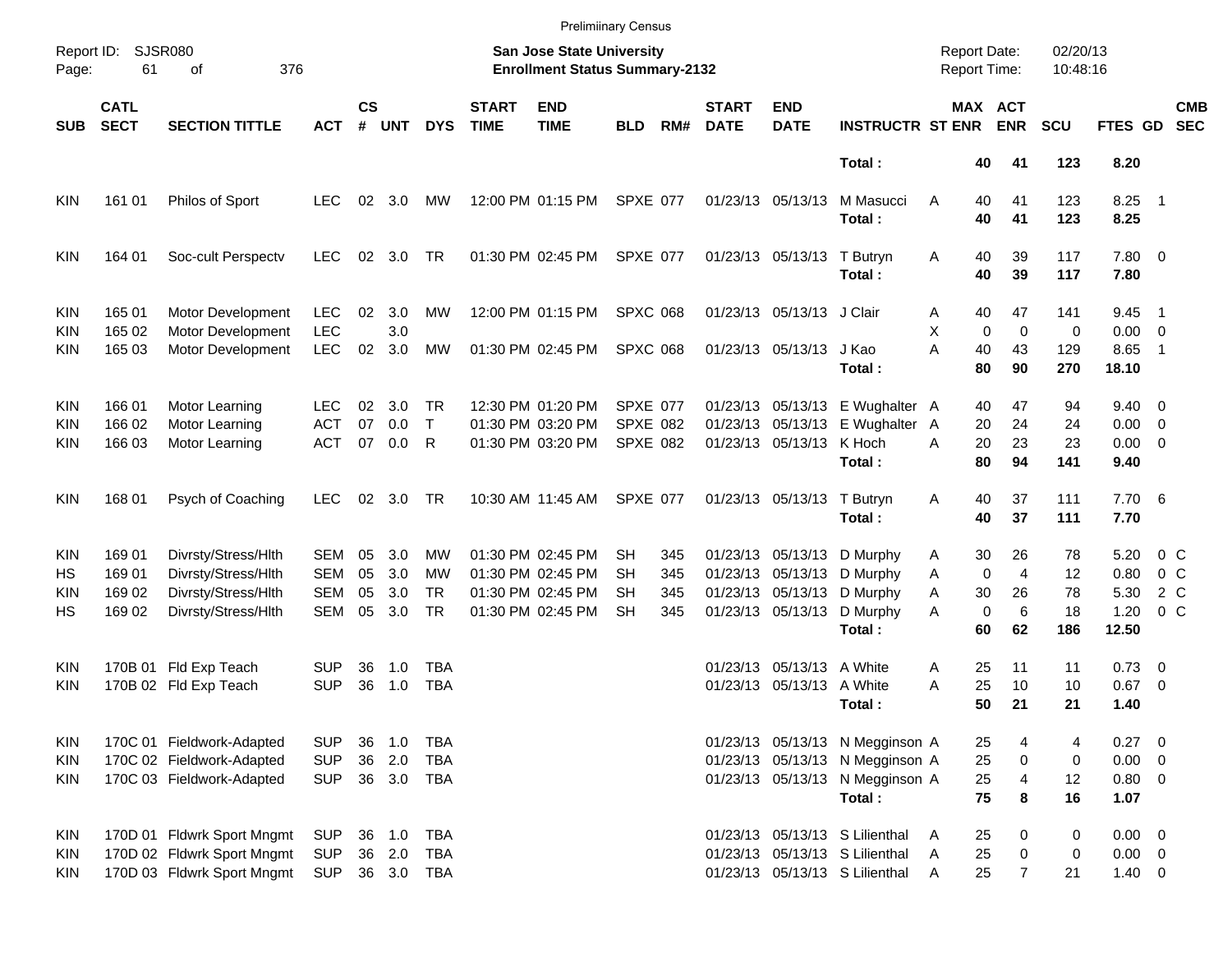|                          |                            |                                                          |                          |                    |                  |                           |                             | <b>Prelimiinary Census</b>                                         |                                    |            |                             |                                                        |                                                                    |                                            |                                     |                      |                                |                           |
|--------------------------|----------------------------|----------------------------------------------------------|--------------------------|--------------------|------------------|---------------------------|-----------------------------|--------------------------------------------------------------------|------------------------------------|------------|-----------------------------|--------------------------------------------------------|--------------------------------------------------------------------|--------------------------------------------|-------------------------------------|----------------------|--------------------------------|---------------------------|
| Report ID:<br>Page:      | 61                         | <b>SJSR080</b><br>376<br>оf                              |                          |                    |                  |                           |                             | San Jose State University<br><b>Enrollment Status Summary-2132</b> |                                    |            |                             |                                                        |                                                                    | <b>Report Date:</b><br><b>Report Time:</b> |                                     | 02/20/13<br>10:48:16 |                                |                           |
| <b>SUB</b>               | <b>CATL</b><br><b>SECT</b> | <b>SECTION TITTLE</b>                                    | <b>ACT</b>               | $\mathsf{cs}$<br># | <b>UNT</b>       | <b>DYS</b>                | <b>START</b><br><b>TIME</b> | <b>END</b><br><b>TIME</b>                                          | <b>BLD</b>                         | RM#        | <b>START</b><br><b>DATE</b> | <b>END</b><br><b>DATE</b>                              | <b>INSTRUCTR ST ENR</b>                                            |                                            | MAX ACT<br><b>ENR</b>               | <b>SCU</b>           | FTES GD                        | <b>CMB</b><br><b>SEC</b>  |
|                          |                            |                                                          |                          |                    |                  |                           |                             |                                                                    |                                    |            |                             |                                                        | Total:                                                             | 40                                         | 41                                  | 123                  | 8.20                           |                           |
| <b>KIN</b>               | 161 01                     | Philos of Sport                                          | <b>LEC</b>               | 02                 | 3.0              | MW                        |                             | 12:00 PM 01:15 PM                                                  | SPXE 077                           |            |                             | 01/23/13 05/13/13                                      | M Masucci<br>Total:                                                | Α<br>40<br>40                              | 41<br>41                            | 123<br>123           | $8.25$ 1<br>8.25               |                           |
| <b>KIN</b>               | 164 01                     | Soc-cult Perspectv                                       | LEC.                     | 02                 | 3.0              | TR                        |                             | 01:30 PM 02:45 PM                                                  | SPXE 077                           |            |                             | 01/23/13 05/13/13                                      | T Butryn<br>Total:                                                 | 40<br>A<br>40                              | 39<br>39                            | 117<br>117           | 7.80 0<br>7.80                 |                           |
| <b>KIN</b><br><b>KIN</b> | 165 01<br>165 02           | Motor Development<br>Motor Development                   | <b>LEC</b><br><b>LEC</b> | 02                 | 3.0<br>3.0       | MW                        |                             | 12:00 PM 01:15 PM                                                  | SPXC 068                           |            |                             | 01/23/13 05/13/13 J Clair                              |                                                                    | 40<br>A<br>X                               | 47<br>0<br>$\mathbf 0$              | 141<br>0             | 9.45<br>$0.00 \t 0$            | $\overline{\phantom{1}}$  |
| KIN                      | 165 03                     | Motor Development                                        | <b>LEC</b>               | 02                 | 3.0              | MW                        |                             | 01:30 PM 02:45 PM                                                  | <b>SPXC 068</b>                    |            |                             | 01/23/13 05/13/13                                      | J Kao<br>Total:                                                    | A<br>40<br>80                              | 43<br>90                            | 129<br>270           | 8.65<br>18.10                  | $\overline{1}$            |
| <b>KIN</b><br><b>KIN</b> | 166 01<br>166 02           | Motor Learning<br>Motor Learning                         | LEC.<br><b>ACT</b>       | 02<br>07           | 3.0<br>0.0       | <b>TR</b><br>$\mathsf{T}$ |                             | 12:30 PM 01:20 PM<br>01:30 PM 03:20 PM                             | <b>SPXE 077</b><br><b>SPXE 082</b> |            |                             | 01/23/13 05/13/13                                      | 01/23/13 05/13/13 E Wughalter A<br>E Wughalter                     | 40<br>20<br>A                              | 47<br>24                            | 94<br>24             | $9.40 \quad 0$<br>$0.00 \t 0$  |                           |
| KIN                      | 166 03                     | Motor Learning                                           | <b>ACT</b>               | 07                 | 0.0              | R                         |                             | 01:30 PM 03:20 PM                                                  | <b>SPXE 082</b>                    |            |                             | 01/23/13 05/13/13                                      | K Hoch<br>Total:                                                   | 20<br>А<br>80                              | 23<br>94                            | 23<br>141            | $0.00 \t 0$<br>9.40            |                           |
| <b>KIN</b>               | 168 01                     | Psych of Coaching                                        | <b>LEC</b>               | 02                 | 3.0              | TR                        |                             | 10:30 AM 11:45 AM                                                  | SPXE 077                           |            |                             | 01/23/13 05/13/13                                      | T Butryn<br>Total:                                                 | 40<br>Α<br>40                              | 37<br>37                            | 111<br>111           | 7.706<br>7.70                  |                           |
| <b>KIN</b><br>HS         | 169 01<br>169 01           | Divrsty/Stress/Hlth<br>Divrsty/Stress/Hlth               | SEM<br><b>SEM</b>        | 05<br>05           | 3.0<br>3.0       | MW<br>MW                  |                             | 01:30 PM 02:45 PM<br>01:30 PM 02:45 PM                             | SН<br>SН                           | 345<br>345 |                             | 01/23/13 05/13/13<br>01/23/13 05/13/13                 | D Murphy<br>D Murphy                                               | 30<br>A<br>A                               | 26<br>$\mathbf 0$<br>$\overline{4}$ | 78<br>12             | 5.20<br>0.80                   | $0\,$ C<br>0 <sup>o</sup> |
| <b>KIN</b><br>HS         | 169 02<br>169 02           | Divrsty/Stress/Hlth<br>Divrsty/Stress/Hlth               | <b>SEM</b><br><b>SEM</b> | 05<br>05           | 3.0<br>3.0       | <b>TR</b><br><b>TR</b>    |                             | 01:30 PM 02:45 PM<br>01:30 PM 02:45 PM                             | SН<br><b>SH</b>                    | 345<br>345 |                             | 01/23/13 05/13/13<br>01/23/13 05/13/13                 | D Murphy<br>D Murphy                                               | 30<br>A<br>A                               | 26<br>$\mathbf 0$<br>6              | 78<br>18             | 5.30<br>1.20                   | 2 C<br>$0\,$ C            |
|                          |                            |                                                          |                          |                    |                  |                           |                             |                                                                    |                                    |            |                             |                                                        | Total:                                                             | 60                                         | 62                                  | 186                  | 12.50                          |                           |
| <b>KIN</b><br>KIN        |                            | 170B 01 Fld Exp Teach<br>170B 02 Fld Exp Teach           | <b>SUP</b><br><b>SUP</b> | 36<br>36           | 1.0<br>1.0       | TBA<br><b>TBA</b>         |                             |                                                                    |                                    |            |                             | 01/23/13 05/13/13 A White<br>01/23/13 05/13/13 A White | Total :                                                            | 25<br>A<br>A<br>25<br>50                   | 11<br>10<br>21                      | 11<br>10<br>21       | $0.73 \quad 0$<br>0.67<br>1.40 | $\overline{\phantom{0}}$  |
| <b>KIN</b><br><b>KIN</b> |                            | 170C 01 Fieldwork-Adapted<br>170C 02 Fieldwork-Adapted   | <b>SUP</b><br><b>SUP</b> | 36<br>36           | 1.0<br>2.0       | TBA<br><b>TBA</b>         |                             |                                                                    |                                    |            |                             |                                                        | 01/23/13 05/13/13 N Megginson A<br>01/23/13 05/13/13 N Megginson A | 25<br>25                                   | 4<br>0                              | 4<br>0               | $0.27$ 0<br>$0.00 \t 0$        |                           |
| <b>KIN</b>               |                            | 170C 03 Fieldwork-Adapted                                | <b>SUP</b>               |                    | 36 3.0           | TBA                       |                             |                                                                    |                                    |            |                             |                                                        | 01/23/13 05/13/13 N Megginson A<br>Total:                          | 25<br>75                                   | 4<br>8                              | 12<br>16             | 0.80 0<br>1.07                 |                           |
| <b>KIN</b><br>KIN        |                            | 170D 01 Fldwrk Sport Mngmt<br>170D 02 Fldwrk Sport Mngmt | SUP<br><b>SUP</b>        |                    | 36 1.0<br>36 2.0 | TBA<br><b>TBA</b>         |                             |                                                                    |                                    |            |                             |                                                        | 01/23/13 05/13/13 S Lilienthal<br>01/23/13 05/13/13 S Lilienthal   | 25<br>A<br>25<br>A                         | 0<br>0                              | 0<br>0               | $0.00 \t 0$<br>$0.00 \t 0$     |                           |
| KIN                      |                            | 170D 03 Fldwrk Sport Mngmt                               | <b>SUP</b>               |                    |                  | 36 3.0 TBA                |                             |                                                                    |                                    |            |                             |                                                        | 01/23/13 05/13/13 S Lilienthal                                     | 25<br>Α                                    | $\overline{7}$                      | 21                   | $1.40 \ 0$                     |                           |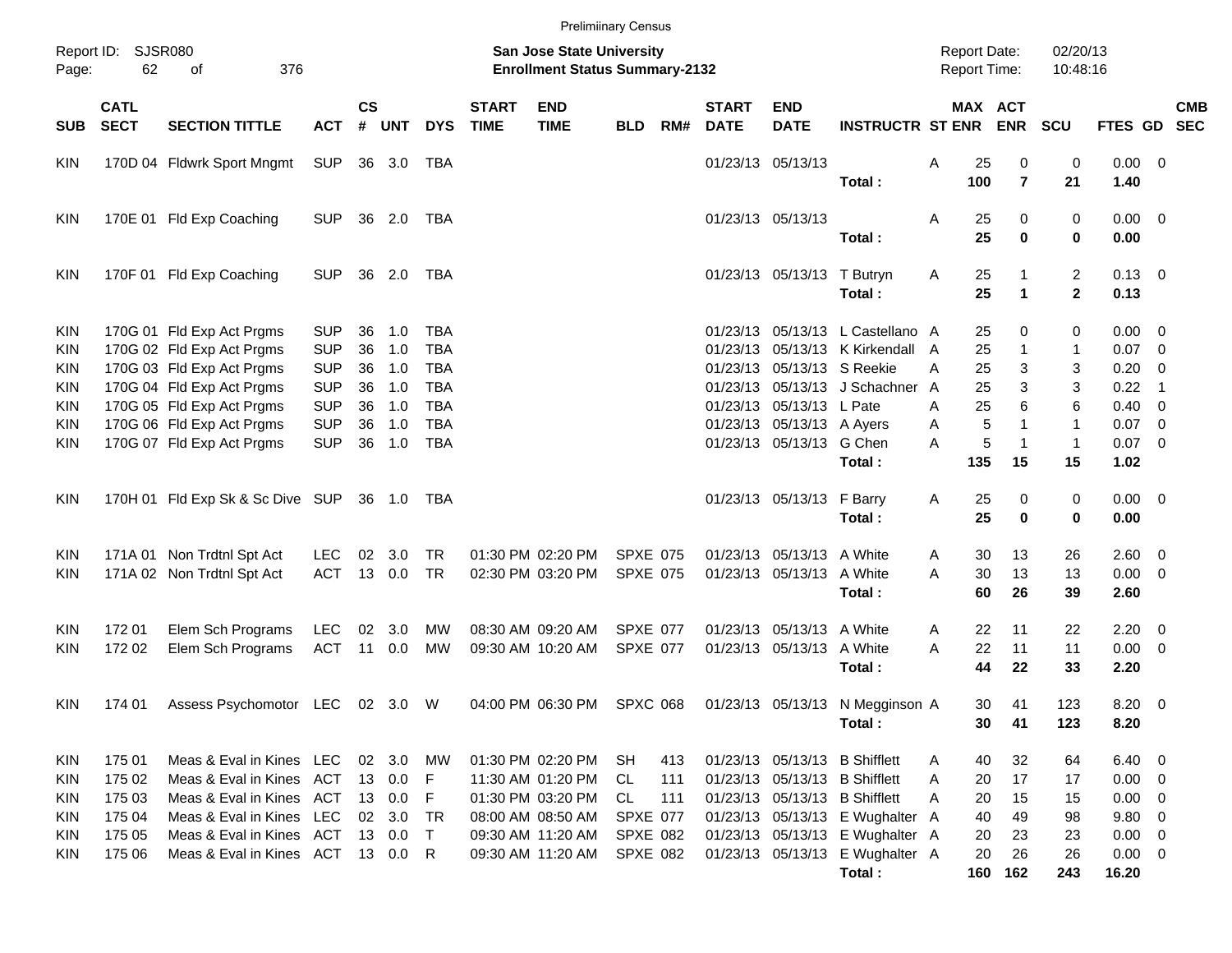|                                        |                            |                                                                                     |                                        |                    |                   |                                        |                             | <b>Prelimiinary Census</b>                                         |                                    |            |                             |                                                        |                                                                      |                                     |                 |                     |                                  |                                      |                          |            |
|----------------------------------------|----------------------------|-------------------------------------------------------------------------------------|----------------------------------------|--------------------|-------------------|----------------------------------------|-----------------------------|--------------------------------------------------------------------|------------------------------------|------------|-----------------------------|--------------------------------------------------------|----------------------------------------------------------------------|-------------------------------------|-----------------|---------------------|----------------------------------|--------------------------------------|--------------------------|------------|
| Report ID:<br>Page:                    | 62                         | <b>SJSR080</b><br>376<br>οf                                                         |                                        |                    |                   |                                        |                             | San Jose State University<br><b>Enrollment Status Summary-2132</b> |                                    |            |                             |                                                        |                                                                      | <b>Report Date:</b><br>Report Time: |                 |                     | 02/20/13<br>10:48:16             |                                      |                          |            |
| <b>SUB</b>                             | <b>CATL</b><br><b>SECT</b> | <b>SECTION TITTLE</b>                                                               | <b>ACT</b>                             | $\mathsf{cs}$<br># | <b>UNT</b>        | <b>DYS</b>                             | <b>START</b><br><b>TIME</b> | <b>END</b><br><b>TIME</b>                                          | <b>BLD</b>                         | RM#        | <b>START</b><br><b>DATE</b> | <b>END</b><br><b>DATE</b>                              | <b>INSTRUCTR ST ENR ENR</b>                                          |                                     |                 | MAX ACT             | <b>SCU</b>                       | FTES GD SEC                          |                          | <b>CMB</b> |
| <b>KIN</b>                             |                            | 170D 04 Fldwrk Sport Mngmt                                                          | <b>SUP</b>                             |                    | 36 3.0            | TBA                                    |                             |                                                                    |                                    |            |                             | 01/23/13 05/13/13                                      | Total:                                                               | Α                                   | 25<br>100       | 0<br>$\overline{7}$ | 0<br>21                          | $0.00 \t 0$<br>1.40                  |                          |            |
| KIN                                    |                            | 170E 01 Fld Exp Coaching                                                            | <b>SUP</b>                             |                    | 36 2.0            | TBA                                    |                             |                                                                    |                                    |            |                             | 01/23/13 05/13/13                                      | Total:                                                               | Α                                   | 25<br>25        | 0<br>$\mathbf 0$    | 0<br>0                           | $0.00 \t 0$<br>0.00                  |                          |            |
| KIN                                    |                            | 170F 01 Fld Exp Coaching                                                            | <b>SUP</b>                             |                    | 36 2.0            | TBA                                    |                             |                                                                    |                                    |            |                             | 01/23/13 05/13/13 T Butryn                             | Total:                                                               | Α                                   | 25<br>25        | 1                   | $\overline{2}$<br>$\overline{2}$ | $0.13 \quad 0$<br>0.13               |                          |            |
| <b>KIN</b><br><b>KIN</b>               |                            | 170G 01 Fld Exp Act Prgms<br>170G 02 Fld Exp Act Prgms                              | <b>SUP</b><br><b>SUP</b>               | 36<br>36           | 1.0<br>1.0        | <b>TBA</b><br><b>TBA</b>               |                             |                                                                    |                                    |            |                             |                                                        | 01/23/13 05/13/13 L Castellano A<br>01/23/13 05/13/13 K Kirkendall A |                                     | 25<br>25        | 0<br>1              | 0<br>1                           | $0.00 \t 0$<br>$0.07$ 0              |                          |            |
| <b>KIN</b><br><b>KIN</b><br><b>KIN</b> |                            | 170G 03 Fld Exp Act Prgms<br>170G 04 Fld Exp Act Prgms<br>170G 05 Fld Exp Act Prgms | <b>SUP</b><br><b>SUP</b><br><b>SUP</b> | 36<br>36<br>36     | 1.0<br>1.0<br>1.0 | <b>TBA</b><br><b>TBA</b><br><b>TBA</b> |                             |                                                                    |                                    |            |                             | 01/23/13 05/13/13 S Reekie<br>01/23/13 05/13/13 L Pate | 01/23/13 05/13/13 J Schachner A                                      | A<br>Α                              | 25<br>25<br>25  | 3<br>3<br>6         | 3<br>3<br>6                      | $0.20 \ 0$<br>0.22<br>$0.40 \quad 0$ | $\overline{\phantom{0}}$ |            |
| <b>KIN</b><br><b>KIN</b>               |                            | 170G 06 Fld Exp Act Prgms<br>170G 07 Fld Exp Act Prgms                              | <b>SUP</b><br><b>SUP</b>               | 36<br>36           | 1.0<br>1.0        | <b>TBA</b><br><b>TBA</b>               |                             |                                                                    |                                    |            |                             | 01/23/13 05/13/13 A Ayers<br>01/23/13 05/13/13 G Chen  |                                                                      | Α<br>A                              | $\sqrt{5}$<br>5 | $\mathbf 1$<br>1    | $\mathbf{1}$<br>$\mathbf{1}$     | $0.07$ 0<br>$0.07$ 0                 |                          |            |
|                                        |                            |                                                                                     |                                        |                    |                   |                                        |                             |                                                                    |                                    |            |                             |                                                        | Total:                                                               |                                     | 135             | 15                  | 15                               | 1.02                                 |                          |            |
| KIN                                    |                            | 170H 01 Fld Exp Sk & Sc Dive SUP                                                    |                                        |                    | 36 1.0            | TBA                                    |                             |                                                                    |                                    |            |                             | 01/23/13 05/13/13 F Barry                              | Total:                                                               | Α                                   | 25<br>25        | 0<br>$\mathbf 0$    | 0<br>0                           | $0.00 \t 0$<br>0.00                  |                          |            |
| <b>KIN</b><br><b>KIN</b>               |                            | 171A 01 Non Trdtnl Spt Act<br>171A 02 Non Trdtnl Spt Act                            | <b>LEC</b><br><b>ACT</b>               | 02                 | 3.0<br>13 0.0     | <b>TR</b><br><b>TR</b>                 |                             | 01:30 PM 02:20 PM<br>02:30 PM 03:20 PM                             | <b>SPXE 075</b><br><b>SPXE 075</b> |            |                             | 01/23/13 05/13/13 A White<br>01/23/13 05/13/13 A White | Total:                                                               | A<br>A                              | 30<br>30<br>60  | 13<br>13<br>26      | 26<br>13<br>39                   | 2.60 0<br>$0.00 \t 0$<br>2.60        |                          |            |
| KIN                                    | 172 01                     | Elem Sch Programs                                                                   | <b>LEC</b>                             | 02                 | 3.0               | MW                                     |                             | 08:30 AM 09:20 AM                                                  | <b>SPXE 077</b>                    |            |                             | 01/23/13 05/13/13 A White                              |                                                                      | A                                   | 22              | 11                  | 22                               | $2.20 \t 0$                          |                          |            |
| <b>KIN</b>                             | 172 02                     | Elem Sch Programs                                                                   | <b>ACT</b>                             |                    | 11 0.0            | <b>MW</b>                              |                             | 09:30 AM 10:20 AM                                                  | SPXE 077                           |            |                             | 01/23/13 05/13/13 A White                              | Total:                                                               | A                                   | 22<br>44        | 11<br>22            | 11<br>33                         | $0.00 \t 0$<br>2.20                  |                          |            |
| <b>KIN</b>                             | 174 01                     | Assess Psychomotor LEC 02 3.0 W                                                     |                                        |                    |                   |                                        |                             | 04:00 PM 06:30 PM                                                  | SPXC 068                           |            |                             |                                                        | 01/23/13 05/13/13 N Megginson A<br>Total:                            |                                     | 30<br>30        | 41<br>41            | 123<br>123                       | 8.20 0<br>8.20                       |                          |            |
| KIN<br>KIN                             | 175 01<br>175 02           | Meas & Eval in Kines LEC<br>Meas & Eval in Kines ACT                                |                                        |                    | 02 3.0<br>13 0.0  | MW<br>F                                |                             | 01:30 PM 02:20 PM<br>11:30 AM 01:20 PM                             | SH<br>CL                           | 413<br>111 |                             |                                                        | 01/23/13 05/13/13 B Shifflett<br>01/23/13 05/13/13 B Shifflett       | A<br>A                              | 40<br>20        | 32<br>17            | 64<br>17                         | $6.40\ 0$<br>$0.00 \t 0$             |                          |            |
| KIN                                    | 175 03                     | Meas & Eval in Kines ACT                                                            |                                        |                    | 13 0.0            | F                                      |                             | 01:30 PM 03:20 PM                                                  | CL                                 | 111        |                             |                                                        | 01/23/13 05/13/13 B Shifflett                                        | A                                   | 20              | 15                  | 15                               | $0.00 \t 0$                          |                          |            |
| KIN                                    | 175 04                     | Meas & Eval in Kines LEC                                                            |                                        |                    | 02 3.0            | TR                                     |                             | 08:00 AM 08:50 AM                                                  | <b>SPXE 077</b>                    |            |                             |                                                        | 01/23/13 05/13/13 E Wughalter A                                      |                                     | 40              | 49                  | 98                               | 9.80 0                               |                          |            |
| KIN                                    | 175 05                     | Meas & Eval in Kines ACT                                                            |                                        |                    | 13 0.0            | $\top$                                 |                             | 09:30 AM 11:20 AM                                                  | SPXE 082                           |            |                             |                                                        | 01/23/13 05/13/13 E Wughalter A                                      |                                     | 20              | 23                  | 23                               | $0.00 \t 0$                          |                          |            |
| KIN                                    | 175 06                     | Meas & Eval in Kines ACT 13 0.0 R                                                   |                                        |                    |                   |                                        |                             | 09:30 AM 11:20 AM                                                  | <b>SPXE 082</b>                    |            |                             |                                                        | 01/23/13 05/13/13 E Wughalter A<br>Total:                            |                                     | 20              | 26<br>160 162       | 26<br>243                        | $0.00 \t 0$<br>16.20                 |                          |            |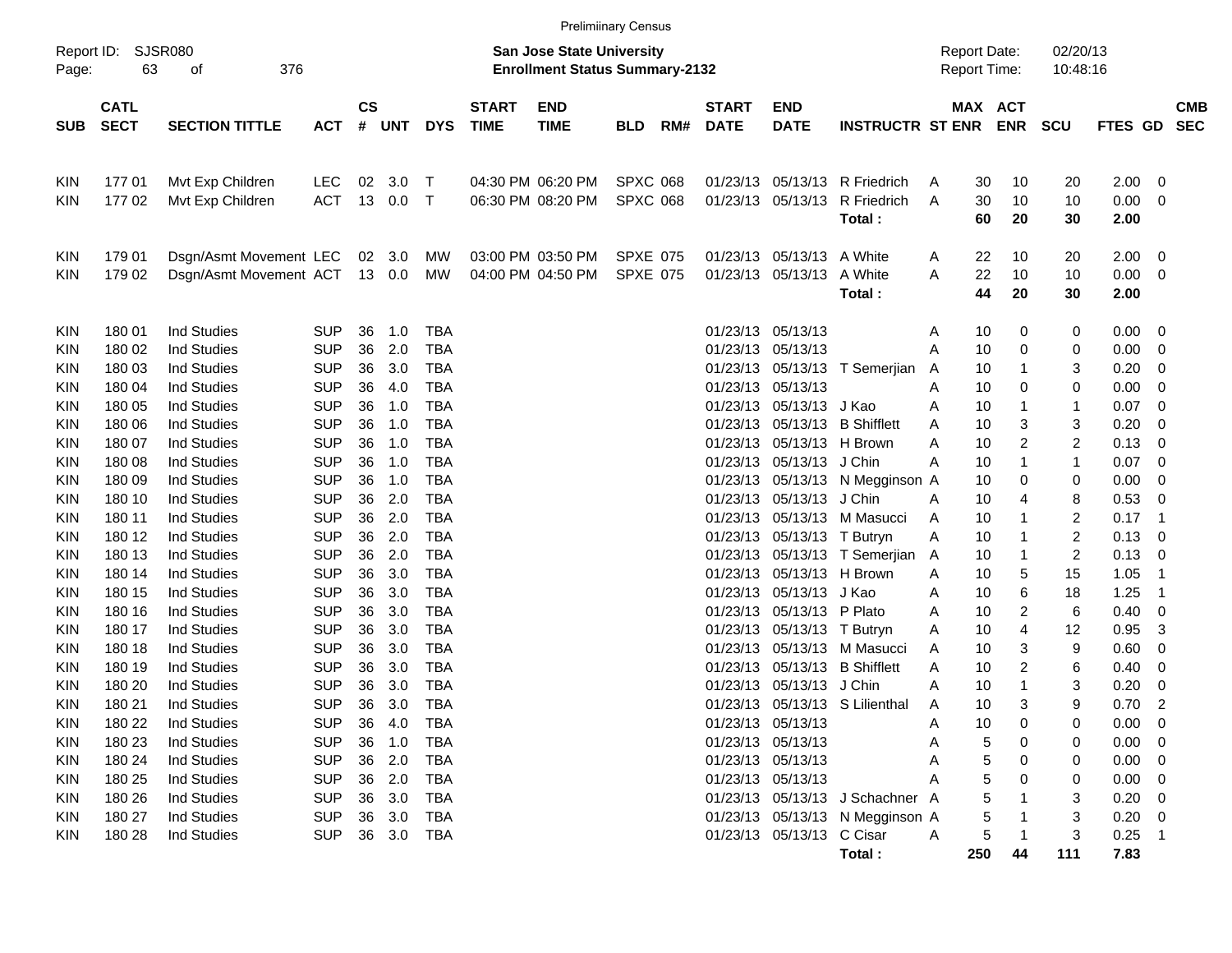| Report ID:<br>Page:                                                                                                               | SJSR080<br>63                                                                                                                                                                    |                                                                                                                                                                                                                                                                                                                                                                                                          |                                                                                                                                                                                                                                                          |                                                                                                          |                                                                                                                            |                                                                                                                                                                                                                                                          | <b>San Jose State University</b><br><b>Enrollment Status Summary-2132</b> |                                        |                                    |     |                                                                                                                                                                                                                      |                                                                                                                                                                                                                      | <b>Report Date:</b><br><b>Report Time:</b>                                                                                                                                                   |                                                                              | 02/20/13<br>10:48:16                                                                                                                                                                                            |                                                                                                                 |                                                                                                                                              |                                                                                                                               |                          |
|-----------------------------------------------------------------------------------------------------------------------------------|----------------------------------------------------------------------------------------------------------------------------------------------------------------------------------|----------------------------------------------------------------------------------------------------------------------------------------------------------------------------------------------------------------------------------------------------------------------------------------------------------------------------------------------------------------------------------------------------------|----------------------------------------------------------------------------------------------------------------------------------------------------------------------------------------------------------------------------------------------------------|----------------------------------------------------------------------------------------------------------|----------------------------------------------------------------------------------------------------------------------------|----------------------------------------------------------------------------------------------------------------------------------------------------------------------------------------------------------------------------------------------------------|---------------------------------------------------------------------------|----------------------------------------|------------------------------------|-----|----------------------------------------------------------------------------------------------------------------------------------------------------------------------------------------------------------------------|----------------------------------------------------------------------------------------------------------------------------------------------------------------------------------------------------------------------|----------------------------------------------------------------------------------------------------------------------------------------------------------------------------------------------|------------------------------------------------------------------------------|-----------------------------------------------------------------------------------------------------------------------------------------------------------------------------------------------------------------|-----------------------------------------------------------------------------------------------------------------|----------------------------------------------------------------------------------------------------------------------------------------------|-------------------------------------------------------------------------------------------------------------------------------|--------------------------|
| <b>SUB</b>                                                                                                                        | <b>CATL</b><br><b>SECT</b>                                                                                                                                                       | <b>SECTION TITTLE</b>                                                                                                                                                                                                                                                                                                                                                                                    | <b>ACT</b>                                                                                                                                                                                                                                               | <b>CS</b><br>$\#$                                                                                        | <b>UNT</b>                                                                                                                 | <b>DYS</b>                                                                                                                                                                                                                                               | <b>START</b><br><b>TIME</b>                                               | <b>END</b><br><b>TIME</b>              | <b>BLD</b>                         | RM# | <b>START</b><br><b>DATE</b>                                                                                                                                                                                          | <b>END</b><br><b>DATE</b>                                                                                                                                                                                            | <b>INSTRUCTR ST ENR</b>                                                                                                                                                                      |                                                                              | MAX ACT<br><b>ENR</b>                                                                                                                                                                                           | <b>SCU</b>                                                                                                      | FTES GD                                                                                                                                      |                                                                                                                               | <b>CMB</b><br><b>SEC</b> |
| <b>KIN</b><br><b>KIN</b>                                                                                                          | 17701<br>17702                                                                                                                                                                   | Mvt Exp Children<br>Mvt Exp Children                                                                                                                                                                                                                                                                                                                                                                     | <b>LEC</b><br><b>ACT</b>                                                                                                                                                                                                                                 | 02<br>13                                                                                                 | 3.0<br>0.0                                                                                                                 | Т<br>$\mathsf{T}$                                                                                                                                                                                                                                        |                                                                           | 04:30 PM 06:20 PM<br>06:30 PM 08:20 PM | <b>SPXC 068</b><br><b>SPXC 068</b> |     | 01/23/13<br>01/23/13                                                                                                                                                                                                 | 05/13/13<br>05/13/13                                                                                                                                                                                                 | R Friedrich<br>R Friedrich<br>Total:                                                                                                                                                         | A<br>A                                                                       | 30<br>10<br>30<br>10<br>60<br>20                                                                                                                                                                                | 20<br>10<br>30                                                                                                  | 2.00<br>0.00<br>2.00                                                                                                                         | 0<br>0                                                                                                                        |                          |
| <b>KIN</b><br><b>KIN</b>                                                                                                          | 179 01<br>179 02                                                                                                                                                                 | Dsgn/Asmt Movement LEC<br>Dsgn/Asmt Movement ACT                                                                                                                                                                                                                                                                                                                                                         |                                                                                                                                                                                                                                                          |                                                                                                          | 02 3.0<br>13 0.0                                                                                                           | MW<br>MW                                                                                                                                                                                                                                                 |                                                                           | 03:00 PM 03:50 PM<br>04:00 PM 04:50 PM | <b>SPXE 075</b><br><b>SPXE 075</b> |     | 01/23/13<br>01/23/13                                                                                                                                                                                                 | 05/13/13<br>05/13/13                                                                                                                                                                                                 | A White<br>A White<br>Total:                                                                                                                                                                 | A<br>A                                                                       | 22<br>10<br>22<br>10<br>44<br>20                                                                                                                                                                                | 20<br>10<br>30                                                                                                  | 2.00<br>0.00<br>2.00                                                                                                                         | 0<br>0                                                                                                                        |                          |
| <b>KIN</b><br>KIN<br>KIN<br>KIN<br>KIN<br>KIN<br>KIN<br>KIN<br>KIN<br>KIN<br>KIN<br>KIN<br>KIN<br>KIN<br>KIN<br>KIN<br>KIN<br>KIN | 180 01<br>180 02<br>180 03<br>180 04<br>180 05<br>180 06<br>180 07<br>180 08<br>180 09<br>180 10<br>180 11<br>180 12<br>180 13<br>180 14<br>180 15<br>180 16<br>180 17<br>180 18 | <b>Ind Studies</b><br><b>Ind Studies</b><br><b>Ind Studies</b><br><b>Ind Studies</b><br><b>Ind Studies</b><br><b>Ind Studies</b><br><b>Ind Studies</b><br><b>Ind Studies</b><br><b>Ind Studies</b><br><b>Ind Studies</b><br><b>Ind Studies</b><br><b>Ind Studies</b><br><b>Ind Studies</b><br><b>Ind Studies</b><br><b>Ind Studies</b><br><b>Ind Studies</b><br><b>Ind Studies</b><br><b>Ind Studies</b> | <b>SUP</b><br><b>SUP</b><br><b>SUP</b><br><b>SUP</b><br><b>SUP</b><br><b>SUP</b><br><b>SUP</b><br><b>SUP</b><br><b>SUP</b><br><b>SUP</b><br><b>SUP</b><br><b>SUP</b><br><b>SUP</b><br><b>SUP</b><br><b>SUP</b><br><b>SUP</b><br><b>SUP</b><br><b>SUP</b> | 36<br>36<br>36<br>36<br>36<br>36<br>36<br>36<br>36<br>36<br>36<br>36<br>36<br>36<br>36<br>36<br>36<br>36 | 1.0<br>2.0<br>3.0<br>4.0<br>1.0<br>1.0<br>1.0<br>1.0<br>1.0<br>2.0<br>2.0<br>2.0<br>2.0<br>3.0<br>3.0<br>3.0<br>3.0<br>3.0 | <b>TBA</b><br><b>TBA</b><br><b>TBA</b><br><b>TBA</b><br><b>TBA</b><br><b>TBA</b><br><b>TBA</b><br><b>TBA</b><br><b>TBA</b><br><b>TBA</b><br><b>TBA</b><br><b>TBA</b><br><b>TBA</b><br><b>TBA</b><br><b>TBA</b><br><b>TBA</b><br><b>TBA</b><br><b>TBA</b> |                                                                           |                                        |                                    |     | 01/23/13<br>01/23/13<br>01/23/13<br>01/23/13<br>01/23/13<br>01/23/13<br>01/23/13<br>01/23/13<br>01/23/13<br>01/23/13<br>01/23/13<br>01/23/13<br>01/23/13<br>01/23/13<br>01/23/13<br>01/23/13<br>01/23/13<br>01/23/13 | 05/13/13<br>05/13/13<br>05/13/13<br>05/13/13<br>05/13/13<br>05/13/13<br>05/13/13<br>05/13/13<br>05/13/13<br>05/13/13<br>05/13/13<br>05/13/13<br>05/13/13<br>05/13/13<br>05/13/13<br>05/13/13<br>05/13/13<br>05/13/13 | T Semerjian<br>J Kao<br><b>B</b> Shifflett<br>H Brown<br>J Chin<br>N Megginson A<br>J Chin<br>M Masucci<br>T Butryn<br>T Semerjian A<br>H Brown<br>J Kao<br>P Plato<br>T Butryn<br>M Masucci | A<br>Α<br>A<br>A<br>A<br>A<br>A<br>A<br>A<br>Α<br>Α<br>Α<br>Α<br>Α<br>A<br>A | 10<br>0<br>10<br>0<br>10<br>1<br>10<br>0<br>10<br>1<br>3<br>10<br>2<br>10<br>$\mathbf 1$<br>10<br>10<br>0<br>10<br>4<br>10<br>-1<br>10<br>-1<br>10<br>-1<br>5<br>10<br>6<br>10<br>2<br>10<br>4<br>10<br>3<br>10 | 0<br>0<br>3<br>0<br>1<br>3<br>2<br>1<br>0<br>8<br>2<br>2<br>$\overline{\mathbf{c}}$<br>15<br>18<br>6<br>12<br>9 | 0.00<br>0.00<br>0.20<br>0.00<br>0.07<br>0.20<br>0.13<br>0.07<br>0.00<br>0.53<br>0.17<br>0.13<br>0.13<br>1.05<br>1.25<br>0.40<br>0.95<br>0.60 | 0<br>0<br>0<br>0<br>0<br>0<br>0<br>0<br>0<br>0<br>$\overline{1}$<br>0<br>0<br>$\overline{1}$<br>$\overline{1}$<br>0<br>3<br>0 |                          |
| KIN<br><b>KIN</b><br>KIN<br><b>KIN</b><br><b>KIN</b><br>KIN<br>KIN<br><b>KIN</b><br><b>KIN</b><br><b>KIN</b>                      | 180 19<br>180 20<br>180 21<br>180 22<br>180 23<br>180 24<br>180 25<br>180 26<br>180 27<br>180 28                                                                                 | <b>Ind Studies</b><br><b>Ind Studies</b><br><b>Ind Studies</b><br><b>Ind Studies</b><br>Ind Studies<br><b>Ind Studies</b><br>Ind Studies<br>Ind Studies<br><b>Ind Studies</b><br><b>Ind Studies</b>                                                                                                                                                                                                      | <b>SUP</b><br><b>SUP</b><br><b>SUP</b><br><b>SUP</b><br><b>SUP</b><br><b>SUP</b><br><b>SUP</b><br><b>SUP</b><br><b>SUP</b><br><b>SUP</b>                                                                                                                 | 36<br>36<br>36<br>36<br>36<br>36                                                                         | 3.0<br>3.0<br>3.0<br>4.0<br>1.0<br>2.0<br>36 2.0<br>36 3.0<br>36 3.0<br>36 3.0                                             | <b>TBA</b><br><b>TBA</b><br><b>TBA</b><br><b>TBA</b><br>TBA<br><b>TBA</b><br><b>TBA</b><br><b>TBA</b><br><b>TBA</b><br><b>TBA</b>                                                                                                                        |                                                                           |                                        |                                    |     | 01/23/13<br>01/23/13<br>01/23/13<br>01/23/13 05/13/13                                                                                                                                                                | 05/13/13<br>05/13/13<br>05/13/13<br>01/23/13 05/13/13<br>01/23/13 05/13/13<br>01/23/13 05/13/13<br>01/23/13 05/13/13 C Cisar                                                                                         | <b>B</b> Shifflett<br>J Chin<br>S Lilienthal<br>01/23/13 05/13/13 J Schachner A<br>01/23/13 05/13/13 N Megginson A<br>Total:                                                                 | A<br>A<br>A<br>Α<br>Α<br>Α<br>Α<br>$\mathsf{A}$<br>250                       | $\overline{c}$<br>10<br>$\mathbf 1$<br>10<br>3<br>10<br>10<br>$\mathbf 0$<br>5<br>0<br>0<br>0<br>5<br>44                                                                                                        | 6<br>3<br>9<br>0<br>0<br>0<br>0<br>3<br>3<br>3<br>111                                                           | 0.40<br>0.20<br>0.70<br>0.00<br>0.00<br>0.00<br>0.00<br>0.20<br>0.20<br>0.25<br>7.83                                                         | 0<br>0<br>$\overline{c}$<br>0<br>$\overline{\mathbf{0}}$<br>0<br>0<br>0<br>0<br>$\overline{1}$                                |                          |

Prelimiinary Census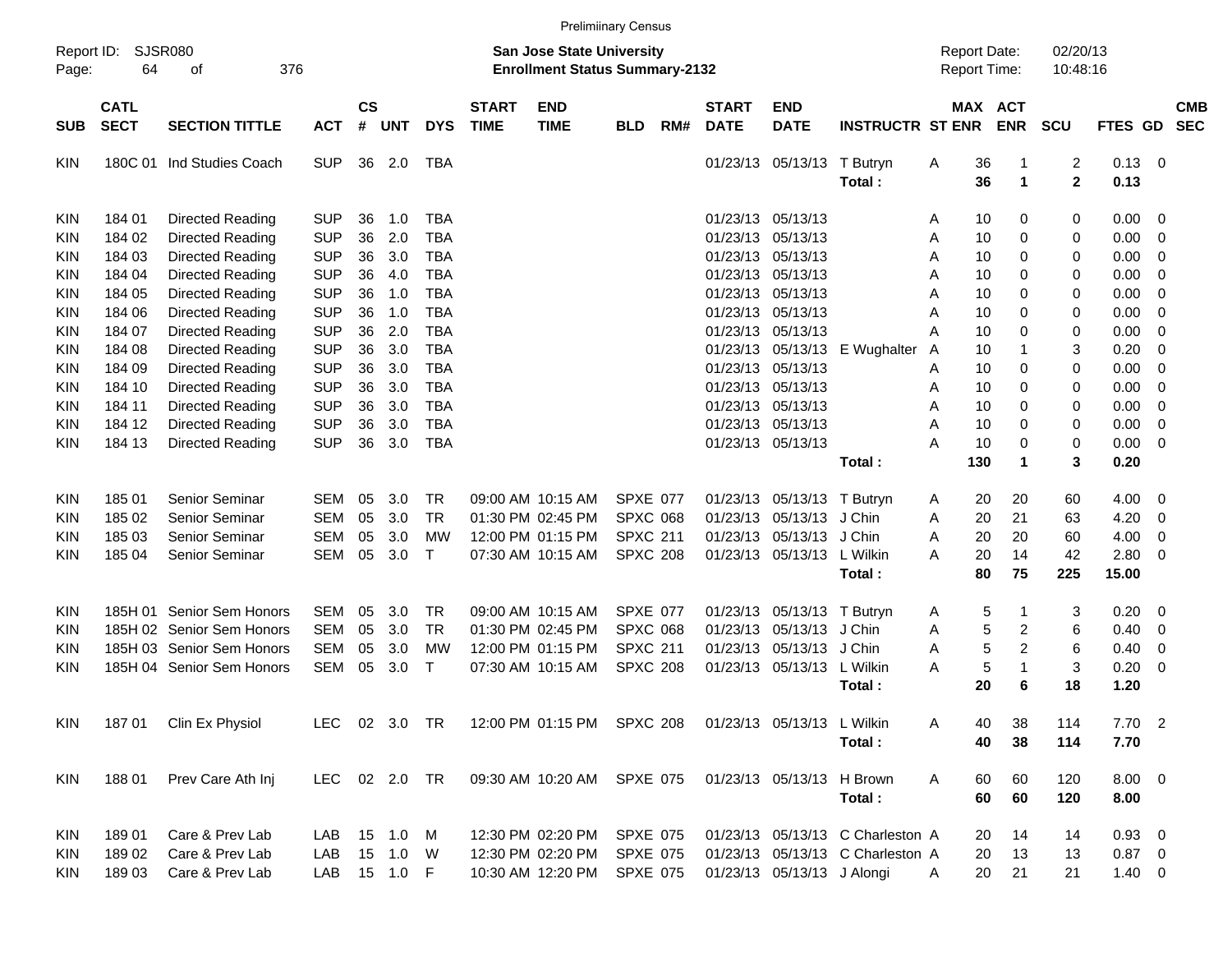|                           |                            |                                                          |                                        |                |                              |                                        |                             | <b>Prelimiinary Census</b>                                                |                                                       |     |                             |                                                             |                                                                      |                                            |                |                                     |                               |                                    |                                           |                          |
|---------------------------|----------------------------|----------------------------------------------------------|----------------------------------------|----------------|------------------------------|----------------------------------------|-----------------------------|---------------------------------------------------------------------------|-------------------------------------------------------|-----|-----------------------------|-------------------------------------------------------------|----------------------------------------------------------------------|--------------------------------------------|----------------|-------------------------------------|-------------------------------|------------------------------------|-------------------------------------------|--------------------------|
| Report ID:<br>Page:       | <b>SJSR080</b><br>64       | 376<br>оf                                                |                                        |                |                              |                                        |                             | <b>San Jose State University</b><br><b>Enrollment Status Summary-2132</b> |                                                       |     |                             |                                                             |                                                                      | <b>Report Date:</b><br><b>Report Time:</b> |                |                                     | 02/20/13<br>10:48:16          |                                    |                                           |                          |
| <b>SUB</b>                | <b>CATL</b><br><b>SECT</b> | <b>SECTION TITTLE</b>                                    | <b>ACT</b>                             | <b>CS</b><br># | <b>UNT</b>                   | <b>DYS</b>                             | <b>START</b><br><b>TIME</b> | <b>END</b><br><b>TIME</b>                                                 | <b>BLD</b>                                            | RM# | <b>START</b><br><b>DATE</b> | <b>END</b><br><b>DATE</b>                                   | <b>INSTRUCTR ST ENR</b>                                              |                                            | MAX ACT        | <b>ENR</b>                          | <b>SCU</b>                    | <b>FTES GD</b>                     |                                           | <b>CMB</b><br><b>SEC</b> |
| KIN                       |                            | 180C 01 Ind Studies Coach                                | <b>SUP</b>                             | 36             | 2.0                          | TBA                                    |                             |                                                                           |                                                       |     |                             | 01/23/13 05/13/13                                           | T Butryn<br>Total:                                                   | Α                                          | 36<br>36       | -1<br>$\mathbf{1}$                  | $\overline{c}$<br>$\mathbf 2$ | 0.13<br>0.13                       | - 0                                       |                          |
| KIN<br>KIN                | 184 01<br>184 02           | Directed Reading<br>Directed Reading                     | <b>SUP</b><br><b>SUP</b>               | 36<br>36       | 1.0<br>2.0                   | <b>TBA</b><br><b>TBA</b>               |                             |                                                                           |                                                       |     | 01/23/13                    | 01/23/13 05/13/13<br>05/13/13                               |                                                                      | A<br>Α                                     | 10<br>10       | 0<br>0                              | 0<br>0                        | 0.00<br>0.00                       | 0<br>$\mathbf 0$                          |                          |
| KIN<br>KIN<br>KIN         | 184 03<br>184 04<br>184 05 | Directed Reading<br>Directed Reading<br>Directed Reading | <b>SUP</b><br><b>SUP</b><br><b>SUP</b> | 36<br>36<br>36 | 3.0<br>4.0<br>1.0            | <b>TBA</b><br><b>TBA</b><br><b>TBA</b> |                             |                                                                           |                                                       |     |                             | 01/23/13 05/13/13<br>01/23/13 05/13/13<br>01/23/13 05/13/13 |                                                                      | Α<br>Α<br>Α                                | 10<br>10<br>10 | 0<br>0<br>0                         | 0<br>0<br>0                   | 0.00<br>0.00<br>0.00               | $\mathbf 0$<br>$\mathbf 0$<br>$\mathbf 0$ |                          |
| KIN<br>KIN<br>KIN         | 184 06<br>184 07<br>184 08 | Directed Reading<br>Directed Reading<br>Directed Reading | <b>SUP</b><br><b>SUP</b><br><b>SUP</b> | 36<br>36<br>36 | 1.0<br>2.0<br>3.0            | <b>TBA</b><br><b>TBA</b><br><b>TBA</b> |                             |                                                                           |                                                       |     |                             | 01/23/13 05/13/13<br>01/23/13 05/13/13<br>01/23/13 05/13/13 | E Wughalter                                                          | A<br>Α<br>A                                | 10<br>10<br>10 | 0<br>0<br>1                         | 0<br>0<br>3                   | 0.00<br>0.00<br>0.20               | $\mathbf 0$<br>0<br>$\mathbf 0$           |                          |
| KIN<br>KIN                | 184 09<br>184 10           | Directed Reading<br>Directed Reading                     | <b>SUP</b><br><b>SUP</b>               | 36<br>36       | 3.0<br>3.0                   | <b>TBA</b><br><b>TBA</b>               |                             |                                                                           |                                                       |     |                             | 01/23/13 05/13/13<br>01/23/13 05/13/13                      |                                                                      | Α<br>Α                                     | 10<br>10       | 0<br>0                              | 0<br>0                        | 0.00<br>0.00                       | $\mathbf 0$<br>$\mathbf 0$                |                          |
| KIN<br>KIN<br>KIN         | 184 11<br>184 12<br>184 13 | Directed Reading<br>Directed Reading<br>Directed Reading | <b>SUP</b><br><b>SUP</b><br><b>SUP</b> | 36<br>36<br>36 | 3.0<br>3.0<br>3.0            | <b>TBA</b><br><b>TBA</b><br><b>TBA</b> |                             |                                                                           |                                                       |     |                             | 01/23/13 05/13/13<br>01/23/13 05/13/13<br>01/23/13 05/13/13 |                                                                      | Α<br>A<br>А                                | 10<br>10<br>10 | 0<br>0<br>0                         | 0<br>0<br>$\mathbf 0$         | 0.00<br>0.00<br>0.00               | $\mathbf 0$<br>$\mathbf 0$<br>$\mathbf 0$ |                          |
|                           |                            |                                                          |                                        |                |                              |                                        |                             |                                                                           |                                                       |     |                             |                                                             | Total:                                                               |                                            | 130            | $\mathbf 1$                         | 3                             | 0.20                               |                                           |                          |
| KIN<br>KIN                | 185 01<br>185 02           | Senior Seminar<br>Senior Seminar                         | <b>SEM</b><br><b>SEM</b>               | 05<br>05       | 3.0<br>3.0                   | <b>TR</b><br><b>TR</b>                 |                             | 09:00 AM 10:15 AM<br>01:30 PM 02:45 PM                                    | <b>SPXE 077</b><br><b>SPXC 068</b>                    |     | 01/23/13                    | 01/23/13 05/13/13<br>05/13/13                               | T Butryn<br>J Chin                                                   | A<br>Α                                     | 20<br>20       | 20<br>21                            | 60<br>63                      | 4.00<br>4.20                       | 0<br>$\mathbf 0$                          |                          |
| KIN<br>KIN                | 185 03<br>185 04           | Senior Seminar<br><b>Senior Seminar</b>                  | <b>SEM</b><br><b>SEM</b>               | 05<br>05       | 3.0<br>3.0                   | МW<br>T                                |                             | 12:00 PM 01:15 PM<br>07:30 AM 10:15 AM                                    | <b>SPXC 211</b><br><b>SPXC 208</b>                    |     | 01/23/13                    | 05/13/13<br>01/23/13 05/13/13                               | J Chin<br>L Wilkin<br>Total:                                         | Α<br>А                                     | 20<br>20<br>80 | 20<br>14<br>75                      | 60<br>42<br>225               | 4.00<br>2.80<br>15.00              | $\mathbf 0$<br>$\mathbf 0$                |                          |
| KIN<br>KIN                |                            | 185H 01 Senior Sem Honors<br>185H 02 Senior Sem Honors   | <b>SEM</b><br><b>SEM</b>               | 05<br>05       | 3.0<br>3.0                   | <b>TR</b><br><b>TR</b>                 |                             | 09:00 AM 10:15 AM<br>01:30 PM 02:45 PM                                    | <b>SPXE 077</b><br><b>SPXC 068</b>                    |     | 01/23/13<br>01/23/13        | 05/13/13<br>05/13/13                                        | T Butryn<br>J Chin                                                   | A<br>Α                                     | 5<br>5         | 1<br>$\overline{c}$                 | 3<br>6                        | 0.20<br>0.40                       | 0<br>$\mathbf 0$                          |                          |
| KIN<br>KIN                |                            | 185H 03 Senior Sem Honors<br>185H 04 Senior Sem Honors   | <b>SEM</b><br><b>SEM</b>               | 05<br>05       | 3.0<br>3.0                   | МW<br>Т                                |                             | 12:00 PM 01:15 PM<br>07:30 AM 10:15 AM                                    | <b>SPXC 211</b><br><b>SPXC 208</b>                    |     | 01/23/13                    | 05/13/13<br>01/23/13 05/13/13                               | J Chin<br>L Wilkin<br>Total:                                         | Α<br>Α                                     | 5<br>5<br>20   | $\overline{2}$<br>$\mathbf{1}$<br>6 | 6<br>3<br>18                  | 0.40<br>0.20<br>1.20               | $\mathbf 0$<br>$\mathbf 0$                |                          |
| KIN                       | 18701                      | Clin Ex Physiol                                          | LEC                                    |                | 02 3.0 TR                    |                                        |                             | 12:00 PM 01:15 PM SPXC 208                                                |                                                       |     |                             | 01/23/13 05/13/13 L Wilkin                                  | Total:                                                               | Α                                          | 40<br>40       | 38<br>38                            | 114<br>114                    | 7.702<br>7.70                      |                                           |                          |
| <b>KIN</b>                | 18801                      | Prev Care Ath Inj                                        | LEC                                    |                | 02  2.0  TR                  |                                        |                             | 09:30 AM 10:20 AM SPXE 075                                                |                                                       |     |                             | 01/23/13 05/13/13 H Brown                                   | Total:                                                               | A                                          | 60<br>60       | 60<br>60                            | 120<br>120                    | $8.00 \t 0$<br>8.00                |                                           |                          |
| KIN<br>KIN.<br><b>KIN</b> | 18901<br>18902<br>18903    | Care & Prev Lab<br>Care & Prev Lab<br>Care & Prev Lab    | LAB<br>LAB<br>LAB                      |                | 15 1.0<br>15 1.0<br>15 1.0 F | M<br>W                                 |                             | 12:30 PM 02:20 PM<br>12:30 PM 02:20 PM<br>10:30 AM 12:20 PM               | <b>SPXE 075</b><br><b>SPXE 075</b><br><b>SPXE 075</b> |     |                             | 01/23/13 05/13/13 J Alongi                                  | 01/23/13 05/13/13 C Charleston A<br>01/23/13 05/13/13 C Charleston A | A                                          | 20<br>20<br>20 | 14<br>13<br>21                      | 14<br>13<br>21                | $0.93$ 0<br>$0.87$ 0<br>$1.40 \ 0$ |                                           |                          |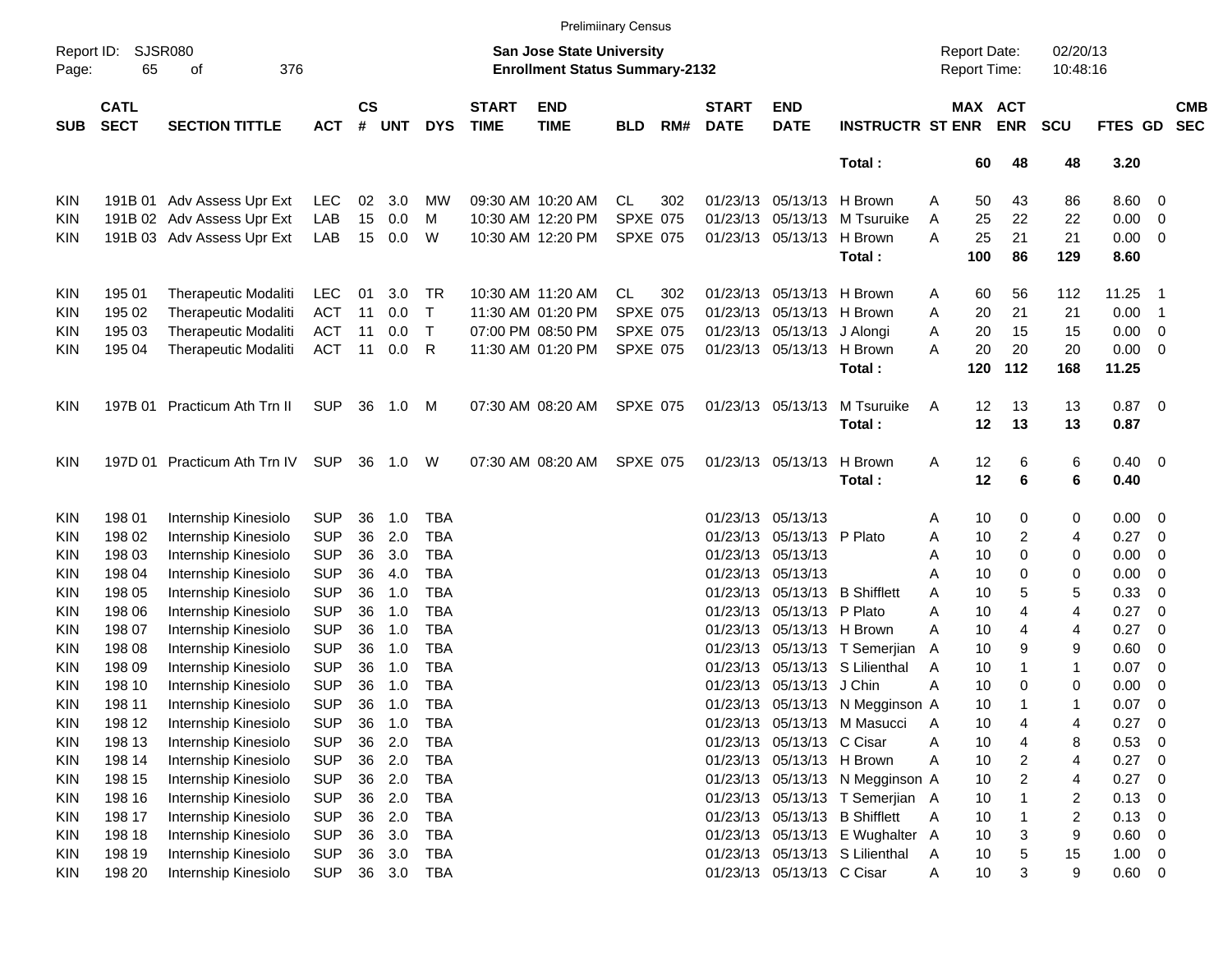|                     |                            |                              |            |                    |            |              |                             | <b>Prelimiinary Census</b>                                         |                 |     |                             |                            |                                 |                                     |     |                         |                      |                |                |                          |
|---------------------|----------------------------|------------------------------|------------|--------------------|------------|--------------|-----------------------------|--------------------------------------------------------------------|-----------------|-----|-----------------------------|----------------------------|---------------------------------|-------------------------------------|-----|-------------------------|----------------------|----------------|----------------|--------------------------|
| Report ID:<br>Page: | 65                         | <b>SJSR080</b><br>376<br>оf  |            |                    |            |              |                             | San Jose State University<br><b>Enrollment Status Summary-2132</b> |                 |     |                             |                            |                                 | <b>Report Date:</b><br>Report Time: |     |                         | 02/20/13<br>10:48:16 |                |                |                          |
| <b>SUB</b>          | <b>CATL</b><br><b>SECT</b> | <b>SECTION TITTLE</b>        | <b>ACT</b> | $\mathsf{cs}$<br># | <b>UNT</b> | <b>DYS</b>   | <b>START</b><br><b>TIME</b> | <b>END</b><br><b>TIME</b>                                          | <b>BLD</b>      | RM# | <b>START</b><br><b>DATE</b> | <b>END</b><br><b>DATE</b>  | <b>INSTRUCTR ST ENR</b>         | <b>MAX ACT</b>                      |     | <b>ENR</b>              | <b>SCU</b>           | <b>FTES GD</b> |                | <b>CMB</b><br><b>SEC</b> |
|                     |                            |                              |            |                    |            |              |                             |                                                                    |                 |     |                             |                            | Total:                          |                                     | 60  | 48                      | 48                   | 3.20           |                |                          |
| <b>KIN</b>          |                            | 191B 01 Adv Assess Upr Ext   | <b>LEC</b> | 02                 | 3.0        | MW           |                             | 09:30 AM 10:20 AM                                                  | CL              | 302 |                             | 01/23/13 05/13/13          | H Brown                         | A                                   | 50  | 43                      | 86                   | 8.60           | 0              |                          |
| <b>KIN</b>          |                            | 191B 02 Adv Assess Upr Ext   | LAB        | 15                 | 0.0        | м            |                             | 10:30 AM 12:20 PM                                                  | <b>SPXE 075</b> |     |                             | 01/23/13 05/13/13          | M Tsuruike                      | A                                   | 25  | 22                      | 22                   | 0.00           | 0              |                          |
| KIN                 |                            | 191B 03 Adv Assess Upr Ext   | LAB        | 15                 | 0.0        | W            |                             | 10:30 AM 12:20 PM                                                  | <b>SPXE 075</b> |     |                             | 01/23/13 05/13/13 H Brown  |                                 | Α                                   | 25  | 21                      | 21                   | 0.00           | 0              |                          |
|                     |                            |                              |            |                    |            |              |                             |                                                                    |                 |     |                             |                            | Total:                          |                                     | 100 | 86                      | 129                  | 8.60           |                |                          |
| <b>KIN</b>          | 195 01                     | Therapeutic Modaliti         | <b>LEC</b> | 01                 | 3.0        | TR           |                             | 10:30 AM 11:20 AM                                                  | CL              | 302 |                             | 01/23/13 05/13/13 H Brown  |                                 | A                                   | 60  | 56                      | 112                  | 11.25          | - 1            |                          |
| <b>KIN</b>          | 195 02                     | Therapeutic Modaliti         | <b>ACT</b> | 11                 | 0.0        | $\mathsf{T}$ |                             | 11:30 AM 01:20 PM                                                  | <b>SPXE 075</b> |     |                             | 01/23/13 05/13/13 H Brown  |                                 | A                                   | 20  | 21                      | 21                   | 0.00           | - 1            |                          |
| KIN                 | 195 03                     | Therapeutic Modaliti         | <b>ACT</b> | 11                 | 0.0        | $\mathsf{T}$ |                             | 07:00 PM 08:50 PM                                                  | <b>SPXE 075</b> |     |                             | 01/23/13 05/13/13 J Alongi |                                 | Α                                   | 20  | 15                      | 15                   | 0.00           | 0              |                          |
| KIN                 | 195 04                     | Therapeutic Modaliti         | <b>ACT</b> | 11                 | 0.0        | R            |                             | 11:30 AM 01:20 PM                                                  | <b>SPXE 075</b> |     |                             | 01/23/13 05/13/13 H Brown  |                                 | Α                                   | 20  | 20                      | 20                   | 0.00           | 0              |                          |
|                     |                            |                              |            |                    |            |              |                             |                                                                    |                 |     |                             |                            | Total:                          |                                     | 120 | 112                     | 168                  | 11.25          |                |                          |
| <b>KIN</b>          |                            | 197B 01 Practicum Ath Trn II | <b>SUP</b> | 36                 | 1.0        | M            |                             | 07:30 AM 08:20 AM                                                  | <b>SPXE 075</b> |     |                             | 01/23/13 05/13/13          | M Tsuruike                      | A                                   | 12  | 13                      | 13                   | $0.87$ 0       |                |                          |
|                     |                            |                              |            |                    |            |              |                             |                                                                    |                 |     |                             |                            | Total:                          |                                     | 12  | 13                      | 13                   | 0.87           |                |                          |
| <b>KIN</b>          |                            | 197D 01 Practicum Ath Trn IV | SUP        | 36                 | 1.0        | W            |                             | 07:30 AM 08:20 AM                                                  | <b>SPXE 075</b> |     |                             | 01/23/13 05/13/13          | H Brown                         | A                                   | 12  | 6                       | 6                    | $0.40 \quad 0$ |                |                          |
|                     |                            |                              |            |                    |            |              |                             |                                                                    |                 |     |                             |                            | Total:                          |                                     | 12  | 6                       | 6                    | 0.40           |                |                          |
| <b>KIN</b>          | 198 01                     | Internship Kinesiolo         | <b>SUP</b> | 36                 | 1.0        | <b>TBA</b>   |                             |                                                                    |                 |     |                             | 01/23/13 05/13/13          |                                 | Α                                   | 10  | 0                       | 0                    | 0.00           | 0              |                          |
| <b>KIN</b>          | 198 02                     | Internship Kinesiolo         | <b>SUP</b> | 36                 | 2.0        | <b>TBA</b>   |                             |                                                                    |                 |     |                             | 01/23/13 05/13/13 P Plato  |                                 | Α                                   | 10  | 2                       | 4                    | 0.27           | 0              |                          |
| <b>KIN</b>          | 198 03                     | Internship Kinesiolo         | <b>SUP</b> | 36                 | 3.0        | <b>TBA</b>   |                             |                                                                    |                 |     |                             | 01/23/13 05/13/13          |                                 | Α                                   | 10  | 0                       | 0                    | 0.00           | 0              |                          |
| <b>KIN</b>          | 198 04                     | Internship Kinesiolo         | <b>SUP</b> | 36                 | 4.0        | <b>TBA</b>   |                             |                                                                    |                 |     |                             | 01/23/13 05/13/13          |                                 | A                                   | 10  | 0                       | 0                    | 0.00           | 0              |                          |
| <b>KIN</b>          | 198 05                     | Internship Kinesiolo         | <b>SUP</b> | 36                 | 1.0        | <b>TBA</b>   |                             |                                                                    |                 |     |                             |                            | 01/23/13 05/13/13 B Shifflett   | A                                   | 10  | 5                       | 5                    | 0.33           | 0              |                          |
| <b>KIN</b>          | 198 06                     | Internship Kinesiolo         | <b>SUP</b> | 36                 | 1.0        | <b>TBA</b>   |                             |                                                                    |                 |     |                             | 01/23/13 05/13/13 P Plato  |                                 | Α                                   | 10  | 4                       | 4                    | 0.27           | 0              |                          |
| <b>KIN</b>          | 198 07                     | Internship Kinesiolo         | <b>SUP</b> | 36                 | 1.0        | <b>TBA</b>   |                             |                                                                    |                 |     |                             | 01/23/13 05/13/13 H Brown  |                                 | A                                   | 10  | 4                       | 4                    | 0.27           | 0              |                          |
| <b>KIN</b>          | 198 08                     | Internship Kinesiolo         | <b>SUP</b> | 36                 | 1.0        | <b>TBA</b>   |                             |                                                                    |                 |     |                             |                            | 01/23/13 05/13/13 T Semerjian   | A                                   | 10  | 9                       | 9                    | 0.60           | 0              |                          |
| <b>KIN</b>          | 198 09                     | Internship Kinesiolo         | <b>SUP</b> | 36                 | 1.0        | <b>TBA</b>   |                             |                                                                    |                 |     |                             |                            | 01/23/13 05/13/13 S Lilienthal  | A                                   | 10  |                         | $\mathbf{1}$         | 0.07           | 0              |                          |
| KIN                 | 198 10                     | Internship Kinesiolo         | <b>SUP</b> | 36                 | 1.0        | <b>TBA</b>   |                             |                                                                    |                 |     |                             | 01/23/13 05/13/13 J Chin   |                                 | А                                   | 10  | 0                       | 0                    | 0.00           | 0              |                          |
| KIN                 | 198 11                     | Internship Kinesiolo         | <b>SUP</b> | 36                 | 1.0        | <b>TBA</b>   |                             |                                                                    |                 |     |                             |                            | 01/23/13 05/13/13 N Megginson A |                                     | 10  |                         | 1                    | 0.07           | $\mathbf 0$    |                          |
| <b>KIN</b>          | 198 12                     | Internship Kinesiolo         | <b>SUP</b> | 36                 | 1.0        | <b>TBA</b>   |                             |                                                                    |                 |     |                             |                            | 01/23/13 05/13/13 M Masucci     | A                                   | 10  | 4                       | 4                    | 0.27           | 0              |                          |
| <b>KIN</b>          | 198 13                     | Internship Kinesiolo         | <b>SUP</b> | 36                 | 2.0        | <b>TBA</b>   |                             |                                                                    |                 |     |                             | 01/23/13 05/13/13 C Cisar  |                                 | А                                   | 10  | 4                       | 8                    | 0.53           | 0              |                          |
| <b>KIN</b>          | 198 14                     | Internship Kinesiolo         | <b>SUP</b> | 36                 | 2.0        | <b>TBA</b>   |                             |                                                                    |                 |     |                             | 01/23/13 05/13/13 H Brown  |                                 | Α                                   | 10  | $\overline{\mathbf{c}}$ | 4                    | 0.27           | 0              |                          |
| <b>KIN</b>          | 198 15                     | Internship Kinesiolo         | <b>SUP</b> | 36                 | 2.0        | <b>TBA</b>   |                             |                                                                    |                 |     |                             |                            | 01/23/13 05/13/13 N Megginson A |                                     | 10  | $\overline{2}$          | 4                    | 0.27           | 0              |                          |
| <b>KIN</b>          | 198 16                     | Internship Kinesiolo         | <b>SUP</b> | 36                 | 2.0        | <b>TBA</b>   |                             |                                                                    |                 |     |                             |                            | 01/23/13 05/13/13 T Semerjian A |                                     | 10  |                         | 2                    | 0.13           | 0              |                          |
| <b>KIN</b>          | 198 17                     | Internship Kinesiolo         | <b>SUP</b> | 36                 | 2.0        | <b>TBA</b>   |                             |                                                                    |                 |     |                             |                            | 01/23/13 05/13/13 B Shifflett   | Α                                   | 10  |                         | 2                    | 0.13           | 0              |                          |
| <b>KIN</b>          | 198 18                     | Internship Kinesiolo         | <b>SUP</b> | 36                 | 3.0        | <b>TBA</b>   |                             |                                                                    |                 |     |                             |                            | 01/23/13 05/13/13 E Wughalter A |                                     | 10  | 3                       | 9                    | 0.60           | $\mathbf 0$    |                          |
| <b>KIN</b>          | 198 19                     | Internship Kinesiolo         | <b>SUP</b> | 36                 | 3.0        | <b>TBA</b>   |                             |                                                                    |                 |     |                             |                            | 01/23/13 05/13/13 S Lilienthal  | Α                                   | 10  | 5                       | 15                   | 1.00           | $\overline{0}$ |                          |
| KIN                 | 198 20                     | Internship Kinesiolo         | <b>SUP</b> |                    |            | 36 3.0 TBA   |                             |                                                                    |                 |     |                             | 01/23/13 05/13/13 C Cisar  |                                 | Α                                   | 10  | 3                       | 9                    | $0.60 \t 0$    |                |                          |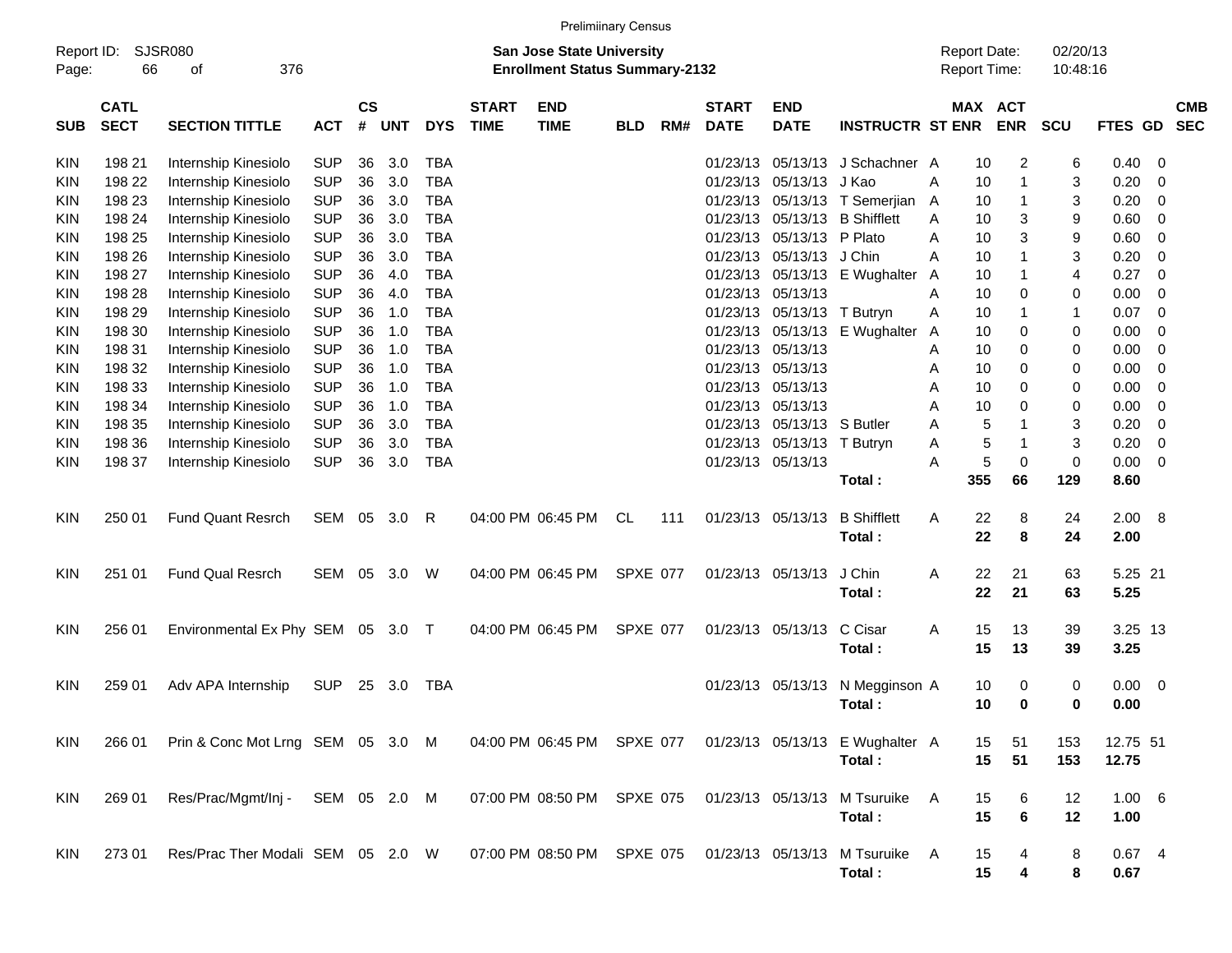| <b>Prelimiinary Census</b><br><b>SJSR080</b><br><b>Report Date:</b><br>Report ID:<br><b>San Jose State University</b> |                            |                                   |            |                    |            |            |                             |                                       |                 |     |                             |                           |                                                            |     |              |                          |                      |                |     |                          |
|-----------------------------------------------------------------------------------------------------------------------|----------------------------|-----------------------------------|------------|--------------------|------------|------------|-----------------------------|---------------------------------------|-----------------|-----|-----------------------------|---------------------------|------------------------------------------------------------|-----|--------------|--------------------------|----------------------|----------------|-----|--------------------------|
| Page:                                                                                                                 | 66                         | 376<br>οf                         |            |                    |            |            |                             | <b>Enrollment Status Summary-2132</b> |                 |     |                             |                           |                                                            |     | Report Time: |                          | 02/20/13<br>10:48:16 |                |     |                          |
| <b>SUB</b>                                                                                                            | <b>CATL</b><br><b>SECT</b> | <b>SECTION TITTLE</b>             | <b>ACT</b> | $\mathsf{cs}$<br># | <b>UNT</b> | <b>DYS</b> | <b>START</b><br><b>TIME</b> | <b>END</b><br><b>TIME</b>             | <b>BLD</b>      | RM# | <b>START</b><br><b>DATE</b> | <b>END</b><br><b>DATE</b> | <b>INSTRUCTR ST ENR</b>                                    |     | MAX          | <b>ACT</b><br><b>ENR</b> | <b>SCU</b>           | <b>FTES GD</b> |     | <b>CMB</b><br><b>SEC</b> |
| KIN                                                                                                                   | 198 21                     | Internship Kinesiolo              | <b>SUP</b> | 36                 | 3.0        | TBA        |                             |                                       |                 |     | 01/23/13                    | 05/13/13                  | J Schachner A                                              |     | 10           | 2                        | 6                    | 0.40           | 0   |                          |
| KIN                                                                                                                   | 198 22                     | Internship Kinesiolo              | <b>SUP</b> | 36                 | 3.0        | <b>TBA</b> |                             |                                       |                 |     | 01/23/13                    | 05/13/13                  | J Kao                                                      | A   | 10           | $\overline{1}$           | 3                    | 0.20           | 0   |                          |
| KIN                                                                                                                   | 198 23                     | Internship Kinesiolo              | <b>SUP</b> | 36                 | 3.0        | <b>TBA</b> |                             |                                       |                 |     | 01/23/13                    | 05/13/13                  | T Semerjian                                                | A   | 10           | $\mathbf 1$              | 3                    | 0.20           | 0   |                          |
| KIN                                                                                                                   | 198 24                     | Internship Kinesiolo              | <b>SUP</b> | 36                 | 3.0        | <b>TBA</b> |                             |                                       |                 |     | 01/23/13                    | 05/13/13                  | <b>B</b> Shifflett                                         | A   | 10           | 3                        | 9                    | 0.60           | 0   |                          |
| KIN                                                                                                                   | 198 25                     | Internship Kinesiolo              | <b>SUP</b> | 36                 | 3.0        | <b>TBA</b> |                             |                                       |                 |     | 01/23/13                    | 05/13/13                  | P Plato                                                    | A   | 10           | 3                        | 9                    | 0.60           | 0   |                          |
| KIN                                                                                                                   | 198 26                     | Internship Kinesiolo              | <b>SUP</b> | 36                 | 3.0        | <b>TBA</b> |                             |                                       |                 |     | 01/23/13                    | 05/13/13                  | J Chin                                                     | A   | 10           | 1                        | 3                    | 0.20           | 0   |                          |
| KIN                                                                                                                   | 198 27                     | Internship Kinesiolo              | <b>SUP</b> | 36                 | 4.0        | <b>TBA</b> |                             |                                       |                 |     | 01/23/13                    | 05/13/13                  | E Wughalter                                                | A   | 10           | $\mathbf 1$              | 4                    | 0.27           | 0   |                          |
| KIN                                                                                                                   | 198 28                     | Internship Kinesiolo              | <b>SUP</b> | 36                 | 4.0        | <b>TBA</b> |                             |                                       |                 |     | 01/23/13                    | 05/13/13                  |                                                            | Α   | 10           | 0                        | 0                    | 0.00           | 0   |                          |
| KIN                                                                                                                   | 198 29                     | Internship Kinesiolo              | <b>SUP</b> | 36                 | 1.0        | <b>TBA</b> |                             |                                       |                 |     | 01/23/13                    | 05/13/13                  | T Butryn                                                   | Α   | 10           | $\mathbf 1$              | 1                    | 0.07           | 0   |                          |
| KIN                                                                                                                   | 198 30                     | Internship Kinesiolo              | <b>SUP</b> | 36                 | 1.0        | <b>TBA</b> |                             |                                       |                 |     | 01/23/13                    | 05/13/13                  | E Wughalter                                                | A   | 10           | 0                        | 0                    | 0.00           | 0   |                          |
| KIN                                                                                                                   | 198 31                     | Internship Kinesiolo              | <b>SUP</b> | 36                 | 1.0        | <b>TBA</b> |                             |                                       |                 |     | 01/23/13                    | 05/13/13                  |                                                            | A   | 10           | 0                        | 0                    | 0.00           | 0   |                          |
| KIN                                                                                                                   | 198 32                     | Internship Kinesiolo              | <b>SUP</b> | 36                 | 1.0        | <b>TBA</b> |                             |                                       |                 |     | 01/23/13                    | 05/13/13                  |                                                            | A   | 10           | 0                        | 0                    | 0.00           | 0   |                          |
| KIN                                                                                                                   | 198 33                     | Internship Kinesiolo              | <b>SUP</b> | 36                 | 1.0        | <b>TBA</b> |                             |                                       |                 |     | 01/23/13                    | 05/13/13                  |                                                            | Α   | 10           | 0                        | 0                    | 0.00           | 0   |                          |
| KIN                                                                                                                   | 198 34                     | Internship Kinesiolo              | <b>SUP</b> | 36                 | 1.0        | <b>TBA</b> |                             |                                       |                 |     | 01/23/13                    | 05/13/13                  |                                                            | A   | 10           | 0                        | 0                    | 0.00           | 0   |                          |
| KIN                                                                                                                   | 198 35                     | Internship Kinesiolo              | <b>SUP</b> | 36                 | 3.0        | <b>TBA</b> |                             |                                       |                 |     | 01/23/13                    | 05/13/13                  | S Butler                                                   | A   | 5            | 1                        | 3                    | 0.20           | 0   |                          |
| KIN                                                                                                                   | 198 36                     | Internship Kinesiolo              | <b>SUP</b> | 36                 | 3.0        | <b>TBA</b> |                             |                                       |                 |     | 01/23/13                    | 05/13/13                  | T Butryn                                                   | Α   | 5            | $\mathbf 1$              | 3                    | 0.20           | 0   |                          |
| KIN                                                                                                                   | 198 37                     | Internship Kinesiolo              | <b>SUP</b> | 36                 | 3.0        | <b>TBA</b> |                             |                                       |                 |     | 01/23/13                    | 05/13/13                  |                                                            | A   | 5            | $\mathbf 0$              | $\mathbf 0$          | 0.00           | 0   |                          |
|                                                                                                                       |                            |                                   |            |                    |            |            |                             |                                       |                 |     |                             |                           | Total:                                                     |     | 355          | 66                       | 129                  | 8.60           |     |                          |
| KIN                                                                                                                   | 250 01                     | <b>Fund Quant Resrch</b>          | <b>SEM</b> | 05                 | 3.0        | R          |                             | 04:00 PM 06:45 PM                     | CL              | 111 | 01/23/13                    | 05/13/13                  | <b>B</b> Shifflett                                         | Α   | 22           | 8                        | 24                   | 2.00           | - 8 |                          |
|                                                                                                                       |                            |                                   |            |                    |            |            |                             |                                       |                 |     |                             |                           | Total:                                                     |     | 22           | 8                        | 24                   | 2.00           |     |                          |
| KIN                                                                                                                   | 251 01                     | <b>Fund Qual Resrch</b>           | SEM        | 05                 | 3.0        | W          |                             | 04:00 PM 06:45 PM                     | <b>SPXE 077</b> |     | 01/23/13                    | 05/13/13                  | J Chin                                                     | Α   | 22           | 21                       | 63                   | 5.25 21        |     |                          |
|                                                                                                                       |                            |                                   |            |                    |            |            |                             |                                       |                 |     |                             |                           | Total:                                                     |     | 22           | 21                       | 63                   | 5.25           |     |                          |
| KIN                                                                                                                   | 256 01                     | Environmental Ex Phy SEM 05 3.0   |            |                    |            | $\top$     |                             | 04:00 PM 06:45 PM                     | <b>SPXE 077</b> |     | 01/23/13                    | 05/13/13                  | C Cisar                                                    | Α   | 15           | 13                       | 39                   | 3.25 13        |     |                          |
|                                                                                                                       |                            |                                   |            |                    |            |            |                             |                                       |                 |     |                             |                           | Total:                                                     |     | 15           | 13                       | 39                   | 3.25           |     |                          |
| KIN                                                                                                                   | 259 01                     | Adv APA Internship                | <b>SUP</b> | 25                 | 3.0        | <b>TBA</b> |                             |                                       |                 |     | 01/23/13                    | 05/13/13                  | N Megginson A                                              |     | 10           | 0                        | 0                    | 0.00           | - 0 |                          |
|                                                                                                                       |                            |                                   |            |                    |            |            |                             |                                       |                 |     |                             |                           | Total:                                                     |     | 10           | 0                        | 0                    | 0.00           |     |                          |
| KIN.                                                                                                                  | 266 01                     | Prin & Conc Mot Lrng SEM 05 3.0 M |            |                    |            |            |                             |                                       |                 |     |                             |                           | 04:00 PM 06:45 PM SPXE 077 01/23/13 05/13/13 E Wughalter A |     | 15           | 51                       | 153                  | 12.75 51       |     |                          |
|                                                                                                                       |                            |                                   |            |                    |            |            |                             |                                       |                 |     |                             |                           | Total:                                                     |     | 15           | 51                       | 153                  | 12.75          |     |                          |
| KIN                                                                                                                   | 269 01                     | Res/Prac/Mgmt/Inj - SEM 05 2.0 M  |            |                    |            |            |                             | 07:00 PM 08:50 PM SPXE 075            |                 |     | 01/23/13 05/13/13           |                           | M Tsuruike                                                 | A   | 15           | 6                        | 12                   | 1.00 6         |     |                          |
|                                                                                                                       |                            |                                   |            |                    |            |            |                             |                                       |                 |     |                             |                           | Total:                                                     |     | 15           | 6                        | 12                   | 1.00           |     |                          |
| KIN.                                                                                                                  | 273 01                     | Res/Prac Ther Modali SEM 05 2.0 W |            |                    |            |            |                             | 07:00 PM 08:50 PM SPXE 075            |                 |     | 01/23/13 05/13/13           |                           | M Tsuruike                                                 | - A | 15           |                          | 8                    | $0.67$ 4       |     |                          |
|                                                                                                                       |                            |                                   |            |                    |            |            |                             |                                       |                 |     |                             |                           | Total:                                                     |     | 15           | 4                        | 8                    | 0.67           |     |                          |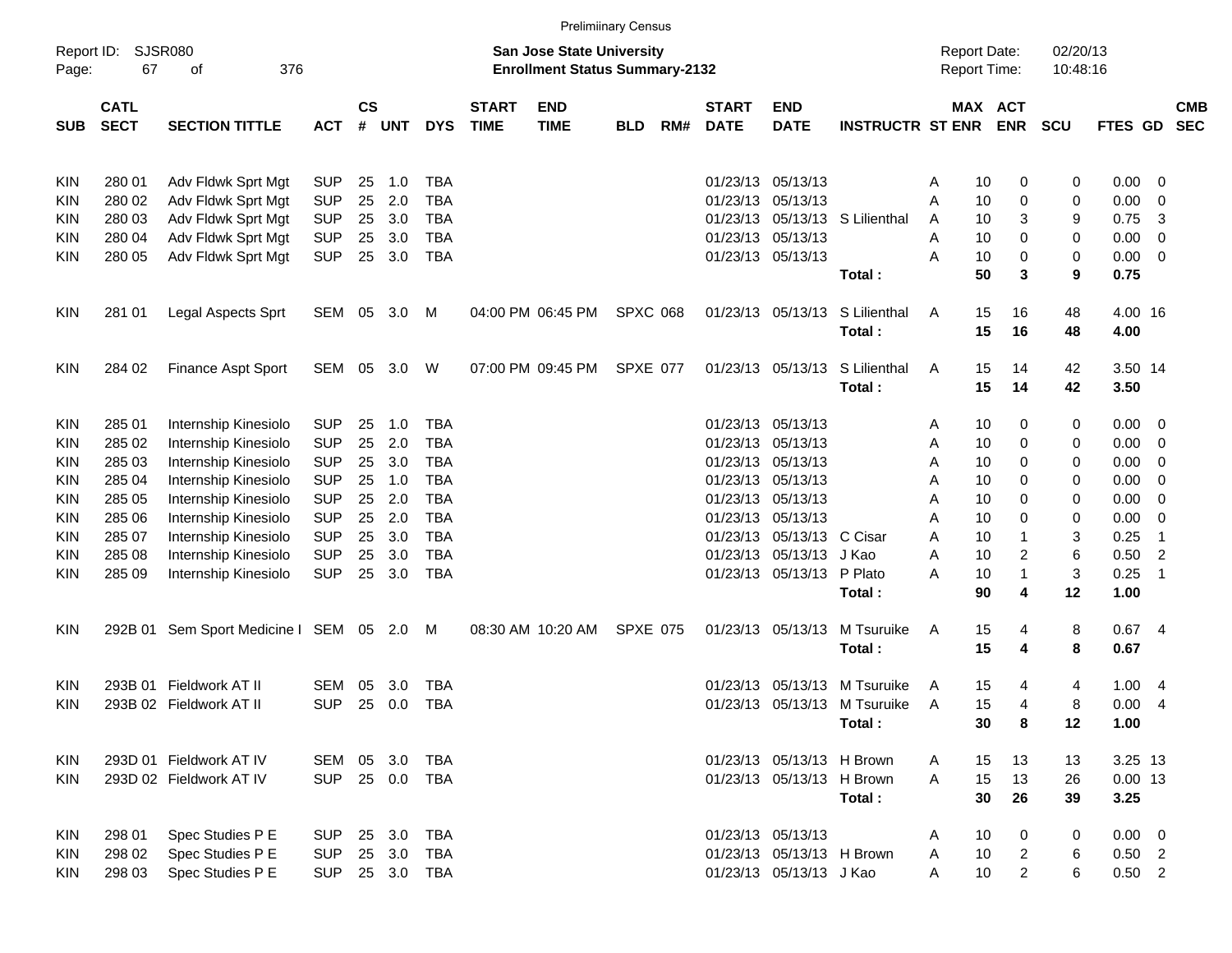|                     |                            |                                           |            |                    |            |            |                             |                                                                           | <b>Prelimiinary Census</b> |     |                             |                           |                                |                                            |                              |                      |                 |                |                          |
|---------------------|----------------------------|-------------------------------------------|------------|--------------------|------------|------------|-----------------------------|---------------------------------------------------------------------------|----------------------------|-----|-----------------------------|---------------------------|--------------------------------|--------------------------------------------|------------------------------|----------------------|-----------------|----------------|--------------------------|
| Report ID:<br>Page: | 67                         | <b>SJSR080</b><br>376<br>οf               |            |                    |            |            |                             | <b>San Jose State University</b><br><b>Enrollment Status Summary-2132</b> |                            |     |                             |                           |                                | <b>Report Date:</b><br><b>Report Time:</b> |                              | 02/20/13<br>10:48:16 |                 |                |                          |
| <b>SUB</b>          | <b>CATL</b><br><b>SECT</b> | <b>SECTION TITTLE</b>                     | <b>ACT</b> | $\mathsf{cs}$<br># | <b>UNT</b> | <b>DYS</b> | <b>START</b><br><b>TIME</b> | <b>END</b><br><b>TIME</b>                                                 | <b>BLD</b>                 | RM# | <b>START</b><br><b>DATE</b> | <b>END</b><br><b>DATE</b> | <b>INSTRUCTR ST ENR</b>        |                                            | <b>MAX ACT</b><br><b>ENR</b> | <b>SCU</b>           | <b>FTES GD</b>  |                | <b>CMB</b><br><b>SEC</b> |
| <b>KIN</b>          | 280 01                     | Adv Fldwk Sprt Mgt                        | <b>SUP</b> | 25                 | 1.0        | <b>TBA</b> |                             |                                                                           |                            |     |                             | 01/23/13 05/13/13         |                                | 10<br>A                                    | 0                            | 0                    | 0.00            | 0              |                          |
| KIN                 | 280 02                     | Adv Fldwk Sprt Mgt                        | <b>SUP</b> | 25                 | 2.0        | <b>TBA</b> |                             |                                                                           |                            |     |                             | 01/23/13 05/13/13         |                                | A<br>10                                    | 0                            | 0                    | 0.00            | 0              |                          |
| KIN                 | 280 03                     | Adv Fldwk Sprt Mgt                        | <b>SUP</b> | 25                 | 3.0        | <b>TBA</b> |                             |                                                                           |                            |     |                             |                           | 01/23/13 05/13/13 S Lilienthal | 10<br>A                                    | 3                            | 9                    | 0.75            | 3              |                          |
| KIN                 | 280 04                     | Adv Fldwk Sprt Mgt                        | <b>SUP</b> | 25                 | 3.0        | <b>TBA</b> |                             |                                                                           |                            |     |                             | 01/23/13 05/13/13         |                                | Α<br>10                                    | 0                            | 0                    | 0.00            | 0              |                          |
| KIN                 | 280 05                     | Adv Fldwk Sprt Mgt                        | <b>SUP</b> | 25                 | 3.0        | <b>TBA</b> |                             |                                                                           |                            |     |                             | 01/23/13 05/13/13         |                                | 10<br>Α                                    | 0                            | 0                    | 0.00            | $\overline{0}$ |                          |
|                     |                            |                                           |            |                    |            |            |                             |                                                                           |                            |     |                             |                           | Total:                         | 50                                         | 3                            | 9                    | 0.75            |                |                          |
| KIN                 | 281 01                     | Legal Aspects Sprt                        | SEM 05     |                    | 3.0        | M          |                             | 04:00 PM 06:45 PM                                                         | <b>SPXC 068</b>            |     |                             | 01/23/13 05/13/13         | S Lilienthal<br>Total:         | 15<br>Α<br>15                              | 16<br>16                     | 48<br>48             | 4.00 16<br>4.00 |                |                          |
| KIN                 | 284 02                     | Finance Aspt Sport                        | SEM        | 05                 | 3.0        | W          |                             | 07:00 PM 09:45 PM                                                         | <b>SPXE 077</b>            |     |                             | 01/23/13 05/13/13         | S Lilienthal<br>Total:         | 15<br>A<br>15                              | 14<br>14                     | 42<br>42             | 3.50 14<br>3.50 |                |                          |
| <b>KIN</b>          | 285 01                     | Internship Kinesiolo                      | <b>SUP</b> | 25                 | 1.0        | <b>TBA</b> |                             |                                                                           |                            |     |                             | 01/23/13 05/13/13         |                                | 10<br>Α                                    | 0                            | 0                    | 0.00            | $\overline{0}$ |                          |
| KIN                 | 285 02                     | Internship Kinesiolo                      | <b>SUP</b> | 25                 | 2.0        | <b>TBA</b> |                             |                                                                           |                            |     |                             | 01/23/13 05/13/13         |                                | 10<br>Α                                    | 0                            | 0                    | 0.00            | 0              |                          |
| KIN                 | 285 03                     | Internship Kinesiolo                      | <b>SUP</b> | 25                 | 3.0        | <b>TBA</b> |                             |                                                                           |                            |     |                             | 01/23/13 05/13/13         |                                | 10<br>Α                                    | 0                            | 0                    | 0.00            | 0              |                          |
| KIN                 | 285 04                     | Internship Kinesiolo                      | <b>SUP</b> | 25                 | 1.0        | <b>TBA</b> |                             |                                                                           |                            |     |                             | 01/23/13 05/13/13         |                                | 10<br>Α                                    | 0                            | 0                    | 0.00            | 0              |                          |
| KIN                 | 285 05                     | Internship Kinesiolo                      | <b>SUP</b> | 25                 | 2.0        | <b>TBA</b> |                             |                                                                           |                            |     |                             | 01/23/13 05/13/13         |                                | Α<br>10                                    | 0                            | 0                    | 0.00            | 0              |                          |
| KIN                 | 285 06                     | Internship Kinesiolo                      | <b>SUP</b> | 25                 | 2.0        | <b>TBA</b> |                             |                                                                           |                            |     |                             | 01/23/13 05/13/13         |                                | 10<br>Α                                    | 0                            | 0                    | 0.00            | 0              |                          |
| KIN                 | 285 07                     | Internship Kinesiolo                      | <b>SUP</b> | 25                 | 3.0        | <b>TBA</b> |                             |                                                                           |                            |     |                             | 01/23/13 05/13/13 C Cisar |                                | 10<br>Α                                    | 1                            | 3                    | 0.25            | -1             |                          |
| KIN                 | 285 08                     | Internship Kinesiolo                      | <b>SUP</b> | 25                 | 3.0        | <b>TBA</b> |                             |                                                                           |                            |     |                             | 01/23/13 05/13/13 J Kao   |                                | A<br>10                                    | 2                            | 6                    | 0.50            | $\overline{2}$ |                          |
| KIN                 | 285 09                     | Internship Kinesiolo                      | <b>SUP</b> | 25                 | 3.0        | <b>TBA</b> |                             |                                                                           |                            |     |                             | 01/23/13 05/13/13 P Plato |                                | A<br>10                                    | $\mathbf{1}$                 | 3                    | 0.25            | -1             |                          |
|                     |                            |                                           |            |                    |            |            |                             |                                                                           |                            |     |                             |                           | Total:                         | 90                                         | 4                            | 12                   | 1.00            |                |                          |
| KIN                 |                            | 292B 01 Sem Sport Medicine I SEM 05 2.0 M |            |                    |            |            |                             | 08:30 AM 10:20 AM                                                         | <b>SPXE 075</b>            |     |                             | 01/23/13 05/13/13         | M Tsuruike                     | 15<br>Α                                    | 4                            | 8                    | 0.674           |                |                          |
|                     |                            |                                           |            |                    |            |            |                             |                                                                           |                            |     |                             |                           | Total:                         | 15                                         | 4                            | 8                    | 0.67            |                |                          |
| KIN                 | 293B 01                    | Fieldwork AT II                           | SEM        | 05                 | 3.0        | <b>TBA</b> |                             |                                                                           |                            |     | 01/23/13                    | 05/13/13                  | M Tsuruike                     | 15<br>A                                    | 4                            | 4                    | 1.004           |                |                          |
| KIN                 |                            | 293B 02 Fieldwork AT II                   | <b>SUP</b> | 25                 | 0.0        | <b>TBA</b> |                             |                                                                           |                            |     |                             |                           | 01/23/13 05/13/13 M Tsuruike   | 15<br>Α                                    | 4                            | 8                    | 0.00            | $\overline{4}$ |                          |
|                     |                            |                                           |            |                    |            |            |                             |                                                                           |                            |     |                             |                           | Total:                         | 30                                         | 8                            | 12                   | 1.00            |                |                          |
| KIN                 |                            | 293D 01 Fieldwork AT IV                   | SEM 05 3.0 |                    |            | TBA        |                             |                                                                           |                            |     |                             | 01/23/13 05/13/13 H Brown |                                | 15<br>A                                    | 13                           | 13                   | 3.25 13         |                |                          |
| <b>KIN</b>          |                            | 293D 02 Fieldwork AT IV                   | <b>SUP</b> |                    | 25 0.0     | TBA        |                             |                                                                           |                            |     |                             | 01/23/13 05/13/13 H Brown |                                | 15<br>A                                    | 13                           | 26                   | $0.00$ 13       |                |                          |
|                     |                            |                                           |            |                    |            |            |                             |                                                                           |                            |     |                             |                           | Total:                         | 30                                         | 26                           | 39                   | 3.25            |                |                          |
| <b>KIN</b>          | 298 01                     | Spec Studies P E                          | <b>SUP</b> |                    | 25 3.0     | TBA        |                             |                                                                           |                            |     |                             | 01/23/13 05/13/13         |                                | 10<br>A                                    | 0                            | 0                    | $0.00 \t 0$     |                |                          |
| KIN                 | 298 02                     | Spec Studies P E                          | <b>SUP</b> |                    | 25 3.0     | <b>TBA</b> |                             |                                                                           |                            |     |                             | 01/23/13 05/13/13 H Brown |                                | 10<br>A                                    | 2                            | 6                    | $0.50$ 2        |                |                          |
| <b>KIN</b>          | 298 03                     | Spec Studies P E                          | <b>SUP</b> |                    |            | 25 3.0 TBA |                             |                                                                           |                            |     |                             | 01/23/13 05/13/13 J Kao   |                                | $10$<br>A                                  | $\overline{2}$               | 6                    | $0.50$ 2        |                |                          |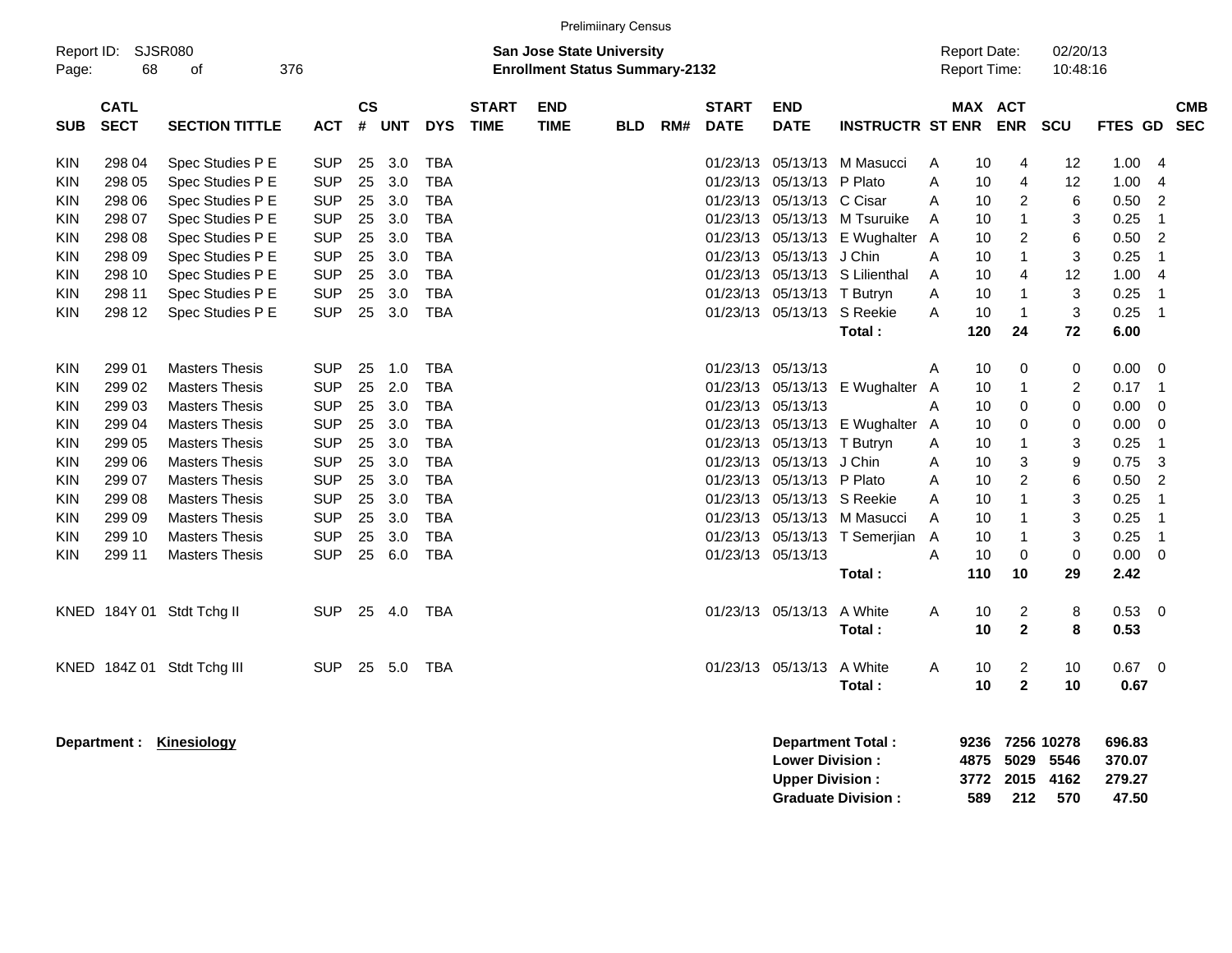|                                                                                                                     | <b>Prelimiinary Census</b><br><b>Report Date:</b>                                                              |                                                                                                                                                                                                                                                                                                              |                                                                                                                                                                      |                                                                      |                                                                                  |                                                                                                                                                                      |                             |                           |            |     |                                                                                                                      |                                                                                                                                    |                                                                                                                           |                                                          |                                                                             |                                                                                  |                                                                          |                                                                                                                 |                                                                                                                                  |            |
|---------------------------------------------------------------------------------------------------------------------|----------------------------------------------------------------------------------------------------------------|--------------------------------------------------------------------------------------------------------------------------------------------------------------------------------------------------------------------------------------------------------------------------------------------------------------|----------------------------------------------------------------------------------------------------------------------------------------------------------------------|----------------------------------------------------------------------|----------------------------------------------------------------------------------|----------------------------------------------------------------------------------------------------------------------------------------------------------------------|-----------------------------|---------------------------|------------|-----|----------------------------------------------------------------------------------------------------------------------|------------------------------------------------------------------------------------------------------------------------------------|---------------------------------------------------------------------------------------------------------------------------|----------------------------------------------------------|-----------------------------------------------------------------------------|----------------------------------------------------------------------------------|--------------------------------------------------------------------------|-----------------------------------------------------------------------------------------------------------------|----------------------------------------------------------------------------------------------------------------------------------|------------|
| Report ID:<br>Page:                                                                                                 | <b>SJSR080</b><br><b>San Jose State University</b><br>68<br>376<br><b>Enrollment Status Summary-2132</b><br>οf |                                                                                                                                                                                                                                                                                                              |                                                                                                                                                                      |                                                                      |                                                                                  |                                                                                                                                                                      |                             |                           |            |     |                                                                                                                      |                                                                                                                                    |                                                                                                                           |                                                          |                                                                             | Report Time:                                                                     | 02/20/13<br>10:48:16                                                     |                                                                                                                 |                                                                                                                                  |            |
| <b>SUB</b>                                                                                                          | <b>CATL</b><br><b>SECT</b>                                                                                     | <b>SECTION TITTLE</b>                                                                                                                                                                                                                                                                                        | <b>ACT</b>                                                                                                                                                           | <b>CS</b><br>#                                                       | <b>UNT</b>                                                                       | <b>DYS</b>                                                                                                                                                           | <b>START</b><br><b>TIME</b> | <b>END</b><br><b>TIME</b> | <b>BLD</b> | RM# | <b>START</b><br><b>DATE</b>                                                                                          | <b>END</b><br><b>DATE</b>                                                                                                          | <b>INSTRUCTR ST ENR</b>                                                                                                   |                                                          |                                                                             | <b>MAX ACT</b><br><b>ENR</b>                                                     | <b>SCU</b>                                                               | FTES GD SEC                                                                                                     |                                                                                                                                  | <b>CMB</b> |
| <b>KIN</b><br>KIN<br><b>KIN</b><br><b>KIN</b><br>KIN<br>KIN<br><b>KIN</b><br><b>KIN</b>                             | 298 04<br>298 05<br>298 06<br>298 07<br>298 08<br>298 09<br>298 10<br>298 11                                   | Spec Studies P E<br>Spec Studies P E<br>Spec Studies P E<br>Spec Studies P E<br>Spec Studies P E<br>Spec Studies P E<br>Spec Studies P E<br>Spec Studies P E                                                                                                                                                 | <b>SUP</b><br><b>SUP</b><br><b>SUP</b><br><b>SUP</b><br><b>SUP</b><br><b>SUP</b><br><b>SUP</b><br><b>SUP</b>                                                         | 25<br>25<br>25<br>25<br>25<br>25<br>25<br>25                         | 3.0<br>3.0<br>3.0<br>3.0<br>3.0<br>3.0<br>3.0<br>3.0                             | <b>TBA</b><br><b>TBA</b><br><b>TBA</b><br><b>TBA</b><br><b>TBA</b><br><b>TBA</b><br><b>TBA</b><br><b>TBA</b>                                                         |                             |                           |            |     | 01/23/13<br>01/23/13<br>01/23/13<br>01/23/13<br>01/23/13<br>01/23/13<br>01/23/13<br>01/23/13                         | 05/13/13 P Plato<br>05/13/13 C Cisar<br>05/13/13 J Chin<br>05/13/13 T Butryn                                                       | 05/13/13 M Masucci<br>05/13/13 M Tsuruike<br>05/13/13 E Wughalter<br>05/13/13 S Lilienthal                                | A<br>A<br>Α<br>Α<br>A<br>A<br>Α<br>A                     | 10<br>10<br>10<br>10<br>10<br>10<br>10<br>10                                | 4<br>$\overline{4}$<br>$\overline{2}$<br>2<br>4                                  | 12<br>12<br>6<br>3<br>6<br>3<br>12<br>3                                  | 1.00<br>1.00<br>0.50<br>0.25<br>0.50<br>0.25<br>1.00<br>0.25                                                    | -4<br>$\overline{4}$<br>$\overline{2}$<br>-1<br>$\overline{2}$<br>$\overline{1}$<br>$\overline{4}$<br>$\overline{\mathbf{1}}$    |            |
| <b>KIN</b>                                                                                                          | 298 12                                                                                                         | Spec Studies P E                                                                                                                                                                                                                                                                                             | <b>SUP</b>                                                                                                                                                           | 25                                                                   | 3.0                                                                              | <b>TBA</b>                                                                                                                                                           |                             |                           |            |     | 01/23/13                                                                                                             |                                                                                                                                    | 05/13/13 S Reekie<br>Total:                                                                                               | A                                                        | 10<br>120                                                                   | 1<br>24                                                                          | 3<br>72                                                                  | 0.25<br>6.00                                                                                                    | $\overline{1}$                                                                                                                   |            |
| <b>KIN</b><br><b>KIN</b><br>KIN<br><b>KIN</b><br>KIN<br><b>KIN</b><br><b>KIN</b><br>KIN<br>KIN<br>KIN<br><b>KIN</b> | 299 01<br>299 02<br>299 03<br>299 04<br>299 05<br>299 06<br>299 07<br>299 08<br>299 09<br>299 10<br>299 11     | <b>Masters Thesis</b><br><b>Masters Thesis</b><br><b>Masters Thesis</b><br><b>Masters Thesis</b><br><b>Masters Thesis</b><br><b>Masters Thesis</b><br><b>Masters Thesis</b><br><b>Masters Thesis</b><br><b>Masters Thesis</b><br><b>Masters Thesis</b><br><b>Masters Thesis</b><br>KNED 184Y 01 Stdt Tchg II | <b>SUP</b><br><b>SUP</b><br><b>SUP</b><br><b>SUP</b><br><b>SUP</b><br><b>SUP</b><br><b>SUP</b><br><b>SUP</b><br><b>SUP</b><br><b>SUP</b><br><b>SUP</b><br><b>SUP</b> | 25<br>25<br>25<br>25<br>25<br>25<br>25<br>25<br>25<br>25<br>25<br>25 | 1.0<br>2.0<br>3.0<br>3.0<br>3.0<br>3.0<br>3.0<br>3.0<br>3.0<br>3.0<br>6.0<br>4.0 | <b>TBA</b><br><b>TBA</b><br><b>TBA</b><br><b>TBA</b><br><b>TBA</b><br><b>TBA</b><br><b>TBA</b><br><b>TBA</b><br><b>TBA</b><br><b>TBA</b><br><b>TBA</b><br><b>TBA</b> |                             |                           |            |     | 01/23/13<br>01/23/13<br>01/23/13<br>01/23/13<br>01/23/13<br>01/23/13<br>01/23/13<br>01/23/13<br>01/23/13<br>01/23/13 | 05/13/13<br>05/13/13<br>05/13/13 T Butryn<br>05/13/13 J Chin<br>05/13/13 P Plato<br>01/23/13 05/13/13<br>01/23/13 05/13/13 A White | 05/13/13 E Wughalter<br>05/13/13 E Wughalter<br>05/13/13 S Reekie<br>05/13/13 M Masucci<br>05/13/13 T Semerjian<br>Total: | Α<br>A<br>A<br>A<br>Α<br>Α<br>Α<br>A<br>A<br>A<br>A<br>A | 10<br>10<br>10<br>10<br>10<br>10<br>10<br>10<br>10<br>10<br>10<br>110<br>10 | 0<br>$\Omega$<br>0<br>3<br>$\overline{2}$<br>$\mathbf 0$<br>10<br>$\overline{2}$ | 0<br>2<br>0<br>0<br>3<br>9<br>6<br>3<br>3<br>3<br>$\mathbf 0$<br>29<br>8 | 0.00<br>0.17<br>0.00<br>0.00<br>0.25<br>0.75<br>0.50<br>0.25<br>0.25<br>0.25<br>$0.00 \t 0$<br>2.42<br>$0.53$ 0 | $\overline{0}$<br>$\overline{\phantom{0}}$<br>$\overline{0}$<br>- 0<br>$\overline{1}$<br>3<br>$\overline{2}$<br>-1<br>- 1<br>- 1 |            |
|                                                                                                                     |                                                                                                                | KNED 184Z 01 Stdt Tchg III                                                                                                                                                                                                                                                                                   | <b>SUP</b>                                                                                                                                                           | 25                                                                   | 5.0                                                                              | <b>TBA</b>                                                                                                                                                           |                             |                           |            |     |                                                                                                                      | 01/23/13 05/13/13                                                                                                                  | Total:<br>A White<br>Total:                                                                                               | A                                                        | 10<br>10<br>10                                                              | $\overline{2}$<br>$\overline{2}$<br>$\mathbf{2}$                                 | 8<br>10<br>10                                                            | 0.53<br>0.67<br>0.67                                                                                            | $\overline{\phantom{0}}$                                                                                                         |            |

**Department : Kinesiology Department Total : 9236 7256 10278 696.83 Lower Division : 4875 5029 5546 370.07 Upper Division : 3772 2015 4162 279.27 Graduate Division :**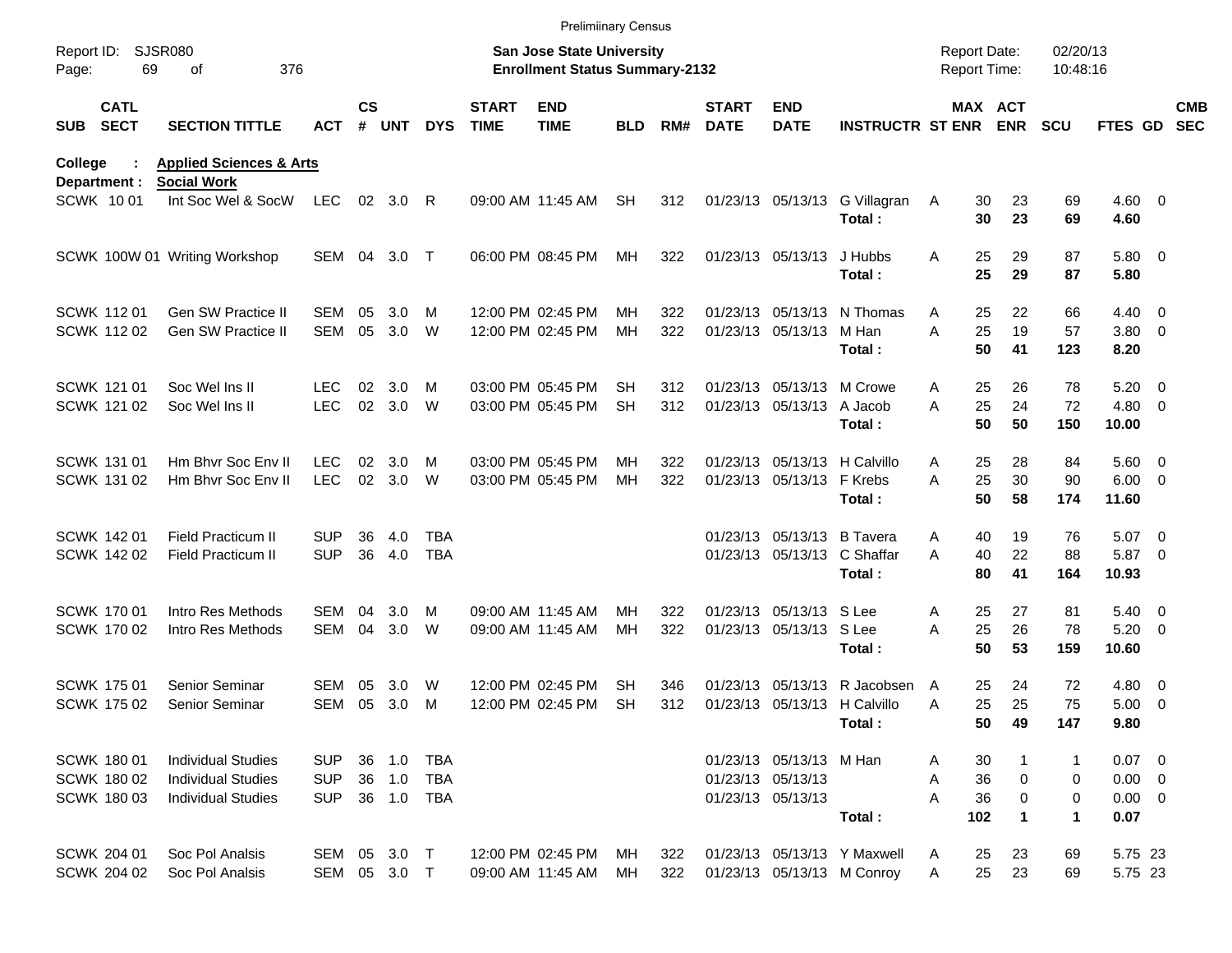|                                           |                            |                                                                                     |                                  |               |                      |                          |                             | <b>Prelimiinary Census</b>                                                |                 |            |                             |                                                                   |                                                           |                                      |                       |                             |                                                |                          |                          |
|-------------------------------------------|----------------------------|-------------------------------------------------------------------------------------|----------------------------------|---------------|----------------------|--------------------------|-----------------------------|---------------------------------------------------------------------------|-----------------|------------|-----------------------------|-------------------------------------------------------------------|-----------------------------------------------------------|--------------------------------------|-----------------------|-----------------------------|------------------------------------------------|--------------------------|--------------------------|
| Report ID:<br>Page:                       | 69                         | <b>SJSR080</b><br>376<br>of                                                         |                                  |               |                      |                          |                             | <b>San Jose State University</b><br><b>Enrollment Status Summary-2132</b> |                 |            |                             |                                                                   |                                                           | <b>Report Date:</b><br>Report Time:  |                       | 02/20/13<br>10:48:16        |                                                |                          |                          |
| <b>SUB</b>                                | <b>CATL</b><br><b>SECT</b> | <b>SECTION TITTLE</b>                                                               | <b>ACT</b>                       | $\mathsf{cs}$ | # UNT                | <b>DYS</b>               | <b>START</b><br><b>TIME</b> | <b>END</b><br><b>TIME</b>                                                 | <b>BLD</b>      | RM#        | <b>START</b><br><b>DATE</b> | <b>END</b><br><b>DATE</b>                                         | <b>INSTRUCTR ST ENR</b>                                   |                                      | MAX ACT<br><b>ENR</b> | <b>SCU</b>                  | <b>FTES GD</b>                                 |                          | <b>CMB</b><br><b>SEC</b> |
| College<br>Department :                   |                            | <b>Applied Sciences &amp; Arts</b><br><b>Social Work</b>                            |                                  |               |                      |                          |                             |                                                                           |                 |            |                             |                                                                   |                                                           |                                      |                       |                             |                                                |                          |                          |
| SCWK 1001                                 |                            | Int Soc Wel & SocW                                                                  | <b>LEC</b>                       |               | 02 3.0               | R                        |                             | 09:00 AM 11:45 AM                                                         | <b>SH</b>       | 312        |                             | 01/23/13 05/13/13                                                 | G Villagran<br>Total:                                     | 30<br>A<br>30                        | 23<br>23              | 69<br>69                    | $4.60$ 0<br>4.60                               |                          |                          |
|                                           |                            | SCWK 100W 01 Writing Workshop                                                       | SEM 04                           |               | 3.0                  | $\top$                   |                             | 06:00 PM 08:45 PM                                                         | MН              | 322        |                             | 01/23/13 05/13/13                                                 | J Hubbs<br>Total:                                         | 25<br>A<br>25                        | 29<br>29              | 87<br>87                    | 5.80 0<br>5.80                                 |                          |                          |
| <b>SCWK 11201</b><br><b>SCWK 11202</b>    |                            | <b>Gen SW Practice II</b><br>Gen SW Practice II                                     | SEM<br><b>SEM</b>                | 05<br>05      | 3.0<br>3.0           | M<br>W                   |                             | 12:00 PM 02:45 PM<br>12:00 PM 02:45 PM                                    | MН<br>МH        | 322<br>322 |                             | 01/23/13 05/13/13<br>01/23/13 05/13/13                            | N Thomas<br>M Han<br>Total:                               | Α<br>25<br>A<br>25<br>50             | 22<br>19<br>41        | 66<br>57<br>123             | $4.40 \quad 0$<br>3.80 0<br>8.20               |                          |                          |
| SCWK 121 01<br>SCWK 121 02                |                            | Soc Wel Ins II<br>Soc Wel Ins II                                                    | LEC<br><b>LEC</b>                | 02<br>02      | 3.0<br>3.0           | M<br>W                   |                             | 03:00 PM 05:45 PM<br>03:00 PM 05:45 PM                                    | SН<br><b>SH</b> | 312<br>312 |                             | 01/23/13 05/13/13<br>01/23/13 05/13/13                            | M Crowe<br>A Jacob<br>Total:                              | 25<br>A<br>25<br>A<br>50             | 26<br>24<br>50        | 78<br>72<br>150             | $5.20 \ 0$<br>4.80 0<br>10.00                  |                          |                          |
| SCWK 131 01<br>SCWK 131 02                |                            | Hm Bhyr Soc Eny II<br>Hm Bhvr Soc Env II                                            | LEC<br><b>LEC</b>                | 02<br>02      | 3.0<br>3.0           | м<br>W                   |                             | 03:00 PM 05:45 PM<br>03:00 PM 05:45 PM                                    | MН<br>МH        | 322<br>322 |                             | 01/23/13 05/13/13<br>01/23/13 05/13/13                            | H Calvillo<br>F Krebs<br>Total:                           | 25<br>Α<br>A<br>25<br>50             | 28<br>30<br>58        | 84<br>90<br>174             | 5.60 0<br>$6.00 \quad 0$<br>11.60              |                          |                          |
| <b>SCWK 14201</b><br>SCWK 142 02          |                            | Field Practicum II<br><b>Field Practicum II</b>                                     | <b>SUP</b><br><b>SUP</b>         | 36<br>36      | 4.0<br>4.0           | <b>TBA</b><br><b>TBA</b> |                             |                                                                           |                 |            |                             | 01/23/13 05/13/13<br>01/23/13 05/13/13                            | <b>B</b> Tavera<br>C Shaffar<br>Total:                    | Α<br>40<br>A<br>40<br>80             | 19<br>22<br>41        | 76<br>88<br>164             | 5.07<br>5.87 0<br>10.93                        | $\overline{\phantom{0}}$ |                          |
| <b>SCWK 17001</b><br><b>SCWK 170 02</b>   |                            | Intro Res Methods<br>Intro Res Methods                                              | SEM<br><b>SEM</b>                | 04<br>04      | 3.0<br>3.0           | м<br>W                   |                             | 09:00 AM 11:45 AM<br>09:00 AM 11:45 AM                                    | MН<br>МH        | 322<br>322 |                             | 01/23/13 05/13/13 S Lee<br>01/23/13 05/13/13 S Lee                | Total:                                                    | 25<br>A<br>25<br>A<br>50             | 27<br>26<br>53        | 81<br>78<br>159             | $5.40 \ 0$<br>$5.20 \ 0$<br>10.60              |                          |                          |
| <b>SCWK 17501</b><br><b>SCWK 17502</b>    |                            | Senior Seminar<br><b>Senior Seminar</b>                                             | SEM<br>SEM                       | 05<br>05      | 3.0<br>3.0           | W<br>м                   |                             | 12:00 PM 02:45 PM<br>12:00 PM 02:45 PM                                    | SН<br><b>SH</b> | 346<br>312 | 01/23/13                    | 05/13/13<br>01/23/13 05/13/13 H Calvillo                          | R Jacobsen<br>Total:                                      | 25<br>A<br>25<br>Α<br>50             | 24<br>25<br>49        | 72<br>75<br>147             | $4.80$ 0<br>$5.00 \t 0$<br>9.80                |                          |                          |
| SCWK 180 01<br>SCWK 180 02<br>SCWK 180 03 |                            | <b>Individual Studies</b><br><b>Individual Studies</b><br><b>Individual Studies</b> | SUP.<br><b>SUP</b><br><b>SUP</b> | 36<br>36      | 1.0<br>1.0<br>36 1.0 | TBA<br>TBA<br>TBA        |                             |                                                                           |                 |            |                             | 01/23/13 05/13/13 M Han<br>01/23/13 05/13/13<br>01/23/13 05/13/13 | Total:                                                    | 30<br>A<br>36<br>Α<br>36<br>Α<br>102 | 0<br>0<br>1           | $\mathbf{1}$<br>0<br>0<br>1 | $0.07$ 0<br>$0.00 \t 0$<br>$0.00 \t 0$<br>0.07 |                          |                          |
| <b>SCWK 204 01</b><br>SCWK 204 02         |                            | Soc Pol Analsis<br>Soc Pol Analsis                                                  | SEM 05 3.0<br>SEM 05 3.0 T       |               |                      | $\top$                   |                             | 12:00 PM 02:45 PM<br>09:00 AM 11:45 AM                                    | MН<br>МH        | 322<br>322 |                             |                                                                   | 01/23/13 05/13/13 Y Maxwell<br>01/23/13 05/13/13 M Conroy | 25<br>A<br>25<br>A                   | 23<br>23              | 69<br>69                    | 5.75 23<br>5.75 23                             |                          |                          |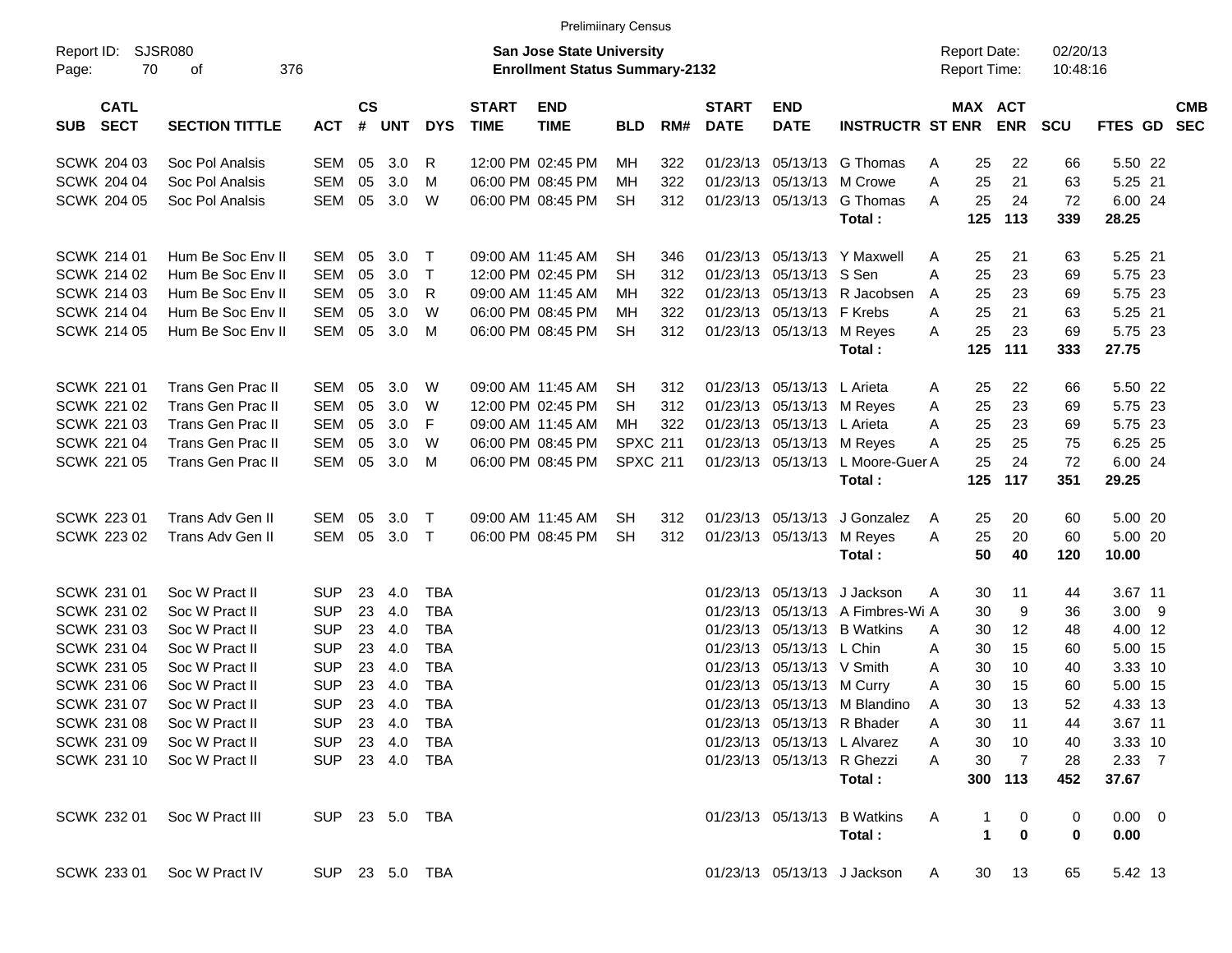| <b>Prelimiinary Census</b>               |                          |                |                    |         |              |                             |                                                                           |                 |     |                             |                            |                                  |                                     |                            |                      |                |            |
|------------------------------------------|--------------------------|----------------|--------------------|---------|--------------|-----------------------------|---------------------------------------------------------------------------|-----------------|-----|-----------------------------|----------------------------|----------------------------------|-------------------------------------|----------------------------|----------------------|----------------|------------|
| Report ID:<br>70<br>Page:                | SJSR080<br>376<br>of     |                |                    |         |              |                             | <b>San Jose State University</b><br><b>Enrollment Status Summary-2132</b> |                 |     |                             |                            |                                  | <b>Report Date:</b><br>Report Time: |                            | 02/20/13<br>10:48:16 |                |            |
| <b>CATL</b><br><b>SECT</b><br><b>SUB</b> | <b>SECTION TITTLE</b>    | <b>ACT</b>     | $\mathsf{cs}$<br># | UNT     | <b>DYS</b>   | <b>START</b><br><b>TIME</b> | <b>END</b><br><b>TIME</b>                                                 | <b>BLD</b>      | RM# | <b>START</b><br><b>DATE</b> | <b>END</b><br><b>DATE</b>  | <b>INSTRUCTR ST ENR</b>          |                                     | MAX ACT<br><b>ENR</b>      | <b>SCU</b>           | FTES GD SEC    | <b>CMB</b> |
| <b>SCWK 204 03</b>                       | Soc Pol Analsis          | SEM            | 05                 | 3.0     | $\mathsf{R}$ |                             | 12:00 PM 02:45 PM                                                         | MH              | 322 | 01/23/13                    |                            | 05/13/13 G Thomas                | 25<br>A                             | 22                         | 66                   | 5.50 22        |            |
| <b>SCWK 204 04</b>                       | Soc Pol Analsis          | SEM            | 05                 | 3.0     | M            |                             | 06:00 PM 08:45 PM                                                         | <b>MH</b>       | 322 |                             | 01/23/13 05/13/13 M Crowe  |                                  | A<br>25                             | 21                         | 63                   | 5.25 21        |            |
| <b>SCWK 204 05</b>                       | Soc Pol Analsis          | SEM            | 05                 | 3.0     | W            |                             | 06:00 PM 08:45 PM                                                         | <b>SH</b>       | 312 |                             |                            | 01/23/13 05/13/13 G Thomas       | 25<br>A                             | 24                         | 72                   | 6.00 24        |            |
|                                          |                          |                |                    |         |              |                             |                                                                           |                 |     |                             |                            | Total:                           | 125                                 | 113                        | 339                  | 28.25          |            |
| <b>SCWK 214 01</b>                       | Hum Be Soc Env II        | SEM            | 05                 | 3.0     | $\top$       |                             | 09:00 AM 11:45 AM                                                         | <b>SH</b>       | 346 |                             |                            | 01/23/13 05/13/13 Y Maxwell      | 25<br>A                             | 21                         | 63                   | 5.25 21        |            |
| <b>SCWK 214 02</b>                       | Hum Be Soc Env II        | SEM            | 05                 | 3.0     | $\top$       |                             | 12:00 PM 02:45 PM                                                         | <b>SH</b>       | 312 | 01/23/13                    | 05/13/13 S Sen             |                                  | A<br>25                             | 23                         | 69                   | 5.75 23        |            |
| <b>SCWK 214 03</b>                       | Hum Be Soc Env II        | SEM            | 05                 | 3.0     | $R_{\rm}$    |                             | 09:00 AM 11:45 AM                                                         | MН              | 322 | 01/23/13                    |                            | 05/13/13 R Jacobsen              | 25<br>A                             | 23                         | 69                   | 5.75 23        |            |
| <b>SCWK 214 04</b>                       | Hum Be Soc Env II        | SEM            | 05                 | 3.0     | W            |                             | 06:00 PM 08:45 PM                                                         | MН              | 322 |                             | 01/23/13 05/13/13 F Krebs  |                                  | 25<br>A                             | 21                         | 63                   | 5.25 21        |            |
| <b>SCWK 214 05</b>                       | Hum Be Soc Env II        | SEM            | 05                 | 3.0     | M            |                             | 06:00 PM 08:45 PM                                                         | <b>SH</b>       | 312 |                             | 01/23/13 05/13/13 M Reyes  |                                  | 25<br>A                             | 23                         | 69                   | 5.75 23        |            |
|                                          |                          |                |                    |         |              |                             |                                                                           |                 |     |                             |                            | Total:                           | 125                                 | 111                        | 333                  | 27.75          |            |
| <b>SCWK 221 01</b>                       | <b>Trans Gen Prac II</b> | SEM            | 05                 | 3.0     | W            |                             | 09:00 AM 11:45 AM                                                         | <b>SH</b>       | 312 |                             | 01/23/13 05/13/13 L Arieta |                                  | 25<br>A                             | 22                         | 66                   | 5.50 22        |            |
| <b>SCWK 221 02</b>                       | Trans Gen Prac II        | SEM            | 05                 | 3.0     | W            |                             | 12:00 PM 02:45 PM                                                         | <b>SH</b>       | 312 | 01/23/13                    |                            | 05/13/13 M Reyes                 | 25<br>Α                             | 23                         | 69                   | 5.75 23        |            |
| <b>SCWK 221 03</b>                       | Trans Gen Prac II        | SEM            | 05                 | 3.0     | -F           |                             | 09:00 AM 11:45 AM                                                         | MН              | 322 |                             | 01/23/13 05/13/13 L Arieta |                                  | 25<br>A                             | 23                         | 69                   | 5.75 23        |            |
| <b>SCWK 221 04</b>                       | <b>Trans Gen Prac II</b> | SEM            | 05                 | 3.0     | W            |                             | 06:00 PM 08:45 PM                                                         | <b>SPXC 211</b> |     |                             | 01/23/13 05/13/13 M Reyes  |                                  | 25<br>A                             | 25                         | 75                   | 6.25 25        |            |
| <b>SCWK 221 05</b>                       | Trans Gen Prac II        | SEM            | 05                 | 3.0     | M            |                             | 06:00 PM 08:45 PM                                                         | <b>SPXC 211</b> |     |                             |                            | 01/23/13 05/13/13 L Moore-Guer A | 25                                  | 24                         | 72                   | 6.00 24        |            |
|                                          |                          |                |                    |         |              |                             |                                                                           |                 |     |                             |                            | Total:                           | 125                                 | 117                        | 351                  | 29.25          |            |
| <b>SCWK 223 01</b>                       | Trans Adv Gen II         | SEM            | 05                 | 3.0     | $\top$       |                             | 09:00 AM 11:45 AM                                                         | <b>SH</b>       | 312 |                             |                            | 01/23/13 05/13/13 J Gonzalez     | 25<br>A                             | 20                         | 60                   | 5.00 20        |            |
| SCWK 223 02                              | Trans Adv Gen II         | SEM            | 05                 | $3.0$ T |              |                             | 06:00 PM 08:45 PM                                                         | <b>SH</b>       | 312 |                             | 01/23/13 05/13/13 M Reyes  |                                  | 25<br>A                             | 20                         | 60                   | 5.00 20        |            |
|                                          |                          |                |                    |         |              |                             |                                                                           |                 |     |                             |                            | Total:                           | 50                                  | 40                         | 120                  | 10.00          |            |
| SCWK 231 01                              | Soc W Pract II           | <b>SUP</b>     | 23                 | 4.0     | <b>TBA</b>   |                             |                                                                           |                 |     |                             |                            | 01/23/13 05/13/13 J Jackson      | 30<br>A                             | 11                         | 44                   | 3.67 11        |            |
| SCWK 231 02                              | Soc W Pract II           | <b>SUP</b>     | 23                 | 4.0     | <b>TBA</b>   |                             |                                                                           |                 |     | 01/23/13                    |                            | 05/13/13 A Fimbres-Wi A          | 30                                  | 9                          | 36                   | $3.00$ 9       |            |
| <b>SCWK 231 03</b>                       | Soc W Pract II           | <b>SUP</b>     | 23                 | 4.0     | <b>TBA</b>   |                             |                                                                           |                 |     | 01/23/13                    |                            | 05/13/13 B Watkins               | 30<br>A                             | 12                         | 48                   | 4.00 12        |            |
| <b>SCWK 231 04</b>                       | Soc W Pract II           | <b>SUP</b>     | 23                 | 4.0     | <b>TBA</b>   |                             |                                                                           |                 |     | 01/23/13                    | 05/13/13 L Chin            |                                  | Α<br>30                             | 15                         | 60                   | 5.00 15        |            |
| <b>SCWK 231 05</b>                       | Soc W Pract II           | <b>SUP</b>     | 23                 | 4.0     | <b>TBA</b>   |                             |                                                                           |                 |     | 01/23/13                    | 05/13/13 V Smith           |                                  | Α<br>30                             | 10                         | 40                   | 3.33 10        |            |
| <b>SCWK 231 06</b>                       | Soc W Pract II           | <b>SUP</b>     | 23                 | 4.0     | <b>TBA</b>   |                             |                                                                           |                 |     | 01/23/13                    | 05/13/13 M Curry           |                                  | 30<br>A                             | 15                         | 60                   | 5.00 15        |            |
| SCWK 231 07                              | Soc W Pract II           | <b>SUP</b>     | 23                 | 4.0     | <b>TBA</b>   |                             |                                                                           |                 |     |                             |                            | 01/23/13 05/13/13 M Blandino     | 30<br>A                             | 13                         | 52                   | 4.33 13        |            |
| SCWK 231 08                              | Soc W Pract II           | SUP 23 4.0     |                    |         | TBA          |                             |                                                                           |                 |     |                             |                            | 01/23/13 05/13/13 R Bhader       | 30<br>A                             | -11                        | 44                   | 3.67 11        |            |
| SCWK 231 09                              | Soc W Pract II           | <b>SUP</b>     |                    | 23 4.0  | TBA          |                             |                                                                           |                 |     |                             |                            | 01/23/13 05/13/13 L Alvarez      | 30<br>A                             | 10                         | 40                   | 3.33 10        |            |
| SCWK 231 10                              | Soc W Pract II           | SUP 23 4.0 TBA |                    |         |              |                             |                                                                           |                 |     |                             |                            | 01/23/13 05/13/13 R Ghezzi       | 30<br>A                             | 7                          | 28                   | $2.33 \quad 7$ |            |
|                                          |                          |                |                    |         |              |                             |                                                                           |                 |     |                             |                            | Total:                           |                                     | 300 113                    | 452                  | 37.67          |            |
| SCWK 232 01                              | Soc W Pract III          | SUP 23 5.0 TBA |                    |         |              |                             |                                                                           |                 |     |                             |                            | 01/23/13 05/13/13 B Watkins      | A                                   | 0<br>1                     | 0                    | $0.00 \t 0$    |            |
|                                          |                          |                |                    |         |              |                             |                                                                           |                 |     |                             |                            | Total:                           |                                     | $\mathbf 1$<br>$\mathbf 0$ | 0                    | 0.00           |            |
|                                          |                          |                |                    |         |              |                             |                                                                           |                 |     |                             |                            |                                  |                                     |                            |                      |                |            |
| SCWK 233 01                              | Soc W Pract IV           | SUP 23 5.0 TBA |                    |         |              |                             |                                                                           |                 |     |                             |                            | 01/23/13 05/13/13 J Jackson      | A                                   | 30<br>13                   | 65                   | 5.42 13        |            |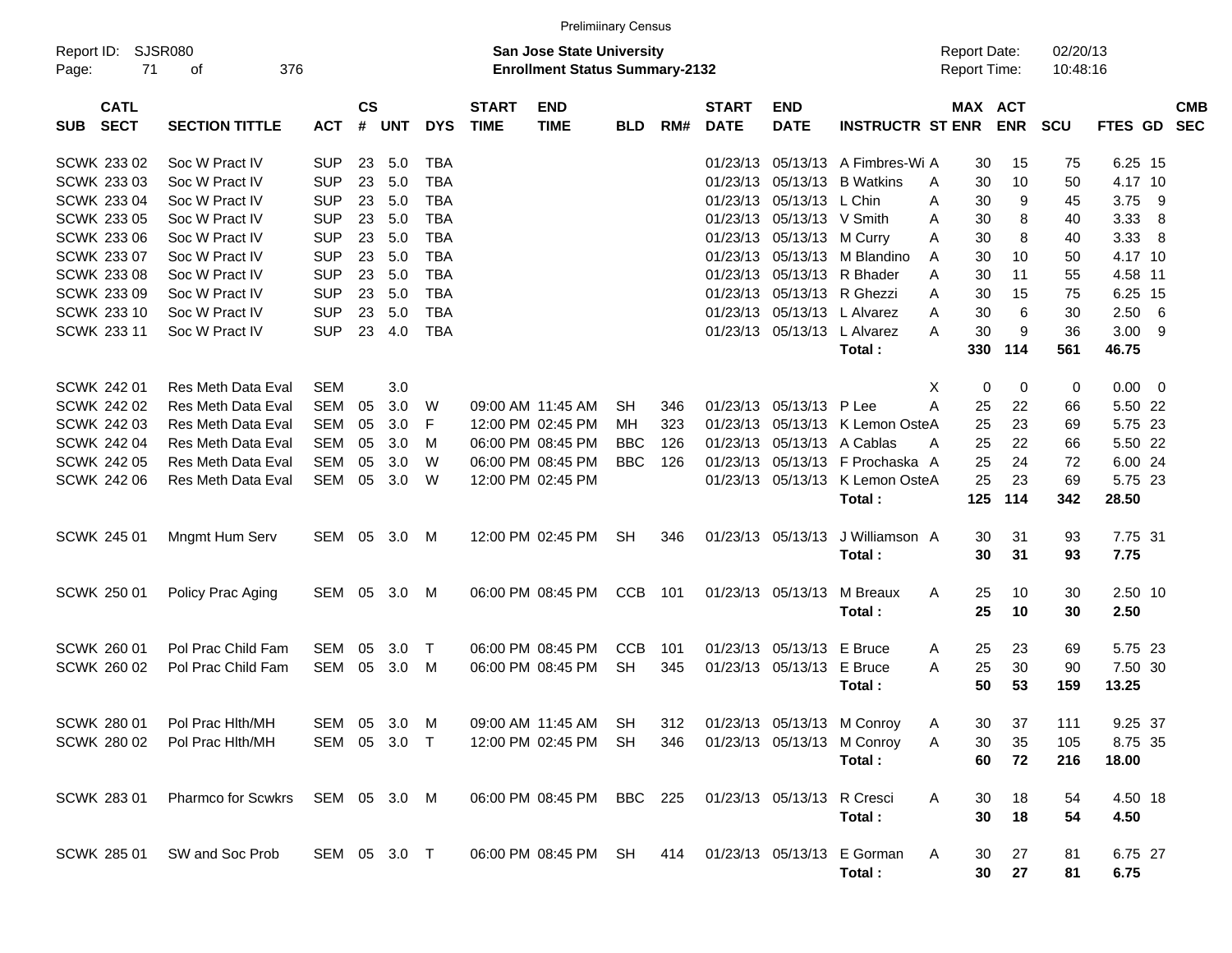| <b>Prelimiinary Census</b> |                           |              |               |            |              |              |                                       |            |     |              |                             |                                 |                     |             |            |             |            |
|----------------------------|---------------------------|--------------|---------------|------------|--------------|--------------|---------------------------------------|------------|-----|--------------|-----------------------------|---------------------------------|---------------------|-------------|------------|-------------|------------|
| Report ID:                 | <b>SJSR080</b>            |              |               |            |              |              | <b>San Jose State University</b>      |            |     |              |                             |                                 | <b>Report Date:</b> |             | 02/20/13   |             |            |
| 71<br>Page:                | 376<br>of                 |              |               |            |              |              | <b>Enrollment Status Summary-2132</b> |            |     |              |                             |                                 | Report Time:        |             | 10:48:16   |             |            |
| <b>CATL</b>                |                           |              | $\mathsf{cs}$ |            |              | <b>START</b> | <b>END</b>                            |            |     | <b>START</b> | <b>END</b>                  |                                 | MAX ACT             |             |            | FTES GD     | <b>CMB</b> |
| <b>SECT</b><br><b>SUB</b>  | <b>SECTION TITTLE</b>     | <b>ACT</b>   | #             | <b>UNT</b> | <b>DYS</b>   | <b>TIME</b>  | <b>TIME</b>                           | <b>BLD</b> | RM# | <b>DATE</b>  | <b>DATE</b>                 | <b>INSTRUCTR ST ENR</b>         |                     | <b>ENR</b>  | <b>SCU</b> |             | <b>SEC</b> |
| SCWK 233 02                | Soc W Pract IV            | <b>SUP</b>   | 23            | 5.0        | <b>TBA</b>   |              |                                       |            |     | 01/23/13     |                             | 05/13/13 A Fimbres-Wi A         | 30                  | 15          | 75         | 6.25 15     |            |
| SCWK 233 03                | Soc W Pract IV            | <b>SUP</b>   | 23            | 5.0        | <b>TBA</b>   |              |                                       |            |     | 01/23/13     |                             | 05/13/13 B Watkins              | 30<br>A             | 10          | 50         | 4.17 10     |            |
| SCWK 233 04                | Soc W Pract IV            | <b>SUP</b>   | 23            | 5.0        | <b>TBA</b>   |              |                                       |            |     | 01/23/13     | 05/13/13 L Chin             |                                 | 30<br>A             | 9           | 45         | 3.75        | - 9        |
| SCWK 233 05                | Soc W Pract IV            | <b>SUP</b>   | 23            | 5.0        | <b>TBA</b>   |              |                                       |            |     | 01/23/13     | 05/13/13 V Smith            |                                 | 30<br>A             | 8           | 40         | 3.33        | -8         |
| <b>SCWK 233 06</b>         | Soc W Pract IV            | <b>SUP</b>   | 23            | 5.0        | <b>TBA</b>   |              |                                       |            |     | 01/23/13     | 05/13/13 M Curry            |                                 | 30<br>Α             | 8           | 40         | 3.33        | - 8        |
| SCWK 233 07                | Soc W Pract IV            | <b>SUP</b>   | 23            | 5.0        | <b>TBA</b>   |              |                                       |            |     | 01/23/13     |                             | 05/13/13 M Blandino             | 30<br>A             | 10          | 50         | 4.17 10     |            |
| <b>SCWK 233 08</b>         | Soc W Pract IV            | <b>SUP</b>   | 23            | 5.0        | <b>TBA</b>   |              |                                       |            |     | 01/23/13     |                             | 05/13/13 R Bhader               | 30<br>A             | 11          | 55         | 4.58 11     |            |
| SCWK 233 09                | Soc W Pract IV            | <b>SUP</b>   | 23            | 5.0        | <b>TBA</b>   |              |                                       |            |     | 01/23/13     |                             | 05/13/13 R Ghezzi               | 30<br>A             | 15          | 75         | 6.25 15     |            |
| SCWK 233 10                | Soc W Pract IV            | <b>SUP</b>   | 23            | 5.0        | <b>TBA</b>   |              |                                       |            |     | 01/23/13     |                             | 05/13/13 L Alvarez              | 30<br>A             | 6           | 30         | 2.50        | - 6        |
| SCWK 233 11                | Soc W Pract IV            | <b>SUP</b>   | 23            | 4.0        | <b>TBA</b>   |              |                                       |            |     |              | 01/23/13 05/13/13 L Alvarez |                                 | 30<br>A             | 9           | 36         | $3.00$ 9    |            |
|                            |                           |              |               |            |              |              |                                       |            |     |              |                             | Total:                          | 330                 | 114         | 561        | 46.75       |            |
|                            |                           |              |               |            |              |              |                                       |            |     |              |                             |                                 |                     |             |            |             |            |
| SCWK 242 01                | <b>Res Meth Data Eval</b> | SEM          |               | 3.0        |              |              |                                       |            |     |              |                             |                                 | Х<br>0              | $\mathbf 0$ | 0          | $0.00 \t 0$ |            |
| SCWK 242 02                | <b>Res Meth Data Eval</b> | SEM          | 05            | 3.0        | W            |              | 09:00 AM 11:45 AM                     | <b>SH</b>  | 346 | 01/23/13     | 05/13/13 P Lee              |                                 | А<br>25             | 22          | 66         | 5.50 22     |            |
| <b>SCWK 242 03</b>         | <b>Res Meth Data Eval</b> | SEM          | 05            | 3.0        | F            |              | 12:00 PM 02:45 PM                     | MН         | 323 | 01/23/13     |                             | 05/13/13 K Lemon OsteA          | 25                  | 23          | 69         | 5.75 23     |            |
| SCWK 242 04                | <b>Res Meth Data Eval</b> | SEM          | 05            | 3.0        | M            |              | 06:00 PM 08:45 PM                     | <b>BBC</b> | 126 | 01/23/13     |                             | 05/13/13 A Cablas               | 25<br>A             | 22          | 66         | 5.50 22     |            |
| <b>SCWK 242 05</b>         | <b>Res Meth Data Eval</b> | <b>SEM</b>   | 05            | 3.0        | W            |              | 06:00 PM 08:45 PM                     | <b>BBC</b> | 126 | 01/23/13     |                             | 05/13/13 F Prochaska A          | 25                  | 24          | 72         | 6.00 24     |            |
| <b>SCWK 242 06</b>         | <b>Res Meth Data Eval</b> | SEM          | 05            | 3.0        | W            |              | 12:00 PM 02:45 PM                     |            |     |              |                             | 01/23/13 05/13/13 K Lemon OsteA | 25                  | 23          | 69         | 5.75 23     |            |
|                            |                           |              |               |            |              |              |                                       |            |     |              |                             | Total:                          | 125                 | 114         | 342        | 28.50       |            |
| SCWK 245 01                | Mngmt Hum Serv            | SEM 05       |               | 3.0        | M            |              | 12:00 PM 02:45 PM                     | <b>SH</b>  | 346 |              | 01/23/13 05/13/13           | J Williamson A                  | 30                  | 31          | 93         | 7.75 31     |            |
|                            |                           |              |               |            |              |              |                                       |            |     |              |                             | Total:                          | 30                  | 31          | 93         | 7.75        |            |
|                            |                           |              |               |            |              |              |                                       |            |     |              |                             |                                 |                     |             |            |             |            |
| SCWK 250 01                | Policy Prac Aging         | SEM 05       |               | 3.0        | M            |              | 06:00 PM 08:45 PM                     | <b>CCB</b> | 101 |              | 01/23/13 05/13/13           | M Breaux                        | 25<br>Α             | 10          | 30         | 2.50 10     |            |
|                            |                           |              |               |            |              |              |                                       |            |     |              |                             | Total:                          | 25                  | 10          | 30         | 2.50        |            |
| SCWK 260 01                | Pol Prac Child Fam        | SEM          | 05            | 3.0        | $\mathsf{T}$ |              | 06:00 PM 08:45 PM                     | <b>CCB</b> | 101 | 01/23/13     | 05/13/13 E Bruce            |                                 | 25<br>A             | 23          | 69         | 5.75 23     |            |
| SCWK 260 02                | Pol Prac Child Fam        | SEM          | 05            | 3.0        | M            |              | 06:00 PM 08:45 PM                     | <b>SH</b>  | 345 |              | 01/23/13 05/13/13           | E Bruce                         | 25<br>A             | 30          | 90         | 7.50 30     |            |
|                            |                           |              |               |            |              |              |                                       |            |     |              |                             | Total:                          | 50                  | 53          | 159        | 13.25       |            |
|                            |                           |              |               |            |              |              |                                       |            |     |              |                             |                                 |                     |             |            |             |            |
| <b>SCWK 280 01</b>         | Pol Prac Hith/MH          | SEM 05 3.0 M |               |            |              |              | 09:00 AM 11:45 AM SH                  |            | 312 |              |                             | 01/23/13 05/13/13 M Conroy      | Α<br>30             | 37          | 111        | 9.25 37     |            |
| SCWK 280 02                | Pol Prac Hith/MH          | SEM 05 3.0 T |               |            |              |              | 12:00 PM 02:45 PM                     | SH         | 346 |              |                             | 01/23/13 05/13/13 M Conroy      | Α<br>30             | 35          | 105        | 8.75 35     |            |
|                            |                           |              |               |            |              |              |                                       |            |     |              |                             | Total:                          | 60                  | 72          | 216        | 18.00       |            |
| SCWK 283 01                | Pharmco for Scwkrs        | SEM 05 3.0 M |               |            |              |              | 06:00 PM 08:45 PM                     | BBC 225    |     |              | 01/23/13 05/13/13 R Cresci  |                                 | 30<br>A             | 18          | 54         | 4.50 18     |            |
|                            |                           |              |               |            |              |              |                                       |            |     |              |                             | Total:                          | 30                  | 18          | 54         | 4.50        |            |
|                            |                           |              |               |            |              |              |                                       |            |     |              |                             |                                 |                     |             |            |             |            |
| SCWK 285 01                | SW and Soc Prob           | SEM 05 3.0 T |               |            |              |              | 06:00 PM 08:45 PM SH                  |            |     |              |                             | 414 01/23/13 05/13/13 E Gorman  | A<br>30             | 27          | 81         | 6.75 27     |            |
|                            |                           |              |               |            |              |              |                                       |            |     |              |                             | Total:                          | 30                  | 27          | 81         | 6.75        |            |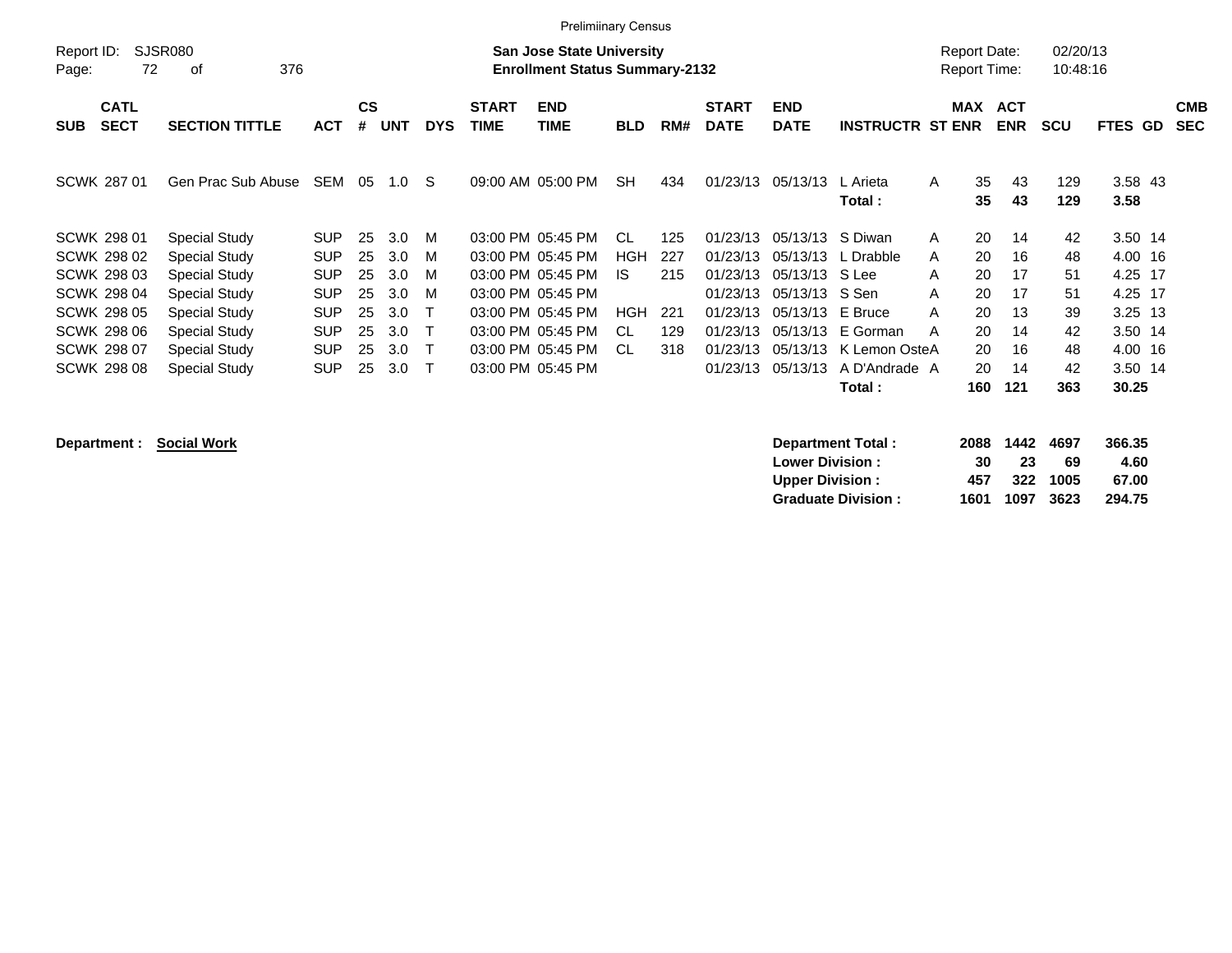|                     |                            |                       |            |                |            |              |                             | <b>Prelimiinary Census</b>                                                |            |     |                             |                           |                         |                                            |                          |                      |                 |                          |
|---------------------|----------------------------|-----------------------|------------|----------------|------------|--------------|-----------------------------|---------------------------------------------------------------------------|------------|-----|-----------------------------|---------------------------|-------------------------|--------------------------------------------|--------------------------|----------------------|-----------------|--------------------------|
| Report ID:<br>Page: | 72                         | SJSR080<br>376<br>οf  |            |                |            |              |                             | <b>San Jose State University</b><br><b>Enrollment Status Summary-2132</b> |            |     |                             |                           |                         | <b>Report Date:</b><br><b>Report Time:</b> |                          | 02/20/13<br>10:48:16 |                 |                          |
| <b>SUB</b>          | <b>CATL</b><br><b>SECT</b> | <b>SECTION TITTLE</b> | <b>ACT</b> | <b>CS</b><br># | <b>UNT</b> | <b>DYS</b>   | <b>START</b><br><b>TIME</b> | <b>END</b><br>TIME                                                        | <b>BLD</b> | RM# | <b>START</b><br><b>DATE</b> | <b>END</b><br><b>DATE</b> | <b>INSTRUCTR ST ENR</b> | MAX                                        | <b>ACT</b><br><b>ENR</b> | <b>SCU</b>           | FTES GD         | <b>CMB</b><br><b>SEC</b> |
| SCWK 287 01         |                            | Gen Prac Sub Abuse    | SEM        | 05             | 1.0        | <sub>S</sub> |                             | 09:00 AM 05:00 PM                                                         | <b>SH</b>  | 434 | 01/23/13                    | 05/13/13                  | L Arieta<br>Total :     | 35<br>A<br>35                              | 43<br>43                 | 129<br>129           | 3.58 43<br>3.58 |                          |
| <b>SCWK 298 01</b>  |                            | <b>Special Study</b>  | <b>SUP</b> | 25             | 3.0        | M            |                             | 03:00 PM 05:45 PM                                                         | -CL        | 125 | 01/23/13                    | 05/13/13                  | S Diwan                 | 20<br>A                                    | 14                       | 42                   | 3.50 14         |                          |
| SCWK 298 02         |                            | <b>Special Study</b>  | <b>SUP</b> | 25             | 3.0        | M            |                             | 03:00 PM 05:45 PM                                                         | HGH        | 227 | 01/23/13                    | 05/13/13                  | L Drabble               | 20<br>A                                    | 16                       | 48                   | 4.00 16         |                          |
| SCWK 298 03         |                            | <b>Special Study</b>  | <b>SUP</b> | 25             | 3.0        | M            |                             | 03:00 PM 05:45 PM                                                         | IS.        | 215 | 01/23/13                    | 05/13/13                  | S Lee                   | 20<br>A                                    | 17                       | 51                   | 4.25 17         |                          |
| SCWK 298 04         |                            | <b>Special Study</b>  | <b>SUP</b> | 25             | 3.0        | м            |                             | 03:00 PM 05:45 PM                                                         |            |     | 01/23/13                    | 05/13/13                  | S Sen                   | 20<br>A                                    | 17                       | 51                   | 4.25 17         |                          |
| SCWK 298 05         |                            | <b>Special Study</b>  | <b>SUP</b> | 25             | 3.0        |              |                             | 03:00 PM 05:45 PM                                                         | HGH        | 221 | 01/23/13                    | 05/13/13                  | E Bruce                 | 20<br>A                                    | 13                       | 39                   | 3.25 13         |                          |
| SCWK 298 06         |                            | <b>Special Study</b>  | <b>SUP</b> | 25             | 3.0        | T            |                             | 03:00 PM 05:45 PM                                                         | CL         | 129 | 01/23/13                    | 05/13/13                  | E Gorman                | 20<br>A                                    | 14                       | 42                   | 3.50 14         |                          |
| <b>SCWK 298 07</b>  |                            | <b>Special Study</b>  | <b>SUP</b> | 25             | 3.0        | т            |                             | 03:00 PM 05:45 PM                                                         | .CL        | 318 | 01/23/13                    | 05/13/13                  | K Lemon OsteA           | 20                                         | 16                       | 48                   | 4.00 16         |                          |
| <b>SCWK 298 08</b>  |                            | <b>Special Study</b>  | <b>SUP</b> | 25             | 3.0        | т            |                             | 03:00 PM 05:45 PM                                                         |            |     | 01/23/13                    | 05/13/13                  | A D'Andrade A           | 20                                         | 14                       | 42                   | 3.50 14         |                          |
|                     |                            |                       |            |                |            |              |                             |                                                                           |            |     |                             |                           | Total:                  | 160                                        | 121                      | 363                  | 30.25           |                          |

| Department : Social Work | <b>Department Total:</b>  | 2088 | 1442 | 4697 | 366.35 |
|--------------------------|---------------------------|------|------|------|--------|
|                          | <b>Lower Division:</b>    | 30   | 23   | 69   | 4.60   |
|                          | <b>Upper Division:</b>    | 457  | 322  | 1005 | 67.00  |
|                          | <b>Graduate Division:</b> | 1601 | 1097 | 3623 | 294.75 |